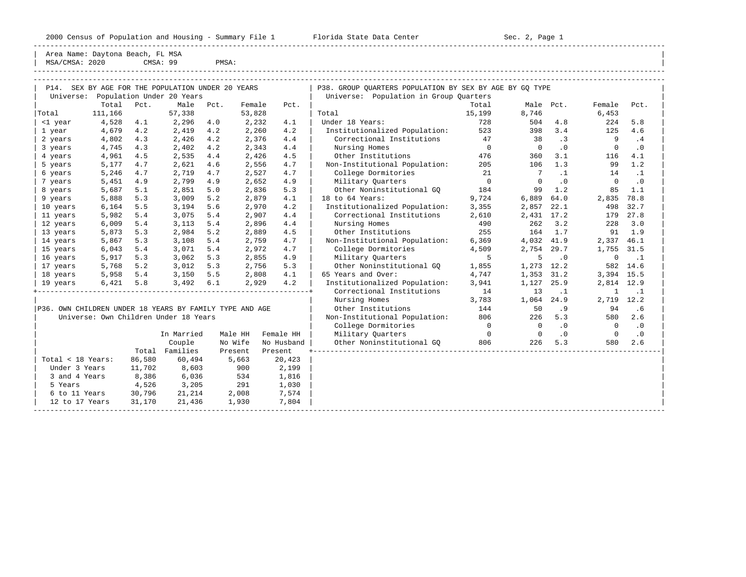-----------------------------------------------------------------------------------------------------------------------------------------------------

-----------------------------------------------------------------------------------------------------------------------------------------------------

Area Name: Daytona Beach, FL MSA  $|$  MSA/CMSA: 2020 CMSA: 99 PMSA:

|                                                         | P14. SEX BY AGE FOR THE POPULATION UNDER 20 YEARS<br>Population Under 20 Years<br>Universe: |        |                |      |         |            | P38. GROUP OUARTERS POPULATION BY SEX BY AGE BY GO TYPE |                          |                 |           |                |           |  |  |
|---------------------------------------------------------|---------------------------------------------------------------------------------------------|--------|----------------|------|---------|------------|---------------------------------------------------------|--------------------------|-----------------|-----------|----------------|-----------|--|--|
|                                                         |                                                                                             |        |                |      |         |            | Universe: Population in Group Quarters                  |                          |                 |           |                |           |  |  |
|                                                         | Total                                                                                       | Pct.   | Male           | Pct. | Female  | Pct.       |                                                         | Total                    | Male Pct.       |           | Female         | Pct.      |  |  |
| Total                                                   | 111,166                                                                                     |        | 57,338         |      | 53,828  |            | Total                                                   | 15,199                   | 8,746           |           | 6,453          |           |  |  |
| <1 year                                                 | 4,528                                                                                       | 4.1    | 2,296          | 4.0  | 2,232   | 4.1        | Under 18 Years:                                         | 728                      | 504             | 4.8       | 224            | 5.8       |  |  |
| 1 year                                                  | 4,679                                                                                       | 4.2    | 2,419          | 4.2  | 2,260   | 4.2        | Institutionalized Population:                           | 523                      | 398             | 3.4       | 125            | 4.6       |  |  |
| 2 years                                                 | 4,802                                                                                       | 4.3    | 2,426          | 4.2  | 2,376   | 4.4        | Correctional Institutions                               | 47                       | 38              | $\cdot$ 3 | 9              | .4        |  |  |
| 3 years                                                 | 4,745                                                                                       | 4.3    | 2,402          | 4.2  | 2,343   | 4.4        | Nursing Homes                                           | $\overline{0}$           | $\overline{0}$  | $\cdot$ 0 | $\Omega$       | $\cdot$ 0 |  |  |
| 4 years                                                 | 4,961                                                                                       | 4.5    | 2,535          | 4.4  | 2,426   | 4.5        | Other Institutions                                      | 476                      | 360             | 3.1       | 116            | 4.1       |  |  |
| 5 years                                                 | 5,177                                                                                       | 4.7    | 2,621          | 4.6  | 2,556   | 4.7        | Non-Institutional Population:                           | 205                      | 106             | 1.3       | 99             | 1.2       |  |  |
| 6 years                                                 | 5,246                                                                                       | 4.7    | 2,719          | 4.7  | 2,527   | 4.7        | College Dormitories                                     | 21                       | $7\overline{ }$ | $\cdot$ 1 | 14             | $\cdot$ 1 |  |  |
| 7 years                                                 | 5,451                                                                                       | 4.9    | 2,799          | 4.9  | 2,652   | 4.9        | Military Quarters                                       | $\overline{0}$           | $\Omega$        | $\cdot$ 0 | $\overline{0}$ | $\cdot$ 0 |  |  |
| 8 years                                                 | 5,687                                                                                       | 5.1    | 2,851          | 5.0  | 2,836   | 5.3        | Other Noninstitutional GO                               | 184                      | 99              | 1.2       | 85             | 1.1       |  |  |
| 9 years                                                 | 5,888                                                                                       | 5.3    | 3,009          | 5.2  | 2,879   | 4.1        | 18 to 64 Years:                                         | 9,724                    | 6,889           | 64.0      | 2,835          | 78.8      |  |  |
| 10 years                                                | 6,164                                                                                       | 5.5    | 3,194          | 5.6  | 2,970   | 4.2        | Institutionalized Population:                           | 3,355                    | 2,857           | 22.1      | 498            | 32.7      |  |  |
| 11 years                                                | 5,982                                                                                       | 5.4    | 3,075          | 5.4  | 2,907   | 4.4        | Correctional Institutions                               | 2,610                    | 2,431 17.2      |           |                | 179 27.8  |  |  |
| 12 years                                                | 6,009                                                                                       | 5.4    | 3,113          | 5.4  | 2,896   | 4.4        | Nursing Homes                                           | 490                      | 262             | 3.2       | 228            | 3.0       |  |  |
| 13 years                                                | 5,873                                                                                       | 5.3    | 2,984          | 5.2  | 2,889   | 4.5        | Other Institutions                                      | 255                      | 164             | 1.7       | 91             | 1.9       |  |  |
| 14 years                                                | 5,867                                                                                       | 5.3    | 3,108          | 5.4  | 2,759   | 4.7        | Non-Institutional Population:                           | 6,369                    | 4,032           | 41.9      | 2,337 46.1     |           |  |  |
| 15 years                                                | 6,043                                                                                       | 5.4    | 3,071          | 5.4  | 2,972   | 4.7        | College Dormitories                                     | 4,509                    | 2,754           | 29.7      | 1,755          | 31.5      |  |  |
| 16 years                                                | 5,917                                                                                       | 5.3    | 3,062          | 5.3  | 2,855   | 4.9        | Military Quarters                                       | 5                        | 5               | $\cdot$ 0 | 0              | $\cdot$ 1 |  |  |
| 17 years                                                | 5,768                                                                                       | 5.2    | 3,012          | 5.3  | 2,756   | 5.3        | Other Noninstitutional GO                               | 1,855                    | 1,273 12.2      |           | 582            | 14.6      |  |  |
| 18 years                                                | 5,958                                                                                       | 5.4    | 3,150          | 5.5  | 2,808   | 4.1        | 65 Years and Over:                                      | 4,747                    | 1,353 31.2      |           | 3,394 15.5     |           |  |  |
| 19 years                                                | 6,421                                                                                       | 5.8    | 3,492          | 6.1  | 2,929   | 4.2        | Institutionalized Population:                           | 3,941                    | 1,127           | 25.9      | 2,814 12.9     |           |  |  |
|                                                         |                                                                                             |        |                |      |         |            | Correctional Institutions                               | 14                       | 13              | $\cdot$ 1 | 1              | $\cdot$ 1 |  |  |
|                                                         |                                                                                             |        |                |      |         |            | Nursing Homes                                           | 3,783                    | 1,064           | 24.9      | 2,719 12.2     |           |  |  |
| P36. OWN CHILDREN UNDER 18 YEARS BY FAMILY TYPE AND AGE |                                                                                             |        |                |      |         |            | Other Institutions                                      | 144                      | 50              | .9        | 94             | .6        |  |  |
|                                                         | Universe: Own Children Under 18 Years                                                       |        |                |      |         |            | Non-Institutional Population:                           | 806                      | 226             | 5.3       | 580            | 2.6       |  |  |
|                                                         |                                                                                             |        |                |      |         |            | College Dormitories                                     | $\overline{\phantom{0}}$ | $\overline{0}$  | $\cdot$ 0 | $\overline{0}$ | $\cdot$ 0 |  |  |
|                                                         |                                                                                             |        | In Married     |      | Male HH | Female HH  | Military Quarters                                       | $\overline{0}$           | $\overline{0}$  | $\cdot$ 0 | $\overline{0}$ | $\cdot$ 0 |  |  |
|                                                         |                                                                                             |        | Couple         |      | No Wife | No Husband | Other Noninstitutional GO 806                           |                          | 226             | 5.3       | 580            | 2.6       |  |  |
|                                                         |                                                                                             |        | Total Families |      | Present | Present    |                                                         |                          |                 |           |                |           |  |  |
| Total < 18 Years:                                       |                                                                                             | 86,580 | 60,494         |      | 5,663   | 20,423     |                                                         |                          |                 |           |                |           |  |  |
| Under 3 Years                                           |                                                                                             | 11,702 | 8,603          |      | 900     | 2,199      |                                                         |                          |                 |           |                |           |  |  |
| 3 and 4 Years                                           |                                                                                             | 8,386  | 6,036          |      | 534     | 1,816      |                                                         |                          |                 |           |                |           |  |  |
| 5 Years                                                 |                                                                                             | 4,526  | 3,205          |      | 291     | 1,030      |                                                         |                          |                 |           |                |           |  |  |
| 6 to 11 Years                                           |                                                                                             | 30,796 | 21,214         |      | 2,008   | 7,574      |                                                         |                          |                 |           |                |           |  |  |
| 12 to 17 Years                                          |                                                                                             | 31,170 | 21,436         |      | 1,930   | 7,804      |                                                         |                          |                 |           |                |           |  |  |
|                                                         |                                                                                             |        |                |      |         |            |                                                         |                          |                 |           |                |           |  |  |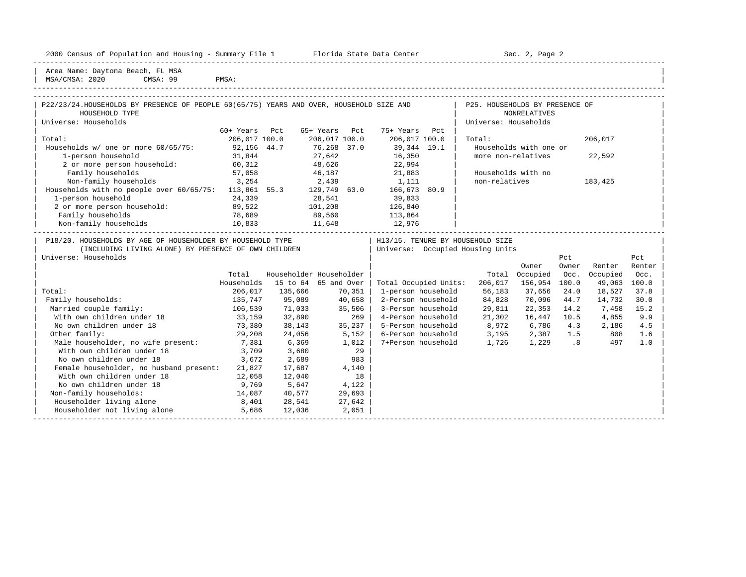| Housing<br>2000<br>and<br>* Population .<br>ensus!<br>2Y1<br>summa<br>∸∸ | Center<br>lorida<br>- Data<br>31.71.7 | Paαe<br>¬≏′<br>しこし<br>$\sim$ |  |
|--------------------------------------------------------------------------|---------------------------------------|------------------------------|--|
|                                                                          |                                       |                              |  |

2000 Florida State Data Center - Sec. 2, Page 2

| Area Name: Daytona Beach, FL MSA | MSA/CMSA: 2020 CMSA: 99 PMSA:

| P22/23/24.HOUSEHOLDS BY PRESENCE OF PEOPLE 60(65/75) YEARS AND OVER, HOUSEHOLD SIZE AND |               |                          |               |     |                       |      | P25. HOUSEHOLDS BY PRESENCE OF   |                        |       |          |        |  |
|-----------------------------------------------------------------------------------------|---------------|--------------------------|---------------|-----|-----------------------|------|----------------------------------|------------------------|-------|----------|--------|--|
| HOUSEHOLD TYPE                                                                          |               |                          |               |     |                       |      |                                  | NONRELATIVES           |       |          |        |  |
| Universe: Households                                                                    |               |                          |               |     |                       |      | Universe: Households             |                        |       |          |        |  |
|                                                                                         | $60+$ Years   | Pct                      | 65+ Years     | Pct | 75+ Years             | Pct. |                                  |                        |       |          |        |  |
| Total:                                                                                  | 206,017 100.0 |                          | 206,017 100.0 |     | 206,017 100.0         |      | Total:                           |                        |       | 206,017  |        |  |
| Households w/ one or more 60/65/75:                                                     | 92,156 44.7   |                          | 76,268 37.0   |     | 39,344 19.1           |      |                                  | Households with one or |       |          |        |  |
| 1-person household                                                                      | 31,844        |                          | 27,642        |     | 16,350                |      | more non-relatives               |                        |       | 22,592   |        |  |
| 2 or more person household:                                                             | 60,312        |                          | 48,626        |     | 22,994                |      |                                  |                        |       |          |        |  |
| Family households                                                                       | 57,058        |                          | 46,187        |     | 21,883                |      | Households with no               |                        |       |          |        |  |
| Non-family households                                                                   | 3,254         |                          | 2,439         |     | 1,111                 |      | non-relatives                    |                        |       | 183,425  |        |  |
| Households with no people over 60/65/75:                                                | 113,861 55.3  |                          | 129,749 63.0  |     | 166,673 80.9          |      |                                  |                        |       |          |        |  |
| 1-person household                                                                      | 24,339        |                          | 28,541        |     | 39,833                |      |                                  |                        |       |          |        |  |
| 2 or more person household:                                                             | 89,522        |                          | 101,208       |     | 126,840               |      |                                  |                        |       |          |        |  |
| Family households                                                                       | 78,689        |                          | 89,560        |     | 113,864               |      |                                  |                        |       |          |        |  |
| Non-family households                                                                   | 10,833        |                          | 11,648        |     | 12,976                |      |                                  |                        |       |          |        |  |
| P18/20. HOUSEHOLDS BY AGE OF HOUSEHOLDER BY HOUSEHOLD TYPE                              |               |                          |               |     |                       |      | H13/15. TENURE BY HOUSEHOLD SIZE |                        |       |          |        |  |
| (INCLUDING LIVING ALONE) BY PRESENCE OF OWN CHILDREN                                    |               |                          |               |     |                       |      | Universe: Occupied Housing Units |                        |       |          |        |  |
| Universe: Households                                                                    |               |                          |               |     |                       |      |                                  |                        | Pct   |          | Pct    |  |
|                                                                                         |               |                          |               |     |                       |      |                                  | Owner                  | Owner | Renter   | Renter |  |
|                                                                                         | Total         | Householder Householder  |               |     |                       |      |                                  | Total Occupied         | Occ.  | Occupied | Occ.   |  |
|                                                                                         | Households    | 15 to $64$ $65$ and Over |               |     | Total Occupied Units: |      | 206,017                          | 156,954 100.0          |       | 49,063   | 100.0  |  |
|                                                                                         |               |                          |               |     |                       |      |                                  |                        |       |          |        |  |

|                                         | Total      |          | Householder Householder |                       | Total   | Occupied | Occ.  | Occupied | Occ.  |  |
|-----------------------------------------|------------|----------|-------------------------|-----------------------|---------|----------|-------|----------|-------|--|
|                                         | Households | 15 to 64 | 65 and Over             | Total Occupied Units: | 206,017 | 156,954  | 100.0 | 49,063   | 100.0 |  |
| Total:                                  | 206,017    | 135,666  | 70,351                  | 1-person household    | 56,183  | 37,656   | 24.0  | 18,527   | 37.8  |  |
| Family households:                      | 135,747    | 95,089   | 40,658                  | 2-Person household    | 84,828  | 70,096   | 44.7  | 14,732   | 30.0  |  |
| Married couple family:                  | 106,539    | 71,033   | 35,506                  | 3-Person household    | 29,811  | 22,353   | 14.2  | 7,458    | 15.2  |  |
| With own children under 18              | 33,159     | 32,890   | 269                     | 4-Person household    | 21,302  | 16,447   | 10.5  | 4,855    | 9.9   |  |
| No own children under 18                | 73,380     | 38,143   | 35,237                  | 5-Person household    | 8,972   | 6,786    | 4.3   | 2,186    | 4.5   |  |
| Other family:                           | 29,208     | 24,056   | 5,152                   | 6-Person household    | 3,195   | 2,387    | 1.5   | 808      | 1.6   |  |
| Male householder, no wife present:      | 7,381      | 6,369    | 1,012                   | 7+Person household    | 1,726   | 1,229    | .8    | 497      | 1.0   |  |
| With own children under 18              | 3,709      | 3,680    | 29                      |                       |         |          |       |          |       |  |
| No own children under 18                | 3,672      | 2,689    | 983                     |                       |         |          |       |          |       |  |
| Female householder, no husband present: | 21,827     | 17,687   | 4,140                   |                       |         |          |       |          |       |  |
| With own children under 18              | 12,058     | 12,040   | 18                      |                       |         |          |       |          |       |  |
| No own children under 18                | 9,769      | 5,647    | 4,122                   |                       |         |          |       |          |       |  |
| Non-family households:                  | 14,087     | 40,577   | 29,693                  |                       |         |          |       |          |       |  |
| Householder living alone                | 8,401      | 28,541   | 27,642                  |                       |         |          |       |          |       |  |
| Householder not living alone            | 5,686      | 12,036   | 2,051                   |                       |         |          |       |          |       |  |
|                                         |            |          |                         |                       |         |          |       |          |       |  |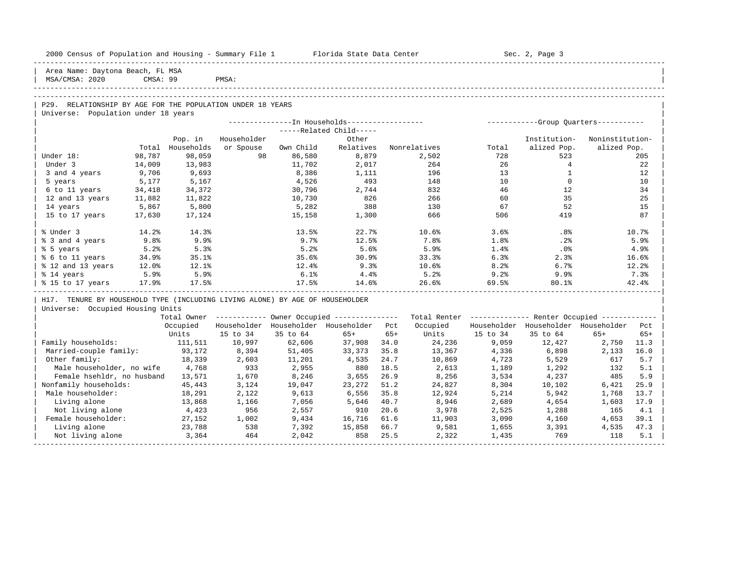| 2000 Census of Population and Housing - Summary File 1 Florida State Data Center |          |                  |              |                 |                                                        |              |                                                         |                | Sec. 2, Page 3                      |                   |            |
|----------------------------------------------------------------------------------|----------|------------------|--------------|-----------------|--------------------------------------------------------|--------------|---------------------------------------------------------|----------------|-------------------------------------|-------------------|------------|
| Area Name: Daytona Beach, FL MSA<br>MSA/CMSA: 2020                               | CMSA: 99 |                  | PMSA:        |                 |                                                        |              |                                                         |                |                                     |                   |            |
|                                                                                  |          |                  |              |                 |                                                        |              |                                                         |                |                                     |                   |            |
| P29. RELATIONSHIP BY AGE FOR THE POPULATION UNDER 18 YEARS                       |          |                  |              |                 |                                                        |              |                                                         |                |                                     |                   |            |
| Universe: Population under 18 years                                              |          |                  |              |                 |                                                        |              |                                                         |                |                                     |                   |            |
|                                                                                  |          |                  |              |                 |                                                        |              |                                                         |                |                                     |                   |            |
|                                                                                  |          |                  |              |                 | -----Related Child-----                                |              |                                                         |                |                                     |                   |            |
|                                                                                  |          | Pop. in          | Householder  |                 | Other                                                  |              |                                                         |                | Institution-                        | Noninstitution-   |            |
|                                                                                  | Total    | Households       | or Spouse    | Own Child       | Relatives                                              |              | Nonrelatives                                            | Total          | alized Pop.                         | alized Pop.       |            |
| Under 18:                                                                        | 98,787   | 98,059           | 98           | 86,580          | 8,879                                                  |              | 2,502                                                   | 728            | 523                                 |                   | 205        |
| Under 3                                                                          | 14,009   | 13,983           |              | 11,702          | 2,017                                                  |              | 264                                                     | 26             | $\overline{4}$                      |                   | 22         |
| 3 and 4 years                                                                    | 9,706    | 9,693            |              | 8,386           | 1,111                                                  |              | 196                                                     | 13             | $\mathbf{1}$                        |                   | 12         |
| 5 years                                                                          | 5,177    | 5,167            |              | 4,526           | 493                                                    |              | 148                                                     | 10             | $\overline{0}$                      |                   | 10         |
| 6 to 11 years                                                                    | 34,418   | 34,372           |              | 30,796          | 2,744                                                  |              | 832                                                     | 46             | 12                                  |                   | 34         |
| 12 and 13 years                                                                  | 11,882   | 11,822           |              | 10,730          | 826                                                    |              | 266                                                     | 60             | 35                                  |                   | 25         |
| 14 years                                                                         | 5,867    | 5,800            |              | 5,282           | 388                                                    |              | 130                                                     | 67             | 52                                  |                   | 15         |
| 15 to 17 years                                                                   | 17,630   | 17,124           |              | 15,158          | 1,300                                                  |              | 666                                                     | 506            | 419                                 |                   | 87         |
| % Under 3                                                                        | 14.2%    | 14.3%            |              | 13.5%           | 22.7%                                                  |              | 10.6%                                                   | 3.6%           | $.8\%$                              |                   | 10.7%      |
| % 3 and 4 years                                                                  | 9.8%     | 9.9%             |              | 9.7%            | 12.5%                                                  |              | 7.8%                                                    | 1.8%           | .2%                                 |                   | 5.9%       |
| % 5 years                                                                        | 5.2%     | 5.3%             |              | 5.2%            | 5.6%                                                   |              | 5.9%                                                    | 1.4%           | $.0\%$                              |                   | 4.9%       |
| % 6 to 11 years                                                                  | 34.9%    | 35.1%            |              | 35.6%           | 30.9%                                                  |              | 33.3%                                                   | 6.3%           | 2.3%                                |                   | 16.6%      |
| % 12 and 13 years                                                                | 12.0%    | 12.1%            |              | 12.4%           | 9.3%                                                   |              | $10.6\%$                                                | 8.2%           | $6.7\%$                             |                   | 12.2       |
| % 14 years                                                                       | 5.9%     | 5.9%             |              | 6.1%            | 4.4%                                                   |              | 5.2%                                                    | 9.2%           | 9.9%                                |                   | 7.3%       |
| % 15 to 17 years 17.9%                                                           |          | 17.5%            |              | 17.5%           | 14.6%                                                  |              | 26.6%                                                   | 69.5%          | 80.1%                               |                   | 42.4%      |
| H17. TENURE BY HOUSEHOLD TYPE (INCLUDING LIVING ALONE) BY AGE OF HOUSEHOLDER     |          |                  |              |                 |                                                        |              |                                                         |                |                                     |                   |            |
| Universe: Occupied Housing Units                                                 |          |                  |              |                 |                                                        |              |                                                         |                |                                     |                   |            |
|                                                                                  |          |                  |              |                 | Total Owner ------------ Owner Occupied -------------- |              | Total Renter ------------- Renter Occupied ------------ |                |                                     |                   |            |
|                                                                                  |          | Occupied         |              |                 | Householder Householder Householder Pct                |              | Occupied                                                |                | Householder Householder Householder |                   | Pct        |
|                                                                                  |          | Units            | 15 to 34     | 35 to 64        | $65+$                                                  | $65+$        | Units                                                   | 15 to 34       | 35 to 64                            | $65+$             | $65+$      |
| Family households:                                                               |          | 111,511          | 10,997       | 62,606          | 37,908                                                 | 34.0         | 24,236                                                  | 9,059          | 12,427                              | 2,750 11.3        |            |
| Married-couple family:                                                           |          | 93,172           | 8,394        | 51,405          | 33,373                                                 | 35.8         | 13,367                                                  | 4,336          | 6,898                               | 2,133 16.0<br>617 |            |
| Other family:<br>Male householder, no wife                                       |          | 18,339<br>4,768  | 2,603<br>933 | 11,201<br>2,955 | 4,535                                                  | 24.7         | 10,869                                                  | 4,723          | 5,529                               |                   | 5.7        |
|                                                                                  |          |                  | 1,670        |                 | 880<br>3,655                                           | 18.5<br>26.9 | 2,613                                                   | 1,189          | 1,292                               | 132<br>485        | 5.1<br>5.9 |
| Female hsehldr, no husband<br>Nonfamily households:                              |          | 13,571<br>45,443 | 3,124        | 8,246<br>19,047 | 23,272                                                 | 51.2         | 8,256<br>24,827                                         | 3,534<br>8,304 | 4,237<br>10,102                     | 6,421             | 25.9       |
| Male householder:                                                                |          |                  | 2,122        | 9,613           | 6,556                                                  | 35.8         | 12,924                                                  |                | 5,942                               | 1,768             | 13.7       |
| Living alone                                                                     |          | 18,291<br>13,868 | 1,166        | 7,056           | 5,646                                                  | 40.7         | 8,946                                                   | 5,214<br>2,689 | 4,654                               | 1,603             | 17.9       |
| Not living alone                                                                 |          | 4,423            | 956          | 2,557           | 910                                                    | 20.6         | 3,978                                                   | 2,525          | 1,288                               | 165               | 4.1        |
| Female householder:                                                              |          | 27,152           | 1,002        | 9,434           | 16,716                                                 | 61.6         | 11,903                                                  | 3,090          | 4,160                               | 4,653             | 39.1       |
| Living alone                                                                     |          | 23,788           | 538          | 7,392           | 15,858                                                 | 66.7         | 9,581                                                   | 1,655          | 3,391                               | 4,535             | 47.3       |
| Not living alone                                                                 |          | 3,364            | 464          | 2,042           | 858                                                    | 25.5         | 2,322                                                   | 1,435          | 769                                 | 118               | 5.1        |
|                                                                                  |          |                  |              |                 |                                                        |              |                                                         |                |                                     |                   |            |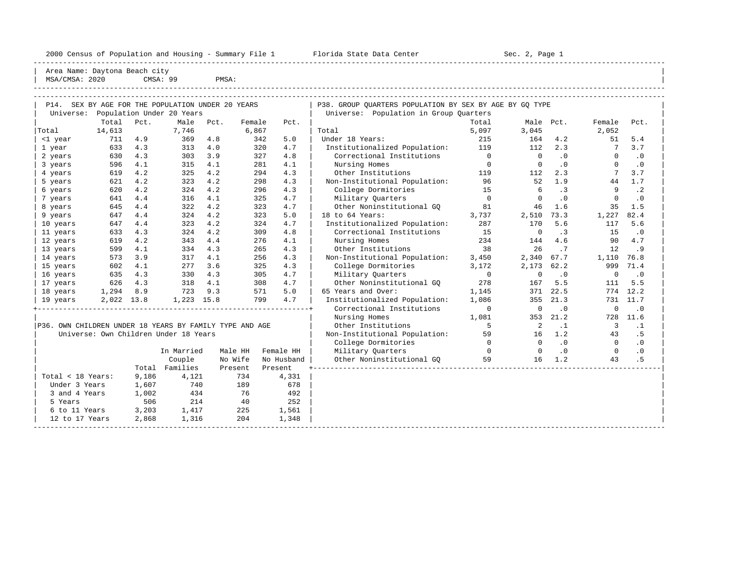----------------------------------------------------------------------------------------------------------------------------------------------------- Area Name: Daytona Beach city | MSA/CMSA: 2020 CMSA: 99 PMSA:

| P14. SEX BY AGE FOR THE POPULATION UNDER 20 YEARS       |            |       |                                       |      |         |         |            | P38. GROUP OUARTERS POPULATION BY SEX BY AGE BY GO TYPE |                |                |           |                         |           |
|---------------------------------------------------------|------------|-------|---------------------------------------|------|---------|---------|------------|---------------------------------------------------------|----------------|----------------|-----------|-------------------------|-----------|
| Universe: Population Under 20 Years                     |            |       |                                       |      |         |         |            | Universe: Population in Group Quarters                  |                |                |           |                         |           |
|                                                         | Total      | Pct.  | Male                                  | Pct. | Female  |         | Pct.       |                                                         | Total          | Male Pct.      |           | Female                  | Pct.      |
| Total                                                   | 14,613     |       | 7.746                                 |      | 6,867   |         |            | Total                                                   | 5,097          | 3,045          |           | 2,052                   |           |
| <1 year                                                 | 711        | 4.9   | 369                                   | 4.8  |         | 342     | 5.0        | Under 18 Years:                                         | 215            | 164            | 4.2       | 51                      | 5.4       |
| 1 year                                                  | 633        | 4.3   | 313                                   | 4.0  |         | 320     | 4.7        | Institutionalized Population:                           | 119            | 112            | 2.3       | 7                       | 3.7       |
| 2 years                                                 | 630        | 4.3   | 303                                   | 3.9  |         | 327     | 4.8        | Correctional Institutions                               | $\overline{0}$ | $\overline{0}$ | .0        | $\mathbf{0}$            | .0        |
| 3 years                                                 | 596        | 4.1   | 315                                   | 4.1  |         | 281     | 4.1        | Nursing Homes                                           | $\overline{0}$ | $\mathbf 0$    | .0        | $\Omega$                | $\cdot$ 0 |
| 4 years                                                 | 619        | 4.2   | 325                                   | 4.2  |         | 294     | 4.3        | Other Institutions                                      | 119            | 112            | 2.3       | 7                       | 3.7       |
| 5 years                                                 | 621        | 4.2   | 323                                   | 4.2  |         | 298     | 4.3        | Non-Institutional Population:                           | 96             | 52             | 1.9       | 44                      | 1.7       |
| 6 years                                                 | 620        | 4.2   | 324                                   | 4.2  |         | 296     | 4.3        | College Dormitories                                     | 15             | -6             | $\cdot$ 3 | 9                       | $\cdot$ 2 |
| 7 years                                                 | 641        | 4.4   | 316                                   | 4.1  |         | 325     | 4.7        | Military Quarters                                       | $\overline{0}$ | $\circ$        | $\cdot$ 0 | $\mathbf{0}$            | $\cdot$ 0 |
| 8 years                                                 | 645        | 4.4   | 322                                   | 4.2  |         | 323     | 4.7        | Other Noninstitutional GO                               | 81             | 46             | 1.6       | 35                      | 1.5       |
| 9 years                                                 | 647        | 4.4   | 324                                   | 4.2  |         | 323     | 5.0        | 18 to 64 Years:                                         | 3,737          | 2,510          | 73.3      | 1,227                   | 82.4      |
| 10 years                                                | 647        | 4.4   | 323                                   | 4.2  |         | 324     | 4.7        | Institutionalized Population:                           | 287            | 170            | 5.6       | 117                     | 5.6       |
| 11 years                                                | 633        | 4.3   | 324                                   | 4.2  |         | 309     | 4.8        | Correctional Institutions                               | 15             | $\circ$        | .3        | 15                      | $\cdot$ 0 |
| 12 years                                                | 619        | 4.2   | 343                                   | 4.4  |         | 276     | 4.1        | Nursing Homes                                           | 234            | 144            | 4.6       | 90                      | 4.7       |
| 13 years                                                | 599        | 4.1   | 334                                   | 4.3  |         | 265     | 4.3        | Other Institutions                                      | 38             | 26             | .7        | 12                      | .9        |
| 14 years                                                | 573        | 3.9   | 317                                   | 4.1  |         | 256     | 4.3        | Non-Institutional Population:                           | 3,450          | 2,340 67.7     |           | 1,110                   | 76.8      |
| 15 years                                                | 602        | 4.1   | 277                                   | 3.6  |         | 325     | 4.3        | College Dormitories                                     | 3,172          | 2,173          | 62.2      | 999                     | 71.4      |
| 16 years                                                | 635        | 4.3   | 330                                   | 4.3  |         | 305     | 4.7        | Military Quarters                                       | $\Omega$       | $\mathbf 0$    | $\cdot$ 0 | $\mathbf 0$             | $\cdot$ 0 |
| 17 years                                                | 626        | 4.3   | 318                                   | 4.1  |         | 308     | 4.7        | Other Noninstitutional GO                               | 278            | 167            | 5.5       | 111                     | 5.5       |
| 18 years                                                | 1,294      | 8.9   | 723                                   | 9.3  |         | 571     | 5.0        | 65 Years and Over:                                      | 1,145          | 371            | 22.5      |                         | 774 12.2  |
| 19 years                                                | 2,022 13.8 |       | 1,223 15.8                            |      |         | 799     | 4.7        | Institutionalized Population:                           | 1,086          |                | 355 21.3  |                         | 731 11.7  |
|                                                         |            |       |                                       |      |         |         |            | Correctional Institutions                               | $\overline{0}$ | $\overline{0}$ | $\cdot$ 0 | $\overline{0}$          | $\cdot$ 0 |
|                                                         |            |       |                                       |      |         |         |            | Nursing Homes                                           | 1,081          |                | 353 21.2  |                         | 728 11.6  |
| P36. OWN CHILDREN UNDER 18 YEARS BY FAMILY TYPE AND AGE |            |       |                                       |      |         |         |            | Other Institutions                                      | 5              | $\overline{2}$ | $\cdot$ 1 | $\overline{\mathbf{3}}$ | $\cdot$ 1 |
|                                                         |            |       | Universe: Own Children Under 18 Years |      |         |         |            | Non-Institutional Population:                           | 59             | 16             | 1.2       | 43                      | . 5       |
|                                                         |            |       |                                       |      |         |         |            | College Dormitories                                     | $\Omega$       | $\Omega$       | .0        | $\Omega$                | $\cdot$ 0 |
|                                                         |            |       | In Married                            |      | Male HH |         | Female HH  | Military Quarters                                       | $\bigcirc$     | $\Omega$       | $\cdot$ 0 | $\Omega$                | $\cdot$ 0 |
|                                                         |            |       | Couple                                |      | No Wife |         | No Husband | Other Noninstitutional GO                               | 59             | 16             | 1.2       | 43                      | . 5       |
|                                                         |            |       | Total Families                        |      | Present | Present |            |                                                         |                |                |           |                         |           |
| Total < 18 Years:                                       |            | 9,186 | 4,121                                 |      | 734     |         | 4,331      |                                                         |                |                |           |                         |           |
| Under 3 Years                                           |            | 1,607 | 740                                   |      | 189     |         | 678        |                                                         |                |                |           |                         |           |
| 3 and 4 Years                                           |            | 1,002 | 434                                   |      | 76      |         | 492        |                                                         |                |                |           |                         |           |
| 5 Years                                                 |            | 506   | 214                                   |      | 40      |         | 252        |                                                         |                |                |           |                         |           |
| 6 to 11 Years                                           |            | 3,203 | 1,417                                 |      | 225     |         | 1,561      |                                                         |                |                |           |                         |           |
| 12 to 17 Years                                          |            | 2,868 | 1,316                                 |      | 204     |         | 1,348      |                                                         |                |                |           |                         |           |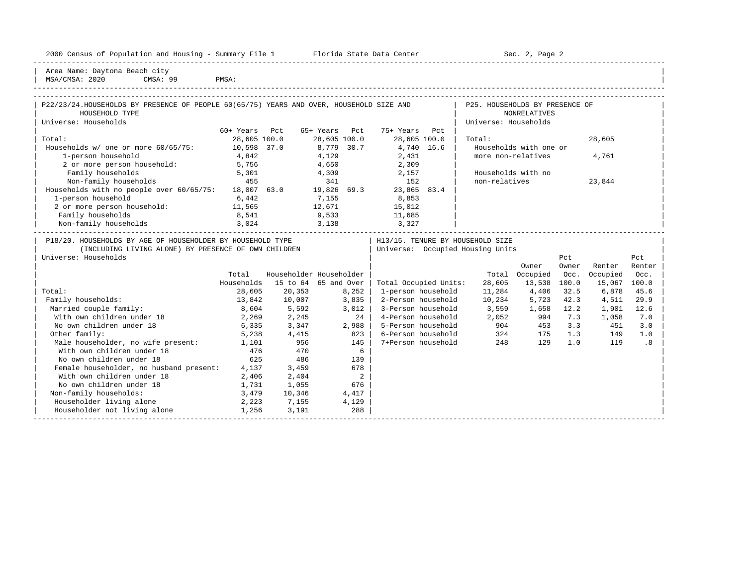| 2000<br>Jensus         | ---<br>and<br>Population | Housing<br>$\sim$<br>sum.<br>umma. | Center<br>Florida<br>Dald<br>51.dl.e | ∕ ∼<br>∍aαe<br>ມອບ |
|------------------------|--------------------------|------------------------------------|--------------------------------------|--------------------|
| ---------------------- |                          |                                    |                                      |                    |

2000 Florida State Data Center - Sec. 2, Page 2

| Area Name: Daytona Beach city |

| v  |       |  |
|----|-------|--|
| 99 | DMSA: |  |

| 2020<br>MSA,<br>'CMSA. | a q<br>CMSA. | TABCD<br>PMJA. |  |
|------------------------|--------------|----------------|--|
|                        |              |                |  |

| P22/23/24. HOUSEHOLDS BY PRESENCE OF PEOPLE 60(65/75) YEARS AND OVER, HOUSEHOLD SIZE AND |              |     |              |     |              |     | P25. HOUSEHOLDS BY PRESENCE OF   |        |  |
|------------------------------------------------------------------------------------------|--------------|-----|--------------|-----|--------------|-----|----------------------------------|--------|--|
| HOUSEHOLD TYPE                                                                           |              |     |              |     |              |     | NONRELATIVES                     |        |  |
| Universe: Households                                                                     |              |     |              |     |              |     | Universe: Households             |        |  |
|                                                                                          | 60+ Years    | Pct | 65+ Years    | Pct | 75+ Years    | Pct |                                  |        |  |
| Total:                                                                                   | 28,605 100.0 |     | 28,605 100.0 |     | 28,605 100.0 |     | Total:                           | 28,605 |  |
| Households $w/$ one or more $60/65/75$ :                                                 | 10,598 37.0  |     | 8,779 30.7   |     | 4,740 16.6   |     | Households with one or           |        |  |
| 1-person household                                                                       | 4,842        |     | 4,129        |     | 2,431        |     | more non-relatives               | 4,761  |  |
| 2 or more person household:                                                              | 5,756        |     | 4,650        |     | 2,309        |     |                                  |        |  |
| Family households                                                                        | 5,301        |     | 4,309        |     | 2,157        |     | Households with no               |        |  |
| Non-family households                                                                    | 455          |     | 341          |     | 152          |     | non-relatives                    | 23,844 |  |
| Households with no people over 60/65/75:                                                 | 18,007 63.0  |     | 19,826 69.3  |     | 23,865 83.4  |     |                                  |        |  |
| 1-person household                                                                       | 6,442        |     | 7,155        |     | 8,853        |     |                                  |        |  |
| 2 or more person household:                                                              | 11,565       |     | 12,671       |     | 15,012       |     |                                  |        |  |
| Family households                                                                        | 8,541        |     | 9,533        |     | 11,685       |     |                                  |        |  |
| Non-family households                                                                    | 3,024        |     | 3,138        |     | 3,327        |     |                                  |        |  |
|                                                                                          |              |     |              |     |              |     |                                  |        |  |
| P18/20. HOUSEHOLDS BY AGE OF HOUSEHOLDER BY HOUSEHOLD TYPE                               |              |     |              |     |              |     | H13/15. TENURE BY HOUSEHOLD SIZE |        |  |
| (INCLUDING LIVING ALONE) BY PRESENCE OF OWN CHILDREN                                     |              |     |              |     |              |     | Universe: Occupied Housing Units |        |  |
|                                                                                          |              |     |              |     |              |     |                                  |        |  |

| Universe: Households                    |            |          |                         |                       |        |          | Pct   |          | Pct    |
|-----------------------------------------|------------|----------|-------------------------|-----------------------|--------|----------|-------|----------|--------|
|                                         |            |          |                         |                       |        | Owner    | Owner | Renter   | Renter |
|                                         | Total      |          | Householder Householder |                       | Total  | Occupied | Occ.  | Occupied | Occ.   |
|                                         | Households | 15 to 64 | 65 and Over             | Total Occupied Units: | 28,605 | 13,538   | 100.0 | 15,067   | 100.0  |
| Total:                                  | 28,605     | 20,353   | 8,252                   | 1-person household    | 11,284 | 4,406    | 32.5  | 6,878    | 45.6   |
| Family households:                      | 13,842     | 10,007   | 3,835                   | 2-Person household    | 10,234 | 5,723    | 42.3  | 4,511    | 29.9   |
| Married couple family:                  | 8,604      | 5,592    | 3,012                   | 3-Person household    | 3,559  | 1,658    | 12.2  | 1,901    | 12.6   |
| With own children under 18              | 2,269      | 2,245    | 24                      | 4-Person household    | 2,052  | 994      | 7.3   | 1,058    | 7.0    |
| No own children under 18                | 6,335      | 3,347    | 2,988                   | 5-Person household    | 904    | 453      | 3.3   | 451      | 3.0    |
| Other family:                           | 5,238      | 4,415    | 823                     | 6-Person household    | 324    | 175      | 1.3   | 149      | 1.0    |
| Male householder, no wife present:      | 1,101      | 956      | 145                     | 7+Person household    | 248    | 129      | 1.0   | 119      | . 8    |
| With own children under 18              | 476        | 470      | 6                       |                       |        |          |       |          |        |
| No own children under 18                | 625        | 486      | 139                     |                       |        |          |       |          |        |
| Female householder, no husband present: | 4,137      | 3,459    | 678                     |                       |        |          |       |          |        |
| With own children under 18              | 2,406      | 2,404    | 2                       |                       |        |          |       |          |        |
| No own children under 18                | 1,731      | 1,055    | 676                     |                       |        |          |       |          |        |
| Non-family households:                  | 3,479      | 10,346   | 4,417                   |                       |        |          |       |          |        |
| Householder living alone                | 2,223      | 7,155    | 4,129                   |                       |        |          |       |          |        |
| Householder not living alone            | 1,256      | 3,191    | 288                     |                       |        |          |       |          |        |
|                                         |            |          |                         |                       |        |          |       |          |        |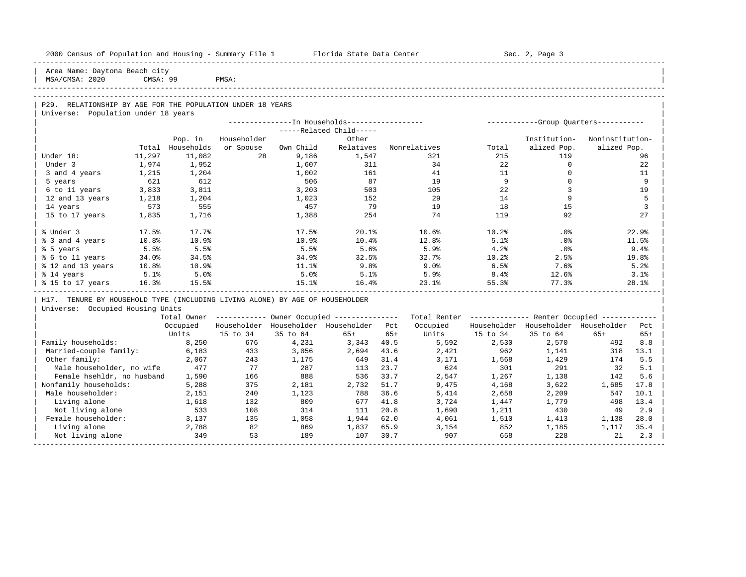| 2000 Census of Population and Housing - Summary File 1 Florida State Data Center                  |          |                  |             |              |                                                       |              |                                                         |                | Sec. 2, Page 3                          |                 |                |
|---------------------------------------------------------------------------------------------------|----------|------------------|-------------|--------------|-------------------------------------------------------|--------------|---------------------------------------------------------|----------------|-----------------------------------------|-----------------|----------------|
| Area Name: Daytona Beach city<br>MSA/CMSA: 2020                                                   | CMSA: 99 |                  | PMSA:       |              |                                                       |              |                                                         |                |                                         |                 |                |
|                                                                                                   |          |                  |             |              |                                                       |              |                                                         |                |                                         |                 |                |
|                                                                                                   |          |                  |             |              |                                                       |              |                                                         |                |                                         |                 |                |
| P29. RELATIONSHIP BY AGE FOR THE POPULATION UNDER 18 YEARS<br>Universe: Population under 18 years |          |                  |             |              |                                                       |              |                                                         |                |                                         |                 |                |
|                                                                                                   |          |                  |             |              |                                                       |              |                                                         |                |                                         |                 |                |
|                                                                                                   |          |                  |             |              | -----Related Child-----                               |              |                                                         |                |                                         |                 |                |
|                                                                                                   |          | Pop. in          | Householder |              | Other                                                 |              |                                                         |                | Institution-                            | Noninstitution- |                |
|                                                                                                   |          | Total Households | or Spouse   | Own Child    | Relatives                                             |              | Nonrelatives                                            | Total          | alized Pop.                             | alized Pop.     |                |
| Under 18:                                                                                         | 11,297   | 11,082           | 28          | 9,186        | 1,547                                                 |              | 321                                                     | 215            | 119                                     |                 | 96             |
| Under 3                                                                                           | 1,974    | 1,952            |             | 1,607        | 311                                                   |              | 34                                                      | 22             | $\circ$                                 |                 | 22             |
| 3 and 4 years                                                                                     | 1,215    | 1,204            |             | 1,002        | 161                                                   |              | 41                                                      | 11             | $\mathbf{0}$                            |                 | 11             |
| 5 years                                                                                           | 621      | 612              |             | 506          | 87                                                    |              | 19                                                      | $\overline{9}$ | $\Omega$                                |                 | 9              |
| 6 to 11 years                                                                                     | 3,833    | 3,811            |             | 3,203        | 503                                                   |              | 105                                                     | 22             | 3                                       |                 | 19             |
| 12 and 13 years                                                                                   | 1,218    | 1,204            |             | 1,023        | 152                                                   |              | 29                                                      | 14             | 9                                       |                 | 5              |
| 14 years                                                                                          | 573      | 555              |             | 457          | 79                                                    |              | 19                                                      | 1.8            | 15                                      |                 | $\overline{3}$ |
| 15 to 17 years                                                                                    | 1,835    | 1,716            |             | 1,388        | 254                                                   |              | 74                                                      | 119            | 92                                      |                 | 27             |
| % Under 3                                                                                         | 17.5%    | 17.7%            |             | 17.5%        | 20.1%                                                 |              | 10.6%                                                   | 10.2%          | .0%                                     |                 | 22.9%          |
| % 3 and 4 years                                                                                   | 10.8%    | 10.9%            |             | 10.9%        | 10.4%                                                 |              | 12.8%                                                   | 5.1%           | .0%                                     |                 | 11.5%          |
| % 5 years                                                                                         | 5.5%     | 5.5%             |             | 5.5%         | 5.6%                                                  |              | 5.9%                                                    | 4.2%           | $.0\%$                                  |                 | 9.4%           |
| % 6 to 11 years                                                                                   | 34.0%    | 34.5%            |             | 34.9%        | 32.5%                                                 |              | 32.7%                                                   | 10.2%          | 2.5%                                    |                 | 19.8%          |
| % 12 and 13 years                                                                                 | 10.8%    | 10.9%            |             | 11.1%        | 9.8%                                                  |              | $9.0\%$                                                 | 6.5%           | 7.6%                                    |                 | 5.2%           |
| % 14 years                                                                                        | 5.1%     | 5.0%             |             | 5.0%         | 5.1%                                                  |              | 5.9%                                                    | $8.4\%$        | 12.6%                                   |                 | 3.1%           |
| % 15 to 17 years                                                                                  | 16.3%    | 15.5%            |             | 15.1%        | 16.4%                                                 |              | 23.1%                                                   | 55.3%          | 77.3%                                   |                 | 28.1%          |
| H17. TENURE BY HOUSEHOLD TYPE (INCLUDING LIVING ALONE) BY AGE OF HOUSEHOLDER                      |          |                  |             |              |                                                       |              |                                                         |                |                                         |                 |                |
| Universe: Occupied Housing Units                                                                  |          |                  |             |              |                                                       |              |                                                         |                |                                         |                 |                |
|                                                                                                   |          |                  |             |              | Total Owner ----------- Owner Occupied -------------- |              | Total Renter ------------- Renter Occupied ------------ |                |                                         |                 |                |
|                                                                                                   |          | Occupied         |             |              | Householder Householder Householder Pct               |              | Occupied                                                |                | Householder Householder Householder Pct |                 |                |
|                                                                                                   |          | Units            | 15 to 34    | 35 to 64     | 65+                                                   | $65+$        | Units                                                   | 15 to 34       | 35 to 64                                | $65+$           | $65+$          |
| Family households:                                                                                |          | 8,250            | 676         | 4,231        | 3,343                                                 | 40.5         | 5,592                                                   | 2,530          | 2,570                                   | 492             | 8.8            |
| Married-couple family:                                                                            |          | 6,183            | 433         | 3,056        | 2,694                                                 | 43.6         | 2,421                                                   | 962            | 1,141                                   | 318             | 13.1           |
| Other family:                                                                                     |          | 2,067            | 243         | 1,175        | 649                                                   | 31.4         | 3,171                                                   | 1,568          | 1,429                                   | 174             | 5.5            |
| Male householder, no wife                                                                         |          | 477              | 77          | 287          | 113                                                   | 23.7         | 624                                                     | 301            | 291                                     | 32              | 5.1            |
| Female hsehldr, no husband                                                                        |          | 1,590            | 166         | 888          | 536                                                   | 33.7         | 2,547                                                   | 1,267          | 1,138                                   | 142             | 5.6            |
| Nonfamily households:                                                                             |          | 5,288            | 375         | 2,181        | 2,732                                                 | 51.7         | 9,475                                                   | 4,168          | 3,622                                   | 1,685           | 17.8           |
| Male householder:                                                                                 |          | 2,151            | 240<br>132  | 1,123<br>809 | 788<br>677                                            | 36.6<br>41.8 | 5,414                                                   | 2,658          | 2,209                                   | 547             | 10.1<br>13.4   |
| Living alone<br>Not living alone                                                                  |          | 1,618<br>533     | 108         | 314          | 111                                                   | 20.8         | 3,724<br>1,690                                          | 1,447<br>1,211 | 1,779<br>430                            | 498<br>49       | 2.9            |
| Female householder:                                                                               |          | 3,137            | 135         | 1,058        | 1,944                                                 | 62.0         | 4,061                                                   | 1,510          | 1,413                                   | 1,138           | 28.0           |
| Living alone                                                                                      |          | 2,788            | 82          | 869          | 1,837                                                 | 65.9         | 3,154                                                   | 852            | 1,185                                   | 1,117           | 35.4           |
| Not living alone                                                                                  |          | 349              | 53          | 189          | 107                                                   | 30.7         | 907                                                     | 658            | 228                                     | 21              | 2.3            |
|                                                                                                   |          |                  |             |              |                                                       |              |                                                         |                |                                         |                 |                |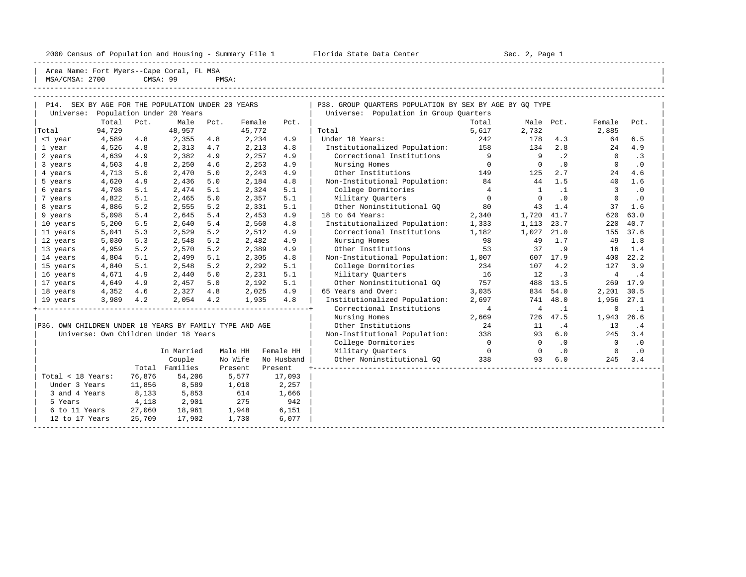|                                                         | 2000 Census of Population and Housing - Summary File 1 Florida State Data Center |          |                           |                |             |                                   |                                                                                                   | Sec. 2, Page 1 |                |                          |                 |           |  |
|---------------------------------------------------------|----------------------------------------------------------------------------------|----------|---------------------------|----------------|-------------|-----------------------------------|---------------------------------------------------------------------------------------------------|----------------|----------------|--------------------------|-----------------|-----------|--|
| MSA/CMSA: 2700                                          | Area Name: Fort Myers--Cape Coral, FL MSA                                        | CMSA: 99 |                           | PMSA:          |             |                                   |                                                                                                   |                |                |                          |                 |           |  |
|                                                         |                                                                                  |          |                           |                |             |                                   |                                                                                                   |                |                |                          |                 |           |  |
| Universe:                                               | P14. SEX BY AGE FOR THE POPULATION UNDER 20 YEARS                                |          | Population Under 20 Years |                |             |                                   | P38. GROUP QUARTERS POPULATION BY SEX BY AGE BY GQ TYPE<br>Universe: Population in Group Quarters |                |                |                          |                 |           |  |
|                                                         | Total                                                                            | Pct.     | Male                      | Pct.           | Female      | Pct.                              |                                                                                                   |                | Male Pct.      | Female                   | Pct.            |           |  |
| Total                                                   | 94,729                                                                           |          | 48,957                    |                | 45,772      |                                   | Total                                                                                             | Total<br>5,617 | 2,732          |                          | 2,885           |           |  |
| <1 year                                                 | 4,589                                                                            | 4.8      | 2,355                     | 4.8            | 2,234       | 4.9                               | Under 18 Years:                                                                                   | 242            | 178            | 4.3                      | 64              | 6.5       |  |
| 1 year                                                  | 4,526                                                                            | 4.8      | 2,313                     | 4.7            | 2,213       | 4.8                               | Institutionalized Population: 158                                                                 |                | 134            | 2.8                      | 24              | 4.9       |  |
| 2 years                                                 | 4,639                                                                            | 4.9      | 2,382                     | 4.9            | 2,257       | 4.9                               | Correctional Institutions                                                                         | 9              | $\overline{9}$ | $\cdot$ 2                | $\circ$         | $\cdot$ 3 |  |
| 3 years                                                 | 4,503                                                                            | 4.8      | 2,250                     | 4.6            | 2,253       | 4.9                               | Nursing Homes                                                                                     | $\overline{0}$ | $\overline{0}$ | $\cdot$ 0                | $\circ$         | $\cdot$ 0 |  |
| 4 years                                                 | 4,713                                                                            | 5.0      | 2,470                     | 5.0            | 2,243       | 4.9                               | Other Institutions                                                                                | 149            | 125            | 2.7                      | 24              | 4.6       |  |
| 5 years                                                 | 4,620                                                                            | 4.9      | 2,436                     | 5.0            | 2,184       | 4.8                               | Non-Institutional Population:                                                                     | 84             | 44             | 1.5                      | 40              | 1.6       |  |
| 6 years                                                 | 4,798                                                                            | 5.1      | 2,474                     | 5.1            | 2,324       | 5.1                               | College Dormitories                                                                               | $\overline{4}$ | $\mathbf{1}$   | $\cdot$ 1                | 3               | $\cdot$ 0 |  |
| 7 years                                                 | 4,822                                                                            | 5.1      | 2,465                     | 5.0            | 2,357       | 5.1                               | Military Ouarters                                                                                 | $\overline{0}$ | $\Omega$       | .0                       | $\circ$         | $\cdot$ 0 |  |
| 8 years                                                 | 4,886                                                                            | 5.2      | 2,555                     | 5.2            | 2,331       | 5.1                               | Other Noninstitutional GQ                                                                         | 80             | 43             | 1.4                      | 37              | 1.6       |  |
| 9 years                                                 | 5,098                                                                            | 5.4      | 2,645                     | 5.4            | 2,453       | 4.9                               | 18 to 64 Years:                                                                                   | 2,340          | 1,720 41.7     |                          | 620             | 63.0      |  |
| 10 years                                                | 5,200                                                                            | 5.5      | 2,640                     | 5.4            | 2,560       | 4.8                               | Institutionalized Population: 1,333                                                               |                | 1,113          | 23.7                     | 220             | 40.7      |  |
| 11 years                                                | 5,041                                                                            | 5.3      | 2,529                     | 5.2            | 2,512       | 4.9                               | Correctional Institutions 1,182                                                                   |                | 1,027 21.0     |                          |                 | 155 37.6  |  |
| 12 years                                                | 5,030                                                                            | 5.3      | 2,548                     | 5.2            | 2,482       | 4.9                               | Nursing Homes                                                                                     | 98             | 49             | 1.7                      | 49              | 1.8       |  |
| 13 years                                                | 4,959                                                                            | 5.2      | 2,570                     | 5.2            | 2,389       | 4.9                               | Other Institutions                                                                                | 53             | 37             | .9                       | 16              | 1.4       |  |
| 14 years                                                | 4,804                                                                            | 5.1      | 2,499                     | 5.1            | 2,305       | 4.8                               | Non-Institutional Population: 1,007                                                               |                |                | 607 17.9                 | 400             | 22.2      |  |
| 15 years                                                | 4,840                                                                            | 5.1      | 2,548                     | 5.2            | 2,292       | 5.1                               | College Dormitories                                                                               | 234            |                | 107 4.2                  | 127             | 3.9       |  |
| 16 years                                                | 4,671                                                                            | 4.9      | 2,440                     | 5.0            | 2,231       | 5.1                               | Military Ouarters                                                                                 | 16             | 12.            | $\overline{\phantom{a}}$ | $4\overline{ }$ | $\cdot$ 4 |  |
| 17 years                                                | 4,649                                                                            | 4.9      | 2,457                     | 5.0            | 2,192       | 5.1                               | Other Noninstitutional GO 757                                                                     |                |                | 488 13.5                 |                 | 269 17.9  |  |
| 18 years                                                | 4,352                                                                            | 4.6      | 2,327                     | 4.8            | 2,025       | 4.9                               | 65 Years and Over:                                                                                | 3,035          | 834            | 54.0                     | 2,201           | 30.5      |  |
| 19 years                                                | 3,989                                                                            | 4.2      | 2,054                     | 4.2            | 1,935       | 4.8                               | Institutionalized Population:                                                                     | 2,697          |                | 741 48.0                 | 1,956 27.1      |           |  |
|                                                         |                                                                                  |          |                           |                |             |                                   | Correctional Institutions                                                                         | $\overline{4}$ | $\overline{4}$ | $\ldots$                 | $\mathbf{0}$    | $\cdot$ 1 |  |
|                                                         |                                                                                  |          |                           |                |             |                                   | Nursing Homes                                                                                     | 2,669          |                | 726 47.5                 | 1,943           | 26.6      |  |
| P36. OWN CHILDREN UNDER 18 YEARS BY FAMILY TYPE AND AGE |                                                                                  |          |                           |                |             |                                   | Other Institutions                                                                                | 24             | 11             | $\cdot$ 4                | 13              | $\cdot$ 4 |  |
| Universe: Own Children Under 18 Years                   |                                                                                  |          |                           |                |             | Non-Institutional Population: 338 |                                                                                                   |                | 93             | 6.0                      | 245             | 3.4       |  |
|                                                         |                                                                                  |          |                           |                |             | College Dormitories               | $\overline{0}$                                                                                    | $\overline{0}$ | .0             | $\overline{0}$           | $\cdot$ 0       |           |  |
|                                                         | In Married<br>Male HH<br>Female HH                                               |          | Military Quarters         | $\overline{0}$ | $\mathbf 0$ | $\cdot$ 0                         | $\overline{0}$                                                                                    | $\cdot$ 0      |                |                          |                 |           |  |
| Couple<br>No Wife<br>No Husband                         |                                                                                  |          | Other Noninstitutional GQ | 338            | 93          | 6.0                               | 245                                                                                               | 3.4            |                |                          |                 |           |  |
| Total Families<br>Present                               |                                                                                  |          |                           |                |             | Present                           |                                                                                                   |                |                |                          |                 |           |  |

| 5 Years 4,118 2,901 275 942 | |

 $\begin{array}{|l|} \hline \end{array}$  12 to 17 Years 25,709 17,902 1,730 6,077  $\begin{array}{|l|} \hline \end{array}$ 

| Total < 18 Years: 76,876 54,206 5,577 17,093 | |

9 and 4 Years 8,133 5,853 614 1,666<br>5 Years 4,118 2,901 275 942

6 to 11 Years 27,060 18,961 1,948 6,151

-----------------------------------------------------------------------------------------------------------------------------------------------------

Under 3 Years 11,856 8,589 1,010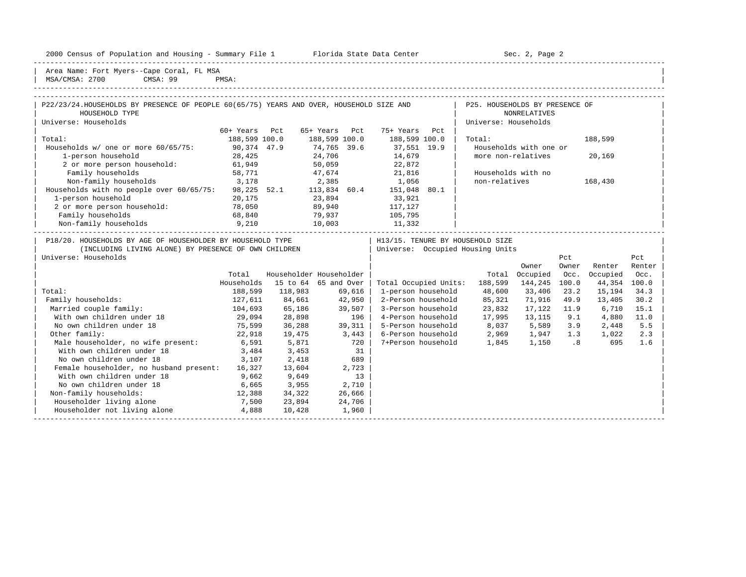2000 Census of Population and Housing - Summary File 1 Telorida State Data Center Sec. 2, Page 2

| Area Name: Fort Myers--Cape Coral, FL MSA | MSA/CMSA: 2700 CMSA: 99 PMSA:

| P22/23/24. HOUSEHOLDS BY PRESENCE OF PEOPLE 60(65/75) YEARS AND OVER, HOUSEHOLD SIZE AND |               | P25. HOUSEHOLDS BY PRESENCE OF |                                  |      |                                  |      |                        |         |     |
|------------------------------------------------------------------------------------------|---------------|--------------------------------|----------------------------------|------|----------------------------------|------|------------------------|---------|-----|
| HOUSEHOLD TYPE                                                                           |               |                                |                                  |      |                                  |      | NONRELATIVES           |         |     |
| Universe: Households                                                                     |               |                                |                                  |      |                                  |      | Universe: Households   |         |     |
|                                                                                          | 60+ Years     | Pct                            | 65+ Years                        | Pct. | 75+ Years                        | Pct. |                        |         |     |
| Total:                                                                                   | 188,599 100.0 |                                | 188,599 100.0                    |      | 188,599 100.0                    |      | Total:                 | 188,599 |     |
| Households $w/$ one or more $60/65/75$ :                                                 | 90,374 47.9   |                                | 74,765 39.6                      |      | 37,551 19.9                      |      | Households with one or |         |     |
| 1-person household                                                                       | 28,425        |                                | 24,706                           |      | 14,679                           |      | more non-relatives     | 20,169  |     |
| 2 or more person household:                                                              | 61,949        |                                | 50,059                           |      | 22,872                           |      |                        |         |     |
| Family households                                                                        | 58,771        |                                | 47,674                           |      | 21,816                           |      | Households with no     |         |     |
| Non-family households                                                                    | 3,178         |                                | 2,385                            |      | 1,056                            |      | non-relatives          | 168,430 |     |
| Households with no people over 60/65/75:                                                 | 98,225 52.1   |                                | 113,834 60.4                     |      | 151,048                          | 80.1 |                        |         |     |
| 1-person household                                                                       | 20,175        |                                | 23,894                           |      | 33,921                           |      |                        |         |     |
| 2 or more person household:                                                              | 78,050        |                                | 89,940                           |      | 117,127                          |      |                        |         |     |
| Family households                                                                        | 68,840        |                                | 79,937                           |      | 105,795                          |      |                        |         |     |
| Non-family households                                                                    | 9,210         |                                | 10,003                           |      | 11,332                           |      |                        |         |     |
| P18/20. HOUSEHOLDS BY AGE OF HOUSEHOLDER BY HOUSEHOLD TYPE                               |               |                                |                                  |      | H13/15. TENURE BY HOUSEHOLD SIZE |      |                        |         |     |
| (INCLUDING LIVING ALONE) BY PRESENCE OF OWN CHILDREN                                     |               |                                | Universe: Occupied Housing Units |      |                                  |      |                        |         |     |
| Universe: Households                                                                     |               |                                |                                  |      |                                  |      |                        | Pct.    | Pct |

|                                         |            |          |                         |                       |         | Owner    | Owner | Renter   | Renter |
|-----------------------------------------|------------|----------|-------------------------|-----------------------|---------|----------|-------|----------|--------|
|                                         | Total      |          | Householder Householder |                       | Total   | Occupied | Occ.  | Occupied | Occ.   |
|                                         | Households | 15 to 64 | 65 and Over             | Total Occupied Units: | 188,599 | 144,245  | 100.0 | 44,354   | 100.0  |
| Total:                                  | 188,599    | 118,983  | 69,616                  | 1-person household    | 48,600  | 33,406   | 23.2  | 15,194   | 34.3   |
| Family households:                      | 127,611    | 84,661   | 42,950                  | 2-Person household    | 85,321  | 71,916   | 49.9  | 13,405   | 30.2   |
| Married couple family:                  | 104,693    | 65,186   | 39,507                  | 3-Person household    | 23,832  | 17,122   | 11.9  | 6,710    | 15.1   |
| With own children under 18              | 29,094     | 28,898   | 196                     | 4-Person household    | 17,995  | 13,115   | 9.1   | 4,880    | 11.0   |
| No own children under 18                | 75,599     | 36,288   | 39,311                  | 5-Person household    | 8,037   | 5,589    | 3.9   | 2,448    | 5.5    |
| Other family:                           | 22,918     | 19,475   | 3,443                   | 6-Person household    | 2,969   | 1,947    | 1.3   | 1,022    | 2.3    |
| Male householder, no wife present:      | 6,591      | 5,871    | 720                     | 7+Person household    | 1,845   | 1,150    | .8    | 695      | 1.6    |
| With own children under 18              | 3,484      | 3,453    | 31                      |                       |         |          |       |          |        |
| No own children under 18                | 3,107      | 2,418    | 689                     |                       |         |          |       |          |        |
| Female householder, no husband present: | 16,327     | 13,604   | 2,723                   |                       |         |          |       |          |        |
| With own children under 18              | 9,662      | 9,649    | 13                      |                       |         |          |       |          |        |
| No own children under 18                | 6,665      | 3,955    | 2,710                   |                       |         |          |       |          |        |
| Non-family households:                  | 12,388     | 34,322   | 26,666                  |                       |         |          |       |          |        |
| Householder living alone                | 7,500      | 23,894   | 24,706                  |                       |         |          |       |          |        |
| Householder not living alone            | 4,888      | 10,428   | 1,960                   |                       |         |          |       |          |        |
|                                         |            |          |                         |                       |         |          |       |          |        |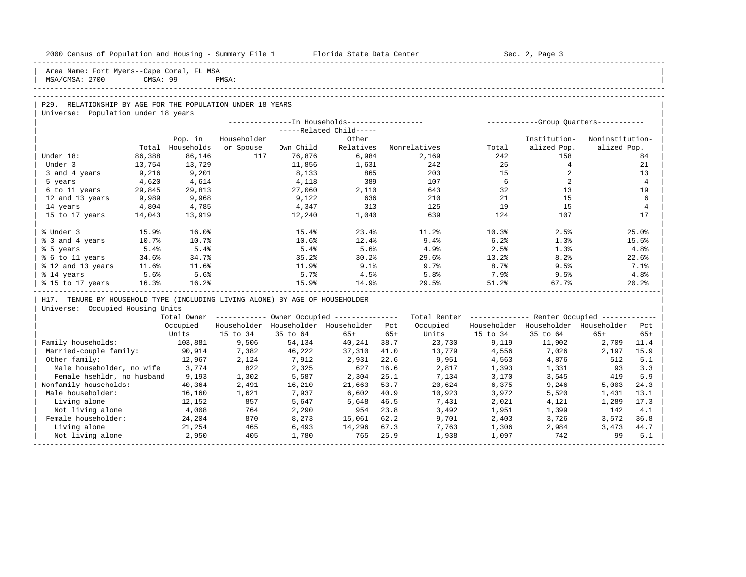| 2000 Census of Population and Housing - Summary File 1 |  |  |  |
|--------------------------------------------------------|--|--|--|
|--------------------------------------------------------|--|--|--|

-----------------------------------------------------------------------------------------------------------------------------------------------------

Area Name: Fort Myers--Cape Coral, FL MSA MSA/CMSA: 2700 CMSA: 99 PMSA:

# ----------------------------------------------------------------------------------------------------------------------------------------------------- -----------------------------------------------------------------------------------------------------------------------------------------------------

# P29. RELATIONSHIP BY AGE FOR THE POPULATION UNDER 18 YEARS

| Population under 18 years<br>Universe: |        |            |             |                                             |                         |              |       |                                      |                 |
|----------------------------------------|--------|------------|-------------|---------------------------------------------|-------------------------|--------------|-------|--------------------------------------|-----------------|
|                                        |        |            |             | ------------In Households------------------ |                         |              |       | -----------Group Quarters----------- |                 |
|                                        |        |            |             |                                             | -----Related Child----- |              |       |                                      |                 |
|                                        |        | Pop. in    | Householder |                                             | Other                   |              |       | Institution-                         | Noninstitution- |
|                                        | Total  | Households | or Spouse   | Own Child                                   | Relatives               | Nonrelatives | Total | alized Pop.                          | alized Pop.     |
| Under 18:                              | 86,388 | 86,146     | 117         | 76,876                                      | 6,984                   | 2,169        | 242   | 158                                  | 84              |
| Under 3                                | 13,754 | 13,729     |             | 11,856                                      | 1,631                   | 242          | 25    |                                      | 21              |
| 3 and 4 years                          | 9,216  | 9,201      |             | 8,133                                       | 865                     | 203          | 15    |                                      | 13              |
| 5 years                                | 4,620  | 4,614      |             | 4,118                                       | 389                     | 107          | б.    |                                      | $\overline{4}$  |
| 6 to 11 years                          | 29,845 | 29,813     |             | 27,060                                      | 2,110                   | 643          | 32    | 13                                   | 19              |
| 12 and 13 years                        | 9,989  | 9,968      |             | 9,122                                       | 636                     | 210          | 21    | 15                                   | 6               |
| 14 years                               | 4,804  | 4,785      |             | 4,347                                       | 313                     | 125          | 19    | 15                                   | $\overline{4}$  |
| 15 to 17 years                         | 14,043 | 13,919     |             | 12,240                                      | 1,040                   | 639          | 124   | 107                                  | 17              |
|                                        |        |            |             |                                             |                         |              |       |                                      |                 |
| % Under 3                              | 15.9%  | 16.0%      |             | 15.4%                                       | 23.4%                   | 11.2%        | 10.3% | 2.5%                                 | 25.0%           |
| % 3 and 4 years                        | 10.7%  | 10.7%      |             | 10.6%                                       | 12.4%                   | 9.4%         | 6.2%  | 1.3%                                 | 15.5%           |
| % 5 years                              | 5.4%   | 5.4%       |             | 5.4%                                        | 5.6%                    | 4.9%         | 2.5%  | 1.3%                                 | 4.8%            |
| % 6 to 11 years                        | 34.6%  | 34.7%      |             | 35.2%                                       | 30.2%                   | 29.6%        | 13.2% | 8.2%                                 | 22.6%           |
| % 12 and 13 years                      | 11.6%  | 11.6%      |             | 11.9%                                       | 9.1%                    | 9.7%         | 8.7%  | 9.5%                                 | 7.1%            |
| % 14 years                             | 5.6%   | 5.6%       |             | 5.7%                                        | 4.5%                    | 5.8%         | 7.9%  | 9.5%                                 | 4.8%            |
| % 15 to 17 years                       | 16.3%  | 16.2%      |             | 15.9%                                       | 14.9%                   | 29.5%        | 51.2% | 67.7%                                | 20.2%           |

| H17. TENURE BY HOUSEHOLD TYPE (INCLUDING LIVING ALONE) BY AGE OF HOUSEHOLDER |

| Universe: Occupied Housing Units |

|                            | Total Owner |             | Owner Occupied -- |             |       | Total Renter<br>Renter Occupied - |             |             |             |       |  |
|----------------------------|-------------|-------------|-------------------|-------------|-------|-----------------------------------|-------------|-------------|-------------|-------|--|
|                            | Occupied    | Householder | Householder       | Householder | Pct   | Occupied                          | Householder | Householder | Householder | Pct   |  |
|                            | Units       | 15 to 34    | 35 to 64          | $65+$       | $65+$ | Units                             | 15 to 34    | 35 to 64    | $65+$       | $65+$ |  |
| Family households:         | 103,881     | 9,506       | 54,134            | 40,241      | 38.7  | 23,730                            | 9,119       | 11,902      | 2,709       | 11.4  |  |
| Married-couple family:     | 90,914      | 7,382       | 46,222            | 37,310      | 41.0  | 13,779                            | 4,556       | 7,026       | 2,197       | 15.9  |  |
| Other family:              | 12,967      | 2,124       | 7,912             | 2,931       | 22.6  | 9,951                             | 4,563       | 4,876       | 512         | 5.1   |  |
| Male householder, no wife  | 3,774       | 822         | 2,325             | 627         | 16.6  | 2,817                             | 1,393       | 1,331       | 93          | 3.3   |  |
| Female hsehldr, no husband | 9,193       | 1,302       | 5,587             | 2,304       | 25.1  | 7,134                             | 3,170       | 3,545       | 419         | 5.9   |  |
| Nonfamily households:      | 40,364      | 2,491       | 16,210            | 21,663      | 53.7  | 20,624                            | 6,375       | 9,246       | 5,003       | 24.3  |  |
| Male householder:          | 16,160      | 1,621       | 7,937             | 6,602       | 40.9  | 10,923                            | 3,972       | 5,520       | 1,431       | 13.1  |  |
| Living alone               | 12,152      | 857         | 5,647             | 5,648       | 46.5  | 7,431                             | 2,021       | 4,121       | 1,289       | 17.3  |  |
| Not living alone           | 4,008       | 764         | 2,290             | 954         | 23.8  | 3,492                             | 1,951       | 1,399       | 142         | 4.1   |  |
| Female householder:        | 24,204      | 870         | 8,273             | 15,061      | 62.2  | 9,701                             | 2,403       | 3,726       | 3,572       | 36.8  |  |
| Living alone               | 21,254      | 465         | 6,493             | 14,296      | 67.3  | 7,763                             | 1,306       | 2,984       | 3,473       | 44.7  |  |
| Not living alone           | 2,950       | 405         | 1,780             | 765         | 25.9  | 1,938                             | 1,097       | 742         | 99          | 5.1   |  |
|                            |             |             |                   |             |       |                                   |             |             |             |       |  |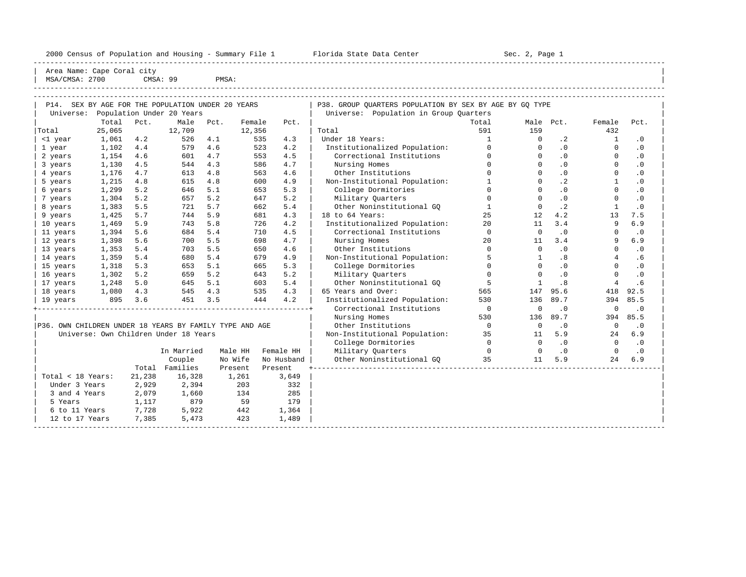----------------------------------------------------------------------------------------------------------------------------------------------------- | Area Name: Cape Coral city | | MSA/CMSA: 2700 CMSA: 99 PMSA:

| SEX BY AGE FOR THE POPULATION UNDER 20 YEARS<br>P14.<br>Population Under 20 Years |              |                                                    |                                       |      |          |            | P38. GROUP QUARTERS POPULATION BY SEX BY AGE BY GQ TYPE |                |             |           |                |           |  |  |
|-----------------------------------------------------------------------------------|--------------|----------------------------------------------------|---------------------------------------|------|----------|------------|---------------------------------------------------------|----------------|-------------|-----------|----------------|-----------|--|--|
| Universe:                                                                         |              |                                                    |                                       |      |          |            | Universe: Population in Group Quarters                  |                |             |           |                |           |  |  |
|                                                                                   | Total        | Pct.                                               | Male                                  | Pct. | Female   | Pct.       |                                                         | Total          |             | Male Pct. | Female         | Pct.      |  |  |
| Total                                                                             | 25,065       |                                                    | 12,709                                |      | 12,356   |            | Total                                                   | 591            | 159         |           | 432            |           |  |  |
| <1 year                                                                           | 1,061        | Under 18 Years:<br>4.2<br>526<br>4.1<br>535<br>4.3 |                                       | 1    | $\Omega$ | $\cdot$ 2  | 1                                                       | $\cdot$ 0      |             |           |                |           |  |  |
| 1 year                                                                            | 1,102        | 4.4                                                | 579                                   | 4.6  | 523      | 4.2        | Institutionalized Population:                           | $\Omega$       | $\Omega$    | $\cdot$ 0 | $\Omega$       | $\cdot$ 0 |  |  |
| 2 years                                                                           | 1,154        | 4.6                                                | 601                                   | 4.7  | 553      | 4.5        | Correctional Institutions                               | $\Omega$       | $\Omega$    | .0        | $\Omega$       | $\cdot$ 0 |  |  |
| 3 years                                                                           | 1,130        | 4.5                                                | 544                                   | 4.3  | 586      | 4.7        | Nursing Homes                                           | $\Omega$       | $\Omega$    | .0        | $\Omega$       | $\cdot$ 0 |  |  |
| 4 years                                                                           | 1,176        | 4.7                                                | 613                                   | 4.8  | 563      | 4.6        | Other Institutions                                      | $\Omega$       | $\mathbf 0$ | $\cdot$ 0 | $\mathbf 0$    | $\cdot$ 0 |  |  |
| 5 years                                                                           | 1,215        | 4.8                                                | 615                                   | 4.8  | 600      | 4.9        | Non-Institutional Population:                           | $\mathbf{1}$   | $\Omega$    | $\cdot$ 2 | $\mathbf{1}$   | $\cdot$ 0 |  |  |
| 6 years                                                                           | 1,299        | 5.2                                                | 646                                   | 5.1  | 653      | 5.3        | College Dormitories                                     | $\Omega$       | $\Omega$    | .0        | $\Omega$       | $\cdot$ 0 |  |  |
| 7 years                                                                           | 1,304        | 5.2                                                | 657                                   | 5.2  | 647      | 5.2        | Military Ouarters                                       | $\Omega$       | $\Omega$    | $\cdot$ 0 | $\Omega$       | $\cdot$ 0 |  |  |
| 8 years                                                                           | 1,383        | 5.5                                                | 721                                   | 5.7  | 662      | 5.4        | Other Noninstitutional GQ                               | 1              | $\Omega$    | $\cdot$ 2 | $\mathbf{1}$   | $\cdot$ 0 |  |  |
| 9 years                                                                           | 5.7<br>1,425 |                                                    | 744                                   | 5.9  | 681      | 4.3        | 18 to 64 Years:                                         | 25             | 12          | 4.2       | 13             | 7.5       |  |  |
| 10 years                                                                          | 5.9<br>1,469 |                                                    | 743                                   | 5.8  | 726      | 4.2        | Institutionalized Population:                           | 20             | 11          | 3.4       | 9              | 6.9       |  |  |
| 11 years                                                                          | 5.6<br>1,394 |                                                    | 684                                   | 5.4  | 710      | 4.5        | Correctional Institutions                               | $\mathbf 0$    | $\Omega$    | .0        | $\Omega$       | $\cdot$ 0 |  |  |
| 12 years                                                                          | 1,398<br>5.6 |                                                    | 700                                   | 5.5  | 698      | 4.7        | Nursing Homes                                           | 20             | 11          | 3.4       | 9              | 6.9       |  |  |
| 13 years                                                                          | 1,353<br>5.4 |                                                    | 703                                   | 5.5  | 650      | 4.6        | Other Institutions                                      | $\Omega$       | $\Omega$    | $\cdot$ 0 | $\Omega$       | $\cdot$ 0 |  |  |
| 14 years                                                                          | 1,359<br>5.4 |                                                    | 680                                   | 5.4  | 679      | 4.9        | Non-Institutional Population:                           | 5              | 1           | .8        | 4              | .6        |  |  |
| 15 years                                                                          | 1,318        | 5.3                                                | 653                                   | 5.1  | 665      | 5.3        | College Dormitories                                     | $\Omega$       | $\Omega$    | $\cdot$ 0 | $\Omega$       | $\cdot$ 0 |  |  |
| 16 years                                                                          | 1,302        | 5.2                                                | 659                                   | 5.2  | 643      | 5.2        | Military Quarters                                       | $\mathbf 0$    | $\Omega$    | $\cdot$ 0 | $\Omega$       | $\cdot$ 0 |  |  |
| 17 years                                                                          | 1,248        | 5.0                                                | 645                                   | 5.1  | 603      | 5.4        | Other Noninstitutional GQ                               | -5             | 1           | .8        | $\overline{4}$ | .6        |  |  |
| 18 years                                                                          | 1,080        | 4.3                                                | 545                                   | 4.3  | 535      | 4.3        | 65 Years and Over:                                      | 565            | 147         | 95.6      | 418            | 92.5      |  |  |
| 19 years                                                                          | 895          | 3.6                                                | 451                                   | 3.5  | 444      | 4.2        | Institutionalized Population:                           | 530            | 136         | 89.7      | 394            | 85.5      |  |  |
|                                                                                   |              |                                                    |                                       |      |          |            | Correctional Institutions                               | $\overline{0}$ | $\mathbf 0$ | $\cdot$ 0 | $\mathbf 0$    | $\cdot$ 0 |  |  |
|                                                                                   |              |                                                    |                                       |      |          |            | Nursing Homes                                           | 530            | 136         | 89.7      | 394            | 85.5      |  |  |
| P36. OWN CHILDREN UNDER 18 YEARS BY FAMILY TYPE AND AGE                           |              |                                                    |                                       |      |          |            | Other Institutions                                      | $\overline{0}$ | $\circ$     | $\cdot$ 0 | $\mathbf 0$    | $\cdot$ 0 |  |  |
|                                                                                   |              |                                                    | Universe: Own Children Under 18 Years |      |          |            | Non-Institutional Population:                           | 35             | 11          | 5.9       | 24             | 6.9       |  |  |
|                                                                                   |              |                                                    |                                       |      |          |            | College Dormitories                                     | $\Omega$       | $\Omega$    | $\cdot$ 0 | $\Omega$       | $\cdot$ 0 |  |  |
|                                                                                   |              |                                                    | In Married                            |      | Male HH  | Female HH  | Military Quarters                                       | $\Omega$       | $\Omega$    | $\cdot$ 0 | $\Omega$       | $\cdot$ 0 |  |  |
|                                                                                   |              |                                                    | Couple                                |      | No Wife  | No Husband | Other Noninstitutional GQ                               | 35             | 11          | 5.9       | 24             | 6.9       |  |  |
|                                                                                   |              | Total                                              | Families                              |      | Present  | Present    |                                                         |                |             |           |                |           |  |  |
| Total < 18 Years:                                                                 |              | 21,238                                             | 16,328                                |      | 1,261    | 3,649      |                                                         |                |             |           |                |           |  |  |
| Under 3 Years                                                                     |              | 2,929                                              | 2,394                                 |      | 203      | 332        |                                                         |                |             |           |                |           |  |  |
| 3 and 4 Years                                                                     |              | 2,079                                              | 1,660                                 |      | 134      | 285        |                                                         |                |             |           |                |           |  |  |
| 5 Years                                                                           |              | 1,117                                              | 879                                   |      | 59       | 179        |                                                         |                |             |           |                |           |  |  |
| 6 to 11 Years                                                                     |              | 7,728                                              | 5,922                                 |      | 442      | 1,364      |                                                         |                |             |           |                |           |  |  |
| 12 to 17 Years                                                                    |              | 7,385                                              | 5,473                                 |      | 423      | 1,489      |                                                         |                |             |           |                |           |  |  |
|                                                                                   |              |                                                    |                                       |      |          |            |                                                         |                |             |           |                |           |  |  |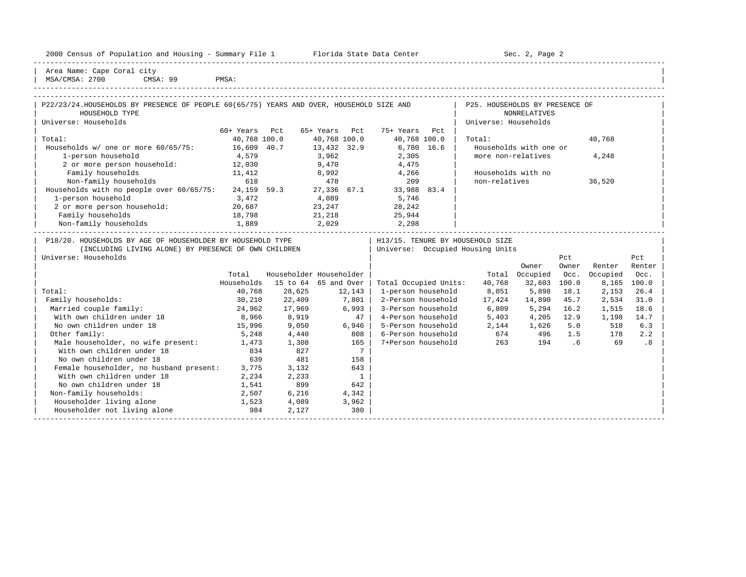|  |  |  | 2000 Census of Population and Housing - Summary File 1 |  |  |  |  |  |  |
|--|--|--|--------------------------------------------------------|--|--|--|--|--|--|
|--|--|--|--------------------------------------------------------|--|--|--|--|--|--|

Plorida State Data Center - Sec. 2, Page 2

| Area Name: Cape Coral city | | MSA/CMSA: 2700 CMSA: 99 PMSA:

### -----------------------------------------------------------------------------------------------------------------------------------------------------

| P22/23/24. HOUSEHOLDS BY PRESENCE OF PEOPLE 60(65/75) YEARS AND OVER, HOUSEHOLD SIZE AND |              |     |                                  |  |                                  |      | P25. HOUSEHOLDS BY PRESENCE OF |       |        |        |  |
|------------------------------------------------------------------------------------------|--------------|-----|----------------------------------|--|----------------------------------|------|--------------------------------|-------|--------|--------|--|
| HOUSEHOLD TYPE                                                                           |              |     |                                  |  |                                  |      | NONRELATIVES                   |       |        |        |  |
| Universe: Households                                                                     |              |     |                                  |  |                                  |      | Universe: Households           |       |        |        |  |
|                                                                                          | 60+ Years    | Pct | 65+ Years Pct                    |  | 75+ Years                        | Pct. |                                |       |        |        |  |
| Total:                                                                                   | 40,768 100.0 |     | 40,768 100.0                     |  | 40,768 100.0                     |      | Total:                         |       | 40,768 |        |  |
| Households w/ one or more 60/65/75:                                                      | 16,609 40.7  |     | 13,432 32.9                      |  | 6,780 16.6                       |      | Households with one or         |       |        |        |  |
| 1-person household                                                                       | 4,579        |     | 3,962                            |  | 2,305                            |      | more non-relatives             |       | 4,248  |        |  |
| 2 or more person household:                                                              | 12,030       |     | 9,470                            |  | 4,475                            |      |                                |       |        |        |  |
| Family households                                                                        | 11,412       |     | 8,992                            |  | 4,266                            |      | Households with no             |       |        |        |  |
| Non-family households                                                                    | 618          |     | 478                              |  | 209                              |      | non-relatives                  |       | 36,520 |        |  |
| Households with no people over 60/65/75:                                                 | 24,159 59.3  |     | 27,336 67.1                      |  | 33,988 83.4                      |      |                                |       |        |        |  |
| 1-person household                                                                       | 3,472        |     | 4,089                            |  | 5,746                            |      |                                |       |        |        |  |
| 2 or more person household:                                                              | 20,687       |     | 23,247                           |  | 28,242                           |      |                                |       |        |        |  |
| Family households                                                                        | 18,798       |     | 21,218                           |  | 25,944                           |      |                                |       |        |        |  |
| Non-family households                                                                    | 1,889        |     | 2,029                            |  | 2,298                            |      |                                |       |        |        |  |
| P18/20. HOUSEHOLDS BY AGE OF HOUSEHOLDER BY HOUSEHOLD TYPE                               |              |     |                                  |  | H13/15. TENURE BY HOUSEHOLD SIZE |      |                                |       |        |        |  |
| (INCLUDING LIVING ALONE) BY PRESENCE OF OWN CHILDREN                                     |              |     | Universe: Occupied Housing Units |  |                                  |      |                                |       |        |        |  |
| Universe: Households                                                                     |              |     |                                  |  |                                  |      |                                | Pct   |        | Pct    |  |
|                                                                                          |              |     |                                  |  |                                  |      | Owner                          | Owner | Renter | Renter |  |
|                                                                                          |              |     |                                  |  |                                  |      |                                |       |        |        |  |

|                                         | Total      |          | Householder Householder |                       | Total  | Occupied | Occ.  | Occupied | Occ.  |  |
|-----------------------------------------|------------|----------|-------------------------|-----------------------|--------|----------|-------|----------|-------|--|
|                                         | Households | 15 to 64 | 65 and Over             | Total Occupied Units: | 40,768 | 32,603   | 100.0 | 8,165    | 100.0 |  |
| Total:                                  | 40,768     | 28,625   | 12,143                  | 1-person household    | 8,051  | 5,898    | 18.1  | 2,153    | 26.4  |  |
| Family households:                      | 30,210     | 22,409   | 7,801                   | 2-Person household    | 17,424 | 14,890   | 45.7  | 2,534    | 31.0  |  |
| Married couple family:                  | 24,962     | 17,969   | 6,993                   | 3-Person household    | 6,809  | 5,294    | 16.2  | 1,515    | 18.6  |  |
| With own children under 18              | 8,966      | 8,919    | 47                      | 4-Person household    | 5,403  | 4,205    | 12.9  | 1,198    | 14.7  |  |
| No own children under 18                | 15,996     | 9,050    | 6,946                   | 5-Person household    | 2,144  | 1,626    | 5.0   | 518      | 6.3   |  |
| Other family:                           | 5,248      | 4,440    | 808                     | 6-Person household    | 674    | 496      | 1.5   | 178      | 2.2   |  |
| Male householder, no wife present:      | 1,473      | 1,308    | 165                     | 7+Person household    | 263    | 194      | . 6   | 69       | . 8   |  |
| With own children under 18              | 834        | 827      |                         |                       |        |          |       |          |       |  |
| No own children under 18                | 639        | 481      | 158                     |                       |        |          |       |          |       |  |
| Female householder, no husband present: | 3,775      | 3,132    | 643                     |                       |        |          |       |          |       |  |
| With own children under 18              | 2,234      | 2,233    |                         |                       |        |          |       |          |       |  |
| No own children under 18                | 1,541      | 899      | 642                     |                       |        |          |       |          |       |  |
| Non-family households:                  | 2,507      | 6,216    | 4,342                   |                       |        |          |       |          |       |  |
| Householder living alone                | 1,523      | 4,089    | 3,962                   |                       |        |          |       |          |       |  |
| Householder not living alone            | 984        | 2,127    | 380                     |                       |        |          |       |          |       |  |
|                                         |            |          |                         |                       |        |          |       |          |       |  |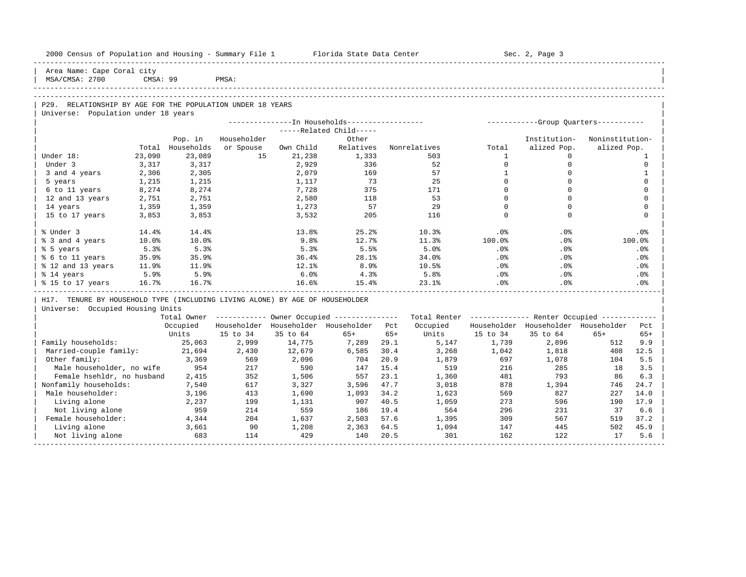|                                                                              |          |              | 2000 Census of Population and Housing - Summary File 1 Florida State Data Center |              |                                                        |              |              |              | Sec. 2, Page 3                                          |                 |              |  |
|------------------------------------------------------------------------------|----------|--------------|----------------------------------------------------------------------------------|--------------|--------------------------------------------------------|--------------|--------------|--------------|---------------------------------------------------------|-----------------|--------------|--|
| Area Name: Cape Coral city<br>MSA/CMSA: 2700                                 | CMSA: 99 |              | PMSA:                                                                            |              |                                                        |              |              |              |                                                         |                 |              |  |
|                                                                              |          |              |                                                                                  |              |                                                        |              |              |              |                                                         |                 |              |  |
|                                                                              |          |              |                                                                                  |              |                                                        |              |              |              |                                                         |                 |              |  |
| P29. RELATIONSHIP BY AGE FOR THE POPULATION UNDER 18 YEARS                   |          |              |                                                                                  |              |                                                        |              |              |              |                                                         |                 |              |  |
| Universe: Population under 18 years                                          |          |              |                                                                                  |              | --------------In Households-----------------           |              |              |              | -----------Group Quarters-----------                    |                 |              |  |
|                                                                              |          |              |                                                                                  |              | -----Related Child-----                                |              |              |              |                                                         |                 |              |  |
|                                                                              |          | Pop. in      | Householder                                                                      |              | Other                                                  |              |              |              | Institution-                                            | Noninstitution- |              |  |
|                                                                              | Total    | Households   | or Spouse                                                                        | Own Child    | Relatives                                              |              | Nonrelatives | Total        | alized Pop.                                             | alized Pop.     |              |  |
| Under 18:                                                                    | 23,090   | 23,089       | 15                                                                               | 21,238       | 1,333                                                  |              | 503          | $\mathbf{1}$ | $\Omega$                                                |                 | 1            |  |
| Under 3                                                                      | 3,317    | 3,317        |                                                                                  | 2,929        | 336                                                    |              | 52           | $\mathbf{0}$ | $\mathbf 0$                                             |                 | $\Omega$     |  |
| 3 and 4 years                                                                | 2,306    | 2,305        |                                                                                  | 2,079        | 169                                                    |              | 57           | $\mathbf{1}$ | $\mathbf 0$                                             |                 | $\mathbf{1}$ |  |
| 5 years                                                                      | 1,215    | 1,215        |                                                                                  | 1,117        | 73                                                     |              | 25           | $\Omega$     | $\Omega$                                                |                 | $\Omega$     |  |
| 6 to 11 years                                                                | 8,274    | 8,274        |                                                                                  | 7,728        | 375                                                    |              | 171          | $\Omega$     | $\mathbf 0$                                             |                 | $\Omega$     |  |
| 12 and 13 years                                                              | 2,751    | 2,751        |                                                                                  | 2,580        | 118                                                    |              | 53           | $\Omega$     | $\Omega$                                                |                 | $\Omega$     |  |
| 14 years                                                                     | 1,359    | 1,359        |                                                                                  | 1,273        | 57                                                     |              | 29           | $\Omega$     | $\Omega$                                                |                 | $\Omega$     |  |
| 15 to 17 years                                                               | 3,853    | 3,853        |                                                                                  | 3,532        | 205                                                    |              | 116          | $\Omega$     | $\Omega$                                                |                 | $\Omega$     |  |
| % Under 3                                                                    | 14.4%    | 14.4%        |                                                                                  | 13.8%        | 25.2%                                                  |              | 10.3%        | .0%          | .0%                                                     |                 | .0%          |  |
| % 3 and 4 years                                                              | 10.0%    | 10.0%        |                                                                                  | 9.8%         | 12.7%                                                  |              | 11.3%        | 100.0%       | .0%                                                     |                 | 100.0%       |  |
| % 5 years                                                                    | 5.3%     | 5.3%         |                                                                                  | 5.3%         | 5.5%                                                   |              | 5.0%         | $.0\%$       | $.0\%$                                                  |                 | .0%          |  |
| % 6 to 11 years                                                              | 35.9%    | 35.9%        |                                                                                  | 36.4%        | 28.1%                                                  |              | 34.0%        | $.0\%$       | .0%                                                     |                 | .0%          |  |
| % 12 and 13 years                                                            | 11.9%    | 11.9%        |                                                                                  | 12.1%        | 8.9%                                                   |              | 10.5%        | $.0\%$       | .0%                                                     |                 | .0%          |  |
| % 14 years                                                                   | 5.9%     | 5.9%         |                                                                                  | 6.0%         | 4.3%                                                   |              | 5.8%         | $.0\%$       | $.0\%$                                                  |                 | $.0\%$       |  |
| % 15 to 17 years<br>--------------------------------------                   | 16.7%    | 16.7%        |                                                                                  | 16.6%        | 15.4%                                                  |              | 23.1%        | $.0\%$       | .0%                                                     |                 | .0%          |  |
| H17. TENURE BY HOUSEHOLD TYPE (INCLUDING LIVING ALONE) BY AGE OF HOUSEHOLDER |          |              |                                                                                  |              |                                                        |              |              |              |                                                         |                 |              |  |
| Universe: Occupied Housing Units                                             |          |              |                                                                                  |              |                                                        |              |              |              |                                                         |                 |              |  |
|                                                                              |          |              |                                                                                  |              | Total Owner ------------ Owner Occupied -------------- |              |              |              | Total Renter ------------- Renter Occupied ------------ |                 |              |  |
|                                                                              |          | Occupied     |                                                                                  |              | Householder Householder Householder Pct                |              | Occupied     |              | Householder Householder Householder                     |                 | Pct          |  |
|                                                                              |          | Units        | 15 to 34                                                                         | 35 to 64     | $65+$                                                  | $65+$        | Units        | 15 to 34     | 35 to 64                                                | $65+$           | $65+$        |  |
| Family households:                                                           |          | 25,063       | 2,999                                                                            | 14,775       | 7,289                                                  | 29.1         | 5,147        | 1,739        | 2,896                                                   | 512             | 9.9          |  |
| Married-couple family:                                                       |          | 21,694       | 2,430                                                                            | 12,679       | 6,585                                                  | 30.4         | 3,268        | 1,042        | 1,818                                                   | 408             | 12.5         |  |
| Other family:                                                                |          | 3,369        | 569<br>217                                                                       | 2,096        | 704                                                    | 20.9         | 1,879        | 697          | 1,078                                                   | 104             | 5.5          |  |
| Male householder, no wife<br>Female hsehldr, no husband                      |          | 954<br>2,415 | 352                                                                              | 590<br>1,506 | 147<br>557                                             | 15.4<br>23.1 | 519<br>1,360 | 216<br>481   | 285<br>793                                              | 18<br>86        | 3.5<br>6.3   |  |
| Nonfamily households:                                                        |          | 7,540        | 617                                                                              | 3,327        | 3,596                                                  | 47.7         | 3,018        | 878          | 1,394                                                   | 746             | 24.7         |  |
| Male householder:                                                            |          | 3,196        | 413                                                                              | 1,690        | 1,093                                                  | 34.2         | 1,623        | 569          | 827                                                     | 227             | 14.0         |  |
| Living alone                                                                 |          | 2,237        | 199                                                                              | 1,131        | 907                                                    | 40.5         | 1,059        | 273          | 596                                                     | 190             | 17.9         |  |
| Not living alone                                                             |          | 959          | 214                                                                              | 559          | 186                                                    | 19.4         | 564          | 296          | 231                                                     | 37              | 6.6          |  |
| Female householder:                                                          |          | 4,344        | 204                                                                              | 1,637        | 2,503                                                  | 57.6         | 1,395        | 309          | 567                                                     | 519             | 37.2         |  |
| Living alone                                                                 |          | 3,661        | 90                                                                               | 1,208        | 2,363                                                  | 64.5         | 1,094        | 147          | 445                                                     | 502             | 45.9         |  |
| Not living alone                                                             |          | 683          | 114                                                                              | 429          | 140                                                    | 20.5         | 301          | 162          | 122                                                     | 17              | 5.6          |  |
|                                                                              |          |              |                                                                                  |              |                                                        |              |              |              |                                                         |                 |              |  |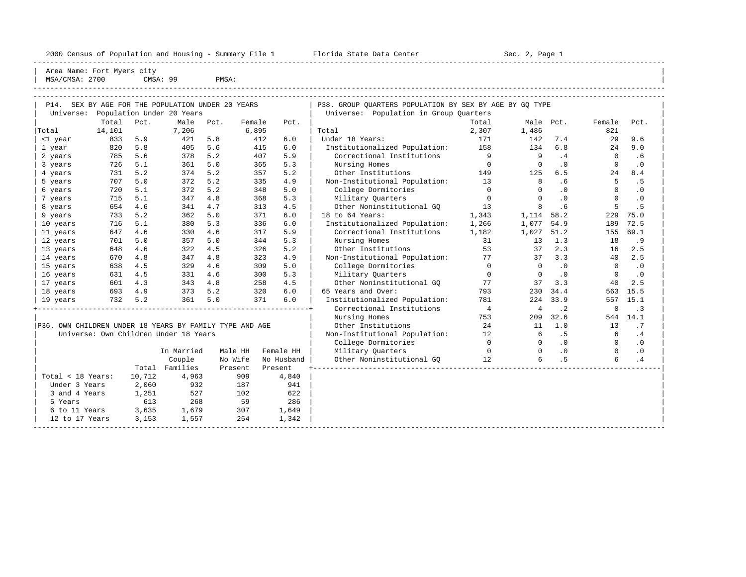----------------------------------------------------------------------------------------------------------------------------------------------------- | Area Name: Fort Myers city | | MSA/CMSA: 2700 CMSA: 99 PMSA: |

| SEX BY AGE FOR THE POPULATION UNDER 20 YEARS<br>P14.    |         |         |                                       |      |         |            | P38. GROUP QUARTERS POPULATION BY SEX BY AGE BY GQ TYPE |                |                |           |                |           |  |
|---------------------------------------------------------|---------|---------|---------------------------------------|------|---------|------------|---------------------------------------------------------|----------------|----------------|-----------|----------------|-----------|--|
| Universe:                                               |         |         | Population Under 20 Years             |      |         |            | Universe: Population in Group Quarters                  |                |                |           |                |           |  |
|                                                         | Total   | Pct.    | Male                                  | Pct. | Female  | Pct.       |                                                         | Total          | Male Pct.      |           | Female         | Pct.      |  |
| Total                                                   | 14,101  |         | 7,206                                 |      | 6,895   |            | Total                                                   | 2,307          | 1,486          |           | 821            |           |  |
| <1 year                                                 | 833     | 5.9     | 421                                   | 5.8  | 412     | 6.0        | Under 18 Years:                                         | 171            | 142            | 7.4       | 29             | 9.6       |  |
| 1 year                                                  | 820     | 5.8     | 405                                   | 5.6  | 415     | 6.0        | Institutionalized Population: 158                       |                | 134            | 6.8       | 24             | 9.0       |  |
| 2 years                                                 | 785     | 5.6     | 378                                   | 5.2  | 407     | 5.9        | Correctional Institutions                               | 9              | -9             | .4        | $\Omega$       | .6        |  |
| 3 years                                                 | 726     | 5.1     | 361                                   | 5.0  | 365     | 5.3        | Nursing Homes                                           | $\overline{0}$ | $\overline{0}$ | .0        | $\Omega$       | $\cdot$ 0 |  |
| 4 years                                                 | 731     | 5.2     | 374                                   | 5.2  | 357     | 5.2        | Other Institutions                                      | 149            | 125            | 6.5       | 24             | 8.4       |  |
| 5 years                                                 | 707     | 5.0     | 372                                   | 5.2  | 335     | 4.9        | Non-Institutional Population: 13                        |                | 8              | .6        | 5              | .5        |  |
| 6 years                                                 | 720     | 5.1     | 372                                   | 5.2  | 348     | 5.0        | College Dormitories                                     | $\Omega$       | $\Omega$       | .0        | $\Omega$       | .0        |  |
| 7 years                                                 | 715     | 5.1     | 347                                   | 4.8  | 368     | 5.3        | Military Quarters                                       | $\Omega$       | $\Omega$       | $\cdot$ 0 | $\Omega$       | $\cdot$ 0 |  |
| 8 years                                                 | 654     | 4.6     | 341                                   | 4.7  | 313     | 4.5        | Other Noninstitutional GO                               | 13             | 8              | .6        | 5              | .5        |  |
| 9 years                                                 | 733     | 5.2     | 362                                   | 5.0  | 371     | 6.0        | 18 to 64 Years:                                         | 1,343          | 1, 114 58.2    |           | 229            | 75.0      |  |
| 10 years                                                | 716     | 5.1     | 380                                   | 5.3  | 336     | 6.0        | Institutionalized Population:                           | 1,266          | 1,077          | 54.9      | 189            | 72.5      |  |
| 11 years                                                | 647     | 4.6     | 330                                   | 4.6  | 317     | 5.9        | Correctional Institutions                               | 1,182          | 1,027          | 51.2      | 155            | 69.1      |  |
| 12 years                                                | 701     | 5.0     | 357                                   | 5.0  | 344     | 5.3        | Nursing Homes                                           | 31             | 13             | 1.3       | 18             | .9        |  |
| 13 years                                                | 648     | 4.6     | 322                                   | 4.5  | 326     | 5.2        | Other Institutions                                      | 53             | 37             | 2.3       | 16             | 2.5       |  |
| 14 years                                                | 670     | 4.8     | 347                                   | 4.8  | 323     | 4.9        | Non-Institutional Population: 77                        |                | 37             | 3.3       | 40             | 2.5       |  |
| 15 years                                                | 638     | 4.5     | 329                                   | 4.6  | 309     | 5.0        | College Dormitories                                     | $\overline{0}$ | $\overline{0}$ | $\cdot$ 0 | $\overline{0}$ | $\cdot$ 0 |  |
| 16 years                                                | 631     | 4.5     | 331                                   | 4.6  | 300     | 5.3        | Military Ouarters                                       | $\overline{0}$ | $\mathbf{0}$   | $\cdot$ 0 | $\mathbf 0$    | $\cdot$ 0 |  |
| 17 years                                                | 601     | 4.3     | 343 4.8                               |      | 258     | 4.5        | Other Noninstitutional GO                               | 77             | 37             | 3.3       | 40             | 2.5       |  |
| 18 years                                                | 693 4.9 |         | 373 5.2                               |      | 320     | 6.0        | 65 Years and Over:                                      | 793            | 230            | 34.4      | 563            | 15.5      |  |
| 19 years                                                |         | 732 5.2 | 361 5.0                               |      | 371     | 6.0        | Institutionalized Population:                           | 781            | 224            | 33.9      | 557            | 15.1      |  |
|                                                         |         |         |                                       |      |         |            | Correctional Institutions                               | $\overline{4}$ | $\overline{4}$ | $\cdot$ 2 | $\mathbf 0$    | $\cdot$ 3 |  |
|                                                         |         |         |                                       |      |         |            | Nursing Homes                                           | 753            | 209            | 32.6      |                | 544 14.1  |  |
| P36. OWN CHILDREN UNDER 18 YEARS BY FAMILY TYPE AND AGE |         |         |                                       |      |         |            | Other Institutions                                      | 24             | 11             | 1.0       | 13             | .7        |  |
|                                                         |         |         | Universe: Own Children Under 18 Years |      |         |            | Non-Institutional Population: 12                        |                | 6              | .5        | 6              | .4        |  |
|                                                         |         |         |                                       |      |         |            | College Dormitories                                     | $\Omega$       | $\circ$        | .0        | $\overline{0}$ | $\cdot$ 0 |  |
|                                                         |         |         | In Married                            |      | Male HH | Female HH  | Military Quarters                                       | $\overline{0}$ | $\Omega$       | .0        | $\Omega$       | $\cdot$ 0 |  |
|                                                         |         |         | Couple                                |      | No Wife | No Husband | Other Noninstitutional GQ 12                            |                | 6              | .5        | 6              | .4        |  |
|                                                         |         |         | Total Families                        |      | Present | Present    |                                                         |                |                |           |                |           |  |
| Total < 18 Years:                                       |         | 10,712  | 4,963                                 |      | 909     | 4,840      |                                                         |                |                |           |                |           |  |
| Under 3 Years                                           |         | 2,060   | 932                                   |      | 187     | 941        |                                                         |                |                |           |                |           |  |
| 3 and 4 Years                                           |         | 1,251   | 527                                   |      | 102     | 622        |                                                         |                |                |           |                |           |  |
| 5 Years                                                 |         | 613     | 268                                   | 59   |         | 286        |                                                         |                |                |           |                |           |  |
| 6 to 11 Years                                           |         | 3,635   | 1,679                                 |      | 307     | 1,649      |                                                         |                |                |           |                |           |  |
| 12 to 17 Years                                          |         | 3,153   | 1,557                                 |      | 254     | 1,342      |                                                         |                |                |           |                |           |  |
|                                                         |         |         |                                       |      |         |            |                                                         |                |                |           |                |           |  |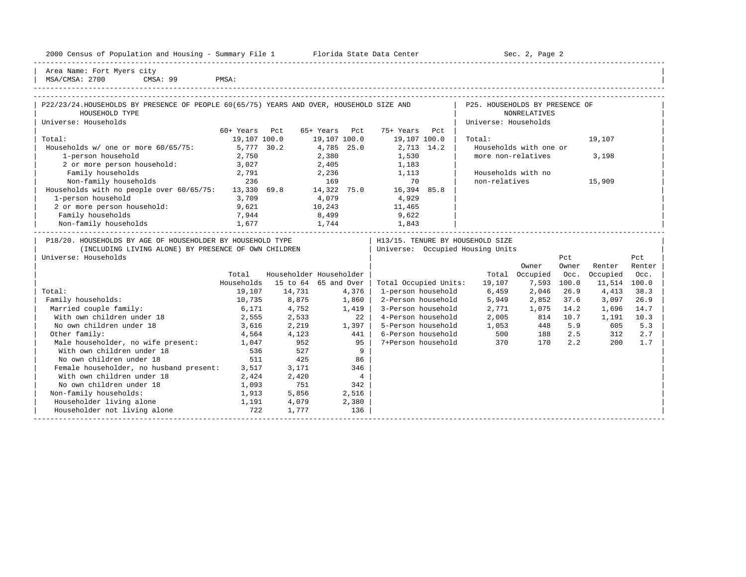|  |  |  | 2000 Census of Population and Housing - Summary File 1 |  |  |  |  |  |  |
|--|--|--|--------------------------------------------------------|--|--|--|--|--|--|
|--|--|--|--------------------------------------------------------|--|--|--|--|--|--|

Florida State Data Center - Sec. 2, Page 2

-----------------------------------------------------------------------------------------------------------------------------------------------------

Area Name: Fort Myers city  $MSA/CMSA: 2700$  CMSA: 99 PMSA:

| 1-person household 3,709 4,079 4,929 | |

| P22/23/24. HOUSEHOLDS BY PRESENCE OF PEOPLE 60(65/75) YEARS AND OVER, HOUSEHOLD SIZE AND<br>HOUSEHOLD TYPE |              |      |              |      |              |      | P25. HOUSEHOLDS BY PRESENCE OF<br><b>NONRELATIVES</b> |        |
|------------------------------------------------------------------------------------------------------------|--------------|------|--------------|------|--------------|------|-------------------------------------------------------|--------|
| Universe: Households                                                                                       |              |      |              |      |              |      | Universe: Households                                  |        |
|                                                                                                            | 60+ Years    | Pct. | 65+ Years    | Pct. | 75+ Years    | Pct  |                                                       |        |
| Total:                                                                                                     | 19,107 100.0 |      | 19,107 100.0 |      | 19,107 100.0 |      | Total:                                                | 19,107 |
| Households w/ one or more 60/65/75:                                                                        | 5,777 30.2   |      | 4,785 25.0   |      | 2,713 14.2   |      | Households with one or                                |        |
| 1-person household                                                                                         | 2,750        |      | 2,380        |      | 1,530        |      | more non-relatives                                    | 3,198  |
| 2 or more person household:                                                                                | 3,027        |      | 2,405        |      | 1,183        |      |                                                       |        |
| Family households                                                                                          | 2,791        |      | 2,236        |      | 1,113        |      | Households with no                                    |        |
| Non-family households                                                                                      | 236          |      | 169          |      | 70           |      | non-relatives                                         | 15,909 |
| Households with no people over 60/65/75:                                                                   | 13,330       | 69.8 | 14,322       | 75.0 | 16,394       | 85.8 |                                                       |        |

| 2 or more person household:                                | 9,621      |        | 10,243                  | 11,465                           |        |          |       |          |        |
|------------------------------------------------------------|------------|--------|-------------------------|----------------------------------|--------|----------|-------|----------|--------|
| Family households                                          | 7,944      |        | 8,499                   | 9,622                            |        |          |       |          |        |
| Non-family households<br>1,677                             |            |        | 1,744                   | 1,843                            |        |          |       |          |        |
| P18/20. HOUSEHOLDS BY AGE OF HOUSEHOLDER BY HOUSEHOLD TYPE |            |        |                         | H13/15. TENURE BY HOUSEHOLD SIZE |        |          |       |          |        |
| (INCLUDING LIVING ALONE) BY PRESENCE OF OWN CHILDREN       |            |        |                         | Universe: Occupied Housing Units |        |          |       |          |        |
| Universe: Households                                       |            |        |                         |                                  |        |          | Pct   |          | Pct    |
|                                                            |            |        |                         |                                  |        | Owner    | Owner | Renter   | Renter |
|                                                            | Total      |        | Householder Householder |                                  | Total  | Occupied | Occ.  | Occupied | Occ.   |
|                                                            | Households |        | 15 to 64 65 and Over    | Total Occupied Units:            | 19,107 | 7,593    | 100.0 | 11,514   | 100.0  |
| Total:                                                     | 19,107     | 14,731 | 4,376                   | 1-person household               | 6,459  | 2,046    | 26.9  | 4,413    | 38.3   |
| Family households:                                         | 10,735     | 8,875  | 1,860                   | 2-Person household               | 5,949  | 2,852    | 37.6  | 3,097    | 26.9   |
| Married couple family:                                     | 6,171      | 4,752  | 1,419                   | 3-Person household               | 2,771  | 1,075    | 14.2  | 1,696    | 14.7   |
| With own children under 18                                 | 2,555      | 2,533  | 22                      | 4-Person household               | 2,005  | 814      | 10.7  | 1,191    | 10.3   |
| No own children under 18                                   | 3,616      | 2,219  | 1,397                   | 5-Person household               | 1,053  | 448      | 5.9   | 605      | 5.3    |
| Other family:                                              | 4,564      | 4,123  | 441                     | 6-Person household               | 500    | 188      | 2.5   | 312      | 2.7    |
| Male householder, no wife present:                         | 1,047      | 952    | 95                      | 7+Person household               | 370    | 170      | 2.2   | 200      | 1.7    |
| With own children under 18                                 | 536        | 527    | 9                       |                                  |        |          |       |          |        |
| No own children under 18                                   | 511        | 425    | 86                      |                                  |        |          |       |          |        |
| Female householder, no husband present:                    | 3,517      | 3,171  | 346                     |                                  |        |          |       |          |        |
| With own children under 18                                 | 2,424      | 2,420  | 4                       |                                  |        |          |       |          |        |
| No own children under 18                                   | 1,093      | 751    | 342                     |                                  |        |          |       |          |        |
| Non-family households:                                     | 1,913      | 5,856  | 2,516                   |                                  |        |          |       |          |        |
| Householder living alone                                   | 1,191      | 4,079  | 2,380                   |                                  |        |          |       |          |        |
| Householder not living alone                               | 722        | 1,777  | 136                     |                                  |        |          |       |          |        |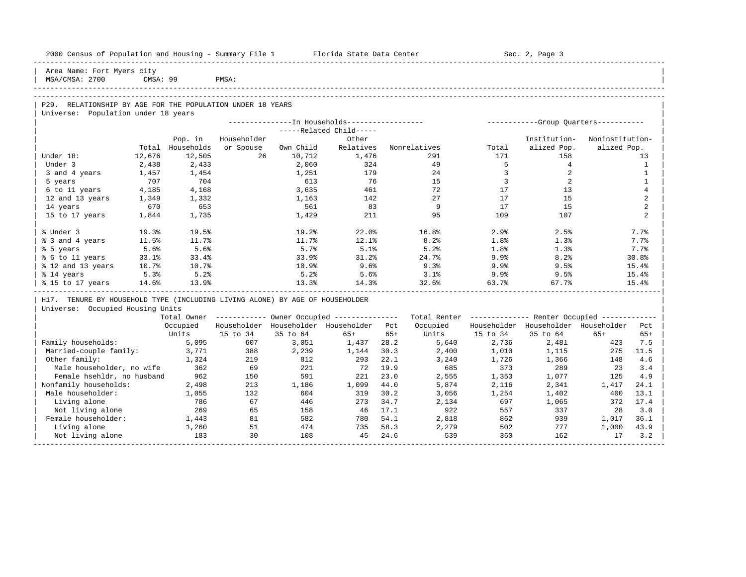|                                                                              |                |                             | 2000 Census of Population and Housing - Summary File 1 Florida State Data Center |                                                       |                                 |       |          |                | Sec. 2, Page 3                                          |                 |                |  |
|------------------------------------------------------------------------------|----------------|-----------------------------|----------------------------------------------------------------------------------|-------------------------------------------------------|---------------------------------|-------|----------|----------------|---------------------------------------------------------|-----------------|----------------|--|
| Area Name: Fort Myers city<br>MSA/CMSA: 2700                                 | CMSA: 99       |                             | PMSA:                                                                            |                                                       |                                 |       |          |                |                                                         |                 |                |  |
|                                                                              |                |                             |                                                                                  |                                                       |                                 |       |          |                |                                                         |                 |                |  |
|                                                                              |                |                             |                                                                                  |                                                       |                                 |       |          |                |                                                         |                 |                |  |
| P29. RELATIONSHIP BY AGE FOR THE POPULATION UNDER 18 YEARS                   |                |                             |                                                                                  |                                                       |                                 |       |          |                |                                                         |                 |                |  |
| Universe: Population under 18 years                                          |                |                             |                                                                                  |                                                       |                                 |       |          |                |                                                         |                 |                |  |
|                                                                              |                |                             |                                                                                  |                                                       |                                 |       |          |                |                                                         |                 |                |  |
|                                                                              |                |                             |                                                                                  |                                                       | -----Related Child-----         |       |          |                |                                                         |                 |                |  |
|                                                                              |                | Pop. in<br>Total Households | Householder                                                                      |                                                       | Other<br>Relatives Nonrelatives |       |          |                | Institution-                                            | Noninstitution- |                |  |
| Under 18:                                                                    | 12,676         | 12,505                      | or Spouse<br>26                                                                  | Own Child<br>10,712                                   | 1,476                           |       | 291      | Total<br>171   | alized Pop.<br>158                                      | alized Pop.     | 13             |  |
| Under 3                                                                      |                |                             |                                                                                  | 2,060                                                 | 324                             |       | 49       | 5              | $4\overline{ }$                                         |                 | <sup>1</sup>   |  |
| 3 and 4 years                                                                | 2,438<br>1,457 | 2,433<br>1,454              |                                                                                  | 1,251                                                 | 179                             |       | 24       | $\overline{3}$ | $\overline{a}$                                          |                 | $\mathbf{1}$   |  |
| 5 years                                                                      | 707            | 704                         |                                                                                  | 613                                                   | 76                              |       | 15       | $\overline{3}$ | $\overline{2}$                                          |                 | $\mathbf{1}$   |  |
| 6 to 11 years                                                                | 4,185          | 4,168                       |                                                                                  | 3,635                                                 | 461                             |       | 72       | 17             | 13                                                      |                 | $\overline{4}$ |  |
| 12 and 13 years                                                              | 1,349          | 1,332                       |                                                                                  | 1,163                                                 | 142                             |       | 27       | 17             | 15                                                      |                 | $\overline{a}$ |  |
| 14 years                                                                     | 670            | 653                         |                                                                                  | 561                                                   | 83                              |       | 9        | 17             | 15                                                      |                 | 2              |  |
| 15 to 17 years                                                               | 1,844          | 1,735                       |                                                                                  | 1,429                                                 | 211                             |       | 95       | 109            | 107                                                     |                 | $\overline{2}$ |  |
|                                                                              |                |                             |                                                                                  |                                                       |                                 |       |          |                |                                                         |                 |                |  |
| % Under 3                                                                    | 19.3%          | 19.5%                       |                                                                                  | 19.2%                                                 | 22.0%                           |       | 16.8%    | 2.9%           | 2.5%                                                    |                 | 7.7%           |  |
| % 3 and 4 years                                                              | 11.5%          | 11.7%                       |                                                                                  | 11.7%                                                 | 12.1%                           |       | 8.2%     | 1.8%           | 1.3%                                                    |                 | 7.7%           |  |
| % 5 years                                                                    | 5.6%           | 5.6%                        |                                                                                  | 5.7%                                                  | 5.1%                            |       | 5.2%     | 1.8%           | 1.3%                                                    |                 | 7.7%           |  |
| % 6 to 11 years                                                              | 33.1%          | 33.4%                       |                                                                                  | 33.9%                                                 | 31.2%                           |       | 24.7%    | 9.9%           | 8.2%                                                    |                 | 30.8%          |  |
| % 12 and 13 years                                                            | 10.7%          | 10.7%                       |                                                                                  | 10.9%                                                 | 9.6%                            |       | 9.3%     | 9.9%           | 9.5%                                                    |                 | 15.4%          |  |
| % 14 years                                                                   | 5.3%           | 5.2%                        |                                                                                  | 5.2%                                                  | 5.6%                            |       | 3.1%     | 9.9%           | 9.5%                                                    |                 | 15.4%          |  |
| % 15 to 17 years                                                             | 14.6%          | 13.9%                       |                                                                                  | 13.3%                                                 | 14.3%                           |       | 32.6%    | 63.7%          | 67.7%                                                   |                 | 15.4%          |  |
| H17. TENURE BY HOUSEHOLD TYPE (INCLUDING LIVING ALONE) BY AGE OF HOUSEHOLDER |                |                             |                                                                                  |                                                       |                                 |       |          |                |                                                         |                 |                |  |
| Universe: Occupied Housing Units                                             |                |                             |                                                                                  |                                                       |                                 |       |          |                |                                                         |                 |                |  |
|                                                                              |                |                             |                                                                                  | Total Owner ----------- Owner Occupied -------------- |                                 |       |          |                | Total Renter ------------- Renter Occupied ------------ |                 |                |  |
|                                                                              |                | Occupied                    |                                                                                  | Householder Householder Householder Pct               |                                 |       | Occupied |                | Householder Householder Householder                     |                 | Pct            |  |
|                                                                              |                | Units                       | 15 to 34                                                                         | 35 to 64                                              | $65+$                           | $65+$ | Units    | 15 to 34       | 35 to 64                                                | $65+$           | $65+$          |  |
| Family households:                                                           |                | 5,095                       | 607                                                                              | 3,051                                                 | 1,437                           | 28.2  | 5,640    | 2,736          | 2,481                                                   | 423             | 7.5            |  |
| Married-couple family:                                                       |                | 3,771                       | 388                                                                              | 2,239                                                 | 1,144                           | 30.3  | 2,400    | 1,010          | 1,115                                                   | 275             | 11.5           |  |
| Other family:                                                                |                | 1,324                       | 219                                                                              | 812                                                   | 293                             | 22.1  | 3,240    | 1,726          | 1,366                                                   | 148             | 4.6            |  |
| Male householder, no wife                                                    |                | 362                         | 69                                                                               | 221                                                   | 72                              | 19.9  | 685      | 373            | 289                                                     | 23              | 3.4            |  |
| Female hsehldr, no husband                                                   |                | 962                         | 150                                                                              | 591                                                   | 221                             | 23.0  | 2,555    | 1,353          | 1,077                                                   | 125             | 4.9            |  |
| Nonfamily households:                                                        |                | 2,498                       | 213                                                                              | 1,186                                                 | 1,099                           | 44.0  | 5,874    | 2,116          | 2,341                                                   | 1,417           | 24.1           |  |
| Male householder:                                                            |                | 1,055                       | 132                                                                              | 604                                                   | 319                             | 30.2  | 3,056    | 1,254          | 1,402                                                   | 400             | 13.1           |  |
| Living alone                                                                 |                | 786                         | 67                                                                               | 446                                                   | 273                             | 34.7  | 2,134    | 697            | 1,065                                                   | 372             | 17.4           |  |
| Not living alone                                                             |                | 269                         | 65                                                                               | 158                                                   | - 46                            | 17.1  | 922      | 557            | 337                                                     | 28              | 3.0            |  |
| Female householder:                                                          |                | 1,443                       | 81                                                                               | 582                                                   | 780                             | 54.1  | 2,818    | 862            | 939                                                     | 1,017           | 36.1           |  |
| Living alone                                                                 |                | 1,260                       | 51                                                                               | 474                                                   | 735                             | 58.3  | 2,279    | 502            | 777                                                     | 1,000           | 43.9           |  |
| Not living alone                                                             |                | 183                         | 30                                                                               | 108                                                   | 45                              | 24.6  | 539      | 360            | 162                                                     | 17              | 3.2            |  |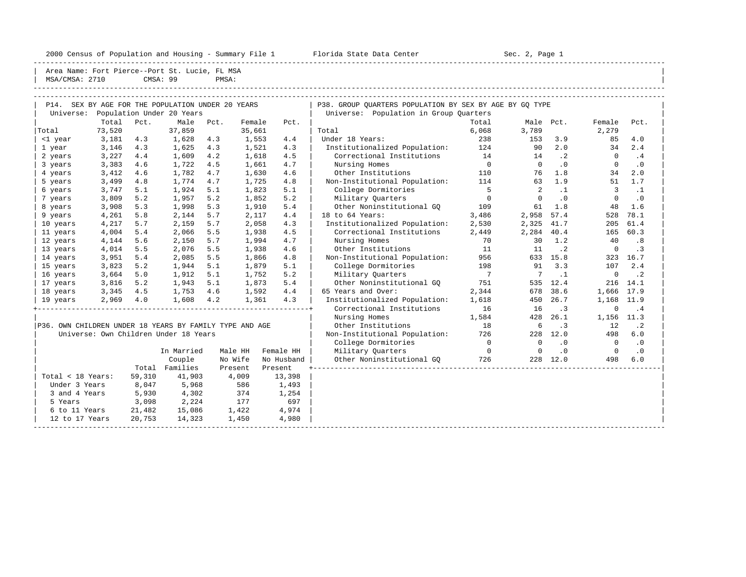2000 Census of Population and Housing - Summary File 1 Florida State Data Center Sec. 2, Page 1

-----------------------------------------------------------------------------------------------------------------------------------------------------

Area Name: Fort Pierce--Port St. Lucie, FL MSA

|           | MSA/CMSA: 2710                                    |      | CMSA: 99                  | PMSA:     |        |      |                                                         |       |           |     |        |      |  |
|-----------|---------------------------------------------------|------|---------------------------|-----------|--------|------|---------------------------------------------------------|-------|-----------|-----|--------|------|--|
|           |                                                   |      |                           |           |        |      |                                                         |       |           |     |        |      |  |
|           | P14. SEX BY AGE FOR THE POPULATION UNDER 20 YEARS |      |                           |           |        |      | P38. GROUP OUARTERS POPULATION BY SEX BY AGE BY GO TYPE |       |           |     |        |      |  |
| Universe: |                                                   |      | Population Under 20 Years |           |        |      | Universe: Population in Group Ouarters                  |       |           |     |        |      |  |
|           | Total                                             | Pct. |                           | Male Pct. | Female | Pct. |                                                         | Total | Male Pct. |     | Female | Pct. |  |
| Total     | 73,520                                            |      | 37,859                    |           | 35,661 |      | Total                                                   | 6,068 | 3,789     |     | 2,279  |      |  |
| <1 year   | 3,181 4.3                                         |      | 1,628                     | 4.3       | 1,553  | 4.4  | Under 18 Years:                                         | 238   | 153       | 3.9 | 85     | 4.0  |  |
| 1 year    | 3,146                                             | 4.3  | 1,625                     | 4.3       | 1,521  | 4.3  | Institutionalized Population:                           | 124   | 90        | 2.0 | 34     | 2.4  |  |
| 2 years   | 3,227                                             | 4.4  | 1,609                     | 4.2       | 1,618  | 4.5  | Correctional Institutions                               | 14    | 14        |     |        | . 4  |  |
| 3 years   | 3,383                                             | 4.6  | 1,722                     | 4.5       | 1,661  | 4.7  | Nursing Homes                                           |       |           |     |        |      |  |

| P36. OWN CHILDREN UNDER 18 YEARS BY FAMILY TYPE AND AGE<br>Universe: Own Children Under 18 Years |          |                |                       |                      |
|--------------------------------------------------------------------------------------------------|----------|----------------|-----------------------|----------------------|
|                                                                                                  |          | In Married     | Male HH               | Female H             |
|                                                                                                  |          | Couple         | No Wife               | No Husbar            |
|                                                                                                  |          | Total Families | Present               | Present              |
| Total < 18 Years:                                                                                | 59,310   | 41,903         | 4,009                 | 13,39                |
| Under 3 Years                                                                                    |          | 8,047 5,968    |                       | 586 1,49             |
| $\sim$ $\sim$ $\sim$ $\sim$                                                                      | $-$ 0.30 | 1.202          | $\cap$ $\cap$ $\land$ | $\sim$ $\sim$ $\sim$ |

| Universe:                                               |        |        | Population Under 20 Years             |      |         |            | Universe: Population in Group Quarters |                |                 |           |                |           |  |
|---------------------------------------------------------|--------|--------|---------------------------------------|------|---------|------------|----------------------------------------|----------------|-----------------|-----------|----------------|-----------|--|
|                                                         | Total  | Pct.   | Male                                  | Pct. | Female  | Pct.       |                                        | Total          | Male Pct.       |           | Female         | Pct.      |  |
| Total                                                   | 73,520 |        | 37,859                                |      | 35,661  |            | Total                                  | 6,068          | 3,789           |           | 2,279          |           |  |
| <1 year                                                 | 3,181  | 4.3    | 1,628                                 | 4.3  | 1,553   | 4.4        | Under 18 Years:                        | 238            | 153             | 3.9       | 85             | 4.0       |  |
| 1 year                                                  | 3,146  | 4.3    | 1,625                                 | 4.3  | 1,521   | 4.3        | Institutionalized Population: 124      |                | 90              | 2.0       | 34             | 2.4       |  |
| 2 years                                                 | 3,227  | 4.4    | 1,609                                 | 4.2  | 1,618   | 4.5        | Correctional Institutions              | 14             | 14              | $\cdot$ 2 | $\Omega$       | .4        |  |
| 3 years                                                 | 3,383  | 4.6    | 1,722                                 | 4.5  | 1,661   | 4.7        | Nursing Homes                          | $\overline{0}$ | $\Omega$        | $\cdot$ 0 | 0              | $\cdot$ 0 |  |
| 4 years                                                 | 3,412  | 4.6    | 1,782                                 | 4.7  | 1,630   | 4.6        | Other Institutions                     | 110            | 76              | 1.8       | 34             | 2.0       |  |
| 5 years                                                 | 3,499  | 4.8    | 1,774                                 | 4.7  | 1,725   | 4.8        | Non-Institutional Population:          | 114            | 63              | 1.9       | 51             | 1.7       |  |
| 6 years                                                 | 3,747  | 5.1    | 1,924                                 | 5.1  | 1,823   | 5.1        | College Dormitories                    | $5^{\circ}$    | 2               | $\cdot$ 1 | 3              | $\cdot$ 1 |  |
| 7 years                                                 | 3,809  | 5.2    | 1,957                                 | 5.2  | 1,852   | 5.2        | Military Quarters                      | $\overline{0}$ |                 | $\cdot$ 0 | $\Omega$       | $\cdot$ 0 |  |
| 8 years                                                 | 3,908  | 5.3    | 1,998                                 | 5.3  | 1,910   | 5.4        | Other Noninstitutional GO              | 109            | 61              | 1.8       | 48             | 1.6       |  |
| 9 years                                                 | 4,261  | 5.8    | 2,144                                 | 5.7  | 2,117   | 4.4        | 18 to 64 Years:                        | 3,486          | 2,958           | 57.4      | 528            | 78.1      |  |
| 10 years                                                | 4,217  | 5.7    | 2,159                                 | 5.7  | 2,058   | 4.3        | Institutionalized Population:          | 2,530          | 2,325           | 41.7      | 205            | 61.4      |  |
| 11 years                                                | 4,004  | 5.4    | 2,066                                 | 5.5  | 1,938   | 4.5        | Correctional Institutions              | 2,449          | 2,284           | 40.4      | 165            | 60.3      |  |
| 12 years                                                | 4,144  | 5.6    | 2,150                                 | 5.7  | 1,994   | 4.7        | Nursing Homes                          | 70             | 30              | 1.2       | 40             | .8        |  |
| 13 years                                                | 4,014  | 5.5    | 2,076                                 | 5.5  | 1,938   | 4.6        | Other Institutions                     | 11             | 11              | $\cdot$ 2 | $\Omega$       | $\cdot$ 3 |  |
| 14 years                                                | 3,951  | 5.4    | 2,085                                 | 5.5  | 1,866   | 4.8        | Non-Institutional Population:          | 956            |                 | 633 15.8  | 323            | 16.7      |  |
| 15 years                                                | 3,823  | 5.2    | 1,944                                 | 5.1  | 1,879   | 5.1        | College Dormitories                    | 198            | 91              | 3.3       | 107            | 2.4       |  |
| 16 years                                                | 3,664  | 5.0    | 1,912                                 | 5.1  | 1,752   | 5.2        | Military Quarters                      | $\overline{7}$ | $7\phantom{.0}$ | $\cdot$ 1 | $\circ$        | $\cdot$ 2 |  |
| 17 years                                                | 3,816  | 5.2    | 1,943                                 | 5.1  | 1,873   | 5.4        | Other Noninstitutional GO              | 751            | 535             | 12.4      | 216            | 14.1      |  |
| 18 years                                                | 3,345  | 4.5    | 1,753                                 | 4.6  | 1,592   | 4.4        | 65 Years and Over:                     | 2,344          | 678             | 38.6      | 1,666 17.9     |           |  |
| 19 years                                                | 2,969  | 4.0    | 1,608                                 | 4.2  | 1,361   | 4.3        | Institutionalized Population:          | 1,618          | 450             | 26.7      | 1,168 11.9     |           |  |
|                                                         |        |        |                                       |      |         |            | Correctional Institutions              | 16             | 16              | $\cdot$ 3 | 0              | .4        |  |
|                                                         |        |        |                                       |      |         |            | Nursing Homes                          | 1,584          | 428             | 26.1      | 1,156          | 11.3      |  |
| P36. OWN CHILDREN UNDER 18 YEARS BY FAMILY TYPE AND AGE |        |        |                                       |      |         |            | Other Institutions                     | 18             | 6               | $\cdot$ 3 | 12             | $\cdot$ 2 |  |
|                                                         |        |        | Universe: Own Children Under 18 Years |      |         |            | Non-Institutional Population:          | 726            | 228             | 12.0      | 498            | 6.0       |  |
|                                                         |        |        |                                       |      |         |            | College Dormitories                    | $\overline{0}$ | $\overline{0}$  | .0        | $\overline{0}$ | $\cdot$ 0 |  |
|                                                         |        |        | In Married                            |      | Male HH | Female HH  | Military Quarters                      | $\overline{0}$ | $\mathbf{0}$    | .0        | $\circ$        | $\cdot$ 0 |  |
|                                                         |        |        | Couple                                |      | No Wife | No Husband | Other Noninstitutional GQ              | 726            |                 | 228 12.0  | 498            | 6.0       |  |
|                                                         |        |        | Total Families                        |      | Present | Present    |                                        |                |                 |           |                |           |  |
| Total < 18 Years:                                       |        | 59,310 | 41,903                                |      | 4,009   | 13,398     |                                        |                |                 |           |                |           |  |
| Under 3 Years                                           |        | 8,047  | 5,968                                 |      | 586     | 1,493      |                                        |                |                 |           |                |           |  |
| 3 and 4 Years                                           |        | 5,930  | 4,302                                 |      | 374     | 1,254      |                                        |                |                 |           |                |           |  |
| 5 Years                                                 |        | 3,098  | 2,224                                 |      | 177     | 697        |                                        |                |                 |           |                |           |  |
| 6 to 11 Years                                           |        | 21,482 | 15,086                                |      | 1,422   | 4,974      |                                        |                |                 |           |                |           |  |
| 12 to 17 Years                                          |        | 20,753 | 14,323                                |      | 1,450   | 4,980      |                                        |                |                 |           |                |           |  |
|                                                         |        |        |                                       |      |         |            |                                        |                |                 |           |                |           |  |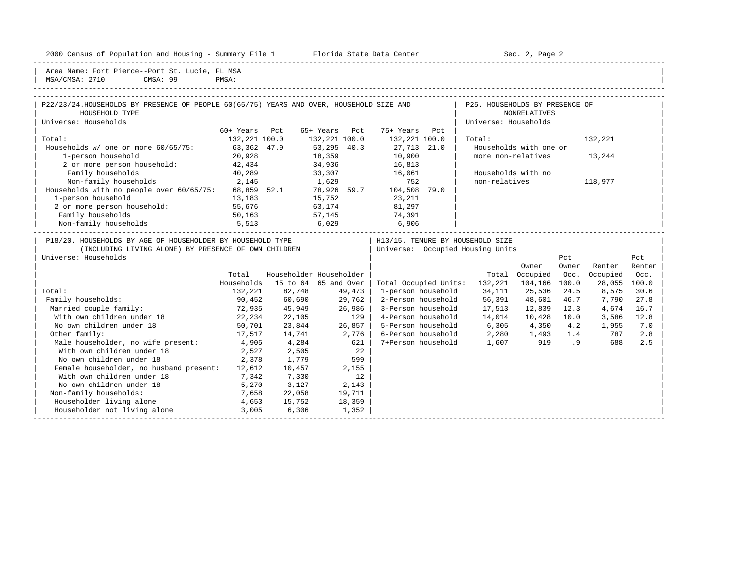2000 Census of Population and Housing - Summary File 1 Florida State Data Center Sec. 2, Page 2 -----------------------------------------------------------------------------------------------------------------------------------------------------

| Area Name: Fort Pierce--Port St. Lucie, FL MSA | MSA/CMSA: 2710 CMSA: 99 PMSA:

| the contract of the contract of the contract of the contract of the contract of the contract of the contract of | _______ | ------ |  |
|-----------------------------------------------------------------------------------------------------------------|---------|--------|--|
|                                                                                                                 |         |        |  |
|                                                                                                                 |         |        |  |
|                                                                                                                 |         |        |  |

| P22/23/24. HOUSEHOLDS BY PRESENCE OF PEOPLE 60(65/75) YEARS AND OVER, HOUSEHOLD SIZE AND |                  |                  |                                  | P25. HOUSEHOLDS BY PRESENCE OF |         |
|------------------------------------------------------------------------------------------|------------------|------------------|----------------------------------|--------------------------------|---------|
| HOUSEHOLD TYPE                                                                           |                  |                  |                                  | <b>NONRELATIVES</b>            |         |
| Universe: Households                                                                     |                  |                  |                                  | Universe: Households           |         |
|                                                                                          | Pct<br>60+ Years | 65+ Years<br>Pct | 75+ Years<br>Pct                 |                                |         |
| Total:                                                                                   | 132,221 100.0    | 132,221 100.0    | 132,221 100.0                    | Total:                         | 132,221 |
| Households $w/$ one or more $60/65/75$ :                                                 | 63,362 47.9      | 53,295 40.3      | 27,713 21.0                      | Households with one or         |         |
| 1-person household                                                                       | 20,928           | 18,359           | 10,900                           | more non-relatives             | 13,244  |
| 2 or more person household:                                                              | 42,434           | 34,936           | 16,813                           |                                |         |
| Family households                                                                        | 40,289           | 33,307           | 16,061                           | Households with no             |         |
| Non-family households                                                                    | 2,145            | 1,629            | 752                              | non-relatives                  | 118,977 |
| Households with no people over 60/65/75:                                                 | 68,859 52.1      | 78,926 59.7      | 104,508<br>79.0                  |                                |         |
| 1-person household                                                                       | 13,183           | 15,752           | 23,211                           |                                |         |
| 2 or more person household:                                                              | 55,676           | 63,174           | 81,297                           |                                |         |
| Family households                                                                        | 50,163           | 57,145           | 74,391                           |                                |         |
| Non-family households                                                                    | 5,513            | 6,029            | 6,906                            |                                |         |
| P18/20. HOUSEHOLDS BY AGE OF HOUSEHOLDER BY HOUSEHOLD TYPE                               |                  |                  | H13/15. TENURE BY HOUSEHOLD SIZE |                                |         |
| ואסס ודעי וואות של המשפט של המתאר מה משפט המדרחות ומות                                   |                  |                  | Iniverse: Occupied Housing Units |                                |         |

| (INCLUDING LIVING ALONE) BY PRESENCE OF OWN CHILDREN |            |          |                         | Universe: Occupied Housing Units |         |          |       |          |        |
|------------------------------------------------------|------------|----------|-------------------------|----------------------------------|---------|----------|-------|----------|--------|
| Universe: Households                                 |            |          |                         |                                  |         |          | Pct   |          | Pct    |
|                                                      |            |          |                         |                                  |         | Owner    | Owner | Renter   | Renter |
|                                                      | Total      |          | Householder Householder |                                  | Total   | Occupied | Occ.  | Occupied | Occ.   |
|                                                      | Households | 15 to 64 | 65 and Over             | Total Occupied Units:            | 132,221 | 104,166  | 100.0 | 28,055   | 100.0  |
| Total:                                               | 132,221    | 82,748   | 49,473                  | 1-person household               | 34,111  | 25,536   | 24.5  | 8,575    | 30.6   |
| Family households:                                   | 90,452     | 60,690   | 29,762                  | 2-Person household               | 56,391  | 48,601   | 46.7  | 7,790    | 27.8   |
| Married couple family:                               | 72,935     | 45,949   | 26,986                  | 3-Person household               | 17,513  | 12,839   | 12.3  | 4,674    | 16.7   |
| With own children under 18                           | 22,234     | 22,105   | 129                     | 4-Person household               | 14,014  | 10,428   | 10.0  | 3,586    | 12.8   |
| No own children under 18                             | 50,701     | 23,844   | 26,857                  | 5-Person household               | 6,305   | 4,350    | 4.2   | 1,955    | 7.0    |
| Other family:                                        | 17,517     | 14,741   | 2,776                   | 6-Person household               | 2,280   | 1,493    | 1.4   | 787      | 2.8    |
| Male householder, no wife present:                   | 4,905      | 4,284    | 621                     | 7+Person household               | 1,607   | 919      | . 9   | 688      | 2.5    |
| With own children under 18                           | 2,527      | 2,505    | 22                      |                                  |         |          |       |          |        |
| No own children under 18                             | 2,378      | 1,779    | 599                     |                                  |         |          |       |          |        |
| Female householder, no husband present:              | 12,612     | 10,457   | 2,155                   |                                  |         |          |       |          |        |
| With own children under 18                           | 7,342      | 7,330    | 12                      |                                  |         |          |       |          |        |
| No own children under 18                             | 5,270      | 3,127    | 2,143                   |                                  |         |          |       |          |        |
| Non-family households:                               | 7,658      | 22,058   | 19,711                  |                                  |         |          |       |          |        |
| Householder living alone                             | 4,653      | 15,752   | 18,359                  |                                  |         |          |       |          |        |
| Householder not living alone                         | 3,005      | 6,306    | 1,352                   |                                  |         |          |       |          |        |
|                                                      |            |          |                         |                                  |         |          |       |          |        |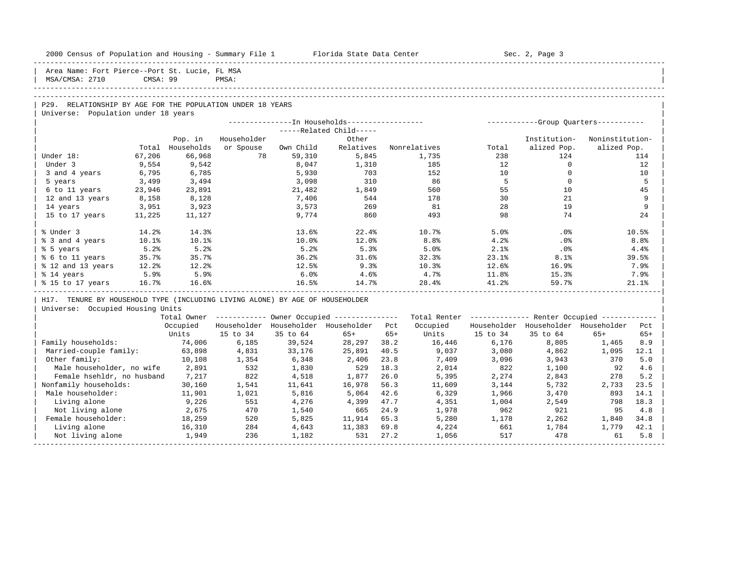| 2000 Census of Population and Housing - Summary File 1 Florida State Data Center                  |          |            |             |           |                                                        |       |                  |             | Sec. 2, Page 3                                          |                 |                  |
|---------------------------------------------------------------------------------------------------|----------|------------|-------------|-----------|--------------------------------------------------------|-------|------------------|-------------|---------------------------------------------------------|-----------------|------------------|
| Area Name: Fort Pierce--Port St. Lucie, FL MSA<br>MSA/CMSA: 2710                                  | CMSA: 99 |            | PMSA:       |           |                                                        |       |                  |             |                                                         |                 |                  |
|                                                                                                   |          |            |             |           |                                                        |       |                  |             |                                                         |                 |                  |
| P29. RELATIONSHIP BY AGE FOR THE POPULATION UNDER 18 YEARS<br>Universe: Population under 18 years |          |            |             |           |                                                        |       |                  |             |                                                         |                 |                  |
|                                                                                                   |          |            |             |           |                                                        |       |                  |             |                                                         |                 |                  |
|                                                                                                   |          |            |             |           | -----Related Child-----                                |       |                  |             |                                                         |                 |                  |
|                                                                                                   |          | Pop. in    | Householder |           | Other                                                  |       |                  |             | Institution-                                            | Noninstitution- |                  |
|                                                                                                   | Total    | Households | or Spouse   | Own Child | Relatives                                              |       | Nonrelatives     | Total       | alized Pop.                                             | alized Pop.     |                  |
| Under 18:                                                                                         | 67,206   | 66,968     | 78          | 59,310    | 5,845                                                  |       | 1,735            | 238         | 124                                                     |                 | 114              |
| Under 3                                                                                           | 9,554    | 9,542      |             | 8,047     | 1,310                                                  |       | 185              | 12          | $\Omega$                                                |                 | 12               |
| 3 and 4 years                                                                                     | 6,795    | 6,785      |             | 5,930     | 703                                                    |       | 152              | 10          | $\circ$                                                 |                 | 10               |
| 5 years                                                                                           | 3,499    | 3,494      |             | 3,098     | 310                                                    |       | 86               | $5^{\circ}$ | $\Omega$                                                |                 | 5                |
| 6 to 11 years                                                                                     | 23,946   | 23,891     |             | 21,482    | 1,849                                                  |       | 560              | 55          | 10                                                      |                 | 45               |
| 12 and 13 years                                                                                   | 8,158    | 8,128      |             | 7,406     | 544                                                    |       | 178              | 30          | 21                                                      |                 | 9                |
| 14 years                                                                                          | 3,951    | 3,923      |             | 3,573     | 269                                                    |       | 81               | 2.8         | 19                                                      |                 | 9                |
| 15 to 17 years                                                                                    | 11,225   | 11,127     |             | 9,774     | 860                                                    |       | 493              | 98          | 74                                                      |                 | 24               |
| % Under 3                                                                                         | 14.2%    | 14.3%      |             | 13.6%     | 22.4%                                                  |       | 10.7%            | 5.0%        | $.0\%$                                                  |                 | 10.5%            |
| % 3 and 4 years                                                                                   | 10.1%    | 10.1%      |             | 10.0%     | 12.0%                                                  |       | 8.8 <sup>°</sup> | 4.2%        | .0%                                                     |                 | 8.8 <sup>°</sup> |
| % 5 years                                                                                         | 5.2%     | 5.2%       |             | 5.2%      | 5.3%                                                   |       | 5.0%             | 2.1%        | .0%                                                     |                 | 4.4%             |
| % 6 to 11 years                                                                                   | 35.7%    | 35.7%      |             | 36.2%     | 31.6%                                                  |       | 32.3%            | 23.1%       | 8.1%                                                    |                 | 39.5%            |
| % 12 and 13 years                                                                                 | 12.2%    | 12.2%      |             | 12.5%     | 9.3%                                                   |       | 10.3%            | 12.6%       | 16.9%                                                   |                 | 7.9%             |
| % 14 years                                                                                        | 5.9%     | 5.9%       |             | 6.0%      | 4.6%                                                   |       | 4.7%             | $11.8\%$    | 15.3%                                                   |                 | 7.9%             |
| % 15 to 17 years                                                                                  | 16.7%    | 16.6%      |             | 16.5%     | 14.7%                                                  |       | 28.4%            | 41.2%       | 59.7%                                                   |                 | 21.1%            |
| H17. TENURE BY HOUSEHOLD TYPE (INCLUDING LIVING ALONE) BY AGE OF HOUSEHOLDER                      |          |            |             |           |                                                        |       |                  |             |                                                         |                 |                  |
| Universe: Occupied Housing Units                                                                  |          |            |             |           |                                                        |       |                  |             |                                                         |                 |                  |
|                                                                                                   |          |            |             |           | Total Owner ------------ Owner Occupied -------------- |       |                  |             | Total Renter ------------- Renter Occupied ------------ |                 |                  |
|                                                                                                   |          | Occupied   |             |           | Householder Householder Householder Pct                |       | Occupied         |             | Householder Householder Householder                     |                 | Pct              |
|                                                                                                   |          | Units      | 15 to 34    | 35 to 64  | $65+$                                                  | $65+$ | Units            | 15 to 34    | 35 to 64                                                | $65+$           | $65+$            |
| Family households:                                                                                |          | 74,006     | 6,185       | 39,524    | 28,297                                                 | 38.2  | 16,446           | 6,176       | 8,805                                                   | 1,465           | 8.9              |
| Married-couple family:                                                                            |          | 63,898     | 4,831       | 33,176    | 25,891                                                 | 40.5  | 9,037            | 3,080       | 4,862                                                   | 1,095           | 12.1             |
| Other family:                                                                                     |          | 10,108     | 1,354       | 6,348     | 2,406                                                  | 23.8  | 7,409            | 3,096       | 3,943                                                   | 370             | 5.0              |
| Male householder, no wife                                                                         |          | 2,891      | 532         | 1,830     | 529                                                    | 18.3  | 2,014            | 822         | 1,100                                                   | 92              | 4.6              |
| Female hsehldr, no husband                                                                        |          | 7,217      | 822         | 4,518     | 1,877                                                  | 26.0  | 5,395            | 2,274       | 2,843                                                   | 278             | 5.2              |
| Nonfamily households:                                                                             |          | 30,160     | 1,541       | 11,641    | 16,978                                                 | 56.3  | 11,609           | 3,144       | 5,732                                                   | 2,733           | 23.5             |
| Male householder:                                                                                 |          | 11,901     | 1,021       | 5,816     | 5,064                                                  | 42.6  | 6,329            | 1,966       | 3,470                                                   | 893             | 14.1             |
| Living alone                                                                                      |          | 9,226      | 551         | 4,276     | 4,399                                                  | 47.7  | 4,351            | 1,004       | 2,549                                                   | 798             | 18.3             |
| Not living alone                                                                                  |          | 2,675      | 470         | 1,540     | 665                                                    | 24.9  | 1,978            | 962         | 921                                                     | 95              | 4.8              |
| Female householder:                                                                               |          | 18,259     | 520         | 5,825     | 11,914                                                 | 65.3  | 5,280            | 1,178       | 2,262                                                   | 1,840           | 34.8             |
| Living alone                                                                                      |          | 16,310     | 284         | 4,643     | 11,383                                                 | 69.8  | 4,224            | 661         | 1,784                                                   | 1,779           | 42.1             |
| Not living alone                                                                                  |          | 1,949      | 236         | 1,182     | 531                                                    | 27.2  | 1,056            | 517         | 478                                                     | 61              | 5.8              |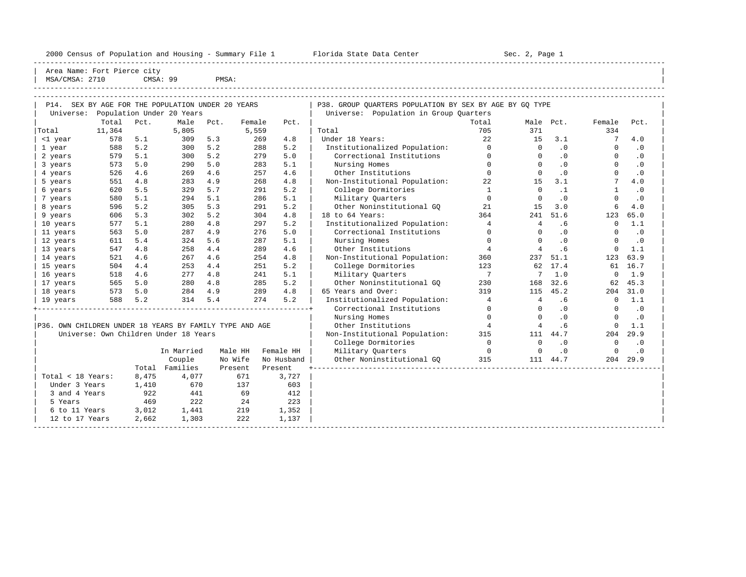----------------------------------------------------------------------------------------------------------------------------------------------------- Area Name: Fort Pierce city | MSA/CMSA: 2710 CMSA: 99 PMSA:

----------------------------------------------------------------------------------------------------------------------------------------------------- -----------------------------------------------------------------------------------------------------------------------------------------------------

| P14.                                                    |        |       | SEX BY AGE FOR THE POPULATION UNDER 20 YEARS |      |         |                                  | P38. GROUP OUARTERS POPULATION BY SEX BY AGE BY GO TYPE |                |                |           |              |           |
|---------------------------------------------------------|--------|-------|----------------------------------------------|------|---------|----------------------------------|---------------------------------------------------------|----------------|----------------|-----------|--------------|-----------|
| Universe:                                               |        |       | Population Under 20 Years                    |      |         |                                  | Universe: Population in Group Quarters                  |                |                |           |              |           |
|                                                         | Total  | Pct.  | Male                                         | Pct. | Female  | Pct.                             |                                                         | Total          | Male Pct.      |           | Female       | Pct.      |
| Total                                                   | 11,364 |       | 5,805                                        |      | 5,559   |                                  | Total                                                   | 705            | 371            |           | 334          |           |
| <1 year                                                 | 578    | 5.1   | 309                                          | 5.3  | 269     | 4.8                              | Under 18 Years:                                         | 22             | 15             | 3.1       | 7            | 4.0       |
| 1 year                                                  | 588    | 5.2   | 300                                          | 5.2  | 288     | 5.2                              | Institutionalized Population:                           | $\Omega$       | $\Omega$       | .0        | $\Omega$     | .0        |
| 2 years                                                 | 579    | 5.1   | 300                                          | 5.2  | 279     | 5.0                              | Correctional Institutions                               | $\Omega$       | $\Omega$       | .0        | $\Omega$     | .0        |
| 3 years                                                 | 573    | 5.0   | 290                                          | 5.0  | 283     | 5.1                              | Nursing Homes                                           | $\Omega$       | $\cap$         | .0        | $\Omega$     | $\cdot$ 0 |
| 4 years                                                 | 526    | 4.6   | 269                                          | 4.6  | 257     | 4.6                              | Other Institutions                                      | $\Omega$       | $\Omega$       | $\cdot$ 0 | $\Omega$     | $\cdot$ 0 |
| 5 years                                                 | 551    | 4.8   | 283                                          | 4.9  | 268     | 4.8                              | Non-Institutional Population:                           | 22             | 15             | 3.1       |              | 4.0       |
| 6 years                                                 | 620    | 5.5   | 329                                          | 5.7  | 291     | 5.2                              | College Dormitories                                     | 1              | $\Omega$       | $\cdot$ 1 | $\mathbf{1}$ | $\cdot$ 0 |
| 7 years                                                 | 580    | 5.1   | 294                                          | 5.1  | 286     | 5.1                              | Military Quarters                                       | $\Omega$       | $\Omega$       | $\cdot$ 0 | $\Omega$     | $\cdot$ 0 |
| 8 years                                                 | 596    | 5.2   | 305                                          | 5.3  | 291     | 5.2                              | Other Noninstitutional GO                               | 21             | 15             | 3.0       | 6            | 4.0       |
| 9 years                                                 | 606    | 5.3   | 302                                          | 5.2  | 304     | 4.8                              | 18 to 64 Years:                                         | 364            | 241            | 51.6      | 123          | 65.0      |
| 10 years                                                | 577    | 5.1   | 280                                          | 4.8  | 297     | 5.2                              | Institutionalized Population:                           | $\overline{4}$ | 4              | . 6       | 0            | 1.1       |
| 11 years                                                | 563    | 5.0   | 287                                          | 4.9  | 276     | 5.0                              | Correctional Institutions                               | $\mathbf 0$    | $\Omega$       | $\cdot$ 0 | 0            | $\cdot$ 0 |
| 12 years                                                | 611    | 5.4   | 324                                          | 5.6  | 287     | 5.1                              | Nursing Homes                                           | $\Omega$       | $\Omega$       | .0        | $\Omega$     | $\cdot$ 0 |
| 13 years                                                | 547    | 4.8   | 258                                          | 4.4  | 289     | 4.6                              | Other Institutions                                      | $\overline{4}$ | $\overline{4}$ | .6        | $\mathbf 0$  | 1.1       |
| 14 years                                                | 521    | 4.6   | 267                                          | 4.6  | 254     | 4.8                              | Non-Institutional Population:                           | 360            | 237            | 51.1      | 123          | 63.9      |
| 15 years                                                | 504    | 4.4   | 253                                          | 4.4  | 251     | 5.2                              | College Dormitories                                     | 123            |                | 62 17.4   |              | 61 16.7   |
| 16 years                                                | 518    | 4.6   | 277                                          | 4.8  | 241     | 5.1                              | Military Quarters                                       | $\overline{7}$ | 7              | 1.0       | $\mathbf 0$  | 1.9       |
| 17 years                                                | 565    | 5.0   | 280                                          | 4.8  | 285     | 5.2                              | Other Noninstitutional GQ                               | 230            | 168            | 32.6      | 62           | 45.3      |
| 18 years                                                | 573    | 5.0   | 284                                          | 4.9  | 289     | 4.8                              | 65 Years and Over:                                      | 319            | 115            | 45.2      | 204          | 31.0      |
| 19 years                                                | 588    | 5.2   | 314                                          | 5.4  | 274     | 5.2                              | Institutionalized Population:                           | $\overline{4}$ | $\overline{4}$ | .6        | $\Omega$     | 1.1       |
|                                                         |        |       |                                              |      |         | -------------------------------- | Correctional Institutions                               | $\mathbf 0$    | $\Omega$       | .0        | 0            | $\cdot$ 0 |
|                                                         |        |       |                                              |      |         |                                  | Nursing Homes                                           | $\mathbf 0$    | $\Omega$       | .0        | $\mathbf 0$  | $\cdot$ 0 |
| P36. OWN CHILDREN UNDER 18 YEARS BY FAMILY TYPE AND AGE |        |       |                                              |      |         |                                  | Other Institutions                                      | $\overline{4}$ | $\overline{4}$ | .6        | $\mathbf 0$  | 1.1       |
|                                                         |        |       | Universe: Own Children Under 18 Years        |      |         |                                  | Non-Institutional Population:                           | 315            | 111            | 44.7      | 204          | 29.9      |
|                                                         |        |       |                                              |      |         |                                  | College Dormitories                                     | $\overline{0}$ | $\Omega$       | $\cdot$ 0 | $\Omega$     | $\cdot$ 0 |
|                                                         |        |       | In Married                                   |      | Male HH | Female HH                        | Military Quarters                                       | $\sim$ 0       | $\mathbf 0$    | $\cdot$ 0 | $\mathbf 0$  | $\cdot$ 0 |
|                                                         |        |       | Couple                                       |      | No Wife | No Husband                       | Other Noninstitutional GO                               | 315            |                | 111 44.7  | 204          | 29.9      |
|                                                         |        | Total | Families                                     |      | Present | Present                          |                                                         |                |                |           |              |           |
| Total < 18 Years:                                       |        | 8,475 | 4,077                                        |      | 671     | 3,727                            |                                                         |                |                |           |              |           |
| Under 3 Years                                           |        | 1,410 | 670                                          |      | 137     | 603                              |                                                         |                |                |           |              |           |
| 3 and 4 Years                                           |        | 922   | 441                                          |      | 69      | 412                              |                                                         |                |                |           |              |           |
| 5 Years                                                 |        | 469   | 222                                          |      | 24      | 223                              |                                                         |                |                |           |              |           |
| 6 to 11 Years                                           |        | 3,012 | 1,441                                        |      | 219     | 1,352                            |                                                         |                |                |           |              |           |
| 12 to 17 Years                                          |        | 2,662 | 1,303                                        |      | 222     | 1,137                            |                                                         |                |                |           |              |           |
|                                                         |        |       |                                              |      |         |                                  |                                                         |                |                |           |              |           |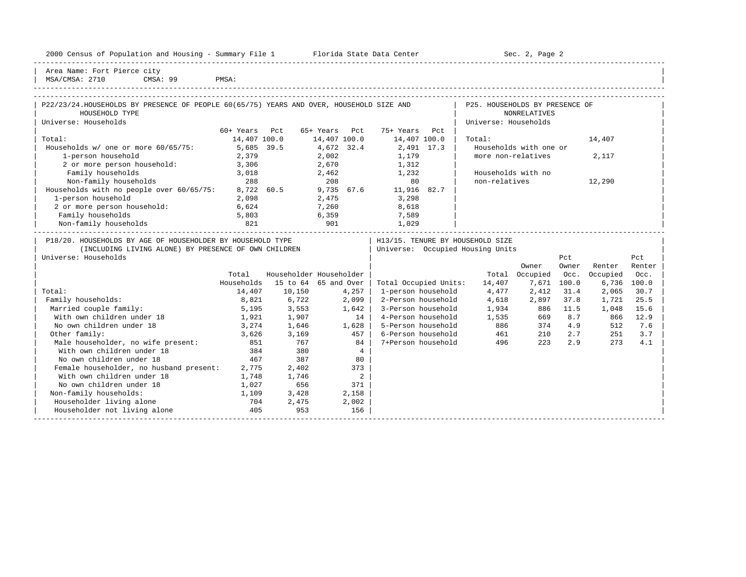| 2000 Census of Population and Housing - Summary File 1 Florida State Data Center        |               |             |                         |                                  |                      | Sec. 2, Page 2                 |       |               |          |
|-----------------------------------------------------------------------------------------|---------------|-------------|-------------------------|----------------------------------|----------------------|--------------------------------|-------|---------------|----------|
| Area Name: Fort Pierce city<br>MSA/CMSA: 2710<br>CMSA: 99 PMSA:                         |               |             |                         |                                  |                      |                                |       |               |          |
|                                                                                         |               |             |                         |                                  |                      |                                |       |               |          |
| P22/23/24.HOUSEHOLDS BY PRESENCE OF PEOPLE 60(65/75) YEARS AND OVER, HOUSEHOLD SIZE AND |               |             |                         |                                  |                      | P25. HOUSEHOLDS BY PRESENCE OF |       |               |          |
| HOUSEHOLD TYPE                                                                          |               |             |                         |                                  |                      | <b>NONRELATIVES</b>            |       |               |          |
| Universe: Households                                                                    |               |             |                         |                                  | Universe: Households |                                |       |               |          |
|                                                                                         | 60+ Years Pct |             | 65+ Years Pct           | 75+ Years Pct                    |                      |                                |       |               |          |
| Total:                                                                                  | 14,407 100.0  |             |                         | 14,407 100.0 14,407 100.0        | Total:               |                                |       | 14,407        |          |
| Households w/ one or more 60/65/75:                                                     | 5,685 39.5    |             | 4,672 32.4              | 2,491 17.3                       |                      | Households with one or         |       |               |          |
| 1-person household                                                                      | 2,379         |             | 2,002                   | 1,179                            |                      | more non-relatives             |       | 2,117         |          |
| 2 or more person household:                                                             | 3,306         |             |                         | 2,670 1,312                      |                      |                                |       |               |          |
| Family households                                                                       | 3,018         |             |                         | 2,462 1,232                      |                      | Households with no             |       |               |          |
| Non-family households                                                                   | 288           |             | 208                     | 80                               | non-relatives        |                                |       | 12,290        |          |
| Households with no people over 60/65/75:                                                | 8,722 60.5    |             |                         | 9,735 67.6 11,916 82.7           |                      |                                |       |               |          |
| 1-person household                                                                      | 2,098         |             | 2,475                   | 3,298                            |                      |                                |       |               |          |
| 2 or more person household:                                                             | 6,624         |             | 7,260                   | 8,618                            |                      |                                |       |               |          |
| Family households                                                                       | 5,803         | 6,359       |                         | 7,589                            |                      |                                |       |               |          |
| Non-family households                                                                   | 821           | 901         |                         | 1,029                            |                      |                                |       |               |          |
| P18/20. HOUSEHOLDS BY AGE OF HOUSEHOLDER BY HOUSEHOLD TYPE                              |               |             |                         | H13/15. TENURE BY HOUSEHOLD SIZE |                      |                                |       |               |          |
| (INCLUDING LIVING ALONE) BY PRESENCE OF OWN CHILDREN                                    |               |             |                         | Universe: Occupied Housing Units |                      |                                |       |               |          |
| Universe: Households                                                                    |               |             |                         |                                  |                      |                                | Pct   |               | Pct      |
|                                                                                         |               |             |                         |                                  |                      | Owner                          | Owner | Renter        | Renter   |
|                                                                                         | Total         |             | Householder Householder |                                  | Total                | Occupied                       | Occ.  | Occupied      | Occ.     |
|                                                                                         | Households    |             | 15 to 64 65 and Over    | Total Occupied Units:            | 14,407               | 7.671                          | 100.0 | $6.736$ 100.0 |          |
| Total:                                                                                  | 14,407        | 10,150      | 4,257                   | 1-person household               | 4,477                | 2,412                          | 31.4  | 2,065         | 30.7     |
| Family households:                                                                      | 8,821         | 6,722       | $2,099$                 | 2-Person household               | 4,618                | 2,897                          | 37.8  | 1,721         | 25.5     |
| Married couple family:                                                                  |               | 5,195 3,553 | 1.642                   | 3-Person household 1,934 886     |                      |                                | 11.5  | 1,048         | 15.6     |
| With own children under 18                                                              | 1,921         | 1,907       | 14                      | 4-Person household               | 1,535                | 669                            | 8.7   |               | 866 12.9 |
| No own children under 18                                                                | 3,274         | 1,646       | 1,628                   | 5-Person household               | 886                  | 374                            | 4.9   | 512           | 7.6      |

| Other family: 3,626 3,169 457 | 6-Person household 461 210 2.7 251 3.7 | | Male householder, no wife present: 851 767 84 | 7+Person household 496 223 2.9 273 4.1<br>| With own children under 18 384 380 4

With own children under 18

No own children under 18

No own children under 18 18 167 387 80<br>
Female householder, no husband present: 2,775 2,402 373

With own children under 18 1,748 1,746 2<br>No own children under 18 1,027 656 371

Non-family households:  $1,109$  3,428 2,158 % Householder living alone 11 and 100 704 2,475 2,002 953 2,002 Householder not living alone 156

Female householder, no husband present: 2,775 2,402

| Householder not living alone 405 953 156 | | -----------------------------------------------------------------------------------------------------------------------------------------------------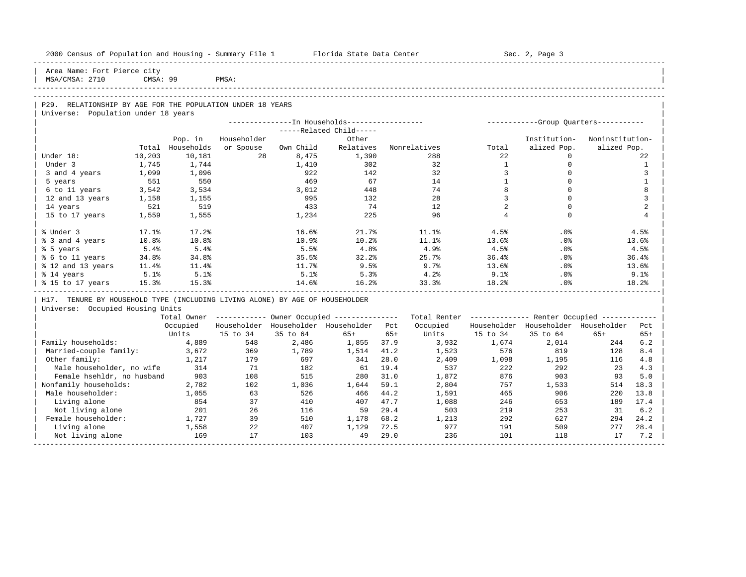| 2000 Census of Population and Housing - Summary File 1 Florida State Data Center |          |            |             |           |                                                        |       |              |                | Sec. 2, Page 3                                          |                 |              |
|----------------------------------------------------------------------------------|----------|------------|-------------|-----------|--------------------------------------------------------|-------|--------------|----------------|---------------------------------------------------------|-----------------|--------------|
| Area Name: Fort Pierce city<br>MSA/CMSA: 2710                                    | CMSA: 99 |            | PMSA:       |           |                                                        |       |              |                |                                                         |                 |              |
|                                                                                  |          |            |             |           |                                                        |       |              |                |                                                         |                 |              |
| P29. RELATIONSHIP BY AGE FOR THE POPULATION UNDER 18 YEARS                       |          |            |             |           |                                                        |       |              |                |                                                         |                 |              |
| Universe: Population under 18 years                                              |          |            |             |           |                                                        |       |              |                |                                                         |                 |              |
|                                                                                  |          |            |             |           | ---------------In Households-----------------          |       |              |                | ------------Group Quarters-----------                   |                 |              |
|                                                                                  |          |            |             |           | -----Related Child-----                                |       |              |                |                                                         |                 |              |
|                                                                                  |          | Pop. in    | Householder |           | Other                                                  |       |              |                | Institution-                                            | Noninstitution- |              |
|                                                                                  | Total    | Households | or Spouse   | Own Child | Relatives                                              |       | Nonrelatives | Total          | alized Pop.                                             | alized Pop.     |              |
| Under 18:                                                                        | 10,203   | 10,181     | 28          | 8,475     | 1,390                                                  |       | 288          | 2.2            | $\Omega$                                                |                 | 2.2.         |
| Under 3                                                                          | 1,745    | 1,744      |             | 1,410     | 302                                                    |       | 32           | <sup>1</sup>   | $\mathbf 0$                                             |                 | $\mathbf{1}$ |
| 3 and 4 years                                                                    | 1,099    | 1,096      |             | 922       | 142                                                    |       | 32           | $\overline{3}$ | $\mathbf 0$                                             |                 | 3            |
| 5 years                                                                          | 551      | 550        |             | 469       | 67                                                     |       | 14           | $\mathbf{1}$   | $\Omega$                                                |                 | $\mathbf{1}$ |
| 6 to 11 years                                                                    | 3,542    | 3,534      |             | 3,012     | 448                                                    |       | 74           | 8              | $\Omega$                                                |                 | 8            |
| 12 and 13 years                                                                  | 1,158    | 1,155      |             | 995       | 132                                                    |       | 28           | 3              | $\Omega$                                                |                 | 3            |
| 14 years                                                                         | 521      | 519        |             | 433       | 74                                                     |       | 12           | 2              | $\Omega$                                                |                 | 2            |
| 15 to 17 years                                                                   | 1,559    | 1,555      |             | 1,234     | 225                                                    |       | 96           | $\overline{4}$ | $\Omega$                                                |                 | 4            |
| % Under 3                                                                        | 17.1%    | 17.2%      |             | 16.6%     | 21.7%                                                  |       | 11.1%        | 4.5%           | .0%                                                     |                 | 4.5%         |
| % 3 and 4 years                                                                  | 10.8%    | 10.8%      |             | 10.9%     | 10.2%                                                  |       | 11.1%        | 13.6%          | .0%                                                     |                 | 13.6%        |
| % 5 years                                                                        | 5.4%     | 5.4%       |             | 5.5%      | 4.8%                                                   |       | 4.9%         | 4.5%           | .0%                                                     |                 | 4.5%         |
| % 6 to 11 years                                                                  | 34.8%    | 34.8%      |             | 35.5%     | 32.2%                                                  |       | 25.7%        | 36.4%          | .0%                                                     |                 | 36.4%        |
| % 12 and 13 years                                                                | 11.4%    | 11.4%      |             | 11.7%     | 9.5%                                                   |       | 9.7%         | 13.6%          | .0%                                                     |                 | 13.6%        |
| % 14 years                                                                       | 5.1%     | 5.1%       |             | 5.1%      | 5.3%                                                   |       | 4.2%         | 9.1%           | .0%                                                     |                 | 9.1%         |
| % 15 to 17 years                                                                 | 15.3%    | 15.3%      |             | 14.6%     | 16.2%                                                  |       | 33.3%        | 18.2%          | .0%                                                     |                 | 18.2%        |
| H17. TENURE BY HOUSEHOLD TYPE (INCLUDING LIVING ALONE) BY AGE OF HOUSEHOLDER     |          |            |             |           |                                                        |       |              |                |                                                         |                 |              |
| Universe: Occupied Housing Units                                                 |          |            |             |           |                                                        |       |              |                |                                                         |                 |              |
|                                                                                  |          |            |             |           | Total Owner ------------ Owner Occupied -------------- |       |              |                | Total Renter ------------- Renter Occupied ------------ |                 |              |
|                                                                                  |          | Occupied   |             |           | Householder Householder Householder                    | Pct   | Occupied     |                | Householder Householder Householder                     |                 | Pct          |
|                                                                                  |          | Units      | 15 to 34    | 35 to 64  | $65+$                                                  | $65+$ | Units        | 15 to 34       | 35 to 64                                                | $65+$           | $65+$        |
| Family households:                                                               |          | 4,889      | 548         | 2,486     | 1,855                                                  | 37.9  | 3,932        | 1,674          | 2,014                                                   | 244             | 6.2          |
| Married-couple family:                                                           |          | 3,672      | 369         | 1,789     | 1,514                                                  | 41.2  | 1,523        | 576            | 819                                                     | 128             | 8.4          |
| Other family:                                                                    |          | 1,217      | 179         | 697       | 341                                                    | 28.0  | 2,409        | 1,098          | 1,195                                                   | 116             | 4.8          |
| Male householder, no wife                                                        |          | 314        | 71          | 182       | 61                                                     | 19.4  | 537          | 222            | 292                                                     | 23              | 4.3          |
| Female hsehldr, no husband                                                       |          | 903        | 108         | 515       | 280                                                    | 31.0  | 1,872        | 876            | 903                                                     | 93              | 5.0          |
| Nonfamily households:                                                            |          | 2,782      | 102         | 1,036     | 1,644                                                  | 59.1  | 2,804        | 757            | 1,533                                                   | 514             | 18.3         |
| Male householder:                                                                |          | 1,055      | 63          | 526       | 466                                                    | 44.2  | 1,591        | 465            | 906                                                     | 220             | 13.8         |
| Living alone                                                                     |          | 854        | 37          | 410       | 407                                                    | 47.7  | 1,088        | 246            | 653                                                     | 189             | 17.4         |
| Not living alone                                                                 |          | 201        | 26          | 116       | 59                                                     | 29.4  | 503          | 219            | 253                                                     | 31              | 6.2          |
| Female householder:                                                              |          | 1,727      | 39          | 510       | 1,178                                                  | 68.2  | 1,213        | 292            | 627                                                     | 294             | 24.2         |
| Living alone                                                                     |          | 1,558      | 22          | 407       | 1,129                                                  | 72.5  | 977          | 191            | 509                                                     | 277             | 28.4         |
| Not living alone                                                                 |          | 169        | 17          | 103       | 49                                                     | 29.0  | 236          | 101            | 118                                                     | 17              | 7.2          |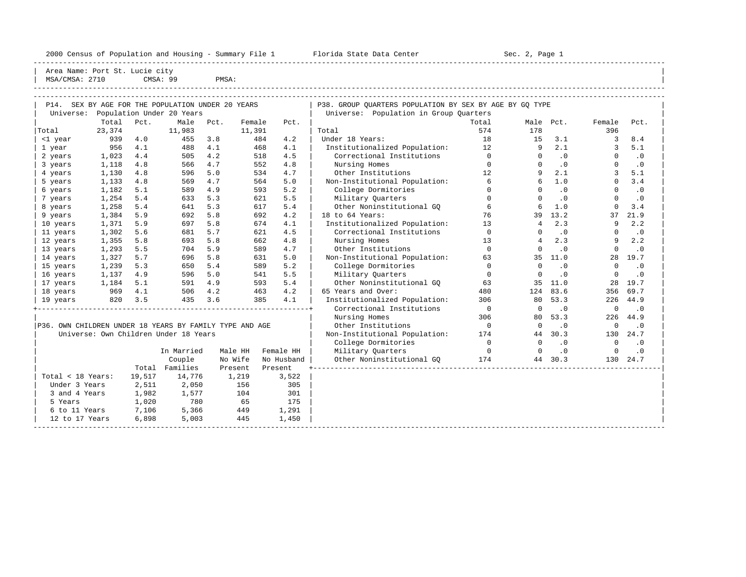----------------------------------------------------------------------------------------------------------------------------------------------------- Area Name: Port St. Lucie city | MSA/CMSA: 2710 CMSA: 99 PMSA:

----------------------------------------------------------------------------------------------------------------------------------------------------- -----------------------------------------------------------------------------------------------------------------------------------------------------

| P14.                                                    |        |        | SEX BY AGE FOR THE POPULATION UNDER 20 YEARS |      |         |            | P38. GROUP OUARTERS POPULATION BY SEX BY AGE BY GO TYPE |                |                |           |             |           |
|---------------------------------------------------------|--------|--------|----------------------------------------------|------|---------|------------|---------------------------------------------------------|----------------|----------------|-----------|-------------|-----------|
| Universe:                                               |        |        | Population Under 20 Years                    |      |         |            | Universe: Population in Group Quarters                  |                |                |           |             |           |
|                                                         | Total  | Pct.   | Male                                         | Pct. | Female  | Pct.       |                                                         | Total          | Male Pct.      |           | Female      | Pct.      |
| Total                                                   | 23,374 |        | 11,983                                       |      | 11,391  |            | Total                                                   | 574            | 178            |           | 396         |           |
| <1 year                                                 | 939    | 4.0    | 455                                          | 3.8  | 484     | 4.2        | Under 18 Years:                                         | 18             | 15             | 3.1       | 3           | 8.4       |
| 1 year                                                  | 956    | 4.1    | 488                                          | 4.1  | 468     | 4.1        | Institutionalized Population:                           | 12             | 9              | 2.1       | 3           | 5.1       |
| 2 years                                                 | 1,023  | 4.4    | 505                                          | 4.2  | 518     | 4.5        | Correctional Institutions                               | $\Omega$       | $\Omega$       | .0        | $\Omega$    | $\cdot$ 0 |
| 3 years                                                 | 1,118  | 4.8    | 566                                          | 4.7  | 552     | 4.8        | Nursing Homes                                           | $\Omega$       | $\Omega$       | $\cdot$ 0 | $\Omega$    | $\cdot$ 0 |
| 4 years                                                 | 1,130  | 4.8    | 596                                          | 5.0  | 534     | 4.7        | Other Institutions                                      | 12             | 9              | 2.1       | 3           | 5.1       |
| 5 years                                                 | 1,133  | 4.8    | 569                                          | 4.7  | 564     | 5.0        | Non-Institutional Population:                           | 6              | $\epsilon$     | 1.0       | $\Omega$    | 3.4       |
| 6 years                                                 | 1,182  | 5.1    | 589                                          | 4.9  | 593     | 5.2        | College Dormitories                                     | $\Omega$       | $\Omega$       | $\cdot$ 0 | $\Omega$    | $\cdot$ 0 |
| 7 years                                                 | 1,254  | 5.4    | 633                                          | 5.3  | 621     | 5.5        | Military Quarters                                       | $\Omega$       | $\Omega$       | $\cdot$ 0 | $\Omega$    | $\cdot$ 0 |
| 8 years                                                 | 1,258  | 5.4    | 641                                          | 5.3  | 617     | 5.4        | Other Noninstitutional GO                               | 6              | 6              | 1.0       | $\Omega$    | 3.4       |
| 9 years                                                 | 1,384  | 5.9    | 692                                          | 5.8  | 692     | 4.2        | 18 to 64 Years:                                         | 76             | 39             | 13.2      | 37          | 21.9      |
| 10 years                                                | 1,371  | 5.9    | 697                                          | 5.8  | 674     | 4.1        | Institutionalized Population:                           | 13             | $\overline{4}$ | 2.3       | 9           | 2.2       |
| 11 years                                                | 1,302  | 5.6    | 681                                          | 5.7  | 621     | 4.5        | Correctional Institutions                               | $\mathbf 0$    | $\Omega$       | .0        | $\Omega$    | $\cdot$ 0 |
| 12 years                                                | 1,355  | 5.8    | 693                                          | 5.8  | 662     | 4.8        | Nursing Homes                                           | 13             | $\overline{4}$ | 2.3       | 9           | 2.2       |
| 13 years                                                | 1,293  | 5.5    | 704                                          | 5.9  | 589     | 4.7        | Other Institutions                                      | $\Omega$       | $\Omega$       | .0        | $\mathbf 0$ | $\cdot$ 0 |
| 14 years                                                | 1,327  | 5.7    | 696                                          | 5.8  | 631     | 5.0        | Non-Institutional Population:                           | 63             |                | 35 11.0   | 28          | 19.7      |
| 15 years                                                | 1,239  | 5.3    | 650                                          | 5.4  | 589     | 5.2        | College Dormitories                                     | $\Omega$       | $\Omega$       | $\cdot$ 0 | $\Omega$    | $\cdot$ 0 |
| 16 years                                                | 1,137  | 4.9    | 596                                          | 5.0  | 541     | 5.5        | Military Quarters                                       | $\Omega$       | $\Omega$       | $\cdot$ 0 | $\Omega$    | $\cdot$ 0 |
| 17 years                                                | 1,184  | 5.1    | 591                                          | 4.9  | 593     | 5.4        | Other Noninstitutional GO                               | 63             | 35             | 11.0      | 28          | 19.7      |
| 18 years                                                | 969    | 4.1    | 506                                          | 4.2  | 463     | 4.2        | 65 Years and Over:                                      | 480            | 124            | 83.6      | 356         | 69.7      |
| 19 years                                                | 820    | 3.5    | 435                                          | 3.6  | 385     | 4.1        | Institutionalized Population:                           | 306            | 80             | 53.3      | 226         | 44.9      |
|                                                         |        |        |                                              |      |         |            | Correctional Institutions                               | $\overline{0}$ | $\mathbf 0$    | $\cdot$ 0 | $\mathbf 0$ | $\cdot$ 0 |
|                                                         |        |        |                                              |      |         |            | Nursing Homes                                           | 306            | 80             | 53.3      | 226         | 44.9      |
| P36. OWN CHILDREN UNDER 18 YEARS BY FAMILY TYPE AND AGE |        |        |                                              |      |         |            | Other Institutions                                      | $\overline{0}$ | $\Omega$       | $\cdot$ 0 | $\Omega$    | $\cdot$ 0 |
|                                                         |        |        | Universe: Own Children Under 18 Years        |      |         |            | Non-Institutional Population:                           | 174            | 44             | 30.3      | 130         | 24.7      |
|                                                         |        |        |                                              |      |         |            | College Dormitories                                     | $\Omega$       | $\mathbf 0$    | .0        | $\Omega$    | $\cdot$ 0 |
|                                                         |        |        | In Married                                   |      | Male HH | Female HH  | Military Quarters                                       | $\overline{0}$ | $\Omega$       | .0        | $\Omega$    | $\cdot$ 0 |
|                                                         |        |        | Couple                                       |      | No Wife | No Husband | Other Noninstitutional GO                               | 174            |                | 44 30.3   | 130         | 24.7      |
|                                                         |        | Total  | Families                                     |      | Present | Present    |                                                         |                |                |           |             |           |
| Total < 18 Years:                                       |        | 19,517 | 14,776                                       |      | 1,219   | 3,522      |                                                         |                |                |           |             |           |
| Under 3 Years                                           |        | 2,511  | 2,050                                        |      | 156     | 305        |                                                         |                |                |           |             |           |
| 3 and 4 Years                                           |        | 1,982  | 1,577                                        |      | 104     | 301        |                                                         |                |                |           |             |           |
| 5 Years                                                 |        | 1,020  | 780                                          |      | 65      | 175        |                                                         |                |                |           |             |           |
| 6 to 11 Years                                           |        | 7,106  | 5,366                                        |      | 449     | 1,291      |                                                         |                |                |           |             |           |
| 12 to 17 Years                                          |        | 6,898  | 5,003                                        |      | 445     | 1,450      |                                                         |                |                |           |             |           |
|                                                         |        |        |                                              |      |         |            |                                                         |                |                |           |             |           |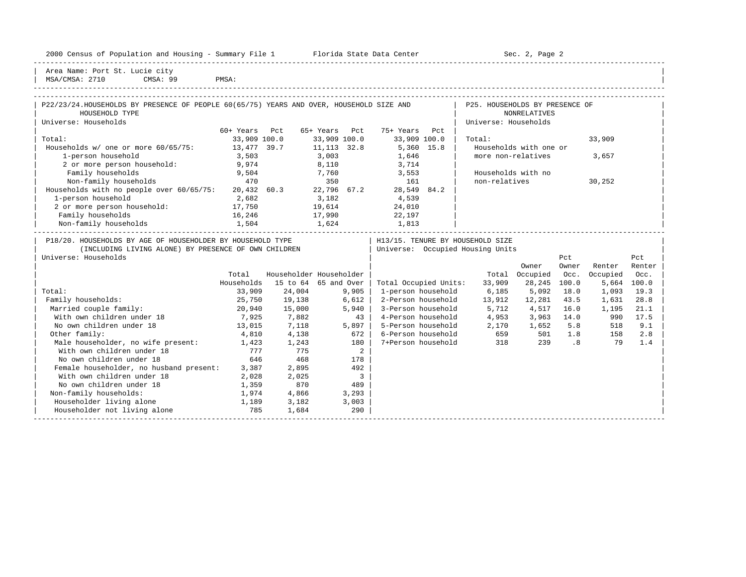| 2000<br>Jensus | and<br>Population | ---<br>Housing | ----<br>м. не<br>summa | $- - - -$<br>center<br>rıaa<br>.<br>va ua<br>blate | $C_{\Omega}$<br>Page |
|----------------|-------------------|----------------|------------------------|----------------------------------------------------|----------------------|
|                |                   |                |                        |                                                    |                      |

2000 Florida State Data Center - Summary Sec. 2, Page 2

| Area Name: Port St. Lucie city | | MSA/CMSA: 2710 CMSA: 99 PMSA:

| P22/23/24.HOUSEHOLDS BY PRESENCE OF PEOPLE 60(65/75) YEARS AND OVER, HOUSEHOLD SIZE AND<br>HOUSEHOLD TYPE                                  |               |                                            |               |                          |                                  | P25. HOUSEHOLDS BY PRESENCE OF   | NONRELATIVES           |              |               |               |
|--------------------------------------------------------------------------------------------------------------------------------------------|---------------|--------------------------------------------|---------------|--------------------------|----------------------------------|----------------------------------|------------------------|--------------|---------------|---------------|
| Universe: Households                                                                                                                       |               |                                            |               |                          |                                  | Universe: Households             |                        |              |               |               |
|                                                                                                                                            | 60+ Years Pct |                                            | 65+ Years Pct |                          | 75+ Years Pct                    |                                  |                        |              |               |               |
| Total:                                                                                                                                     | 33,909 100.0  |                                            | 33,909 100.0  |                          | 33,909 100.0                     | Total:                           |                        |              | 33,909        |               |
| Households w/ one or more 60/65/75: 13,477 39.7                                                                                            |               |                                            | 11, 113 32.8  |                          | 5,360 15.8                       |                                  | Households with one or |              |               |               |
| 1-person household                                                                                                                         | 3,503         |                                            | 3,003         |                          | 1,646                            | more non-relatives               |                        |              | 3,657         |               |
| 2 or more person household: 9,974                                                                                                          |               |                                            |               |                          | 8,110 3,714                      |                                  |                        |              |               |               |
| Family households                                                                                                                          | 9,504         |                                            |               |                          | $7,760$ 3,553                    |                                  | Households with no     |              |               |               |
| Non-family households                                                                                                                      | 470           |                                            |               |                          | 350 161                          | non-relatives                    |                        |              | 30,252        |               |
| Households with no people over 60/65/75: 20,432 60.3 22,796 67.2 28,549 84.2                                                               |               |                                            |               |                          |                                  |                                  |                        |              |               |               |
| 1-person household                                                                                                                         | 2,682         |                                            |               |                          | 4,539                            |                                  |                        |              |               |               |
| 2 or more person household: 17,750                                                                                                         |               |                                            |               |                          | 24,010<br>22,197                 |                                  |                        |              |               |               |
| Family households                                                                                                                          | 16,246        |                                            |               |                          |                                  |                                  |                        |              |               |               |
| Non-family households                                                                                                                      | 1,504         | $3,182$<br>$19,614$<br>$17,990$<br>$1,624$ |               |                          | 1,813                            |                                  |                        |              |               |               |
| P18/20. HOUSEHOLDS BY AGE OF HOUSEHOLDER BY HOUSEHOLD TYPE<br>(INCLUDING LIVING ALONE) BY PRESENCE OF OWN CHILDREN<br>Universe: Households |               |                                            |               |                          | H13/15. TENURE BY HOUSEHOLD SIZE | Universe: Occupied Housing Units | Owner                  | Pct<br>Owner | Renter        | Pct<br>Renter |
|                                                                                                                                            | Total         | Householder Householder                    |               |                          |                                  |                                  | Total Occupied         |              | Occ. Occupied | Occ.          |
|                                                                                                                                            | Households    | 15 to 64 65 and Over                       |               |                          | Total Occupied Units:            | 33,909                           | 28,245                 | 100.0        | 5,664 100.0   |               |
| Total:                                                                                                                                     | 33,909        | 24,004                                     |               | 9,905                    | 1-person household               | $6,185$ $5,092$                  |                        | 18.0         | 1,093         | 19.3          |
| Family households:                                                                                                                         | 25,750        | 19,138                                     | 6,612         |                          |                                  | 2-Person household 13,912        | 12,281                 | 43.5         | 1,631         | 28.8          |
| Married couple family:                                                                                                                     | 20,940        | 15,000                                     |               | 5,940                    | 3-Person household               | 5,712                            | 4,517 16.0             |              | 1,195         | 21.1          |
| With own children under 18                                                                                                                 | 7,925         | 7,882                                      |               | 43                       | 4-Person household               | 4,953                            | 3,963 14.0             |              | 990           | 17.5          |
| No own children under 18                                                                                                                   | 13,015        | 7,118                                      |               | 5,897                    | 5-Person household               | 2,170                            | 1,652                  | 5.8          | 518           | 9.1           |
| Other family:                                                                                                                              | 4,810         | 4,138                                      |               | 672                      | 6-Person household               |                                  | 659 501 1.8            |              | 158           | 2.8           |
| Male householder, no wife present: 1,423                                                                                                   |               | 1,243                                      |               | 180                      | 7+Person household               | 318                              |                        | 239 .8       | 79            | 1.4           |
| With own children under 18                                                                                                                 | 777           | 775                                        |               | $\overline{a}$           |                                  |                                  |                        |              |               |               |
| No own children under 18                                                                                                                   | 646           | 468                                        |               | 178                      |                                  |                                  |                        |              |               |               |
| Female householder, no husband present: 3,387                                                                                              |               | 2,895                                      |               | 492                      |                                  |                                  |                        |              |               |               |
| With own children under 18                                                                                                                 | 2,028         | 2,025                                      |               | $\overline{\phantom{a}}$ |                                  |                                  |                        |              |               |               |
| No own children under 18                                                                                                                   | 1,359         | 870                                        |               | 489                      |                                  |                                  |                        |              |               |               |
| Non-family households:                                                                                                                     | 1,974         | 4,866                                      |               | 3,293                    |                                  |                                  |                        |              |               |               |
| Householder living alone                                                                                                                   | 1,189         | 3,182                                      |               | 3,003                    |                                  |                                  |                        |              |               |               |
| Householder not living alone                                                                                                               | 785           | 1,684                                      |               | 290                      |                                  |                                  |                        |              |               |               |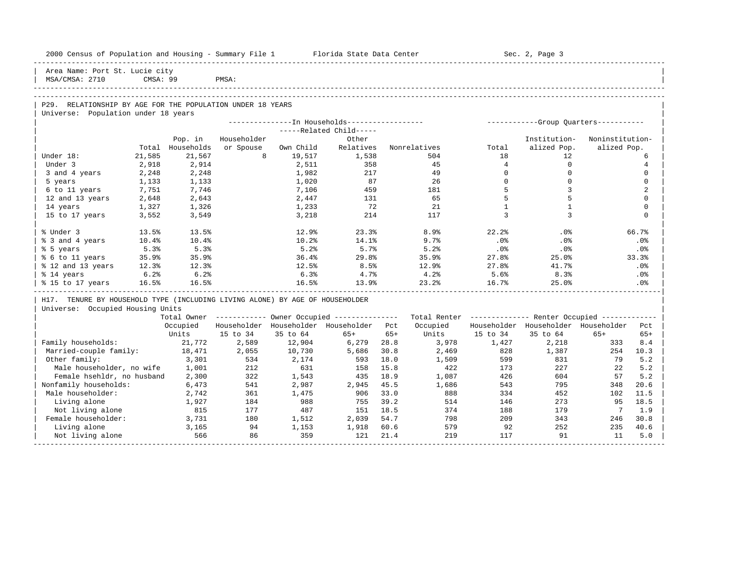| 2000 Census of Population and Housing - Summary File 1 Florida State Data Center                  |          |              |             |                                                        |                         |              |              |                 | Sec. 2, Page 3                                          |                              |                |
|---------------------------------------------------------------------------------------------------|----------|--------------|-------------|--------------------------------------------------------|-------------------------|--------------|--------------|-----------------|---------------------------------------------------------|------------------------------|----------------|
| Area Name: Port St. Lucie city<br>MSA/CMSA: 2710                                                  | CMSA: 99 |              | PMSA:       |                                                        |                         |              |              |                 |                                                         |                              |                |
|                                                                                                   |          |              |             |                                                        |                         |              |              |                 |                                                         |                              |                |
|                                                                                                   |          |              |             |                                                        |                         |              |              |                 |                                                         |                              |                |
| P29. RELATIONSHIP BY AGE FOR THE POPULATION UNDER 18 YEARS<br>Universe: Population under 18 years |          |              |             |                                                        |                         |              |              |                 |                                                         |                              |                |
|                                                                                                   |          |              |             |                                                        |                         |              |              |                 |                                                         |                              |                |
|                                                                                                   |          |              |             |                                                        | -----Related Child----- |              |              |                 |                                                         |                              |                |
|                                                                                                   |          | Pop. in      | Householder |                                                        | Other                   |              |              |                 | Institution-                                            | Noninstitution-              |                |
|                                                                                                   | Total    | Households   | or Spouse   | Own Child                                              | Relatives               |              | Nonrelatives | Total           | alized Pop.                                             | alized Pop.                  |                |
| Under 18:                                                                                         | 21,585   | 21,567       | 8           | 19,517                                                 | 1,538                   |              | 504          | 18              | 12                                                      |                              | 6              |
| Under 3                                                                                           | 2,918    | 2,914        |             | 2,511                                                  | 358                     |              | 45           | $4\overline{ }$ | $\circ$                                                 |                              | 4              |
| 3 and 4 years                                                                                     | 2,248    | 2,248        |             | 1,982                                                  | 217                     |              | 49           | $\Omega$        | $\mathbf 0$                                             |                              | $\Omega$       |
| 5 years                                                                                           | 1,133    | 1,133        |             | 1,020                                                  | 87                      |              | 26           | $\Omega$        | $\Omega$                                                |                              | $\Omega$       |
| 6 to 11 years                                                                                     | 7,751    | 7,746        |             | 7,106                                                  | 459                     |              | 181          | 5               | 3                                                       |                              | $\overline{a}$ |
| 12 and 13 years                                                                                   | 2,648    | 2,643        |             | 2,447                                                  | 131                     |              | 65           | 5               | 5                                                       |                              | $\Omega$       |
| 14 years                                                                                          | 1,327    | 1,326        |             | 1,233                                                  | 72                      |              | 21           | <sup>1</sup>    | $\mathbf{1}$                                            |                              | $\Omega$       |
| 15 to 17 years                                                                                    | 3,552    | 3,549        |             | 3,218                                                  | 214                     |              | 117          | 3               | 3                                                       |                              | $\Omega$       |
| % Under 3                                                                                         | 13.5%    | 13.5%        |             | 12.9%                                                  | 23.3%                   |              | 8.9%         | 22.2%           | .0%                                                     |                              | 66.7%          |
| % 3 and 4 years                                                                                   | 10.4%    | 10.4%        |             | 10.2%                                                  | 14.1%                   |              | 9.7%         | .0%             | .0%                                                     |                              | .0%            |
| % 5 years                                                                                         | 5.3%     | 5.3%         |             | 5.2%                                                   | 5.7%                    |              | 5.2%         | $.0\%$          | $.0\%$                                                  |                              | $.0\%$         |
| % 6 to 11 years                                                                                   | 35.9%    | 35.9%        |             | 36.4%                                                  | 29.8%                   |              | 35.9%        | 27.8%           | 25.0%                                                   |                              | 33.3%          |
| % 12 and 13 years                                                                                 | 12.3%    | 12.3%        |             | 12.5%                                                  | 8.5%                    |              | 12.9%        | 27.8%           | 41.7%                                                   |                              | $.0\%$         |
| % 14 years                                                                                        | 6.2%     | 6.2%         |             | 6.3%                                                   | 4.7%                    |              | 4.2%         | 5.6%            | 8.3%                                                    |                              | $.0\%$         |
| % 15 to 17 years                                                                                  | 16.5%    | 16.5%        |             | 16.5%                                                  | 13.9%                   |              | 23.2%        | 16.7%           | 25.0%                                                   |                              | .0%            |
| H17. TENURE BY HOUSEHOLD TYPE (INCLUDING LIVING ALONE) BY AGE OF HOUSEHOLDER                      |          |              |             |                                                        |                         |              |              |                 |                                                         |                              |                |
| Universe: Occupied Housing Units                                                                  |          |              |             |                                                        |                         |              |              |                 |                                                         |                              |                |
|                                                                                                   |          |              |             | Total Owner ------------ Owner Occupied -------------- |                         |              |              |                 | Total Renter ------------- Renter Occupied ------------ |                              |                |
|                                                                                                   |          | Occupied     |             | Householder Householder Householder Pct                |                         |              | Occupied     |                 | Householder Householder Householder                     |                              | Pct            |
|                                                                                                   |          | Units        | 15 to 34    | 35 to 64                                               | $65+$                   | $65+$        | Units        | 15 to 34        | 35 to 64                                                | $65+$                        | $65+$          |
| Family households:                                                                                |          | 21,772       | 2,589       | 12,904                                                 | 6,279                   | 28.8         | 3,978        | 1,427           | 2,218                                                   | 333                          | 8.4            |
| Married-couple family:                                                                            |          | 18,471       | 2,055       | 10,730                                                 | 5,686                   | 30.8         | 2,469        | 828             | 1,387                                                   | 254                          | 10.3           |
| Other family:                                                                                     |          | 3,301        | 534         | 2,174                                                  | 593                     | 18.0         | 1,509        | 599             | 831                                                     | 79                           | 5.2            |
| Male householder, no wife                                                                         |          | 1,001        | 212         | 631                                                    | 158                     | 15.8         | 422          | 173             | 227                                                     | 22                           | 5.2            |
| Female hsehldr, no husband                                                                        |          | 2,300        | 322         | 1,543                                                  | 435                     | 18.9         | 1,087        | 426             | 604                                                     | 57                           | 5.2            |
| Nonfamily households:                                                                             |          | 6,473        | 541         | 2,987                                                  | 2,945                   | 45.5         | 1,686        | 543             | 795                                                     | 348                          | 20.6           |
| Male householder:                                                                                 |          | 2,742        | 361         | 1,475                                                  | 906                     | 33.0         | 888          | 334             | 452                                                     | 102                          | 11.5           |
| Living alone                                                                                      |          | 1,927        | 184         | 988                                                    | 755                     | 39.2         | 514          | 146             | 273                                                     | 95                           | 18.5           |
| Not living alone                                                                                  |          | 815          | 177         | 487                                                    | 151                     | 18.5         | 374          | 188             | 179                                                     | $7\phantom{.0}\phantom{.0}7$ | 1.9            |
| Female householder:                                                                               |          | 3,731        | 180         | 1,512                                                  | 2,039                   | 54.7         | 798          | 209             | 343                                                     | 246                          | 30.8           |
| Living alone                                                                                      |          | 3,165<br>566 | 94<br>86    | 1,153<br>359                                           | 1,918<br>121            | 60.6<br>21.4 | 579<br>219   | 92<br>117       | 252<br>91                                               | 235<br>11                    | 40.6           |
| Not living alone                                                                                  |          |              |             |                                                        |                         |              |              |                 |                                                         |                              | 5.0            |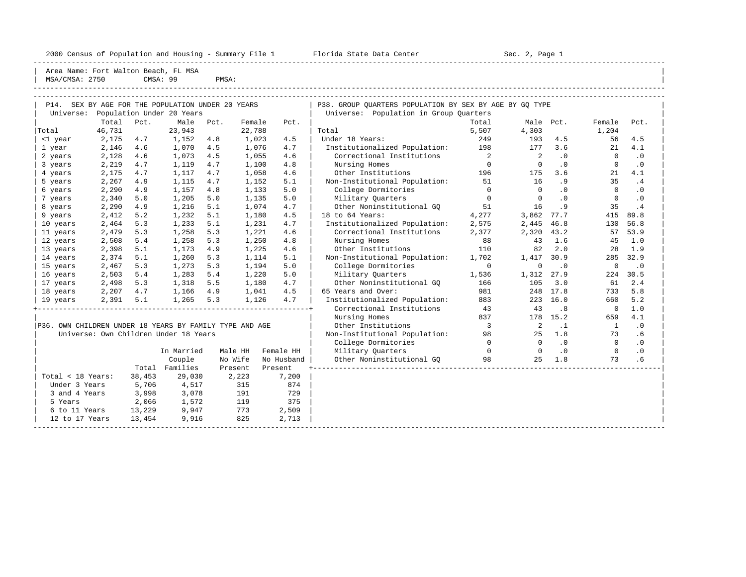----------------------------------------------------------------------------------------------------------------------------------------------------- | Area Name: Fort Walton Beach, FL MSA

| MSA.<br>'CMSA: | 2750 | -99<br>CMSA: | PMSA: |  |
|----------------|------|--------------|-------|--|
|                |      |              |       |  |

| P14. SEX BY AGE FOR THE POPULATION UNDER 20 YEARS       |        |        |                                       |      |         |            | P38. GROUP OUARTERS POPULATION BY SEX BY AGE BY GQ TYPE |                            |                          |           |                |           |
|---------------------------------------------------------|--------|--------|---------------------------------------|------|---------|------------|---------------------------------------------------------|----------------------------|--------------------------|-----------|----------------|-----------|
| Universe:                                               |        |        | Population Under 20 Years             |      |         |            | Universe: Population in Group Quarters                  |                            |                          |           |                |           |
|                                                         | Total  | Pct.   | Male                                  | Pct. | Female  | Pct.       |                                                         | Total                      | Male Pct.                |           | Female         | Pct.      |
| Total                                                   | 46,731 |        | 23,943                                |      | 22,788  |            | Total                                                   | 5,507                      | 4,303                    |           | 1,204          |           |
| <1 year                                                 | 2,175  | 4.7    | 1,152                                 | 4.8  | 1,023   | 4.5        | Under 18 Years:                                         | 249                        | 193                      | 4.5       | 56             | 4.5       |
| 1 year                                                  | 2,146  | 4.6    | 1,070                                 | 4.5  | 1,076   | 4.7        | Institutionalized Population:                           | 198                        | 177                      | 3.6       | 21             | 4.1       |
| 2 years                                                 | 2,128  | 4.6    | 1,073                                 | 4.5  | 1,055   | 4.6        | Correctional Institutions                               | $\overline{\phantom{a}}$ 2 | $\overline{\phantom{a}}$ | $\cdot$ 0 | $\Omega$       | $\cdot$ 0 |
| 3 years                                                 | 2,219  | 4.7    | 1,119                                 | 4.7  | 1,100   | 4.8        | Nursing Homes                                           | $\overline{0}$             | $\overline{0}$           | $\cdot$ 0 | $\Omega$       | $\cdot$ 0 |
| 4 years                                                 | 2,175  | 4.7    | 1,117                                 | 4.7  | 1,058   | 4.6        | 196<br>Other Institutions                               |                            | 175                      | 3.6       | 21             | 4.1       |
| 5 years                                                 | 2,267  | 4.9    | 1,115                                 | 4.7  | 1,152   | 5.1        | Non-Institutional Population: 51                        |                            | 16                       | .9        | 35             | .4        |
| 6 years                                                 | 2,290  | 4.9    | 1,157                                 | 4.8  | 1,133   | 5.0        | College Dormitories                                     | $\overline{0}$             | $\bigcirc$               | $\cdot$ 0 | $\Omega$       | $\cdot$ 0 |
| 7 years                                                 | 2,340  | 5.0    | 1,205                                 | 5.0  | 1,135   | 5.0        | Military Quarters                                       | $\overline{0}$             | $\overline{0}$           | .0        | $\mathbf{0}$   | .0        |
| 8 years                                                 | 2,290  | 4.9    | 1,216                                 | 5.1  | 1,074   | 4.7        | Other Noninstitutional GO                               | 51                         | 16                       | .9        | 35             | .4        |
| 9 years                                                 | 2,412  | 5.2    | 1,232                                 | 5.1  | 1,180   | 4.5        | 18 to 64 Years:                                         | 4,277                      | 3,862                    | 77.7      | 415            | 89.8      |
| 10 years                                                | 2,464  | 5.3    | 1,233                                 | 5.1  | 1,231   | 4.7        | Institutionalized Population:                           | 2,575                      | 2,445                    | 46.8      | 130            | 56.8      |
| 11 years                                                | 2,479  | 5.3    | 1,258                                 | 5.3  | 1,221   | 4.6        | Correctional Institutions                               | 2,377                      | 2,320 43.2               |           | 57             | 53.9      |
| 12 years                                                | 2,508  | 5.4    | 1,258                                 | 5.3  | 1,250   | 4.8        | Nursing Homes                                           | 88                         | 43                       | 1.6       | 45             | 1.0       |
| 13 years                                                | 2,398  | 5.1    | 1,173                                 | 4.9  | 1,225   | 4.6        | 110<br>Other Institutions                               |                            | 82                       | 2.0       | 28             | 1.9       |
| 14 years                                                | 2,374  | 5.1    | 1,260                                 | 5.3  | 1,114   | 5.1        | Non-Institutional Population:                           | 1,702                      | 1,417 30.9               |           | 285            | 32.9      |
| 15 years                                                | 2,467  | 5.3    | 1,273                                 | 5.3  | 1,194   | 5.0        | College Dormitories                                     | $\overline{0}$             | $\mathbf 0$              | $\cdot$ 0 | $\mathbf 0$    | $\cdot$ 0 |
| 16 years                                                | 2,503  | 5.4    | 1,283                                 | 5.4  | 1,220   | 5.0        | Military Ouarters                                       | 1,536                      | 1,312 27.9               |           | 224            | 30.5      |
| 17 years                                                | 2,498  | 5.3    | 1,318                                 | 5.5  | 1,180   | 4.7        | Other Noninstitutional GO                               | 166                        | 105                      | 3.0       | 61             | 2.4       |
| 18 years                                                | 2,207  | 4.7    | 1,166 4.9                             |      | 1,041   | 4.5        | 65 Years and Over:                                      | 981                        |                          | 248 17.8  | 733            | 5.8       |
| 19 years                                                | 2,391  | 5.1    | 1,265 5.3                             |      | 1,126   | 4.7        | Institutionalized Population:                           | 883                        |                          | 223 16.0  | 660            | 5.2       |
|                                                         |        |        |                                       |      |         |            | Correctional Institutions                               | 43                         | 43                       | .8        | $\overline{0}$ | 1.0       |
|                                                         |        |        |                                       |      |         |            | Nursing Homes                                           | 837                        |                          | 178 15.2  | 659            | 4.1       |
| P36. OWN CHILDREN UNDER 18 YEARS BY FAMILY TYPE AND AGE |        |        |                                       |      |         |            | Other Institutions                                      | $\sim$ 3                   | $\overline{\phantom{0}}$ | $\cdot$ 1 | $\mathbf{1}$   | $\cdot$ 0 |
|                                                         |        |        | Universe: Own Children Under 18 Years |      |         |            | Non-Institutional Population: 98                        |                            | 25                       | 1.8       | 73             | .6        |
|                                                         |        |        |                                       |      |         |            | College Dormitories                                     | $\Omega$                   | $\Omega$                 | $\cdot$ 0 | $\Omega$       | $\cdot$ 0 |
|                                                         |        |        | In Married                            |      | Male HH | Female HH  | Military Quarters                                       | $\overline{0}$             | $\sim$ 0                 | $\cdot$ 0 | $\overline{0}$ | $\cdot$ 0 |
|                                                         |        |        | Couple                                |      | No Wife | No Husband | Other Noninstitutional GO                               | 98                         | 25                       | 1.8       | 73             | .6        |
|                                                         |        |        | Total Families                        |      | Present | Present    |                                                         |                            |                          |           |                |           |
| Total < 18 Years:                                       |        | 38,453 | 29,030                                |      | 2,223   | 7,200      |                                                         |                            |                          |           |                |           |
| Under 3 Years                                           |        | 5,706  | 4,517                                 |      | 315     | 874        |                                                         |                            |                          |           |                |           |
| 3 and 4 Years                                           |        | 3,998  | 3,078                                 |      | 191     | 729        |                                                         |                            |                          |           |                |           |
| 5 Years                                                 |        | 2,066  | 1,572                                 |      | 119     | 375        |                                                         |                            |                          |           |                |           |
| 6 to 11 Years 13,229                                    |        |        | 9,947                                 |      | 773     | 2,509      |                                                         |                            |                          |           |                |           |
| 12 to 17 Years                                          |        | 13,454 | 9,916                                 |      | 825     | 2,713      |                                                         |                            |                          |           |                |           |
|                                                         |        |        |                                       |      |         |            |                                                         |                            |                          |           |                |           |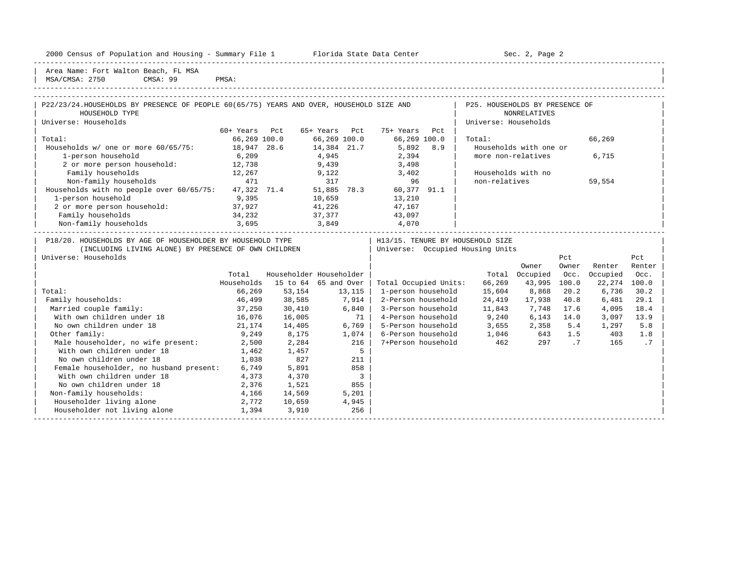| 2000 Census of Population and Housing - Summary File 1 |  |  |
|--------------------------------------------------------|--|--|
|--------------------------------------------------------|--|--|

With own children under  $18$  1,462 1,457

No own children under 18 1,038 827 211 Female householder, no husband present:  $6,749$  5,891 858<br>With own children under 18  $4,373$   $4,370$  3 With own children under 18 4,373 4,370 3<br>No own children under 18 2,376 1,521 855

Non-family households:  $4,166$   $14,569$  5,201 Householder living alone 2,772 10,659 4,945<br>
Householder not living alone 1,394 3,910 256 Householder not living alone 1,394 3,910 256 -----------------------------------------------------------------------------------------------------------------------------------------------------

Plorida State Data Center - Sec. 2, Page 2

-----------------------------------------------------------------------------------------------------------------------------------------------------

Area Name: Fort Walton Beach, FL MSA

No own children under 18

| P22/23/24.HOUSEHOLDS BY PRESENCE OF PEOPLE 60(65/75) YEARS AND OVER, HOUSEHOLD SIZE AND |               |                         |               |        |                       |     | P25. HOUSEHOLDS BY PRESENCE OF   |                        |       |          |        |
|-----------------------------------------------------------------------------------------|---------------|-------------------------|---------------|--------|-----------------------|-----|----------------------------------|------------------------|-------|----------|--------|
| HOUSEHOLD TYPE                                                                          |               |                         |               |        |                       |     |                                  | <b>NONRELATIVES</b>    |       |          |        |
| Universe: Households                                                                    |               |                         |               |        |                       |     | Universe: Households             |                        |       |          |        |
|                                                                                         | 60+ Years Pct |                         | 65+ Years Pct |        | 75+ Years             | Pct |                                  |                        |       |          |        |
| Total:                                                                                  | 66,269 100.0  |                         | 66,269 100.0  |        | 66,269 100.0          |     | Total:                           |                        |       | 66,269   |        |
| Households w/ one or more 60/65/75: 18,947 28.6                                         |               |                         |               |        | 14,384 21.7 5,892 8.9 |     |                                  | Households with one or |       |          |        |
| 1-person household                                                                      | 6,209         |                         | 4,945         |        | 2,394                 |     | more non-relatives               |                        |       | 6,715    |        |
| 2 or more person household: 12,738                                                      |               |                         | 9,439         |        | 3,498                 |     |                                  |                        |       |          |        |
| Family households                                                                       | 12,267        | 9,122                   |               |        | 3,402                 |     | Households with no               |                        |       |          |        |
| Non-family households<br>471                                                            |               |                         | 317           |        | 96                    |     | non-relatives                    |                        |       | 59,554   |        |
| Households with no people over 60/65/75: 47,322 71.4 51,885 78.3                        |               |                         |               |        | 60,377 91.1           |     |                                  |                        |       |          |        |
| 1-person household                                                                      | 9,395         |                         | 10,659        |        | 13,210                |     |                                  |                        |       |          |        |
| 2 or more person household: 37,927                                                      |               |                         | 41,226        |        | 47,167                |     |                                  |                        |       |          |        |
| Family households<br>34,232                                                             |               |                         |               |        | 37,377 43,097         |     |                                  |                        |       |          |        |
| Non-family households 3,695                                                             |               | 3,849                   |               |        | 4,070                 |     |                                  |                        |       |          |        |
| P18/20. HOUSEHOLDS BY AGE OF HOUSEHOLDER BY HOUSEHOLD TYPE                              |               |                         |               |        |                       |     | H13/15. TENURE BY HOUSEHOLD SIZE |                        |       |          |        |
| (INCLUDING LIVING ALONE) BY PRESENCE OF OWN CHILDREN                                    |               |                         |               |        |                       |     | Universe: Occupied Housing Units |                        |       |          |        |
| Universe: Households                                                                    |               |                         |               |        |                       |     |                                  |                        | Pct   |          | Pct    |
|                                                                                         |               |                         |               |        |                       |     |                                  | Owner                  | Owner | Renter   | Renter |
|                                                                                         | Total         | Householder Householder |               |        |                       |     | Total                            | Occupied               | Occ.  | Occupied | Occ.   |
|                                                                                         | Households    | 15 to 64 65 and Over    |               |        | Total Occupied Units: |     | 66,269                           | 43,995 100.0           |       | 22,274   | 100.0  |
| Total:                                                                                  | 66,269        | 53,154                  |               | 13,115 | 1-person household    |     | 15,604                           | 8,868                  | 20.2  | 6,736    | 30.2   |
| Family households:                                                                      |               | 46,499 38,585           |               | 7,914  | 2-Person household    |     | 24,419                           | 17,938                 | 40.8  | 6,481    | 29.1   |
| Married couple family:                                                                  | 37,250        | 30,410                  |               | 6,840  | 3-Person household    |     | 11,843                           | 7,748                  | 17.6  | 4,095    | 18.4   |
| With own children under 18                                                              | 16,076        | 16,005                  |               | 71     | 4-Person household    |     | 9,240                            | 6,143                  | 14.0  | 3,097    | 13.9   |
| No own children under 18                                                                | 21,174        | 14,405                  |               | 6,769  | 5-Person household    |     | 3,655                            | 2,358                  | 5.4   | 1,297    | 5.8    |
| Other family:                                                                           | 9,249         | 8,175                   |               | 1,074  | 6-Person household    |     | 1,046 643                        |                        | 1.5   | 403      | 1.8    |
| Male householder, no wife present: 2,500                                                |               | 2,284                   |               | 216    | 7+Person household    |     | 462                              | 297                    | .7    | 165      | .7     |
| With own children under 18                                                              | 1,462         | 1,457                   |               | $5 -$  |                       |     |                                  |                        |       |          |        |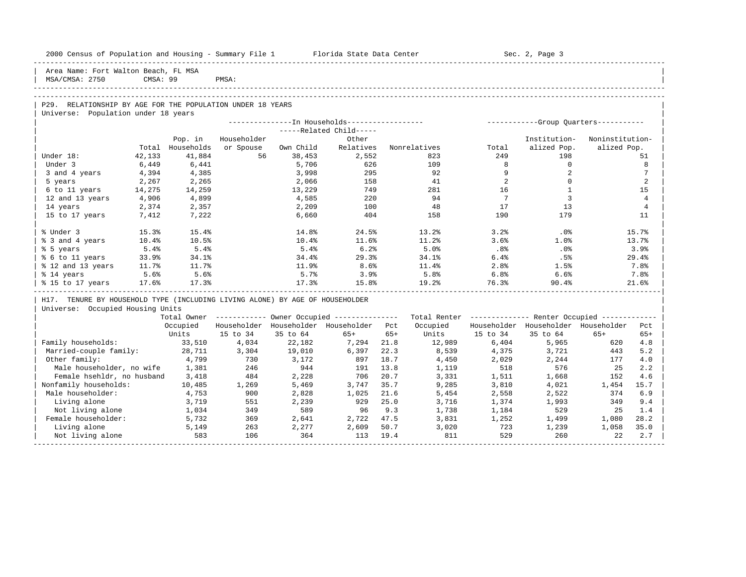| 2000 Census of Population and Housing - Summary File 1 Florida State Data Center |          |            |             |           |                                                        |       |                                                         |                 | Sec. 2, Page 3                          |                 |                |
|----------------------------------------------------------------------------------|----------|------------|-------------|-----------|--------------------------------------------------------|-------|---------------------------------------------------------|-----------------|-----------------------------------------|-----------------|----------------|
| Area Name: Fort Walton Beach, FL MSA<br>MSA/CMSA: 2750                           | CMSA: 99 |            | PMSA:       |           |                                                        |       |                                                         |                 |                                         |                 |                |
|                                                                                  |          |            |             |           |                                                        |       |                                                         |                 |                                         |                 |                |
| P29. RELATIONSHIP BY AGE FOR THE POPULATION UNDER 18 YEARS                       |          |            |             |           |                                                        |       |                                                         |                 |                                         |                 |                |
| Universe: Population under 18 years                                              |          |            |             |           |                                                        |       |                                                         |                 |                                         |                 |                |
|                                                                                  |          |            |             |           | ---------------- In Households------------------       |       |                                                         |                 | ------------Group Quarters-----------   |                 |                |
|                                                                                  |          |            |             |           | -----Related Child-----                                |       |                                                         |                 |                                         |                 |                |
|                                                                                  |          | Pop. in    | Householder |           | Other                                                  |       |                                                         |                 | Institution-                            | Noninstitution- |                |
|                                                                                  | Total    | Households | or Spouse   | Own Child | Relatives                                              |       | Nonrelatives                                            | Total           | alized Pop.                             | alized Pop.     |                |
| Under 18:                                                                        | 42,133   | 41,884     | 56          | 38,453    | 2,552                                                  |       | 823                                                     | 249             | 198                                     |                 | 51             |
| Under 3                                                                          | 6,449    | 6,441      |             | 5,706     | 626                                                    |       | 109                                                     | 8               | $\circ$                                 |                 | 8              |
| 3 and 4 years                                                                    | 4,394    | 4,385      |             | 3,998     | 295                                                    |       | 92                                                      | 9               | 2                                       |                 | 7              |
| 5 years                                                                          | 2,267    | 2,265      |             | 2,066     | 158                                                    |       | 41                                                      | 2               | $\mathbf 0$                             |                 | 2              |
| 6 to 11 years                                                                    | 14,275   | 14,259     |             | 13,229    | 749                                                    |       | 281                                                     | 16              | <sup>1</sup>                            |                 | 15             |
| 12 and 13 years                                                                  | 4,906    | 4,899      |             | 4,585     | 220                                                    |       | 94                                                      | $7\phantom{0}7$ | $\overline{3}$                          |                 | 4              |
| 14 years                                                                         | 2,374    | 2,357      |             | 2,209     | 100                                                    |       | 48                                                      | 17              | 13                                      |                 | $\overline{4}$ |
| 15 to 17 years                                                                   | 7,412    | 7,222      |             | 6,660     | 404                                                    |       | 158                                                     | 190             | 179                                     |                 | 11             |
| % Under 3                                                                        | 15.3%    | 15.4%      |             | 14.8%     | 24.5%                                                  |       | 13.2%                                                   | 3.2%            | $.0\%$                                  |                 | 15.7%          |
| % 3 and 4 years                                                                  | 10.4%    | 10.5%      |             | 10.4%     | 11.6%                                                  |       | 11.2%                                                   | 3.6%            | 1.0%                                    |                 | 13.7%          |
| % 5 years                                                                        | 5.4%     | 5.4%       |             | 5.4%      | 6.2%                                                   |       | 5.0%                                                    | $.8\%$          | .0%                                     |                 | 3.9%           |
| % 6 to 11 years                                                                  | 33.9%    | 34.1%      |             | 34.4%     | 29.3%                                                  |       | 34.1%                                                   | 6.4%            | .5%                                     |                 | 29.4%          |
| % 12 and 13 years                                                                | 11.7%    | 11.7%      |             | 11.9%     | 8.6%                                                   |       | 11.4%                                                   | 2.8%            | 1.5%                                    |                 | 7.8%           |
| % 14 years                                                                       | 5.6%     | 5.6%       |             | 5.7%      | 3.9%                                                   |       | 5.8%                                                    | 6.8%            | 6.6%                                    |                 | 7.8%           |
| % 15 to 17 years 17.6%                                                           |          | 17.3%      |             | 17.3%     | 15.8%                                                  |       | 19.2%                                                   | 76.3%           | 90.4%                                   |                 | 21.6%          |
| H17. TENURE BY HOUSEHOLD TYPE (INCLUDING LIVING ALONE) BY AGE OF HOUSEHOLDER     |          |            |             |           |                                                        |       |                                                         |                 |                                         |                 |                |
| Universe: Occupied Housing Units                                                 |          |            |             |           |                                                        |       |                                                         |                 |                                         |                 |                |
|                                                                                  |          |            |             |           | Total Owner ------------ Owner Occupied -------------- |       | Total Renter ------------- Renter Occupied ------------ |                 |                                         |                 |                |
|                                                                                  |          |            |             |           | Occupied Householder Householder Householder Pct       |       | Occupied                                                |                 | Householder Householder Householder Pct |                 |                |
|                                                                                  |          | Units      | 15 to 34    | 35 to 64  | $65+$                                                  | $65+$ |                                                         | Units 15 to 34  | 35 to 64                                | $65+$           | $65+$          |
| Family households:                                                               |          | 33,510     | 4,034       | 22,182    | 7,294                                                  | 21.8  | 12,989                                                  | 6,404           | 5,965                                   | 620             | 4.8            |
| Married-couple family:                                                           |          | 28,711     | 3,304       | 19,010    | 6,397                                                  | 22.3  | 8,539                                                   | 4,375           | 3,721                                   | 443             | 5.2            |
| Other family:                                                                    |          | 4,799      | 730         | 3,172     | 897                                                    | 18.7  | 4,450                                                   | 2,029           | 2,244                                   | 177             | 4.0            |
| Male householder, no wife                                                        |          | 1,381      | 246         | 944       | 191                                                    | 13.8  | 1,119                                                   | 518             | 576                                     | 25              | 2.2            |
| Female hsehldr, no husband                                                       |          | 3,418      | 484         | 2,228     | 706                                                    | 20.7  | 3,331                                                   | 1,511           | 1,668                                   | 152             | 4.6            |
| Nonfamily households:                                                            |          | 10,485     | 1,269       | 5,469     | 3,747                                                  | 35.7  | 9,285                                                   | 3,810           | 4,021                                   | 1,454           | 15.7           |
| Male householder:                                                                |          | 4,753      | 900         | 2,828     | 1,025                                                  | 21.6  | 5,454                                                   | 2,558           | 2,522                                   | 374             | 6.9            |
| Living alone                                                                     |          | 3,719      | 551         | 2,239     | 929                                                    | 25.0  | 3,716                                                   | 1,374           | 1,993                                   | 349             | 9.4            |
| Not living alone                                                                 |          | 1,034      | 349         | 589       | 96                                                     | 9.3   | 1,738                                                   | 1,184           | 529                                     | 25              | 1.4            |
| Female householder:                                                              |          | 5,732      | 369         | 2,641     | 2,722                                                  | 47.5  | 3,831                                                   | 1,252           | 1,499                                   | 1,080           | 28.2           |

| Living alone 5,149 263 2,277 2,609 50.7 3,020 723 1,239 1,058 35.0 | | Not living alone 583 106 364 113 19.4 811 529 260 22 2.7 | -----------------------------------------------------------------------------------------------------------------------------------------------------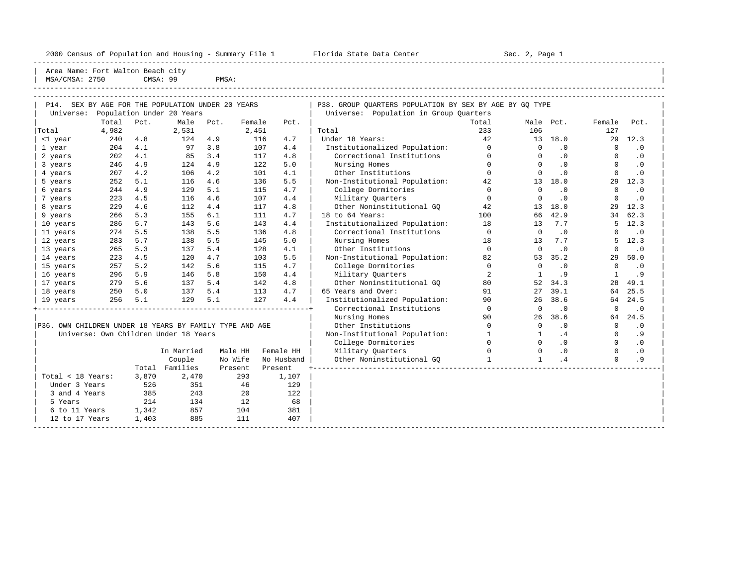----------------------------------------------------------------------------------------------------------------------------------------------------- Area Name: Fort Walton Beach city | MSA/CMSA: 2750 CMSA: 99 PMSA:

| P14. SEX BY AGE FOR THE POPULATION UNDER 20 YEARS       |       |         |                                       |      |         |            | P38. GROUP QUARTERS POPULATION BY SEX BY AGE BY GQ TYPE |                |          |           |          |           |
|---------------------------------------------------------|-------|---------|---------------------------------------|------|---------|------------|---------------------------------------------------------|----------------|----------|-----------|----------|-----------|
| Universe:                                               |       |         | Population Under 20 Years             |      |         |            | Universe: Population in Group Quarters                  |                |          |           |          |           |
|                                                         | Total | Pct.    | Male                                  | Pct. | Female  | Pct.       |                                                         | Total          |          | Male Pct. | Female   | Pct.      |
| Total                                                   | 4,982 |         | 2,531                                 |      | 2,451   |            | Total                                                   | 233            | 106      |           | 127      |           |
| <1 year                                                 | 240   | 4.8     | 124                                   | 4.9  | 116     | 4.7        | Under 18 Years:                                         | 42             |          | 13 18.0   |          | 29 12.3   |
| 1 year                                                  | 204   | 4.1     | 97                                    | 3.8  | 107     | 4.4        | Institutionalized Population:                           | $\mathbf{0}$   | $\Omega$ | .0        | $\Omega$ | $\cdot$ 0 |
| 2 years                                                 | 202   | 4.1     | 85                                    | 3.4  | 117     | 4.8        | Correctional Institutions                               | $\mathbf 0$    | $\Omega$ | .0        | $\Omega$ | $\cdot$ 0 |
| 3 years                                                 | 246   | 4.9     | 124                                   | 4.9  | 122     | 5.0        | Nursing Homes                                           | $\Omega$       | $\Omega$ | $\cdot$ 0 | $\Omega$ | $\cdot$ 0 |
| 4 years                                                 | 207   | 4.2     | 106                                   | 4.2  | 101     | 4.1        | Other Institutions                                      | $\circ$        | $\Omega$ | .0        | $\Omega$ | $\cdot$ 0 |
| 5 years                                                 | 252   | 5.1     | 116                                   | 4.6  | 136     | 5.5        | Non-Institutional Population:                           | 42             |          | 13 18.0   | 29       | 12.3      |
| 6 years                                                 | 244   | 4.9     | 129                                   | 5.1  | 115     | 4.7        | College Dormitories                                     | $\Omega$       | $\Omega$ | $\cdot$ 0 | $\Omega$ | $\cdot$ 0 |
| 7 years                                                 | 223   | 4.5     | 116                                   | 4.6  | 107     | 4.4        | Military Ouarters                                       | $\mathbf{0}$   | $\Omega$ | $\cdot$ 0 | $\Omega$ | $\cdot$ 0 |
| 8 years                                                 | 229   | 4.6     | 112                                   | 4.4  | 117     | 4.8        | Other Noninstitutional GQ                               | 42             | 13       | 18.0      | 29       | 12.3      |
| 9 years                                                 | 266   | 5.3     | 155                                   | 6.1  | 111     | 4.7        | 18 to 64 Years:                                         | 100            | 66       | 42.9      | 34       | 62.3      |
| 10 years                                                | 286   | 5.7     | 143                                   | 5.6  | 143     | 4.4        | Institutionalized Population:                           | 18             | 13       | 7.7       | 5        | 12.3      |
| 11 years                                                | 274   | 5.5     | 138                                   | 5.5  | 136     | 4.8        | Correctional Institutions                               | $\overline{0}$ | $\Omega$ | $\cdot$ 0 | $\Omega$ | .0        |
| 12 years                                                | 283   | 5.7     | 138                                   | 5.5  | 145     | 5.0        | Nursing Homes                                           | 18             | 13       | 7.7       | 5        | 12.3      |
| 13 years                                                | 265   | 5.3     | 137                                   | 5.4  | 128     | 4.1        | Other Institutions                                      | $\mathbf 0$    | $\Omega$ | $\cdot$ 0 | $\Omega$ | $\cdot$ 0 |
| 14 years                                                | 223   | 4.5     | 120                                   | 4.7  | 103     | 5.5        | Non-Institutional Population:                           | 82             | 53       | 35.2      | 29       | 50.0      |
| 15 years                                                | 257   | 5.2     | 142                                   | 5.6  | 115     | 4.7        | College Dormitories                                     | $\mathbf 0$    | $\Omega$ | $\cdot$ 0 | $\Omega$ | $\cdot$ 0 |
| 16 years                                                | 296   | 5.9     | 146                                   | 5.8  | 150     | 4.4        | Military Quarters                                       | 2              | 1        | .9        | 1        | . 9       |
| 17 years                                                | 279   | 5.6     | 137 5.4                               |      | 142     | 4.8        | Other Noninstitutional GO                               | 80             | 52       | 34.3      | 28       | 49.1      |
| 18 years                                                | 250   | 5.0     | 137 5.4                               |      | 113     | 4.7        | 65 Years and Over:                                      | 91             | 27       | 39.1      | 64       | 25.5      |
| 19 years                                                |       | 256 5.1 | 129 5.1                               |      | 127     | 4.4        | Institutionalized Population:                           | 90             | 26       | 38.6      | 64       | 24.5      |
|                                                         |       |         |                                       |      |         |            | Correctional Institutions                               | $\mathbf 0$    | $\Omega$ | $\cdot$ 0 | $\Omega$ | $\cdot$ 0 |
|                                                         |       |         |                                       |      |         |            | Nursing Homes                                           | 90             | 26       | 38.6      | 64       | 24.5      |
| P36. OWN CHILDREN UNDER 18 YEARS BY FAMILY TYPE AND AGE |       |         |                                       |      |         |            | Other Institutions                                      | $\Omega$       | $\Omega$ | .0        | $\Omega$ | $\cdot$ 0 |
|                                                         |       |         | Universe: Own Children Under 18 Years |      |         |            | Non-Institutional Population:                           | $\mathbf{1}$   | 1        | .4        | $\Omega$ | . 9       |
|                                                         |       |         |                                       |      |         |            | College Dormitories                                     | $\mathbf{0}$   | $\Omega$ | .0        | $\Omega$ | $\cdot$ 0 |
|                                                         |       |         | In Married                            |      | Male HH | Female HH  | Military Ouarters                                       | $\Omega$       | $\Omega$ | .0        | $\Omega$ | $\cdot$ 0 |
|                                                         |       |         | Couple                                |      | No Wife | No Husband | Other Noninstitutional GQ                               | $\mathbf{1}$   | 1        | .4        | $\cap$   | .9        |
|                                                         |       |         | Total Families                        |      | Present | Present    |                                                         |                |          |           |          |           |
| Total < 18 Years:                                       |       | 3,870   | 2,470                                 |      | 293     | 1,107      |                                                         |                |          |           |          |           |
| Under 3 Years                                           |       | 526     | 351                                   |      | 46      | 129        |                                                         |                |          |           |          |           |
| 3 and 4 Years                                           |       | 385     | 243                                   |      | 20      | 122        |                                                         |                |          |           |          |           |
| 5 Years                                                 |       | 214     | 134                                   |      | 12      | 68         |                                                         |                |          |           |          |           |
| 6 to 11 Years                                           |       | 1,342   | 857                                   |      | 104     | 381        |                                                         |                |          |           |          |           |
| 12 to 17 Years                                          |       | 1,403   | 885                                   |      | 111     | 407        |                                                         |                |          |           |          |           |
|                                                         |       |         |                                       |      |         |            |                                                         |                |          |           |          |           |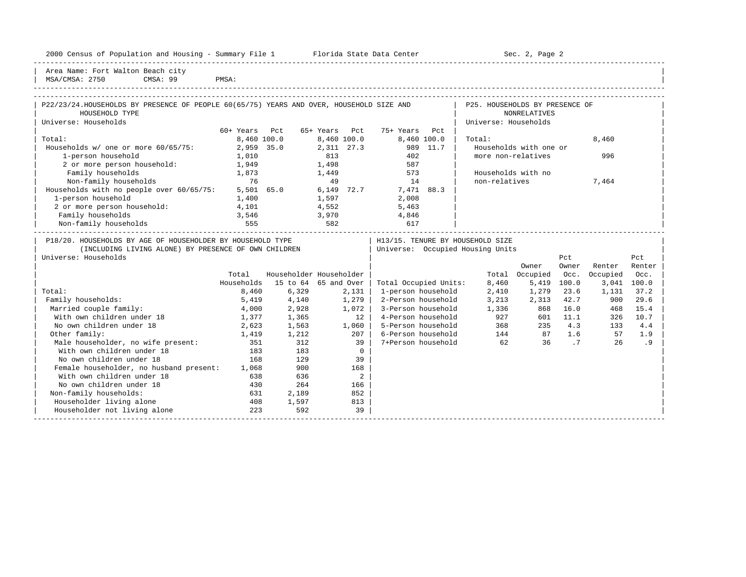| Area Name: Fort Walton Beach city<br>MSA/CMSA: 2750<br>CMSA: 99                                           | PMSA:       |                         |                |              |                                  |                                |                        |          |             |        |
|-----------------------------------------------------------------------------------------------------------|-------------|-------------------------|----------------|--------------|----------------------------------|--------------------------------|------------------------|----------|-------------|--------|
|                                                                                                           |             |                         |                |              |                                  |                                |                        |          |             |        |
| P22/23/24.HOUSEHOLDS BY PRESENCE OF PEOPLE 60(65/75) YEARS AND OVER, HOUSEHOLD SIZE AND<br>HOUSEHOLD TYPE |             |                         |                |              |                                  | P25. HOUSEHOLDS BY PRESENCE OF | <b>NONRELATIVES</b>    |          |             |        |
| Universe: Households                                                                                      |             |                         |                |              |                                  | Universe: Households           |                        |          |             |        |
|                                                                                                           | 60+ Years   | Pct                     | 65+ Years      | Pct          | 75+ Years<br>Pct                 |                                |                        |          |             |        |
| Total:                                                                                                    | 8,460 100.0 |                         |                | 8,460 100.0  | 8,460 100.0                      | Total:                         |                        |          | 8,460       |        |
| Households $w/$ one or more $60/65/75$ :                                                                  | 2,959 35.0  |                         |                | 2,311 27.3   | 989 11.7                         |                                | Households with one or |          |             |        |
| 1-person household                                                                                        | 1,010       |                         | 813            |              | 402                              |                                | more non-relatives     |          | 996         |        |
| 2 or more person household:                                                                               | 1,949       |                         | 1,498          |              | 587                              |                                |                        |          |             |        |
| Family households                                                                                         | 1,873       |                         | 1,449          |              | 573                              |                                | Households with no     |          |             |        |
| Non-family households                                                                                     | 76          |                         | 49             |              | 14                               | non-relatives                  |                        |          | 7,464       |        |
| Households with no people over $60/65/75$ : 5,501 65.0                                                    |             |                         |                | 6,149 72.7   | 7,471 88.3                       |                                |                        |          |             |        |
| 1-person household                                                                                        | 1,400       |                         |                |              | 2,008                            |                                |                        |          |             |        |
| 2 or more person household:                                                                               | 4,101       |                         | 1,597<br>4,552 |              | 5,463                            |                                |                        |          |             |        |
| Family households                                                                                         | 3,546       |                         | 3,970          |              | 4,846                            |                                |                        |          |             |        |
| Non-family households                                                                                     | 555         | 582                     |                |              | 617                              |                                |                        |          |             |        |
| P18/20. HOUSEHOLDS BY AGE OF HOUSEHOLDER BY HOUSEHOLD TYPE                                                |             |                         |                |              | H13/15. TENURE BY HOUSEHOLD SIZE |                                |                        |          |             |        |
| (INCLUDING LIVING ALONE) BY PRESENCE OF OWN CHILDREN                                                      |             |                         |                |              | Universe: Occupied Housing Units |                                |                        |          |             |        |
| Universe: Households                                                                                      |             |                         |                |              |                                  |                                |                        | Pct      |             | Pct    |
|                                                                                                           |             |                         |                |              |                                  |                                | Owner                  | Owner    | Renter      | Renter |
|                                                                                                           | Total       | Householder Householder |                |              |                                  |                                | Total Occupied         | Occ.     | Occupied    | Occ.   |
|                                                                                                           | Households  | 15 to 64 65 and Over    |                |              | Total Occupied Units:            | 8,460                          | 5,419                  | 100.0    | 3,041 100.0 |        |
| Total:                                                                                                    | 8,460       | 6,329                   |                | 2,131        | 1-person household               | 2,410                          | 1,279                  | 23.6     | 1,131       | 37.2   |
| Family households:                                                                                        | 5,419       | 4,140                   |                | 1,279        | 2-Person household               | 3,213                          | 2,313                  | 42.7     | 900         | 29.6   |
| Married couple family:                                                                                    | 4,000       | 2,928                   |                | 1,072        | 3-Person household               | 1,336                          | 868                    | 16.0     | 468         | 15.4   |
| With own children under 18                                                                                | 1,377       | 1,365                   |                | 12           | 4-Person household               | 927                            |                        | 601 11.1 | 326         | 10.7   |
| No own children under 18                                                                                  | 2,623       | 1,563                   |                |              | 5-Person household               |                                | 368 36<br>235          | 4.3      | 133         | 4.4    |
| Other family:                                                                                             |             |                         |                | 1,060<br>207 | 6-Person household               |                                |                        |          | 57          | 1.9    |
|                                                                                                           | 1,419       | 1,212<br>312            |                | 39           | 7+Person household               | 62                             | 144 87 1.6<br>36       | .7       | 26          | .9     |
| Male householder, no wife present:<br>With own children under 18                                          | 351         |                         |                | $\Omega$     |                                  |                                |                        |          |             |        |
| No own children under 18                                                                                  | 183         | 183                     |                |              |                                  |                                |                        |          |             |        |
|                                                                                                           | 168         | 129                     |                | 39           |                                  |                                |                        |          |             |        |
| Female householder, no husband present:                                                                   | 1,068       | 900                     |                | 168          |                                  |                                |                        |          |             |        |
| With own children under 18                                                                                | 638         | 636                     |                | 2            |                                  |                                |                        |          |             |        |
| No own children under 18                                                                                  | 430         | 264                     |                | 166          |                                  |                                |                        |          |             |        |

No own children under 18 430 264 166<br>
on-family households: 631 2,189 852 %Non-family households: 631 2,189 852<br>
Householder living alone 631 408 1,597 813 | Householder living alone 408 1,597 813 | |

-----------------------------------------------------------------------------------------------------------------------------------------------------

Householder not living alone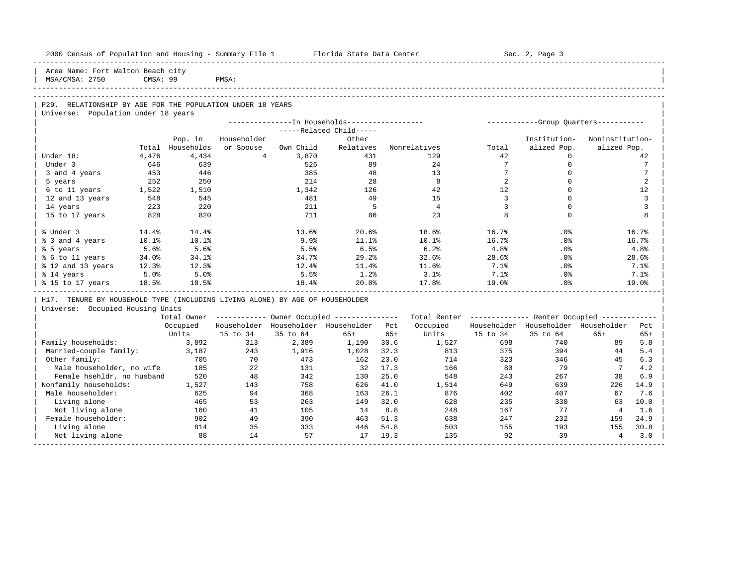| 2000 Census of Population and Housing - Summary File 1 Florida State Data Center                  |          |                  |                |           |                                                       |       |                                                          |                 | Sec. 2, Page 3                        |                 |                 |
|---------------------------------------------------------------------------------------------------|----------|------------------|----------------|-----------|-------------------------------------------------------|-------|----------------------------------------------------------|-----------------|---------------------------------------|-----------------|-----------------|
| Area Name: Fort Walton Beach city<br>MSA/CMSA: 2750                                               | CMSA: 99 |                  | PMSA:          |           |                                                       |       |                                                          |                 |                                       |                 |                 |
|                                                                                                   |          |                  |                |           |                                                       |       |                                                          |                 |                                       |                 |                 |
|                                                                                                   |          |                  |                |           |                                                       |       |                                                          |                 |                                       |                 |                 |
| P29. RELATIONSHIP BY AGE FOR THE POPULATION UNDER 18 YEARS<br>Universe: Population under 18 years |          |                  |                |           |                                                       |       |                                                          |                 |                                       |                 |                 |
|                                                                                                   |          |                  |                |           | ---------------- In Households------------------      |       |                                                          |                 | ------------Group Quarters----------- |                 |                 |
|                                                                                                   |          |                  |                |           | -----Related Child-----                               |       |                                                          |                 |                                       |                 |                 |
|                                                                                                   |          | Pop. in          | Householder    |           | Other                                                 |       |                                                          |                 | Institution-                          | Noninstitution- |                 |
|                                                                                                   |          | Total Households | or Spouse      | Own Child | Relatives                                             |       | Nonrelatives                                             | Total           | alized Pop.                           | alized Pop.     |                 |
| Under 18:                                                                                         | 4,476    | 4,434            | $\overline{4}$ | 3,870     | 431                                                   |       | 129                                                      | 42              | $\Omega$                              |                 | 42              |
| Under 3                                                                                           | 646      | 639              |                | 526       | 89                                                    |       | 24                                                       | $7\overline{ }$ | $\mathbf 0$                           |                 | $7\phantom{.0}$ |
| 3 and 4 years                                                                                     | 453      | 446              |                | 385       | 48                                                    |       | 13                                                       | $7\overline{ }$ | $\Omega$                              |                 | $7\phantom{.0}$ |
| 5 years                                                                                           | 252      | 250              |                | 214       | 28                                                    |       | 8                                                        | $\overline{2}$  | $\Omega$                              |                 | 2               |
| 6 to 11 years                                                                                     | 1,522    | 1,510            |                | 1,342     | 126                                                   |       | 42                                                       | 12              | $\Omega$                              |                 | 12              |
| 12 and 13 years                                                                                   | 548      | 545              |                | 481       | 49                                                    |       | 1.5                                                      | $\overline{3}$  | $\Omega$                              |                 | 3               |
| 14 years                                                                                          | 223      | 220              |                | 211       | 5                                                     |       | $\overline{4}$                                           | 3               | $\Omega$                              |                 | 3               |
| 15 to 17 years                                                                                    | 828      | 820              |                | 711       | 86                                                    |       | 23                                                       | 8               | $\Omega$                              |                 | 8               |
| % Under 3                                                                                         | 14.4%    | 14.4%            |                | 13.6%     | 20.6%                                                 |       | 18.6%                                                    | 16.7%           | $.0\%$                                |                 | 16.7%           |
| % 3 and 4 years                                                                                   | 10.1%    | 10.1%            |                | 9.9%      | 11.1%                                                 |       | 10.1%                                                    | 16.7%           | .0%                                   |                 | 16.7%           |
| % 5 years                                                                                         | 5.6%     | 5.6%             |                | 5.5%      | 6.5%                                                  |       | 6.2%                                                     | 4.8%            | .0%                                   |                 | 4.8%            |
| % 6 to 11 years                                                                                   | 34.0%    | 34.1%            |                | 34.7%     | 29.2%                                                 |       | 32.6%                                                    | 28.6%           | .0%                                   |                 | 28.6%           |
| % 12 and 13 years                                                                                 | 12.3%    | 12.3%            |                | 12.4%     | 11.4%                                                 |       | 11.6%                                                    | 7.1%            | .0%                                   |                 | 7.1%            |
| % 14 years                                                                                        | 5.0%     | 5.0%             |                | 5.5%      | 1.2%                                                  |       | 3.1%                                                     | 7.1%            | $.0\%$                                |                 | 7.1%            |
| % 15 to 17 years                                                                                  | 18.5%    | 18.5%            |                | 18.4%     | 20.0%                                                 |       | 17.8%                                                    | 19.0%           | .0%                                   |                 | 19.0%           |
| H17. TENURE BY HOUSEHOLD TYPE (INCLUDING LIVING ALONE) BY AGE OF HOUSEHOLDER                      |          |                  |                |           |                                                       |       |                                                          |                 |                                       |                 |                 |
| Universe: Occupied Housing Units                                                                  |          |                  |                |           |                                                       |       |                                                          |                 |                                       |                 |                 |
|                                                                                                   |          |                  |                |           | Total Owner ----------- Owner Occupied -------------- |       | Total Renter ------------- Renter Occupied ------------- |                 |                                       |                 |                 |
|                                                                                                   |          | Occupied         |                |           | Householder Householder Householder Pct               |       | Occupied                                                 |                 | Householder Householder Householder   |                 | Pct             |
|                                                                                                   |          | Units            | 15 to 34       | 35 to 64  | $65+$                                                 | $65+$ | Units                                                    | 15 to 34        | 35 to 64                              | $65+$           | $65+$           |
| Family households:                                                                                |          | 3,892            | 313            | 2,389     | 1,190                                                 | 30.6  | 1,527                                                    | 698             | 740                                   | 89              | 5.8             |
| Married-couple family:                                                                            |          | 3,187            | 243            | 1,916     | 1,028                                                 | 32.3  | 813                                                      | 375             | 394                                   | 44              | 5.4             |
| Other family:                                                                                     |          | 705              | 70             | 473       | 162                                                   | 23.0  | 714                                                      | 323             | 346                                   | 45              | 6.3             |
| Male householder, no wife                                                                         |          | 185              | 22             | 131       | 32                                                    | 17.3  | 166                                                      | 80              | 79                                    | $7\overline{ }$ | 4.2             |
| Female hsehldr, no husband                                                                        |          | 520              | 48             | 342       | 130                                                   | 25.0  | 548                                                      | 243             | 267                                   | 38              | 6.9             |
| Nonfamily households:                                                                             |          | 1,527            | 143            | 758       | 626                                                   | 41.0  | 1,514                                                    | 649             | 639                                   | 226             | 14.9            |
| Male householder:                                                                                 |          | 625              | 94             | 368       | 163                                                   | 26.1  | 876                                                      | 402             | 407                                   | 67              | 7.6             |
| Living alone                                                                                      |          | 465              | 53             | 263       | 149                                                   | 32.0  | 628                                                      | 235             | 330                                   | 63              | 10.0            |
| Not living alone                                                                                  |          | 160              | 41             | 105       | 14                                                    | 8.8   | 248                                                      | 167             | 77                                    | $\overline{4}$  | 1.6             |
| Female householder:                                                                               |          | 902              | 49             | 390       | 463                                                   | 51.3  | 638                                                      | 247             | 232                                   | 159             | 24.9            |
| Living alone                                                                                      |          | 814              | 35             | 333       | 446                                                   | 54.8  | 503                                                      | 155             | 193                                   | 155             | 30.8            |
| Not living alone                                                                                  |          | 88               | 14             | 57        | 17                                                    | 19.3  | 135                                                      | 92              | 39                                    | $\overline{4}$  | 3.0             |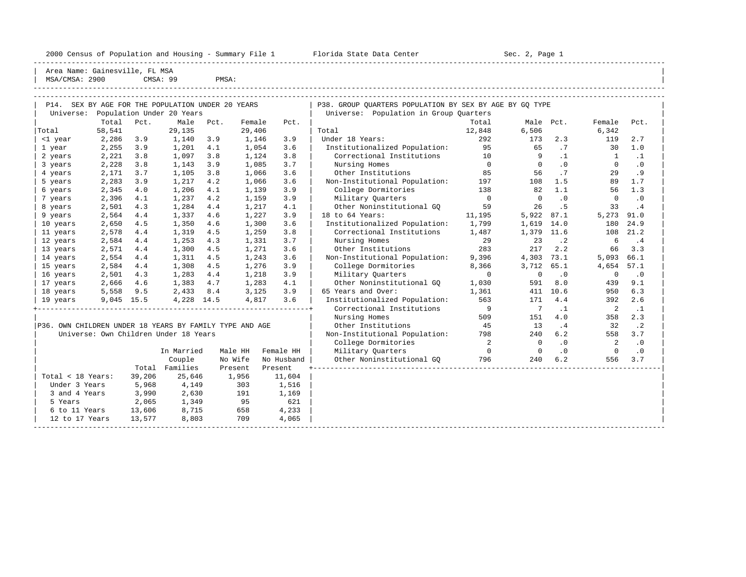|                                                   |                 |      |                           |       |                 |      | 2000 Census of Population and Housing - Summary File 1 Florida State Data Center |                | Sec. 2, Page 1 |           |                |           |
|---------------------------------------------------|-----------------|------|---------------------------|-------|-----------------|------|----------------------------------------------------------------------------------|----------------|----------------|-----------|----------------|-----------|
| Area Name: Gainesville, FL MSA<br>MSA/CMSA: 2900  |                 |      | CMSA: 99                  | PMSA: |                 |      |                                                                                  |                |                |           |                |           |
| P14. SEX BY AGE FOR THE POPULATION UNDER 20 YEARS |                 |      |                           |       |                 |      | P38. GROUP OUARTERS POPULATION BY SEX BY AGE BY GO TYPE                          |                |                |           |                |           |
| Universe:                                         |                 |      | Population Under 20 Years |       |                 |      | Universe: Population in Group Quarters                                           |                |                |           |                |           |
|                                                   | Total           | Pct. | Male                      | Pct.  | Female          | Pct. |                                                                                  | Total          |                | Male Pct. | Female         | Pct.      |
| Total<br><1 year                                  | 58,541<br>2,286 | 3.9  | 29,135<br>1,140 3.9       |       | 29,406<br>1,146 | 3.9  | Total<br>Under 18 Years:                                                         | 12,848<br>292  | 6,506<br>173   | 2.3       | 6,342<br>119   | 2.7       |
| 1 year                                            | 2,255           | 3.9  | 1,201                     | 4.1   | 1,054           | 3.6  | Institutionalized Population:                                                    | 95             | 65             | .7        | 30             | 1.0       |
| 2 years                                           | 2,221           | 3.8  | 1,097                     | 3.8   | 1,124           | 3.8  | Correctional Institutions                                                        | 10             | 9              | $\cdot$ 1 |                | $\cdot$ 1 |
| 3 years                                           | 2,228           | 3.8  | 1,143                     | 3.9   | 1,085           | 3.7  | Nursing Homes                                                                    | $\overline{0}$ | $\mathbf 0$    | .0        | $\Omega$       | $\cdot$ 0 |
| 4 years                                           | 2,171           | 3.7  | 1,105                     | 3.8   | 1,066           | 3.6  | Other Institutions                                                               | 85             | 56             | .7        | 2.9            | . 9       |
| 5 years                                           | 2,283           | 3.9  | 1,217                     | 4.2   | 1,066           | 3.6  | Non-Institutional Population: 197                                                |                | 108            | 1.5       | 89             | 1.7       |
| 6 years                                           | 2,345           | 4.0  | 1,206                     | 4.1   | 1,139           | 3.9  | College Dormitories                                                              | 138            | 82             | 1.1       | 56             | 1.3       |
| 7 years                                           | 2,396           | 4.1  | 1,237                     | 4.2   | 1,159           | 3.9  | Military Ouarters                                                                | $\overline{0}$ | $\Omega$       | $\cdot$ 0 | $\mathbf{0}$   | $\cdot$ 0 |
| 8 years                                           | 2,501           | 4.3  | 1,284                     | 4.4   | 1,217           | 4.1  | Other Noninstitutional GO                                                        | 59             | 26             | .5        | 33             | $\cdot$ 4 |
| 9 years                                           | 2,564           | 4.4  | 1,337                     | 4.6   | 1,227           | 3.9  | 18 to 64 Years:                                                                  | 11,195         | 5,922          | 87.1      | 5,273          | 91.0      |
| 10 years                                          | 2,650           | 4.5  | 1,350                     | 4.6   | 1,300           | 3.6  | Institutionalized Population:                                                    | 1,799          | 1,619          | 14.0      | 180            | 24.9      |
| 11 years                                          | 2,578           | 4.4  | 1,319                     | 4.5   | 1,259           | 3.8  | Correctional Institutions 1,487                                                  |                | 1,379 11.6     |           | 108            | 21.2      |
| 12 years                                          | 2,584           | 4.4  | 1,253                     | 4.3   | 1,331           | 3.7  | Nursing Homes                                                                    | 29             | 23             | $\cdot$ 2 | 6              | $\cdot$ 4 |
| 13 years                                          | 2,571           | 4.4  | 1,300                     | 4.5   | 1,271           | 3.6  | Other Institutions                                                               | 283            | 217            | 2.2       | 66             | 3.3       |
| 14 years                                          | 2,554           | 4.4  | 1,311                     | 4.5   | 1,243           | 3.6  | Non-Institutional Population:                                                    | 9,396          | 4,303          | 73.1      | 5,093          | 66.1      |
| 15 years                                          | 2,584           | 4.4  | 1,308                     | 4.5   | 1,276           | 3.9  | College Dormitories                                                              | 8,366          | 3,712          | 65.1      | 4,654          | 57.1      |
| 16 years                                          | 2,501           | 4.3  | 1,283                     | 4.4   | 1,218           | 3.9  | Military Ouarters                                                                | $\overline{0}$ | $\Omega$       | $\cdot$ 0 | $\Omega$       | $\cdot$ 0 |
| 17 years                                          | 2,666           | 4.6  | 1,383                     | 4.7   | 1,283           | 4.1  | Other Noninstitutional GO                                                        | 1,030          | 591            | 8.0       | 439            | 9.1       |
| 18 years                                          | 5,558           | 9.5  | 2,433                     | 8.4   | 3,125           | 3.9  | 65 Years and Over:                                                               | 1,361          | 411            | 10.6      | 950            | 6.3       |
| 19 years                                          | $9,045$ 15.5    |      | 4,228 14.5                |       | 4,817           | 3.6  | Institutionalized Population:                                                    | 563            | 171            | 4.4       | 392            | 2.6       |
|                                                   |                 |      |                           |       |                 |      | Correctional Institutions                                                        | $\overline{9}$ | $\overline{7}$ | $\cdot$ 1 | $\overline{2}$ | . 1       |
|                                                   |                 |      |                           |       |                 |      | Nursing Homes                                                                    | 509            | 151            | 4.0       | 358            | 2.3       |

-----------------------------------------------------------------------------------------------------------------------------------------------------

|P36. OWN CHILDREN UNDER 18 YEARS BY FAMILY TYPE AND AGE | Other Institutions 45 13 .4 32 .2 |  $\vert$  Universe: Own Children Under 18 Years  $\vert$  Non-Institutional Population:  $\,$  798  $\,$  240  $\,$  6.2  $\,$  558  $\,$  3.7  $\,$   $\vert$ 

|                   |        |            |         |            | College Dormitories       |     |     |           |     | $\cdot$ 0 |  |
|-------------------|--------|------------|---------|------------|---------------------------|-----|-----|-----------|-----|-----------|--|
|                   |        | In Married | Male HH | Female HH  | Military Quarters         |     |     | $\cdot$ 0 |     | $\cdot$ 0 |  |
|                   |        | Couple     | No Wife | No Husband | Other Noninstitutional GO | 796 | 240 | 6.2       | 556 | 3.7       |  |
|                   | Total  | Families   | Present | Present    |                           |     |     |           |     |           |  |
| Total < 18 Years: | 39,206 | 25,646     | 1,956   | 11,604     |                           |     |     |           |     |           |  |
| Under 3 Years     | 5,968  | 4,149      | 303     | 1,516      |                           |     |     |           |     |           |  |
| 3 and 4 Years     | 3,990  | 2,630      | 191     | 1,169      |                           |     |     |           |     |           |  |
| 5 Years           | 2,065  | 1,349      | 95      | 621        |                           |     |     |           |     |           |  |
| 6 to 11 Years     | 13,606 | 8,715      | 658     | 4,233      |                           |     |     |           |     |           |  |
| 12 to 17 Years    | 13,577 | 8,803      | 709     | 4,065      |                           |     |     |           |     |           |  |
|                   |        |            |         |            |                           |     |     |           |     |           |  |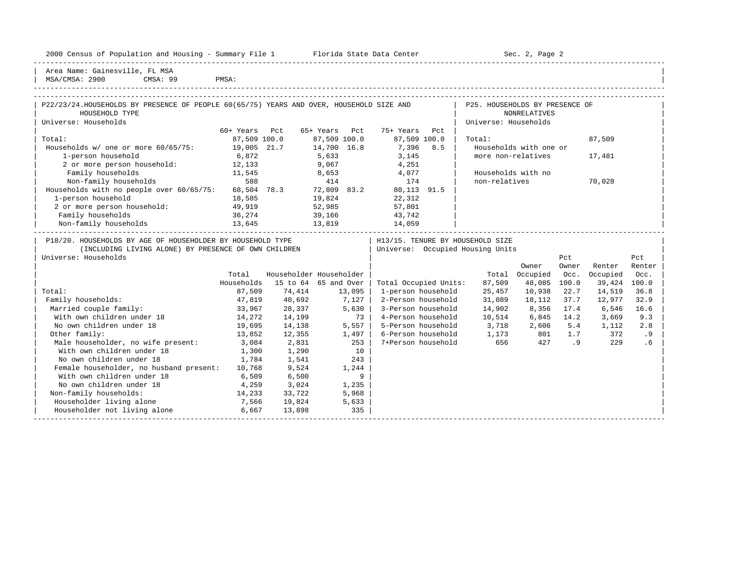|  |  |  |  | 2000 Census of Population and Housing - Summary File 1 |  |  |  |  |  |  |
|--|--|--|--|--------------------------------------------------------|--|--|--|--|--|--|
|--|--|--|--|--------------------------------------------------------|--|--|--|--|--|--|

Plorida State Data Center - Sec. 2, Page 2

-----------------------------------------------------------------------------------------------------------------------------------------------------

| Area Name: Gainesville, FL MSA | | MSA/CMSA: 2900 CMSA: 99 PMSA:

| P22/23/24. HOUSEHOLDS BY PRESENCE OF PEOPLE 60(65/75) YEARS AND OVER, HOUSEHOLD SIZE AND                                                   |               |        |                         |                                                                        | P25. HOUSEHOLDS BY PRESENCE OF |                        |              |              |               |
|--------------------------------------------------------------------------------------------------------------------------------------------|---------------|--------|-------------------------|------------------------------------------------------------------------|--------------------------------|------------------------|--------------|--------------|---------------|
| HOUSEHOLD TYPE                                                                                                                             |               |        |                         |                                                                        |                                | <b>NONRELATIVES</b>    |              |              |               |
| Universe: Households                                                                                                                       |               |        |                         |                                                                        | Universe: Households           |                        |              |              |               |
|                                                                                                                                            | 60+ Years Pct |        | 65+ Years Pct           | 75+ Years<br>Pct                                                       |                                |                        |              |              |               |
| Total:                                                                                                                                     | 87,509 100.0  |        | 87,509 100.0            | 87,509 100.0                                                           | Total:                         |                        |              | 87,509       |               |
| Households w/ one or more 60/65/75: 19,005 21.7                                                                                            |               |        | 14,700 16.8             | 7,396 8.5                                                              |                                | Households with one or |              |              |               |
| 1-person household                                                                                                                         | 6,872         |        | 5,633<br>9,067          | 3,145                                                                  |                                | more non-relatives     |              | 17,481       |               |
| 2 or more person household: 12,133                                                                                                         |               |        |                         | 4,251                                                                  |                                |                        |              |              |               |
| Family households                                                                                                                          | 11,545        |        |                         | 8,653 4,077                                                            |                                | Households with no     |              |              |               |
| 588<br>Non-family households                                                                                                               |               |        |                         | 414 174                                                                | non-relatives                  |                        |              | 70,028       |               |
| Households with no people over 60/65/75: 68,504 78.3 72,809 83.2                                                                           |               |        |                         | 80,113 91.5                                                            |                                |                        |              |              |               |
| 1-person household                                                                                                                         | 18,585        | 19,824 |                         | 22,312                                                                 |                                |                        |              |              |               |
| 2 or more person household: 49,919                                                                                                         |               |        | 52,985                  | 57,801                                                                 |                                |                        |              |              |               |
|                                                                                                                                            |               |        | 39,166                  | 43,742                                                                 |                                |                        |              |              |               |
|                                                                                                                                            |               | 13,819 |                         | 14,059                                                                 |                                |                        |              |              |               |
| P18/20. HOUSEHOLDS BY AGE OF HOUSEHOLDER BY HOUSEHOLD TYPE<br>(INCLUDING LIVING ALONE) BY PRESENCE OF OWN CHILDREN<br>Universe: Households |               |        |                         | H13/15. TENURE BY HOUSEHOLD SIZE<br>  Universe: Occupied Housing Units |                                | Owner                  | Pct<br>Owner | Renter       | Pct<br>Renter |
|                                                                                                                                            | Total         |        | Householder Householder |                                                                        |                                | Total Occupied         | Occ.         | Occupied     | Occ.          |
|                                                                                                                                            | Households    |        | 15 to 64 65 and Over    | Total Occupied Units:                                                  | 87,509                         | 48,085                 | 100.0        | 39,424 100.0 |               |
| Total:                                                                                                                                     | 87,509        | 74,414 |                         | 1-person household                                                     | 25,457                         | 10,938                 | 22.7         | 14,519       | 36.8          |
| Family households:                                                                                                                         | 47,819        | 40,692 | 13,095<br>  7,127       | 2-Person household                                                     | 31,089                         | 18,112                 | 37.7         | 12,977       | 32.9          |
| Married couple family:                                                                                                                     | 33,967        | 28,337 | 5,630                   | 3-Person household                                                     | 14,902                         | 8,356 17.4             |              | 6,546        | 16.6          |
| With own children under 18                                                                                                                 | 14,272        | 14,199 | 73                      | 4-Person household                                                     | 10,514                         | 6,845 14.2             |              | 3,669        | 9.3           |
| No own children under 18                                                                                                                   | 19,695        | 14,138 | $5,557$                 | 5-Person household 3,718 2,606 5.4 1,112                               |                                |                        |              |              | 2.8           |
| Other family:                                                                                                                              | 13,852        | 12,355 | 1,497                   | 6-Person household 1,173 801 1.7                                       |                                |                        |              | 372          | .9            |
| Male householder, no wife present: 3,084                                                                                                   |               | 2,831  | 253                     | 7+Person household                                                     | 656                            |                        | 427 .9       | 229          | .6            |
| With own children under 18                                                                                                                 | 1,300         | 1,290  | 10                      |                                                                        |                                |                        |              |              |               |
| No own children under 18                                                                                                                   | 1,784         | 1,541  | 243                     |                                                                        |                                |                        |              |              |               |
| Female householder, no husband present: 10,768                                                                                             |               | 9,524  | 1,244                   |                                                                        |                                |                        |              |              |               |
| With own children under 18                                                                                                                 | 6,509         | 6,500  | 9                       |                                                                        |                                |                        |              |              |               |
| No own children under 18                                                                                                                   | 4,259         | 3,024  | 1,235                   |                                                                        |                                |                        |              |              |               |
| Non-family households:                                                                                                                     | 14,233        | 33,722 | 5,968                   |                                                                        |                                |                        |              |              |               |
| Householder living alone<br>7,566                                                                                                          |               | 19,824 | 5,633                   |                                                                        |                                |                        |              |              |               |
| Householder not living alone                                                                                                               | 6,667         | 13,898 | 335                     |                                                                        |                                |                        |              |              |               |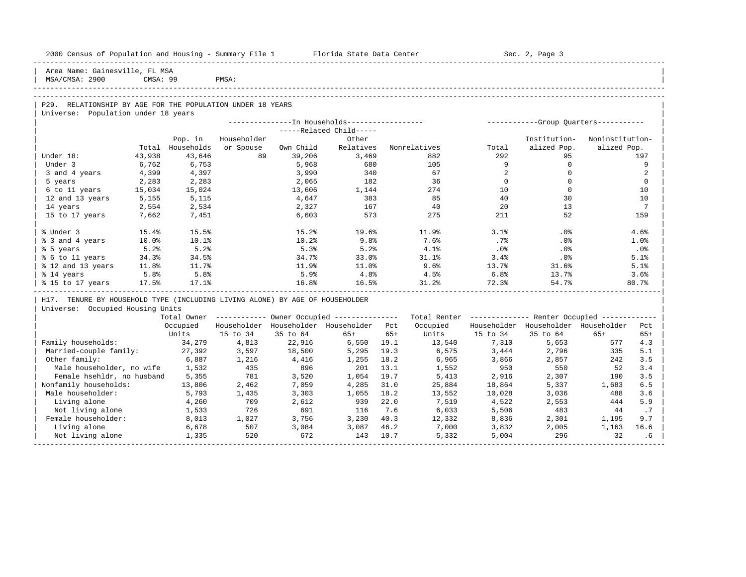| 2000 Census of Population and Housing - Summary File 1 Florida State Data Center |          |            |             |              |                                                        |              |              |          | Sec. 2, Page 3                                          |                 |                 |
|----------------------------------------------------------------------------------|----------|------------|-------------|--------------|--------------------------------------------------------|--------------|--------------|----------|---------------------------------------------------------|-----------------|-----------------|
| Area Name: Gainesville, FL MSA<br>MSA/CMSA: 2900                                 | CMSA: 99 |            | PMSA:       |              |                                                        |              |              |          |                                                         |                 |                 |
|                                                                                  |          |            |             |              |                                                        |              |              |          |                                                         |                 |                 |
| P29. RELATIONSHIP BY AGE FOR THE POPULATION UNDER 18 YEARS                       |          |            |             |              |                                                        |              |              |          |                                                         |                 |                 |
| Universe: Population under 18 years                                              |          |            |             |              |                                                        |              |              |          |                                                         |                 |                 |
|                                                                                  |          |            |             |              | ---------------In Households------------------         |              |              |          | ------------Group Quarters-----------                   |                 |                 |
|                                                                                  |          |            |             |              | -----Related Child-----                                |              |              |          |                                                         |                 |                 |
|                                                                                  |          | Pop. in    | Householder |              | Other                                                  |              |              |          | Institution-                                            | Noninstitution- |                 |
|                                                                                  | Total    | Households | or Spouse   | Own Child    | Relatives                                              |              | Nonrelatives | Total    | alized Pop.                                             | alized Pop.     |                 |
| Under 18:                                                                        | 43,938   | 43,646     | 89          | 39,206       | 3,469                                                  |              | 882          | 292      | 95                                                      |                 | 197             |
| Under 3                                                                          | 6,762    | 6,753      |             | 5,968        | 680                                                    |              | 105          | 9        | $\mathbf 0$                                             |                 | 9               |
| 3 and 4 years                                                                    | 4,399    | 4,397      |             | 3,990        | 340                                                    |              | 67           | 2        | $\mathbf 0$                                             |                 | 2               |
| 5 years                                                                          | 2,283    | 2,283      |             | 2,065        | 182                                                    |              | 36           | $\Omega$ | $\Omega$                                                |                 | $\Omega$        |
| 6 to 11 years                                                                    | 15,034   | 15,024     |             | 13,606       | 1,144                                                  |              | 274          | 10       | $\mathbf{0}$                                            |                 | 10              |
| 12 and 13 years                                                                  | 5,155    | 5,115      |             | 4,647        | 383                                                    |              | 85           | 40       | 30                                                      |                 | 10              |
| 14 years                                                                         | 2,554    | 2,534      |             | 2,327        | 167                                                    |              | 40           | 2.0      | 13                                                      |                 | $7\overline{ }$ |
| 15 to 17 years                                                                   | 7,662    | 7,451      |             | 6,603        | 573                                                    |              | 275          | 211      | 52                                                      |                 | 159             |
| % Under 3                                                                        | 15.4%    | 15.5%      |             | 15.2%        | 19.6%                                                  |              | 11.9%        | 3.1%     | .0%                                                     |                 | 4.6%            |
| % 3 and 4 years                                                                  | 10.0%    | 10.1%      |             | 10.2%        | 9.8%                                                   |              | 7.6%         | .7%      | .0%                                                     |                 | 1.0%            |
| % 5 years                                                                        | 5.2%     | 5.2%       |             | 5.3%         | 5.2%                                                   |              | 4.1%         | $.0\,$   | .0%                                                     |                 | .0%             |
| % 6 to 11 years                                                                  | 34.3%    | 34.5%      |             | 34.7%        | 33.0%                                                  |              | 31.1%        | 3.4%     | $.0\%$                                                  |                 | 5.1%            |
| % 12 and 13 years                                                                | 11.8%    | 11.7%      |             | 11.9%        | 11.0%                                                  |              | 9.6%         | 13.7%    | 31.6%                                                   |                 | 5.1%            |
| % 14 years                                                                       | 5.8%     | 5.8%       |             | 5.9%         | 4.8%                                                   |              | 4.5%         | 6.8%     | 13.7%                                                   |                 | 3.6%            |
| % 15 to 17 years                                                                 | 17.5%    | 17.1%      |             | 16.8%        | 16.5%                                                  |              | 31.2%        | 72.3%    | 54.7%                                                   |                 | 80.7%           |
| H17. TENURE BY HOUSEHOLD TYPE (INCLUDING LIVING ALONE) BY AGE OF HOUSEHOLDER     |          |            |             |              |                                                        |              |              |          |                                                         |                 |                 |
| Universe: Occupied Housing Units                                                 |          |            |             |              |                                                        |              |              |          |                                                         |                 |                 |
|                                                                                  |          |            |             |              | Total Owner ------------ Owner Occupied -------------- |              |              |          | Total Renter ------------- Renter Occupied ------------ |                 |                 |
|                                                                                  |          | Occupied   | Householder |              | Householder Householder Pct                            |              | Occupied     |          | Householder Householder Householder                     |                 | Pct             |
|                                                                                  |          | Units      | 15 to 34    | 35 to 64     | $65+$                                                  | $65+$        | Units        | 15 to 34 | 35 to 64                                                | $65+$           | $65+$           |
| Family households:                                                               |          | 34,279     | 4,813       | 22,916       | 6,550                                                  | 19.1         | 13,540       | 7,310    | 5,653                                                   | 577             | 4.3             |
| Married-couple family:                                                           |          | 27,392     | 3,597       | 18,500       | 5,295                                                  | 19.3         | 6,575        | 3,444    | 2,796                                                   | 335             | 5.1             |
| Other family:                                                                    |          | 6,887      | 1,216       | 4,416        | 1,255                                                  | 18.2         | 6,965        | 3,866    | 2,857                                                   | 242             | 3.5             |
| Male householder, no wife                                                        |          | 1,532      | 435         | 896          | 201                                                    | 13.1         | 1,552        | 950      | 550                                                     | 52              | 3.4             |
| Female hsehldr, no husband                                                       |          | 5,355      | 781         | 3,520        | 1,054                                                  | 19.7         | 5,413        | 2,916    | 2,307                                                   | 190             | 3.5             |
| Nonfamily households:                                                            |          | 13,806     | 2,462       | 7,059        | 4,285                                                  | 31.0         | 25,884       | 18,864   | 5,337                                                   | 1,683           | 6.5             |
| Male householder:                                                                |          | 5,793      | 1,435       | 3,303        | 1,055                                                  | 18.2         | 13,552       | 10,028   | 3,036                                                   | 488             | 3.6             |
| Living alone                                                                     |          | 4,260      | 709         | 2,612        | 939                                                    | 22.0         | 7,519        | 4,522    | 2,553                                                   | 444             | 5.9             |
| Not living alone                                                                 |          | 1,533      | 726         | 691          | 116                                                    | 7.6          | 6,033        | 5,506    | 483                                                     | 44              | .7              |
| Female householder:                                                              |          | 8,013      | 1,027       | 3,756        | 3,230                                                  | 40.3         | 12,332       | 8,836    | 2,301                                                   | 1,195           | 9.7             |
| Living alone                                                                     |          | 6,678      | 507<br>520  | 3,084<br>672 | 3,087<br>143                                           | 46.2<br>10.7 | 7,000        | 3,832    | 2,005                                                   | 1,163           | 16.6            |
| Not living alone                                                                 |          | 1,335      |             |              |                                                        |              | 5,332        | 5,004    | 296                                                     | 32              | .6              |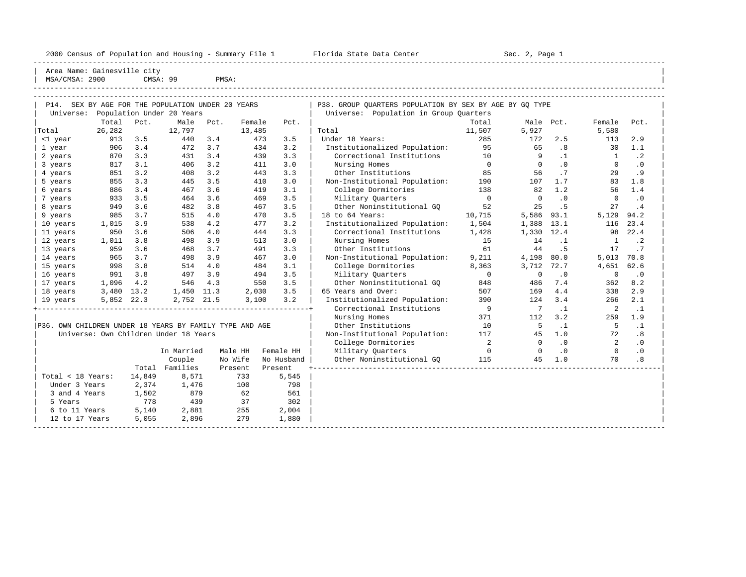----------------------------------------------------------------------------------------------------------------------------------------------------- Area Name: Gainesville city | MSA/CMSA: 2900 CMSA: 99 PMSA:

----------------------------------------------------------------------------------------------------------------------------------------------------- -----------------------------------------------------------------------------------------------------------------------------------------------------

| P14.                                                    |            |        | SEX BY AGE FOR THE POPULATION UNDER 20 YEARS |      |         |            |     | P38. GROUP QUARTERS POPULATION BY SEX BY AGE BY GQ TYPE                                                                                                                                                                                                                                             |                |                          |           |                |           |
|---------------------------------------------------------|------------|--------|----------------------------------------------|------|---------|------------|-----|-----------------------------------------------------------------------------------------------------------------------------------------------------------------------------------------------------------------------------------------------------------------------------------------------------|----------------|--------------------------|-----------|----------------|-----------|
| Universe:                                               |            |        | Population Under 20 Years                    |      |         |            |     | Universe: Population in Group Quarters                                                                                                                                                                                                                                                              |                |                          |           |                |           |
|                                                         | Total      | Pct.   | Male                                         | Pct. | Female  | Pct.       |     |                                                                                                                                                                                                                                                                                                     | Total          | Male Pct.                |           | Female         | Pct.      |
| Total                                                   | 26,282     |        | 12,797                                       |      | 13,485  |            |     | Total                                                                                                                                                                                                                                                                                               | 11,507         | 5,927                    |           | 5,580          |           |
| <1 year                                                 | 913        | 3.5    | 440                                          | 3.4  |         | 3.5<br>473 |     | Under 18 Years:                                                                                                                                                                                                                                                                                     | 285            | 172                      | 2.5       | 113            | 2.9       |
| 1 year                                                  | 906        | 3.4    | 472                                          | 3.7  |         | 3.2<br>434 |     | Institutionalized Population:                                                                                                                                                                                                                                                                       | 95             | 65                       | .8        | 30             | 1.1       |
| 2 years                                                 | 870        | 3.3    | 431                                          | 3.4  |         | 439<br>3.3 |     | Correctional Institutions                                                                                                                                                                                                                                                                           | 10             | 9                        | $\cdot$ 1 | $\overline{1}$ | $\cdot$ 2 |
| 3 years                                                 | 817        | 3.1    | 406                                          | 3.2  |         | 411<br>3.0 |     | Nursing Homes                                                                                                                                                                                                                                                                                       | $\overline{0}$ | $\overline{0}$           | $\cdot$ 0 | $\Omega$       | $\cdot$ 0 |
| 4 years                                                 | 851        | 3.2    | 408                                          | 3.2  |         | 3.3<br>443 |     | Other Institutions                                                                                                                                                                                                                                                                                  | 85             | 56                       | .7        | 29             | .9        |
| 5 years                                                 | 855        | 3.3    | 445                                          | 3.5  |         | 3.0<br>410 |     | Non-Institutional Population: 190                                                                                                                                                                                                                                                                   |                | 107                      | 1.7       | 83             | 1.8       |
| 6 years                                                 | 886        | 3.4    | 467                                          | 3.6  |         | 3.1<br>419 |     | College Dormitories                                                                                                                                                                                                                                                                                 | 138            | 82                       | 1.2       | 56             | 1.4       |
| 7 years                                                 | 933        | 3.5    | 464                                          | 3.6  |         | 3.5<br>469 |     | Military Quarters                                                                                                                                                                                                                                                                                   | $\overline{0}$ | $\overline{\phantom{0}}$ | $\cdot$ 0 | $\circ$        | $\cdot$ 0 |
| 8 years                                                 | 949        | 3.6    | 482                                          | 3.8  |         | 467<br>3.5 |     | Other Noninstitutional GO                                                                                                                                                                                                                                                                           | 52             | 25                       | . 5       | 27             | .4        |
| 9 years                                                 | 985        | 3.7    | 515                                          | 4.0  |         | 3.5<br>470 |     | 18 to 64 Years:                                                                                                                                                                                                                                                                                     | 10,715         | 5,586                    | 93.1      | 5,129          | 94.2      |
| 10 years                                                | 1,015      | 3.9    | 538                                          | 4.2  |         | 3.2<br>477 |     | Institutionalized Population: 1,504                                                                                                                                                                                                                                                                 |                | 1,388                    | 13.1      | 116            | 23.4      |
| 11 years                                                | 950        | 3.6    | 506                                          | 4.0  |         | 444<br>3.3 |     | Correctional Institutions 1,428                                                                                                                                                                                                                                                                     |                | 1,330 12.4               |           | 98             | 22.4      |
| 12 years                                                | 1,011      | 3.8    | 498                                          | 3.9  |         | 513<br>3.0 |     | Nursing Homes                                                                                                                                                                                                                                                                                       | 15             | 14                       | $\cdot$ 1 | $\mathbf{1}$   | $\cdot$ 2 |
| 13 years                                                | 959        | 3.6    | 468                                          | 3.7  |         | 491<br>3.3 |     | Other Institutions                                                                                                                                                                                                                                                                                  | 61             | 44                       | .5        | 17             | .7        |
| 14 years                                                | 965        | 3.7    | 498                                          | 3.9  |         | 3.0<br>467 |     | Non-Institutional Population:                                                                                                                                                                                                                                                                       | 9,211          | 4,198                    | 80.0      | 5,013          | 70.8      |
| 15 years                                                | 998        | 3.8    | 514                                          | 4.0  |         | 3.1<br>484 |     | College Dormitories                                                                                                                                                                                                                                                                                 | 8,363          | 3,712                    | 72.7      | 4,651          | 62.6      |
| 16 years                                                | 991        | 3.8    | 497                                          | 3.9  |         | 3.5<br>494 |     | Military Ouarters                                                                                                                                                                                                                                                                                   | $\overline{0}$ | $\mathbf 0$              | .0        | $\mathbf 0$    | $\cdot$ 0 |
| 17 years                                                | 1,096      | 4.2    | 546                                          | 4.3  |         | 550<br>3.5 |     | Other Noninstitutional GQ                                                                                                                                                                                                                                                                           | 848            | 486                      | 7.4       | 362            | 8.2       |
| 18 years                                                | 3,480 13.2 |        | 1,450 11.3                                   |      | 2,030   | 3.5        |     | 65 Years and Over:                                                                                                                                                                                                                                                                                  | 507            | 169                      | 4.4       | 338            | 2.9       |
| 19 years                                                | 5,852 22.3 |        | 2,752 21.5                                   |      | 3,100   | 3.2        |     | Institutionalized Population:                                                                                                                                                                                                                                                                       | 390            | 124                      | 3.4       | 266            | 2.1       |
|                                                         |            |        |                                              |      |         |            |     | Correctional Institutions                                                                                                                                                                                                                                                                           | $\overline{9}$ | $7\phantom{0}7$          | $\cdot$ 1 | $\overline{a}$ | $\cdot$ 1 |
|                                                         |            |        |                                              |      |         |            |     | Nursing Homes                                                                                                                                                                                                                                                                                       | 371            | 112                      | 3.2       | 259            | 1.9       |
| P36. OWN CHILDREN UNDER 18 YEARS BY FAMILY TYPE AND AGE |            |        |                                              |      |         |            |     | Other Institutions                                                                                                                                                                                                                                                                                  | 10             | $5^{\circ}$              | $\cdot$ 1 | $-5$           | $\cdot$ 1 |
|                                                         |            |        | Universe: Own Children Under 18 Years        |      |         |            |     | Non-Institutional Population: 117                                                                                                                                                                                                                                                                   |                | 45                       | 1.0       | 72             | .8        |
|                                                         |            |        |                                              |      |         |            |     | College Dormitories                                                                                                                                                                                                                                                                                 | 2              | $\overline{0}$           | .0        | $\overline{2}$ | .0        |
|                                                         |            |        | In Married                                   |      | Male HH | Female HH  |     | Military Quarters<br>$\sim$ 000 $\sim$ 000 $\sim$ 000 $\sim$ 000 $\sim$ 000 $\sim$ 000 $\sim$ 000 $\sim$ 000 $\sim$ 000 $\sim$ 000 $\sim$ 000 $\sim$ 000 $\sim$ 000 $\sim$ 000 $\sim$ 000 $\sim$ 000 $\sim$ 000 $\sim$ 000 $\sim$ 000 $\sim$ 000 $\sim$ 000 $\sim$ 000 $\sim$ 000 $\sim$ 000 $\sim$ |                | $\sim$ 0                 | $\cdot$ 0 | $\Omega$       | .0        |
|                                                         |            |        | Couple                                       |      | No Wife | No Husband |     | Other Noninstitutional GO 115                                                                                                                                                                                                                                                                       |                | 45                       | 1.0       | 70             | .8        |
|                                                         |            |        | Total Families                               |      | Present | Present    |     |                                                                                                                                                                                                                                                                                                     |                |                          |           |                |           |
| Total < 18 Years:                                       |            | 14,849 | 8,571                                        |      | 733     | 5,545      |     |                                                                                                                                                                                                                                                                                                     |                |                          |           |                |           |
| Under 3 Years                                           |            | 2,374  | 1,476                                        |      | 100     |            | 798 |                                                                                                                                                                                                                                                                                                     |                |                          |           |                |           |
| 3 and 4 Years                                           |            | 1,502  | 879                                          |      | 62      |            | 561 |                                                                                                                                                                                                                                                                                                     |                |                          |           |                |           |
| 5 Years                                                 |            | 778    | 439                                          |      | 37      | 302        |     |                                                                                                                                                                                                                                                                                                     |                |                          |           |                |           |
| 6 to 11 Years                                           |            | 5,140  | 2,881                                        |      | 255     | 2,004      |     |                                                                                                                                                                                                                                                                                                     |                |                          |           |                |           |
| 12 to 17 Years                                          |            | 5,055  | 2,896                                        |      | 279     | 1,880      |     |                                                                                                                                                                                                                                                                                                     |                |                          |           |                |           |
|                                                         |            |        |                                              |      |         |            |     |                                                                                                                                                                                                                                                                                                     |                |                          |           |                |           |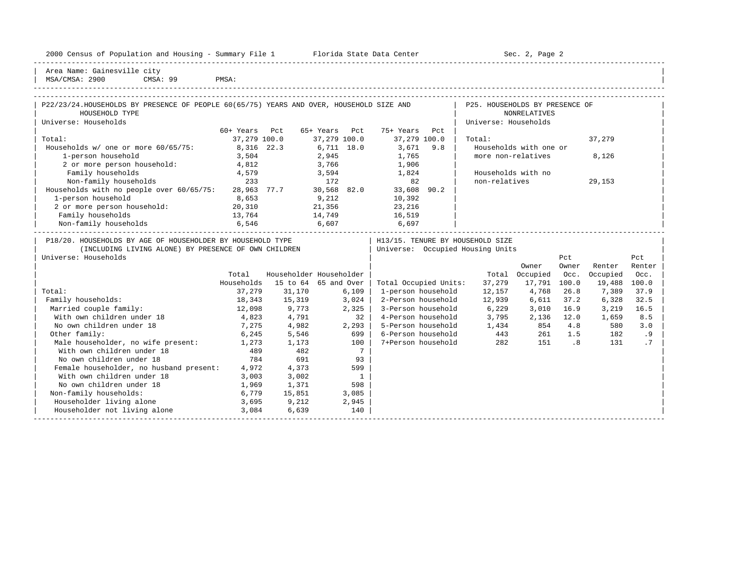| $- -$<br>2000<br>and<br>$\sim$<br>ensus!<br>וומחי<br>dousing<br>Summa<br>$- - - -$<br>م ا | ----<br>------<br>cente:<br>origa<br>.31.71.7<br>1.771.7 | $S_{\Omega}$<br>Page |
|-------------------------------------------------------------------------------------------|----------------------------------------------------------|----------------------|
|                                                                                           |                                                          |                      |

2000 Florida State Data Center - Sec. 2, Page 2

| Area Name: Gainesville city | | MSA/CMSA: 2900 CMSA: 99 PMSA:

| PMSA: |  |  |
|-------|--|--|

| P22/23/24. HOUSEHOLDS BY PRESENCE OF PEOPLE 60(65/75) YEARS AND OVER, HOUSEHOLD SIZE AND<br>HOUSEHOLD TYPE |              |      |              |     |              |      | P25. HOUSEHOLDS BY PRESENCE OF<br><b>NONRELATIVES</b> |        |  |
|------------------------------------------------------------------------------------------------------------|--------------|------|--------------|-----|--------------|------|-------------------------------------------------------|--------|--|
| Universe: Households                                                                                       |              |      |              |     |              |      | Universe: Households                                  |        |  |
|                                                                                                            | 60+ Years    | Pct  | 65+ Years    | Pct | 75+ Years    | Pct  |                                                       |        |  |
| Total:                                                                                                     | 37,279 100.0 |      | 37,279 100.0 |     | 37,279 100.0 |      | Total:                                                | 37,279 |  |
| Households w/ one or more 60/65/75:                                                                        | 8,316 22.3   |      | 6,711 18.0   |     | 3,671        | 9.8  | Households with one or                                |        |  |
| 1-person household                                                                                         | 3,504        |      | 2,945        |     | 1,765        |      | more non-relatives                                    | 8,126  |  |
| 2 or more person household:                                                                                | 4,812        |      | 3,766        |     | 1,906        |      |                                                       |        |  |
| Family households                                                                                          | 4,579        |      | 3,594        |     | 1,824        |      | Households with no                                    |        |  |
| Non-family households                                                                                      | 233          |      | 172          |     | 82           |      | non-relatives                                         | 29,153 |  |
| Households with no people over 60/65/75:                                                                   | 28,963       | 77.7 | 30,568 82.0  |     | 33,608       | 90.2 |                                                       |        |  |
| 1-person household                                                                                         | 8,653        |      | 9,212        |     | 10,392       |      |                                                       |        |  |
| 2 or more person household:                                                                                | 20,310       |      | 21,356       |     | 23,216       |      |                                                       |        |  |
| Family households                                                                                          | 13,764       |      | 14,749       |     | 16,519       |      |                                                       |        |  |
| Non-family households                                                                                      | 6,546        |      | 6,607        |     | 6,697        |      |                                                       |        |  |

| P18/20. HOUSEHOLDS BY AGE OF HOUSEHOLDER BY HOUSEHOLD TYPE |            |          |                         | H13/15. TENURE BY HOUSEHOLD SIZE |        |          |       |          |        |
|------------------------------------------------------------|------------|----------|-------------------------|----------------------------------|--------|----------|-------|----------|--------|
| (INCLUDING LIVING ALONE) BY PRESENCE OF OWN CHILDREN       |            |          |                         | Universe: Occupied Housing Units |        |          |       |          |        |
| Universe: Households                                       |            |          |                         |                                  |        |          | Pct   |          | Pct    |
|                                                            |            |          |                         |                                  |        | Owner    | Owner | Renter   | Renter |
|                                                            | Total      |          | Householder Householder |                                  | Total  | Occupied | Occ.  | Occupied | Occ.   |
|                                                            | Households | 15 to 64 | 65 and Over             | Total Occupied Units:            | 37,279 | 17,791   | 100.0 | 19,488   | 100.0  |
| Total:                                                     | 37,279     | 31,170   | 6,109                   | 1-person household               | 12,157 | 4,768    | 26.8  | 7,389    | 37.9   |
| Family households:                                         | 18,343     | 15,319   | 3,024                   | 2-Person household               | 12,939 | 6,611    | 37.2  | 6,328    | 32.5   |
| Married couple family:                                     | 12,098     | 9,773    | 2,325                   | 3-Person household               | 6,229  | 3,010    | 16.9  | 3,219    | 16.5   |
| With own children under 18                                 | 4,823      | 4,791    | 32                      | 4-Person household               | 3,795  | 2,136    | 12.0  | 1,659    | 8.5    |
| No own children under 18                                   | 7,275      | 4,982    | 2,293                   | 5-Person household               | 1,434  | 854      | 4.8   | 580      | 3.0    |
| Other family:                                              | 6,245      | 5,546    | 699                     | 6-Person household               | 443    | 261      | 1.5   | 182      | . 9    |
| Male householder, no wife present:                         | 1,273      | 1,173    | 100                     | 7+Person household               | 282    | 151      | . 8   | 131      |        |
| With own children under 18                                 | 489        | 482      |                         |                                  |        |          |       |          |        |
| No own children under 18                                   | 784        | 691      | 93                      |                                  |        |          |       |          |        |
| Female householder, no husband present:                    | 4,972      | 4,373    | 599                     |                                  |        |          |       |          |        |
| With own children under 18                                 | 3,003      | 3,002    |                         |                                  |        |          |       |          |        |
| No own children under 18                                   | 1,969      | 1,371    | 598                     |                                  |        |          |       |          |        |
| Non-family households:                                     | 6,779      | 15,851   | 3,085                   |                                  |        |          |       |          |        |
| Householder living alone                                   | 3,695      | 9,212    | 2,945                   |                                  |        |          |       |          |        |
| Householder not living alone                               | 3,084      | 6,639    | 140                     |                                  |        |          |       |          |        |
|                                                            |            |          |                         |                                  |        |          |       |          |        |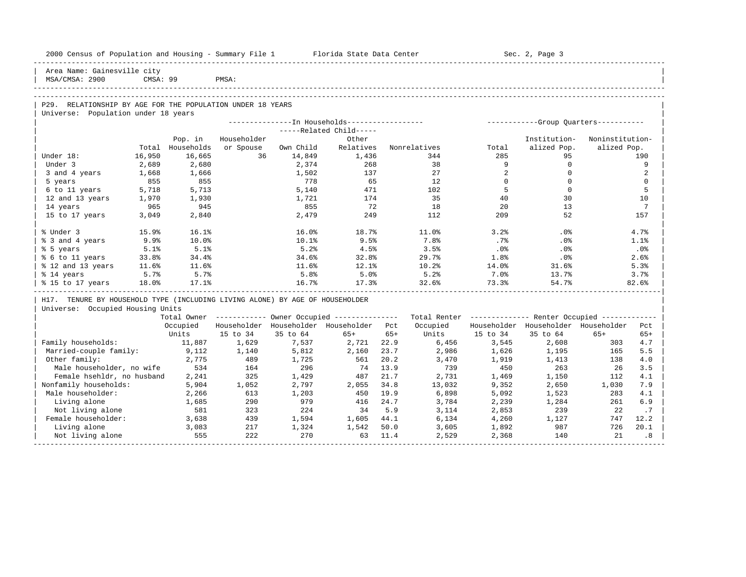| 2000 Census of Population and Housing - Summary File 1 Florida State Data Center |          |                |             |              |                                                       |              |                                                         |                | Sec. 2, Page 3                        |                 |                 |
|----------------------------------------------------------------------------------|----------|----------------|-------------|--------------|-------------------------------------------------------|--------------|---------------------------------------------------------|----------------|---------------------------------------|-----------------|-----------------|
| Area Name: Gainesville city<br>MSA/CMSA: 2900                                    | CMSA: 99 |                | PMSA:       |              |                                                       |              |                                                         |                |                                       |                 |                 |
|                                                                                  |          |                |             |              |                                                       |              |                                                         |                |                                       |                 |                 |
| P29. RELATIONSHIP BY AGE FOR THE POPULATION UNDER 18 YEARS                       |          |                |             |              |                                                       |              |                                                         |                |                                       |                 |                 |
| Universe: Population under 18 years                                              |          |                |             |              | --------------- In Households-----------------        |              |                                                         |                | ------------Group Ouarters----------- |                 |                 |
|                                                                                  |          |                |             |              | -----Related Child-----                               |              |                                                         |                |                                       |                 |                 |
|                                                                                  |          | Pop. in        | Householder |              | Other                                                 |              |                                                         |                | Institution-                          | Noninstitution- |                 |
|                                                                                  | Total    | Households     | or Spouse   | Own Child    | Relatives                                             |              | Nonrelatives                                            | Total          | alized Pop.                           | alized Pop.     |                 |
| Under 18:                                                                        | 16,950   | 16,665         | 36          | 14,849       | 1,436                                                 |              | 344                                                     | 285            | 95                                    |                 | 190             |
| Under 3                                                                          | 2,689    | 2,680          |             | 2,374        | 268                                                   |              | 38                                                      | 9              | $\Omega$                              |                 | 9               |
| 3 and 4 years                                                                    | 1,668    | 1,666          |             | 1,502        | 137                                                   |              | 27                                                      | 2              | $\Omega$                              |                 | 2               |
| 5 years                                                                          | 855      | 855            |             | 778          | 65                                                    |              | 12                                                      | $\Omega$       | $\Omega$                              |                 | $\mathbf 0$     |
| 6 to 11 years                                                                    | 5,718    | 5,713          |             | 5,140        | 471                                                   |              | 102                                                     | 5              | $\Omega$                              |                 | 5               |
| 12 and 13 years                                                                  | 1,970    | 1,930          |             | 1,721        | 174                                                   |              | 35                                                      | 40             | 30                                    |                 | 10              |
| 14 years                                                                         | 965      | 945            |             | 855          | 72                                                    |              | 18                                                      | 20             | 13                                    |                 | $7\overline{ }$ |
| 15 to 17 years                                                                   | 3,049    | 2,840          |             | 2,479        | 249                                                   |              | 112                                                     | 209            | 52                                    |                 | 157             |
| % Under 3                                                                        | 15.9%    | 16.1%          |             | 16.0%        | 18.7%                                                 |              | 11.0%                                                   | 3.2%           | .0%                                   |                 | 4.7%            |
| % 3 and 4 years                                                                  | 9.9%     | 10.0%          |             | 10.1%        | 9.5%                                                  |              | 7.8%                                                    | $.7\%$         | $.0\%$                                |                 | 1.1%            |
| % 5 years                                                                        | 5.1%     | 5.1%           |             | 5.2%         | 4.5%                                                  |              | 3.5%                                                    | $.0\%$         | $.0\%$                                |                 | .0%             |
| % 6 to 11 years                                                                  | 33.8%    | 34.4%          |             | 34.6%        | 32.8%                                                 |              | 29.7%                                                   | $1.8\%$        | $.0\%$                                |                 | 2.6%            |
| % 12 and 13 years                                                                | 11.6%    | 11.6%          |             | 11.6%        | 12.1%                                                 |              | 10.2%                                                   | 14.0%          | 31.6%                                 |                 | 5.3%            |
| % 14 years                                                                       | 5.7%     | 5.7%           |             | 5.8%         | 5.0%                                                  |              | 5.2%                                                    | $7.0\%$        | 13.7%                                 |                 | 3.7%            |
| % 15 to 17 years                                                                 | 18.0%    | 17.1%          |             | 16.7%        | 17.3%                                                 |              | 32.6%                                                   | 73.3%          | 54.7%                                 |                 | 82.6%           |
| H17. TENURE BY HOUSEHOLD TYPE (INCLUDING LIVING ALONE) BY AGE OF HOUSEHOLDER     |          |                |             |              |                                                       |              |                                                         |                |                                       |                 |                 |
| Universe: Occupied Housing Units                                                 |          |                |             |              |                                                       |              |                                                         |                |                                       |                 |                 |
|                                                                                  |          |                |             |              | Total Owner ----------- Owner Occupied -------------- |              | Total Renter ------------- Renter Occupied ------------ |                |                                       |                 |                 |
|                                                                                  |          | Occupied       |             |              | Householder Householder Householder Pct               |              | Occupied                                                |                | Householder Householder Householder   |                 | Pct             |
|                                                                                  |          | Units          | 15 to 34    | 35 to 64     | $65+$                                                 | $65+$        | Units                                                   | 15 to 34       | 35 to 64                              | $65+$           | $65+$           |
| Family households:                                                               |          | 11,887         | 1,629       | 7,537        | 2,721                                                 | 22.9         | 6,456                                                   | 3,545          | 2,608                                 | 303             | 4.7             |
| Married-couple family:                                                           |          | 9,112          | 1,140       | 5,812        | 2,160                                                 | 23.7         | 2,986                                                   | 1,626          | 1,195                                 | 165             | 5.5             |
| Other family:                                                                    |          | 2,775<br>534   | 489         | 1,725        | 561                                                   | 20.2<br>13.9 | 3,470<br>739                                            | 1,919<br>450   | 1,413                                 | 138             | 4.0             |
| Male householder, no wife                                                        |          |                | 164         | 296          | 74                                                    |              |                                                         |                | 263                                   | 26              | 3.5             |
| Female hsehldr, no husband                                                       |          | 2,241          | 325         | 1,429        | 487                                                   | 21.7         | 2,731                                                   | 1,469          | 1,150                                 | 112             | 4.1             |
| Nonfamily households:<br>Male householder:                                       |          | 5,904          | 1,052       | 2,797        | 2,055<br>450                                          | 34.8<br>19.9 | 13,032                                                  | 9,352          | 2,650                                 | 1,030<br>283    | 7.9<br>4.1      |
| Living alone                                                                     |          | 2,266<br>1,685 | 613<br>290  | 1,203<br>979 | 416                                                   | 24.7         | 6,898<br>3,784                                          | 5,092<br>2,239 | 1,523<br>1,284                        | 261             | 6.9             |
| Not living alone                                                                 |          | 581            | 323         | 224          | 34                                                    | 5.9          | 3,114                                                   | 2,853          | 239                                   | 22              | .7              |
| Female householder:                                                              |          | 3,638          | 439         | 1,594        | 1,605 44.1                                            |              | 6,134                                                   | 4,260          | 1,127                                 | 747             | 12.2            |
| Living alone                                                                     |          | 3,083          | 217         | 1,324        | 1,542                                                 | 50.0         | 3,605                                                   | 1,892          | 987                                   | 726             | 20.1            |
| Not living alone                                                                 |          | 555            | 222         | 270          | 63                                                    | 11.4         | 2,529                                                   | 2,368          | 140                                   | 21              | .8              |
|                                                                                  |          |                |             |              |                                                       |              |                                                         |                |                                       |                 |                 |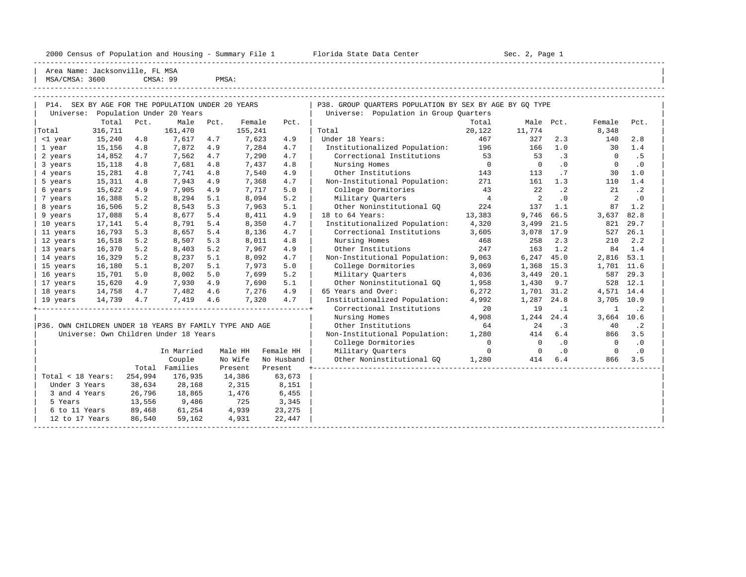2000 Census of Population and Housing - Summary File 1 Florida State Data Center Sec. 2, Page 1

-----------------------------------------------------------------------------------------------------------------------------------------------------

| MSA/CMSA: 3600 | Area Name: Jacksonville, FL MSA              |      | CMSA: 99                  | PMSA: |         |      |                                                         |                |          |                |                |           |
|----------------|----------------------------------------------|------|---------------------------|-------|---------|------|---------------------------------------------------------|----------------|----------|----------------|----------------|-----------|
| P14.           | SEX BY AGE FOR THE POPULATION UNDER 20 YEARS |      |                           |       |         |      | P38. GROUP OUARTERS POPULATION BY SEX BY AGE BY GO TYPE |                |          |                |                |           |
| Universe:      |                                              |      | Population Under 20 Years |       |         |      | Universe: Population in Group Ouarters                  |                |          |                |                |           |
|                | Total                                        | Pct. | Male                      | Pct.  | Female  | Pct. |                                                         | Total          | Male     | Pct.           | Female         | Pct.      |
| Total          | 316,711                                      |      | 161,470                   |       | 155,241 |      | Total                                                   | 20,122         | 11,774   |                | 8,348          |           |
| <1 year        | 15,240                                       | 4.8  | 7,617                     | 4.7   | 7,623   | 4.9  | Under 18 Years:                                         | 467            | 327      | 2.3            | 140            | 2.8       |
| 1 year         | 15,156                                       | 4.8  | 7.872                     | 4.9   | 7,284   | 4.7  | Institutionalized Population:                           | 196            | 166      | 1.0            | 30             | 1.4       |
| 2 years        | 14,852                                       | 4.7  | 7,562                     | 4.7   | 7,290   | 4.7  | Correctional Institutions                               | 53             | 53       | $\cdot$ 3      | $\Omega$       | . 5       |
| 3 years        | 15,118                                       | 4.8  | 7,681                     | 4.8   | 7,437   | 4.8  | Nursing Homes                                           | $\Omega$       | $\Omega$ | $\Omega$       | $\Omega$       | $\cdot$ 0 |
| 4 years        | 15,281                                       | 4.8  | 7.741                     | 4.8   | 7,540   | 4.9  | Other Institutions                                      | 143            | 113      | .7             | 30             | 1.0       |
| 5 years        | 15,311                                       | 4.8  | 7,943                     | 4.9   | 7,368   | 4.7  | Non-Institutional Population:                           | 271            | 161      | 1.3            | 110            | 1.4       |
| 6 years        | 15,622                                       | 4.9  | 7,905                     | 4.9   | 7.717   | 5.0  | College Dormitories                                     | 43             | 22       | $\cdot$ 2      | 21             | $\cdot$ 2 |
| 7 years        | 16,388                                       | 5.2  | 8,294                     | 5.1   | 8,094   | 5.2  | Military Ouarters                                       | $\overline{4}$ | 2        | $\overline{0}$ | $\mathfrak{D}$ | $\cdot$ 0 |
| 8 years        | 16,506                                       | 5.2  | 8,543                     | 5.3   | 7,963   | 5.1  | Other Noninstitutional GO                               | 224            | 137      | 1.1            | 87             | 1.2       |
| 9 years        | 17,088                                       | 5.4  | 8,677                     | 5.4   | 8,411   | 4.9  | 18 to 64 Years:                                         | 13,383         | 9,746    | 66.5           | 3,637          | 82.8      |
| 10 years       | 17,141                                       | 5.4  | 8,791                     | 5.4   | 8,350   | 4.7  | Institutionalized Population:                           | 4,320          | 3,499    | 21.5           | 821            | 29.7      |
| 11 years       | 16,793                                       | 5.3  | 8,657                     | 5.4   | 8,136   | 4.7  | Correctional Institutions                               | 3,605          | 3,078    | 17.9           | 527            | 26.1      |
| 12 years       | 16,518                                       | 5.2  | 8,507                     | 5.3   | 8,011   | 4.8  | Nursing Homes                                           | 468            | 258      | 2.3            | 210            | 2.2       |
| 13 years       | 16,370                                       | 5.2  | 8,403                     | 5.2   | 7,967   | 4.9  | Other Institutions                                      | 247            | 163      | 1.2            | 84             | 1.4       |
| 14 years       | 16,329                                       | 5.2  | 8,237                     | 5.1   | 8,092   | 4.7  | Non-Institutional Population:                           | 9,063          | 6,247    | 45.0           | 2,816          | 53.1      |
| 15 years       | 16,180                                       | 5.1  | 8,207                     | 5.1   | 7,973   | 5.0  | College Dormitories                                     | 3,069          | 1,368    | 15.3           | 1,701          | 11.6      |
| 16 years       | 15,701                                       | 5.0  | 8,002                     | 5.0   | 7,699   | 5.2  | Military Ouarters                                       | 4,036          | 3,449    | 20.1           | 587            | 29.3      |
| 17 years       | 15,620                                       | 4.9  | 7,930                     | 4.9   | 7,690   | 5.1  | Other Noninstitutional GO                               | 1,958          | 1,430    | 9.7            | 528            | 12.1      |
| 18 years       | 14,758                                       | 4.7  | 7,482                     | 4.6   | 7,276   | 4.9  | 65 Years and Over:                                      | 6,272          | 1,701    | 31.2           | 4,571          | 14.4      |

| 19 years 14,739 4.7 7,419 4.6 7,320 4.7 | Institutionalized Population: 4,992 1,287 24.8 3,705 10.9 | +----------------------------------------------------------------+ Correctional Institutions 20 19 .1 1 .2 | | | Nursing Homes 4,908 1,244 24.4 3,664 10.6 |

| | College Dormitories 0 0 .0 0 .0 |

| P36. OWN CHILDREN UNDER 18 YEARS BY FAMILY TYPE AND AGE | Other Institutions            |      |  |     |  |
|---------------------------------------------------------|-------------------------------|------|--|-----|--|
| Universe: Own Children Under 18 Years                   | Non-Institutional Population: | ,280 |  | 866 |  |

|                   |         | In Married | Male HH | Female HH  | Military Quarters         |       |     | $\cdot$ 0 |     | $\cdot$ 0 |  |
|-------------------|---------|------------|---------|------------|---------------------------|-------|-----|-----------|-----|-----------|--|
|                   |         | Couple     | No Wife | No Husband | Other Noninstitutional GO | 1,280 | 414 | 6.4       | 866 | 3.5       |  |
|                   | Total   | Families   | Present | Present    |                           |       |     |           |     |           |  |
| Total < 18 Years: | 254,994 | 176,935    | 14,386  | 63,673     |                           |       |     |           |     |           |  |
| Under 3 Years     | 38,634  | 28,168     | 2,315   | 8,151      |                           |       |     |           |     |           |  |
| 3 and 4 Years     | 26,796  | 18,865     | 1,476   | 6,455      |                           |       |     |           |     |           |  |
| 5 Years           | 13,556  | 9,486      | 725     | 3,345      |                           |       |     |           |     |           |  |
| 6 to 11 Years     | 89,468  | 61,254     | 4,939   | 23,275     |                           |       |     |           |     |           |  |
| 12 to 17 Years    | 86,540  | 59,162     | 4,931   | 22,447     |                           |       |     |           |     |           |  |
|                   |         |            |         |            |                           |       |     |           |     |           |  |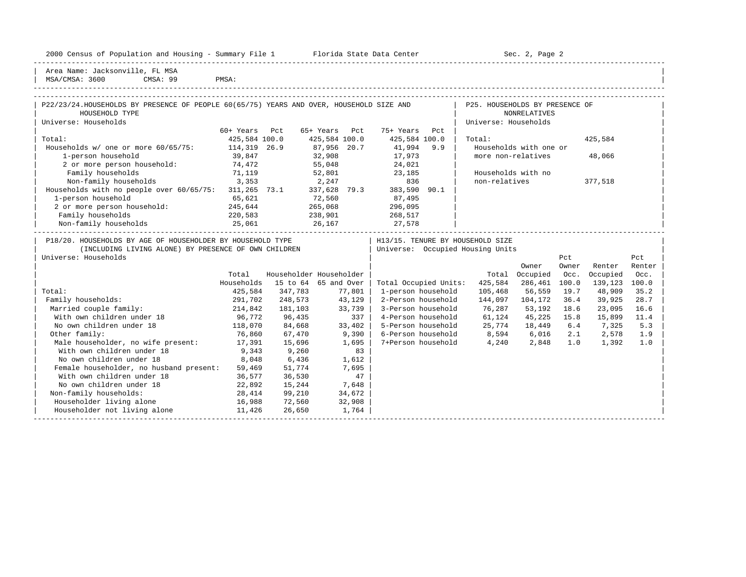| $- -$<br>2000<br>and<br>$\frac{1}{2}$<br>וומח<br>ensus:<br>Housing<br>Ju⊥ati∪∏ | Summa<br>$\overline{\phantom{0}}$ | ----<br>Center<br>orıda<br>Daco<br>blate | zage<br>ہ دے ت |
|--------------------------------------------------------------------------------|-----------------------------------|------------------------------------------|----------------|
|                                                                                |                                   |                                          |                |

2000 Florida State Data Center - Sec. 2, Page 2

| Area Name: Jacksonville, FL MSA | MSA/CMSA: 3600 CMSA: 99 PMSA:

| P22/23/24.HOUSEHOLDS BY PRESENCE OF PEOPLE 60(65/75) YEARS AND OVER, HOUSEHOLD SIZE AND<br>HOUSEHOLD TYPE<br>Universe: Households |                  |                   |                         |                          |                    | P25. HOUSEHOLDS BY PRESENCE OF<br>Universe: Households | <b>NONRELATIVES</b>     |               |                    |                            |
|-----------------------------------------------------------------------------------------------------------------------------------|------------------|-------------------|-------------------------|--------------------------|--------------------|--------------------------------------------------------|-------------------------|---------------|--------------------|----------------------------|
|                                                                                                                                   | 60+ Years Pct    |                   | 65+ Years<br>Pct        | 75+ Years                | Pct                |                                                        |                         |               |                    |                            |
| Total:                                                                                                                            | 425,584 100.0    |                   | 425,584 100.0           | 425,584 100.0            |                    | Total:                                                 |                         |               | 425,584            |                            |
| Households w/ one or more 60/65/75: 114,319 26.9                                                                                  |                  |                   | 87,956 20.7             | 41,994 9.9               |                    |                                                        | Households with one or  |               |                    |                            |
| 1-person household                                                                                                                | 39,847           |                   | 32,908                  | 17,973                   |                    |                                                        | more non-relatives      |               | 48,066             |                            |
| 2 or more person household:                                                                                                       | 74,472           |                   | 55,048                  | 24,021                   |                    |                                                        |                         |               |                    |                            |
| Family households                                                                                                                 | 71,119           |                   | 52,801                  | 23,185                   |                    |                                                        | Households with no      |               |                    |                            |
| 3,353<br>Non-family households                                                                                                    |                  |                   | 2,247                   | 836                      |                    | non-relatives                                          |                         |               | 377,518            |                            |
| Households with no people over 60/65/75: 311,265 73.1 337,628 79.3                                                                |                  |                   |                         | 383,590 90.1             |                    |                                                        |                         |               |                    |                            |
| 1-person household                                                                                                                | 65,621           |                   | 72,560                  | 87,495                   |                    |                                                        |                         |               |                    |                            |
| 2 or more person household: 245,644                                                                                               |                  |                   | 265,068                 | 296,095                  |                    |                                                        |                         |               |                    |                            |
|                                                                                                                                   |                  |                   |                         | 268,517                  |                    |                                                        |                         |               |                    |                            |
|                                                                                                                                   |                  | 238,901<br>26,167 |                         | 27,578                   |                    |                                                        |                         |               |                    |                            |
|                                                                                                                                   | Total            |                   | Householder Householder |                          |                    |                                                        | Owner<br>Total Occupied | Owner<br>Occ. | Renter<br>Occupied | Renter<br>Occ.             |
|                                                                                                                                   | Households       |                   | 15 to 64 65 and Over    | Total Occupied Units:    |                    | 425,584                                                | 286,461                 | 100.0         | 139,123 100.0      |                            |
| Total:                                                                                                                            | 425,584          | 347,783           | 77,801                  |                          | 1-person household | 105,468                                                | 56,559                  | 19.7          | 48,909             | 35.2                       |
|                                                                                                                                   |                  |                   |                         |                          |                    |                                                        |                         |               |                    |                            |
| Family households:                                                                                                                | 291,702          | 248,573           | 43,129                  | 2-Person household       |                    | 144,097                                                | 104,172                 | 36.4          | 39,925             | 28.7                       |
| Married couple family:                                                                                                            | 214,842          | 181,103           | 33,739                  | 3-Person household       |                    | 76,287                                                 | 53,192                  | 18.6          | 23,095             |                            |
| With own children under 18                                                                                                        | 96,772           | 96,435            | 337                     | 4-Person household       |                    | 61,124                                                 | 45,225                  | 15.8          | 15,899             |                            |
| No own children under 18                                                                                                          | 118,070          | 84,668            | 33,402                  | 5-Person household       |                    | 25,774                                                 | 18,449                  | 6.4           | 7,325              |                            |
| Other family:                                                                                                                     | 76,860           | 67,470            | 9,390                   | 6-Person household       |                    | 8,594                                                  | 6,016                   |               | $2.1$ $2.578$      | 16.6<br>11.4<br>5.3<br>1.9 |
| Male householder, no wife present: 17,391                                                                                         |                  | 15,696            | 1,695                   | 7+Person household 4,240 |                    |                                                        | 2,848                   | 1.0           | 1,392              | 1.0                        |
| With own children under 18                                                                                                        | 9,343            | 9,260             | 83                      |                          |                    |                                                        |                         |               |                    |                            |
| No own children under 18                                                                                                          | 8,048            | 6,436             | 1,612                   |                          |                    |                                                        |                         |               |                    |                            |
| Female householder, no husband present:                                                                                           | 59,469           | 51,774            | 7,695                   |                          |                    |                                                        |                         |               |                    |                            |
| With own children under 18                                                                                                        | 36,577           | 36,530            | 47                      |                          |                    |                                                        |                         |               |                    |                            |
| No own children under 18                                                                                                          | 22,892           | 15,244            | 7,648                   |                          |                    |                                                        |                         |               |                    |                            |
| Non-family households:<br>Householder living alone                                                                                | 28,414<br>16,988 | 99,210<br>72,560  | 34,672<br>32,908        |                          |                    |                                                        |                         |               |                    |                            |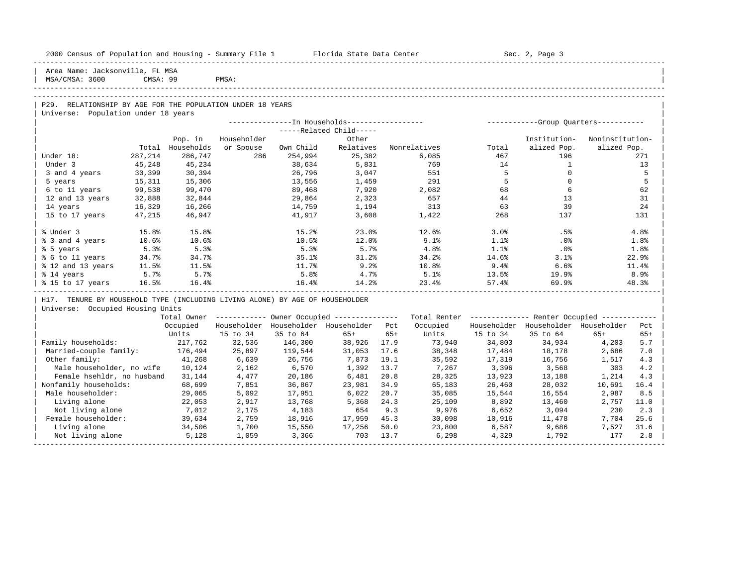| 2000 Census of Population and Housing - Summary File 1 Florida State Data Center                  |          |                  |             |           |                                                       |      |              |             | Sec. 2, Page 3                                          |                 |       |
|---------------------------------------------------------------------------------------------------|----------|------------------|-------------|-----------|-------------------------------------------------------|------|--------------|-------------|---------------------------------------------------------|-----------------|-------|
| Area Name: Jacksonville, FL MSA<br>MSA/CMSA: 3600                                                 | CMSA: 99 |                  | PMSA:       |           |                                                       |      |              |             |                                                         |                 |       |
|                                                                                                   |          |                  |             |           |                                                       |      |              |             |                                                         |                 |       |
|                                                                                                   |          |                  |             |           |                                                       |      |              |             |                                                         |                 |       |
| P29. RELATIONSHIP BY AGE FOR THE POPULATION UNDER 18 YEARS<br>Universe: Population under 18 years |          |                  |             |           |                                                       |      |              |             |                                                         |                 |       |
|                                                                                                   |          |                  |             |           | ---------------In Households-----------------         |      |              |             | ------------Group Ouarters-----------                   |                 |       |
|                                                                                                   |          |                  |             |           | -----Related Child-----                               |      |              |             |                                                         |                 |       |
|                                                                                                   |          | Pop. in          | Householder |           | Other                                                 |      |              |             | Institution-                                            | Noninstitution- |       |
|                                                                                                   |          | Total Households | or Spouse   | Own Child | Relatives                                             |      | Nonrelatives | Total       | alized Pop.                                             | alized Pop.     |       |
| Under 18:                                                                                         | 287,214  | 286,747          | 286         | 254,994   | 25,382                                                |      | 6,085        | 467         | 196                                                     |                 | 271   |
| Under 3                                                                                           | 45,248   | 45,234           |             | 38,634    | 5,831                                                 |      | 769          | 14          | $\mathbf{1}$                                            |                 | 13    |
| 3 and 4 years                                                                                     | 30,399   | 30,394           |             | 26,796    | 3,047                                                 |      | 551          | 5           | $\Omega$                                                |                 | 5     |
| 5 years                                                                                           | 15,311   | 15,306           |             | 13,556    | 1,459                                                 |      | 291          | $5^{\circ}$ | $\Omega$                                                |                 | 5     |
| 6 to 11 years                                                                                     | 99,538   | 99,470           |             | 89,468    | 7,920                                                 |      | 2,082        | 68          | 6                                                       |                 | 62    |
| 12 and 13 years                                                                                   | 32,888   | 32,844           |             | 29,864    | 2,323                                                 |      | 657          | 44          | 13                                                      |                 | 31    |
| 14 years                                                                                          | 16,329   | 16,266           |             | 14,759    | 1,194                                                 |      | 313          | 63          | 39                                                      |                 | 24    |
| 15 to 17 years                                                                                    | 47,215   | 46,947           |             | 41,917    | 3,608                                                 |      | 1,422        | 268         | 137                                                     |                 | 131   |
| % Under 3                                                                                         | 15.8%    | 15.8%            |             | 15.2%     | 23.0%                                                 |      | 12.6%        | 3.0%        | .5%                                                     |                 | 4.8%  |
| % 3 and 4 years                                                                                   | 10.6%    | 10.6%            |             | 10.5%     | 12.0%                                                 |      | 9.1%         | 1.1%        | .0%                                                     |                 | 1.8%  |
| % 5 years                                                                                         | 5.3%     | 5.3%             |             | 5.3%      | 5.7%                                                  |      | 4.8%         | 1.1%        | $.0\%$                                                  |                 | 1.8%  |
| % 6 to 11 years                                                                                   | 34.7%    | 34.7%            |             | 35.1%     | 31.2%                                                 |      | 34.2%        | 14.6%       | 3.1%                                                    |                 | 22.9% |
| % 12 and 13 years                                                                                 | 11.5%    | 11.5%            |             | 11.7%     | 9.2%                                                  |      | 10.8%        | 9.4%        | 6.6%                                                    |                 | 11.4% |
| % 14 years                                                                                        | 5.7%     | 5.7%             |             | 5.8%      | 4.7%                                                  |      | 5.1%         | 13.5%       | 19.9%                                                   |                 | 8.9%  |
| % 15 to 17 years                                                                                  | 16.5%    | 16.4%            |             | 16.4%     | 14.2%                                                 |      | 23.4%        | 57.4%       | 69.9%                                                   |                 | 48.3% |
| H17. TENURE BY HOUSEHOLD TYPE (INCLUDING LIVING ALONE) BY AGE OF HOUSEHOLDER                      |          |                  |             |           |                                                       |      |              |             |                                                         |                 |       |
| Universe: Occupied Housing Units                                                                  |          |                  |             |           |                                                       |      |              |             |                                                         |                 |       |
|                                                                                                   |          |                  |             |           | Total Owner ----------- Owner Occupied -------------- |      |              |             | Total Renter ------------- Renter Occupied ------------ |                 |       |
|                                                                                                   |          | Occupied         |             |           | Householder Householder Householder Pct               |      | Occupied     |             | Householder Householder Householder                     |                 | Pct   |
|                                                                                                   |          | Units            | 15 to 34    | 35 to 64  | 65+                                                   | 65+  | Units        | 15 to 34    | 35 to 64                                                | $65+$           | $65+$ |
| Family households:                                                                                |          | 217,762          | 32,536      | 146,300   | 38,926                                                | 17.9 | 73,940       | 34,803      | 34,934                                                  | 4,203           | 5.7   |
| Married-couple family:                                                                            |          | 176,494          | 25,897      | 119,544   | 31,053                                                | 17.6 | 38,348       | 17,484      | 18,178                                                  | 2,686           | 7.0   |
| Other family:                                                                                     |          | 41,268           | 6,639       | 26,756    | 7,873                                                 | 19.1 | 35,592       | 17,319      | 16,756                                                  | 1,517           | 4.3   |
| Male householder, no wife                                                                         |          | 10,124           | 2,162       | 6,570     | 1,392                                                 | 13.7 | 7,267        | 3,396       | 3,568                                                   | 303             | 4.2   |
| Female hsehldr, no husband                                                                        |          | 31,144           | 4,477       | 20,186    | 6,481                                                 | 20.8 | 28,325       | 13,923      | 13,188                                                  | 1,214           | 4.3   |
| Nonfamily households:                                                                             |          | 68,699           | 7,851       | 36,867    | 23,981                                                | 34.9 | 65,183       | 26,460      | 28,032                                                  | 10,691          | 16.4  |
| Male householder:                                                                                 |          | 29,065           | 5,092       | 17,951    | 6,022                                                 | 20.7 | 35,085       | 15,544      | 16,554                                                  | 2,987           | 8.5   |
| Living alone                                                                                      |          | 22,053           | 2,917       | 13,768    | 5,368                                                 | 24.3 | 25,109       | 8,892       | 13,460                                                  | 2,757           | 11.0  |
| Not living alone                                                                                  |          | 7,012            | 2,175       | 4,183     | 654                                                   | 9.3  | 9,976        | 6,652       | 3,094                                                   | 230             | 2.3   |
| Female householder:                                                                               |          | 39,634           | 2,759       | 18,916    | 17,959                                                | 45.3 | 30,098       | 10,916      | 11,478                                                  | 7,704           | 25.6  |
| Living alone                                                                                      |          | 34,506           | 1,700       | 15,550    | 17,256                                                | 50.0 | 23,800       | 6,587       | 9,686                                                   | 7,527           | 31.6  |
| Not living alone                                                                                  |          | 5,128            | 1,059       | 3,366     | 703                                                   | 13.7 | 6,298        | 4,329       | 1,792                                                   | 177             | 2.8   |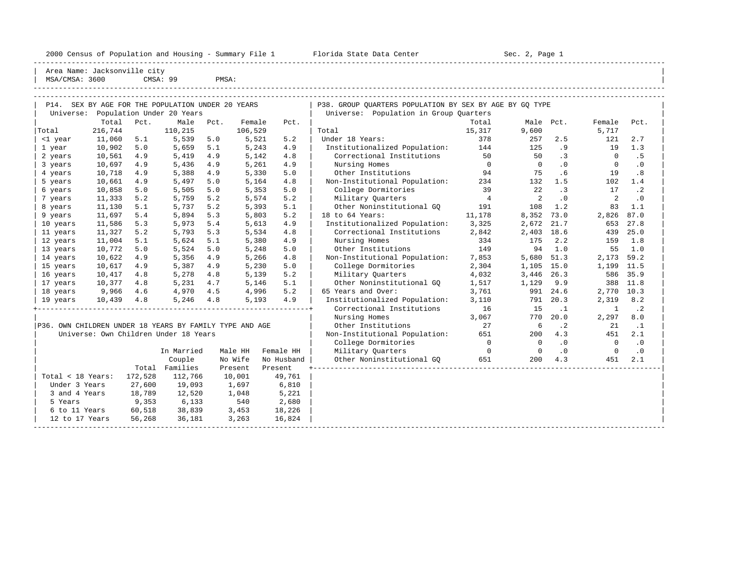2000 Census of Population and Housing - Summary File 1 Florida State Data Center Sec. 2, Page 1

-----------------------------------------------------------------------------------------------------------------------------------------------------

| Area Name: Jacksonville city |

| MSA/CMSA: 3600 |                                                   |      | CMSA: 99                  | PMSA:     |         |      |                                                                                                      |        |           |     |        |      |  |
|----------------|---------------------------------------------------|------|---------------------------|-----------|---------|------|------------------------------------------------------------------------------------------------------|--------|-----------|-----|--------|------|--|
|                |                                                   |      |                           |           |         |      |                                                                                                      |        |           |     |        |      |  |
| Universe:      | P14. SEX BY AGE FOR THE POPULATION UNDER 20 YEARS |      | Population Under 20 Years |           |         |      | P38. GROUP OUARTERS POPULATION BY SEX BY AGE BY GO TYPE<br>Population in Group Ouarters<br>Universe: |        |           |     |        |      |  |
|                | Total                                             | Pct. |                           | Male Pct. | Female  | Pct. |                                                                                                      | Total  | Male Pct. |     | Female | Pct. |  |
| Total          | 216,744                                           |      | 110,215                   |           | 106,529 |      | Total                                                                                                | 15,317 | 9,600     |     | 5,717  |      |  |
| <1 year        | 11,060                                            | 5.1  | 5,539                     | 5.0       | 5,521   | 5.2  | Under 18 Years:                                                                                      | 378    | 257       | 2.5 | 121    | 2.7  |  |
| 1 year         | 10,902                                            | 5.0  | 5,659                     | 5.1       | 5,243   | 4.9  | Institutionalized Population:                                                                        | 144    | 125       |     | 19     | 1.3  |  |
| 2 years        | 10,561                                            | 4.9  | 5,419                     | 4.9       | 5,142   | 4.8  | Correctional Institutions                                                                            | 50     | 50        |     |        |      |  |
| 3 years        | 10,697                                            | 4.9  | 5,436                     | 4.9       | 5,261   | 4.9  | Nursing Homes                                                                                        |        |           |     |        |      |  |
| 4 years        | 10,718                                            | 4.9  | 5,388                     | 4.9       | 5,330   | 5.0  | Other Institutions                                                                                   | 94     | 75        |     | 19     | .8   |  |

| OWN CHILDREN UNDER 18 YEARS BY FAMILY TYPE AND AGE<br>P36. |         |            |          |            |
|------------------------------------------------------------|---------|------------|----------|------------|
| Universe: Own Children Under 18 Years                      |         |            |          |            |
|                                                            |         |            |          |            |
|                                                            |         | In Married | Male HH  | Female HH  |
|                                                            |         | Couple     | No Wife  | No Husband |
|                                                            | Total   | Families   | Present. | Present    |
| Total < 18 Years:                                          | 172,528 | 112,766    | 10,001   | 49,761     |
| Under 3 Years                                              | 27,600  | 19,093     | 1,697    | 6,810      |
| 3 and 4 Years                                              | 18,789  | 12,520     | 1,048    | 5,221      |
| 5 Years                                                    | 9,353   | 6,133      | 540      | 2,680      |
| 6 to 11 Years                                              | 60,518  | 38,839     | 3,453    | 18,226     |
| 12 to 17 Years                                             | 56,268  | 36,181     | 3,263    | 16,824     |
|                                                            |         |            |          |            |

|                                                         |         |         |                                       |      |         |            | $200-0.201$ $211-0.200$       |                |                |           |          |           |
|---------------------------------------------------------|---------|---------|---------------------------------------|------|---------|------------|-------------------------------|----------------|----------------|-----------|----------|-----------|
|                                                         | Total   | Pct.    | Male                                  | Pct. | Female  | Pct.       |                               | Total          | Male           | Pct.      | Female   | Pct.      |
| Total                                                   | 216,744 |         | 110,215                               |      | 106,529 |            | Total                         | 15,317         | 9,600          |           | 5,717    |           |
| <1 year                                                 | 11,060  | 5.1     | 5,539                                 | 5.0  | 5,521   | 5.2        | Under 18 Years:               | 378            | 257            | 2.5       | 121      | 2.7       |
| 1 year                                                  | 10,902  | 5.0     | 5,659                                 | 5.1  | 5,243   | 4.9        | Institutionalized Population: | 144            | 125            | .9        | 19       | 1.3       |
| 2 years                                                 | 10,561  | 4.9     | 5,419                                 | 4.9  | 5,142   | 4.8        | Correctional Institutions     | 50             | 50             | .3        | $\Omega$ | . 5       |
| 3 years                                                 | 10,697  | 4.9     | 5,436                                 | 4.9  | 5,261   | 4.9        | Nursing Homes                 | $\overline{0}$ | $\overline{0}$ | $\cdot$ 0 | $\Omega$ | $\cdot$ 0 |
| 4 years                                                 | 10,718  | 4.9     | 5,388                                 | 4.9  | 5,330   | 5.0        | Other Institutions            | 94             | 75             | .6        | 19       | .8        |
| 5 years                                                 | 10,661  | 4.9     | 5,497                                 | 5.0  | 5,164   | 4.8        | Non-Institutional Population: | 234            | 132            | 1.5       | 102      | 1.4       |
| 6 years                                                 | 10,858  | 5.0     | 5,505                                 | 5.0  | 5,353   | 5.0        | College Dormitories           | 39             | 22             | $\cdot$ 3 | 17       | $\cdot$ 2 |
| 7 years                                                 | 11,333  | 5.2     | 5,759                                 | 5.2  | 5,574   | 5.2        | Military Quarters             | $\overline{4}$ | 2              | $\cdot$ 0 | 2        | $\cdot$ 0 |
| 8 years                                                 | 11,130  | 5.1     | 5,737                                 | 5.2  | 5,393   | 5.1        | Other Noninstitutional GO     | 191            | 108            | 1.2       | 83       | 1.1       |
| 9 years                                                 | 11,697  | 5.4     | 5,894                                 | 5.3  | 5,803   | 5.2        | 18 to 64 Years:               | 11,178         | 8,352          | 73.0      | 2,826    | 87.0      |
| 10 years                                                | 11,586  | 5.3     | 5,973                                 | 5.4  | 5,613   | 4.9        | Institutionalized Population: | 3,325          | 2,672          | 21.7      | 653      | 27.8      |
| 11 years                                                | 11,327  | 5.2     | 5,793                                 | 5.3  | 5,534   | 4.8        | Correctional Institutions     | 2,842          | 2,403          | 18.6      | 439      | 25.0      |
| 12 years                                                | 11,004  | 5.1     | 5,624                                 | 5.1  | 5,380   | 4.9        | Nursing Homes                 | 334            | 175            | 2.2       | 159      | 1.8       |
| 13 years                                                | 10,772  | 5.0     | 5,524                                 | 5.0  | 5,248   | 5.0        | Other Institutions            | 149            | 94             | 1.0       | 55       | 1.0       |
| 14 years                                                | 10,622  | 4.9     | 5,356                                 | 4.9  | 5,266   | 4.8        | Non-Institutional Population: | 7,853          | 5,680          | 51.3      | 2,173    | 59.2      |
| 15 years                                                | 10,617  | 4.9     | 5,387                                 | 4.9  | 5,230   | 5.0        | College Dormitories           | 2,304          | 1,105          | 15.0      | 1,199    | 11.5      |
| 16 years                                                | 10,417  | 4.8     | 5,278                                 | 4.8  | 5,139   | 5.2        | Military Quarters             | 4,032          | 3,446          | 26.3      | 586      | 35.9      |
| 17 years                                                | 10,377  | 4.8     | 5,231                                 | 4.7  | 5,146   | 5.1        | Other Noninstitutional GO     | 1,517          | 1,129          | 9.9       | 388      | 11.8      |
| 18 years                                                | 9,966   | 4.6     | 4,970                                 | 4.5  | 4,996   | 5.2        | 65 Years and Over:            | 3,761          | 991            | 24.6      | 2,770    | 10.3      |
| 19 years                                                | 10,439  | 4.8     | 5,246                                 | 4.8  | 5,193   | 4.9        | Institutionalized Population: | 3,110          | 791            | 20.3      | 2,319    | 8.2       |
|                                                         |         |         |                                       |      |         |            | Correctional Institutions     | 16             | 15             | $\cdot$ 1 | 1        | $\cdot$ 2 |
|                                                         |         |         |                                       |      |         |            | Nursing Homes                 | 3,067          | 770            | 20.0      | 2,297    | 8.0       |
| P36. OWN CHILDREN UNDER 18 YEARS BY FAMILY TYPE AND AGE |         |         |                                       |      |         |            | Other Institutions            | 27             | 6              | $\cdot$ 2 | 21       | $\cdot$ 1 |
|                                                         |         |         | Universe: Own Children Under 18 Years |      |         |            | Non-Institutional Population: | 651            | 200            | 4.3       | 451      | 2.1       |
|                                                         |         |         |                                       |      |         |            | College Dormitories           | $\overline{0}$ | $\Omega$       | $\cdot$ 0 | $\Omega$ | $\cdot$ 0 |
|                                                         |         |         | In Married                            |      | Male HH | Female HH  | Military Quarters             | $\overline{0}$ | $\Omega$       | $\cdot$ 0 | 0        | $\cdot$ 0 |
|                                                         |         |         | Couple                                |      | No Wife | No Husband | Other Noninstitutional GO     | 651            | 200            | 4.3       | 451      | 2.1       |
|                                                         |         | Total   | Families                              |      | Present | Present    |                               |                |                |           |          |           |
| Total < 18 Years:                                       |         | 172,528 | 112,766                               |      | 10,001  | 49,761     |                               |                |                |           |          |           |
| Under 3 Years                                           |         | 27,600  | 19,093                                |      | 1,697   | 6,810      |                               |                |                |           |          |           |
| 3 and 4 Years                                           |         | 18,789  | 12,520                                |      | 1,048   | 5,221      |                               |                |                |           |          |           |
| 5 Years                                                 |         | 9,353   | 6,133                                 |      | 540     | 2,680      |                               |                |                |           |          |           |
| 6 to 11 Years                                           |         | 60,518  | 38,839                                |      | 3,453   | 18,226     |                               |                |                |           |          |           |
| 12 to 17 Years                                          |         | 56,268  | 36,181                                |      | 3,263   | 16,824     |                               |                |                |           |          |           |
|                                                         |         |         |                                       |      |         |            |                               |                |                |           |          |           |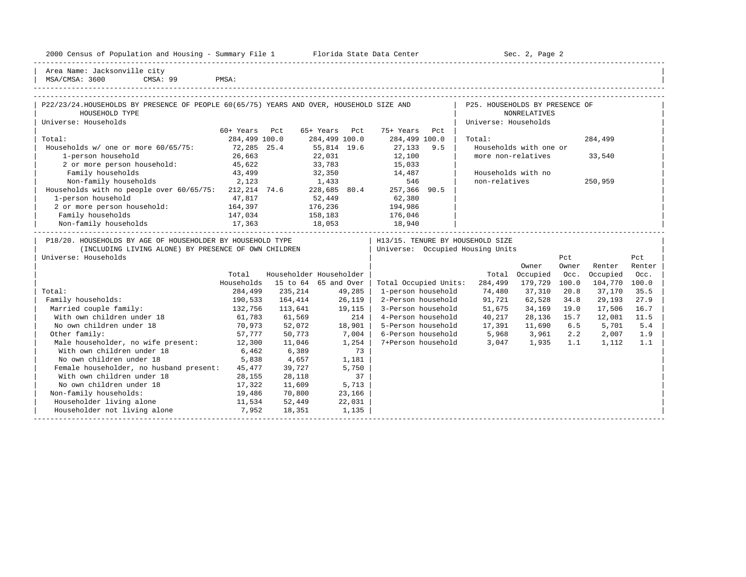| 2000 Census of Population and Housing - Summary File 1 |  |  |  |  |  |  |  |  |  |  |  |  |  |  |  |  |  |  |  |  |  |
|--------------------------------------------------------|--|--|--|--|--|--|--|--|--|--|--|--|--|--|--|--|--|--|--|--|--|
|--------------------------------------------------------|--|--|--|--|--|--|--|--|--|--|--|--|--|--|--|--|--|--|--|--|--|

Florida State Data Center - Sec. 2, Page 2

Area Name: Jacksonville city MSA/CMSA: 3600 CMSA: 99 PMSA:

With own children under 18 6,462 6,389 73 No own children under 18 5,838 4,657 1,181 Female householder, no husband present: 45,477 39,727 5,750 With own children under 18 28,155 28,118 37<br>No own children under 18 17,322 11,609 5,713

Non-family households: 19,486 70,800 23,166 Householder living alone 11,534 52,449 22,031<br>
Householder not living alone 7,952 18,351 1,135 | Householder not living alone 7,952 18,351 1,135 | | -----------------------------------------------------------------------------------------------------------------------------------------------------

17,322 11,609

#### -----------------------------------------------------------------------------------------------------------------------------------------------------

-----------------------------------------------------------------------------------------------------------------------------------------------------

| P22/23/24.HOUSEHOLDS BY PRESENCE OF PEOPLE 60(65/75) YEARS AND OVER, HOUSEHOLD SIZE AND |               |                         |               |        |                       |     | P25. HOUSEHOLDS BY PRESENCE OF   |                        |       |          |        |  |
|-----------------------------------------------------------------------------------------|---------------|-------------------------|---------------|--------|-----------------------|-----|----------------------------------|------------------------|-------|----------|--------|--|
| HOUSEHOLD TYPE                                                                          |               |                         |               |        |                       |     |                                  | <b>NONRELATIVES</b>    |       |          |        |  |
| Universe: Households                                                                    |               |                         |               |        |                       |     | Universe: Households             |                        |       |          |        |  |
|                                                                                         | 60+ Years     | Pct                     | 65+ Years     | Pct    | 75+ Years             | Pct |                                  |                        |       |          |        |  |
| Total:                                                                                  | 284,499 100.0 |                         | 284,499 100.0 |        | 284,499 100.0         |     | Total:                           |                        |       | 284,499  |        |  |
| Households w/ one or more 60/65/75:                                                     | 72,285 25.4   |                         | 55,814 19.6   |        | 27,133                | 9.5 |                                  | Households with one or |       |          |        |  |
| 1-person household                                                                      | 26,663        |                         | 22,031        |        | 12,100                |     | more non-relatives               |                        |       | 33,540   |        |  |
| 2 or more person household:                                                             | 45,622        |                         | 33,783        |        | 15,033                |     |                                  |                        |       |          |        |  |
| Family households                                                                       | 43,499        |                         | 32,350        |        | 14,487                |     | Households with no               |                        |       |          |        |  |
| Non-family households<br>2,123                                                          |               |                         | 1,433         |        | 546                   |     | non-relatives                    |                        |       | 250,959  |        |  |
| Households with no people over $60/65/75$ : 212, 214 74.6                               |               |                         | 228,685 80.4  |        | 257,366 90.5          |     |                                  |                        |       |          |        |  |
| 1-person household                                                                      | 47,817        |                         | 52,449        |        | 62,380                |     |                                  |                        |       |          |        |  |
| 2 or more person household:                                                             | 164,397       |                         | 176,236       |        | 194,986               |     |                                  |                        |       |          |        |  |
| Family households                                                                       | 147,034       |                         | 158,183       |        | 176,046               |     |                                  |                        |       |          |        |  |
| Non-family households                                                                   | 17,363        | 18,053                  |               |        | 18,940                |     |                                  |                        |       |          |        |  |
| P18/20. HOUSEHOLDS BY AGE OF HOUSEHOLDER BY HOUSEHOLD TYPE                              |               |                         |               |        |                       |     | H13/15. TENURE BY HOUSEHOLD SIZE |                        |       |          |        |  |
| (INCLUDING LIVING ALONE) BY PRESENCE OF OWN CHILDREN                                    |               |                         |               |        |                       |     | Universe: Occupied Housing Units |                        |       |          |        |  |
| Universe: Households                                                                    |               |                         |               |        |                       |     |                                  |                        | Pct   |          | Pct    |  |
|                                                                                         |               |                         |               |        |                       |     |                                  | Owner                  | Owner | Renter   | Renter |  |
|                                                                                         | Total         | Householder Householder |               |        |                       |     | Total                            | Occupied               | Occ.  | Occupied | Occ.   |  |
|                                                                                         | Households    | 15 to 64 65 and Over    |               |        | Total Occupied Units: |     | 284,499                          | 179,729                | 100.0 | 104,770  | 100.0  |  |
| Total:                                                                                  | 284,499       | 235,214                 |               | 49,285 | 1-person household    |     | 74,480                           | 37,310                 | 20.8  | 37,170   | 35.5   |  |
| Family households:                                                                      | 190,533       | 164,414                 |               | 26,119 | 2-Person household    |     | 91,721                           | 62,528                 | 34.8  | 29,193   | 27.9   |  |
| Married couple family:                                                                  | 132,756       | 113,641                 |               | 19,115 | 3-Person household    |     | 51,675                           | 34,169                 | 19.0  | 17,506   | 16.7   |  |
| With own children under 18                                                              | 61.783        | 61.569                  |               | 214    | 4-Person household    |     | 40.217                           | 28.136                 | 15.7  | 12.081   | 11.5   |  |

No own children under 18 10,973 52,072 18,901 | 5-Person household 17,391 11,690 6.5 5,701 5.4<br>19 19 19 19 19 19 19 10 11,900 1,900 1,900 1,900 1,900 1,900 1,900 1,900 1,900 1,900 1,900 1,900 1,900 1,900 1 | Other family: 57,777 50,773 7,004 | 6-Person household 5,968 3,961 2.2 2,007 1.9 | | Male householder, no wife present: 12,300 11,046 1,254 | 7+Person household 3,047 1,935 1.1 1,112 1.1 |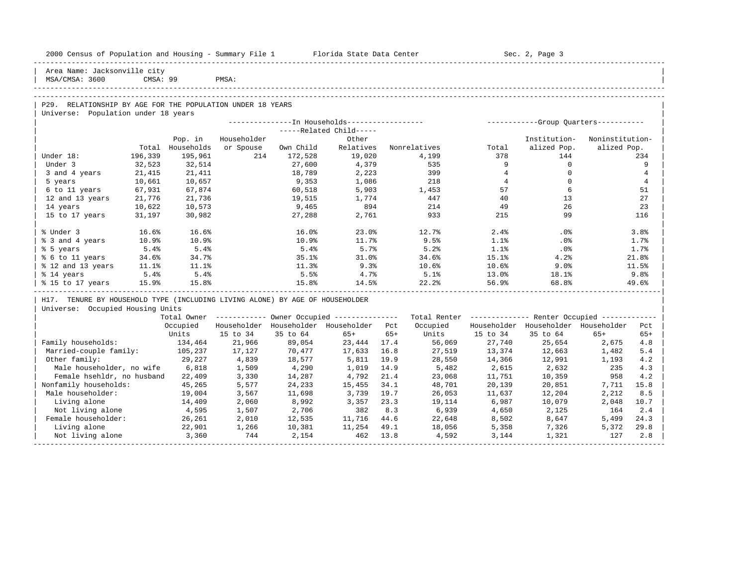| 2000 Census of Population and Housing - Summary File 1 Florida State Data Center |            |                             |             |           |                                                        |       |                                                                                        |                | Sec. 2, Page 3                                          |                 |                |
|----------------------------------------------------------------------------------|------------|-----------------------------|-------------|-----------|--------------------------------------------------------|-------|----------------------------------------------------------------------------------------|----------------|---------------------------------------------------------|-----------------|----------------|
| Area Name: Jacksonville city<br>MSA/CMSA: 3600                                   | CMSA: 99   |                             | PMSA:       |           |                                                        |       |                                                                                        |                |                                                         |                 |                |
|                                                                                  |            |                             |             |           |                                                        |       |                                                                                        |                |                                                         |                 |                |
|                                                                                  |            |                             |             |           |                                                        |       |                                                                                        |                |                                                         |                 |                |
| P29. RELATIONSHIP BY AGE FOR THE POPULATION UNDER 18 YEARS                       |            |                             |             |           |                                                        |       |                                                                                        |                |                                                         |                 |                |
| Universe: Population under 18 years                                              |            |                             |             |           |                                                        |       |                                                                                        |                |                                                         |                 |                |
|                                                                                  |            |                             |             |           |                                                        |       | ---------------- In Households----------------- - ------------Group Quarters---------- |                |                                                         |                 |                |
|                                                                                  |            |                             | Householder |           | -----Related Child-----<br>Other                       |       |                                                                                        |                |                                                         | Noninstitution- |                |
|                                                                                  |            | Pop. in<br>Total Households | or Spouse   | Own Child | Relatives                                              |       | Nonrelatives                                                                           | Total          | Institution-<br>alized Pop.                             | alized Pop.     |                |
| Under 18:                                                                        | 196,339    | 195,961                     | 214         | 172,528   | 19,020                                                 |       | 4,199                                                                                  | 378            | 144                                                     |                 | 234            |
| Under 3                                                                          | 32,523     | 32,514                      |             | 27,600    | 4,379                                                  |       | 535                                                                                    | 9              | $\circ$                                                 |                 | 9              |
| 3 and 4 years                                                                    | 21,415     | 21,411                      |             | 18,789    | 2,223                                                  |       | 399                                                                                    | $\overline{4}$ | $\circ$                                                 |                 | $\overline{4}$ |
| 5 years                                                                          | 10,661     | 10,657                      |             | 9,353     | 1,086                                                  |       | 218                                                                                    | $\overline{4}$ | $\Omega$                                                |                 | $\overline{4}$ |
| 6 to 11 years                                                                    | 67,931     | 67,874                      |             | 60,518    | 5,903                                                  |       | 1,453                                                                                  | 57             | 6                                                       |                 | 51             |
| 12 and 13 years                                                                  | 21,776     | 21,736                      |             | 19,515    | 1,774                                                  |       | 447                                                                                    | 40             | 13                                                      |                 | 27             |
| 14 years                                                                         | 10,622     | 10,573                      |             | 9,465     | 894                                                    |       | 214                                                                                    | 49             | 26                                                      |                 | 23             |
| 15 to 17 years                                                                   | 31,197     | 30,982                      |             | 27,288    | 2,761                                                  |       | 933                                                                                    | 215            | 99                                                      |                 | 116            |
|                                                                                  |            |                             |             |           |                                                        |       |                                                                                        |                |                                                         |                 |                |
| % Under 3                                                                        | 16.6%      | 16.6%                       |             | 16.0%     | 23.0%                                                  |       | 12.7%                                                                                  | 2.4%           | $.0\%$                                                  |                 | 3.8%           |
| % 3 and 4 years                                                                  | 10.9%      | 10.9%                       |             | 10.9%     | 11.7%                                                  |       | 9.5%                                                                                   | 1.1%           | $.0\%$                                                  |                 | 1.7%           |
| % 5 years                                                                        | 5.4%       | 5.4%                        |             | 5.4%      | 5.7%                                                   |       | 5.2%                                                                                   | 1.1%           | $.0\%$                                                  |                 | 1.7%           |
| % 6 to 11 years                                                                  | 34.6%      | 34.7%                       |             | 35.1%     | 31.0%                                                  |       | 34.6%                                                                                  | 15.1%          | 4.2%                                                    |                 | 21.8%          |
| % 12 and 13 years                                                                | $11.1$ $8$ | 11.1%                       |             | $11.3\%$  | 9.3%                                                   |       | $10.6\%$                                                                               | 10.6%          | 9.0%                                                    |                 | 11.5%          |
| % 14 years                                                                       | 5.4%       | 5.4%                        |             | 5.5%      | $4.7\%$                                                |       | 5.1%                                                                                   | $13.0\%$       | $18.1\%$                                                |                 | 9.8%           |
| % 15 to 17 years 15.9%                                                           |            | 15.8%                       |             | 15.8%     | 14.5%                                                  |       | 22.2%                                                                                  | 56.9%          | 68.8%                                                   |                 | 49.6%          |
|                                                                                  |            |                             |             |           |                                                        |       |                                                                                        |                |                                                         |                 |                |
| H17. TENURE BY HOUSEHOLD TYPE (INCLUDING LIVING ALONE) BY AGE OF HOUSEHOLDER     |            |                             |             |           |                                                        |       |                                                                                        |                |                                                         |                 |                |
| Universe: Occupied Housing Units                                                 |            |                             |             |           |                                                        |       |                                                                                        |                |                                                         |                 |                |
|                                                                                  |            |                             |             |           | Total Owner ------------ Owner Occupied -------------- |       |                                                                                        |                | Total Renter ------------- Renter Occupied ------------ |                 |                |
|                                                                                  |            | Occupied<br>Units           | 15 to 34    | 35 to 64  | Householder Householder Householder Pct<br>$65+$       | $65+$ | Occupied<br>Units                                                                      | 15 to 34       | Householder Householder Householder<br>35 to 64         | $65+$           | Pct<br>$65+$   |
| Family households:                                                               |            |                             | 21,966      | 89,054    | 23,444 17.4                                            |       |                                                                                        | 27,740         | 25,654                                                  |                 |                |
| Married-couple family:                                                           |            | 134,464                     | 17,127      | 70,477    | 17,633                                                 | 16.8  | 56,069<br>27,519                                                                       | 13,374         | 12,663                                                  | 2,675<br>1,482  | 4.8<br>5.4     |
| Other family:                                                                    |            | 105,237<br>29,227           | 4,839       | 18,577    | 5,811                                                  | 19.9  | 28,550                                                                                 | 14,366         | 12,663<br>12,991                                        | 1,193           | 4.2            |
| Male householder, no wife                                                        |            | 6,818                       | 1,509       | 4,290     | 1,019                                                  | 14.9  | 5,482                                                                                  | 2,615          | 2,632                                                   | 235             | 4.3            |
| Female hsehldr, no husband                                                       |            | 22,409                      | 3,330       | 14,287    | 4,792                                                  | 21.4  | 23,068                                                                                 | 11,751         | 10,359                                                  | 958             | 4.2            |
| Nonfamily households:                                                            |            | 45,265                      | 5,577       | 24,233    | 15,455                                                 | 34.1  | 48,701                                                                                 | 20,139         | 20,851                                                  | 7,711           | 15.8           |
| Male householder:                                                                |            | 19,004                      | 3,567       | 11,698    | 3,739                                                  | 19.7  | 26,053                                                                                 | 11,637         | 12,204                                                  | 2,212           | 8.5            |
| Living alone                                                                     |            | 14,409                      | 2,060       | 8,992     | 3,357                                                  | 23.3  | 19,114                                                                                 | 6,987          | 10,079                                                  | 2,048           | 10.7           |
| Not living alone                                                                 |            | 4,595                       | 1,507       | 2,706     | 382                                                    | 8.3   | 6,939                                                                                  | 4,650          | 2,125                                                   | 164             | 2.4            |
| Female householder:                                                              |            | 26,261                      | 2,010       | 12,535    | 11,716                                                 | 44.6  | 22,648                                                                                 | 8,502          | 8,647                                                   | 5,499           | 24.3           |
| Living alone                                                                     |            | 22,901                      | 1,266       | 10,381    | 11,254                                                 | 49.1  | 18,056                                                                                 | 5,358          | 7,326                                                   | 5,372           | 29.8           |
| Not living alone                                                                 |            | 3,360                       | 744         | 2,154     | 462                                                    | 13.8  | 4,592                                                                                  | 3,144          | 1,321                                                   | 127             | 2.8            |
|                                                                                  |            |                             |             |           |                                                        |       |                                                                                        |                |                                                         |                 |                |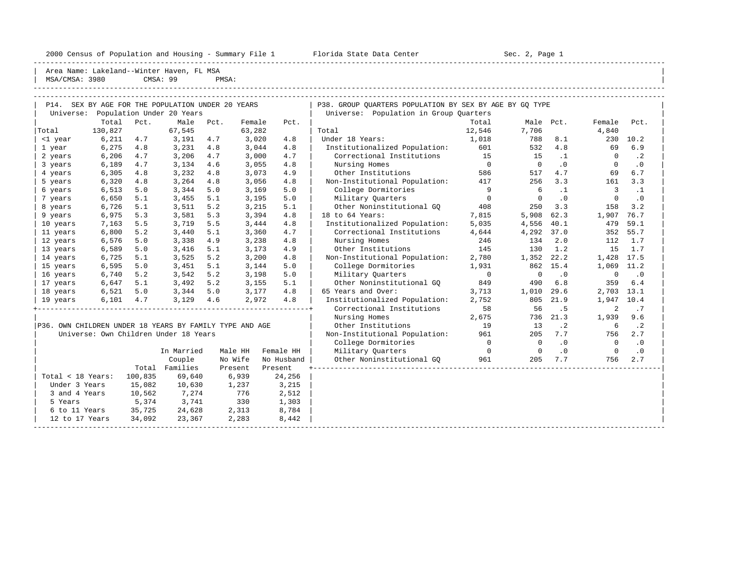2000 Census of Population and Housing - Summary File 1 Telorida State Data Center Sec. 2, Page 1 North Sec. 2, Page

----------------------------------------------------------------------------------------------------------------------------------------------------- | Area Name: Lakeland--Winter Haven, FL MSA | MSA/CMSA: 3980 CMSA: 99 PMSA: |

| $\mathbf{1}$ and $\mathbf{1}$ |  |  | the Anti-Theoretical construction of the property and the second construction of the second construction of the |  |
|-------------------------------|--|--|-----------------------------------------------------------------------------------------------------------------|--|

| P14. SEX BY AGE FOR THE POPULATION UNDER 20 YEARS       |         |         |                                       |      |         |            | P38. GROUP QUARTERS POPULATION BY SEX BY AGE BY GQ TYPE |                          |                |           |                     |           |
|---------------------------------------------------------|---------|---------|---------------------------------------|------|---------|------------|---------------------------------------------------------|--------------------------|----------------|-----------|---------------------|-----------|
| Universe:                                               |         |         | Population Under 20 Years             |      |         |            | Universe: Population in Group Quarters                  |                          |                |           |                     |           |
|                                                         | Total   | Pct.    | Male                                  | Pct. | Female  | Pct.       |                                                         | Total                    | Male Pct.      |           | Female              | Pct.      |
| Total                                                   | 130,827 |         | 67,545                                |      | 63,282  |            | Total                                                   | 12,546                   | 7,706          |           | 4,840               |           |
| <1 year                                                 | 6,211   | 4.7     | 3,191                                 | 4.7  | 3,020   | 4.8        | Under 18 Years:                                         | 1,018                    | 788            | 8.1       | 230                 | 10.2      |
| 1 year                                                  | 6,275   | 4.8     | 3,231                                 | 4.8  | 3,044   | 4.8        | Institutionalized Population:                           | 601                      | 532            | 4.8       | 69                  | 6.9       |
| 2 years                                                 | 6,206   | 4.7     | 3,206                                 | 4.7  | 3,000   | 4.7        | Correctional Institutions                               | 15                       | 15             | $\cdot$ 1 | 0                   | $\cdot$ 2 |
| 3 years                                                 | 6,189   | 4.7     | 3,134                                 | 4.6  | 3,055   | 4.8        | Nursing Homes                                           | $\overline{0}$           | $\overline{0}$ | $\cdot$ 0 | 0                   | $\cdot$ 0 |
| 4 years                                                 | 6,305   | 4.8     | 3,232                                 | 4.8  | 3,073   | 4.9        | Other Institutions                                      | 586                      | 517            | 4.7       | 69                  | 6.7       |
| 5 years                                                 | 6,320   | 4.8     | 3,264                                 | 4.8  | 3,056   | 4.8        | Non-Institutional Population:                           | 417                      | 256            | 3.3       | 161                 | 3.3       |
| 6 years                                                 | 6,513   | 5.0     | 3,344                                 | 5.0  | 3,169   | 5.0        | College Dormitories                                     | 9                        | -6             | $\cdot$ 1 | 3                   | $\cdot$ 1 |
| 7 years                                                 | 6,650   | 5.1     | 3,455                                 | 5.1  | 3,195   | 5.0        | Military Ouarters                                       | $\overline{\phantom{0}}$ | $\Omega$       | $\cdot$ 0 | $\mathbf 0$         | $\cdot$ 0 |
| 8 years                                                 | 6,726   | 5.1     | 3,511                                 | 5.2  | 3,215   | 5.1        | Other Noninstitutional GQ                               | 408                      | 250            | 3.3       | 158                 | 3.2       |
| 9 years                                                 | 6,975   | 5.3     | 3,581                                 | 5.3  | 3,394   | 4.8        | 18 to 64 Years:                                         | 7,815                    | 5,908          | 62.3      | 1,907               | 76.7      |
| 10 years                                                | 7,163   | 5.5     | 3,719                                 | 5.5  | 3,444   | 4.8        | Institutionalized Population:                           | 5,035                    | 4,556          | 40.1      | 479                 | 59.1      |
| 11 years                                                | 6,800   | 5.2     | 3,440                                 | 5.1  | 3,360   | 4.7        | Correctional Institutions                               | 4,644                    | 4,292          | 37.0      | 352                 | 55.7      |
| 12 years                                                | 6,576   | 5.0     | 3,338                                 | 4.9  | 3,238   | 4.8        | Nursing Homes                                           | 246                      | 134            | 2.0       | 112                 | 1.7       |
| 13 years                                                | 6,589   | 5.0     | 3,416                                 | 5.1  | 3,173   | 4.9        | Other Institutions                                      | 145                      | 130            | 1.2       | 15                  | 1.7       |
| 14 years                                                | 6,725   | 5.1     | 3,525                                 | 5.2  | 3,200   | 4.8        | Non-Institutional Population:                           | 2,780                    | 1,352          | 22.2      | 1,428 17.5          |           |
| 15 years                                                | 6,595   | 5.0     | 3,451                                 | 5.1  | 3,144   | 5.0        | College Dormitories                                     | 1,931                    | 862            | 15.4      | 1,069               | 11.2      |
| 16 years                                                | 6,740   | 5.2     | 3,542                                 | 5.2  | 3,198   | 5.0        | Military Ouarters                                       | $\overline{0}$           | $\mathbf 0$    | $\cdot$ 0 | $\mathsf{O}\xspace$ | $\cdot$ 0 |
| 17 years                                                | 6,647   | 5.1     | 3,492                                 | 5.2  | 3,155   | 5.1        | Other Noninstitutional GQ                               | 849                      | 490            | 6.8       | 359                 | 6.4       |
| 18 years                                                | 6,521   | 5.0     | $3,344$ 5.0                           |      | 3,177   | 4.8        | 65 Years and Over:                                      | 3,713                    | 1,010          | 29.6      | 2,703 13.1          |           |
| 19 years                                                | 6,101   | 4.7     | 3,129                                 | 4.6  | 2,972   | 4.8        | Institutionalized Population:                           | 2,752                    | 805            | 21.9      | 1,947 10.4          |           |
|                                                         |         |         |                                       |      |         |            | Correctional Institutions                               | 58                       | 56             | .5        | 2                   | .7        |
|                                                         |         |         |                                       |      |         |            | Nursing Homes                                           | 2,675                    | 736            | 21.3      | 1,939               | 9.6       |
| P36. OWN CHILDREN UNDER 18 YEARS BY FAMILY TYPE AND AGE |         |         |                                       |      |         |            | Other Institutions                                      | 19                       | 13             | $\cdot$ 2 | 6                   | $\cdot$ 2 |
|                                                         |         |         | Universe: Own Children Under 18 Years |      |         |            | Non-Institutional Population: 961                       |                          | 205            | 7.7       | 756                 | 2.7       |
|                                                         |         |         |                                       |      |         |            | College Dormitories                                     | $\overline{0}$           | $\Omega$       | $\cdot$ 0 | $\Omega$            | $\cdot$ 0 |
|                                                         |         |         | In Married                            |      | Male HH | Female HH  | Military Quarters                                       | $\overline{0}$           | $\overline{0}$ | .0        | $\overline{0}$      | $\cdot$ 0 |
|                                                         |         |         | Couple                                |      | No Wife | No Husband | Other Noninstitutional GQ                               | 961                      | 205            | 7.7       | 756                 | 2.7       |
|                                                         |         |         | Total Families                        |      | Present | Present    |                                                         |                          |                |           |                     |           |
| Total < 18 Years:                                       |         | 100,835 | 69,640                                |      | 6,939   | 24,256     |                                                         |                          |                |           |                     |           |
| Under 3 Years                                           |         | 15,082  | 10,630                                |      | 1,237   | 3,215      |                                                         |                          |                |           |                     |           |
| 3 and 4 Years                                           |         | 10,562  | 7,274                                 |      | 776     | 2,512      |                                                         |                          |                |           |                     |           |
| 5 Years                                                 |         | 5,374   | 3,741                                 |      | 330     | 1,303      |                                                         |                          |                |           |                     |           |
| 6 to 11 Years                                           |         | 35,725  | 24,628                                |      | 2,313   | 8,784      |                                                         |                          |                |           |                     |           |
| 12 to 17 Years                                          |         | 34,092  | 23,367                                |      | 2,283   | 8,442      |                                                         |                          |                |           |                     |           |
|                                                         |         |         |                                       |      |         |            |                                                         |                          |                |           |                     |           |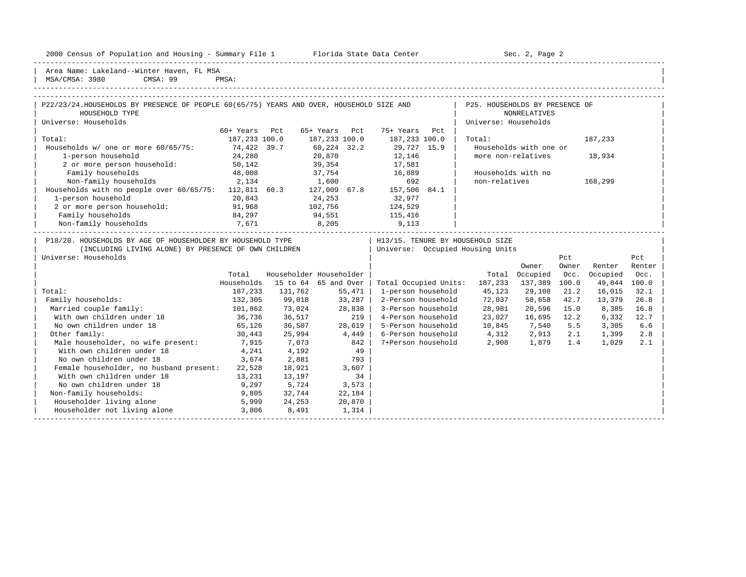2000 Census of Population and Housing - Summary File 1 Telorida State Data Center Sec. 2, Page 2

Area Name: Lakeland--Winter Haven, FL MSA | MSA/CMSA: 3980 CMSA: 99 PMSA:

### -----------------------------------------------------------------------------------------------------------------------------------------------------

| P22/23/24.HOUSEHOLDS BY PRESENCE OF PEOPLE 60(65/75) YEARS AND OVER, HOUSEHOLD SIZE AND<br>HOUSEHOLD TYPE                                         |                   |                         |               |                                  |                    | P25. HOUSEHOLDS BY PRESENCE OF | <b>NONRELATIVES</b>               |       |          |        |  |
|---------------------------------------------------------------------------------------------------------------------------------------------------|-------------------|-------------------------|---------------|----------------------------------|--------------------|--------------------------------|-----------------------------------|-------|----------|--------|--|
| Universe: Households                                                                                                                              |                   |                         |               |                                  |                    | Universe: Households           |                                   |       |          |        |  |
|                                                                                                                                                   |                   |                         |               |                                  |                    |                                |                                   |       |          |        |  |
|                                                                                                                                                   | 60+ Years Pct     |                         | 65+ Years Pct | 75+ Years Pct                    |                    |                                |                                   |       |          |        |  |
| Total:                                                                                                                                            | 187,233 100.0     |                         | 187,233 100.0 | 187,233 100.0                    |                    | Total:                         |                                   |       | 187,233  |        |  |
| Households w/ one or more 60/65/75: 74,422 39.7                                                                                                   |                   |                         | 60,224 32.2   | 29,727 15.9                      |                    |                                | Households with one or            |       |          |        |  |
| 1-person household                                                                                                                                | 24,280            |                         | 20,870        | 12,146                           |                    | more non-relatives             |                                   |       | 18,934   |        |  |
| 2 or more person household: 50,142                                                                                                                |                   |                         | 39,354        | 17,581                           |                    |                                |                                   |       |          |        |  |
| Family households                                                                                                                                 | 48,008            |                         |               | 37,754 16,889                    |                    | Households with no             |                                   |       |          |        |  |
| Non-family households<br>Non-family households 2,134 1,600 692<br>Households with no people over 60/65/75: 112,811 60.3 127,009 67.8 157,506 84.1 | 2,134             |                         | 1,600         | 692                              |                    | non-relatives                  |                                   |       | 168,299  |        |  |
|                                                                                                                                                   |                   |                         |               |                                  |                    |                                |                                   |       |          |        |  |
| 1-person household                                                                                                                                | 20,843            |                         | 24,253        | 32,977                           |                    |                                |                                   |       |          |        |  |
| 2 or more person household: 91,968                                                                                                                |                   | 102,756                 |               | 124,529                          |                    |                                |                                   |       |          |        |  |
| Family households                                                                                                                                 | 84,297            |                         |               | 94,551 115,416                   |                    |                                |                                   |       |          |        |  |
| Non-family households 7,671                                                                                                                       |                   |                         |               | 8,205 9,113                      |                    |                                |                                   |       |          |        |  |
|                                                                                                                                                   |                   |                         |               |                                  |                    |                                | _________________________________ |       |          |        |  |
| P18/20. HOUSEHOLDS BY AGE OF HOUSEHOLDER BY HOUSEHOLD TYPE                                                                                        |                   |                         |               | H13/15. TENURE BY HOUSEHOLD SIZE |                    |                                |                                   |       |          |        |  |
| (INCLUDING LIVING ALONE) BY PRESENCE OF OWN CHILDREN                                                                                              |                   |                         |               | Universe: Occupied Housing Units |                    |                                |                                   |       |          |        |  |
| Universe: Households                                                                                                                              |                   |                         |               |                                  |                    |                                |                                   | Pct   |          | Pct    |  |
|                                                                                                                                                   |                   |                         |               |                                  |                    |                                | Owner                             | Owner | Renter   | Renter |  |
|                                                                                                                                                   | Total             | Householder Householder |               |                                  |                    | Total                          | Occupied                          | Occ.  | Occupied | Occ.   |  |
|                                                                                                                                                   | Households        | 15 to 64 65 and Over    |               |                                  |                    | Total Occupied Units: 187,233  | 137,389 100.0                     |       | 49,844   | 100.0  |  |
| Total:                                                                                                                                            | 187,233           | 131,762                 | 55,471        | 1-person household               |                    | 45,123                         | 29,108                            | 21.2  | 16,015   | 32.1   |  |
| Family households:                                                                                                                                | 132,305           | 99,018                  | $33,287$      | 2-Person household               |                    | 72,037                         | 58,658                            | 42.7  | 13,379   | 26.8   |  |
| Married couple family:                                                                                                                            | 101,862<br>36,736 | 73,024                  | 28,838        | 3-Person household               |                    | 28,981                         | 20,596                            | 15.0  | 8,385    | 16.8   |  |
| With own children under 18                                                                                                                        |                   | 36,517                  |               | 219<br>4-Person household        |                    | 23,027                         | 16,695 12.2                       |       | 6,332    | 12.7   |  |
| No own children under 18                                                                                                                          | 65,126            | 36,507                  | 28,619        |                                  |                    | 5-Person household 10,845      | 7,540                             | 5.5   | 3,305    | 6.6    |  |
| Other family:                                                                                                                                     | 30,443            | 25,994                  | 4,449         |                                  |                    | 6-Person household 4,312       | 2,913                             | 2.1   | 1,399    | 2.8    |  |
| Male householder, no wife present: 7,915                                                                                                          |                   | 7,073                   | 842           |                                  | 7+Person household | 2,908                          | 1,879                             | 1.4   | 1,029    | 2.1    |  |
| With own children under 18                                                                                                                        | 4,241             | 4,192                   | 49            |                                  |                    |                                |                                   |       |          |        |  |
| No own children under 18                                                                                                                          | 3,674             | 2,881                   | 793           |                                  |                    |                                |                                   |       |          |        |  |
| Female householder, no husband present:                                                                                                           | 22,528            | 18,921                  | 3,607         |                                  |                    |                                |                                   |       |          |        |  |
| With own children under 18                                                                                                                        | 13,231            | 13,197                  | 34            |                                  |                    |                                |                                   |       |          |        |  |
| No own children under 18                                                                                                                          | 9,297             | 5,724                   | 3,573         |                                  |                    |                                |                                   |       |          |        |  |
| Non-family households:                                                                                                                            | 9,805             | 32,744                  | 22,184        |                                  |                    |                                |                                   |       |          |        |  |
| Householder living alone                                                                                                                          | 5,999             | 24,253                  | 20,870        |                                  |                    |                                |                                   |       |          |        |  |
| Householder not living alone                                                                                                                      | 3,806             |                         |               |                                  |                    |                                |                                   |       |          |        |  |
|                                                                                                                                                   |                   | 8,491                   | 1,314         |                                  |                    |                                |                                   |       |          |        |  |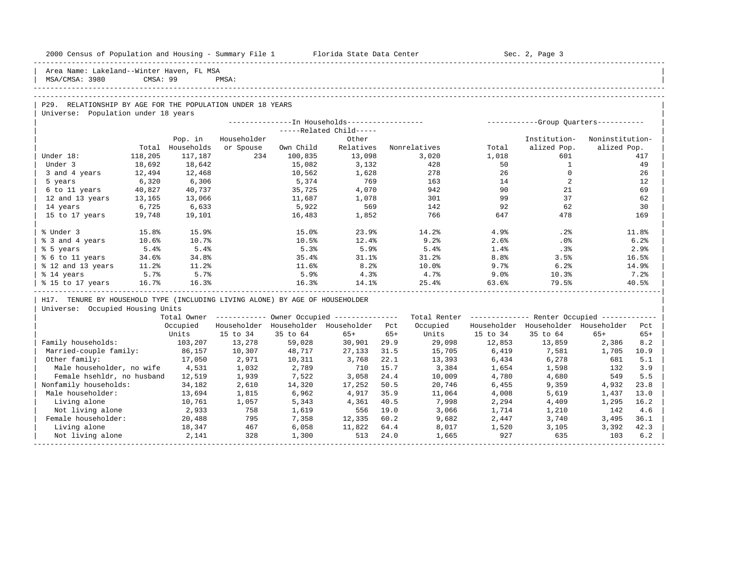|  |  |  | 2000 Census of Population and Housing - Summary File 1 |  |  |  |  |  |  |
|--|--|--|--------------------------------------------------------|--|--|--|--|--|--|
|--|--|--|--------------------------------------------------------|--|--|--|--|--|--|

Plorida State Data Center - Sec. 2, Page 3

-----------------------------------------------------------------------------------------------------------------------------------------------------

Area Name: Lakeland--Winter Haven, FL MSA | MSA/CMSA: 3980 CMSA: 99 PMSA: |

### -----------------------------------------------------------------------------------------------------------------------------------------------------

## -----------------------------------------------------------------------------------------------------------------------------------------------------

| P29. RELATIONSHIP BY AGE FOR THE POPULATION UNDER 18 YEARS | Universe: Population under 18 years

| $---Related Child---$<br>Householder<br>Other<br>Pop. in<br>Households<br>Own Child<br>Relatives<br>or Spouse<br>Nonrelatives<br>Total<br>Total<br>117,187<br>234<br>13,098<br>3,020<br>1,018<br>118,205<br>100,835<br>Under 18:<br>428<br>50<br>Under 3<br>18,642<br>15,082<br>3,132<br>18,692 | Institution-<br>alized Pop.<br>601 | Noninstitution-<br>alized Pop.<br>417<br>49 |
|-------------------------------------------------------------------------------------------------------------------------------------------------------------------------------------------------------------------------------------------------------------------------------------------------|------------------------------------|---------------------------------------------|
|                                                                                                                                                                                                                                                                                                 |                                    |                                             |
|                                                                                                                                                                                                                                                                                                 |                                    |                                             |
|                                                                                                                                                                                                                                                                                                 |                                    |                                             |
|                                                                                                                                                                                                                                                                                                 |                                    |                                             |
|                                                                                                                                                                                                                                                                                                 |                                    |                                             |
| 278<br>26<br>10,562<br>1,628<br>3 and 4 years<br>12,494<br>12,468                                                                                                                                                                                                                               |                                    | 26                                          |
| 769<br>5,374<br>14<br>6,320<br>6,306<br>163<br>5 years                                                                                                                                                                                                                                          |                                    | 12                                          |
| 4,070<br>942<br>90<br>35,725<br>6 to 11 years<br>40,827<br>40,737                                                                                                                                                                                                                               | 21                                 | 69                                          |
| 99<br>11,687<br>12 and 13 years<br>1,078<br>301<br>13,165<br>13,066                                                                                                                                                                                                                             | 37                                 | 62                                          |
| 92<br>569<br>6,725<br>5,922<br>142<br>14 years<br>6,633                                                                                                                                                                                                                                         | 62                                 | 30                                          |
| 766<br>647<br>16,483<br>1,852<br>15 to 17 years<br>19,101<br>19,748                                                                                                                                                                                                                             | 478                                | 169                                         |
|                                                                                                                                                                                                                                                                                                 |                                    |                                             |
| % Under 3<br>15.0%<br>23.9%<br>14.2%<br>15.8%<br>15.9%<br>4.9%                                                                                                                                                                                                                                  | .2%                                | 11.8%                                       |
| 10.5%<br>12.4%<br>% 3 and 4 years<br>10.6%<br>10.7%<br>9.2%<br>2.6%                                                                                                                                                                                                                             | .0%                                | 6.2%                                        |
| 5.3%<br>% 5 years<br>5.4%<br>5.4%<br>5.9%<br>5.4%<br>1.4%                                                                                                                                                                                                                                       | .3%                                | 2.9%                                        |
| % 6 to 11 years<br>35.4%<br>31.1%<br>8.8 <sup>°</sup><br>34.6%<br>34.8%<br>31.2%                                                                                                                                                                                                                | 3.5%                               | 16.5%                                       |
| 8.2%<br>% 12 and 13 years<br>11.6%<br>$10.0$ $%$<br>9.7%<br>11.2%<br>11.2%                                                                                                                                                                                                                      | 6.2%                               | 14.9%                                       |
| 5.9%<br>5.7%<br>5.7%<br>4.3%<br>4.7%<br>9.0%<br>% 14 years                                                                                                                                                                                                                                      | 10.3%                              | 7.2%                                        |
| 14.1%<br>16.3%<br>16.3%<br>25.4%<br>% 15 to 17 years<br>16.7%<br>63.6%                                                                                                                                                                                                                          | 79.5%                              | 40.5%                                       |

H17. TENURE BY HOUSEHOLD TYPE (INCLUDING LIVING ALONE) BY AGE OF HOUSEHOLDER

| Universe: Occupied Housing Units |

|                            | Total Owner |             |             | Owner Occupied --------------- |       | Total Renter |             | Renter Occupied -- |             |       |  |
|----------------------------|-------------|-------------|-------------|--------------------------------|-------|--------------|-------------|--------------------|-------------|-------|--|
|                            | Occupied    | Householder | Householder | Householder                    | Pct   | Occupied     | Householder | Householder        | Householder | Pct   |  |
|                            | Units       | 15 to 34    | 35 to 64    | $65+$                          | $65+$ | Units        | 15 to 34    | 35 to 64           | $65+$       | $65+$ |  |
| Family households:         | 103,207     | 13,278      | 59,028      | 30,901                         | 29.9  | 29,098       | 12,853      | 13,859             | 2,386       | 8.2   |  |
| Married-couple family:     | 86,157      | 10,307      | 48,717      | 27,133                         | 31.5  | 15,705       | 6,419       | 7,581              | 1,705       | 10.9  |  |
| Other family:              | 17,050      | 2,971       | 10,311      | 3,768                          | 22.1  | 13,393       | 6,434       | 6,278              | 681         | 5.1   |  |
| Male householder, no wife  | 4,531       | 1,032       | 2,789       | 710                            | 15.7  | 3,384        | 1,654       | 1,598              | 132         | 3.9   |  |
| Female hsehldr, no husband | 12,519      | 1,939       | 7,522       | 3,058                          | 24.4  | 10,009       | 4,780       | 4,680              | 549         | 5.5   |  |
| Nonfamily households:      | 34,182      | 2,610       | 14,320      | 17,252                         | 50.5  | 20,746       | 6,455       | 9,359              | 4,932       | 23.8  |  |
| Male householder:          | 13,694      | 1,815       | 6,962       | 4,917                          | 35.9  | 11,064       | 4,008       | 5,619              | 1,437       | 13.0  |  |
| Living alone               | 10,761      | 1,057       | 5,343       | 4,361                          | 40.5  | 7,998        | 2,294       | 4,409              | 1,295       | 16.2  |  |
| Not living alone           | 2,933       | 758         | 1,619       | 556                            | 19.0  | 3,066        | 1,714       | 1,210              | 142         | 4.6   |  |
| Female householder:        | 20,488      | 795         | 7,358       | 12,335                         | 60.2  | 9,682        | 2,447       | 3,740              | 3,495       | 36.1  |  |
| Living alone               | 18,347      | 467         | 6,058       | 11,822                         | 64.4  | 8,017        | 1,520       | 3,105              | 3,392       | 42.3  |  |
| Not living alone           | 2,141       | 328         | 1,300       | 513                            | 24.0  | 1,665        | 927         | 635                | 103         | 6.2   |  |
|                            |             |             |             |                                |       |              |             |                    |             |       |  |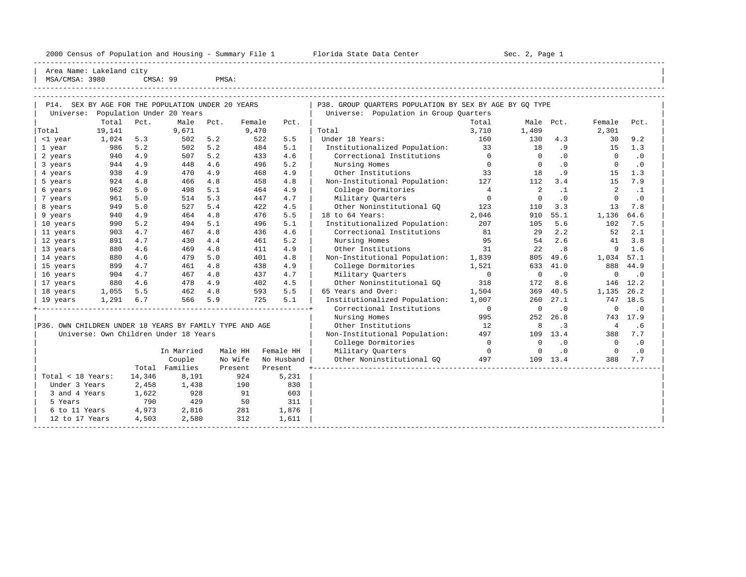|  |  |  | 2000 Census of Population and Housing - Summary File 1 |  |  |  |  |  |  |  |
|--|--|--|--------------------------------------------------------|--|--|--|--|--|--|--|
|--|--|--|--------------------------------------------------------|--|--|--|--|--|--|--|

Plorida State Data Center - Sec. 2, Page 1

----------------------------------------------------------------------------------------------------------------------------------------------------- | Area Name: Lakeland city | | MSA/CMSA: 3980 CMSA: 99 PMSA:

| AGINU / AGIN | コフロリ | CMOA • | <b>FMOA</b> |  |  |  |  |  |
|--------------|------|--------|-------------|--|--|--|--|--|
|              |      |        |             |  |  |  |  |  |
| -----        |      |        |             |  |  |  |  |  |

| P14. SEX BY AGE FOR THE POPULATION UNDER 20 YEARS       |                           |                |      |         |            | P38. GROUP QUARTERS POPULATION BY SEX BY AGE BY GQ TYPE |                |                |                |                |           |
|---------------------------------------------------------|---------------------------|----------------|------|---------|------------|---------------------------------------------------------|----------------|----------------|----------------|----------------|-----------|
| Universe:                                               | Population Under 20 Years |                |      |         |            | Universe: Population in Group Quarters                  |                |                |                |                |           |
|                                                         | Total<br>Pct.             | Male           | Pct. | Female  | Pct.       |                                                         | Total          | Male Pct.      |                | Female         | Pct.      |
| Total                                                   | 19,141                    | 9,671          |      | 9,470   |            | Total                                                   | 3,710          | 1,409          |                | 2,301          |           |
| <1 year                                                 | 1,024<br>5.3              | 502            | 5.2  | 522     | 5.5        | Under 18 Years:                                         | 160            | 130            | 4.3            | 30             | 9.2       |
| 1 year                                                  | 5.2<br>986                | 502            | 5.2  | 484     | 5.1        | Institutionalized Population:                           | 33             | 18             | .9             | 15             | 1.3       |
| 2 years                                                 | 4.9<br>940                | 507            | 5.2  | 433     | 4.6        | Correctional Institutions                               | $\overline{0}$ | $\Omega$       | .0             | $\Omega$       | $\cdot$ 0 |
| 3 years                                                 | 4.9<br>944                | 448            | 4.6  | 496     | 5.2        | Nursing Homes                                           | $\overline{0}$ | $\Omega$       | $\overline{0}$ | $\Omega$       | $\cdot$ 0 |
| 4 years                                                 | 938<br>4.9                | 470            | 4.9  | 468     | 4.9        | Other Institutions                                      | 33             | 18             | .9             | 15             | 1.3       |
| 5 years                                                 | 4.8<br>924                | 466            | 4.8  | 458     | 4.8        | Non-Institutional Population:                           | 127            | 112            | 3.4            | 15             | 7.9       |
| 6 years                                                 | 962<br>5.0                | 498            | 5.1  | 464     | 4.9        | College Dormitories                                     | $\overline{4}$ | $\overline{2}$ | $\cdot$ 1      | 2              | $\cdot$ 1 |
| 7 years                                                 | 961<br>5.0                | 514            | 5.3  | 447     | 4.7        | Military Quarters                                       | $\overline{0}$ | $\overline{0}$ | $\cdot$ 0      | $\Omega$       | $\cdot$ 0 |
| 8 years                                                 | 949<br>5.0                | 527            | 5.4  | 422     | 4.5        | Other Noninstitutional GO                               | 123            | 110            | 3.3            | 13             | 7.8       |
| 9 years                                                 | 940<br>4.9                | 464            | 4.8  | 476     | 5.5        | 18 to 64 Years:                                         | 2,046          | 910            | 55.1           | 1,136          | 64.6      |
| 10 years                                                | 5.2<br>990                | 494            | 5.1  | 496     | 5.1        | Institutionalized Population:                           | 207            | 105            | 5.6            | 102            | 7.5       |
| 11 years                                                | 903<br>4.7                | 467            | 4.8  | 436     | 4.6        | Correctional Institutions                               | 81             | 29             | 2.2            | 52             | 2.1       |
| 12 years                                                | 4.7<br>891                | 430            | 4.4  | 461     | 5.2        | Nursing Homes                                           | 95             | 54             | 2.6            | 41             | 3.8       |
| 13 years                                                | 4.6<br>880                | 469            | 4.8  | 411     | 4.9        | Other Institutions                                      | 31             | 22             | .8             | 9              | 1.6       |
| 14 years                                                | 4.6<br>880                | 479            | 5.0  | 401     | 4.8        | Non-Institutional Population:                           | 1,839          | 805            | 49.6           | 1,034 57.1     |           |
| 15 years                                                | 4.7<br>899                | 461            | 4.8  | 438     | 4.9        | College Dormitories                                     | 1,521          | 633            | 41.0           | 888            | 44.9      |
| 16 years                                                | 4.7<br>904                | 467            | 4.8  | 437     | 4.7        | Military Quarters                                       | $\overline{0}$ | $\mathbf 0$    | $\cdot$ 0      | $\mathbf 0$    | $\cdot$ 0 |
| 17 years                                                | 880<br>4.6                | 478            | 4.9  | 402     | 4.5        | Other Noninstitutional GO                               | 318            | 172            | 8.6            | 146            | 12.2      |
| 18 years                                                | 1,055<br>5.5              | 462            | 4.8  | 593     | 5.5        | 65 Years and Over:                                      | 1,504          | 369            | 40.5           | 1,135          | 26.2      |
| 19 years                                                | 1,291<br>6.7              | 566            | 5.9  | 725     | 5.1        | Institutionalized Population:                           | 1,007          | 260            | 27.1           | 747            | 18.5      |
|                                                         |                           |                |      |         |            | Correctional Institutions                               | $\overline{0}$ | $\mathbf 0$    | $\cdot$ 0      | $\mathbf 0$    | $\cdot$ 0 |
|                                                         |                           |                |      |         |            | Nursing Homes                                           | 995            | 252            | 26.8           |                | 743 17.9  |
| P36. OWN CHILDREN UNDER 18 YEARS BY FAMILY TYPE AND AGE |                           |                |      |         |            | Other Institutions                                      | 12             | 8              | $\cdot$ 3      | 4              | .6        |
| Universe: Own Children Under 18 Years                   |                           |                |      |         |            | Non-Institutional Population: 497                       |                |                | 109 13.4       | 388            | 7.7       |
|                                                         |                           |                |      |         |            | College Dormitories                                     | $\overline{0}$ | $\Omega$       | .0             | $\overline{0}$ | $\cdot$ 0 |
|                                                         |                           | In Married     |      | Male HH | Female HH  | Military Ouarters                                       | $\overline{0}$ | $\overline{0}$ | .0             | $\overline{0}$ | $\cdot$ 0 |
|                                                         |                           | Couple         |      | No Wife | No Husband | Other Noninstitutional GO                               | 497            |                | 109 13.4       | 388            | 7.7       |
|                                                         |                           | Total Families |      | Present | Present    |                                                         |                |                |                |                |           |
| Total < 18 Years:                                       | 14,346                    | 8,191          |      | 924     | 5,231      |                                                         |                |                |                |                |           |
| Under 3 Years                                           | 2,458                     | 1,438          |      | 190     | 830        |                                                         |                |                |                |                |           |
| 3 and 4 Years                                           | 1,622                     | 928            |      | 91      | 603        |                                                         |                |                |                |                |           |
| 5 Years                                                 | 790                       | 429            |      | 50      | 311        |                                                         |                |                |                |                |           |
| 6 to 11 Years                                           | 4,973                     | 2,816          |      | 281     | 1,876      |                                                         |                |                |                |                |           |
| 12 to 17 Years                                          | 4,503                     | 2,580          |      | 312     | 1,611      |                                                         |                |                |                |                |           |
|                                                         |                           |                |      |         |            |                                                         |                |                |                |                |           |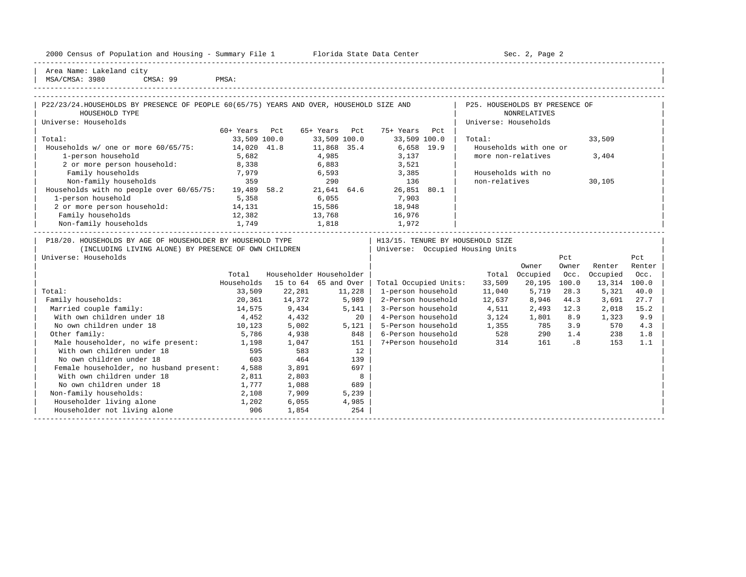|  |  |  | 2000 Census of Population and Housing - Summary File 1 |  |  |  |  |  |  |
|--|--|--|--------------------------------------------------------|--|--|--|--|--|--|
|--|--|--|--------------------------------------------------------|--|--|--|--|--|--|

Female householder, no husband present:  $4,588$  3,891 697<br>With own children under 18 2,811 2,803 8 With own children under 18 2,811 2,803 8<br>No own children under 18 1,777 1,088 689

Non-family households: 2,108 7,909 5,239 Householder living alone 1,202 6,055 4,985 Householder not living alone 1,854 254

-----------------------------------------------------------------------------------------------------------------------------------------------------

Florida State Data Center - Sec. 2, Page 2

-----------------------------------------------------------------------------------------------------------------------------------------------------

Area Name: Lakeland city | MSA/CMSA: 3980 CMSA: 99 PMSA: |

No own children under 18

| P22/23/24.HOUSEHOLDS BY PRESENCE OF PEOPLE 60(65/75) YEARS AND OVER, HOUSEHOLD SIZE AND |               |        |                         |                                  | P25. HOUSEHOLDS BY PRESENCE OF |                        |       |              |        |
|-----------------------------------------------------------------------------------------|---------------|--------|-------------------------|----------------------------------|--------------------------------|------------------------|-------|--------------|--------|
| HOUSEHOLD TYPE                                                                          |               |        |                         |                                  |                                | <b>NONRELATIVES</b>    |       |              |        |
| Universe: Households                                                                    |               |        |                         |                                  | Universe: Households           |                        |       |              |        |
|                                                                                         | 60+ Years Pct |        | 65+ Years Pct           | 75+ Years Pct                    |                                |                        |       |              |        |
| Total:                                                                                  | 33,509 100.0  |        | 33,509 100.0            | 33,509 100.0                     | Total:                         |                        |       | 33,509       |        |
| Households w/ one or more 60/65/75: 14,020 41.8                                         |               |        | 11,868 35.4             | $6,658$ 19.9                     |                                | Households with one or |       |              |        |
| 1-person household                                                                      | 5,682         |        | 4,985                   | 3,137                            |                                | more non-relatives     |       | 3,404        |        |
| 2 or more person household: 8,338                                                       |               |        |                         | $6,883$ $3,521$                  |                                |                        |       |              |        |
| Family households                                                                       | 7,979         |        |                         | 6,593 3,385                      |                                | Households with no     |       |              |        |
| Non-family households                                                                   | 359           |        | 290                     | 136                              | non-relatives                  |                        |       | 30,105       |        |
| Households with no people over 60/65/75: 19,489 58.2 21,641 64.6                        |               |        |                         | 26,851 80.1                      |                                |                        |       |              |        |
| 1-person household                                                                      | 5,358         |        | 6,055                   | 7,903                            |                                |                        |       |              |        |
| 2 or more person household: 14,131                                                      |               |        | 15,586                  | 18,948                           |                                |                        |       |              |        |
| Family households<br>12,382                                                             |               |        |                         | 13,768 16,976                    |                                |                        |       |              |        |
| Non-family households 1,749 1,818 1,972                                                 |               |        |                         |                                  |                                |                        |       |              |        |
| P18/20. HOUSEHOLDS BY AGE OF HOUSEHOLDER BY HOUSEHOLD TYPE                              |               |        |                         | H13/15. TENURE BY HOUSEHOLD SIZE |                                |                        |       |              |        |
| (INCLUDING LIVING ALONE) BY PRESENCE OF OWN CHILDREN                                    |               |        |                         | Universe: Occupied Housing Units |                                |                        |       |              |        |
| Universe: Households                                                                    |               |        |                         |                                  |                                |                        | Pct   |              | Pct    |
|                                                                                         |               |        |                         |                                  |                                | Owner                  | Owner | Renter       | Renter |
|                                                                                         | Total         |        | Householder Householder |                                  | Total                          | Occupied               | Occ.  | Occupied     | Occ.   |
|                                                                                         | Households    |        | 15 to 64 65 and Over    | Total Occupied Units:            | 33,509                         | 20,195                 | 100.0 | 13,314 100.0 |        |
| Total:                                                                                  | 33,509        |        | 22,281 11,228           | 1-person household               | 11,040                         | 5,719                  | 28.3  | 5,321        | 40.0   |
| Family households:                                                                      | 20,361        | 14,372 | 5,989                   | 2-Person household               | 12,637                         | 8,946                  | 44.3  | 3,691        | 27.7   |
| Married couple family:                                                                  | 14,575        | 9,434  | 5,141                   | 3-Person household               | 4,511                          | 2,493                  | 12.3  | 2,018        | 15.2   |
| With own children under 18                                                              | 4,452         | 4,432  | 20                      | 4-Person household               | 3,124                          | 1,801                  | 8.9   | 1,323        | 9.9    |
| No own children under 18                                                                | 10, 123       | 5,002  | 5,121                   | 5-Person household               | 1,355                          | 785                    | 3.9   | 570          | 4.3    |
| Other family:                                                                           | 5,786         | 4,938  | 848                     | 6-Person household               |                                | 528 290                | 1.4   | 238          | 1.8    |
| Male householder, no wife present: 1,198 1,047                                          |               |        | 151                     | 7+Person household               | 314                            | 161                    | .8    | 153          | 1.1    |
| With own children under 18                                                              |               |        |                         |                                  |                                |                        |       |              |        |
|                                                                                         | 595           | 583    | 12                      |                                  |                                |                        |       |              |        |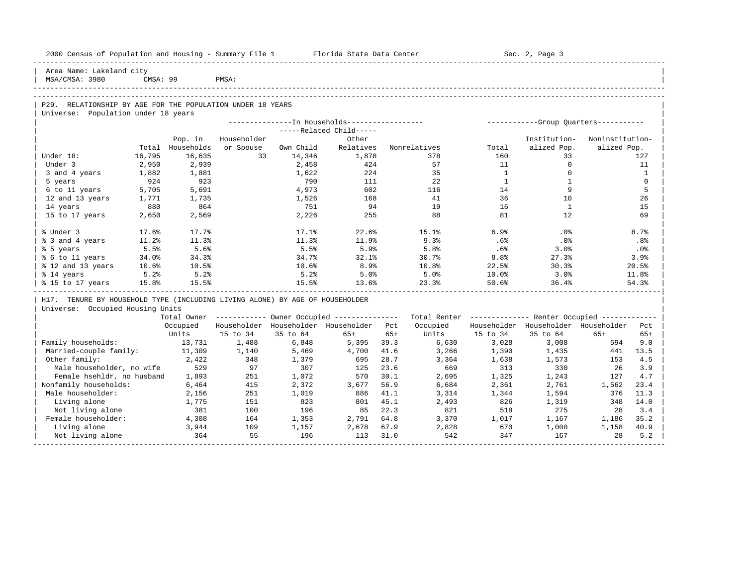| 2000 Census of Population and Housing - Summary File 1 Florida State Data Center |          |              |             |          |                                                        |       |                                                         |                                              | Sec. 2, Page 3                          |                 |              |
|----------------------------------------------------------------------------------|----------|--------------|-------------|----------|--------------------------------------------------------|-------|---------------------------------------------------------|----------------------------------------------|-----------------------------------------|-----------------|--------------|
| Area Name: Lakeland city<br>MSA/CMSA: 3980                                       | CMSA: 99 | <b>PMSA:</b> |             |          |                                                        |       |                                                         |                                              |                                         |                 |              |
|                                                                                  |          |              |             |          |                                                        |       |                                                         |                                              |                                         |                 |              |
| P29. RELATIONSHIP BY AGE FOR THE POPULATION UNDER 18 YEARS                       |          |              |             |          |                                                        |       |                                                         |                                              |                                         |                 |              |
| Universe: Population under 18 years                                              |          |              |             |          |                                                        |       |                                                         |                                              |                                         |                 |              |
|                                                                                  |          |              |             |          | ---------------- In Households-----------------        |       |                                                         |                                              | ------------Group Quarters-----------   |                 |              |
|                                                                                  |          |              |             |          | -----Related Child-----                                |       |                                                         |                                              |                                         |                 |              |
|                                                                                  |          | Pop. in      | Householder |          | Other                                                  |       |                                                         |                                              | Institution-                            | Noninstitution- |              |
|                                                                                  | Total    | Households   | or Spouse   |          |                                                        |       | Own Child Relatives Nonrelatives                        | Total                                        | alized Pop.                             | alized Pop.     |              |
| Under 18:                                                                        | 16,795   | 16,635       | 33          | 14,346   | 1,878                                                  |       | 378                                                     | 160                                          | 33                                      |                 | 127          |
| Under 3                                                                          | 2,950    | 2,939        |             | 2,458    | 424                                                    |       | 57                                                      | 11                                           | $\Omega$                                |                 | 11           |
| 3 and 4 years                                                                    | 1,882    | 1,881        |             | 1,622    | 224                                                    |       | 35                                                      | $\mathbf{1}$                                 | $\circ$                                 |                 | $\mathbf{1}$ |
| 5 years                                                                          | 924      | 923          |             | 790      | 111                                                    |       | 22                                                      | $\overline{1}$                               | <sup>1</sup>                            |                 | $\mathbf 0$  |
| 6 to 11 years 5,705                                                              |          | 5,691        |             | 4,973    | 602                                                    |       | 116                                                     | 14                                           | 9                                       |                 | 5            |
| 12 and 13 years                                                                  | 1,771    | 1,735        |             | 1,526    | 168                                                    |       | 41                                                      | 36                                           | 10                                      |                 | 26           |
| 14 years                                                                         | 880      | 864          |             | 751      | 94                                                     |       | 19                                                      | 16                                           | $\mathbf{1}$                            |                 | 15           |
| 15 to 17 years                                                                   | 2,650    | 2,569        |             | 2,226    | 255                                                    |       | 88                                                      | 81                                           | 12                                      |                 | 69           |
| % Under 3                                                                        | 17.6%    | 17.7%        |             | 17.1%    | 22.6%                                                  |       | 15.1%                                                   | 6.9%                                         | $.0\%$                                  |                 | 8.7%         |
| % 3 and 4 years                                                                  | 11.2%    | 11.3%        |             | 11.3%    | 11.9%                                                  |       | 9.3%                                                    | .6%                                          | $.0\%$                                  |                 | .8%          |
| % 5 years                                                                        | 5.5%     | 5.6%         |             | 5.5%     | 5.9%                                                   |       | 5.8%                                                    | .6%                                          | 3.0%                                    |                 | .0%          |
| % 6 to 11 years 34.0%                                                            |          | 34.3%        |             | 34.7%    | 32.1%                                                  |       | 30.7%                                                   | 8.8%                                         | 27.3%                                   |                 | 3.9%         |
| % 12 and 13 years 10.6%                                                          |          | 10.5%        |             | $10.6\%$ | 8.9%                                                   |       | 10.8%                                                   | 22.5%                                        | 30.3%                                   |                 | 20.5%        |
| % 14 years                                                                       | 5.2%     | 5.2%         |             | 5.2%     | 5.0%                                                   |       | $5.0%$ 10.0%                                            |                                              | 3.0%                                    |                 | 11.8%        |
| % 15 to 17 years 15.8%                                                           |          | 15.5%        |             | 15.5%    | 13.6%                                                  |       | 23.3%                                                   | 50.6%                                        | 36.4%                                   |                 | 54.3%        |
| H17. TENURE BY HOUSEHOLD TYPE (INCLUDING LIVING ALONE) BY AGE OF HOUSEHOLDER     |          |              |             |          |                                                        |       |                                                         |                                              |                                         |                 |              |
| Universe: Occupied Housing Units                                                 |          |              |             |          |                                                        |       |                                                         |                                              |                                         |                 |              |
|                                                                                  |          |              |             |          | Total Owner ------------ Owner Occupied -------------- |       | Total Renter ------------- Renter Occupied ------------ |                                              |                                         |                 |              |
|                                                                                  |          | Occupied     |             |          | Householder Householder Householder Pct                |       | Occupied                                                |                                              | Householder Householder Householder Pct |                 |              |
|                                                                                  |          | Units        | 15 to 34    | 35 to 64 | $65+$                                                  | $65+$ |                                                         | Units 15 to 34                               | 35 to 64                                | $65+$           | $65+$        |
| Family households:                                                               |          | 13,731 1,488 |             | 6,848    | 5,395                                                  | 39.3  | 6,630                                                   | 3,028                                        | 3,008                                   | 594             | 9.0          |
| Married-couple family: 11,309                                                    |          |              | 1,140       | 5,469    | 4,700 41.6                                             |       |                                                         | 3, 266 1, 390 1, 435<br>3, 364 1, 638 1, 573 |                                         | 441             | 13.5         |
| Other family:                                                                    |          | 2,422        | 348         | 1,379    | 695                                                    | 28.7  |                                                         |                                              |                                         | 153             | 4.5          |
| Male householder, no wife 529                                                    |          |              | 97          | 307      | 125                                                    | 23.6  | 669                                                     | 313                                          | 330                                     | 26              | 3.9          |
| Female hsehldr, no husband                                                       |          | 1,893        | 251         | 1,072    | 570                                                    | 30.1  | 2,695                                                   | 1,325                                        | 1,243                                   | 127             | 4.7          |
| Nonfamily households:                                                            |          | 6,464        | 415         | 2,372    | 3,677                                                  | 56.9  | 6,684                                                   | 2,361                                        | 2,761                                   | 1,562           | 23.4         |
| Male householder:                                                                |          | 2,156        | 251         | 1,019    | 886 41.1                                               |       | 3,314                                                   | 1,344                                        | 1,594                                   | 376             | 11.3         |
| Living alone                                                                     |          | 1,775        | 151         | 823      | 801 45.1                                               |       | 2,493                                                   | 826                                          | 1,319                                   | 348             | 14.0         |
| Not living alone                                                                 |          | 381          | 100         | 196      | 85                                                     | 22.3  | 821                                                     | 518                                          | 275                                     | 2.8             | 3.4          |

| Female householder: 4,308 164 1,353 2,791 64.8 3,370 1,017 1,167 1,186 35.2 | | Living alone 3,944 109 1,157 2,678 67.9 2,828 670 1,000 1,158 40.9 | | Not living alone 364 55 196 113 31.0 542 347 167 28 5.2 | -----------------------------------------------------------------------------------------------------------------------------------------------------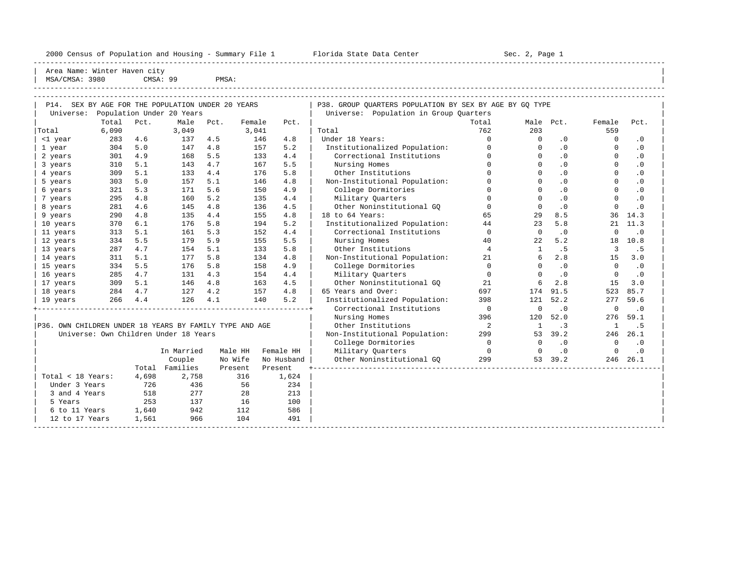2000 Census of Population and Housing - Summary File 1 Telorida State Data Center Sec. 2, Page 1 North Sec. 2, Page

----------------------------------------------------------------------------------------------------------------------------------------------------- Area Name: Winter Haven city | MSA/CMSA: 3980 CMSA: 99 PMSA:

| Population Under 20 Years<br>Universe: Population in Group Quarters<br>Total<br>Pct.<br>Male<br>Total<br>Male Pct.<br>Female<br>Pct.<br>Female<br>Pct.<br>Pct.<br>6,090<br>3,041<br>762<br>203<br>559<br>Total<br>3,049<br>Total<br>283<br>146<br>4.8<br>Under 18 Years:<br>$\Omega$<br>$\Omega$<br><1 year<br>4.6<br>137<br>4.5<br>$\cdot$ 0<br>$\Omega$<br>$\cdot$ 0<br>$\cdot$ 0<br>304<br>5.0<br>4.8<br>157<br>5.2<br>Institutionalized Population:<br>$\Omega$<br>$\cdot$ 0<br>1 year<br>147<br>$\Omega$<br>$\Omega$<br>4.9<br>Correctional Institutions<br>2 years<br>301<br>168<br>5.5<br>133<br>4.4<br>$\Omega$<br>$\Omega$<br>$\cdot$ 0<br>$\Omega$<br>$\cdot$ 0<br>$\Omega$<br>$\Omega$<br>5.1<br>4.7<br>5.5<br>Nursing Homes<br>$\Omega$<br>.0<br>310<br>143<br>167<br>$\cdot$ 0<br>3 years<br>$\Omega$<br>5.1<br>4.4<br>5.8<br>Other Institutions<br>$\Omega$<br>$\cdot$ 0<br>$\Omega$<br>4 years<br>309<br>133<br>176<br>$\cdot$ 0<br>5.0<br>5.1<br>4.8<br>Non-Institutional Population:<br>$\Omega$<br>.0<br>303<br>157<br>146<br>$\Omega$<br>$\Omega$<br>$\cdot$ 0<br>5 years<br>.0<br>5.3<br>5.6<br>4.9<br>College Dormitories<br>$\Omega$<br>$\Omega$<br>$\Omega$<br>321<br>171<br>150<br>$\cdot$ 0<br>6 years<br>5.2<br>$\Omega$<br>$\Omega$<br>$\cdot$ 0<br>$\Omega$<br>295<br>4.8<br>160<br>135<br>4.4<br>Military Quarters<br>$\cdot$ 0<br>7 years<br>4.8<br>Other Noninstitutional GO<br>$\mathbf 0$<br>.0<br>281<br>4.6<br>145<br>4.5<br>$\Omega$<br>$\Omega$<br>$\cdot$ 0<br>8 years<br>136<br>4.8<br>18 to 64 Years:<br>8.5<br>9 years<br>290<br>135<br>4.4<br>155<br>4.8<br>65<br>29<br>36<br>14.3<br>370<br>6.1<br>5.8<br>5.2<br>Institutionalized Population:<br>44<br>23<br>5.8<br>11.3<br>176<br>194<br>21<br>10 years<br>Correctional Institutions<br>5.1<br>5.3<br>4.4<br>$\Omega$<br>11 years<br>313<br>161<br>152<br>$\Omega$<br>$\cdot$ 0<br>$\Omega$<br>$\cdot$ 0<br>5.5<br>5.9<br>155<br>5.5<br>Nursing Homes<br>40<br>5.2<br>12 years<br>334<br>179<br>22<br>18<br>10.8<br>4.7<br>5.1<br>5.8<br>Other Institutions<br>$\overline{4}$<br>.5<br>287<br>154<br>133<br>3<br>. 5<br>13 years<br>$\mathbf{1}$<br>311<br>5.1<br>5.8<br>134<br>4.8<br>Non-Institutional Population:<br>21<br>6<br>2.8<br>15<br>3.0<br>14 years<br>177<br>College Dormitories<br>$\Omega$<br>334<br>5.5<br>176<br>5.8<br>158<br>4.9<br>$\Omega$<br>$\cdot$ 0<br>$\Omega$<br>$\cdot$ 0<br>15 years<br>4.7<br>4.3<br>Military Quarters<br>$\cdot$ 0<br>16 years<br>285<br>131<br>154<br>4.4<br>$\Omega$<br>$\Omega$<br>$\Omega$<br>$\cdot$ 0<br>Other Noninstitutional GO<br>309<br>5.1<br>4.8<br>163<br>4.5<br>21<br>6<br>2.8<br>15<br>3.0<br>17 years<br>146<br>4.2<br>4.8<br>65 Years and Over:<br>4.7<br>697<br>91.5<br>523<br>85.7<br>18 years<br>284<br>127<br>157<br>174<br>5.2<br>266<br>4.4<br>126<br>4.1<br>140<br>Institutionalized Population:<br>52.2<br>398<br>121<br>277<br>59.6<br>19 years<br>Correctional Institutions<br>$\overline{0}$<br>$\mathbf 0$<br>$\cdot$ 0<br>0<br>$\cdot$ 0<br>Nursing Homes<br>52.0<br>59.1<br>396<br>120<br>276<br>P36. OWN CHILDREN UNDER 18 YEARS BY FAMILY TYPE AND AGE<br>Other Institutions<br>$\overline{2}$<br>$\cdot$ 3<br>.5<br>$\mathbf{1}$<br><sup>1</sup><br>Universe: Own Children Under 18 Years<br>Non-Institutional Population:<br>299<br>39.2<br>246<br>26.1<br>53<br>College Dormitories<br>$\Omega$<br>$\Omega$<br>$\cdot$ 0<br>$\Omega$<br>$\cdot$ 0<br>Military Quarters<br>In Married<br>Male HH<br>Female HH<br>$\overline{0}$<br>$\cdot$ 0<br>$\Omega$<br>$\cdot$ 0<br>$\circ$<br>Other Noninstitutional GO<br>Couple<br>No Wife<br>299<br>246<br>No Husband<br>53 39.2<br>26.1<br>Total Families<br>Present<br>Present<br>Total < 18 Years:<br>4,698<br>2,758<br>316<br>1,624<br>Under 3 Years<br>56<br>234<br>726<br>436<br>518<br>277<br>3 and 4 Years<br>28<br>213<br>253<br>137<br>16<br>100<br>5 Years<br>1,640<br>942<br>112<br>586<br>6 to 11 Years<br>966<br>104<br>491<br>12 to 17 Years<br>1,561 | P14. SEX BY AGE FOR THE POPULATION UNDER 20 YEARS |  |  |  |  |  |  | P38. GROUP OUARTERS POPULATION BY SEX BY AGE BY GO TYPE |  |  |  |  |  |  |  |
|-----------------------------------------------------------------------------------------------------------------------------------------------------------------------------------------------------------------------------------------------------------------------------------------------------------------------------------------------------------------------------------------------------------------------------------------------------------------------------------------------------------------------------------------------------------------------------------------------------------------------------------------------------------------------------------------------------------------------------------------------------------------------------------------------------------------------------------------------------------------------------------------------------------------------------------------------------------------------------------------------------------------------------------------------------------------------------------------------------------------------------------------------------------------------------------------------------------------------------------------------------------------------------------------------------------------------------------------------------------------------------------------------------------------------------------------------------------------------------------------------------------------------------------------------------------------------------------------------------------------------------------------------------------------------------------------------------------------------------------------------------------------------------------------------------------------------------------------------------------------------------------------------------------------------------------------------------------------------------------------------------------------------------------------------------------------------------------------------------------------------------------------------------------------------------------------------------------------------------------------------------------------------------------------------------------------------------------------------------------------------------------------------------------------------------------------------------------------------------------------------------------------------------------------------------------------------------------------------------------------------------------------------------------------------------------------------------------------------------------------------------------------------------------------------------------------------------------------------------------------------------------------------------------------------------------------------------------------------------------------------------------------------------------------------------------------------------------------------------------------------------------------------------------------------------------------------------------------------------------------------------------------------------------------------------------------------------------------------------------------------------------------------------------------------------------------------------------------------------------------------------------------------------------------------------------------------------------------------------------------------------------------------------------------------------------------------------------------------------------------------------------------------------------------------------------------------------------------------------------------------------------------------------------------------------------------------------------------------------------------------|---------------------------------------------------|--|--|--|--|--|--|---------------------------------------------------------|--|--|--|--|--|--|--|
|                                                                                                                                                                                                                                                                                                                                                                                                                                                                                                                                                                                                                                                                                                                                                                                                                                                                                                                                                                                                                                                                                                                                                                                                                                                                                                                                                                                                                                                                                                                                                                                                                                                                                                                                                                                                                                                                                                                                                                                                                                                                                                                                                                                                                                                                                                                                                                                                                                                                                                                                                                                                                                                                                                                                                                                                                                                                                                                                                                                                                                                                                                                                                                                                                                                                                                                                                                                                                                                                                                                                                                                                                                                                                                                                                                                                                                                                                                                                                                                               | Universe:                                         |  |  |  |  |  |  |                                                         |  |  |  |  |  |  |  |
|                                                                                                                                                                                                                                                                                                                                                                                                                                                                                                                                                                                                                                                                                                                                                                                                                                                                                                                                                                                                                                                                                                                                                                                                                                                                                                                                                                                                                                                                                                                                                                                                                                                                                                                                                                                                                                                                                                                                                                                                                                                                                                                                                                                                                                                                                                                                                                                                                                                                                                                                                                                                                                                                                                                                                                                                                                                                                                                                                                                                                                                                                                                                                                                                                                                                                                                                                                                                                                                                                                                                                                                                                                                                                                                                                                                                                                                                                                                                                                                               |                                                   |  |  |  |  |  |  |                                                         |  |  |  |  |  |  |  |
|                                                                                                                                                                                                                                                                                                                                                                                                                                                                                                                                                                                                                                                                                                                                                                                                                                                                                                                                                                                                                                                                                                                                                                                                                                                                                                                                                                                                                                                                                                                                                                                                                                                                                                                                                                                                                                                                                                                                                                                                                                                                                                                                                                                                                                                                                                                                                                                                                                                                                                                                                                                                                                                                                                                                                                                                                                                                                                                                                                                                                                                                                                                                                                                                                                                                                                                                                                                                                                                                                                                                                                                                                                                                                                                                                                                                                                                                                                                                                                                               |                                                   |  |  |  |  |  |  |                                                         |  |  |  |  |  |  |  |
|                                                                                                                                                                                                                                                                                                                                                                                                                                                                                                                                                                                                                                                                                                                                                                                                                                                                                                                                                                                                                                                                                                                                                                                                                                                                                                                                                                                                                                                                                                                                                                                                                                                                                                                                                                                                                                                                                                                                                                                                                                                                                                                                                                                                                                                                                                                                                                                                                                                                                                                                                                                                                                                                                                                                                                                                                                                                                                                                                                                                                                                                                                                                                                                                                                                                                                                                                                                                                                                                                                                                                                                                                                                                                                                                                                                                                                                                                                                                                                                               |                                                   |  |  |  |  |  |  |                                                         |  |  |  |  |  |  |  |
|                                                                                                                                                                                                                                                                                                                                                                                                                                                                                                                                                                                                                                                                                                                                                                                                                                                                                                                                                                                                                                                                                                                                                                                                                                                                                                                                                                                                                                                                                                                                                                                                                                                                                                                                                                                                                                                                                                                                                                                                                                                                                                                                                                                                                                                                                                                                                                                                                                                                                                                                                                                                                                                                                                                                                                                                                                                                                                                                                                                                                                                                                                                                                                                                                                                                                                                                                                                                                                                                                                                                                                                                                                                                                                                                                                                                                                                                                                                                                                                               |                                                   |  |  |  |  |  |  |                                                         |  |  |  |  |  |  |  |
|                                                                                                                                                                                                                                                                                                                                                                                                                                                                                                                                                                                                                                                                                                                                                                                                                                                                                                                                                                                                                                                                                                                                                                                                                                                                                                                                                                                                                                                                                                                                                                                                                                                                                                                                                                                                                                                                                                                                                                                                                                                                                                                                                                                                                                                                                                                                                                                                                                                                                                                                                                                                                                                                                                                                                                                                                                                                                                                                                                                                                                                                                                                                                                                                                                                                                                                                                                                                                                                                                                                                                                                                                                                                                                                                                                                                                                                                                                                                                                                               |                                                   |  |  |  |  |  |  |                                                         |  |  |  |  |  |  |  |
|                                                                                                                                                                                                                                                                                                                                                                                                                                                                                                                                                                                                                                                                                                                                                                                                                                                                                                                                                                                                                                                                                                                                                                                                                                                                                                                                                                                                                                                                                                                                                                                                                                                                                                                                                                                                                                                                                                                                                                                                                                                                                                                                                                                                                                                                                                                                                                                                                                                                                                                                                                                                                                                                                                                                                                                                                                                                                                                                                                                                                                                                                                                                                                                                                                                                                                                                                                                                                                                                                                                                                                                                                                                                                                                                                                                                                                                                                                                                                                                               |                                                   |  |  |  |  |  |  |                                                         |  |  |  |  |  |  |  |
|                                                                                                                                                                                                                                                                                                                                                                                                                                                                                                                                                                                                                                                                                                                                                                                                                                                                                                                                                                                                                                                                                                                                                                                                                                                                                                                                                                                                                                                                                                                                                                                                                                                                                                                                                                                                                                                                                                                                                                                                                                                                                                                                                                                                                                                                                                                                                                                                                                                                                                                                                                                                                                                                                                                                                                                                                                                                                                                                                                                                                                                                                                                                                                                                                                                                                                                                                                                                                                                                                                                                                                                                                                                                                                                                                                                                                                                                                                                                                                                               |                                                   |  |  |  |  |  |  |                                                         |  |  |  |  |  |  |  |
|                                                                                                                                                                                                                                                                                                                                                                                                                                                                                                                                                                                                                                                                                                                                                                                                                                                                                                                                                                                                                                                                                                                                                                                                                                                                                                                                                                                                                                                                                                                                                                                                                                                                                                                                                                                                                                                                                                                                                                                                                                                                                                                                                                                                                                                                                                                                                                                                                                                                                                                                                                                                                                                                                                                                                                                                                                                                                                                                                                                                                                                                                                                                                                                                                                                                                                                                                                                                                                                                                                                                                                                                                                                                                                                                                                                                                                                                                                                                                                                               |                                                   |  |  |  |  |  |  |                                                         |  |  |  |  |  |  |  |
|                                                                                                                                                                                                                                                                                                                                                                                                                                                                                                                                                                                                                                                                                                                                                                                                                                                                                                                                                                                                                                                                                                                                                                                                                                                                                                                                                                                                                                                                                                                                                                                                                                                                                                                                                                                                                                                                                                                                                                                                                                                                                                                                                                                                                                                                                                                                                                                                                                                                                                                                                                                                                                                                                                                                                                                                                                                                                                                                                                                                                                                                                                                                                                                                                                                                                                                                                                                                                                                                                                                                                                                                                                                                                                                                                                                                                                                                                                                                                                                               |                                                   |  |  |  |  |  |  |                                                         |  |  |  |  |  |  |  |
|                                                                                                                                                                                                                                                                                                                                                                                                                                                                                                                                                                                                                                                                                                                                                                                                                                                                                                                                                                                                                                                                                                                                                                                                                                                                                                                                                                                                                                                                                                                                                                                                                                                                                                                                                                                                                                                                                                                                                                                                                                                                                                                                                                                                                                                                                                                                                                                                                                                                                                                                                                                                                                                                                                                                                                                                                                                                                                                                                                                                                                                                                                                                                                                                                                                                                                                                                                                                                                                                                                                                                                                                                                                                                                                                                                                                                                                                                                                                                                                               |                                                   |  |  |  |  |  |  |                                                         |  |  |  |  |  |  |  |
|                                                                                                                                                                                                                                                                                                                                                                                                                                                                                                                                                                                                                                                                                                                                                                                                                                                                                                                                                                                                                                                                                                                                                                                                                                                                                                                                                                                                                                                                                                                                                                                                                                                                                                                                                                                                                                                                                                                                                                                                                                                                                                                                                                                                                                                                                                                                                                                                                                                                                                                                                                                                                                                                                                                                                                                                                                                                                                                                                                                                                                                                                                                                                                                                                                                                                                                                                                                                                                                                                                                                                                                                                                                                                                                                                                                                                                                                                                                                                                                               |                                                   |  |  |  |  |  |  |                                                         |  |  |  |  |  |  |  |
|                                                                                                                                                                                                                                                                                                                                                                                                                                                                                                                                                                                                                                                                                                                                                                                                                                                                                                                                                                                                                                                                                                                                                                                                                                                                                                                                                                                                                                                                                                                                                                                                                                                                                                                                                                                                                                                                                                                                                                                                                                                                                                                                                                                                                                                                                                                                                                                                                                                                                                                                                                                                                                                                                                                                                                                                                                                                                                                                                                                                                                                                                                                                                                                                                                                                                                                                                                                                                                                                                                                                                                                                                                                                                                                                                                                                                                                                                                                                                                                               |                                                   |  |  |  |  |  |  |                                                         |  |  |  |  |  |  |  |
|                                                                                                                                                                                                                                                                                                                                                                                                                                                                                                                                                                                                                                                                                                                                                                                                                                                                                                                                                                                                                                                                                                                                                                                                                                                                                                                                                                                                                                                                                                                                                                                                                                                                                                                                                                                                                                                                                                                                                                                                                                                                                                                                                                                                                                                                                                                                                                                                                                                                                                                                                                                                                                                                                                                                                                                                                                                                                                                                                                                                                                                                                                                                                                                                                                                                                                                                                                                                                                                                                                                                                                                                                                                                                                                                                                                                                                                                                                                                                                                               |                                                   |  |  |  |  |  |  |                                                         |  |  |  |  |  |  |  |
|                                                                                                                                                                                                                                                                                                                                                                                                                                                                                                                                                                                                                                                                                                                                                                                                                                                                                                                                                                                                                                                                                                                                                                                                                                                                                                                                                                                                                                                                                                                                                                                                                                                                                                                                                                                                                                                                                                                                                                                                                                                                                                                                                                                                                                                                                                                                                                                                                                                                                                                                                                                                                                                                                                                                                                                                                                                                                                                                                                                                                                                                                                                                                                                                                                                                                                                                                                                                                                                                                                                                                                                                                                                                                                                                                                                                                                                                                                                                                                                               |                                                   |  |  |  |  |  |  |                                                         |  |  |  |  |  |  |  |
|                                                                                                                                                                                                                                                                                                                                                                                                                                                                                                                                                                                                                                                                                                                                                                                                                                                                                                                                                                                                                                                                                                                                                                                                                                                                                                                                                                                                                                                                                                                                                                                                                                                                                                                                                                                                                                                                                                                                                                                                                                                                                                                                                                                                                                                                                                                                                                                                                                                                                                                                                                                                                                                                                                                                                                                                                                                                                                                                                                                                                                                                                                                                                                                                                                                                                                                                                                                                                                                                                                                                                                                                                                                                                                                                                                                                                                                                                                                                                                                               |                                                   |  |  |  |  |  |  |                                                         |  |  |  |  |  |  |  |
|                                                                                                                                                                                                                                                                                                                                                                                                                                                                                                                                                                                                                                                                                                                                                                                                                                                                                                                                                                                                                                                                                                                                                                                                                                                                                                                                                                                                                                                                                                                                                                                                                                                                                                                                                                                                                                                                                                                                                                                                                                                                                                                                                                                                                                                                                                                                                                                                                                                                                                                                                                                                                                                                                                                                                                                                                                                                                                                                                                                                                                                                                                                                                                                                                                                                                                                                                                                                                                                                                                                                                                                                                                                                                                                                                                                                                                                                                                                                                                                               |                                                   |  |  |  |  |  |  |                                                         |  |  |  |  |  |  |  |
|                                                                                                                                                                                                                                                                                                                                                                                                                                                                                                                                                                                                                                                                                                                                                                                                                                                                                                                                                                                                                                                                                                                                                                                                                                                                                                                                                                                                                                                                                                                                                                                                                                                                                                                                                                                                                                                                                                                                                                                                                                                                                                                                                                                                                                                                                                                                                                                                                                                                                                                                                                                                                                                                                                                                                                                                                                                                                                                                                                                                                                                                                                                                                                                                                                                                                                                                                                                                                                                                                                                                                                                                                                                                                                                                                                                                                                                                                                                                                                                               |                                                   |  |  |  |  |  |  |                                                         |  |  |  |  |  |  |  |
|                                                                                                                                                                                                                                                                                                                                                                                                                                                                                                                                                                                                                                                                                                                                                                                                                                                                                                                                                                                                                                                                                                                                                                                                                                                                                                                                                                                                                                                                                                                                                                                                                                                                                                                                                                                                                                                                                                                                                                                                                                                                                                                                                                                                                                                                                                                                                                                                                                                                                                                                                                                                                                                                                                                                                                                                                                                                                                                                                                                                                                                                                                                                                                                                                                                                                                                                                                                                                                                                                                                                                                                                                                                                                                                                                                                                                                                                                                                                                                                               |                                                   |  |  |  |  |  |  |                                                         |  |  |  |  |  |  |  |
|                                                                                                                                                                                                                                                                                                                                                                                                                                                                                                                                                                                                                                                                                                                                                                                                                                                                                                                                                                                                                                                                                                                                                                                                                                                                                                                                                                                                                                                                                                                                                                                                                                                                                                                                                                                                                                                                                                                                                                                                                                                                                                                                                                                                                                                                                                                                                                                                                                                                                                                                                                                                                                                                                                                                                                                                                                                                                                                                                                                                                                                                                                                                                                                                                                                                                                                                                                                                                                                                                                                                                                                                                                                                                                                                                                                                                                                                                                                                                                                               |                                                   |  |  |  |  |  |  |                                                         |  |  |  |  |  |  |  |
|                                                                                                                                                                                                                                                                                                                                                                                                                                                                                                                                                                                                                                                                                                                                                                                                                                                                                                                                                                                                                                                                                                                                                                                                                                                                                                                                                                                                                                                                                                                                                                                                                                                                                                                                                                                                                                                                                                                                                                                                                                                                                                                                                                                                                                                                                                                                                                                                                                                                                                                                                                                                                                                                                                                                                                                                                                                                                                                                                                                                                                                                                                                                                                                                                                                                                                                                                                                                                                                                                                                                                                                                                                                                                                                                                                                                                                                                                                                                                                                               |                                                   |  |  |  |  |  |  |                                                         |  |  |  |  |  |  |  |
|                                                                                                                                                                                                                                                                                                                                                                                                                                                                                                                                                                                                                                                                                                                                                                                                                                                                                                                                                                                                                                                                                                                                                                                                                                                                                                                                                                                                                                                                                                                                                                                                                                                                                                                                                                                                                                                                                                                                                                                                                                                                                                                                                                                                                                                                                                                                                                                                                                                                                                                                                                                                                                                                                                                                                                                                                                                                                                                                                                                                                                                                                                                                                                                                                                                                                                                                                                                                                                                                                                                                                                                                                                                                                                                                                                                                                                                                                                                                                                                               |                                                   |  |  |  |  |  |  |                                                         |  |  |  |  |  |  |  |
|                                                                                                                                                                                                                                                                                                                                                                                                                                                                                                                                                                                                                                                                                                                                                                                                                                                                                                                                                                                                                                                                                                                                                                                                                                                                                                                                                                                                                                                                                                                                                                                                                                                                                                                                                                                                                                                                                                                                                                                                                                                                                                                                                                                                                                                                                                                                                                                                                                                                                                                                                                                                                                                                                                                                                                                                                                                                                                                                                                                                                                                                                                                                                                                                                                                                                                                                                                                                                                                                                                                                                                                                                                                                                                                                                                                                                                                                                                                                                                                               |                                                   |  |  |  |  |  |  |                                                         |  |  |  |  |  |  |  |
|                                                                                                                                                                                                                                                                                                                                                                                                                                                                                                                                                                                                                                                                                                                                                                                                                                                                                                                                                                                                                                                                                                                                                                                                                                                                                                                                                                                                                                                                                                                                                                                                                                                                                                                                                                                                                                                                                                                                                                                                                                                                                                                                                                                                                                                                                                                                                                                                                                                                                                                                                                                                                                                                                                                                                                                                                                                                                                                                                                                                                                                                                                                                                                                                                                                                                                                                                                                                                                                                                                                                                                                                                                                                                                                                                                                                                                                                                                                                                                                               |                                                   |  |  |  |  |  |  |                                                         |  |  |  |  |  |  |  |
|                                                                                                                                                                                                                                                                                                                                                                                                                                                                                                                                                                                                                                                                                                                                                                                                                                                                                                                                                                                                                                                                                                                                                                                                                                                                                                                                                                                                                                                                                                                                                                                                                                                                                                                                                                                                                                                                                                                                                                                                                                                                                                                                                                                                                                                                                                                                                                                                                                                                                                                                                                                                                                                                                                                                                                                                                                                                                                                                                                                                                                                                                                                                                                                                                                                                                                                                                                                                                                                                                                                                                                                                                                                                                                                                                                                                                                                                                                                                                                                               |                                                   |  |  |  |  |  |  |                                                         |  |  |  |  |  |  |  |
|                                                                                                                                                                                                                                                                                                                                                                                                                                                                                                                                                                                                                                                                                                                                                                                                                                                                                                                                                                                                                                                                                                                                                                                                                                                                                                                                                                                                                                                                                                                                                                                                                                                                                                                                                                                                                                                                                                                                                                                                                                                                                                                                                                                                                                                                                                                                                                                                                                                                                                                                                                                                                                                                                                                                                                                                                                                                                                                                                                                                                                                                                                                                                                                                                                                                                                                                                                                                                                                                                                                                                                                                                                                                                                                                                                                                                                                                                                                                                                                               |                                                   |  |  |  |  |  |  |                                                         |  |  |  |  |  |  |  |
|                                                                                                                                                                                                                                                                                                                                                                                                                                                                                                                                                                                                                                                                                                                                                                                                                                                                                                                                                                                                                                                                                                                                                                                                                                                                                                                                                                                                                                                                                                                                                                                                                                                                                                                                                                                                                                                                                                                                                                                                                                                                                                                                                                                                                                                                                                                                                                                                                                                                                                                                                                                                                                                                                                                                                                                                                                                                                                                                                                                                                                                                                                                                                                                                                                                                                                                                                                                                                                                                                                                                                                                                                                                                                                                                                                                                                                                                                                                                                                                               |                                                   |  |  |  |  |  |  |                                                         |  |  |  |  |  |  |  |
|                                                                                                                                                                                                                                                                                                                                                                                                                                                                                                                                                                                                                                                                                                                                                                                                                                                                                                                                                                                                                                                                                                                                                                                                                                                                                                                                                                                                                                                                                                                                                                                                                                                                                                                                                                                                                                                                                                                                                                                                                                                                                                                                                                                                                                                                                                                                                                                                                                                                                                                                                                                                                                                                                                                                                                                                                                                                                                                                                                                                                                                                                                                                                                                                                                                                                                                                                                                                                                                                                                                                                                                                                                                                                                                                                                                                                                                                                                                                                                                               |                                                   |  |  |  |  |  |  |                                                         |  |  |  |  |  |  |  |
|                                                                                                                                                                                                                                                                                                                                                                                                                                                                                                                                                                                                                                                                                                                                                                                                                                                                                                                                                                                                                                                                                                                                                                                                                                                                                                                                                                                                                                                                                                                                                                                                                                                                                                                                                                                                                                                                                                                                                                                                                                                                                                                                                                                                                                                                                                                                                                                                                                                                                                                                                                                                                                                                                                                                                                                                                                                                                                                                                                                                                                                                                                                                                                                                                                                                                                                                                                                                                                                                                                                                                                                                                                                                                                                                                                                                                                                                                                                                                                                               |                                                   |  |  |  |  |  |  |                                                         |  |  |  |  |  |  |  |
|                                                                                                                                                                                                                                                                                                                                                                                                                                                                                                                                                                                                                                                                                                                                                                                                                                                                                                                                                                                                                                                                                                                                                                                                                                                                                                                                                                                                                                                                                                                                                                                                                                                                                                                                                                                                                                                                                                                                                                                                                                                                                                                                                                                                                                                                                                                                                                                                                                                                                                                                                                                                                                                                                                                                                                                                                                                                                                                                                                                                                                                                                                                                                                                                                                                                                                                                                                                                                                                                                                                                                                                                                                                                                                                                                                                                                                                                                                                                                                                               |                                                   |  |  |  |  |  |  |                                                         |  |  |  |  |  |  |  |
|                                                                                                                                                                                                                                                                                                                                                                                                                                                                                                                                                                                                                                                                                                                                                                                                                                                                                                                                                                                                                                                                                                                                                                                                                                                                                                                                                                                                                                                                                                                                                                                                                                                                                                                                                                                                                                                                                                                                                                                                                                                                                                                                                                                                                                                                                                                                                                                                                                                                                                                                                                                                                                                                                                                                                                                                                                                                                                                                                                                                                                                                                                                                                                                                                                                                                                                                                                                                                                                                                                                                                                                                                                                                                                                                                                                                                                                                                                                                                                                               |                                                   |  |  |  |  |  |  |                                                         |  |  |  |  |  |  |  |
|                                                                                                                                                                                                                                                                                                                                                                                                                                                                                                                                                                                                                                                                                                                                                                                                                                                                                                                                                                                                                                                                                                                                                                                                                                                                                                                                                                                                                                                                                                                                                                                                                                                                                                                                                                                                                                                                                                                                                                                                                                                                                                                                                                                                                                                                                                                                                                                                                                                                                                                                                                                                                                                                                                                                                                                                                                                                                                                                                                                                                                                                                                                                                                                                                                                                                                                                                                                                                                                                                                                                                                                                                                                                                                                                                                                                                                                                                                                                                                                               |                                                   |  |  |  |  |  |  |                                                         |  |  |  |  |  |  |  |
|                                                                                                                                                                                                                                                                                                                                                                                                                                                                                                                                                                                                                                                                                                                                                                                                                                                                                                                                                                                                                                                                                                                                                                                                                                                                                                                                                                                                                                                                                                                                                                                                                                                                                                                                                                                                                                                                                                                                                                                                                                                                                                                                                                                                                                                                                                                                                                                                                                                                                                                                                                                                                                                                                                                                                                                                                                                                                                                                                                                                                                                                                                                                                                                                                                                                                                                                                                                                                                                                                                                                                                                                                                                                                                                                                                                                                                                                                                                                                                                               |                                                   |  |  |  |  |  |  |                                                         |  |  |  |  |  |  |  |
|                                                                                                                                                                                                                                                                                                                                                                                                                                                                                                                                                                                                                                                                                                                                                                                                                                                                                                                                                                                                                                                                                                                                                                                                                                                                                                                                                                                                                                                                                                                                                                                                                                                                                                                                                                                                                                                                                                                                                                                                                                                                                                                                                                                                                                                                                                                                                                                                                                                                                                                                                                                                                                                                                                                                                                                                                                                                                                                                                                                                                                                                                                                                                                                                                                                                                                                                                                                                                                                                                                                                                                                                                                                                                                                                                                                                                                                                                                                                                                                               |                                                   |  |  |  |  |  |  |                                                         |  |  |  |  |  |  |  |
|                                                                                                                                                                                                                                                                                                                                                                                                                                                                                                                                                                                                                                                                                                                                                                                                                                                                                                                                                                                                                                                                                                                                                                                                                                                                                                                                                                                                                                                                                                                                                                                                                                                                                                                                                                                                                                                                                                                                                                                                                                                                                                                                                                                                                                                                                                                                                                                                                                                                                                                                                                                                                                                                                                                                                                                                                                                                                                                                                                                                                                                                                                                                                                                                                                                                                                                                                                                                                                                                                                                                                                                                                                                                                                                                                                                                                                                                                                                                                                                               |                                                   |  |  |  |  |  |  |                                                         |  |  |  |  |  |  |  |
|                                                                                                                                                                                                                                                                                                                                                                                                                                                                                                                                                                                                                                                                                                                                                                                                                                                                                                                                                                                                                                                                                                                                                                                                                                                                                                                                                                                                                                                                                                                                                                                                                                                                                                                                                                                                                                                                                                                                                                                                                                                                                                                                                                                                                                                                                                                                                                                                                                                                                                                                                                                                                                                                                                                                                                                                                                                                                                                                                                                                                                                                                                                                                                                                                                                                                                                                                                                                                                                                                                                                                                                                                                                                                                                                                                                                                                                                                                                                                                                               |                                                   |  |  |  |  |  |  |                                                         |  |  |  |  |  |  |  |
|                                                                                                                                                                                                                                                                                                                                                                                                                                                                                                                                                                                                                                                                                                                                                                                                                                                                                                                                                                                                                                                                                                                                                                                                                                                                                                                                                                                                                                                                                                                                                                                                                                                                                                                                                                                                                                                                                                                                                                                                                                                                                                                                                                                                                                                                                                                                                                                                                                                                                                                                                                                                                                                                                                                                                                                                                                                                                                                                                                                                                                                                                                                                                                                                                                                                                                                                                                                                                                                                                                                                                                                                                                                                                                                                                                                                                                                                                                                                                                                               |                                                   |  |  |  |  |  |  |                                                         |  |  |  |  |  |  |  |
|                                                                                                                                                                                                                                                                                                                                                                                                                                                                                                                                                                                                                                                                                                                                                                                                                                                                                                                                                                                                                                                                                                                                                                                                                                                                                                                                                                                                                                                                                                                                                                                                                                                                                                                                                                                                                                                                                                                                                                                                                                                                                                                                                                                                                                                                                                                                                                                                                                                                                                                                                                                                                                                                                                                                                                                                                                                                                                                                                                                                                                                                                                                                                                                                                                                                                                                                                                                                                                                                                                                                                                                                                                                                                                                                                                                                                                                                                                                                                                                               |                                                   |  |  |  |  |  |  |                                                         |  |  |  |  |  |  |  |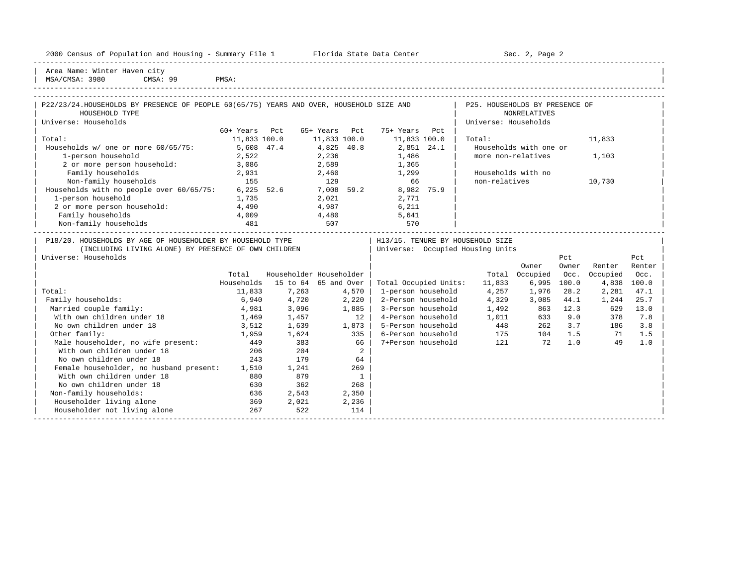| Housing<br>2000<br>and<br>* Population .<br>ensus!<br>2Y1<br>summa<br>∸∸ | Center<br>lorida<br>- Data<br>31.71.7 | Page<br>¬≏′<br>しこし<br>$\sim$ |  |
|--------------------------------------------------------------------------|---------------------------------------|------------------------------|--|
|                                                                          |                                       |                              |  |

2000 Florida State Data Center - Sec. 2, Page 2

| Area Name: Winter Haven city | | MSA/CMSA: 3980 CMSA: 99 PMSA:

| P22/23/24. HOUSEHOLDS BY PRESENCE OF PEOPLE 60(65/75) YEARS AND OVER, HOUSEHOLD SIZE AND |               |               |              |      | P25. HOUSEHOLDS BY PRESENCE OF   |        |  |
|------------------------------------------------------------------------------------------|---------------|---------------|--------------|------|----------------------------------|--------|--|
| HOUSEHOLD TYPE                                                                           |               |               |              |      | NONRELATIVES                     |        |  |
| Universe: Households                                                                     |               |               |              |      | Universe: Households             |        |  |
|                                                                                          | 60+ Years Pct | 65+ Years Pct | 75+ Years    | Pct. |                                  |        |  |
| Total:                                                                                   | 11,833 100.0  | 11,833 100.0  | 11,833 100.0 |      | Total:                           | 11,833 |  |
| Households $w/$ one or more $60/65/75$ :                                                 | 5,608 47.4    | 4,825 40.8    | 2,851 24.1   |      | Households with one or           |        |  |
| 1-person household                                                                       | 2,522         | 2,236         | 1,486        |      | more non-relatives               | 1,103  |  |
| 2 or more person household:                                                              | 3,086         | 2,589         | 1,365        |      |                                  |        |  |
| Family households                                                                        | 2,931         | 2,460         | 1,299        |      | Households with no               |        |  |
| Non-family households                                                                    | 155           | 129           | 66           |      | non-relatives                    | 10,730 |  |
| Households with no people over 60/65/75:                                                 | 6,225 52.6    | 7,008 59.2    | 8,982        | 75.9 |                                  |        |  |
| 1-person household                                                                       | 1,735         | 2,021         | 2,771        |      |                                  |        |  |
| 2 or more person household:                                                              | 4,490         | 4,987         | 6,211        |      |                                  |        |  |
| Family households                                                                        | 4,009         | 4,480         | 5,641        |      |                                  |        |  |
| Non-family households                                                                    | 481           | 507           | 570          |      |                                  |        |  |
| P18/20. HOUSEHOLDS BY AGE OF HOUSEHOLDER BY HOUSEHOLD TYPE                               |               |               |              |      | H13/15. TENURE BY HOUSEHOLD SIZE |        |  |
| (INCLUDING LIVING ALONE) BY PRESENCE OF OWN CHILDREN                                     |               |               |              |      | Universe: Occupied Housing Units |        |  |

| Universe: Households                    |            |          |                         |                       |        |          | Pct   |          | Pct    |
|-----------------------------------------|------------|----------|-------------------------|-----------------------|--------|----------|-------|----------|--------|
|                                         |            |          |                         |                       |        | Owner    | Owner | Renter   | Renter |
|                                         | Total      |          | Householder Householder |                       | Total  | Occupied | Occ.  | Occupied | Occ.   |
|                                         | Households | 15 to 64 | 65 and Over             | Total Occupied Units: | 11,833 | 6,995    | 100.0 | 4,838    | 100.0  |
| Total:                                  | 11,833     | 7,263    | 4,570                   | 1-person household    | 4,257  | 1,976    | 28.2  | 2,281    | 47.1   |
| Family households:                      | 6,940      | 4,720    | 2,220                   | 2-Person household    | 4,329  | 3,085    | 44.1  | 1,244    | 25.7   |
| Married couple family:                  | 4,981      | 3,096    | 1,885                   | 3-Person household    | 1,492  | 863      | 12.3  | 629      | 13.0   |
| With own children under 18              | 1,469      | 1,457    | $12^{\circ}$            | 4-Person household    | 1,011  | 633      | 9.0   | 378      | 7.8    |
| No own children under 18                | 3,512      | 1,639    | 1,873                   | 5-Person household    | 448    | 262      | 3.7   | 186      | 3.8    |
| Other family:                           | 1,959      | 1,624    | 335                     | 6-Person household    | 175    | 104      | 1.5   | 71       | 1.5    |
| Male householder, no wife present:      | 449        | 383      | 66                      | 7+Person household    | 121    | 72       | 1.0   | 49       | 1.0    |
| With own children under 18              | 206        | 204      | 2                       |                       |        |          |       |          |        |
| No own children under 18                | 243        | 179      | 64                      |                       |        |          |       |          |        |
| Female householder, no husband present: | 1,510      | 1,241    | 269                     |                       |        |          |       |          |        |
| With own children under 18              | 880        | 879      |                         |                       |        |          |       |          |        |
| No own children under 18                | 630        | 362      | 268                     |                       |        |          |       |          |        |
| Non-family households:                  | 636        | 2,543    | 2,350                   |                       |        |          |       |          |        |
| Householder living alone                | 369        | 2,021    | 2,236                   |                       |        |          |       |          |        |
| Householder not living alone            | 267        | 522      | 114                     |                       |        |          |       |          |        |
|                                         |            |          |                         |                       |        |          |       |          |        |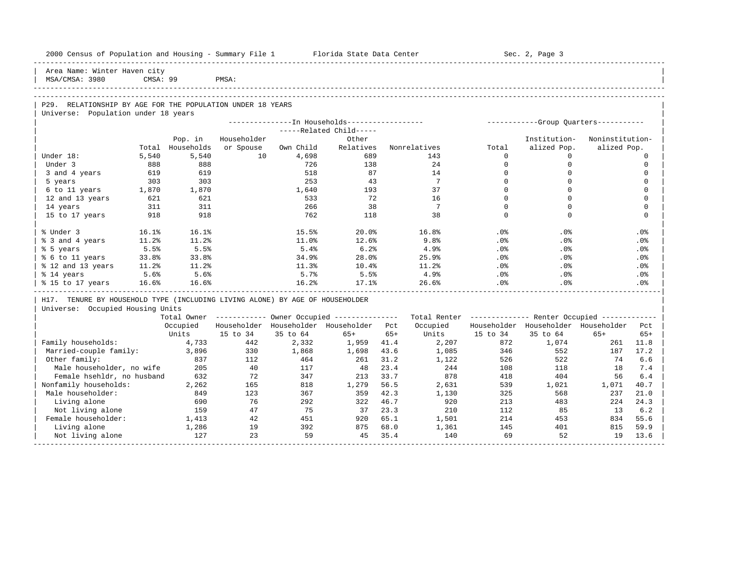| 2000 Census of Population and Housing - Summary File 1 Florida State Data Center                  |          |            |             |           |                                                        |       |                                                         |              | Sec. 2, Page 3                        |                 |                 |
|---------------------------------------------------------------------------------------------------|----------|------------|-------------|-----------|--------------------------------------------------------|-------|---------------------------------------------------------|--------------|---------------------------------------|-----------------|-----------------|
| Area Name: Winter Haven city<br>MSA/CMSA: 3980                                                    | CMSA: 99 |            | PMSA:       |           |                                                        |       |                                                         |              |                                       |                 |                 |
|                                                                                                   |          |            |             |           |                                                        |       |                                                         |              |                                       |                 |                 |
| P29. RELATIONSHIP BY AGE FOR THE POPULATION UNDER 18 YEARS<br>Universe: Population under 18 years |          |            |             |           |                                                        |       |                                                         |              |                                       |                 |                 |
|                                                                                                   |          |            |             |           | ---------------In Households-----------------          |       |                                                         |              | ------------Group Quarters----------- |                 |                 |
|                                                                                                   |          |            |             |           | -----Related Child-----                                |       |                                                         |              |                                       |                 |                 |
|                                                                                                   |          | Pop. in    | Householder |           | Other                                                  |       |                                                         |              | Institution-                          | Noninstitution- |                 |
|                                                                                                   | Total    | Households | or Spouse   | Own Child | Relatives                                              |       | Nonrelatives                                            | Total        | alized Pop.                           | alized Pop.     |                 |
| Under 18:                                                                                         | 5,540    | 5,540      | 10          | 4,698     | 689                                                    |       | 143                                                     | $\Omega$     | $\Omega$                              |                 | $\Omega$        |
| Under 3                                                                                           | 888      | 888        |             | 726       | 138                                                    |       | 24                                                      | $\mathbf{0}$ | 0                                     |                 | $\mathbf 0$     |
| 3 and 4 years                                                                                     | 619      | 619        |             | 518       | 87                                                     |       | 14                                                      | $\mathbf 0$  | $\mathbf 0$                           |                 | $\Omega$        |
| 5 years                                                                                           | 303      | 303        |             | 253       | 43                                                     |       | $7\phantom{.0}$                                         | $\Omega$     | $\mathbf 0$                           |                 | $\Omega$        |
| 6 to 11 years                                                                                     | 1,870    | 1,870      |             | 1,640     | 193                                                    |       | 37                                                      | $\Omega$     | $\Omega$                              |                 | $\Omega$        |
| 12 and 13 years                                                                                   | 621      | 621        |             | 533       | 72                                                     |       | 16                                                      | $\mathbf 0$  | $\mathbf 0$                           |                 | $\mathbf 0$     |
| 14 years                                                                                          | 311      | 311        |             | 266       | 38                                                     |       | $7\phantom{.0}$                                         | $\Omega$     | $\Omega$                              |                 | $\Omega$        |
| 15 to 17 years                                                                                    | 918      | 918        |             | 762       | 118                                                    |       | 38                                                      | $\Omega$     | $\Omega$                              |                 | $\Omega$        |
| % Under 3                                                                                         | 16.1%    | 16.1%      |             | 15.5%     | 20.0%                                                  |       | 16.8%                                                   | . 0 %        | .0%                                   |                 | .0%             |
| % 3 and 4 years                                                                                   | 11.2%    | 11.2%      |             | 11.0%     | 12.6%                                                  |       | 9.8%                                                    | .0%          | .0%                                   |                 | .0%             |
| % 5 years                                                                                         | 5.5%     | 5.5%       |             | 5.4%      | 6.2%                                                   |       | 4.9%                                                    | .0%          | .0%                                   |                 | .0%             |
| % 6 to 11 years                                                                                   | 33.8%    | 33.8%      |             | 34.9%     | 28.0%                                                  |       | 25.9%                                                   | .0%          | .0%                                   |                 | .0%             |
| % 12 and 13 years                                                                                 | 11.2%    | 11.2%      |             | 11.3%     | 10.4%                                                  |       | 11.2%                                                   | $.0\%$       | .0%                                   |                 | .0%             |
| % 14 years                                                                                        | 5.6%     | 5.6%       |             | 5.7%      | 5.5%                                                   |       | 4.9%                                                    | .0%          | .0%                                   |                 | .0%             |
| % 15 to 17 years                                                                                  | 16.6%    | 16.6%      |             | 16.2%     | 17.1%                                                  |       | 26.6%                                                   | .0%          | .0%                                   |                 | .0 <sup>8</sup> |
| H17. TENURE BY HOUSEHOLD TYPE (INCLUDING LIVING ALONE) BY AGE OF HOUSEHOLDER                      |          |            |             |           |                                                        |       |                                                         |              |                                       |                 |                 |
| Universe: Occupied Housing Units                                                                  |          |            |             |           |                                                        |       |                                                         |              |                                       |                 |                 |
|                                                                                                   |          |            |             |           | Total Owner ------------ Owner Occupied -------------- |       | Total Renter ------------- Renter Occupied ------------ |              |                                       |                 |                 |
|                                                                                                   |          | Occupied   |             |           | Householder Householder Householder Pct                |       | Occupied                                                |              | Householder Householder Householder   |                 | Pct             |
|                                                                                                   |          | Units      | 15 to 34    | 35 to 64  | $65+$                                                  | $65+$ | Units                                                   | 15 to 34     | 35 to 64                              | $65+$           | $65+$           |
| Family households:                                                                                |          | 4,733      | 442         | 2,332     | 1,959                                                  | 41.4  | 2,207                                                   | 872          | 1,074                                 | 261             | 11.8            |
| Married-couple family:                                                                            |          | 3,896      | 330         | 1,868     | 1,698                                                  | 43.6  | 1,085                                                   | 346          | 552                                   | 187             | 17.2            |
| Other family:                                                                                     |          | 837        | 112         | 464       | 261                                                    | 31.2  | 1,122                                                   | 526          | 522                                   | 74              | 6.6             |
| Male householder, no wife                                                                         |          | 205        | 40          | 117       | 48                                                     | 23.4  | 244                                                     | 108          | 118                                   | 18              | 7.4             |
| Female hsehldr, no husband                                                                        |          | 632        | 72          | 347       | 213                                                    | 33.7  | 878                                                     | 418          | 404                                   | 56              | 6.4             |
| Nonfamily households:                                                                             |          | 2,262      | 165         | 818       | 1,279                                                  | 56.5  | 2,631                                                   | 539          | 1,021                                 | 1,071           | 40.7            |
| Male householder:                                                                                 |          | 849        | 123         | 367       | 359                                                    | 42.3  | 1,130                                                   | 325          | 568                                   | 237             | 21.0            |
| Living alone                                                                                      |          | 690        | 76          | 292       | 322                                                    | 46.7  | 920                                                     | 213          | 483                                   | 224             | 24.3            |
| Not living alone                                                                                  |          | 159        | 47          | 75        | 37                                                     | 23.3  | 210                                                     | 112          | 85                                    | 13              | 6.2             |
| Female householder:                                                                               |          | 1,413      | 42          | 451       | 920                                                    | 65.1  | 1,501                                                   | 214          | 453                                   | 834             | 55.6            |
| Living alone                                                                                      |          | 1,286      | 19          | 392       | 875                                                    | 68.0  | 1,361                                                   | 145          | 401                                   | 815             | 59.9            |
| Not living alone                                                                                  |          | 127        | 23          | 59        | 45                                                     | 35.4  | 140                                                     | 69           | 52                                    | 19              | 13.6            |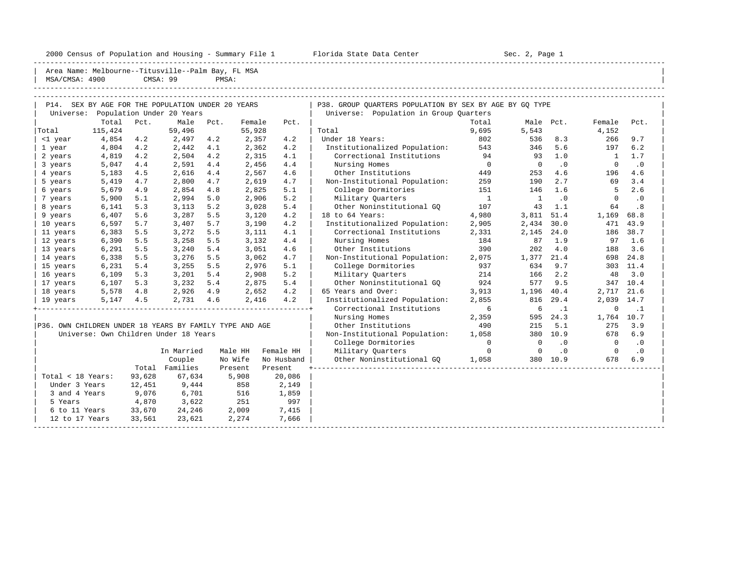2000 Census of Population and Housing - Summary File 1 Florida State Data Center Sec. 2, Page 1

| MSA/CMSA: 4900    | Area Name: Melbourne--Titusville--Palm Bay, FL MSA      |        | CMSA: 99                  | PMSA: |                |            |                                                                                                   |                      |              |           |                |           |
|-------------------|---------------------------------------------------------|--------|---------------------------|-------|----------------|------------|---------------------------------------------------------------------------------------------------|----------------------|--------------|-----------|----------------|-----------|
| Universe:         | P14. SEX BY AGE FOR THE POPULATION UNDER 20 YEARS       |        | Population Under 20 Years |       |                |            | P38. GROUP OUARTERS POPULATION BY SEX BY AGE BY GO TYPE<br>Universe: Population in Group Quarters |                      |              |           |                |           |
|                   | Total                                                   | Pct.   | Male                      | Pct.  | Female         | Pct.       |                                                                                                   | Total                |              | Male Pct. | Female         | Pct.      |
| Total             | 115,424                                                 |        | 59,496                    |       | 55,928         |            | Total                                                                                             | 9,695                | 5,543        |           | 4,152          |           |
| <1 year           | 4,854                                                   | 4.2    | 2,497                     | 4.2   | 2,357          | 4.2        | Under 18 Years:                                                                                   | 802                  | 536          | 8.3       | 266            | 9.7       |
| 1 year            | 4,804                                                   | 4.2    | 2,442                     | 4.1   | 2,362          | 4.2        | Institutionalized Population:                                                                     | 543                  | 346          | 5.6       | 197            | 6.2       |
| 2 years           | 4,819                                                   | 4.2    | 2,504                     | 4.2   | 2,315          | 4.1        | Correctional Institutions                                                                         | 94                   | 93           | 1.0       | $\overline{1}$ | 1.7       |
| 3 years           | 5,047                                                   | 4.4    | 2,591                     | 4.4   | 2,456          | 4.4        | Nursing Homes                                                                                     | $\bigcirc$           | $\bigcirc$   | $\cdot$ 0 | $\Omega$       | .0        |
| 4 years           | 5,183                                                   | 4.5    | 2,616                     | 4.4   | 2,567          | 4.6        | Other Institutions                                                                                | 449                  | 253          | 4.6       | 196            | 4.6       |
| 5 years           | 5,419                                                   | 4.7    | 2,800                     | 4.7   | 2,619          | 4.7        | Non-Institutional Population:                                                                     | 259                  | 190          | 2.7       | 69             | 3.4       |
| 6 years           | 5,679                                                   | 4.9    | 2,854                     | 4.8   | 2,825          | 5.1        | College Dormitories                                                                               | 151                  | 146          | 1.6       | 5              | 2.6       |
| 7 years           | 5,900                                                   | 5.1    | 2,994                     | 5.0   | 2,906          | 5.2        | Military Quarters                                                                                 | $\mathbf{1}$         | $\mathbf{1}$ | .0        | $\Omega$       | $\cdot$ 0 |
| 8 years           | 6,141                                                   | 5.3    | 3,113                     | 5.2   | 3,028          | 5.4        | Other Noninstitutional GO                                                                         | 107                  | 43           | 1.1       | 64             | .8        |
| 9 years           | 6,407                                                   | 5.6    | 3,287                     | 5.5   | 3,120          | 4.2        | 18 to 64 Years:                                                                                   | 4,980                | 3,811        | 51.4      | 1,169          | 68.8      |
| 10 years          | 6,597                                                   | 5.7    | 3,407                     | 5.7   | 3,190          | 4.2        | Institutionalized Population:                                                                     | 2,905                | 2,434        | 30.0      | 471            | 43.9      |
| 11 years          | 6,383                                                   | 5.5    | 3,272                     | 5.5   | 3,111          | 4.1        | Correctional Institutions                                                                         | 2,331                | 2,145        | 24.0      | 186            | 38.7      |
| 12 years          | 6,390                                                   | 5.5    | 3,258                     | 5.5   | 3,132          | 4.4        | Nursing Homes                                                                                     | 184                  | 87           | 1.9       | 97             | 1.6       |
| 13 years          | 6,291                                                   | 5.5    | 3,240                     | 5.4   | 3,051          | 4.6        | Other Institutions                                                                                | 390                  | 202          | 4.0       | 188            | 3.6       |
| 14 years          | 6,338                                                   | 5.5    | 3,276                     | 5.5   | 3,062          | 4.7        | Non-Institutional Population:                                                                     | 2,075                | 1,377        | 21.4      |                | 698 24.8  |
| 15 years          | 6,231                                                   | 5.4    | 3,255                     | 5.5   | 2,976          | 5.1        | College Dormitories                                                                               | 937                  | 634          | 9.7       |                | 303 11.4  |
| 16 years          | 6,109                                                   | 5.3    | 3,201                     | 5.4   | 2,908          | 5.2        | Military Quarters                                                                                 | 214                  | 166          | 2.2       | 48             | 3.0       |
| 17 years          | 6,107                                                   | 5.3    | 3,232                     | 5.4   | 2,875          | 5.4        | Other Noninstitutional GO                                                                         | 924                  | 577          | 9.5       |                | 347 10.4  |
|                   | 5,578                                                   | 4.8    |                           | 4.9   |                | 4.2        | 65 Years and Over:                                                                                | 3,913                |              | 40.4      | 2,717 21.6     |           |
| 18 years          |                                                         |        | 2,926                     |       | 2,652<br>2,416 | 4.2        | Institutionalized Population:                                                                     | 2,855                | 1,196<br>816 | 29.4      | 2,039 14.7     |           |
| 19 years          | 5,147                                                   | 4.5    | 2,731 4.6                 |       |                |            | Correctional Institutions                                                                         | 6                    | 6            | $\cdot$ 1 | $\Omega$       | $\cdot$ 1 |
|                   |                                                         |        |                           |       |                |            | Nursing Homes                                                                                     |                      | 595          | 24.3      | 1,764 10.7     |           |
|                   | P36. OWN CHILDREN UNDER 18 YEARS BY FAMILY TYPE AND AGE |        |                           |       |                |            | Other Institutions                                                                                | 2,359<br>490         | 215          | 5.1       | 275            | 3.9       |
|                   | Universe: Own Children Under 18 Years                   |        |                           |       |                |            | Non-Institutional Population:                                                                     |                      |              | 380 10.9  | 678            | 6.9       |
|                   |                                                         |        |                           |       |                |            |                                                                                                   | 1,058<br>$\mathbf 0$ | $\Omega$     | $\cdot$ 0 | $\overline{0}$ | $\cdot$ 0 |
|                   |                                                         |        |                           |       |                |            | College Dormitories                                                                               | $\Omega$             | $\Omega$     |           | $\Omega$       |           |
|                   |                                                         |        | In Married                |       | Male HH        | Female HH  | Military Quarters                                                                                 |                      |              | $\cdot$ 0 |                | $\cdot$ 0 |
|                   |                                                         |        | Couple                    |       | No Wife        | No Husband | Other Noninstitutional GO                                                                         | 1,058                |              | 380 10.9  | 678            | 6.9       |
|                   |                                                         |        | Total Families            |       | Present        | Present    |                                                                                                   |                      |              |           |                |           |
| Total < 18 Years: |                                                         | 93,628 | 67,634                    |       | 5,908          | 20,086     |                                                                                                   |                      |              |           |                |           |
| Under 3 Years     |                                                         | 12,451 | 9,444                     |       | 858            | 2,149      |                                                                                                   |                      |              |           |                |           |
| 3 and 4 Years     |                                                         | 9,076  | 6,701                     |       | 516            | 1,859      |                                                                                                   |                      |              |           |                |           |
| 5 Years           |                                                         | 4,870  | 3,622                     |       | 251            | 997        |                                                                                                   |                      |              |           |                |           |
| 6 to 11 Years     |                                                         | 33,670 | 24,246                    |       | 2,009          | 7,415      |                                                                                                   |                      |              |           |                |           |
| 12 to 17 Years    |                                                         | 33,561 | 23,621                    |       | 2,274          | 7,666      |                                                                                                   |                      |              |           |                |           |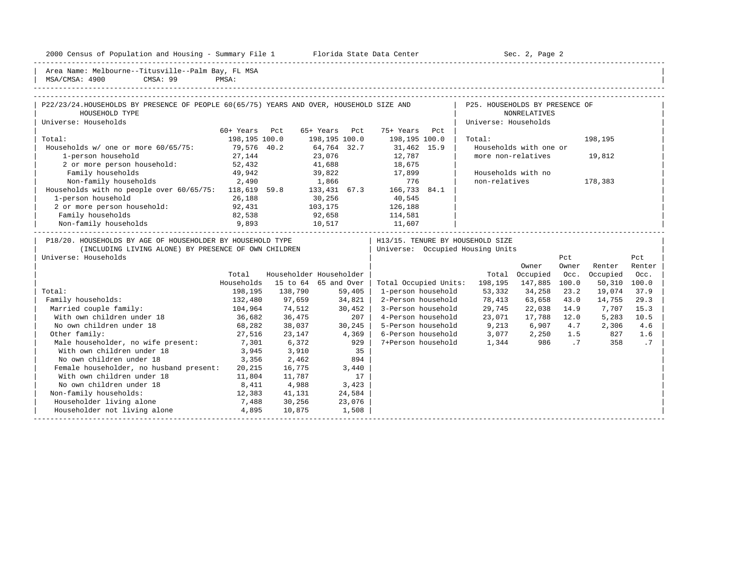2000 Census of Population and Housing - Summary File 1 Florida State Data Center Sec. 2, Page 2

| With own children under 18 3,945 3,910 35 | | No own children under 18 3,356 2,462 894 Female householder, no husband present:  $20,215$  16,775 3,440<br>With own children under 18 11,804 11,787 17 With own children under 18 11,804 11,787 17 No own children under 18 8,411 4,988 3,423 Non-family households: 12,383 41,131 24,584 | Householder living alone 7,488 30,256 23,076 | | | Householder not living alone 4,895 10,875 1,508 | | -----------------------------------------------------------------------------------------------------------------------------------------------------

-----------------------------------------------------------------------------------------------------------------------------------------------------

Area Name: Melbourne--Titusville--Palm Bay, FL MSA<br>MSA/CMSA: 4900 CMSA: 99 PMSA: | MSA/CMSA: 4900 CMSA: 99 PMSA: |

# -----------------------------------------------------------------------------------------------------------------------------------------------------

| P22/23/24.HOUSEHOLDS BY PRESENCE OF PEOPLE 60(65/75) YEARS AND OVER, HOUSEHOLD SIZE AND |               |                         |               |              |                       |     | P25. HOUSEHOLDS BY PRESENCE OF   |                        |       |          |        |  |
|-----------------------------------------------------------------------------------------|---------------|-------------------------|---------------|--------------|-----------------------|-----|----------------------------------|------------------------|-------|----------|--------|--|
| HOUSEHOLD TYPE                                                                          |               |                         |               |              |                       |     |                                  | NONRELATIVES           |       |          |        |  |
| Universe: Households                                                                    |               |                         |               |              |                       |     | Universe: Households             |                        |       |          |        |  |
|                                                                                         | 60+ Years     | Pct                     | 65+ Years     | Pct          | 75+ Years             | Pct |                                  |                        |       |          |        |  |
| Total:                                                                                  | 198,195 100.0 |                         | 198,195 100.0 |              | 198,195 100.0         |     | Total:                           |                        |       | 198,195  |        |  |
| Households w/ one or more 60/65/75:                                                     | 79,576 40.2   |                         | 64,764 32.7   |              | 31,462 15.9           |     |                                  | Households with one or |       |          |        |  |
| 1-person household                                                                      | 27,144        |                         | 23,076        |              | 12,787                |     | more non-relatives               |                        |       | 19,812   |        |  |
| 2 or more person household:                                                             | 52,432        |                         | 41,688        |              | 18,675                |     |                                  |                        |       |          |        |  |
| Family households                                                                       | 49,942        |                         | 39,822        |              | 17,899                |     |                                  | Households with no     |       |          |        |  |
| Non-family households<br>2,490                                                          |               |                         | 1,866         |              | 776                   |     | non-relatives                    |                        |       | 178,383  |        |  |
| Households with no people over 60/65/75:                                                | 118,619 59.8  |                         |               | 133,431 67.3 | 166,733 84.1          |     |                                  |                        |       |          |        |  |
| 1-person household                                                                      | 26,188        |                         | 30,256        |              | 40,545                |     |                                  |                        |       |          |        |  |
| 2 or more person household:                                                             | 92,431        |                         | 103,175       |              | 126,188               |     |                                  |                        |       |          |        |  |
| Family households                                                                       | 82,538        |                         | 92,658        |              | 114,581               |     |                                  |                        |       |          |        |  |
| Non-family households                                                                   | 9,893         |                         | 10,517        |              | 11,607                |     |                                  |                        |       |          |        |  |
| P18/20. HOUSEHOLDS BY AGE OF HOUSEHOLDER BY HOUSEHOLD TYPE                              |               |                         |               |              |                       |     | H13/15. TENURE BY HOUSEHOLD SIZE |                        |       |          |        |  |
| (INCLUDING LIVING ALONE) BY PRESENCE OF OWN CHILDREN                                    |               |                         |               |              |                       |     | Universe: Occupied Housing Units |                        |       |          |        |  |
| Universe: Households                                                                    |               |                         |               |              |                       |     |                                  |                        | Pct   |          | Pct    |  |
|                                                                                         |               |                         |               |              |                       |     |                                  | Owner                  | Owner | Renter   | Renter |  |
|                                                                                         | Total         | Householder Householder |               |              |                       |     | Total                            | Occupied               | Occ.  | Occupied | Occ.   |  |
|                                                                                         | Households    | 15 to 64 65 and Over    |               |              | Total Occupied Units: |     | 198,195                          | 147,885                | 100.0 | 50,310   | 100.0  |  |
| Total:                                                                                  | 198,195       | 138,790                 |               | 59,405       | 1-person household    |     | 53,332                           | 34,258                 | 23.2  | 19,074   | 37.9   |  |
| Family households:                                                                      | 132,480       | 97,659                  |               | 34,821       | 2-Person household    |     | 78,413                           | 63,658                 | 43.0  | 14,755   | 29.3   |  |
| Married couple family:                                                                  | 104,964       | 74,512                  |               | 30,452       | 3-Person household    |     | 29,745                           | 22,038                 | 14.9  | 7,707    | 15.3   |  |

| With own children under 18 36,682 36,475 207 | 4-Person household 23,071 17,788 12.0 5,283 10.5 | | No own children under 18 68,282 38,037 30,245 | 5-Person household 9,213 6,907 4.7 2,306 4.6 | | Other family: 27,516 23,147 4,369 | 6-Person household 3,077 2,250 1.5 827 1.6 | | Male householder, no wife present: 7,301 6,372 929 | 7+Person household 1,344 986 .7 358 .7 |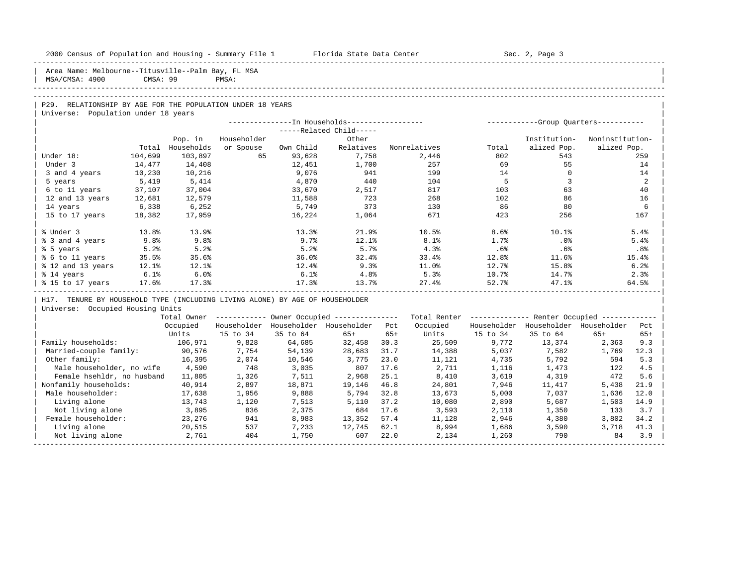| 2000 Census of Population and Housing - Summary File 1 Florida State Data Center |          |                   |             |           |                                                         |       |                                                         |             | Sec. 2, Page 3                      |                 |              |
|----------------------------------------------------------------------------------|----------|-------------------|-------------|-----------|---------------------------------------------------------|-------|---------------------------------------------------------|-------------|-------------------------------------|-----------------|--------------|
| Area Name: Melbourne--Titusville--Palm Bay, FL MSA<br>MSA/CMSA: 4900             | CMSA: 99 |                   | PMSA:       |           |                                                         |       |                                                         |             |                                     |                 |              |
|                                                                                  |          |                   |             |           |                                                         |       |                                                         |             |                                     |                 |              |
|                                                                                  |          |                   |             |           |                                                         |       |                                                         |             |                                     |                 |              |
| P29. RELATIONSHIP BY AGE FOR THE POPULATION UNDER 18 YEARS                       |          |                   |             |           |                                                         |       |                                                         |             |                                     |                 |              |
| Universe: Population under 18 years                                              |          |                   |             |           |                                                         |       |                                                         |             |                                     |                 |              |
|                                                                                  |          |                   |             |           | -----Related Child-----                                 |       |                                                         |             |                                     |                 |              |
|                                                                                  |          | Pop. in           | Householder |           | Other                                                   |       |                                                         |             | Institution-                        | Noninstitution- |              |
|                                                                                  | Total    | Households        | or Spouse   | Own Child | Relatives                                               |       | Nonrelatives                                            | Total       | alized Pop.                         | alized Pop.     |              |
| Under 18:                                                                        | 104,699  | 103,897           | 65          | 93,628    | 7,758                                                   |       | 2,446                                                   | 802         | 543                                 |                 | 259          |
| Under 3                                                                          | 14,477   | 14,408            |             | 12,451    | 1,700                                                   |       | 257                                                     | 69          | 55                                  |                 | 14           |
| 3 and 4 years                                                                    | 10,230   | 10,216            |             | 9,076     | 941                                                     |       | 199                                                     | 14          | $\Omega$                            |                 | 14           |
| 5 years                                                                          | 5,419    | 5,414             |             | 4,870     | 440                                                     |       | 104                                                     | $5^{\circ}$ | $\overline{3}$                      |                 | 2            |
| 6 to 11 years                                                                    | 37,107   | 37,004            |             | 33,670    | 2,517                                                   |       | 817                                                     | 103         | 63                                  |                 | 40           |
| 12 and 13 years                                                                  | 12,681   | 12,579            |             | 11,588    | 723                                                     |       | 268                                                     | 102         | 86                                  |                 | 16           |
| 14 years                                                                         | 6,338    | 6,252             |             | 5,749     | 373                                                     |       | 130                                                     | 86          | 80                                  |                 | 6            |
| 15 to 17 years                                                                   | 18,382   | 17,959            |             | 16,224    | 1,064                                                   |       | 671                                                     | 423         | 256                                 |                 | 167          |
|                                                                                  |          |                   |             |           |                                                         |       |                                                         |             |                                     |                 |              |
| % Under 3                                                                        | 13.8%    | 13.9%             |             | 13.3%     | 21.9%                                                   |       | 10.5%                                                   | 8.6%        | 10.1%                               |                 | 5.4%         |
| % 3 and 4 years                                                                  | 9.8%     | 9.8%              |             | 9.7%      | 12.1%                                                   |       | 8.1%                                                    | 1.7%        | .0%                                 |                 | 5.4%         |
| % 5 years                                                                        | 5.2%     | 5.2%              |             | 5.2%      | 5.7%                                                    |       | 4.3%                                                    | .6%         | .6%                                 |                 | .8%          |
| % 6 to 11 years                                                                  | 35.5%    | 35.6%             |             | 36.0%     | 32.4%                                                   |       | 33.4%                                                   | 12.8%       | 11.6%                               |                 | 15.4%        |
| % 12 and 13 years                                                                | 12.1%    | 12.1%             |             | 12.4%     | 9.3%                                                    |       | 11.0%                                                   | 12.7%       | 15.8%                               |                 | 6.2%         |
| % 14 years                                                                       | 6.1%     | 6.0%              |             | 6.1%      | 4.8%                                                    |       | 5.3%                                                    | 10.7%       | 14.7%                               |                 | 2.3%         |
| % 15 to 17 years 17.6%                                                           |          | 17.3%             |             | 17.3%     | 13.7%                                                   |       | 27.4%                                                   | 52.7%       | 47.1%                               |                 | 64.5%        |
|                                                                                  |          |                   |             |           |                                                         |       |                                                         |             |                                     |                 |              |
| H17. TENURE BY HOUSEHOLD TYPE (INCLUDING LIVING ALONE) BY AGE OF HOUSEHOLDER     |          |                   |             |           |                                                         |       |                                                         |             |                                     |                 |              |
| Universe: Occupied Housing Units                                                 |          |                   |             |           | Total Owner ------------ Owner Occupied --------------- |       | Total Renter ------------- Renter Occupied ------------ |             |                                     |                 |              |
|                                                                                  |          |                   |             |           | Householder Householder Householder Pct                 |       | Occupied                                                |             | Householder Householder Householder |                 |              |
|                                                                                  |          | Occupied<br>Units | 15 to 34    | 35 to 64  | $65+$                                                   | $65+$ | Units                                                   | 15 to 34    | 35 to 64                            | $65+$           | Pct<br>$65+$ |
| Family households:                                                               |          | 106,971           | 9,828       | 64,685    | 32,458                                                  | 30.3  | 25,509                                                  | 9,772       | 13,374                              | 2,363           | 9.3          |
| Married-couple family:                                                           |          | 90,576            | 7,754       | 54,139    | 28,683                                                  | 31.7  | 14,388                                                  | 5,037       | 7,582                               | 1,769           | 12.3         |
| Other family:                                                                    |          | 16,395            | 2,074       | 10,546    | 3,775                                                   | 23.0  | 11,121                                                  | 4,735       | 5,792                               | 594             | 5.3          |
| Male householder, no wife                                                        |          | 4,590             | 748         | 3,035     | 807                                                     | 17.6  | 2,711                                                   | 1,116       | 1,473                               | 122             | 4.5          |
| Female hsehldr, no husband                                                       |          | 11,805            | 1,326       | 7,511     | 2,968                                                   | 25.1  | 8,410                                                   | 3,619       | 4,319                               | 472             | 5.6          |
| Nonfamily households:                                                            |          | 40,914            | 2,897       | 18,871    | 19,146                                                  | 46.8  | 24,801                                                  | 7,946       | 11,417                              | 5,438           | 21.9         |
| Male householder:                                                                |          | 17,638            | 1,956       | 9,888     | 5,794                                                   | 32.8  | 13,673                                                  | 5,000       | 7,037                               | 1,636           | 12.0         |
| Living alone                                                                     |          | 13,743            | 1,120       | 7,513     | 5,110                                                   | 37.2  | 10,080                                                  | 2,890       | 5,687                               | 1,503           | 14.9         |
| Not living alone                                                                 |          | 3,895             | 836         | 2,375     | 684 17.6                                                |       | 3,593                                                   | 2,110       | 1,350                               | 133             | 3.7          |
| Female householder:                                                              |          | 23,276            | 941         | 8,983     | 13,352                                                  | 57.4  | 11,128                                                  | 2,946       | 4,380                               | 3,802           | 34.2         |
| Living alone                                                                     |          | 20,515            | 537         | 7,233     | 12,745                                                  | 62.1  | 8,994                                                   | 1,686       | 3,590                               | 3,718           | 41.3         |
| Not living alone                                                                 |          | 2,761             | 404         | 1,750     | 607                                                     | 22.0  | 2,134                                                   | 1,260       | 790                                 | 84              | 3.9          |
|                                                                                  |          |                   |             |           |                                                         |       |                                                         |             |                                     |                 |              |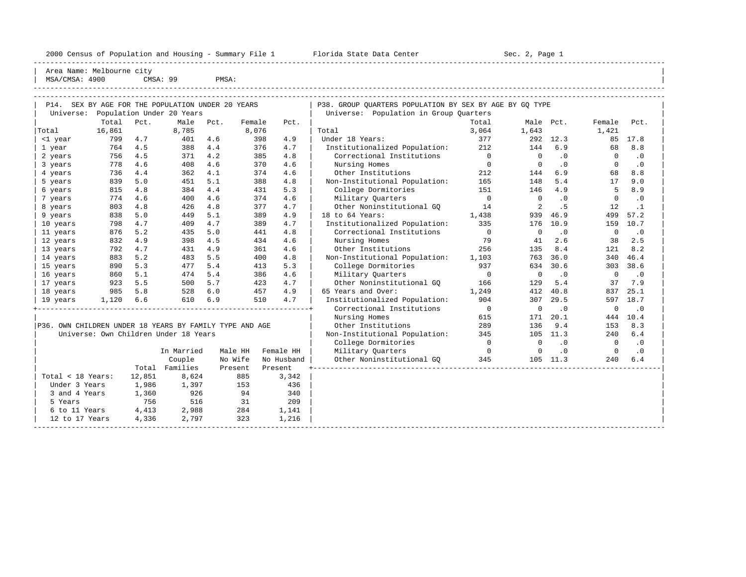2000 Census of Population and Housing - Summary File 1 Florida State Data Center Sec. 2, Page 1 -----------------------------------------------------------------------------------------------------------------------------------------------------

Area Name: Melbourne city | MSA/CMSA: 4900 CMSA: 99 PMSA:

----------------------------------------------------------------------------------------------------------------------------------------------------- ----------------------------------------------------------------------------------------------------------------------------------------------------- | P14. SEX BY AGE FOR THE POPULATION UNDER 20 YEARS | P38. GROUP QUARTERS POPULATION BY SEX BY AGE BY GQ TYPE | | Universe: Population Under 20 Years | Universe: Population in Group Quarters |

|                                                         | Total  | Pct.   | Male                                  | Pct.    | Female | Pct.       |                               | Total          | Male Pct.   |           | Female       | Pct.      |
|---------------------------------------------------------|--------|--------|---------------------------------------|---------|--------|------------|-------------------------------|----------------|-------------|-----------|--------------|-----------|
| Total                                                   | 16,861 |        | 8,785                                 |         | 8,076  |            | Total                         | 3,064          | 1,643       |           | 1,421        |           |
| <1 year                                                 | 799    | 4.7    | 401                                   | 4.6     | 398    | 4.9        | Under 18 Years:               | 377            | 292         | 12.3      | 85           | 17.8      |
| 1 year                                                  | 764    | 4.5    | 388                                   | 4.4     | 376    | 4.7        | Institutionalized Population: | 212            | 144         | 6.9       | 68           | 8.8       |
| 2 years                                                 | 756    | 4.5    | 371                                   | 4.2     | 385    | 4.8        | Correctional Institutions     | $\overline{0}$ | $\mathbf 0$ | .0        | $\Omega$     | $\cdot$ 0 |
| 3 years                                                 | 778    | 4.6    | 408                                   | 4.6     | 370    | 4.6        | Nursing Homes                 | $\overline{0}$ | $\Omega$    | .0        | $\Omega$     | $\cdot$ 0 |
| 4 years                                                 | 736    | 4.4    | 362                                   | 4.1     | 374    | 4.6        | Other Institutions            | 212            | 144         | 6.9       | 68           | 8.8       |
| 5 years                                                 | 839    | 5.0    | 451                                   | 5.1     | 388    | 4.8        | Non-Institutional Population: | 165            | 148         | 5.4       | 17           | 9.0       |
| 6 years                                                 | 815    | 4.8    | 384                                   | 4.4     | 431    | 5.3        | College Dormitories           | 151            | 146         | 4.9       | 5            | 8.9       |
| 7 years                                                 | 774    | 4.6    | 400                                   | 4.6     | 374    | 4.6        | Military Quarters             | $\overline{0}$ | $\circ$     | $\cdot$ 0 | 0            | $\cdot$ 0 |
| 8 years                                                 | 803    | 4.8    | 426                                   | 4.8     | 377    | 4.7        | Other Noninstitutional GO     | 14             | 2           | . 5       | 12           | $\cdot$ 1 |
| 9 years                                                 | 838    | 5.0    | 449                                   | 5.1     | 389    | 4.9        | 18 to 64 Years:               | 1,438          | 939         | 46.9      | 499          | 57.2      |
| 10 years                                                | 798    | 4.7    | 409                                   | 4.7     | 389    | 4.7        | Institutionalized Population: | 335            | 176         | 10.9      | 159          | 10.7      |
| 11 years                                                | 876    | 5.2    | 435                                   | 5.0     | 441    | 4.8        | Correctional Institutions     | $\overline{0}$ | $\mathbf 0$ | $\cdot$ 0 | $\mathbf 0$  | $\cdot$ 0 |
| 12 years                                                | 832    | 4.9    | 398                                   | 4.5     | 434    | 4.6        | Nursing Homes                 | 79             | 41          | 2.6       | 38           | 2.5       |
| 13 years                                                | 792    | 4.7    | 431                                   | 4.9     | 361    | 4.6        | Other Institutions            | 256            | 135         | 8.4       | 121          | 8.2       |
| 14 years                                                | 883    | 5.2    | 483                                   | 5.5     | 400    | 4.8        | Non-Institutional Population: | 1,103          | 763         | 36.0      | 340          | 46.4      |
| 15 years                                                | 890    | 5.3    | 477                                   | 5.4     | 413    | 5.3        | College Dormitories           | 937            | 634         | 30.6      | 303          | 38.6      |
| 16 years                                                | 860    | 5.1    | 474                                   | 5.4     | 386    | 4.6        | Military Quarters             | $\overline{0}$ | $\mathbf 0$ | $\cdot$ 0 | $\mathbf 0$  | .0        |
| 17 years                                                | 923    | 5.5    | 500                                   | 5.7     | 423    | 4.7        | Other Noninstitutional GQ     | 166            | 129         | 5.4       | 37           | 7.9       |
| 18 years                                                | 985    | 5.8    | 528                                   | 6.0     | 457    | 4.9        | 65 Years and Over:            | 1,249          | 412         | 40.8      | 837          | 25.1      |
| 19 years                                                | 1,120  | 6.6    | 610                                   | 6.9     | 510    | 4.7        | Institutionalized Population: | 904            | 307         | 29.5      | 597          | 18.7      |
|                                                         |        |        |                                       |         |        |            | Correctional Institutions     | $\overline{0}$ | $\mathbf 0$ | $\cdot$ 0 | $\mathbf 0$  | $\cdot$ 0 |
|                                                         |        |        |                                       |         |        |            | Nursing Homes                 | 615            | 171         | 20.1      | 444          | 10.4      |
| P36. OWN CHILDREN UNDER 18 YEARS BY FAMILY TYPE AND AGE |        |        |                                       |         |        |            | Other Institutions            | 289            | 136         | 9.4       | 153          | 8.3       |
|                                                         |        |        | Universe: Own Children Under 18 Years |         |        |            | Non-Institutional Population: | 345            | 105         | 11.3      | 240          | 6.4       |
|                                                         |        |        |                                       |         |        |            | College Dormitories           | $\overline{0}$ | $\Omega$    | .0        | $\Omega$     | $\cdot$ 0 |
|                                                         |        |        | In Married                            | Male HH |        | Female HH  | Military Quarters             | $\overline{0}$ | $\mathbf 0$ | .0        | $\mathbf{0}$ | $\cdot$ 0 |
|                                                         |        |        | Couple                                | No Wife |        | No Husband | Other Noninstitutional GO     | 345            |             | 105 11.3  | 240          | 6.4       |
|                                                         |        |        | Total Families                        | Present |        | Present    |                               |                |             |           |              |           |
| Total < 18 Years:                                       |        | 12,851 | 8,624                                 |         | 885    | 3,342      |                               |                |             |           |              |           |
| Under 3 Years                                           |        | 1,986  | 1,397                                 |         | 153    | 436        |                               |                |             |           |              |           |
| 3 and 4 Years                                           |        | 1,360  | 926                                   |         | 94     | 340        |                               |                |             |           |              |           |
| 5 Years                                                 |        | 756    | 516                                   |         | 31     | 209        |                               |                |             |           |              |           |
| 6 to 11 Years                                           |        | 4,413  | 2,988                                 |         | 284    | 1,141      |                               |                |             |           |              |           |
| 12 to 17 Years                                          |        | 4,336  | 2,797                                 |         | 323    | 1,216      |                               |                |             |           |              |           |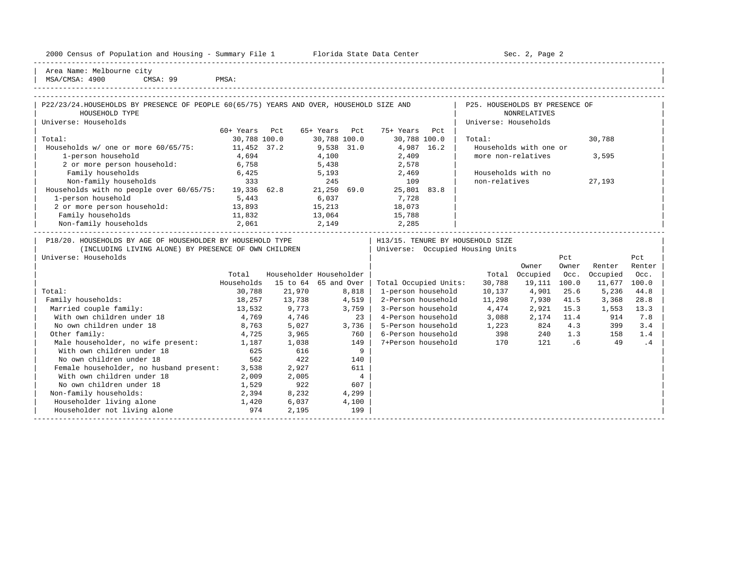|  |  |  | 2000 Census of Population and Housing - Summary File 1 |  |  |  |  |  |  |
|--|--|--|--------------------------------------------------------|--|--|--|--|--|--|
|--|--|--|--------------------------------------------------------|--|--|--|--|--|--|

2000 Florida State Data Center - Summary Sec. 2, Page 2

| Area Name: Melbourne city | | MSA/CMSA: 4900 CMSA: 99 PMSA:

-----------------------------------------------------------------------------------------------------------------------------------------------------

| P22/23/24.HOUSEHOLDS BY PRESENCE OF PEOPLE 60(65/75) YEARS AND OVER, HOUSEHOLD SIZE AND |                  |               |                   | P25. HOUSEHOLDS BY PRESENCE OF |        |  |
|-----------------------------------------------------------------------------------------|------------------|---------------|-------------------|--------------------------------|--------|--|
| HOUSEHOLD TYPE                                                                          |                  |               |                   | NONRELATIVES                   |        |  |
| Universe: Households                                                                    |                  |               |                   | Universe: Households           |        |  |
|                                                                                         | 60+ Years<br>Pct | 65+ Years Pct | 75+ Years<br>Pct. |                                |        |  |
| Total:                                                                                  | 30,788 100.0     | 30,788 100.0  | 30,788 100.0      | Total:                         | 30,788 |  |

| Households w/ one or more 60/65/75: 11,452 37.2 9,538 31.0 4,987 16.2 | Households with one or |  $\begin{array}{|l|} \hline \end{array}$  1-person household  $\begin{array}{|l|} \hline \end{array}$  4,694  $\begin{array}{|l|} \hline \end{array}$  4,100  $\begin{array}{|l|} \hline \end{array}$  2,409  $\begin{array}{|l|} \hline \end{array}$  more non-relatives  $\begin{array}{|l|} \hline \end{array}$  3,595  $\begin{array}{|l|} \hline \end{array}$ 

| 2 or more person household:                                | 13,893 | 15,213 | 18,073 |                                  |       |          |                                     |        |  |
|------------------------------------------------------------|--------|--------|--------|----------------------------------|-------|----------|-------------------------------------|--------|--|
| Family households                                          | 11,832 | 13,064 | 15,788 |                                  |       |          |                                     |        |  |
| Non-family households                                      | 2,061  | 2,149  | 2,285  |                                  |       |          |                                     |        |  |
|                                                            |        |        |        |                                  |       |          |                                     |        |  |
| P18/20. HOUSEHOLDS BY AGE OF HOUSEHOLDER BY HOUSEHOLD TYPE |        |        |        | H13/15. TENURE BY HOUSEHOLD SIZE |       |          |                                     |        |  |
| (INCLUDING LIVING ALONE) BY PRESENCE OF OWN CHILDREN       |        |        |        | Universe: Occupied Housing Units |       |          |                                     |        |  |
|                                                            |        |        |        |                                  |       |          |                                     |        |  |
| Universe: Households                                       |        |        |        |                                  |       | Pct      |                                     | Pct    |  |
|                                                            |        |        |        |                                  | Owner | Owner    | Renter                              | Renter |  |
|                                                            |        |        |        | _____                            |       | $\cdots$ | and the contract of the contract of |        |  |

|                                         | Total      |          | Householder Householder |                       | Total  | Occupied | Occ.  | Occupied | Occ.  |
|-----------------------------------------|------------|----------|-------------------------|-----------------------|--------|----------|-------|----------|-------|
|                                         | Households | 15 to 64 | 65 and Over             | Total Occupied Units: | 30,788 | 19,111   | 100.0 | 11,677   | 100.0 |
| Total:                                  | 30,788     | 21,970   | 8,818                   | 1-person household    | 10,137 | 4,901    | 25.6  | 5,236    | 44.8  |
| Family households:                      | 18,257     | 13,738   | 4,519                   | 2-Person household    | 11,298 | 7,930    | 41.5  | 3,368    | 28.8  |
| Married couple family:                  | 13,532     | 9,773    | 3,759                   | 3-Person household    | 4,474  | 2,921    | 15.3  | 1,553    | 13.3  |
| With own children under 18              | 4,769      | 4,746    | 23                      | 4-Person household    | 3,088  | 2,174    | 11.4  | 914      | 7.8   |
| No own children under 18                | 8,763      | 5,027    | 3,736                   | 5-Person household    | 1,223  | 824      | 4.3   | 399      | 3.4   |
| Other family:                           | 4,725      | 3,965    | 760                     | 6-Person household    | 398    | 240      | 1.3   | 158      | 1.4   |
| Male householder, no wife present:      | 1,187      | 1,038    | 149                     | 7+Person household    | 170    | 121      | . 6   | 49       | . 4   |
| With own children under 18              | 625        | 616      | 9                       |                       |        |          |       |          |       |
| No own children under 18                | 562        | 422      | 140                     |                       |        |          |       |          |       |
| Female householder, no husband present: | 3,538      | 2,927    | 611                     |                       |        |          |       |          |       |
| With own children under 18              | 2,009      | 2,005    | 4                       |                       |        |          |       |          |       |
| No own children under 18                | 1,529      | 922      | 607                     |                       |        |          |       |          |       |
| Non-family households:                  | 2,394      | 8,232    | 4,299                   |                       |        |          |       |          |       |
| Householder living alone                | 1,420      | 6,037    | 4,100                   |                       |        |          |       |          |       |
| Householder not living alone            | 974        | 2,195    | 199                     |                       |        |          |       |          |       |
|                                         |            |          |                         |                       |        |          |       |          |       |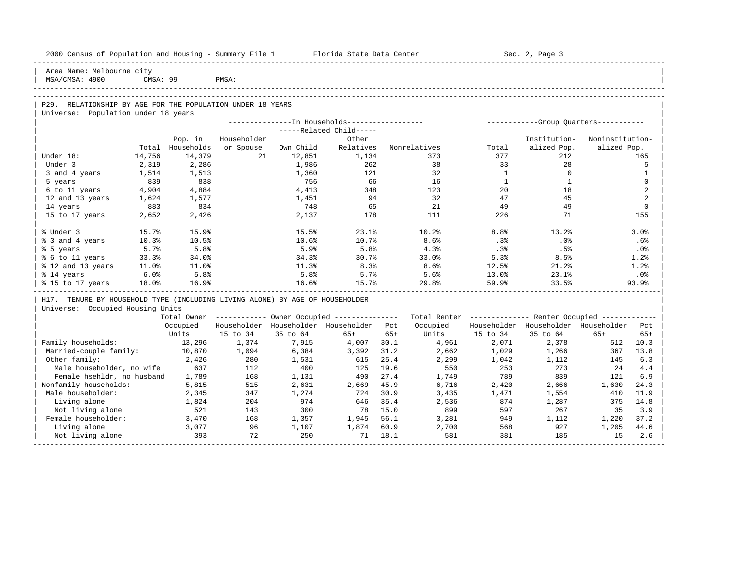| 2000 Census of Population and Housing - Summary File 1 Florida State Data Center |          |            |             |           |                                                         |       |                                                         |                | Sec. 2, Page 3                        |                 |                |
|----------------------------------------------------------------------------------|----------|------------|-------------|-----------|---------------------------------------------------------|-------|---------------------------------------------------------|----------------|---------------------------------------|-----------------|----------------|
| Area Name: Melbourne city<br>MSA/CMSA: 4900                                      | CMSA: 99 |            | PMSA:       |           |                                                         |       |                                                         |                |                                       |                 |                |
|                                                                                  |          |            |             |           |                                                         |       |                                                         |                |                                       |                 |                |
| P29. RELATIONSHIP BY AGE FOR THE POPULATION UNDER 18 YEARS                       |          |            |             |           |                                                         |       |                                                         |                |                                       |                 |                |
| Universe: Population under 18 years                                              |          |            |             |           |                                                         |       |                                                         |                |                                       |                 |                |
|                                                                                  |          |            |             |           | ---------------In Households-----------------           |       |                                                         |                | ------------Group Ouarters----------- |                 |                |
|                                                                                  |          |            |             |           | -----Related Child-----                                 |       |                                                         |                |                                       |                 |                |
|                                                                                  |          | Pop. in    | Householder |           | Other                                                   |       |                                                         |                | Institution-                          | Noninstitution- |                |
|                                                                                  | Total    | Households | or Spouse   | Own Child | Relatives                                               |       | Nonrelatives                                            | Total          | alized Pop.                           | alized Pop.     |                |
| Under 18:                                                                        | 14,756   | 14,379     | 21          | 12,851    | 1,134                                                   |       | 373                                                     | 377            | 212                                   |                 | 165            |
| Under 3                                                                          | 2,319    | 2,286      |             | 1,986     | 262                                                     |       | 38                                                      | 33             | 28                                    |                 | 5              |
| 3 and 4 years                                                                    | 1,514    | 1,513      |             | 1,360     | 121                                                     |       | 32                                                      | <sup>1</sup>   | $\Omega$                              |                 | 1              |
| 5 years                                                                          | 839      | 838        |             | 756       | 66                                                      |       | 16                                                      | $\overline{1}$ | $\mathbf{1}$                          |                 | $\mathbf 0$    |
| 6 to 11 years                                                                    | 4,904    | 4,884      |             | 4,413     | 348                                                     |       | 123                                                     | 20             | 18                                    |                 | $\overline{a}$ |
| 12 and 13 years                                                                  | 1,624    | 1,577      |             | 1,451     | 94                                                      |       | 32                                                      | 47             | 45                                    |                 | 2              |
| 14 years                                                                         | 883      | 834        |             | 748       | 65                                                      |       | 21                                                      | 49             | 49                                    |                 | $\mathbf 0$    |
| 15 to 17 years                                                                   | 2,652    | 2,426      |             | 2,137     | 178                                                     |       | 111                                                     | 226            | 71                                    |                 | 155            |
| % Under 3                                                                        | 15.7%    | 15.9%      |             | 15.5%     | 23.1%                                                   |       | 10.2%                                                   | 8.8%           | 13.2%                                 |                 | 3.0%           |
| % 3 and 4 years                                                                  | 10.3%    | 10.5%      |             | 10.6%     | 10.7%                                                   |       | 8.6%                                                    | .3%            | .0%                                   |                 | .6%            |
| % 5 years                                                                        | 5.7%     | 5.8%       |             | 5.9%      | 5.8%                                                    |       | 4.3%                                                    | .3%            | .5%                                   |                 | $.0\%$         |
| % 6 to 11 years                                                                  | 33.3%    | 34.0%      |             | 34.3%     | 30.7%                                                   |       | 33.0%                                                   | 5.3%           | 8.5%                                  |                 | 1.2%           |
| % 12 and 13 years                                                                | 11.0%    | 11.0%      |             | 11.3%     | 8.3%                                                    |       | 8.6%                                                    | 12.5%          | 21.2%                                 |                 | 1.2%           |
| % 14 years                                                                       | 6.0%     | 5.8%       |             | 5.8%      | 5.7%                                                    |       | 5.6%                                                    | 13.0%          | 23.1%                                 |                 | $.0\%$         |
| % 15 to 17 years                                                                 | 18.0%    | 16.9%      |             | 16.6%     | 15.7%                                                   |       | 29.8%                                                   | 59.9%          | 33.5%                                 |                 | 93.9%          |
| H17. TENURE BY HOUSEHOLD TYPE (INCLUDING LIVING ALONE) BY AGE OF HOUSEHOLDER     |          |            |             |           |                                                         |       |                                                         |                |                                       |                 |                |
| Universe: Occupied Housing Units                                                 |          |            |             |           |                                                         |       |                                                         |                |                                       |                 |                |
|                                                                                  |          |            |             |           | Total Owner ------------ Owner Occupied --------------- |       | Total Renter ------------- Renter Occupied ------------ |                |                                       |                 |                |
|                                                                                  |          | Occupied   |             |           | Householder Householder Householder Pct                 |       | Occupied                                                |                | Householder Householder Householder   |                 | Pct.           |
|                                                                                  |          | Units      | 15 to 34    | 35 to 64  | $65+$                                                   | $65+$ | Units                                                   | 15 to 34       | 35 to 64                              | $65+$           | $65+$          |
| Family households:                                                               |          | 13,296     | 1,374       | 7,915     | 4,007                                                   | 30.1  | 4,961                                                   | 2,071          | 2,378                                 | 512             | 10.3           |
| Married-couple family:                                                           |          | 10,870     | 1,094       | 6,384     | 3,392                                                   | 31.2  | 2,662                                                   | 1,029          | 1,266                                 | 367             | 13.8           |
| Other family:                                                                    |          | 2,426      | 280         | 1,531     | 615                                                     | 25.4  | 2,299                                                   | 1,042          | 1,112                                 | 145             | 6.3            |
| Male householder, no wife                                                        |          | 637        | 112         | 400       | 125                                                     | 19.6  | 550                                                     | 253            | 273                                   | 24              | 4.4            |
| Female hsehldr, no husband                                                       |          | 1,789      | 168         | 1,131     | 490                                                     | 27.4  | 1,749                                                   | 789            | 839                                   | 121             | 6.9            |
| Nonfamily households:                                                            |          | 5,815      | 515         | 2,631     | 2,669                                                   | 45.9  | 6,716                                                   | 2,420          | 2,666                                 | 1,630           | 24.3           |
| Male householder:                                                                |          | 2,345      | 347         | 1,274     | 724                                                     | 30.9  | 3,435                                                   | 1,471          | 1,554                                 | 410             | 11.9           |
| Living alone                                                                     |          | 1,824      | 204         | 974       | 646                                                     | 35.4  | 2,536                                                   | 874            | 1,287                                 | 375             | 14.8           |
| Not living alone                                                                 |          | 521        | 143         | 300       | 78                                                      | 15.0  | 899                                                     | 597            | 267                                   | 35              | 3.9            |
| Female householder:                                                              |          | 3,470      | 168         | 1,357     | 1,945                                                   | 56.1  | 3,281                                                   | 949            | 1,112                                 | 1,220           | 37.2           |
| Living alone                                                                     |          | 3,077      | 96          | 1,107     | 1,874                                                   | 60.9  | 2,700                                                   | 568            | 927                                   | 1,205           | 44.6           |
| Not living alone                                                                 |          | 393        | 72          | 250       | 71                                                      | 18.1  | 581                                                     | 381            | 185                                   | 15              | 2.6            |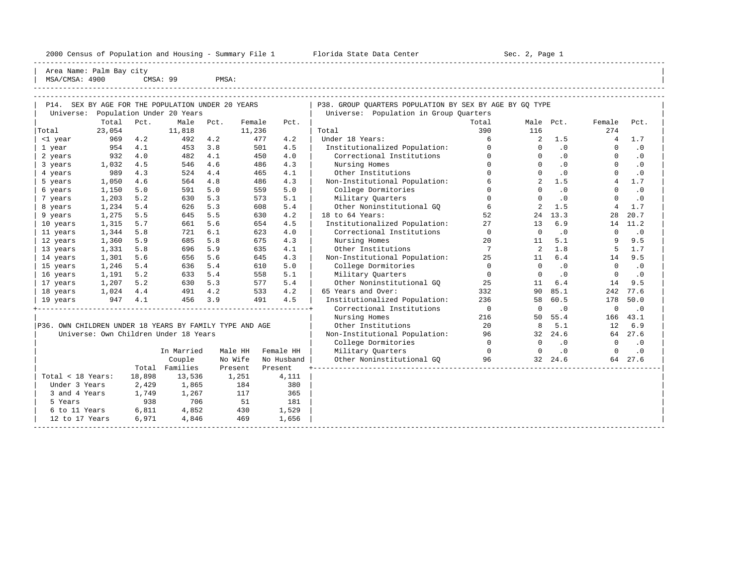2000 Census of Population and Housing - Summary File 1 Florida State Data Center Sec. 2, Page 1 -----------------------------------------------------------------------------------------------------------------------------------------------------

Area Name: Palm Bay city | MSA/CMSA: 4900 CMSA: 99 PMSA:

----------------------------------------------------------------------------------------------------------------------------------------------------- ----------------------------------------------------------------------------------------------------------------------------------------------------- | P14. SEX BY AGE FOR THE POPULATION UNDER 20 YEARS | P38. GROUP QUARTERS POPULATION BY SEX BY AGE BY GQ TYPE | | Universe: Population Under 20 Years | Universe: Population in Group Quarters |

| Total          | Pct.                                                                 | Male                      | Pct.           | Female                                                                                          | Pct.                                                        |                                                                                                                    | Total          |                                                                                                                                                                                                                                         |                | Female                     | Pct.      |
|----------------|----------------------------------------------------------------------|---------------------------|----------------|-------------------------------------------------------------------------------------------------|-------------------------------------------------------------|--------------------------------------------------------------------------------------------------------------------|----------------|-----------------------------------------------------------------------------------------------------------------------------------------------------------------------------------------------------------------------------------------|----------------|----------------------------|-----------|
| 23,054         |                                                                      | 11,818                    |                | 11,236                                                                                          |                                                             | Total                                                                                                              | 390            | 116                                                                                                                                                                                                                                     |                | 274                        |           |
| 969            | 4.2                                                                  | 492                       | 4.2            | 477                                                                                             | 4.2                                                         | Under 18 Years:                                                                                                    | 6              | 2                                                                                                                                                                                                                                       | 1.5            | 4                          | 1.7       |
| 954            | 4.1                                                                  | 453                       | 3.8            | 501                                                                                             | 4.5                                                         |                                                                                                                    | $\Omega$       | $\Omega$                                                                                                                                                                                                                                | .0             | $\Omega$                   | $\cdot$ 0 |
| 932            | 4.0                                                                  | 482                       | 4.1            | 450                                                                                             | 4.0                                                         | Correctional Institutions                                                                                          | $\Omega$       | $\Omega$                                                                                                                                                                                                                                | $\cdot$ 0      | $\Omega$                   | $\cdot$ 0 |
| 1,032          | 4.5                                                                  | 546                       | 4.6            | 486                                                                                             | 4.3                                                         | Nursing Homes                                                                                                      | $\Omega$       | $\Omega$                                                                                                                                                                                                                                | .0             | $\Omega$                   | $\cdot$ 0 |
| 989            | 4.3                                                                  | 524                       | 4.4            | 465                                                                                             | 4.1                                                         | Other Institutions                                                                                                 | $\Omega$       |                                                                                                                                                                                                                                         | .0             | $\Omega$                   | $\cdot$ 0 |
| 1,050          | 4.6                                                                  | 564                       | 4.8            | 486                                                                                             | 4.3                                                         | Non-Institutional Population:                                                                                      | 6              |                                                                                                                                                                                                                                         | 1.5            | 4                          | 1.7       |
| 1,150          | 5.0                                                                  | 591                       | 5.0            | 559                                                                                             | 5.0                                                         | College Dormitories                                                                                                | $\Omega$       | $\Omega$                                                                                                                                                                                                                                | $\cdot$ 0      | $\Omega$                   | $\cdot$ 0 |
| 1,203          | 5.2                                                                  | 630                       | 5.3            | 573                                                                                             | 5.1                                                         | Military Quarters                                                                                                  | $\Omega$       |                                                                                                                                                                                                                                         | $\cdot$ 0      | $\Omega$                   | $\cdot$ 0 |
| 1,234          | 5.4                                                                  | 626                       | 5.3            | 608                                                                                             | 5.4                                                         | Other Noninstitutional GO                                                                                          | 6              |                                                                                                                                                                                                                                         | 1.5            | 4                          | 1.7       |
| 1,275          | 5.5                                                                  | 645                       | 5.5            | 630                                                                                             | 4.2                                                         | 18 to 64 Years:                                                                                                    | 52             | 24                                                                                                                                                                                                                                      | 13.3           | 28                         | 20.7      |
| 1,315          | 5.7                                                                  | 661                       | 5.6            | 654                                                                                             | 4.5                                                         |                                                                                                                    | 27             | 13                                                                                                                                                                                                                                      | 6.9            | 14                         | 11.2      |
| 1,344          | 5.8                                                                  | 721                       | 6.1            | 623                                                                                             | 4.0                                                         | Correctional Institutions                                                                                          | $\Omega$       | $\Omega$                                                                                                                                                                                                                                | $\cdot$ 0      | $\Omega$                   | $\cdot$ 0 |
| 1,360          | 5.9                                                                  | 685                       | 5.8            | 675                                                                                             | 4.3                                                         | Nursing Homes                                                                                                      | 20             | 11                                                                                                                                                                                                                                      | 5.1            |                            | 9.5       |
| 1,331          | 5.8                                                                  | 696                       | 5.9            | 635                                                                                             | 4.1                                                         | Other Institutions                                                                                                 | $\overline{7}$ | 2                                                                                                                                                                                                                                       | 1.8            | 5                          | 1.7       |
| 1,301          | 5.6                                                                  | 656                       | 5.6            | 645                                                                                             | 4.3                                                         |                                                                                                                    | 25             |                                                                                                                                                                                                                                         | 6.4            | 14                         | 9.5       |
| 1,246          | 5.4                                                                  | 636                       | 5.4            | 610                                                                                             | 5.0                                                         | College Dormitories                                                                                                | $\Omega$       | $\Omega$                                                                                                                                                                                                                                | .0             | $\Omega$                   | $\cdot$ 0 |
| 1,191          | 5.2                                                                  | 633                       | 5.4            | 558                                                                                             | 5.1                                                         | Military Quarters                                                                                                  | $\Omega$       |                                                                                                                                                                                                                                         | $\cdot$ 0      | $\Omega$                   | $\cdot$ 0 |
|                | 5.2                                                                  | 630                       | 5.3            |                                                                                                 | 5.4                                                         |                                                                                                                    | 25             | 11                                                                                                                                                                                                                                      | 6.4            | 14                         | 9.5       |
|                | 4.4                                                                  | 491                       | 4.2            |                                                                                                 | 4.2                                                         | 65 Years and Over:                                                                                                 | 332            | 90                                                                                                                                                                                                                                      | 85.1           | 242                        | 77.6      |
|                |                                                                      | 456                       | 3.9            |                                                                                                 | 4.5                                                         |                                                                                                                    | 236            | 58                                                                                                                                                                                                                                      | 60.5           | 178                        | 50.0      |
|                |                                                                      |                           |                |                                                                                                 |                                                             | Correctional Institutions                                                                                          | $\overline{0}$ | $\Omega$                                                                                                                                                                                                                                | $\cdot$ 0      | $\overline{0}$             | .0        |
|                |                                                                      |                           |                |                                                                                                 |                                                             | Nursing Homes                                                                                                      | 216            | 50                                                                                                                                                                                                                                      | 55.4           | 166                        | 43.1      |
|                |                                                                      |                           |                |                                                                                                 |                                                             | Other Institutions                                                                                                 | 20             | 8                                                                                                                                                                                                                                       | 5.1            | 12                         | 6.9       |
|                |                                                                      |                           |                |                                                                                                 |                                                             |                                                                                                                    | 96             |                                                                                                                                                                                                                                         | 24.6           | 64                         | 27.6      |
|                |                                                                      |                           |                |                                                                                                 |                                                             | College Dormitories                                                                                                | $\Omega$       | $\Omega$                                                                                                                                                                                                                                | .0             | $\Omega$                   | $\cdot$ 0 |
|                |                                                                      |                           |                |                                                                                                 |                                                             | Military Ouarters                                                                                                  |                | $\Omega$                                                                                                                                                                                                                                | $\cdot$ 0      | $\Omega$                   | $\cdot$ 0 |
|                |                                                                      | Couple                    |                |                                                                                                 |                                                             |                                                                                                                    |                |                                                                                                                                                                                                                                         |                |                            | 64 27.6   |
|                |                                                                      |                           |                |                                                                                                 |                                                             |                                                                                                                    |                |                                                                                                                                                                                                                                         |                |                            |           |
|                | 18,898                                                               |                           |                |                                                                                                 | 4,111                                                       |                                                                                                                    |                |                                                                                                                                                                                                                                         |                |                            |           |
|                | 2,429                                                                |                           |                |                                                                                                 | 380                                                         |                                                                                                                    |                |                                                                                                                                                                                                                                         |                |                            |           |
|                | 1,749                                                                |                           |                |                                                                                                 | 365                                                         |                                                                                                                    |                |                                                                                                                                                                                                                                         |                |                            |           |
|                | 938                                                                  |                           |                | 51                                                                                              | 181                                                         |                                                                                                                    |                |                                                                                                                                                                                                                                         |                |                            |           |
|                | 6,811                                                                |                           |                |                                                                                                 | 1,529                                                       |                                                                                                                    |                |                                                                                                                                                                                                                                         |                |                            |           |
| 12 to 17 Years | 6,971                                                                | 4,846                     |                | 469                                                                                             | 1,656                                                       |                                                                                                                    |                |                                                                                                                                                                                                                                         |                |                            |           |
|                | Total < 18 Years:<br>Under 3 Years<br>3 and 4 Years<br>6 to 11 Years | 1,207<br>1,024<br>947 4.1 | Total Families | Universe: Own Children Under 18 Years<br>In Married<br>13,536<br>1,865<br>1,267<br>706<br>4,852 | Male HH<br>No Wife<br>Present<br>1,251<br>184<br>117<br>430 | 577<br>533<br>491<br>P36. OWN CHILDREN UNDER 18 YEARS BY FAMILY TYPE AND AGE<br>Female HH<br>No Husband<br>Present |                | Institutionalized Population:<br>Institutionalized Population:<br>Non-Institutional Population:<br>Other Noninstitutional GO<br>Institutionalized Population:<br>Non-Institutional Population:<br>$\sim$ 0<br>Other Noninstitutional GQ | 11<br>96 — 100 | Male Pct.<br>32<br>32 24.6 |           |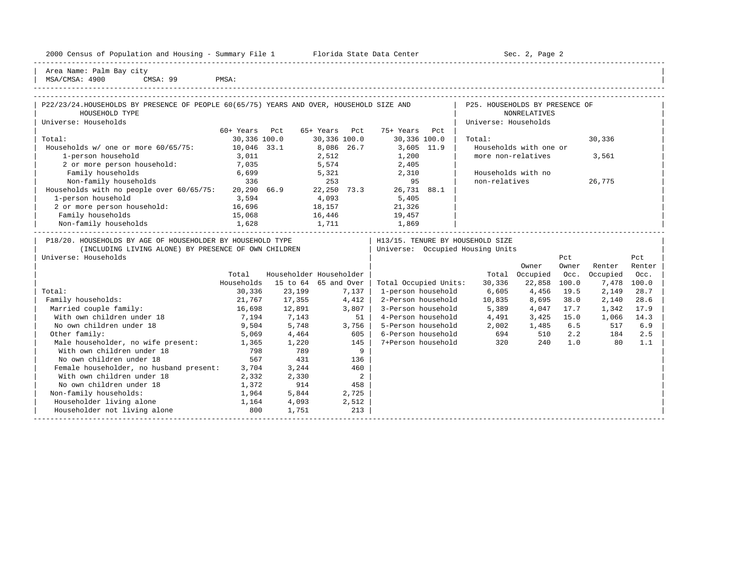| 2000 Census of Population and Housing - Summary File 1 |  | Florida State Data Center | Sec. 2, Page 2 |
|--------------------------------------------------------|--|---------------------------|----------------|
|--------------------------------------------------------|--|---------------------------|----------------|

-----------------------------------------------------------------------------------------------------------------------------------------------------

| Area Name: Palm Bay city | | MSA/CMSA: 4900 CMSA: 99 PMSA:

| P22/23/24.HOUSEHOLDS BY PRESENCE OF PEOPLE 60(65/75) YEARS AND OVER, HOUSEHOLD SIZE AND<br>HOUSEHOLD TYPE |               |                |                                 |                       |     | P25. HOUSEHOLDS BY PRESENCE OF   | <b>NONRELATIVES</b>    |              |          |               |
|-----------------------------------------------------------------------------------------------------------|---------------|----------------|---------------------------------|-----------------------|-----|----------------------------------|------------------------|--------------|----------|---------------|
| Universe: Households                                                                                      |               |                |                                 |                       |     | Universe: Households             |                        |              |          |               |
|                                                                                                           | 60+ Years Pct |                | 65+ Years Pct                   | 75+ Years             | Pct |                                  |                        |              |          |               |
| Total:                                                                                                    | 30,336 100.0  |                | 30,336 100.0                    | 30,336 100.0          |     | Total:                           |                        |              | 30,336   |               |
| Households w/ one or more 60/65/75: 10,046 33.1                                                           |               |                | 8,086 26.7                      | 3,605 11.9            |     |                                  | Households with one or |              |          |               |
| 1-person household                                                                                        | 3,011         |                | 2,512                           | 1,200                 |     |                                  | more non-relatives     |              | 3,561    |               |
| 2 or more person household: 7,035                                                                         |               |                | 5,574                           | 2,405                 |     |                                  |                        |              |          |               |
| Family households                                                                                         | 6,699         |                | 5,321                           | 2,310                 |     |                                  | Households with no     |              |          |               |
| Non-family households                                                                                     | 336           |                | 253                             | 95                    |     | non-relatives                    |                        |              | 26,775   |               |
| Households with no people over 60/65/75: 20,290 66.9 22,250 73.3 26,731 88.1                              |               |                |                                 |                       |     |                                  |                        |              |          |               |
| 1-person household                                                                                        | 3,594         |                | 4,093                           | 5,405                 |     |                                  |                        |              |          |               |
| 2 or more person household:                                                                               | 16,696        |                | 18,157                          | 21,326                |     |                                  |                        |              |          |               |
| Family households                                                                                         | 15,068        |                | 16,446                          | 19,457                |     |                                  |                        |              |          |               |
| Non-family households<br>1,628                                                                            |               | 1,711          |                                 | 1,869                 |     |                                  |                        |              |          |               |
| (INCLUDING LIVING ALONE) BY PRESENCE OF OWN CHILDREN<br>Universe: Households                              |               |                |                                 |                       |     | Universe: Occupied Housing Units | Owner                  | Pct<br>Owner | Renter   | Pct<br>Renter |
|                                                                                                           | Total         |                | Householder Householder         |                       |     |                                  | Total Occupied         | Occ.         | Occupied | Occ.          |
|                                                                                                           | Households    |                | 15 to 64 65 and Over            | Total Occupied Units: |     | 30,336                           | 22,858                 | 100.0        |          | 7,478 100.0   |
| Total:                                                                                                    | 30,336        | 23,199         | 7,137                           | 1-person household    |     | 6,605                            | 4,456                  | 19.5         | 2,149    | 28.7          |
| Family households:                                                                                        | 21,767        | 17,355         | 4,412                           | 2-Person household    |     | 10,835                           | 8,695                  | 38.0         | 2,140    | 28.6          |
| Married couple family:                                                                                    | 16,698        | 12,891         | 3,807                           | 3-Person household    |     | 5,389                            | 4,047                  | 17.7         | 1,342    | 17.9          |
| With own children under 18                                                                                | 7,194         | 7,143          | 51                              | 4-Person household    |     | 4,491                            | 3,425                  | 15.0         | 1,066    | 14.3          |
|                                                                                                           | 9,504         | 5,748          | 3,756                           | 5-Person household    |     | 2,002                            | 1,485                  | 6.5          | 517      | 6.9           |
|                                                                                                           |               | 4,464          |                                 |                       |     | 694                              | 510                    | 2.2          | 184      | 2.5           |
| No own children under 18                                                                                  |               |                |                                 |                       |     |                                  |                        |              | 80       | 1.1           |
| Other family:                                                                                             | 5,069         |                | 605                             | 6-Person household    |     |                                  |                        |              |          |               |
| Male householder, no wife present: 1,365                                                                  |               | 1,220          | 145                             | 7+Person household    |     | 320                              | 240                    | 1.0          |          |               |
| With own children under 18<br>No own children under 18                                                    | 798<br>567    | 789<br>431     | - 9<br>136                      |                       |     |                                  |                        |              |          |               |
|                                                                                                           |               |                |                                 |                       |     |                                  |                        |              |          |               |
| Female householder, no husband present: 3,704<br>With own children under 18                               | 2,332         | 3,244<br>2,330 | 460<br>$\overline{\phantom{a}}$ |                       |     |                                  |                        |              |          |               |
| No own children under 18                                                                                  | 1,372         | 914            | 458                             |                       |     |                                  |                        |              |          |               |
| Non-family households:                                                                                    | 1,964         | 5,844          | 2,725                           |                       |     |                                  |                        |              |          |               |
| Householder living alone                                                                                  | 1,164         | 4,093          | 2,512                           |                       |     |                                  |                        |              |          |               |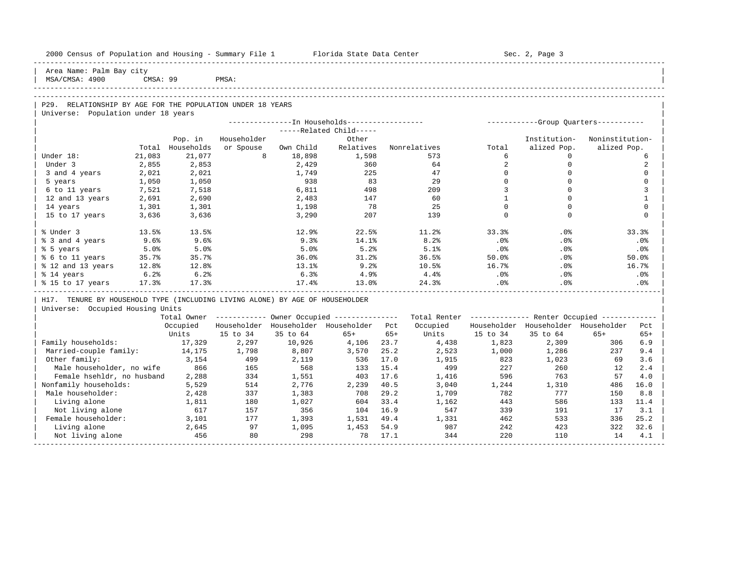| 2000 Census of Population and Housing - Summary File 1 Florida State Data Center |          |            |             |           |                                                        |       |              |                | Sec. 2, Page 3                                          |                 |              |
|----------------------------------------------------------------------------------|----------|------------|-------------|-----------|--------------------------------------------------------|-------|--------------|----------------|---------------------------------------------------------|-----------------|--------------|
| Area Name: Palm Bay city<br>MSA/CMSA: 4900                                       | CMSA: 99 |            | PMSA:       |           |                                                        |       |              |                |                                                         |                 |              |
|                                                                                  |          |            |             |           |                                                        |       |              |                |                                                         |                 |              |
|                                                                                  |          |            |             |           |                                                        |       |              |                |                                                         |                 |              |
| P29. RELATIONSHIP BY AGE FOR THE POPULATION UNDER 18 YEARS                       |          |            |             |           |                                                        |       |              |                |                                                         |                 |              |
| Universe: Population under 18 years                                              |          |            |             |           |                                                        |       |              |                |                                                         |                 |              |
|                                                                                  |          |            |             |           |                                                        |       |              |                |                                                         |                 |              |
|                                                                                  |          |            |             |           | -----Related Child-----                                |       |              |                |                                                         |                 |              |
|                                                                                  |          | Pop. in    | Householder |           | Other                                                  |       |              |                | Institution-                                            | Noninstitution- |              |
|                                                                                  | Total    | Households | or Spouse   | Own Child | Relatives                                              |       | Nonrelatives | Total          | alized Pop.                                             | alized Pop.     |              |
| Under 18:                                                                        | 21,083   | 21,077     | 8           | 18,898    | 1,598                                                  |       | 573          | 6              | $\Omega$                                                |                 | 6            |
| Under 3                                                                          | 2,855    | 2,853      |             | 2,429     | 360                                                    |       | 64           | $\overline{a}$ | $\mathbf{0}$                                            |                 | 2            |
| 3 and 4 years                                                                    | 2,021    | 2,021      |             | 1,749     | 225                                                    |       | 47           | $\Omega$       | $\Omega$                                                |                 | $\Omega$     |
| 5 years                                                                          | 1,050    | 1,050      |             | 938       | 83                                                     |       | 29           | $\mathbf 0$    | $\mathbf 0$                                             |                 | $\Omega$     |
| 6 to 11 years                                                                    | 7,521    | 7,518      |             | 6,811     | 498                                                    |       | 209          | $\overline{3}$ | $\Omega$                                                |                 | 3            |
| 12 and 13 years                                                                  | 2,691    | 2,690      |             | 2,483     | 147                                                    |       | 60           | $\mathbf{1}$   | $\Omega$                                                |                 | $\mathbf{1}$ |
| 14 years                                                                         | 1,301    | 1,301      |             | 1,198     | 78                                                     |       | 25           | $\mathbf 0$    | $\mathbf 0$                                             |                 | $\mathbf 0$  |
| 15 to 17 years                                                                   | 3,636    | 3,636      |             | 3,290     | 207                                                    |       | 139          | $\Omega$       | $\Omega$                                                |                 | $\Omega$     |
| % Under 3                                                                        | 13.5%    | 13.5%      |             | 12.9%     | 22.5%                                                  |       | 11.2%        | 33.3%          | .0%                                                     |                 | 33.3%        |
| % 3 and 4 years                                                                  | 9.6%     | 9.6%       |             | 9.3%      | 14.1%                                                  |       | 8.2%         | .0%            | .0%                                                     |                 | .0%          |
| % 5 years                                                                        | 5.0%     | 5.0%       |             | 5.0%      | 5.2%                                                   |       | 5.1%         | $.0\,$         | .0%                                                     |                 | .0%          |
| % 6 to 11 years                                                                  | 35.7%    | 35.7%      |             | 36.0%     | 31.2%                                                  |       | 36.5%        | 50.0%          | $.0\%$                                                  |                 | 50.0%        |
| % 12 and 13 years                                                                | 12.8%    | 12.8%      |             | 13.1%     | 9.2%                                                   |       | 10.5%        | 16.7%          | $.0\%$                                                  |                 | 16.7%        |
| % 14 years                                                                       | 6.2%     | 6.2%       |             | 6.3%      | $4.9\%$                                                |       | 4.4%         | $.0\%$         | .0%                                                     |                 | .0%          |
| % 15 to 17 years                                                                 | 17.3%    | 17.3%      |             | 17.4%     | 13.0%                                                  |       | 24.3%        | .0%            | .0%                                                     |                 | .0%          |
| H17. TENURE BY HOUSEHOLD TYPE (INCLUDING LIVING ALONE) BY AGE OF HOUSEHOLDER     |          |            |             |           |                                                        |       |              |                |                                                         |                 |              |
| Universe: Occupied Housing Units                                                 |          |            |             |           |                                                        |       |              |                |                                                         |                 |              |
|                                                                                  |          |            |             |           | Total Owner ------------ Owner Occupied -------------- |       |              |                | Total Renter ------------- Renter Occupied ------------ |                 |              |
|                                                                                  |          | Occupied   |             |           | Householder Householder Householder Pct                |       | Occupied     |                | Householder Householder Householder                     |                 | Pct          |
|                                                                                  |          | Units      | 15 to 34    | 35 to 64  | $65+$                                                  | $65+$ | Units        | 15 to 34       | 35 to 64                                                | $65+$           | $65+$        |
| Family households:                                                               |          | 17,329     | 2,297       | 10,926    | 4,106                                                  | 23.7  | 4,438        | 1,823          | 2,309                                                   | 306             | 6.9          |
| Married-couple family:                                                           |          | 14,175     | 1,798       | 8,807     | 3,570                                                  | 25.2  | 2,523        | 1,000          | 1,286                                                   | 237             | 9.4          |
| Other family:                                                                    |          | 3,154      | 499         | 2,119     | 536                                                    | 17.0  | 1,915        | 823            | 1,023                                                   | 69              | 3.6          |
| Male householder, no wife                                                        |          | 866        | 165         | 568       | 133                                                    | 15.4  | 499          | 227            | 260                                                     | 12              | 2.4          |
| Female hsehldr, no husband                                                       |          | 2,288      | 334         | 1,551     | 403                                                    | 17.6  | 1,416        | 596            | 763                                                     | 57              | 4.0          |
| Nonfamily households:                                                            |          | 5,529      | 514         | 2,776     | 2,239                                                  | 40.5  | 3,040        | 1,244          | 1,310                                                   | 486             | 16.0         |
| Male householder:                                                                |          | 2,428      | 337         | 1,383     | 708                                                    | 29.2  | 1,709        | 782            | 777                                                     | 150             | 8.8          |
| Living alone                                                                     |          | 1,811      | 180         | 1,027     | 604                                                    | 33.4  | 1,162        | 443            | 586                                                     | 133             | 11.4         |
| Not living alone                                                                 |          | 617        | 157         | 356       | 104                                                    | 16.9  | 547          | 339            | 191                                                     | 17              | 3.1          |
| Female householder:                                                              |          | 3,101      | 177         | 1,393     | 1,531                                                  | 49.4  | 1,331        | 462            | 533                                                     | 336             | 25.2         |
| Living alone                                                                     |          | 2,645      | 97          | 1,095     | 1,453                                                  | 54.9  | 987          | 242            | 423                                                     | 322             | 32.6         |
| Not living alone                                                                 |          | 456        | 80          | 298       | 78                                                     | 17.1  | 344          | 220            | 110                                                     | 14              | 4.1          |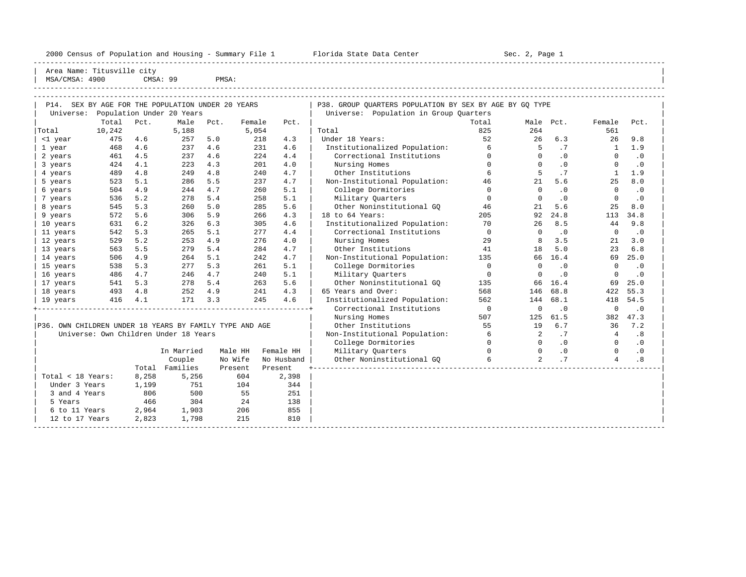2000 Census of Population and Housing - Summary File 1 Florida State Data Center Sec. 2, Page 1

-----------------------------------------------------------------------------------------------------------------------------------------------------

Area Name: Titusville city

| MSA/CMSA: 4900 |        | CMSA: 99 |                                              | PMSA: |        |      |                                                         |       |           |            |        |           |  |
|----------------|--------|----------|----------------------------------------------|-------|--------|------|---------------------------------------------------------|-------|-----------|------------|--------|-----------|--|
|                |        |          |                                              |       |        |      |                                                         |       |           |            |        |           |  |
| P14.           |        |          | SEX BY AGE FOR THE POPULATION UNDER 20 YEARS |       |        |      | P38. GROUP OUARTERS POPULATION BY SEX BY AGE BY GO TYPE |       |           |            |        |           |  |
| Universe:      |        |          | Population Under 20 Years                    |       |        |      | Population in Group Ouarters<br>Universe:               |       |           |            |        |           |  |
|                | Total  | Pct.     | Male                                         | Pct.  | Female | Pct. |                                                         | Total | Male Pct. |            | Female | Pct.      |  |
| Total          | 10,242 |          | 5,188                                        |       | 5,054  |      | Total                                                   | 825   | 264       |            | 561    |           |  |
| <1 year        | 475    | 4.6      | 257                                          | 5.0   | 218    | 4.3  | Under 18 Years:                                         | 52    | 26        | 6.3        | 26     | 9.8       |  |
| 1 year         | 468    | 4.6      | 237                                          | 4.6   | 231    | 4.6  | Institutionalized Population:                           | 6     |           |            |        | 1.9       |  |
| 2 years        | 461    | 4.5      | 237                                          | 4.6   | 224    | 4.4  | Correctional Institutions                               |       |           | . 0        |        | $\cdot$ 0 |  |
| 3 years        | 424    | 4.1      | 223                                          | 4.3   | 201    | 4.0  | Nursing Homes                                           |       |           | $\Omega$ . |        | $\cdot$ 0 |  |
| 4 years        | 489    | 4.8      | 249                                          | 4.8   | 240    | 4.7  | Other Institutions                                      |       |           |            |        | 1.9       |  |
| 5 years        | 523    | 5.7      | 286                                          | 5.5   | 237    | 4.7  | Non-Institutional Population:                           | 46    | 21        | 5.6        | 25     | 8.0       |  |

| 19 Vedis<br>410 H.I                                                                              |       | $\perp$ $\perp$      |                    | - 4.0                   |  |
|--------------------------------------------------------------------------------------------------|-------|----------------------|--------------------|-------------------------|--|
| P36. OWN CHILDREN UNDER 18 YEARS BY FAMILY TYPE AND AGE<br>Universe: Own Children Under 18 Years |       |                      |                    |                         |  |
|                                                                                                  |       | In Married<br>Couple | Male HH<br>No Wife | Female HH<br>No Husband |  |
|                                                                                                  | Total | Families             | Present            | Present                 |  |
| Total < 18 Years:                                                                                | 8,258 | 5,256                | 604                | 2,398                   |  |
| Under 3 Years                                                                                    | 1,199 | 751                  | 104                | 344                     |  |
| 3 and 4 Years                                                                                    | 806   | 500                  | 55                 | 251                     |  |
| 5 Years                                                                                          | 466   | 304                  | 24                 | 138                     |  |
|                                                                                                  |       |                      |                    |                         |  |

|                                                         | Total  | PCL.  | Male                                  | Pct. | Female  | Pct.         |                               | Total        | Male           | Pct.      | Female       | Pct.      |  |
|---------------------------------------------------------|--------|-------|---------------------------------------|------|---------|--------------|-------------------------------|--------------|----------------|-----------|--------------|-----------|--|
| Total                                                   | 10,242 |       | 5,188                                 |      | 5,054   |              | Total                         | 825          | 264            |           | 561          |           |  |
| <1 year                                                 | 475    | 4.6   | 257                                   | 5.0  |         | 218<br>4.3   | Under 18 Years:               | 52           | 26             | 6.3       | 26           | 9.8       |  |
| 1 year                                                  | 468    | 4.6   | 237                                   | 4.6  |         | 231<br>4.6   | Institutionalized Population: | 6            | 5              | .7        | $\mathbf{1}$ | 1.9       |  |
| 2 years                                                 | 461    | 4.5   | 237                                   | 4.6  |         | 2.2.4<br>4.4 | Correctional Institutions     | $\Omega$     | 0              | $\cdot$ 0 | $\Omega$     | $\cdot$ 0 |  |
| 3 years                                                 | 424    | 4.1   | 223                                   | 4.3  |         | 201<br>4.0   | Nursing Homes                 | $\Omega$     | $\Omega$       | $\cdot$ 0 | $\Omega$     | $\cdot$ 0 |  |
| 4 years                                                 | 489    | 4.8   | 249                                   | 4.8  |         | 240<br>4.7   | Other Institutions            | 6            |                | .7        | $\mathbf{1}$ | 1.9       |  |
| 5 years                                                 | 523    | 5.1   | 286                                   | 5.5  |         | 237<br>4.7   | Non-Institutional Population: | 46           | 21             | 5.6       | 25           | 8.0       |  |
| 6 years                                                 | 504    | 4.9   | 244                                   | 4.7  |         | 5.1<br>260   | College Dormitories           | $\Omega$     | $\Omega$       | $\cdot$ 0 | $\Omega$     | $\cdot$ 0 |  |
| 7 years                                                 | 536    | 5.2   | 278                                   | 5.4  |         | 5.1<br>258   | Military Quarters             | $\mathbf 0$  | $\Omega$       | $\cdot$ 0 | $\Omega$     | $\cdot$ 0 |  |
| 8 years                                                 | 545    | 5.3   | 260                                   | 5.0  |         | 5.6<br>285   | Other Noninstitutional GQ     | 46           | 21             | 5.6       | 25           | 8.0       |  |
| 9 years                                                 | 572    | 5.6   | 306                                   | 5.9  |         | 4.3<br>266   | 18 to 64 Years:               | 205          | 92             | 24.8      | 113          | 34.8      |  |
| 10 years                                                | 631    | 6.2   | 326                                   | 6.3  |         | 305<br>4.6   | Institutionalized Population: | 70           | 26             | 8.5       | 44           | 9.8       |  |
| 11 years                                                | 542    | 5.3   | 265                                   | 5.1  |         | 277<br>4.4   | Correctional Institutions     | $\mathbf 0$  | $\Omega$       | $\cdot$ 0 | $\Omega$     | $\cdot$ 0 |  |
| 12 years                                                | 529    | 5.2   | 253                                   | 4.9  |         | 276<br>4.0   | Nursing Homes                 | 29           | 8              | 3.5       | 21           | 3.0       |  |
| 13 years                                                | 563    | 5.5   | 279                                   | 5.4  |         | 4.7<br>284   | Other Institutions            | 41           | 18             | 5.0       | 2.3          | 6.8       |  |
| 14 years                                                | 506    | 4.9   | 264                                   | 5.1  |         | 242<br>4.7   | Non-Institutional Population: | 135          | 66             | 16.4      | 69           | 25.0      |  |
| 15 years                                                | 538    | 5.3   | 277                                   | 5.3  |         | 5.1<br>261   | College Dormitories           | $\Omega$     | $\Omega$       | $\cdot$ 0 | $\Omega$     | $\cdot$ 0 |  |
| 16 years                                                | 486    | 4.7   | 246                                   | 4.7  |         | 240<br>5.1   | Military Ouarters             | $\mathbf 0$  | $\Omega$       | $\cdot$ 0 | $\Omega$     | $\cdot$ 0 |  |
| 17 years                                                | 541    | 5.3   | 278                                   | 5.4  |         | 263<br>5.6   | Other Noninstitutional GO     | 135          | 66             | 16.4      | 69           | 25.0      |  |
| 18 years                                                | 493    | 4.8   | 252                                   | 4.9  |         | 241<br>4.3   | 65 Years and Over:            | 568          | 146            | 68.8      | 422          | 55.3      |  |
| 19 years                                                | 416    | 4.1   | 171                                   | 3.3  |         | 245<br>4.6   | Institutionalized Population: | 562          | 144            | 68.1      | 418          | 54.5      |  |
|                                                         |        |       |                                       |      |         |              | Correctional Institutions     | $\bigcirc$   | $\Omega$       | $\cdot$ 0 | $\mathbf 0$  | $\cdot$ 0 |  |
|                                                         |        |       |                                       |      |         |              | Nursing Homes                 | 507          | 125            | 61.5      | 382          | 47.3      |  |
| P36. OWN CHILDREN UNDER 18 YEARS BY FAMILY TYPE AND AGE |        |       |                                       |      |         |              | Other Institutions            | 55           | 19             | 6.7       | 36           | 7.2       |  |
|                                                         |        |       | Universe: Own Children Under 18 Years |      |         |              | Non-Institutional Population: | 6            | 2              | .7        | 4            | .8        |  |
|                                                         |        |       |                                       |      |         |              | College Dormitories           | $\mathbf{0}$ | $\Omega$       | .0        | $\Omega$     | $\cdot$ 0 |  |
|                                                         |        |       | In Married                            |      | Male HH | Female HH    | Military Quarters             | $\Omega$     | $\Omega$       | .0        | $\Omega$     | $\cdot$ 0 |  |
|                                                         |        |       | Couple                                |      | No Wife | No Husband   | Other Noninstitutional GO     | б.           | $\overline{a}$ | .7        | 4            | .8        |  |
|                                                         |        | Total | Families                              |      | Present | Present      |                               |              |                |           |              |           |  |
| Total < 18 Years:                                       |        | 8,258 | 5,256                                 |      | 604     | 2,398        |                               |              |                |           |              |           |  |
| Under 3 Years                                           |        | 1,199 | 751                                   |      | 104     | 344          |                               |              |                |           |              |           |  |
| 3 and 4 Years                                           |        | 806   | 500                                   |      | 55      | 251          |                               |              |                |           |              |           |  |
| 5 Years                                                 |        | 466   | 304                                   |      | 24      | 138          |                               |              |                |           |              |           |  |
| 6 to 11 Years                                           |        | 2,964 | 1,903                                 |      | 206     | 855          |                               |              |                |           |              |           |  |
| 12 to 17 Years                                          |        | 2,823 | 1,798                                 |      | 215     | 810          |                               |              |                |           |              |           |  |
|                                                         |        |       |                                       |      |         |              |                               |              |                |           |              |           |  |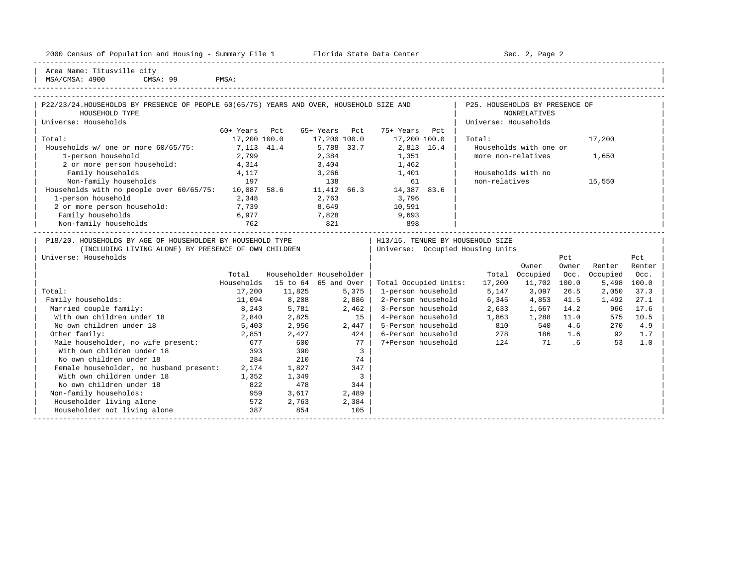|  |  |  |  | 2000 Census of Population and Housing - Summary File 1 |  |  |  |  |  |  |
|--|--|--|--|--------------------------------------------------------|--|--|--|--|--|--|
|--|--|--|--|--------------------------------------------------------|--|--|--|--|--|--|

2000 Florida State Data Center - Sec. 2, Page 2 -----------------------------------------------------------------------------------------------------------------------------------------------------

| Area Name: Titusville city | | MSA/CMSA: 4900 CMSA: 99 PMSA:

| HOUSEHOLD TYPE<br><b>NONRELATIVES</b><br>Universe: Households<br>Universe: Households<br>60+ Years Pct<br>65+ Years Pct<br>75+ Years Pct<br>Total:<br>17,200 100.0<br>17,200 100.0<br>17,200 100.0<br>Total:<br>17,200<br>Households w/ one or more 60/65/75:<br>7,113 41.4<br>5,788 33.7<br>2,813 16.4<br>Households with one or<br>1-person household<br>more non-relatives<br>2,799<br>2,384<br>1,351<br>1,650<br>2 or more person household:<br>1,462<br>4,314<br>3,404<br>Family households<br>3,266<br>Households with no<br>4,117<br>1,401<br>Non-family households<br>non-relatives<br>197<br>15,550<br>138<br>61<br>Households with no people over 60/65/75: 10,087 58.6 11,412 66.3<br>14,387 83.6<br>1-person household<br>2,348<br>2,763<br>3,796<br>8,649<br>10,591<br>2 or more person household:<br>7,739<br>7,828<br>Family households<br>6,977<br>9,693<br>821<br>Non-family households<br>762<br>898<br>P18/20. HOUSEHOLDS BY AGE OF HOUSEHOLDER BY HOUSEHOLD TYPE<br>H13/15. TENURE BY HOUSEHOLD SIZE<br>Universe: Occupied Housing Units<br>(INCLUDING LIVING ALONE) BY PRESENCE OF OWN CHILDREN<br>Universe: Households<br>Pct<br>Pct<br>Owner<br>Renter<br>Renter<br>Owner<br>Householder Householder<br>Total Occupied<br>Occ.<br>Occupied<br>Total<br>Occ.<br>Households<br>15 to 64 65 and Over<br>Total Occupied Units:<br>17,200<br>11,702 100.0<br>5,498<br>100.0<br>5,147<br>Total:<br>17,200<br>11,825<br>1-person household<br>3,097<br>26.5<br>2,050<br>37.3<br>5,375<br>8,208<br>2-Person household<br>6,345<br>41.5<br>27.1<br>Family households:<br>11,094<br>2,886<br>4,853<br>1,492<br>Married couple family:<br>8,243<br>3-Person household<br>2,633<br>14.2<br>17.6<br>5,781<br>2,462<br>1,667<br>966<br>With own children under 18<br>2,840<br>2,825<br>15<br>4-Person household<br>1,863<br>10.5<br>1,288 11.0<br>575<br>2,447<br>810<br>No own children under 18<br>5-Person household<br>4.6<br>4.9<br>5,403<br>2,956<br>540<br>270<br>278 186 1.6<br>Other family:<br>424<br>6-Person household<br>1.7<br>2,851<br>2,427<br>92<br>124<br>71<br>Male householder, no wife present: 677<br>600<br>77  <br>7+Person household<br>53<br>1.0<br>.6<br>With own children under 18<br>393<br>390<br>$\overline{\mathbf{3}}$<br>284<br>No own children under 18<br>210<br>74 | P22/23/24.HOUSEHOLDS BY PRESENCE OF PEOPLE 60(65/75) YEARS AND OVER, HOUSEHOLD SIZE AND |  |  |  | P25. HOUSEHOLDS BY PRESENCE OF |  |  |
|------------------------------------------------------------------------------------------------------------------------------------------------------------------------------------------------------------------------------------------------------------------------------------------------------------------------------------------------------------------------------------------------------------------------------------------------------------------------------------------------------------------------------------------------------------------------------------------------------------------------------------------------------------------------------------------------------------------------------------------------------------------------------------------------------------------------------------------------------------------------------------------------------------------------------------------------------------------------------------------------------------------------------------------------------------------------------------------------------------------------------------------------------------------------------------------------------------------------------------------------------------------------------------------------------------------------------------------------------------------------------------------------------------------------------------------------------------------------------------------------------------------------------------------------------------------------------------------------------------------------------------------------------------------------------------------------------------------------------------------------------------------------------------------------------------------------------------------------------------------------------------------------------------------------------------------------------------------------------------------------------------------------------------------------------------------------------------------------------------------------------------------------------------------------------------------------------------------------------------------------------------------------------------------------------------------|-----------------------------------------------------------------------------------------|--|--|--|--------------------------------|--|--|
|                                                                                                                                                                                                                                                                                                                                                                                                                                                                                                                                                                                                                                                                                                                                                                                                                                                                                                                                                                                                                                                                                                                                                                                                                                                                                                                                                                                                                                                                                                                                                                                                                                                                                                                                                                                                                                                                                                                                                                                                                                                                                                                                                                                                                                                                                                                  |                                                                                         |  |  |  |                                |  |  |
|                                                                                                                                                                                                                                                                                                                                                                                                                                                                                                                                                                                                                                                                                                                                                                                                                                                                                                                                                                                                                                                                                                                                                                                                                                                                                                                                                                                                                                                                                                                                                                                                                                                                                                                                                                                                                                                                                                                                                                                                                                                                                                                                                                                                                                                                                                                  |                                                                                         |  |  |  |                                |  |  |
|                                                                                                                                                                                                                                                                                                                                                                                                                                                                                                                                                                                                                                                                                                                                                                                                                                                                                                                                                                                                                                                                                                                                                                                                                                                                                                                                                                                                                                                                                                                                                                                                                                                                                                                                                                                                                                                                                                                                                                                                                                                                                                                                                                                                                                                                                                                  |                                                                                         |  |  |  |                                |  |  |
|                                                                                                                                                                                                                                                                                                                                                                                                                                                                                                                                                                                                                                                                                                                                                                                                                                                                                                                                                                                                                                                                                                                                                                                                                                                                                                                                                                                                                                                                                                                                                                                                                                                                                                                                                                                                                                                                                                                                                                                                                                                                                                                                                                                                                                                                                                                  |                                                                                         |  |  |  |                                |  |  |
|                                                                                                                                                                                                                                                                                                                                                                                                                                                                                                                                                                                                                                                                                                                                                                                                                                                                                                                                                                                                                                                                                                                                                                                                                                                                                                                                                                                                                                                                                                                                                                                                                                                                                                                                                                                                                                                                                                                                                                                                                                                                                                                                                                                                                                                                                                                  |                                                                                         |  |  |  |                                |  |  |
|                                                                                                                                                                                                                                                                                                                                                                                                                                                                                                                                                                                                                                                                                                                                                                                                                                                                                                                                                                                                                                                                                                                                                                                                                                                                                                                                                                                                                                                                                                                                                                                                                                                                                                                                                                                                                                                                                                                                                                                                                                                                                                                                                                                                                                                                                                                  |                                                                                         |  |  |  |                                |  |  |
|                                                                                                                                                                                                                                                                                                                                                                                                                                                                                                                                                                                                                                                                                                                                                                                                                                                                                                                                                                                                                                                                                                                                                                                                                                                                                                                                                                                                                                                                                                                                                                                                                                                                                                                                                                                                                                                                                                                                                                                                                                                                                                                                                                                                                                                                                                                  |                                                                                         |  |  |  |                                |  |  |
|                                                                                                                                                                                                                                                                                                                                                                                                                                                                                                                                                                                                                                                                                                                                                                                                                                                                                                                                                                                                                                                                                                                                                                                                                                                                                                                                                                                                                                                                                                                                                                                                                                                                                                                                                                                                                                                                                                                                                                                                                                                                                                                                                                                                                                                                                                                  |                                                                                         |  |  |  |                                |  |  |
|                                                                                                                                                                                                                                                                                                                                                                                                                                                                                                                                                                                                                                                                                                                                                                                                                                                                                                                                                                                                                                                                                                                                                                                                                                                                                                                                                                                                                                                                                                                                                                                                                                                                                                                                                                                                                                                                                                                                                                                                                                                                                                                                                                                                                                                                                                                  |                                                                                         |  |  |  |                                |  |  |
|                                                                                                                                                                                                                                                                                                                                                                                                                                                                                                                                                                                                                                                                                                                                                                                                                                                                                                                                                                                                                                                                                                                                                                                                                                                                                                                                                                                                                                                                                                                                                                                                                                                                                                                                                                                                                                                                                                                                                                                                                                                                                                                                                                                                                                                                                                                  |                                                                                         |  |  |  |                                |  |  |
|                                                                                                                                                                                                                                                                                                                                                                                                                                                                                                                                                                                                                                                                                                                                                                                                                                                                                                                                                                                                                                                                                                                                                                                                                                                                                                                                                                                                                                                                                                                                                                                                                                                                                                                                                                                                                                                                                                                                                                                                                                                                                                                                                                                                                                                                                                                  |                                                                                         |  |  |  |                                |  |  |
|                                                                                                                                                                                                                                                                                                                                                                                                                                                                                                                                                                                                                                                                                                                                                                                                                                                                                                                                                                                                                                                                                                                                                                                                                                                                                                                                                                                                                                                                                                                                                                                                                                                                                                                                                                                                                                                                                                                                                                                                                                                                                                                                                                                                                                                                                                                  |                                                                                         |  |  |  |                                |  |  |
|                                                                                                                                                                                                                                                                                                                                                                                                                                                                                                                                                                                                                                                                                                                                                                                                                                                                                                                                                                                                                                                                                                                                                                                                                                                                                                                                                                                                                                                                                                                                                                                                                                                                                                                                                                                                                                                                                                                                                                                                                                                                                                                                                                                                                                                                                                                  |                                                                                         |  |  |  |                                |  |  |
|                                                                                                                                                                                                                                                                                                                                                                                                                                                                                                                                                                                                                                                                                                                                                                                                                                                                                                                                                                                                                                                                                                                                                                                                                                                                                                                                                                                                                                                                                                                                                                                                                                                                                                                                                                                                                                                                                                                                                                                                                                                                                                                                                                                                                                                                                                                  |                                                                                         |  |  |  |                                |  |  |
|                                                                                                                                                                                                                                                                                                                                                                                                                                                                                                                                                                                                                                                                                                                                                                                                                                                                                                                                                                                                                                                                                                                                                                                                                                                                                                                                                                                                                                                                                                                                                                                                                                                                                                                                                                                                                                                                                                                                                                                                                                                                                                                                                                                                                                                                                                                  |                                                                                         |  |  |  |                                |  |  |
|                                                                                                                                                                                                                                                                                                                                                                                                                                                                                                                                                                                                                                                                                                                                                                                                                                                                                                                                                                                                                                                                                                                                                                                                                                                                                                                                                                                                                                                                                                                                                                                                                                                                                                                                                                                                                                                                                                                                                                                                                                                                                                                                                                                                                                                                                                                  |                                                                                         |  |  |  |                                |  |  |
|                                                                                                                                                                                                                                                                                                                                                                                                                                                                                                                                                                                                                                                                                                                                                                                                                                                                                                                                                                                                                                                                                                                                                                                                                                                                                                                                                                                                                                                                                                                                                                                                                                                                                                                                                                                                                                                                                                                                                                                                                                                                                                                                                                                                                                                                                                                  |                                                                                         |  |  |  |                                |  |  |
|                                                                                                                                                                                                                                                                                                                                                                                                                                                                                                                                                                                                                                                                                                                                                                                                                                                                                                                                                                                                                                                                                                                                                                                                                                                                                                                                                                                                                                                                                                                                                                                                                                                                                                                                                                                                                                                                                                                                                                                                                                                                                                                                                                                                                                                                                                                  |                                                                                         |  |  |  |                                |  |  |
|                                                                                                                                                                                                                                                                                                                                                                                                                                                                                                                                                                                                                                                                                                                                                                                                                                                                                                                                                                                                                                                                                                                                                                                                                                                                                                                                                                                                                                                                                                                                                                                                                                                                                                                                                                                                                                                                                                                                                                                                                                                                                                                                                                                                                                                                                                                  |                                                                                         |  |  |  |                                |  |  |
|                                                                                                                                                                                                                                                                                                                                                                                                                                                                                                                                                                                                                                                                                                                                                                                                                                                                                                                                                                                                                                                                                                                                                                                                                                                                                                                                                                                                                                                                                                                                                                                                                                                                                                                                                                                                                                                                                                                                                                                                                                                                                                                                                                                                                                                                                                                  |                                                                                         |  |  |  |                                |  |  |
|                                                                                                                                                                                                                                                                                                                                                                                                                                                                                                                                                                                                                                                                                                                                                                                                                                                                                                                                                                                                                                                                                                                                                                                                                                                                                                                                                                                                                                                                                                                                                                                                                                                                                                                                                                                                                                                                                                                                                                                                                                                                                                                                                                                                                                                                                                                  |                                                                                         |  |  |  |                                |  |  |
|                                                                                                                                                                                                                                                                                                                                                                                                                                                                                                                                                                                                                                                                                                                                                                                                                                                                                                                                                                                                                                                                                                                                                                                                                                                                                                                                                                                                                                                                                                                                                                                                                                                                                                                                                                                                                                                                                                                                                                                                                                                                                                                                                                                                                                                                                                                  |                                                                                         |  |  |  |                                |  |  |
|                                                                                                                                                                                                                                                                                                                                                                                                                                                                                                                                                                                                                                                                                                                                                                                                                                                                                                                                                                                                                                                                                                                                                                                                                                                                                                                                                                                                                                                                                                                                                                                                                                                                                                                                                                                                                                                                                                                                                                                                                                                                                                                                                                                                                                                                                                                  |                                                                                         |  |  |  |                                |  |  |
|                                                                                                                                                                                                                                                                                                                                                                                                                                                                                                                                                                                                                                                                                                                                                                                                                                                                                                                                                                                                                                                                                                                                                                                                                                                                                                                                                                                                                                                                                                                                                                                                                                                                                                                                                                                                                                                                                                                                                                                                                                                                                                                                                                                                                                                                                                                  |                                                                                         |  |  |  |                                |  |  |
|                                                                                                                                                                                                                                                                                                                                                                                                                                                                                                                                                                                                                                                                                                                                                                                                                                                                                                                                                                                                                                                                                                                                                                                                                                                                                                                                                                                                                                                                                                                                                                                                                                                                                                                                                                                                                                                                                                                                                                                                                                                                                                                                                                                                                                                                                                                  |                                                                                         |  |  |  |                                |  |  |
|                                                                                                                                                                                                                                                                                                                                                                                                                                                                                                                                                                                                                                                                                                                                                                                                                                                                                                                                                                                                                                                                                                                                                                                                                                                                                                                                                                                                                                                                                                                                                                                                                                                                                                                                                                                                                                                                                                                                                                                                                                                                                                                                                                                                                                                                                                                  |                                                                                         |  |  |  |                                |  |  |
|                                                                                                                                                                                                                                                                                                                                                                                                                                                                                                                                                                                                                                                                                                                                                                                                                                                                                                                                                                                                                                                                                                                                                                                                                                                                                                                                                                                                                                                                                                                                                                                                                                                                                                                                                                                                                                                                                                                                                                                                                                                                                                                                                                                                                                                                                                                  |                                                                                         |  |  |  |                                |  |  |
|                                                                                                                                                                                                                                                                                                                                                                                                                                                                                                                                                                                                                                                                                                                                                                                                                                                                                                                                                                                                                                                                                                                                                                                                                                                                                                                                                                                                                                                                                                                                                                                                                                                                                                                                                                                                                                                                                                                                                                                                                                                                                                                                                                                                                                                                                                                  |                                                                                         |  |  |  |                                |  |  |
|                                                                                                                                                                                                                                                                                                                                                                                                                                                                                                                                                                                                                                                                                                                                                                                                                                                                                                                                                                                                                                                                                                                                                                                                                                                                                                                                                                                                                                                                                                                                                                                                                                                                                                                                                                                                                                                                                                                                                                                                                                                                                                                                                                                                                                                                                                                  |                                                                                         |  |  |  |                                |  |  |
| Female householder, no husband present: 2,174<br>1,827<br>347                                                                                                                                                                                                                                                                                                                                                                                                                                                                                                                                                                                                                                                                                                                                                                                                                                                                                                                                                                                                                                                                                                                                                                                                                                                                                                                                                                                                                                                                                                                                                                                                                                                                                                                                                                                                                                                                                                                                                                                                                                                                                                                                                                                                                                                    |                                                                                         |  |  |  |                                |  |  |
| With own children under 18<br>1,352<br>1,349<br>$\overline{3}$                                                                                                                                                                                                                                                                                                                                                                                                                                                                                                                                                                                                                                                                                                                                                                                                                                                                                                                                                                                                                                                                                                                                                                                                                                                                                                                                                                                                                                                                                                                                                                                                                                                                                                                                                                                                                                                                                                                                                                                                                                                                                                                                                                                                                                                   |                                                                                         |  |  |  |                                |  |  |
| No own children under 18<br>478<br>344<br>822                                                                                                                                                                                                                                                                                                                                                                                                                                                                                                                                                                                                                                                                                                                                                                                                                                                                                                                                                                                                                                                                                                                                                                                                                                                                                                                                                                                                                                                                                                                                                                                                                                                                                                                                                                                                                                                                                                                                                                                                                                                                                                                                                                                                                                                                    |                                                                                         |  |  |  |                                |  |  |
| Non-family households:<br>959<br>3,617<br>2,489                                                                                                                                                                                                                                                                                                                                                                                                                                                                                                                                                                                                                                                                                                                                                                                                                                                                                                                                                                                                                                                                                                                                                                                                                                                                                                                                                                                                                                                                                                                                                                                                                                                                                                                                                                                                                                                                                                                                                                                                                                                                                                                                                                                                                                                                  |                                                                                         |  |  |  |                                |  |  |
| Householder living alone<br>572<br>2,763<br>2,384                                                                                                                                                                                                                                                                                                                                                                                                                                                                                                                                                                                                                                                                                                                                                                                                                                                                                                                                                                                                                                                                                                                                                                                                                                                                                                                                                                                                                                                                                                                                                                                                                                                                                                                                                                                                                                                                                                                                                                                                                                                                                                                                                                                                                                                                |                                                                                         |  |  |  |                                |  |  |
| Householder not living alone<br>387<br>854<br>105                                                                                                                                                                                                                                                                                                                                                                                                                                                                                                                                                                                                                                                                                                                                                                                                                                                                                                                                                                                                                                                                                                                                                                                                                                                                                                                                                                                                                                                                                                                                                                                                                                                                                                                                                                                                                                                                                                                                                                                                                                                                                                                                                                                                                                                                |                                                                                         |  |  |  |                                |  |  |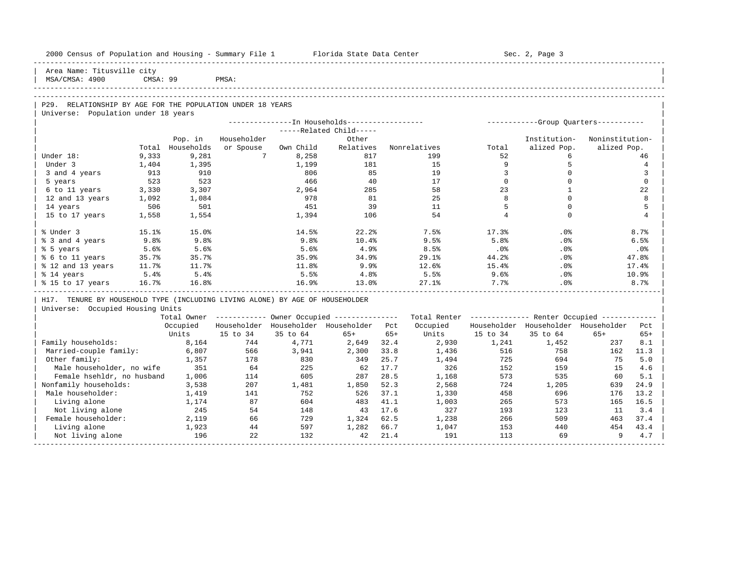| 2000 Census of Population and Housing - Summary File 1 Florida State Data Center |              |              |                 |            |                                                         |         |                                                         |                | Sec. 2, Page 3                        |                 |                |
|----------------------------------------------------------------------------------|--------------|--------------|-----------------|------------|---------------------------------------------------------|---------|---------------------------------------------------------|----------------|---------------------------------------|-----------------|----------------|
| Area Name: Titusville city<br>MSA/CMSA: 4900                                     | CMSA: 99     |              | PMSA:           |            |                                                         |         |                                                         |                |                                       |                 |                |
|                                                                                  |              |              |                 |            |                                                         |         |                                                         |                |                                       |                 |                |
| P29. RELATIONSHIP BY AGE FOR THE POPULATION UNDER 18 YEARS                       |              |              |                 |            |                                                         |         |                                                         |                |                                       |                 |                |
| Universe: Population under 18 years                                              |              |              |                 |            |                                                         |         |                                                         |                |                                       |                 |                |
|                                                                                  |              |              |                 |            | --------------In Households-----------------            |         |                                                         |                | ------------Group Ouarters----------- |                 |                |
|                                                                                  |              |              |                 |            | -----Related Child-----                                 |         |                                                         |                |                                       |                 |                |
|                                                                                  |              | Pop. in      | Householder     |            | Other                                                   |         |                                                         |                | Institution-                          | Noninstitution- |                |
|                                                                                  | Total        | Households   | or Spouse       | Own Child  | Relatives                                               |         | Nonrelatives                                            | Total          | alized Pop.                           | alized Pop.     |                |
| Under 18:                                                                        | 9,333        | 9,281        | $7\overline{ }$ | 8,258      | 817                                                     |         | 199                                                     | 52             | 6                                     |                 | 46             |
| Under 3                                                                          | 1,404        | 1,395        |                 | 1,199      | 181                                                     |         | 15                                                      | 9              | 5                                     |                 | $\overline{4}$ |
| 3 and 4 years                                                                    | 913          | 910          |                 | 806        | 85                                                      |         | 19                                                      | 3              | $\mathbf 0$                           |                 | 3              |
| 5 years                                                                          | 523          | 523          |                 | 466        | 40                                                      |         | 17                                                      | $\Omega$       | $\Omega$                              |                 | $\Omega$       |
| 6 to 11 years                                                                    | 3,330        | 3,307        |                 | 2,964      | 285<br>81                                               |         | 58<br>25                                                | 23<br>8        | $\mathbf{1}$<br>$\Omega$              |                 | 22<br>8        |
| 12 and 13 years                                                                  | 1,092<br>506 | 1,084<br>501 |                 | 978<br>451 | 39                                                      |         | 11                                                      | 5              | $\Omega$                              |                 | 5              |
| 14 years                                                                         |              |              |                 |            |                                                         |         | 54                                                      | $\overline{4}$ | $\Omega$                              |                 | $\overline{4}$ |
| 15 to 17 years                                                                   | 1,558        | 1,554        |                 | 1,394      | 106                                                     |         |                                                         |                |                                       |                 |                |
| % Under 3                                                                        | 15.1%        | 15.0%        |                 | 14.5%      | 22.2%                                                   |         | 7.5%                                                    | 17.3%          | .0%                                   |                 | 8.7%           |
| % 3 and 4 years                                                                  | 9.8%         | 9.8%         |                 | 9.8%       | 10.4%                                                   |         | 9.5%                                                    | 5.8%           | $.0\%$                                |                 | 6.5%           |
| % 5 years                                                                        | 5.6%         | 5.6%         |                 | 5.6%       | 4.9%                                                    |         | 8.5%                                                    | $.0\%$         | $.0\%$                                |                 | .0%            |
| % 6 to 11 years                                                                  | 35.7%        | 35.7%        |                 | 35.9%      | 34.9%                                                   |         | 29.1%                                                   | 44.2%          | $.0\%$                                |                 | 47.8%          |
| % 12 and 13 years                                                                | 11.7%        | 11.7%        |                 | 11.8%      | 9.9%                                                    |         | 12.6%                                                   | 15.4%          | $.0\%$                                |                 | 17.4%          |
| % 14 years                                                                       | 5.4%         | 5.4%         |                 | 5.5%       | 4.8%                                                    |         | 5.5%                                                    | 9.6%           | $.0\%$                                |                 | 10.9%          |
| % 15 to 17 years                                                                 | 16.7%        | 16.8%        |                 | 16.9%      | 13.0%                                                   |         | 27.1%                                                   | 7.7%           | $.0\%$                                |                 | 8.7%           |
| H17. TENURE BY HOUSEHOLD TYPE (INCLUDING LIVING ALONE) BY AGE OF HOUSEHOLDER     |              |              |                 |            |                                                         |         |                                                         |                |                                       |                 |                |
| Universe: Occupied Housing Units                                                 |              |              |                 |            |                                                         |         |                                                         |                |                                       |                 |                |
|                                                                                  |              |              |                 |            | Total Owner ------------ Owner Occupied --------------- |         | Total Renter ------------- Renter Occupied ------------ |                |                                       |                 |                |
|                                                                                  |              | Occupied     |                 |            | Householder Householder Householder Pct                 |         | Occupied                                                |                | Householder Householder Householder   |                 | Pct.           |
|                                                                                  |              | Units        | 15 to 34        | 35 to 64   | $65+$                                                   | $65+$   | Units                                                   | 15 to 34       | 35 to 64                              | $65+$           | $65+$          |
| Family households:                                                               |              | 8,164        | 744             | 4,771      | 2,649                                                   | 32.4    | 2,930                                                   | 1,241          | 1,452                                 | 237             | 8.1            |
| Married-couple family:                                                           |              | 6,807        | 566             | 3,941      | 2,300                                                   | 33.8    | 1,436                                                   | 516            | 758                                   | 162             | 11.3           |
| Other family:                                                                    |              | 1,357        | 178             | 830        | 349                                                     | 25.7    | 1,494                                                   | 725            | 694                                   | 75              | 5.0            |
| Male householder, no wife                                                        |              | 351          | 64              | 225        | 62                                                      | 17.7    | 326                                                     | 152            | 159                                   | 15              | 4.6            |
| Female hsehldr, no husband                                                       |              | 1,006        | 114             | 605        | 287                                                     | 28.5    | 1,168                                                   | 573            | 535                                   | 60              | 5.1            |
| Nonfamily households:                                                            |              | 3,538        | 207             | 1,481      | 1,850                                                   | 52.3    | 2,568                                                   | 724            | 1,205                                 | 639             | 24.9           |
| Male householder:                                                                |              | 1,419        | 141             | 752        | 526                                                     | 37.1    | 1,330                                                   | 458            | 696                                   | 176             | 13.2           |
| Living alone                                                                     |              | 1,174        | 87              | 604        | 483                                                     | 41.1    | 1,003                                                   | 265            | 573                                   | 165             | 16.5           |
| Not living alone                                                                 |              | 245          | 54              | 148        |                                                         | 43 17.6 | 327                                                     | 193            | 123                                   | 11              | 3.4            |
| Female householder:                                                              |              | 2,119        | 66              | 729        | 1,324                                                   | 62.5    | 1,238                                                   | 266            | 509                                   |                 | 463 37.4       |
| Living alone                                                                     |              | 1,923        | 44              | 597        | 1,282                                                   | 66.7    | 1,047                                                   | 153            | 440                                   | 454             | 43.4           |
| Not living alone                                                                 |              | 196          | 22              | 132        | 42                                                      | 21.4    | 191                                                     | 113            | 69                                    | 9               | 4.7            |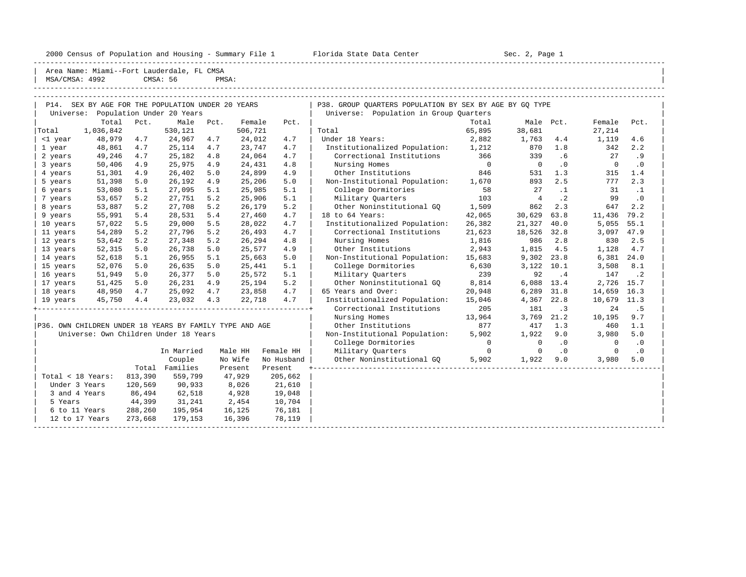2000 Census of Population and Housing - Summary File 1 Telorida State Data Center Sec. 2, Page 1 North Sec. 2, Page

----------------------------------------------------------------------------------------------------------------------------------------------------- | Area Name: Miami--Fort Lauderdale, FL CMSA | | MSA/CMSA: 4992 CMSA: 56 PMSA: |

|            | Name: Midmi--POIL Laudeluale, PD CMSA |          |       |
|------------|---------------------------------------|----------|-------|
| CMSA: 4992 |                                       | CMSA: 56 | PMSA: |

|                   | P14. SEX BY AGE FOR THE POPULATION UNDER 20 YEARS       |            |                |      |         |            | P38. GROUP OUARTERS POPULATION BY SEX BY AGE BY GO TYPE |                |                |           |             |           |
|-------------------|---------------------------------------------------------|------------|----------------|------|---------|------------|---------------------------------------------------------|----------------|----------------|-----------|-------------|-----------|
|                   | Universe: Population Under 20 Years                     |            |                |      |         |            | Universe: Population in Group Quarters                  |                |                |           |             |           |
|                   |                                                         | Total Pct. | Male           | Pct. | Female  | Pct.       |                                                         | Total          |                | Male Pct. | Female      | Pct.      |
| Total             | 1,036,842                                               |            | 530,121        |      | 506,721 |            | Total                                                   | 65,895         | 38,681         |           | 27,214      |           |
| <1 year           | 48,979                                                  | 4.7        | 24,967         | 4.7  | 24,012  | 4.7        | Under 18 Years:                                         | 2,882          | 1,763          | 4.4       | 1,119       | 4.6       |
| 1 year            | 48,861                                                  | 4.7        | 25,114         | 4.7  | 23,747  | 4.7        | Institutionalized Population:                           | 1,212          | 870            | 1.8       | 342         | 2.2       |
| 2 years           | 49,246                                                  | 4.7        | 25,182         | 4.8  | 24,064  | 4.7        | Correctional Institutions                               | 366            | 339            | .6        | 27          | . 9       |
| 3 years           | 50,406                                                  | 4.9        | 25,975         | 4.9  | 24,431  | 4.8        | Nursing Homes                                           | $\overline{0}$ | $\overline{0}$ | $\cdot$ 0 | $\mathbf 0$ | $\cdot$ 0 |
| 4 years           | 51,301                                                  | 4.9        | 26,402         | 5.0  | 24,899  | 4.9        | Other Institutions                                      | 846            | 531            | 1.3       | 315         | 1.4       |
| 5 years           | 51,398                                                  | 5.0        | 26,192         | 4.9  | 25,206  | 5.0        | Non-Institutional Population: 1,670                     |                | 893            | 2.5       | 777         | 2.3       |
| 6 years           | 53,080                                                  | 5.1        | 27,095         | 5.1  | 25,985  | 5.1        | College Dormitories                                     | 58             | 27             | $\cdot$ 1 | 31          | $\cdot$ 1 |
| 7 years           | 53,657                                                  | 5.2        | 27,751         | 5.2  | 25,906  | 5.1        | Military Quarters                                       | 103            | $\overline{4}$ | $\cdot$ 2 | 99          | $\cdot$ 0 |
| 8 years           | 53,887                                                  | 5.2        | 27,708         | 5.2  | 26,179  | 5.2        | Other Noninstitutional GO                               | 1,509          | 862            | 2.3       | 647         | 2.2       |
| 9 years           | 55,991                                                  | 5.4        | 28,531         | 5.4  | 27,460  | 4.7        | 18 to 64 Years:                                         | 42,065         | 30,629         | 63.8      | 11,436      | 79.2      |
| 10 years          | 57,022                                                  | 5.5        | 29,000         | 5.5  | 28,022  | 4.7        | Institutionalized Population:                           | 26,382         | 21,327         | 40.0      | 5,055       | 55.1      |
| 11 years          | 54,289                                                  | 5.2        | 27,796         | 5.2  | 26,493  | 4.7        | Correctional Institutions                               | 21,623         | 18,526         | 32.8      | 3,097       | 47.9      |
| 12 years          | 53,642                                                  | 5.2        | 27,348         | 5.2  | 26,294  | 4.8        | Nursing Homes                                           | 1,816          | 986            | 2.8       | 830         | 2.5       |
| 13 years          | 52,315                                                  | 5.0        | 26,738         | 5.0  | 25,577  | 4.9        | Other Institutions                                      | 2,943          | 1,815          | 4.5       | 1,128       | 4.7       |
| 14 years          | 52,618                                                  | 5.1        | 26,955         | 5.1  | 25,663  | 5.0        | Non-Institutional Population:                           | 15,683         | 9,302          | 23.8      | 6,381       | 24.0      |
| 15 years          | 52,076                                                  | 5.0        | 26,635         | 5.0  | 25,441  | 5.1        | College Dormitories                                     | 6,630          | 3,122          | 10.1      | 3,508       | 8.1       |
| 16 years          | 51,949                                                  | 5.0        | 26,377         | 5.0  | 25,572  | 5.1        | Military Quarters                                       | 239            | 92             | $\cdot$ 4 | 147         | $\cdot$ 2 |
| 17 years          | 51,425                                                  | 5.0        | 26,231         | 4.9  | 25,194  | 5.2        | Other Noninstitutional GO                               | 8,814          | 6,088          | 13.4      | 2,726       | 15.7      |
| 18 years          | 48,950                                                  | 4.7        | 25,092         | 4.7  | 23,858  | 4.7        | 65 Years and Over:                                      | 20,948         | 6,289          | 31.8      | 14,659      | 16.3      |
| 19 years          | 45,750                                                  | 4.4        | 23,032         | 4.3  | 22,718  | 4.7        | Institutionalized Population:                           | 15,046         | 4,367          | 22.8      | 10,679      | 11.3      |
|                   |                                                         |            |                |      |         |            | Correctional Institutions                               | 205            | 181            | $\cdot$ 3 | 24          | . 5       |
|                   |                                                         |            |                |      |         |            | Nursing Homes                                           | 13,964         | 3,769          | 21.2      | 10,195      | 9.7       |
|                   | P36. OWN CHILDREN UNDER 18 YEARS BY FAMILY TYPE AND AGE |            |                |      |         |            | Other Institutions                                      | 877            | 417            | 1.3       | 460         | 1.1       |
|                   | Universe: Own Children Under 18 Years                   |            |                |      |         |            | Non-Institutional Population:                           | 5,902          | 1,922          | 9.0       | 3,980       | 5.0       |
|                   |                                                         |            |                |      |         |            | College Dormitories                                     | $\Omega$       | $\Omega$       | $\cdot$ 0 | $\Omega$    | $\cdot$ 0 |
|                   |                                                         |            | In Married     |      | Male HH | Female HH  | Military Quarters                                       | $\Omega$       | $\Omega$       | $\cdot$ 0 | $\Omega$    | $\cdot$ 0 |
|                   |                                                         |            | Couple         |      | No Wife | No Husband | Other Noninstitutional GQ                               | 5,902          | 1,922          | 9.0       | 3,980       | 5.0       |
|                   |                                                         |            | Total Families |      | Present | Present    |                                                         |                |                |           |             |           |
| Total < 18 Years: |                                                         | 813,390    | 559,799        |      | 47,929  | 205,662    |                                                         |                |                |           |             |           |
| Under 3 Years     |                                                         | 120,569    | 90,933         |      | 8,026   | 21,610     |                                                         |                |                |           |             |           |
| 3 and 4 Years     |                                                         | 86,494     | 62,518         |      | 4,928   | 19,048     |                                                         |                |                |           |             |           |
| 5 Years           |                                                         | 44,399     | 31,241         |      | 2,454   | 10,704     |                                                         |                |                |           |             |           |
| 6 to 11 Years     |                                                         | 288,260    | 195,954        |      | 16,125  | 76,181     |                                                         |                |                |           |             |           |
|                   | 12 to 17 Years                                          | 273,668    | 179,153        |      | 16,396  | 78,119     |                                                         |                |                |           |             |           |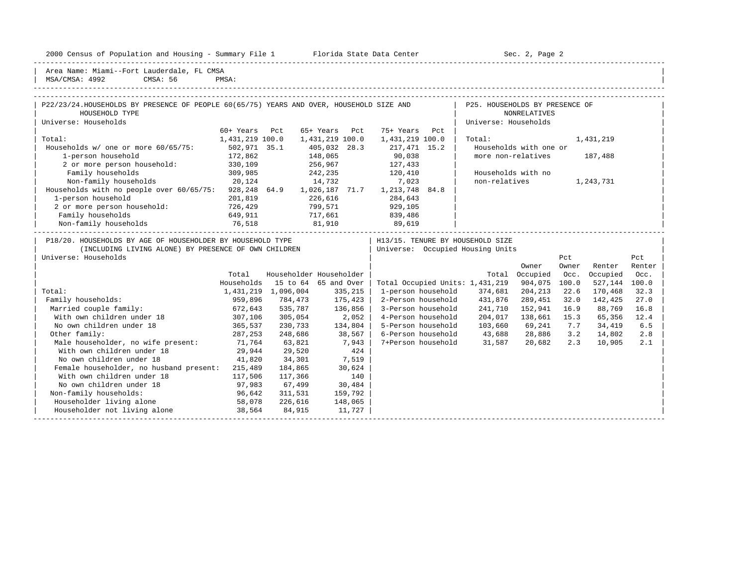2000 Census of Population and Housing - Summary File 1 Telorida State Data Center Sec. 2, Page 2

| Area Name: Miami--Fort Lauderdale, FL CMSA | MSA/CMSA: 4992 CMSA: 56 PMSA:

| P22/23/24.HOUSEHOLDS BY PRESENCE OF PEOPLE 60(65/75) YEARS AND OVER, HOUSEHOLD SIZE AND |                 |                             |                 |     | P25. HOUSEHOLDS BY PRESENCE OF   |           |               |  |
|-----------------------------------------------------------------------------------------|-----------------|-----------------------------|-----------------|-----|----------------------------------|-----------|---------------|--|
| HOUSEHOLD TYPE                                                                          |                 |                             |                 |     | NONRELATIVES                     |           |               |  |
| Universe: Households                                                                    |                 |                             |                 |     | Universe: Households             |           |               |  |
|                                                                                         | 60+ Years Pct   | 65+ Years Pct               | 75+ Years       | Pct |                                  |           |               |  |
| Total:                                                                                  | 1,431,219 100.0 | 1,431,219 100.0             | 1,431,219 100.0 |     | Total:                           | 1,431,219 |               |  |
| Households $w/$ one or more $60/65/75$ :                                                | 502,971 35.1    | 405,032 28.3                | 217,471 15.2    |     | Households with one or           |           |               |  |
| 1-person household                                                                      | 172,862         | 148,065                     | 90,038          |     | more non-relatives               | 187,488   |               |  |
| 2 or more person household:                                                             | 330,109         | 256,967                     | 127,433         |     |                                  |           |               |  |
| Family households                                                                       | 309,985         | 242,235                     | 120,410         |     | Households with no               |           |               |  |
| Non-family households                                                                   | 20,124          | 14,732                      | 7,023           |     | non-relatives                    | 1,243,731 |               |  |
| Households with no people over 60/65/75:                                                |                 | 928,248 64.9 1,026,187 71.7 | 1,213,748 84.8  |     |                                  |           |               |  |
| 1-person household                                                                      | 201,819         | 226,616                     | 284,643         |     |                                  |           |               |  |
| 2 or more person household:                                                             | 726,429         | 799,571                     | 929,105         |     |                                  |           |               |  |
| Family households                                                                       | 649,911         | 717,661                     | 839,486         |     |                                  |           |               |  |
| Non-family households                                                                   | 76,518          | 81,910                      | 89,619          |     |                                  |           |               |  |
| P18/20. HOUSEHOLDS BY AGE OF HOUSEHOLDER BY HOUSEHOLD TYPE                              |                 |                             |                 |     | H13/15. TENURE BY HOUSEHOLD SIZE |           |               |  |
| (INCLUDING LIVING ALONE) BY PRESENCE OF OWN CHILDREN                                    |                 |                             |                 |     | Universe: Occupied Housing Units |           |               |  |
| Universe: Households                                                                    |                 |                             |                 |     |                                  | Pct       | Pct           |  |
|                                                                                         |                 |                             |                 |     | $\sim$ $\sim$ $\sim$             |           | $\sim$ $\sim$ |  |

|                                         |            |           |                         |                                 |         | Owner    | Owner | Renter   | Renter |  |
|-----------------------------------------|------------|-----------|-------------------------|---------------------------------|---------|----------|-------|----------|--------|--|
|                                         | Total      |           | Householder Householder |                                 | Total   | Occupied | Occ.  | Occupied | Occ.   |  |
|                                         | Households | 15 to 64  | 65 and Over             | Total Occupied Units: 1,431,219 |         | 904,075  | 100.0 | 527,144  | 100.0  |  |
| Total:                                  | 1,431,219  | 1,096,004 | 335,215                 | 1-person household              | 374,681 | 204,213  | 22.6  | 170,468  | 32.3   |  |
| Family households:                      | 959,896    | 784,473   | 175,423                 | 2-Person household              | 431,876 | 289,451  | 32.0  | 142,425  | 27.0   |  |
| Married couple family:                  | 672,643    | 535,787   | 136,856                 | 3-Person household              | 241,710 | 152,941  | 16.9  | 88,769   | 16.8   |  |
| With own children under 18              | 307,106    | 305,054   | 2,052                   | 4-Person household              | 204,017 | 138,661  | 15.3  | 65,356   | 12.4   |  |
| No own children under 18                | 365,537    | 230,733   | 134,804                 | 5-Person household              | 103,660 | 69,241   | 7.7   | 34,419   | 6.5    |  |
| Other family:                           | 287,253    | 248,686   | 38,567                  | 6-Person household              | 43,688  | 28,886   | 3.2   | 14,802   | 2.8    |  |
| Male householder, no wife present:      | 71,764     | 63,821    | 7,943                   | 7+Person household              | 31,587  | 20,682   | 2.3   | 10,905   | 2.1    |  |
| With own children under 18              | 29,944     | 29,520    | 424                     |                                 |         |          |       |          |        |  |
| No own children under 18                | 41,820     | 34,301    | 7,519                   |                                 |         |          |       |          |        |  |
| Female householder, no husband present: | 215,489    | 184,865   | 30,624                  |                                 |         |          |       |          |        |  |
| With own children under 18              | 117,506    | 117,366   | 140                     |                                 |         |          |       |          |        |  |
| No own children under 18                | 97,983     | 67,499    | 30,484                  |                                 |         |          |       |          |        |  |
| Non-family households:                  | 96,642     | 311,531   | 159,792                 |                                 |         |          |       |          |        |  |
| Householder living alone                | 58,078     | 226,616   | 148,065                 |                                 |         |          |       |          |        |  |
| Householder not living alone            | 38,564     | 84,915    | 11,727                  |                                 |         |          |       |          |        |  |
|                                         |            |           |                         |                                 |         |          |       |          |        |  |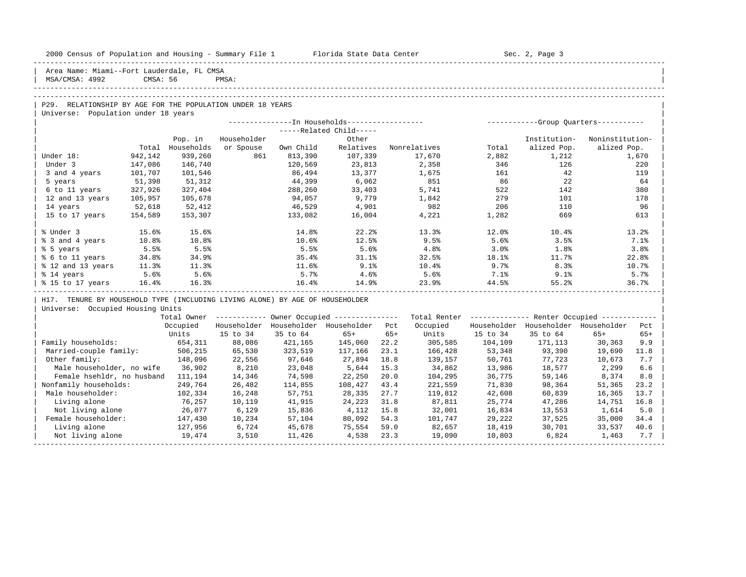| 2000 Census of Population and Housing - Summary File 1 | Florida State Data Center | Sec. 2, Page |
|--------------------------------------------------------|---------------------------|--------------|
|                                                        |                           |              |

Area Name: Miami--Fort Lauderdale, FL CMSA | MSA/CMSA: 4992 CMSA: 56 PMSA: | -----------------------------------------------------------------------------------------------------------------------------------------------------

## ----------------------------------------------------------------------------------------------------------------------------------------------------- P29. RELATIONSHIP BY AGE FOR THE POPULATION UNDER 18 YEARS

Universe: Population under 18 years

|                   |         |            |             |           |                       |              |       | -----------Group Ouarters----------- |                 |
|-------------------|---------|------------|-------------|-----------|-----------------------|--------------|-------|--------------------------------------|-----------------|
|                   |         |            |             |           | $---Related Child---$ |              |       |                                      |                 |
|                   |         | Pop. in    | Householder |           | Other                 |              |       | Institution-                         | Noninstitution- |
|                   | Total   | Households | or Spouse   | Own Child | Relatives             | Nonrelatives | Total | alized Pop.                          | alized Pop.     |
| Under 18:         | 942,142 | 939,260    | 861         | 813,390   | 107,339               | 17,670       | 2,882 | 1,212                                | 1,670           |
| Under 3           | 147,086 | 146,740    |             | 120,569   | 23,813                | 2,358        | 346   | 126                                  | 220             |
| 3 and 4 years     | 101,707 | 101,546    |             | 86,494    | 13,377                | 1,675        | 161   | 42                                   | 119             |
| 5 years           | 51,398  | 51,312     |             | 44,399    | 6,062                 | 851          | 86    | 22                                   | 64              |
| 6 to 11 years     | 327,926 | 327,404    |             | 288,260   | 33,403                | 5,741        | 522   | 142                                  | 380             |
| 12 and 13 years   | 105,957 | 105,678    |             | 94,057    | 9,779                 | 1,842        | 279   | 101                                  | 178             |
| 14 years          | 52,618  | 52,412     |             | 46,529    | 4,901                 | 982          | 206   | 110                                  | 96              |
| 15 to 17 years    | 154,589 | 153,307    |             | 133,082   | 16,004                | 4,221        | 1,282 | 669                                  | 613             |
|                   |         |            |             |           |                       |              |       |                                      |                 |
| % Under 3         | 15.6%   | 15.6%      |             | 14.8%     | 22.2                  | 13.3%        | 12.0% | 10.4%                                | 13.2%           |
| % 3 and 4 years   | 10.8%   | 10.8%      |             | 10.6%     | 12.5%                 | 9.5%         | 5.6%  | 3.5%                                 | 7.1%            |
| % 5 years         | 5.5%    | 5.5%       |             | 5.5%      | 5.6%                  | 4.8%         | 3.0%  | 1.8%                                 | 3.8%            |
| % 6 to 11 years   | 34.8%   | 34.9%      |             | 35.4%     | 31.1%                 | 32.5%        | 18.1% | 11.7%                                | 22.8%           |
| % 12 and 13 years | 11.3%   | 11.3%      |             | 11.6%     | 9.1%                  | 10.4%        | 9.7%  | 8.3%                                 | 10.7%           |
| % 14 years        | 5.6%    | 5.6%       |             | 5.7%      | 4.6%                  | 5.6%         | 7.1%  | 9.1%                                 | 5.7%            |
| % 15 to 17 years  | 16.4%   | 16.3%      |             | 16.4%     | 14.9%                 | 23.9%        | 44.5% | 55.2%                                | 36.7%           |

H17. TENURE BY HOUSEHOLD TYPE (INCLUDING LIVING ALONE) BY AGE OF HOUSEHOLDER

| Universe: Occupied Housing Units |

|                            | Total Owner |             |             | Owner Occupied --------------- |       | Total Renter |             | Renter Occupied -- |             |       |  |
|----------------------------|-------------|-------------|-------------|--------------------------------|-------|--------------|-------------|--------------------|-------------|-------|--|
|                            | Occupied    | Householder | Householder | Householder                    | Pct   | Occupied     | Householder | Householder        | Householder | Pct   |  |
|                            | Units       | 15 to 34    | 35 to 64    | $65+$                          | $65+$ | Units        | 15 to 34    | 35 to 64           | $65+$       | $65+$ |  |
| Family households:         | 654,311     | 88,086      | 421,165     | 145,060                        | 22.2  | 305,585      | 104,109     | 171,113            | 30,363      | 9.9   |  |
| Married-couple family:     | 506,215     | 65,530      | 323,519     | 117,166                        | 23.1  | 166,428      | 53,348      | 93,390             | 19,690      | 11.8  |  |
| Other family:              | 148,096     | 22,556      | 97,646      | 27,894                         | 18.8  | 139,157      | 50,761      | 77,723             | 10,673      | 7.7   |  |
| Male householder, no wife  | 36,902      | 8,210       | 23,048      | 5,644                          | 15.3  | 34,862       | 13,986      | 18,577             | 2,299       | 6.6   |  |
| Female hsehldr, no husband | 111,194     | 14,346      | 74,598      | 22,250                         | 20.0  | 104,295      | 36,775      | 59,146             | 8,374       | 8.0   |  |
| Nonfamily households:      | 249,764     | 26,482      | 114,855     | 108,427                        | 43.4  | 221,559      | 71,830      | 98,364             | 51,365      | 23.2  |  |
| Male householder:          | 102,334     | 16,248      | 57,751      | 28,335                         | 27.7  | 119,812      | 42,608      | 60,839             | 16,365      | 13.7  |  |
| Living alone               | 76,257      | 10,119      | 41,915      | 24,223                         | 31.8  | 87,811       | 25,774      | 47,286             | 14,751      | 16.8  |  |
| Not living alone           | 26,077      | 6,129       | 15,836      | 4,112                          | 15.8  | 32,001       | 16,834      | 13,553             | 1,614       | 5.0   |  |
| Female householder:        | 147,430     | 10,234      | 57,104      | 80,092                         | 54.3  | 101,747      | 29,222      | 37,525             | 35,000      | 34.4  |  |
| Living alone               | 127,956     | 6,724       | 45,678      | 75,554                         | 59.0  | 82,657       | 18,419      | 30,701             | 33,537      | 40.6  |  |
| Not living alone           | 19,474      | 3,510       | 11,426      | 4,538                          | 23.3  | 19,090       | 10,803      | 6,824              | 1,463       | 7.7   |  |
|                            |             |             |             |                                |       |              |             |                    |             |       |  |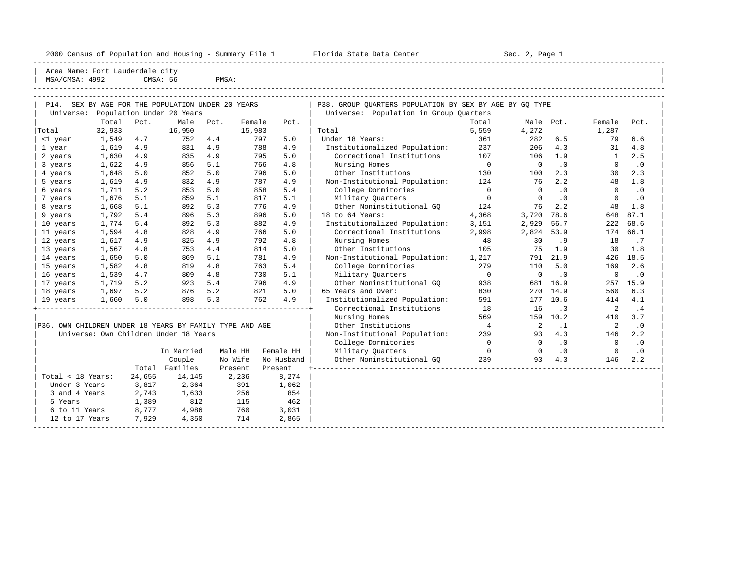#### 2000 Census of Population and Housing - Summary File 1 Telorida State Data Center Sec. 2, Page 1 No

----------------------------------------------------------------------------------------------------------------------------------------------------- Area Name: Fort Lauderdale city MSA/CMSA: 4992 CMSA: 56 PMSA:

| MSA/UMSA· 4994                                          |        |        | CMSA . 50                                         | <b>FMOH</b> |        |            |                                                         |                |                |           |              |           |
|---------------------------------------------------------|--------|--------|---------------------------------------------------|-------------|--------|------------|---------------------------------------------------------|----------------|----------------|-----------|--------------|-----------|
|                                                         |        |        | P14. SEX BY AGE FOR THE POPULATION UNDER 20 YEARS |             |        |            | P38. GROUP OUARTERS POPULATION BY SEX BY AGE BY GO TYPE |                |                |           |              |           |
|                                                         |        |        | Universe: Population Under 20 Years               |             |        |            | Universe: Population in Group Quarters                  |                |                |           |              |           |
|                                                         | Total  | Pct.   | Male                                              | Pct.        | Female | Pct.       |                                                         | Total          |                | Male Pct. | Female       | Pct.      |
| Total                                                   | 32,933 |        | 16,950                                            |             | 15,983 |            | Total                                                   | 5,559          | 4,272          |           | 1,287        |           |
| <1 year                                                 | 1,549  | 4.7    | 752                                               | 4.4         | 797    | 5.0        | Under 18 Years:                                         | 361            | 282            | 6.5       | 79           | 6.6       |
| 1 year                                                  | 1,619  | 4.9    | 831                                               | 4.9         | 788    | 4.9        | Institutionalized Population:                           | 237            | 206            | 4.3       | 31           | 4.8       |
| 2 years                                                 | 1,630  | 4.9    | 835                                               | 4.9         | 795    | 5.0        | Correctional Institutions                               | 107            | 106            | 1.9       | $\mathbf{1}$ | 2.5       |
| 3 years                                                 | 1,622  | 4.9    | 856                                               | 5.1         | 766    | 4.8        | Nursing Homes                                           | $\overline{0}$ | $\overline{0}$ | .0        | $\Omega$     | $\cdot$ 0 |
| 4 years                                                 | 1,648  | 5.0    | 852                                               | 5.0         | 796    | 5.0        | Other Institutions                                      | 130            | 100            | 2.3       | 30           | 2.3       |
| 5 years                                                 | 1,619  | 4.9    | 832                                               | 4.9         | 787    | 4.9        | Non-Institutional Population:                           | 124            | 76             | 2.2       | 48           | 1.8       |
| 6 years                                                 | 1,711  | 5.2    | 853                                               | 5.0         | 858    | 5.4        | College Dormitories                                     | $\overline{0}$ | $\Omega$       | .0        | $\Omega$     | $\cdot$ 0 |
| 7 years                                                 | 1,676  | 5.1    | 859                                               | 5.1         | 817    | 5.1        | Military Quarters                                       | $\overline{0}$ | $\bigcap$      | $\cdot$ 0 | $\Omega$     | $\cdot$ 0 |
| 8 years                                                 | 1,668  | 5.1    | 892                                               | 5.3         | 776    | 4.9        | Other Noninstitutional GO                               | 124            | 76             | 2.2       | 48           | 1.8       |
| 9 years                                                 | 1,792  | 5.4    | 896                                               | 5.3         | 896    | 5.0        | 18 to 64 Years:                                         | 4,368          | 3,720          | 78.6      | 648          | 87.1      |
| 10 years                                                | 1,774  | 5.4    | 892                                               | 5.3         | 882    | 4.9        | Institutionalized Population:                           | 3,151          | 2,929          | 56.7      | 222          | 68.6      |
| 11 years                                                | 1,594  | 4.8    | 828                                               | 4.9         | 766    | 5.0        | Correctional Institutions                               | 2,998          | 2,824 53.9     |           |              | 174 66.1  |
| 12 years                                                | 1,617  | 4.9    | 825                                               | 4.9         | 792    | 4.8        | Nursing Homes                                           | 48             | 30             | .9        | 18           | .7        |
| 13 years                                                | 1,567  | 4.8    | 753                                               | 4.4         | 814    | 5.0        | Other Institutions                                      | 105            | 75             | 1.9       | 30           | 1.8       |
| 14 years                                                | 1,650  | 5.0    | 869                                               | 5.1         | 781    | 4.9        | Non-Institutional Population:                           | 1,217          | 791            | 21.9      |              | 426 18.5  |
| 15 years                                                | 1,582  | 4.8    | 819                                               | 4.8         | 763    | 5.4        | College Dormitories                                     | 279            | 110            | 5.0       | 169          | 2.6       |
| 16 years                                                | 1,539  | 4.7    | 809                                               | 4.8         | 730    | 5.1        | Military Quarters                                       | $\overline{0}$ | $\mathbf 0$    | $\cdot$ 0 | $\mathbf 0$  | $\cdot$ 0 |
| 17 years                                                | 1,719  | 5.2    | 923                                               | 5.4         | 796    | 4.9        | Other Noninstitutional GO                               | 938            |                | 681 16.9  | 257          | 15.9      |
| 18 years                                                | 1,697  | 5.2    | 876                                               | 5.2         | 821    | 5.0        | 65 Years and Over:                                      | 830            |                | 270 14.9  | 560          | 6.3       |
| 19 years                                                | 1,660  | 5.0    | 898                                               | 5.3         | 762    | 4.9        | Institutionalized Population:                           | 591            |                | 177 10.6  | 414          | 4.1       |
|                                                         |        |        |                                                   |             |        |            | Correctional Institutions                               | 18             | 16             | $\cdot$ 3 | 2            | .4        |
|                                                         |        |        |                                                   |             |        |            | Nursing Homes                                           | 569            |                | 159 10.2  | 410          | 3.7       |
| P36. OWN CHILDREN UNDER 18 YEARS BY FAMILY TYPE AND AGE |        |        |                                                   |             |        |            | Other Institutions                                      | $\overline{4}$ | $\overline{2}$ | $\cdot$ 1 | 2            | $\cdot$ 0 |
|                                                         |        |        | Universe: Own Children Under 18 Years             |             |        |            | Non-Institutional Population:                           | 239            | 93             | 4.3       | 146          | 2.2       |
|                                                         |        |        |                                                   |             |        |            | College Dormitories                                     | $\overline{0}$ | $\bigcap$      | $\cdot$ 0 | $\bigcap$    | $\cdot$ 0 |
|                                                         |        |        | In Married                                        | Male HH     |        | Female HH  | Military Quarters                                       | $\overline{0}$ | $\overline{0}$ | $\cdot$ 0 | $\Omega$     | $\cdot$ 0 |
|                                                         |        |        | Couple                                            | No Wife     |        | No Husband | Other Noninstitutional GQ                               | 239            | 93             | 4.3       | 146          | 2.2       |
|                                                         |        |        | Total Families                                    | Present     |        | Present    |                                                         |                |                |           |              |           |
| Total < 18 Years:                                       |        | 24,655 | 14,145                                            | 2,236       |        | 8,274      |                                                         |                |                |           |              |           |
| Under 3 Years                                           |        | 3,817  | 2,364                                             |             | 391    | 1,062      |                                                         |                |                |           |              |           |
| 3 and 4 Years                                           |        | 2,743  | 1,633                                             |             | 256    | 854        |                                                         |                |                |           |              |           |
| 5 Years                                                 |        | 1,389  | 812                                               |             | 115    | 462        |                                                         |                |                |           |              |           |
| 6 to 11 Years                                           |        | 8,777  | 4,986                                             |             | 760    | 3,031      |                                                         |                |                |           |              |           |
| 12 to 17 Years                                          |        | 7,929  | 4,350                                             |             | 714    | 2,865      |                                                         |                |                |           |              |           |
|                                                         |        |        |                                                   |             |        |            |                                                         |                |                |           |              |           |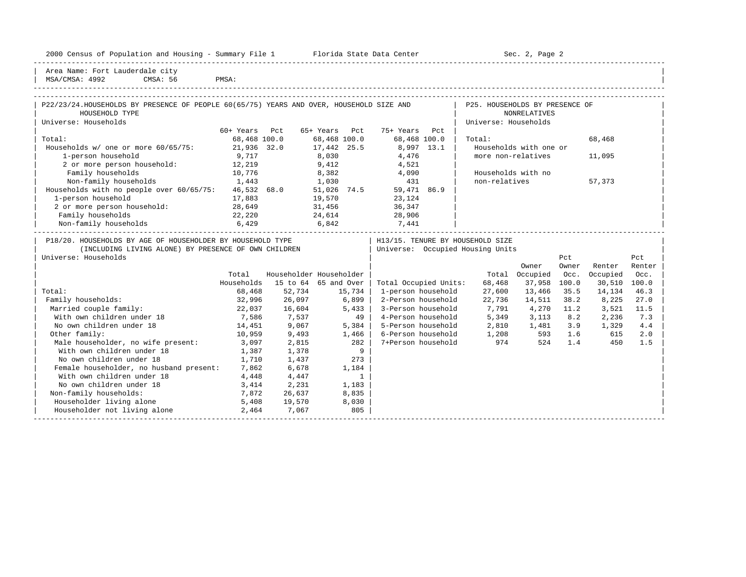|  |  |  | 2000 Census of Population and Housing - Summary File 1 |  |  |  |  |  |  |  |
|--|--|--|--------------------------------------------------------|--|--|--|--|--|--|--|
|--|--|--|--------------------------------------------------------|--|--|--|--|--|--|--|

2000 Florida State Data Center - Sec. 2, Page 2

| Area Name: Fort Lauderdale city<br>MSA/CMSA: 4992<br>CMSA: 56                                                                      | PMSA:         |        |                         |                                  |                                                        |                        |              |              |               |
|------------------------------------------------------------------------------------------------------------------------------------|---------------|--------|-------------------------|----------------------------------|--------------------------------------------------------|------------------------|--------------|--------------|---------------|
| P22/23/24. HOUSEHOLDS BY PRESENCE OF PEOPLE 60(65/75) YEARS AND OVER, HOUSEHOLD SIZE AND<br>HOUSEHOLD TYPE<br>Universe: Households |               |        |                         |                                  | P25. HOUSEHOLDS BY PRESENCE OF<br>Universe: Households | <b>NONRELATIVES</b>    |              |              |               |
|                                                                                                                                    | 60+ Years Pct |        | 65+ Years Pct           | 75+ Years<br>Pct                 |                                                        |                        |              |              |               |
| Total:                                                                                                                             | 68,468 100.0  |        | 68,468 100.0            | 68,468 100.0                     | Total:                                                 |                        |              | 68,468       |               |
| Households w/ one or more 60/65/75: 21,936 32.0                                                                                    |               |        | 17,442 25.5             | 8,997 13.1                       |                                                        | Households with one or |              |              |               |
| 1-person household                                                                                                                 | 9,717         |        | 8,030                   | 4,476                            |                                                        | more non-relatives     |              | 11,095       |               |
| 2 or more person household:                                                                                                        | 12,219        |        | 9,412                   | 4,521                            |                                                        |                        |              |              |               |
| Family households                                                                                                                  | 10,776        |        | 8,382                   | 4,090                            |                                                        | Households with no     |              |              |               |
| 1,443<br>Non-family households                                                                                                     |               |        | 1,030                   | 431                              | non-relatives                                          |                        |              | 57,373       |               |
| Households with no people over 60/65/75: 46,532 68.0                                                                               |               |        | 51,026 74.5             | 59,471 86.9                      |                                                        |                        |              |              |               |
| 1-person household                                                                                                                 | 17,883        |        | 19,570                  | 23,124                           |                                                        |                        |              |              |               |
| 2 or more person household:                                                                                                        | 28,649        |        | 31,456                  | 36,347                           |                                                        |                        |              |              |               |
| Family households                                                                                                                  | 22,220        |        | 24,614                  | 28,906                           |                                                        |                        |              |              |               |
| Non-family households 6,429                                                                                                        |               |        | $6,842$ 7,441           |                                  |                                                        |                        |              |              |               |
| (INCLUDING LIVING ALONE) BY PRESENCE OF OWN CHILDREN<br>Universe: Households                                                       |               |        |                         | Universe: Occupied Housing Units |                                                        | Owner                  | Pct<br>Owner | Renter       | Pct<br>Renter |
|                                                                                                                                    | Total         |        | Householder Householder |                                  |                                                        | Total Occupied         | Occ.         | Occupied     | Occ.          |
|                                                                                                                                    | Households    |        | 15 to 64 65 and Over    | Total Occupied Units:            | 68,468                                                 | 37,958                 | 100.0        | 30,510 100.0 |               |
| Total:                                                                                                                             | 68,468        | 52,734 | 15,734                  | 1-person household               | 27,600                                                 | 13,466                 | 35.5         | 14,134       | 46.3          |
| Family households:                                                                                                                 | 32,996        | 26,097 | 6,899                   | 2-Person household               | 22,736                                                 | 14,511                 | 38.2         | 8,225        | 27.0          |
| Married couple family:                                                                                                             | 22,037        | 16,604 | 5,433                   | 3-Person household               | 7,791                                                  | 4,270                  | 11.2         | 3,521        | 11.5          |
| With own children under 18                                                                                                         | 7,586         | 7,537  | 49                      | 4-Person household               | 5,349                                                  | 3,113                  | 8.2          | 2,236        | 7.3           |
| No own children under 18                                                                                                           | 14,451        | 9,067  | $5,384$                 | 5-Person household               | 2,810                                                  | 1,481 3.9              |              | 1,329        | 4.4           |
| Other family:                                                                                                                      | 10,959        | 9,493  | 1,466                   | 6-Person household               | 1,208                                                  |                        | 593 1.6      | 615          | 2.0           |
| Male householder, no wife present: 3,097                                                                                           |               | 2,815  | 282                     | 7+Person household               | 974                                                    | 524                    | 1.4          | 450          | 1.5           |
| With own children under 18                                                                                                         | 1,387         | 1,378  | 9                       |                                  |                                                        |                        |              |              |               |
| No own children under 18                                                                                                           | 1,710         | 1,437  | 273                     |                                  |                                                        |                        |              |              |               |
| Female householder, no husband present: 7,862                                                                                      |               | 6,678  | 1,184                   |                                  |                                                        |                        |              |              |               |
| With own children under 18                                                                                                         | 4,448         | 4,447  | $\overline{1}$          |                                  |                                                        |                        |              |              |               |
| No own children under 18                                                                                                           | 3,414         | 2,231  | 1,183                   |                                  |                                                        |                        |              |              |               |
| Non-family households:                                                                                                             | 7,872         | 26,637 | 8,835                   |                                  |                                                        |                        |              |              |               |
| Householder living alone                                                                                                           | 5,408         | 19,570 | 8,030                   |                                  |                                                        |                        |              |              |               |
| Householder not living alone                                                                                                       | 2,464         | 7,067  | 805                     |                                  |                                                        |                        |              |              |               |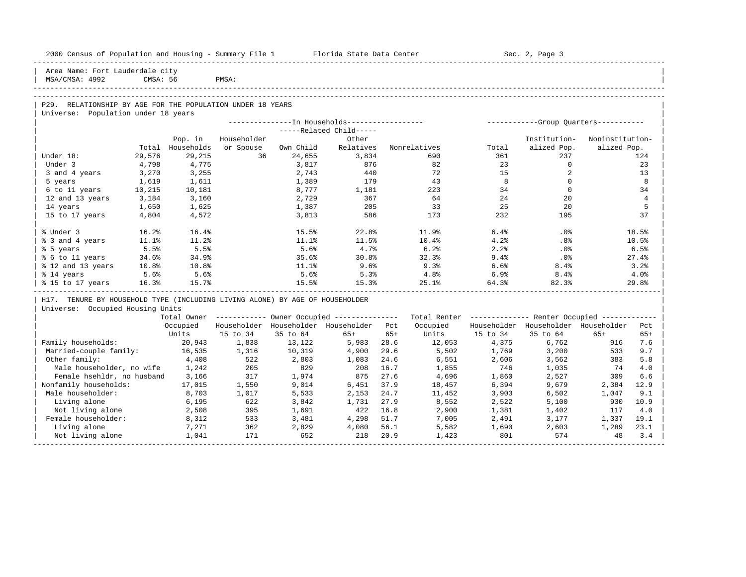| 2000 Census of Population and Housing - Summary File 1 Florida State Data Center |          |            |             |           |                                                        |       |              |          | Sec. 2, Page 3                                          |                 |                |
|----------------------------------------------------------------------------------|----------|------------|-------------|-----------|--------------------------------------------------------|-------|--------------|----------|---------------------------------------------------------|-----------------|----------------|
| Area Name: Fort Lauderdale city<br>MSA/CMSA: 4992                                | CMSA: 56 |            | PMSA:       |           |                                                        |       |              |          |                                                         |                 |                |
|                                                                                  |          |            |             |           |                                                        |       |              |          |                                                         |                 |                |
| P29. RELATIONSHIP BY AGE FOR THE POPULATION UNDER 18 YEARS                       |          |            |             |           |                                                        |       |              |          |                                                         |                 |                |
| Universe: Population under 18 years                                              |          |            |             |           |                                                        |       |              |          |                                                         |                 |                |
|                                                                                  |          |            |             |           | --------------In Households-----------------           |       |              |          | ------------Group Quarters-----------                   |                 |                |
|                                                                                  |          |            |             |           | -----Related Child-----                                |       |              |          |                                                         |                 |                |
|                                                                                  |          | Pop. in    | Householder |           | Other                                                  |       |              |          | Institution-                                            | Noninstitution- |                |
|                                                                                  | Total    | Households | or Spouse   | Own Child | Relatives                                              |       | Nonrelatives | Total    | alized Pop.                                             | alized Pop.     |                |
| Under 18:                                                                        | 29,576   | 29,215     | 36          | 24,655    | 3,834                                                  |       | 690          | 361      | 237                                                     |                 | 124            |
| Under 3                                                                          | 4,798    | 4,775      |             | 3,817     | 876                                                    |       | 82           | 23       | $\mathbf{0}$                                            |                 | 23             |
| 3 and 4 years                                                                    | 3,270    | 3,255      |             | 2,743     | 440                                                    |       | 72           | 15       | 2                                                       |                 | 13             |
| 5 years                                                                          | 1,619    | 1,611      |             | 1,389     | 179                                                    |       | 43           | 8        | $\Omega$                                                |                 | 8              |
| 6 to 11 years                                                                    | 10,215   | 10,181     |             | 8,777     | 1,181                                                  |       | 223          | 34       | $\mathbf{0}$                                            |                 | 34             |
| 12 and 13 years                                                                  | 3,184    | 3,160      |             | 2,729     | 367                                                    |       | 64           | 24       | 20                                                      |                 | $\overline{4}$ |
| 14 years                                                                         | 1,650    | 1,625      |             | 1,387     | 205                                                    |       | 33           | 25       | 20                                                      |                 | 5              |
| 15 to 17 years                                                                   | 4,804    | 4,572      |             | 3,813     | 586                                                    |       | 173          | 232      | 195                                                     |                 | 37             |
| % Under 3                                                                        | 16.2%    | 16.4%      |             | 15.5%     | 22.8%                                                  |       | 11.9%        | 6.4%     | $.0\%$                                                  |                 | 18.5%          |
| % 3 and 4 years                                                                  | 11.1%    | 11.2%      |             | 11.1%     | 11.5%                                                  |       | 10.4%        | 4.2%     | .8%                                                     |                 | 10.5%          |
| % 5 years                                                                        | 5.5%     | 5.5%       |             | 5.6%      | 4.7%                                                   |       | 6.2%         | 2.2%     | .0%                                                     |                 | 6.5%           |
| % 6 to 11 years                                                                  | 34.6%    | 34.9%      |             | 35.6%     | 30.8%                                                  |       | 32.3%        | 9.4%     | .0%                                                     |                 | 27.4%          |
| % 12 and 13 years                                                                | $10.8\%$ | $10.8\%$   |             | 11.1%     | 9.6%                                                   |       | 9.3%         | 6.6%     | 8.4%                                                    |                 | 3.2%           |
| % 14 years                                                                       | 5.6%     | 5.6%       |             | 5.6%      | 5.3%                                                   |       | 4.8%         | 6.9%     | 8.4%                                                    |                 | 4.0%           |
| % 15 to 17 years                                                                 | 16.3%    | 15.7%      |             | 15.5%     | 15.3%                                                  |       | 25.1%        | 64.3%    | 82.3%                                                   |                 | 29.8%          |
| H17. TENURE BY HOUSEHOLD TYPE (INCLUDING LIVING ALONE) BY AGE OF HOUSEHOLDER     |          |            |             |           |                                                        |       |              |          |                                                         |                 |                |
| Universe: Occupied Housing Units                                                 |          |            |             |           |                                                        |       |              |          |                                                         |                 |                |
|                                                                                  |          |            |             |           | Total Owner ------------ Owner Occupied -------------- |       |              |          | Total Renter ------------- Renter Occupied ------------ |                 |                |
|                                                                                  |          | Occupied   |             |           | Householder Householder Householder Pct                |       | Occupied     |          | Householder Householder Householder                     |                 | Pct            |
|                                                                                  |          | Units      | 15 to 34    | 35 to 64  | $65+$                                                  | $65+$ | Units        | 15 to 34 | 35 to 64                                                | $65+$           | $65+$          |
| Family households:                                                               |          | 20,943     | 1,838       | 13,122    | 5,983                                                  | 28.6  | 12,053       | 4,375    | 6,762                                                   | 916             | 7.6            |
| Married-couple family:                                                           |          | 16,535     | 1,316       | 10,319    | 4,900                                                  | 29.6  | 5,502        | 1,769    | 3,200                                                   | 533             | 9.7            |
| Other family:                                                                    |          | 4,408      | 522         | 2,803     | 1,083                                                  | 24.6  | 6,551        | 2,606    | 3,562                                                   | 383             | 5.8            |
| Male householder, no wife                                                        |          | 1,242      | 205         | 829       | 208                                                    | 16.7  | 1,855        | 746      | 1,035                                                   | 74              | 4.0            |
| Female hsehldr, no husband                                                       |          | 3,166      | 317         | 1,974     | 875                                                    | 27.6  | 4,696        | 1,860    | 2,527                                                   | 309             | 6.6            |
| Nonfamily households:                                                            |          | 17,015     | 1,550       | 9,014     | 6,451                                                  | 37.9  | 18,457       | 6,394    | 9,679                                                   | 2,384           | 12.9           |
| Male householder:                                                                |          | 8,703      | 1,017       | 5,533     | 2,153                                                  | 24.7  | 11,452       | 3,903    | 6,502                                                   | 1,047           | 9.1            |
| Living alone                                                                     |          | 6,195      | 622         | 3,842     | 1,731                                                  | 27.9  | 8,552        | 2,522    | 5,100                                                   | 930             | 10.9           |
| Not living alone                                                                 |          | 2,508      | 395         | 1,691     | 422                                                    | 16.8  | 2,900        | 1,381    | 1,402                                                   | 117             | 4.0            |
| Female householder:                                                              |          | 8,312      | 533         | 3,481     | 4,298                                                  | 51.7  | 7,005        | 2,491    | 3,177                                                   | 1,337           | 19.1           |
| Living alone                                                                     |          | 7,271      | 362         | 2,829     | 4,080                                                  | 56.1  | 5,582        | 1,690    | 2,603                                                   | 1,289           | 23.1           |
| Not living alone                                                                 |          | 1,041      | 171         | 652       | 218                                                    | 20.9  | 1,423        | 801      | 574                                                     | 48              | 3.4            |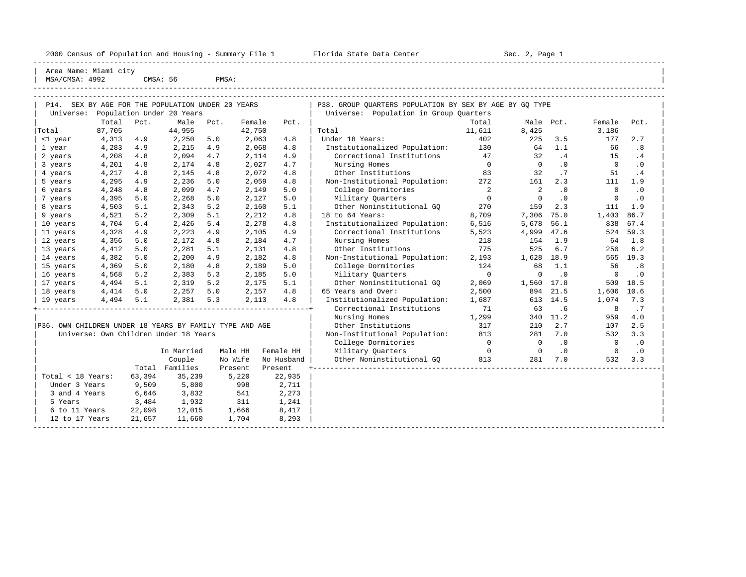| 2000 Census of Population and Housing - Summary File 1 |  | Florida State Data Center | Sec. 2, Page 1 |
|--------------------------------------------------------|--|---------------------------|----------------|
|--------------------------------------------------------|--|---------------------------|----------------|

| Area Name: Miami city |          |       |  |
|-----------------------|----------|-------|--|
| MSA/CMSA: 4992        | CMSA: 56 | PMSA: |  |
|                       |          |       |  |

| P14. SEX BY AGE FOR THE POPULATION UNDER 20 YEARS<br>Universe: |        |        | Population Under 20 Years             |         |        |            | P38. GROUP QUARTERS POPULATION BY SEX BY AGE BY GQ TYPE<br>Universe: Population in Group Ouarters |                |                |           |             |           |
|----------------------------------------------------------------|--------|--------|---------------------------------------|---------|--------|------------|---------------------------------------------------------------------------------------------------|----------------|----------------|-----------|-------------|-----------|
|                                                                | Total  | Pct.   | Male                                  | Pct.    | Female | Pct.       |                                                                                                   | Total          | Male           | Pct.      | Female      | Pct.      |
| Total                                                          | 87,705 |        | 44,955                                |         | 42,750 |            | Total                                                                                             | 11,611         | 8,425          |           | 3,186       |           |
| <1 year                                                        | 4,313  | 4.9    | 2,250                                 | 5.0     | 2,063  | 4.8        | Under 18 Years:                                                                                   | 402            | 225            | 3.5       | 177         | 2.7       |
| 1 year                                                         | 4,283  | 4.9    | 2,215                                 | 4.9     | 2,068  | 4.8        | Institutionalized Population:                                                                     | 130            | 64             | 1.1       | 66          | .8        |
| 2 years                                                        | 4,208  | 4.8    | 2,094                                 | 4.7     | 2,114  | 4.9        | Correctional Institutions                                                                         | 47             | 32             | .4        | 15          | .4        |
| 3 years                                                        | 4,201  | 4.8    | 2,174                                 | 4.8     | 2,027  | 4.7        | Nursing Homes                                                                                     | $\overline{0}$ | $\Omega$       | $\cdot$ 0 | $\Omega$    | .0        |
| 4 years                                                        | 4,217  | 4.8    | 2,145                                 | 4.8     | 2,072  | 4.8        | Other Institutions                                                                                | 83             | 32             | .7        | 51          | .4        |
| 5 years                                                        | 4,295  | 4.9    | 2,236                                 | 5.0     | 2,059  | 4.8        | Non-Institutional Population:                                                                     | 272            | 161            | 2.3       | 111         | 1.9       |
| 6 years                                                        | 4,248  | 4.8    | 2,099                                 | 4.7     | 2,149  | 5.0        | College Dormitories                                                                               | 2              | $\overline{a}$ | $\cdot$ 0 | $\Omega$    | $\cdot$ 0 |
| 7 years                                                        | 4,395  | 5.0    | 2,268                                 | 5.0     | 2,127  | 5.0        | Military Ouarters                                                                                 | $\circ$        | $\mathbf 0$    | $\cdot$ 0 | $\circ$     | $\cdot$ 0 |
| 8 years                                                        | 4,503  | 5.1    | 2,343                                 | 5.2     | 2,160  | 5.1        | Other Noninstitutional GO                                                                         | 270            | 159            | 2.3       | 111         | 1.9       |
| 9 years                                                        | 4,521  | 5.2    | 2,309                                 | 5.1     | 2,212  | 4.8        | 18 to 64 Years:                                                                                   | 8,709          | 7,306          | 75.0      | 1,403       | 86.7      |
| 10 years                                                       | 4,704  | 5.4    | 2,426                                 | 5.4     | 2,278  | 4.8        | Institutionalized Population:                                                                     | 6,516          | 5,678          | 56.1      | 838         | 67.4      |
| 11 years                                                       | 4,328  | 4.9    | 2,223                                 | 4.9     | 2,105  | 4.9        | Correctional Institutions                                                                         | 5,523          | 4,999          | 47.6      | 524         | 59.3      |
| 12 years                                                       | 4,356  | 5.0    | 2,172                                 | 4.8     | 2,184  | 4.7        | Nursing Homes                                                                                     | 218            | 154            | 1.9       | 64          | 1.8       |
| 13 years                                                       | 4,412  | 5.0    | 2,281                                 | 5.1     | 2,131  | 4.8        | Other Institutions                                                                                | 775            | 525            | 6.7       | 250         | 6.2       |
| 14 years                                                       | 4,382  | 5.0    | 2,200                                 | 4.9     | 2,182  | 4.8        | Non-Institutional Population:                                                                     | 2,193          | 1,628          | 18.9      | 565         | 19.3      |
| 15 years                                                       | 4,369  | 5.0    | 2,180                                 | 4.8     | 2,189  | 5.0        | College Dormitories                                                                               | 124            | 68             | 1.1       | 56          | .8        |
| 16 years                                                       | 4,568  | 5.2    | 2,383                                 | 5.3     | 2,185  | 5.0        | Military Quarters                                                                                 | $\overline{0}$ | $\Omega$       | $\cdot$ 0 | $\mathbf 0$ | $\cdot$ 0 |
| 17 years                                                       | 4,494  | 5.1    | 2,319                                 | 5.2     | 2,175  | 5.1        | Other Noninstitutional GO                                                                         | 2,069          | 1,560          | 17.8      | 509         | 18.5      |
| 18 years                                                       | 4,414  | 5.0    | 2,257                                 | 5.0     | 2,157  | 4.8        | 65 Years and Over:                                                                                | 2,500          | 894            | 21.5      | 1,606 10.6  |           |
| 19 years                                                       | 4,494  | 5.1    | 2,381                                 | 5.3     | 2,113  | 4.8        | Institutionalized Population:                                                                     | 1,687          |                | 613 14.5  | 1,074       | 7.3       |
|                                                                |        |        |                                       |         |        |            | Correctional Institutions                                                                         | 71             | 63             | .6        | 8           | .7        |
|                                                                |        |        |                                       |         |        |            | Nursing Homes                                                                                     | 1,299          | 340            | 11.2      | 959         | 4.0       |
| P36. OWN CHILDREN UNDER 18 YEARS BY FAMILY TYPE AND AGE        |        |        |                                       |         |        |            | Other Institutions                                                                                | 317            | 210            | 2.7       | 107         | 2.5       |
|                                                                |        |        | Universe: Own Children Under 18 Years |         |        |            | Non-Institutional Population:                                                                     | 813<br>281     |                |           |             | 3.3       |
|                                                                |        |        |                                       |         |        |            | College Dormitories                                                                               | $\overline{0}$ | $\bigcirc$     | $\cdot$ 0 | $\Omega$    | $\cdot$ 0 |
|                                                                |        |        | In Married                            | Male HH |        | Female HH  | Military Ouarters                                                                                 | $\overline{0}$ | $\Omega$       | $\cdot$ 0 | $\Omega$    | $\cdot$ 0 |
|                                                                |        |        | Couple                                | No Wife |        | No Husband | Other Noninstitutional GQ                                                                         | 813            | 281            | 7.0       | 532         | 3.3       |
|                                                                |        |        | Total Families                        | Present |        | Present    |                                                                                                   |                |                |           |             |           |
| Total < 18 Years:                                              |        | 63,394 | 35,239                                |         | 5,220  | 22,935     |                                                                                                   |                |                |           |             |           |
| Under 3 Years                                                  |        | 9,509  | 5,800                                 |         | 998    | 2,711      |                                                                                                   |                |                |           |             |           |
| 3 and 4 Years                                                  |        | 6,646  | 3,832                                 |         | 541    | 2,273      |                                                                                                   |                |                |           |             |           |
| 5 Years                                                        |        | 3,484  | 1,932                                 |         | 311    | 1,241      |                                                                                                   |                |                |           |             |           |
| 6 to 11 Years                                                  |        | 22,098 | 12,015                                |         | 1,666  | 8,417      |                                                                                                   |                |                |           |             |           |
| 12 to 17 Years                                                 |        | 21,657 | 11,660                                |         | 1,704  | 8,293      |                                                                                                   |                |                |           |             |           |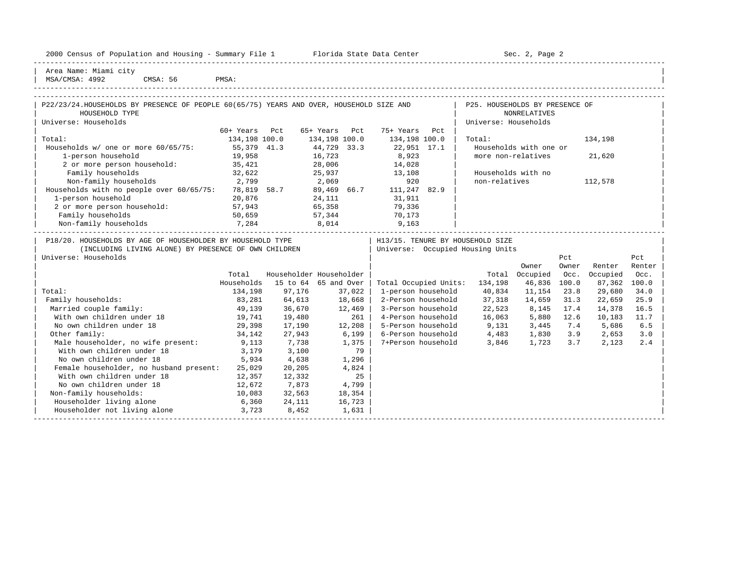| 2000 Census of Population and Housing - Summary File 1 |  | Florida State Data Center | Sec. 2, Page 2 |
|--------------------------------------------------------|--|---------------------------|----------------|
|--------------------------------------------------------|--|---------------------------|----------------|

-----------------------------------------------------------------------------------------------------------------------------------------------------

| Area Name: Miami city |  $\overline{)$  MSA/CMSA: 4992 CMSA: 56 PMSA:

| P22/23/24.HOUSEHOLDS BY PRESENCE OF PEOPLE 60(65/75) YEARS AND OVER, HOUSEHOLD SIZE AND                                                    |               |                         |               |        |                    |     | P25. HOUSEHOLDS BY PRESENCE OF                                       |                        |              |              |               |
|--------------------------------------------------------------------------------------------------------------------------------------------|---------------|-------------------------|---------------|--------|--------------------|-----|----------------------------------------------------------------------|------------------------|--------------|--------------|---------------|
| HOUSEHOLD TYPE                                                                                                                             |               |                         |               |        |                    |     |                                                                      | <b>NONRELATIVES</b>    |              |              |               |
| Universe: Households                                                                                                                       |               |                         |               |        |                    |     | Universe: Households                                                 |                        |              |              |               |
|                                                                                                                                            | 60+ Years     | Pct                     | 65+ Years     | Pct    | 75+ Years          | Pct |                                                                      |                        |              |              |               |
| Total:                                                                                                                                     | 134,198 100.0 |                         | 134,198 100.0 |        | 134,198 100.0      |     | Total:                                                               |                        |              | 134,198      |               |
| Households w/ one or more 60/65/75:                                                                                                        | 55,379 41.3   |                         | 44,729 33.3   |        | 22,951 17.1        |     |                                                                      | Households with one or |              |              |               |
| 1-person household                                                                                                                         | 19,958        |                         | 16,723        |        | 8,923              |     | more non-relatives                                                   |                        |              | 21,620       |               |
| 2 or more person household:                                                                                                                | 35,421        |                         | 28,006        |        | 14,028             |     |                                                                      |                        |              |              |               |
| Family households                                                                                                                          | 32,622        |                         | 25,937        |        | 13,108             |     | Households with no                                                   |                        |              |              |               |
| 2,799<br>Non-family households                                                                                                             |               |                         | 2,069         |        | 920                |     | non-relatives                                                        |                        |              | 112,578      |               |
| Households with no people over $60/65/75$ : 78,819 58.7                                                                                    |               |                         | 89,469 66.7   |        | 111,247 82.9       |     |                                                                      |                        |              |              |               |
| 1-person household                                                                                                                         | 20,876        |                         | 24,111        |        | 31,911             |     |                                                                      |                        |              |              |               |
| 2 or more person household:                                                                                                                | 57,943        |                         | 65,358        |        | 79,336             |     |                                                                      |                        |              |              |               |
| Family households                                                                                                                          | 50,659        |                         | 57,344        |        | 70,173             |     |                                                                      |                        |              |              |               |
| Non-family households                                                                                                                      | 7,284         |                         | 8,014         |        | 9,163              |     |                                                                      |                        |              |              |               |
| P18/20. HOUSEHOLDS BY AGE OF HOUSEHOLDER BY HOUSEHOLD TYPE<br>(INCLUDING LIVING ALONE) BY PRESENCE OF OWN CHILDREN<br>Universe: Households |               |                         |               |        |                    |     | H13/15. TENURE BY HOUSEHOLD SIZE<br>Universe: Occupied Housing Units | Owner                  | Pct<br>Owner | Renter       | Pct<br>Renter |
|                                                                                                                                            | Total         | Householder Householder |               |        |                    |     |                                                                      | Total Occupied         | Occ.         | Occupied     | Occ.          |
|                                                                                                                                            | Households    | 15 to 64 65 and Over    |               |        |                    |     | Total Occupied Units: 134,198                                        | 46,836 100.0           |              | 87,362 100.0 |               |
| Total:                                                                                                                                     | 134,198       | 97,176                  |               | 37,022 | 1-person household |     | 40,834                                                               | 11,154                 | 23.8         | 29,680       | 34.0          |
| Family households:                                                                                                                         | 83,281        | 64,613                  | 18,668        |        | 2-Person household |     | 37,318                                                               | 14,659                 | 31.3         | 22,659       | 25.9          |
| Married couple family:                                                                                                                     | 49,139        | 36,670                  |               | 12,469 | 3-Person household |     | 22,523                                                               | 8,145                  | 17.4         | 14,378       | 16.5          |
| With own children under 18                                                                                                                 | 19,741        | 19,480                  |               | 261    | 4-Person household |     | 16,063 5,880 12.6                                                    |                        |              | 10,183       | 11.7          |
| No own children under 18                                                                                                                   | 29,398        | 17,190                  |               | 12,208 | 5-Person household |     | 9,131                                                                | $3,445$ 7.4            |              | 5,686        | 6.5           |
| Other family:                                                                                                                              | 34,142        | 27,943                  |               | 6,199  | 6-Person household |     | 4,483                                                                | 1,830 3.9              |              | 2,653        | 3.0           |
| Male householder, no wife present: 9,113                                                                                                   |               | 7,738                   |               | 1,375  | 7+Person household |     | 3,846                                                                | 1,723 3.7              |              | 2,123        | 2.4           |
| With own children under 18                                                                                                                 | 3,179         | 3,100                   |               | 79     |                    |     |                                                                      |                        |              |              |               |
| No own children under 18                                                                                                                   | 5,934         | 4,638                   |               | 1,296  |                    |     |                                                                      |                        |              |              |               |
| Female householder, no husband present:                                                                                                    | 25,029        | 20,205                  |               | 4,824  |                    |     |                                                                      |                        |              |              |               |
| With own children under 18                                                                                                                 | 12,357        | 12,332                  |               | 25     |                    |     |                                                                      |                        |              |              |               |
| No own children under 18                                                                                                                   | 12,672        | 7,873                   |               | 4,799  |                    |     |                                                                      |                        |              |              |               |
| Non-family households:                                                                                                                     | 10,083        | 32,563                  |               | 18,354 |                    |     |                                                                      |                        |              |              |               |
| Householder living alone                                                                                                                   |               | 6,360 24,111            | 16,723        |        |                    |     |                                                                      |                        |              |              |               |
| Householder not living alone                                                                                                               | 3,723         | 8,452                   |               | 1,631  |                    |     |                                                                      |                        |              |              |               |
|                                                                                                                                            |               |                         |               |        |                    |     |                                                                      |                        |              |              |               |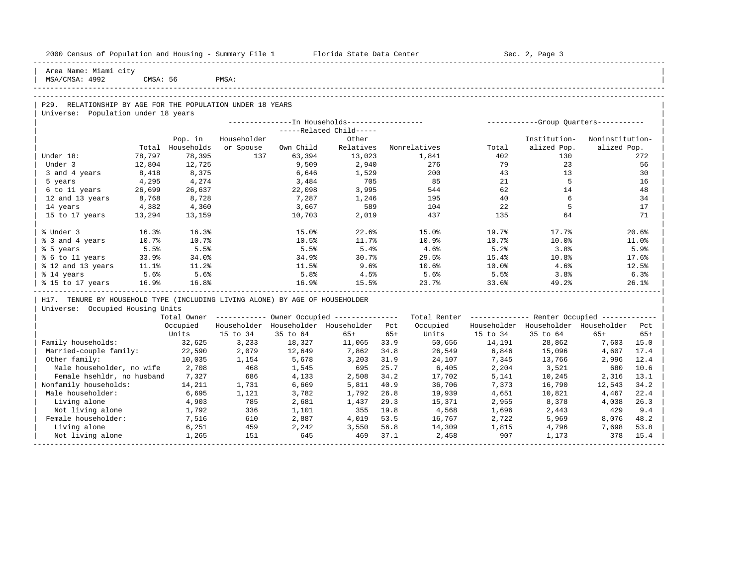| 2000 Census of Population and Housing - Summary File 1 Florida State Data Center |          |            |             |           |                                                        |       |                                                         |          | Sec. 2, Page 3                          |                 |       |
|----------------------------------------------------------------------------------|----------|------------|-------------|-----------|--------------------------------------------------------|-------|---------------------------------------------------------|----------|-----------------------------------------|-----------------|-------|
| Area Name: Miami city<br>MSA/CMSA: 4992                                          | CMSA: 56 |            | PMSA:       |           |                                                        |       |                                                         |          |                                         |                 |       |
|                                                                                  |          |            |             |           |                                                        |       |                                                         |          |                                         |                 |       |
| P29. RELATIONSHIP BY AGE FOR THE POPULATION UNDER 18 YEARS                       |          |            |             |           |                                                        |       |                                                         |          |                                         |                 |       |
| Universe: Population under 18 years                                              |          |            |             |           |                                                        |       |                                                         |          |                                         |                 |       |
|                                                                                  |          |            |             |           | -----Related Child-----                                |       |                                                         |          |                                         |                 |       |
|                                                                                  |          | Pop. in    | Householder |           | Other                                                  |       |                                                         |          | Institution-                            | Noninstitution- |       |
|                                                                                  | Total    | Households | or Spouse   | Own Child | Relatives                                              |       | Nonrelatives                                            | Total    | alized Pop.                             | alized Pop.     |       |
| Under 18:                                                                        | 78,797   | 78,395     | 137         | 63,394    | 13,023                                                 |       | 1,841                                                   | 402      | 130                                     |                 | 272   |
| Under 3                                                                          | 12,804   | 12,725     |             | 9,509     | 2,940                                                  |       | 276                                                     | 79       | 23                                      |                 | 56    |
| 3 and 4 years                                                                    | 8,418    | 8,375      |             | 6,646     | 1,529                                                  |       | 200                                                     | 43       | 13                                      |                 | 30    |
| 5 years                                                                          | 4,295    | 4,274      |             | 3,484     | 705                                                    |       | 85                                                      | 21       | 5                                       |                 | 16    |
| 6 to 11 years                                                                    | 26,699   | 26,637     |             | 22,098    | 3,995                                                  |       | 544                                                     | 62       | 14                                      |                 | 48    |
| 12 and 13 years                                                                  | 8,768    | 8,728      |             | 7,287     | 1,246                                                  |       | 195                                                     | 40       | 6                                       |                 | 34    |
| 14 years                                                                         | 4,382    | 4,360      |             | 3,667     | 589                                                    |       | 104                                                     | 22       | -5                                      |                 | 17    |
| 15 to 17 years                                                                   | 13,294   | 13,159     |             | 10,703    | 2,019                                                  |       | 437                                                     | 135      | 64                                      |                 | 71    |
|                                                                                  |          |            |             |           |                                                        |       |                                                         |          |                                         |                 |       |
| % Under 3                                                                        | 16.3%    | 16.3%      |             | 15.0%     | 22.6%                                                  |       | 15.0%                                                   | 19.7%    | 17.7%                                   |                 | 20.6% |
| % 3 and 4 years                                                                  | 10.7%    | 10.7%      |             | 10.5%     | 11.7%                                                  |       | 10.9%                                                   | 10.7%    | 10.0%                                   |                 | 11.0% |
| % 5 years                                                                        | 5.5%     | 5.5%       |             | 5.5%      | 5.4%                                                   |       | 4.6%                                                    | 5.2%     | 3.8%                                    |                 | 5.9%  |
| % 6 to 11 years                                                                  | 33.9%    | 34.0%      |             | 34.9%     | 30.7%                                                  |       | 29.5%                                                   | 15.4%    | 10.8%                                   |                 | 17.6% |
| % 12 and 13 years                                                                | 11.1%    | 11.2%      |             | 11.5%     | 9.6%                                                   |       | 10.6%                                                   | 10.0%    | $4.6\%$                                 |                 | 12.5% |
| % 14 years                                                                       | 5.6%     | 5.6%       |             | 5.8%      | 4.5%                                                   |       | 5.6%                                                    | 5.5%     | 3.8%                                    |                 | 6.3%  |
| % 15 to 17 years                                                                 | 16.9%    | 16.8%      |             | 16.9%     | 15.5%                                                  |       | 23.7%                                                   | 33.6%    | 49.2%                                   |                 | 26.1% |
| H17. TENURE BY HOUSEHOLD TYPE (INCLUDING LIVING ALONE) BY AGE OF HOUSEHOLDER     |          |            |             |           |                                                        |       |                                                         |          |                                         |                 |       |
| Universe: Occupied Housing Units                                                 |          |            |             |           |                                                        |       |                                                         |          |                                         |                 |       |
|                                                                                  |          |            |             |           | Total Owner ------------ Owner Occupied -------------- |       | Total Renter ------------- Renter Occupied ------------ |          |                                         |                 |       |
|                                                                                  |          | Occupied   |             |           | Householder Householder Householder Pct                |       | Occupied                                                |          | Householder Householder Householder Pct |                 |       |
|                                                                                  |          | Units      | 15 to 34    | 35 to 64  | $65+$                                                  | $65+$ | Units                                                   | 15 to 34 | 35 to 64                                | $65+$           | $65+$ |
| Family households:                                                               |          | 32,625     | 3,233       | 18,327    | 11,065                                                 | 33.9  | 50,656                                                  | 14,191   | 28,862                                  | 7,603           | 15.0  |
| Married-couple family:                                                           |          | 22,590     | 2,079       | 12,649    | 7,862                                                  | 34.8  | 26,549                                                  | 6,846    | 15,096                                  | 4,607 17.4      |       |
| Other family:                                                                    |          | 10,035     | 1,154       | 5,678     | 3,203                                                  | 31.9  | 24,107                                                  | 7,345    | 13,766                                  | 2,996           | 12.4  |
| Male householder, no wife                                                        |          | 2,708      | 468         | 1,545     | 695                                                    | 25.7  | 6,405                                                   | 2,204    | 3,521                                   | 680             | 10.6  |
| Female hsehldr, no husband                                                       |          | 7,327      | 686         | 4,133     | 2,508                                                  | 34.2  | 17,702                                                  | 5,141    | 10,245                                  | 2,316           | 13.1  |
| Nonfamily households:                                                            |          | 14,211     | 1,731       | 6,669     | 5,811                                                  | 40.9  | 36,706                                                  | 7,373    | 16,790                                  | 12,543          | 34.2  |
| Male householder:                                                                |          | 6,695      | 1,121       | 3,782     | 1,792                                                  | 26.8  | 19,939                                                  | 4,651    | 10,821                                  | 4,467           | 22.4  |
| Living alone                                                                     |          | 4,903      | 785         | 2,681     | 1,437                                                  | 29.3  | 15,371                                                  | 2,955    | 8,378                                   | 4,038           | 26.3  |
| Not living alone                                                                 |          | 1,792      | 336         | 1,101     | 355                                                    | 19.8  | 4,568                                                   | 1,696    | 2,443                                   | 429             | 9.4   |
| Female householder:                                                              |          | 7,516      | 610         | 2,887     | 4,019                                                  | 53.5  | 16,767                                                  | 2,722    | 5,969                                   | 8,076           | 48.2  |
| Living alone                                                                     |          | 6,251      | 459         | 2,242     | 3,550                                                  | 56.8  | 14,309                                                  | 1,815    | 4,796                                   | 7,698           | 53.8  |
| Not living alone                                                                 |          | 1,265      | 151         | 645       | 469                                                    | 37.1  | 2,458                                                   | 907      | 1,173                                   | 378             | 15.4  |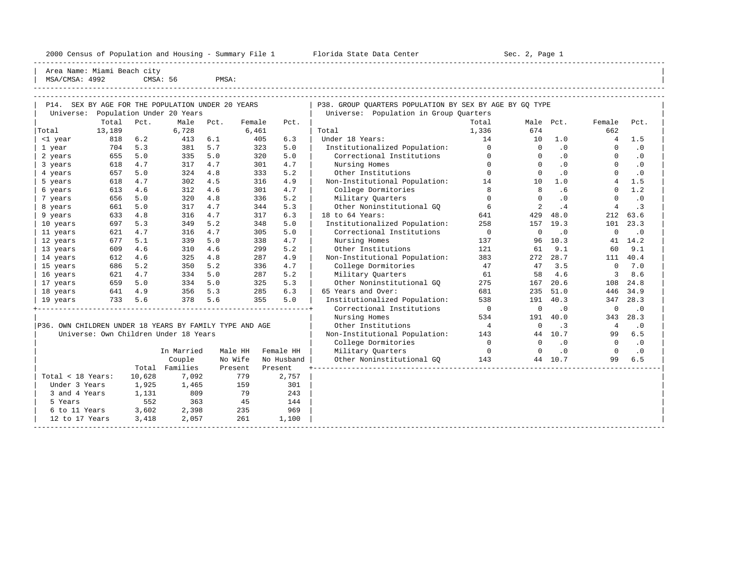2000 Census of Population and Housing - Summary File 1 Florida State Data Center Sec. 2, Page 1

-----------------------------------------------------------------------------------------------------------------------------------------------------

| Area Name: Miami Beach city | | MSA/CMSA: 4992 CMSA: 56 PMSA: |

| MSA/UMSA· 4994 |        | סכ - Aכויו ט                                           |                                              | PMSA.      |               |                   |                                                                                                                                                                                                                                |       |           |     |        |      |  |
|----------------|--------|--------------------------------------------------------|----------------------------------------------|------------|---------------|-------------------|--------------------------------------------------------------------------------------------------------------------------------------------------------------------------------------------------------------------------------|-------|-----------|-----|--------|------|--|
|                |        |                                                        |                                              |            |               |                   |                                                                                                                                                                                                                                |       |           |     |        |      |  |
| P14.           |        |                                                        | SEX BY AGE FOR THE POPULATION UNDER 20 YEARS |            |               |                   | P38. GROUP OUARTERS POPULATION BY SEX BY AGE BY GO TYPE                                                                                                                                                                        |       |           |     |        |      |  |
| Universe:      |        |                                                        | Population Under 20 Years                    |            |               |                   | Universe: Population in Group Quarters                                                                                                                                                                                         |       |           |     |        |      |  |
|                | Total  | Pct.                                                   | Male                                         | Pct.       | Female        | Pct.              |                                                                                                                                                                                                                                | Total | Male Pct. |     | Female | Pct. |  |
| Total          | 13,189 |                                                        | 6,728                                        |            | 6,461         |                   | Total                                                                                                                                                                                                                          | 1,336 | 674       |     | 662    |      |  |
| <1 year        | 818    | 6.2                                                    | 413                                          | 6.1        | 405           | 6.3               | Under 18 Years:                                                                                                                                                                                                                | 14    | 10        | 1.0 |        | 1.5  |  |
| year.          | 704    | 5.3                                                    | 381                                          | 5.7        | 323           | 5.0               | Institutionalized Population:                                                                                                                                                                                                  |       |           |     |        |      |  |
| $\bigcap$      |        | $\epsilon$ $\epsilon$ $\epsilon$ $\epsilon$ $\epsilon$ |                                              | $225 - 52$ | $\cap$ $\cap$ | $\Gamma$ $\Omega$ | According to the Control of the second control of the control of the Control of the Control of the Control of the Control of the Control of the Control of the Control of the Control of the Control of the Control of the Con |       |           |     |        |      |  |

| 641<br>18 years                                         | 4.9     | 356          | 5.3     | 285     | 6.3        | 65 Y         |
|---------------------------------------------------------|---------|--------------|---------|---------|------------|--------------|
| 19 years                                                | 733 5.6 | 378 5.6      |         | 355     | 5.0        | Inst         |
|                                                         |         | ------------ |         |         |            | $\mathsf{C}$ |
|                                                         |         |              |         |         |            | Nι           |
| P36. OWN CHILDREN UNDER 18 YEARS BY FAMILY TYPE AND AGE |         |              |         |         |            | O            |
| Universe: Own Children Under 18 Years                   |         |              |         |         |            | Non-         |
|                                                         |         |              |         |         |            | $\mathsf{C}$ |
|                                                         |         | In Married   | Male HH |         | Female HH  | $M$ :        |
|                                                         |         | Couple       | No Wife |         | No Husband | O            |
|                                                         | Total   | Families     | Present | Present |            |              |
| Total < 18 Years:                                       | 10,628  | 7.092        | 779     |         | 2,757      |              |
| Under 3 Years                                           | 1,925   | 1,465        | 159     |         | 301        |              |
| 3 and 4 Years                                           | 1,131   | 809          | 79      |         | 243        |              |
| 5 Years                                                 | 552     | 363          | 45      |         | 144        |              |
| 6 to 11 Years                                           | 3,602   | 2,398        | 235     |         | 969        |              |
| 12 to 17 Years                                          | 3,418   | 2,057        | 261     |         | 1,100      |              |
|                                                         |         |              |         |         |            |              |

| Total<br>Pct.<br>Male<br>Pct.<br>Female<br>Pct.<br>Total<br>Male<br>Pct.<br>Female<br>Pct.<br>6,461<br>674<br>662<br>13,189<br>6,728<br>Total<br>1,336<br>Under 18 Years:<br>1.5<br><1 year<br>818<br>6.2<br>413<br>6.1<br>405<br>6.3<br>14<br>10<br>1.0<br>4<br>5.3<br>381<br>5.7<br>323<br>5.0<br>Institutionalized Population:<br>$\Omega$<br>$\cdot$ 0<br>$\cdot$ 0<br>1 year<br>704<br>$\Omega$<br>$\Omega$<br>5.0<br>320<br>Correctional Institutions<br>655<br>5.0<br>335<br>5.0<br>$\Omega$<br>$\cdot$ 0<br>$\Omega$<br>$\cdot$ 0<br>2 years<br>$\Omega$<br>4.7<br>317<br>4.7<br>301<br>4.7<br>Nursing Homes<br>$\Omega$<br>$\cdot$ 0<br>3 years<br>618<br>$\Omega$<br>$\cdot$ 0<br>$\Omega$<br>5.0<br>333<br>5.2<br>$\Omega$<br>$\cdot$ 0<br>657<br>324<br>4.8<br>Other Institutions<br>$\Omega$<br>.0<br>$\Omega$<br>4 years<br>1.5<br>4.7<br>302<br>4.5<br>316<br>4.9<br>Non-Institutional Population:<br>5 years<br>618<br>14<br>10<br>1.0<br>$\overline{4}$<br>8<br>4.6<br>4.7<br>.6<br>1.2<br>613<br>312<br>4.6<br>301<br>College Dormitories<br>8<br>6 years<br>$\Omega$<br>5.0<br>336<br>5.2<br>Military Quarters<br>$\cdot$ 0<br>656<br>320<br>4.8<br>$\Omega$<br>$\cdot$ 0<br>7 years<br>$\Omega$<br>$\Omega$<br>5.0<br>4.7<br>344<br>5.3<br>Other Noninstitutional GO<br>6<br>$\cdot$ 3<br>8 years<br>661<br>317<br>2<br>.4<br>4<br>4.8<br>18 to 64 Years:<br>633<br>4.7<br>317<br>6.3<br>641<br>429<br>48.0<br>212<br>63.6<br>9 years<br>316<br>5.3<br>349<br>5.2<br>348<br>5.0<br>Institutionalized Population:<br>258<br>157<br>19.3<br>101<br>23.3<br>10 years<br>697<br>4.7<br>Correctional Institutions<br>$\overline{0}$<br>$\mathbf 0$<br>621<br>316<br>4.7<br>305<br>5.0<br>$\Omega$<br>$\cdot$ 0<br>$\cdot$ 0<br>11 years<br>677<br>5.1<br>5.0<br>4.7<br>Nursing Homes<br>10.3<br>14.2<br>339<br>338<br>137<br>96<br>12 years<br>41<br>5.2<br>Other Institutions<br>9.1<br>9.1<br>4.6<br>4.6<br>299<br>121<br>61<br>60<br>13 years<br>609<br>310<br>612<br>4.6<br>4.8<br>287<br>4.9<br>Non-Institutional Population:<br>383<br>272<br>28.7<br>111<br>40.4<br>325<br>14 years<br>7.0<br>5.2<br>5.2<br>4.7<br>47<br>3.5<br>$\mathbf 0$<br>686<br>350<br>336<br>College Dormitories<br>47<br>15 years<br>5.2<br>4.6<br>8.6<br>4.7<br>5.0<br>287<br>Military Ouarters<br>61<br>621<br>334<br>58<br>3<br>16 years<br>5.0<br>5.0<br>5.3<br>20.6<br>24.8<br>659<br>325<br>Other Noninstitutional GQ<br>275<br>167<br>108<br>334<br>17 years<br>4.9<br>5.3<br>6.3<br>65 Years and Over:<br>681<br>51.0<br>446<br>34.9<br>641<br>356<br>285<br>235<br>18 years<br>733<br>5.6<br>378<br>5.6<br>355<br>5.0<br>Institutionalized Population:<br>538<br>40.3<br>28.3<br>191<br>347<br>19 years<br>$\overline{0}$<br>Correctional Institutions<br>0<br>$\cdot$ 0<br>$\mathbf 0$<br>$\cdot$ 0<br>Nursing Homes<br>534<br>191<br>40.0<br>28.3<br>343<br>$\overline{4}$<br>P36. OWN CHILDREN UNDER 18 YEARS BY FAMILY TYPE AND AGE<br>Other Institutions<br>$\cdot$ 0<br>0<br>$\cdot$ 3<br>4<br>6.5<br>Universe: Own Children Under 18 Years<br>Non-Institutional Population:<br>143<br>10.7<br>99<br>44<br>$\overline{0}$<br>College Dormitories<br>$\Omega$<br>$\cdot$ 0<br>$\Omega$<br>$\cdot$ 0<br>Military Quarters<br>In Married<br>Male HH<br>Female HH<br>$\overline{0}$<br>$\Omega$<br>$\cdot$ 0<br>$\Omega$<br>$\cdot$ 0<br>6.5<br>Couple<br>No Wife<br>Other Noninstitutional GO<br>143<br>99<br>No Husband<br>44 10.7<br>Total Families<br>Present<br>Present<br>2,757<br>Total < 18 Years:<br>10,628<br>7,092<br>779<br>Under 3 Years<br>1,925<br>159<br>301<br>1,465<br>809<br>3 and 4 Years<br>1,131<br>79<br>243<br>552<br>363<br>45<br>5 Years<br>144<br>6 to 11 Years<br>3,602<br>2,398<br>235<br>969<br>12 to 17 Years<br>2,057<br>261 | Universe: |       | Population Under 20 Years |  |       | Universe: Population in Group Ouarters |  |  |  |
|-----------------------------------------------------------------------------------------------------------------------------------------------------------------------------------------------------------------------------------------------------------------------------------------------------------------------------------------------------------------------------------------------------------------------------------------------------------------------------------------------------------------------------------------------------------------------------------------------------------------------------------------------------------------------------------------------------------------------------------------------------------------------------------------------------------------------------------------------------------------------------------------------------------------------------------------------------------------------------------------------------------------------------------------------------------------------------------------------------------------------------------------------------------------------------------------------------------------------------------------------------------------------------------------------------------------------------------------------------------------------------------------------------------------------------------------------------------------------------------------------------------------------------------------------------------------------------------------------------------------------------------------------------------------------------------------------------------------------------------------------------------------------------------------------------------------------------------------------------------------------------------------------------------------------------------------------------------------------------------------------------------------------------------------------------------------------------------------------------------------------------------------------------------------------------------------------------------------------------------------------------------------------------------------------------------------------------------------------------------------------------------------------------------------------------------------------------------------------------------------------------------------------------------------------------------------------------------------------------------------------------------------------------------------------------------------------------------------------------------------------------------------------------------------------------------------------------------------------------------------------------------------------------------------------------------------------------------------------------------------------------------------------------------------------------------------------------------------------------------------------------------------------------------------------------------------------------------------------------------------------------------------------------------------------------------------------------------------------------------------------------------------------------------------------------------------------------------------------------------------------------------------------------------------------------------------------------------------------------------------------------------------------------------------------------------------------------------------------------------------------------------------------|-----------|-------|---------------------------|--|-------|----------------------------------------|--|--|--|
|                                                                                                                                                                                                                                                                                                                                                                                                                                                                                                                                                                                                                                                                                                                                                                                                                                                                                                                                                                                                                                                                                                                                                                                                                                                                                                                                                                                                                                                                                                                                                                                                                                                                                                                                                                                                                                                                                                                                                                                                                                                                                                                                                                                                                                                                                                                                                                                                                                                                                                                                                                                                                                                                                                                                                                                                                                                                                                                                                                                                                                                                                                                                                                                                                                                                                                                                                                                                                                                                                                                                                                                                                                                                                                                                                                       |           |       |                           |  |       |                                        |  |  |  |
|                                                                                                                                                                                                                                                                                                                                                                                                                                                                                                                                                                                                                                                                                                                                                                                                                                                                                                                                                                                                                                                                                                                                                                                                                                                                                                                                                                                                                                                                                                                                                                                                                                                                                                                                                                                                                                                                                                                                                                                                                                                                                                                                                                                                                                                                                                                                                                                                                                                                                                                                                                                                                                                                                                                                                                                                                                                                                                                                                                                                                                                                                                                                                                                                                                                                                                                                                                                                                                                                                                                                                                                                                                                                                                                                                                       | Total     |       |                           |  |       |                                        |  |  |  |
|                                                                                                                                                                                                                                                                                                                                                                                                                                                                                                                                                                                                                                                                                                                                                                                                                                                                                                                                                                                                                                                                                                                                                                                                                                                                                                                                                                                                                                                                                                                                                                                                                                                                                                                                                                                                                                                                                                                                                                                                                                                                                                                                                                                                                                                                                                                                                                                                                                                                                                                                                                                                                                                                                                                                                                                                                                                                                                                                                                                                                                                                                                                                                                                                                                                                                                                                                                                                                                                                                                                                                                                                                                                                                                                                                                       |           |       |                           |  |       |                                        |  |  |  |
|                                                                                                                                                                                                                                                                                                                                                                                                                                                                                                                                                                                                                                                                                                                                                                                                                                                                                                                                                                                                                                                                                                                                                                                                                                                                                                                                                                                                                                                                                                                                                                                                                                                                                                                                                                                                                                                                                                                                                                                                                                                                                                                                                                                                                                                                                                                                                                                                                                                                                                                                                                                                                                                                                                                                                                                                                                                                                                                                                                                                                                                                                                                                                                                                                                                                                                                                                                                                                                                                                                                                                                                                                                                                                                                                                                       |           |       |                           |  |       |                                        |  |  |  |
|                                                                                                                                                                                                                                                                                                                                                                                                                                                                                                                                                                                                                                                                                                                                                                                                                                                                                                                                                                                                                                                                                                                                                                                                                                                                                                                                                                                                                                                                                                                                                                                                                                                                                                                                                                                                                                                                                                                                                                                                                                                                                                                                                                                                                                                                                                                                                                                                                                                                                                                                                                                                                                                                                                                                                                                                                                                                                                                                                                                                                                                                                                                                                                                                                                                                                                                                                                                                                                                                                                                                                                                                                                                                                                                                                                       |           |       |                           |  |       |                                        |  |  |  |
|                                                                                                                                                                                                                                                                                                                                                                                                                                                                                                                                                                                                                                                                                                                                                                                                                                                                                                                                                                                                                                                                                                                                                                                                                                                                                                                                                                                                                                                                                                                                                                                                                                                                                                                                                                                                                                                                                                                                                                                                                                                                                                                                                                                                                                                                                                                                                                                                                                                                                                                                                                                                                                                                                                                                                                                                                                                                                                                                                                                                                                                                                                                                                                                                                                                                                                                                                                                                                                                                                                                                                                                                                                                                                                                                                                       |           |       |                           |  |       |                                        |  |  |  |
|                                                                                                                                                                                                                                                                                                                                                                                                                                                                                                                                                                                                                                                                                                                                                                                                                                                                                                                                                                                                                                                                                                                                                                                                                                                                                                                                                                                                                                                                                                                                                                                                                                                                                                                                                                                                                                                                                                                                                                                                                                                                                                                                                                                                                                                                                                                                                                                                                                                                                                                                                                                                                                                                                                                                                                                                                                                                                                                                                                                                                                                                                                                                                                                                                                                                                                                                                                                                                                                                                                                                                                                                                                                                                                                                                                       |           |       |                           |  |       |                                        |  |  |  |
|                                                                                                                                                                                                                                                                                                                                                                                                                                                                                                                                                                                                                                                                                                                                                                                                                                                                                                                                                                                                                                                                                                                                                                                                                                                                                                                                                                                                                                                                                                                                                                                                                                                                                                                                                                                                                                                                                                                                                                                                                                                                                                                                                                                                                                                                                                                                                                                                                                                                                                                                                                                                                                                                                                                                                                                                                                                                                                                                                                                                                                                                                                                                                                                                                                                                                                                                                                                                                                                                                                                                                                                                                                                                                                                                                                       |           |       |                           |  |       |                                        |  |  |  |
|                                                                                                                                                                                                                                                                                                                                                                                                                                                                                                                                                                                                                                                                                                                                                                                                                                                                                                                                                                                                                                                                                                                                                                                                                                                                                                                                                                                                                                                                                                                                                                                                                                                                                                                                                                                                                                                                                                                                                                                                                                                                                                                                                                                                                                                                                                                                                                                                                                                                                                                                                                                                                                                                                                                                                                                                                                                                                                                                                                                                                                                                                                                                                                                                                                                                                                                                                                                                                                                                                                                                                                                                                                                                                                                                                                       |           |       |                           |  |       |                                        |  |  |  |
|                                                                                                                                                                                                                                                                                                                                                                                                                                                                                                                                                                                                                                                                                                                                                                                                                                                                                                                                                                                                                                                                                                                                                                                                                                                                                                                                                                                                                                                                                                                                                                                                                                                                                                                                                                                                                                                                                                                                                                                                                                                                                                                                                                                                                                                                                                                                                                                                                                                                                                                                                                                                                                                                                                                                                                                                                                                                                                                                                                                                                                                                                                                                                                                                                                                                                                                                                                                                                                                                                                                                                                                                                                                                                                                                                                       |           |       |                           |  |       |                                        |  |  |  |
|                                                                                                                                                                                                                                                                                                                                                                                                                                                                                                                                                                                                                                                                                                                                                                                                                                                                                                                                                                                                                                                                                                                                                                                                                                                                                                                                                                                                                                                                                                                                                                                                                                                                                                                                                                                                                                                                                                                                                                                                                                                                                                                                                                                                                                                                                                                                                                                                                                                                                                                                                                                                                                                                                                                                                                                                                                                                                                                                                                                                                                                                                                                                                                                                                                                                                                                                                                                                                                                                                                                                                                                                                                                                                                                                                                       |           |       |                           |  |       |                                        |  |  |  |
|                                                                                                                                                                                                                                                                                                                                                                                                                                                                                                                                                                                                                                                                                                                                                                                                                                                                                                                                                                                                                                                                                                                                                                                                                                                                                                                                                                                                                                                                                                                                                                                                                                                                                                                                                                                                                                                                                                                                                                                                                                                                                                                                                                                                                                                                                                                                                                                                                                                                                                                                                                                                                                                                                                                                                                                                                                                                                                                                                                                                                                                                                                                                                                                                                                                                                                                                                                                                                                                                                                                                                                                                                                                                                                                                                                       |           |       |                           |  |       |                                        |  |  |  |
|                                                                                                                                                                                                                                                                                                                                                                                                                                                                                                                                                                                                                                                                                                                                                                                                                                                                                                                                                                                                                                                                                                                                                                                                                                                                                                                                                                                                                                                                                                                                                                                                                                                                                                                                                                                                                                                                                                                                                                                                                                                                                                                                                                                                                                                                                                                                                                                                                                                                                                                                                                                                                                                                                                                                                                                                                                                                                                                                                                                                                                                                                                                                                                                                                                                                                                                                                                                                                                                                                                                                                                                                                                                                                                                                                                       |           |       |                           |  |       |                                        |  |  |  |
|                                                                                                                                                                                                                                                                                                                                                                                                                                                                                                                                                                                                                                                                                                                                                                                                                                                                                                                                                                                                                                                                                                                                                                                                                                                                                                                                                                                                                                                                                                                                                                                                                                                                                                                                                                                                                                                                                                                                                                                                                                                                                                                                                                                                                                                                                                                                                                                                                                                                                                                                                                                                                                                                                                                                                                                                                                                                                                                                                                                                                                                                                                                                                                                                                                                                                                                                                                                                                                                                                                                                                                                                                                                                                                                                                                       |           |       |                           |  |       |                                        |  |  |  |
|                                                                                                                                                                                                                                                                                                                                                                                                                                                                                                                                                                                                                                                                                                                                                                                                                                                                                                                                                                                                                                                                                                                                                                                                                                                                                                                                                                                                                                                                                                                                                                                                                                                                                                                                                                                                                                                                                                                                                                                                                                                                                                                                                                                                                                                                                                                                                                                                                                                                                                                                                                                                                                                                                                                                                                                                                                                                                                                                                                                                                                                                                                                                                                                                                                                                                                                                                                                                                                                                                                                                                                                                                                                                                                                                                                       |           |       |                           |  |       |                                        |  |  |  |
|                                                                                                                                                                                                                                                                                                                                                                                                                                                                                                                                                                                                                                                                                                                                                                                                                                                                                                                                                                                                                                                                                                                                                                                                                                                                                                                                                                                                                                                                                                                                                                                                                                                                                                                                                                                                                                                                                                                                                                                                                                                                                                                                                                                                                                                                                                                                                                                                                                                                                                                                                                                                                                                                                                                                                                                                                                                                                                                                                                                                                                                                                                                                                                                                                                                                                                                                                                                                                                                                                                                                                                                                                                                                                                                                                                       |           |       |                           |  |       |                                        |  |  |  |
|                                                                                                                                                                                                                                                                                                                                                                                                                                                                                                                                                                                                                                                                                                                                                                                                                                                                                                                                                                                                                                                                                                                                                                                                                                                                                                                                                                                                                                                                                                                                                                                                                                                                                                                                                                                                                                                                                                                                                                                                                                                                                                                                                                                                                                                                                                                                                                                                                                                                                                                                                                                                                                                                                                                                                                                                                                                                                                                                                                                                                                                                                                                                                                                                                                                                                                                                                                                                                                                                                                                                                                                                                                                                                                                                                                       |           |       |                           |  |       |                                        |  |  |  |
|                                                                                                                                                                                                                                                                                                                                                                                                                                                                                                                                                                                                                                                                                                                                                                                                                                                                                                                                                                                                                                                                                                                                                                                                                                                                                                                                                                                                                                                                                                                                                                                                                                                                                                                                                                                                                                                                                                                                                                                                                                                                                                                                                                                                                                                                                                                                                                                                                                                                                                                                                                                                                                                                                                                                                                                                                                                                                                                                                                                                                                                                                                                                                                                                                                                                                                                                                                                                                                                                                                                                                                                                                                                                                                                                                                       |           |       |                           |  |       |                                        |  |  |  |
|                                                                                                                                                                                                                                                                                                                                                                                                                                                                                                                                                                                                                                                                                                                                                                                                                                                                                                                                                                                                                                                                                                                                                                                                                                                                                                                                                                                                                                                                                                                                                                                                                                                                                                                                                                                                                                                                                                                                                                                                                                                                                                                                                                                                                                                                                                                                                                                                                                                                                                                                                                                                                                                                                                                                                                                                                                                                                                                                                                                                                                                                                                                                                                                                                                                                                                                                                                                                                                                                                                                                                                                                                                                                                                                                                                       |           |       |                           |  |       |                                        |  |  |  |
|                                                                                                                                                                                                                                                                                                                                                                                                                                                                                                                                                                                                                                                                                                                                                                                                                                                                                                                                                                                                                                                                                                                                                                                                                                                                                                                                                                                                                                                                                                                                                                                                                                                                                                                                                                                                                                                                                                                                                                                                                                                                                                                                                                                                                                                                                                                                                                                                                                                                                                                                                                                                                                                                                                                                                                                                                                                                                                                                                                                                                                                                                                                                                                                                                                                                                                                                                                                                                                                                                                                                                                                                                                                                                                                                                                       |           |       |                           |  |       |                                        |  |  |  |
|                                                                                                                                                                                                                                                                                                                                                                                                                                                                                                                                                                                                                                                                                                                                                                                                                                                                                                                                                                                                                                                                                                                                                                                                                                                                                                                                                                                                                                                                                                                                                                                                                                                                                                                                                                                                                                                                                                                                                                                                                                                                                                                                                                                                                                                                                                                                                                                                                                                                                                                                                                                                                                                                                                                                                                                                                                                                                                                                                                                                                                                                                                                                                                                                                                                                                                                                                                                                                                                                                                                                                                                                                                                                                                                                                                       |           |       |                           |  |       |                                        |  |  |  |
|                                                                                                                                                                                                                                                                                                                                                                                                                                                                                                                                                                                                                                                                                                                                                                                                                                                                                                                                                                                                                                                                                                                                                                                                                                                                                                                                                                                                                                                                                                                                                                                                                                                                                                                                                                                                                                                                                                                                                                                                                                                                                                                                                                                                                                                                                                                                                                                                                                                                                                                                                                                                                                                                                                                                                                                                                                                                                                                                                                                                                                                                                                                                                                                                                                                                                                                                                                                                                                                                                                                                                                                                                                                                                                                                                                       |           |       |                           |  |       |                                        |  |  |  |
|                                                                                                                                                                                                                                                                                                                                                                                                                                                                                                                                                                                                                                                                                                                                                                                                                                                                                                                                                                                                                                                                                                                                                                                                                                                                                                                                                                                                                                                                                                                                                                                                                                                                                                                                                                                                                                                                                                                                                                                                                                                                                                                                                                                                                                                                                                                                                                                                                                                                                                                                                                                                                                                                                                                                                                                                                                                                                                                                                                                                                                                                                                                                                                                                                                                                                                                                                                                                                                                                                                                                                                                                                                                                                                                                                                       |           |       |                           |  |       |                                        |  |  |  |
|                                                                                                                                                                                                                                                                                                                                                                                                                                                                                                                                                                                                                                                                                                                                                                                                                                                                                                                                                                                                                                                                                                                                                                                                                                                                                                                                                                                                                                                                                                                                                                                                                                                                                                                                                                                                                                                                                                                                                                                                                                                                                                                                                                                                                                                                                                                                                                                                                                                                                                                                                                                                                                                                                                                                                                                                                                                                                                                                                                                                                                                                                                                                                                                                                                                                                                                                                                                                                                                                                                                                                                                                                                                                                                                                                                       |           |       |                           |  |       |                                        |  |  |  |
|                                                                                                                                                                                                                                                                                                                                                                                                                                                                                                                                                                                                                                                                                                                                                                                                                                                                                                                                                                                                                                                                                                                                                                                                                                                                                                                                                                                                                                                                                                                                                                                                                                                                                                                                                                                                                                                                                                                                                                                                                                                                                                                                                                                                                                                                                                                                                                                                                                                                                                                                                                                                                                                                                                                                                                                                                                                                                                                                                                                                                                                                                                                                                                                                                                                                                                                                                                                                                                                                                                                                                                                                                                                                                                                                                                       |           |       |                           |  |       |                                        |  |  |  |
|                                                                                                                                                                                                                                                                                                                                                                                                                                                                                                                                                                                                                                                                                                                                                                                                                                                                                                                                                                                                                                                                                                                                                                                                                                                                                                                                                                                                                                                                                                                                                                                                                                                                                                                                                                                                                                                                                                                                                                                                                                                                                                                                                                                                                                                                                                                                                                                                                                                                                                                                                                                                                                                                                                                                                                                                                                                                                                                                                                                                                                                                                                                                                                                                                                                                                                                                                                                                                                                                                                                                                                                                                                                                                                                                                                       |           |       |                           |  |       |                                        |  |  |  |
|                                                                                                                                                                                                                                                                                                                                                                                                                                                                                                                                                                                                                                                                                                                                                                                                                                                                                                                                                                                                                                                                                                                                                                                                                                                                                                                                                                                                                                                                                                                                                                                                                                                                                                                                                                                                                                                                                                                                                                                                                                                                                                                                                                                                                                                                                                                                                                                                                                                                                                                                                                                                                                                                                                                                                                                                                                                                                                                                                                                                                                                                                                                                                                                                                                                                                                                                                                                                                                                                                                                                                                                                                                                                                                                                                                       |           |       |                           |  |       |                                        |  |  |  |
|                                                                                                                                                                                                                                                                                                                                                                                                                                                                                                                                                                                                                                                                                                                                                                                                                                                                                                                                                                                                                                                                                                                                                                                                                                                                                                                                                                                                                                                                                                                                                                                                                                                                                                                                                                                                                                                                                                                                                                                                                                                                                                                                                                                                                                                                                                                                                                                                                                                                                                                                                                                                                                                                                                                                                                                                                                                                                                                                                                                                                                                                                                                                                                                                                                                                                                                                                                                                                                                                                                                                                                                                                                                                                                                                                                       |           |       |                           |  |       |                                        |  |  |  |
|                                                                                                                                                                                                                                                                                                                                                                                                                                                                                                                                                                                                                                                                                                                                                                                                                                                                                                                                                                                                                                                                                                                                                                                                                                                                                                                                                                                                                                                                                                                                                                                                                                                                                                                                                                                                                                                                                                                                                                                                                                                                                                                                                                                                                                                                                                                                                                                                                                                                                                                                                                                                                                                                                                                                                                                                                                                                                                                                                                                                                                                                                                                                                                                                                                                                                                                                                                                                                                                                                                                                                                                                                                                                                                                                                                       |           |       |                           |  |       |                                        |  |  |  |
|                                                                                                                                                                                                                                                                                                                                                                                                                                                                                                                                                                                                                                                                                                                                                                                                                                                                                                                                                                                                                                                                                                                                                                                                                                                                                                                                                                                                                                                                                                                                                                                                                                                                                                                                                                                                                                                                                                                                                                                                                                                                                                                                                                                                                                                                                                                                                                                                                                                                                                                                                                                                                                                                                                                                                                                                                                                                                                                                                                                                                                                                                                                                                                                                                                                                                                                                                                                                                                                                                                                                                                                                                                                                                                                                                                       |           |       |                           |  |       |                                        |  |  |  |
|                                                                                                                                                                                                                                                                                                                                                                                                                                                                                                                                                                                                                                                                                                                                                                                                                                                                                                                                                                                                                                                                                                                                                                                                                                                                                                                                                                                                                                                                                                                                                                                                                                                                                                                                                                                                                                                                                                                                                                                                                                                                                                                                                                                                                                                                                                                                                                                                                                                                                                                                                                                                                                                                                                                                                                                                                                                                                                                                                                                                                                                                                                                                                                                                                                                                                                                                                                                                                                                                                                                                                                                                                                                                                                                                                                       |           |       |                           |  |       |                                        |  |  |  |
|                                                                                                                                                                                                                                                                                                                                                                                                                                                                                                                                                                                                                                                                                                                                                                                                                                                                                                                                                                                                                                                                                                                                                                                                                                                                                                                                                                                                                                                                                                                                                                                                                                                                                                                                                                                                                                                                                                                                                                                                                                                                                                                                                                                                                                                                                                                                                                                                                                                                                                                                                                                                                                                                                                                                                                                                                                                                                                                                                                                                                                                                                                                                                                                                                                                                                                                                                                                                                                                                                                                                                                                                                                                                                                                                                                       |           |       |                           |  |       |                                        |  |  |  |
|                                                                                                                                                                                                                                                                                                                                                                                                                                                                                                                                                                                                                                                                                                                                                                                                                                                                                                                                                                                                                                                                                                                                                                                                                                                                                                                                                                                                                                                                                                                                                                                                                                                                                                                                                                                                                                                                                                                                                                                                                                                                                                                                                                                                                                                                                                                                                                                                                                                                                                                                                                                                                                                                                                                                                                                                                                                                                                                                                                                                                                                                                                                                                                                                                                                                                                                                                                                                                                                                                                                                                                                                                                                                                                                                                                       |           |       |                           |  |       |                                        |  |  |  |
|                                                                                                                                                                                                                                                                                                                                                                                                                                                                                                                                                                                                                                                                                                                                                                                                                                                                                                                                                                                                                                                                                                                                                                                                                                                                                                                                                                                                                                                                                                                                                                                                                                                                                                                                                                                                                                                                                                                                                                                                                                                                                                                                                                                                                                                                                                                                                                                                                                                                                                                                                                                                                                                                                                                                                                                                                                                                                                                                                                                                                                                                                                                                                                                                                                                                                                                                                                                                                                                                                                                                                                                                                                                                                                                                                                       |           |       |                           |  |       |                                        |  |  |  |
|                                                                                                                                                                                                                                                                                                                                                                                                                                                                                                                                                                                                                                                                                                                                                                                                                                                                                                                                                                                                                                                                                                                                                                                                                                                                                                                                                                                                                                                                                                                                                                                                                                                                                                                                                                                                                                                                                                                                                                                                                                                                                                                                                                                                                                                                                                                                                                                                                                                                                                                                                                                                                                                                                                                                                                                                                                                                                                                                                                                                                                                                                                                                                                                                                                                                                                                                                                                                                                                                                                                                                                                                                                                                                                                                                                       |           |       |                           |  |       |                                        |  |  |  |
|                                                                                                                                                                                                                                                                                                                                                                                                                                                                                                                                                                                                                                                                                                                                                                                                                                                                                                                                                                                                                                                                                                                                                                                                                                                                                                                                                                                                                                                                                                                                                                                                                                                                                                                                                                                                                                                                                                                                                                                                                                                                                                                                                                                                                                                                                                                                                                                                                                                                                                                                                                                                                                                                                                                                                                                                                                                                                                                                                                                                                                                                                                                                                                                                                                                                                                                                                                                                                                                                                                                                                                                                                                                                                                                                                                       |           | 3,418 |                           |  | 1,100 |                                        |  |  |  |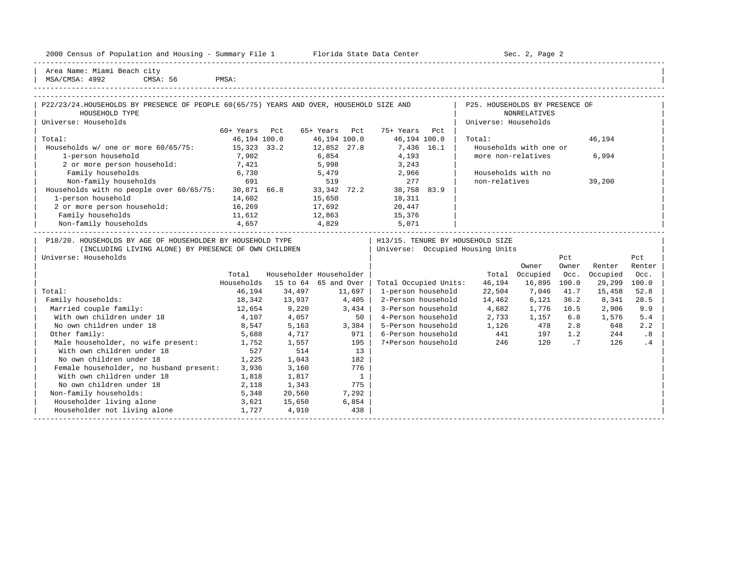|  |  |  | 2000 Census of Population and Housing - Summary File 1 |  |  |  |  |  |  |
|--|--|--|--------------------------------------------------------|--|--|--|--|--|--|
|--|--|--|--------------------------------------------------------|--|--|--|--|--|--|

Plorida State Data Center - Sec. 2, Page 2

-----------------------------------------------------------------------------------------------------------------------------------------------------

Area Name: Miami Beach city MSA/CMSA: 4992 CMSA: 56 PMSA:

| P22/23/24. HOUSEHOLDS BY PRESENCE OF PEOPLE 60(65/75) YEARS AND OVER, HOUSEHOLD SIZE AND                                                   |              |                         |                |                |                       |     | P25. HOUSEHOLDS BY PRESENCE OF                                         |                        |       |          |        |
|--------------------------------------------------------------------------------------------------------------------------------------------|--------------|-------------------------|----------------|----------------|-----------------------|-----|------------------------------------------------------------------------|------------------------|-------|----------|--------|
| HOUSEHOLD TYPE                                                                                                                             |              |                         |                |                |                       |     |                                                                        | <b>NONRELATIVES</b>    |       |          |        |
| Universe: Households                                                                                                                       |              |                         |                |                |                       |     | Universe: Households                                                   |                        |       |          |        |
|                                                                                                                                            | 60+ Years    | Pct                     | 65+ Years Pct  |                | 75+ Years             | Pct |                                                                        |                        |       |          |        |
| Total:                                                                                                                                     | 46,194 100.0 |                         | 46,194 100.0   |                | 46,194 100.0          |     | Total:                                                                 |                        |       | 46,194   |        |
| Households w/ one or more 60/65/75:                                                                                                        | 15,323 33.2  |                         | 12,852 27.8    |                | 7,436 16.1            |     |                                                                        | Households with one or |       |          |        |
| 1-person household                                                                                                                         | 7,902        |                         | 6,854<br>5,998 |                | 4,193                 |     |                                                                        | more non-relatives     |       | 6,994    |        |
| 2 or more person household:                                                                                                                | 7,421        |                         |                |                | 3,243                 |     |                                                                        |                        |       |          |        |
| Family households                                                                                                                          | 6,730        |                         |                |                | 5,479 2,966           |     |                                                                        | Households with no     |       |          |        |
| 691<br>Non-family households                                                                                                               |              |                         | 519            |                | 277                   |     | non-relatives                                                          |                        |       | 39,200   |        |
| Households with no people over 60/65/75: 30,871 66.8 33,342 72.2                                                                           |              |                         |                |                | 38,758 83.9           |     |                                                                        |                        |       |          |        |
| 1-person household                                                                                                                         | 14,602       | 15,650                  |                |                | 18,311                |     |                                                                        |                        |       |          |        |
| 2 or more person household: 16,269                                                                                                         |              |                         | 17,692         |                | 20,447                |     |                                                                        |                        |       |          |        |
|                                                                                                                                            |              |                         | 12,863         |                | 15,376                |     |                                                                        |                        |       |          |        |
|                                                                                                                                            |              |                         | 4,829          |                | 5,071                 |     |                                                                        |                        |       |          |        |
| P18/20. HOUSEHOLDS BY AGE OF HOUSEHOLDER BY HOUSEHOLD TYPE<br>(INCLUDING LIVING ALONE) BY PRESENCE OF OWN CHILDREN<br>Universe: Households |              |                         |                |                |                       |     | H13/15. TENURE BY HOUSEHOLD SIZE<br>  Universe: Occupied Housing Units |                        | Pct   |          | Pct    |
|                                                                                                                                            |              |                         |                |                |                       |     |                                                                        | Owner                  | Owner | Renter   | Renter |
|                                                                                                                                            | Total        | Householder Householder |                |                |                       |     | Total                                                                  | Occupied               | Occ.  | Occupied | Occ.   |
|                                                                                                                                            | Households   | 15 to 64 65 and Over    |                |                | Total Occupied Units: |     | 46,194                                                                 | 16,895 100.0           |       | 29,299   | 100.0  |
| Total:                                                                                                                                     | 46,194       | 34,497                  |                | 11,697         | 1-person household    |     | 22,504                                                                 | 7,046                  | 41.7  | 15,458   | 52.8   |
| Family households:                                                                                                                         | 18,342       | 13,937                  | 4,405          |                | 2-Person household    |     | 14,462                                                                 | 6,121                  | 36.2  | 8,341    | 28.5   |
| Married couple family:                                                                                                                     | 12,654       | 9,220                   | 3,434          |                | 3-Person household    |     | 4,682                                                                  | 1,776 10.5             |       | 2,906    | 9.9    |
| With own children under 18                                                                                                                 | 4,107        | 4,057                   |                | 50 I           |                       |     | 4-Person household 2,733                                               | 1,157                  | 6.8   | 1,576    | 5.4    |
| No own children under 18                                                                                                                   | 8,547        | 5,163                   |                | $3,384$        |                       |     | 5-Person household 1,126 478                                           |                        | 2.8   | 648      | 2.2    |
| Other family:                                                                                                                              | 5,688        | 4,717                   |                | 971 l          | 6-Person household    |     | 441 197                                                                |                        | 1.2   | 244      | .8     |
| Male householder, no wife present: 1,752                                                                                                   |              | 1,557                   |                | 195            | 7+Person household    |     | 246                                                                    | 120                    | .7    | 126      | .4     |
| With own children under 18                                                                                                                 | 527          | 514                     |                | 13             |                       |     |                                                                        |                        |       |          |        |
| No own children under 18                                                                                                                   | 1,225        | 1,043                   |                | 182            |                       |     |                                                                        |                        |       |          |        |
| Female householder, no husband present: 3,936                                                                                              |              | 3,160                   |                | 776            |                       |     |                                                                        |                        |       |          |        |
| With own children under 18                                                                                                                 | 1,818        | 1,817                   |                | $\overline{1}$ |                       |     |                                                                        |                        |       |          |        |
| No own children under 18                                                                                                                   | 2,118        | 1,343                   |                | 775            |                       |     |                                                                        |                        |       |          |        |
| Non-family households:                                                                                                                     | 5,348        | 20,560                  | 7,292          |                |                       |     |                                                                        |                        |       |          |        |
| Householder living alone                                                                                                                   | 3,621        | 15,650                  |                | 6,854          |                       |     |                                                                        |                        |       |          |        |
| Householder not living alone                                                                                                               | 1,727        | 4,910                   |                | 438            |                       |     |                                                                        |                        |       |          |        |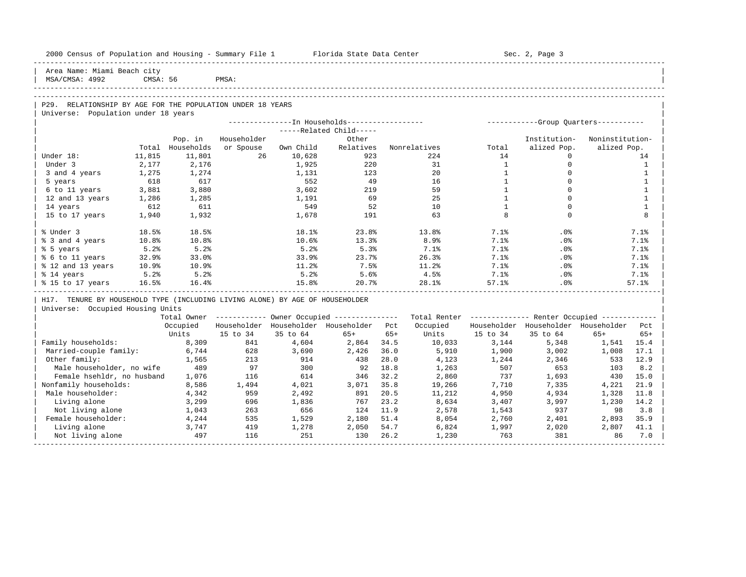| 2000 Census of Population and Housing - Summary File 1 Florida State Data Center |          |                  |             |           |                                                        |       |              |                   | Sec. 2, Page 3                                          |                 |                   |
|----------------------------------------------------------------------------------|----------|------------------|-------------|-----------|--------------------------------------------------------|-------|--------------|-------------------|---------------------------------------------------------|-----------------|-------------------|
| Area Name: Miami Beach city<br>MSA/CMSA: 4992                                    | CMSA: 56 |                  | PMSA:       |           |                                                        |       |              |                   |                                                         |                 |                   |
|                                                                                  |          |                  |             |           |                                                        |       |              |                   |                                                         |                 |                   |
| P29. RELATIONSHIP BY AGE FOR THE POPULATION UNDER 18 YEARS                       |          |                  |             |           |                                                        |       |              |                   |                                                         |                 |                   |
| Universe: Population under 18 years                                              |          |                  |             |           |                                                        |       |              |                   |                                                         |                 |                   |
|                                                                                  |          |                  |             |           | --------------In Households-----------------           |       |              |                   | -----------Group Ouarters-----------                    |                 |                   |
|                                                                                  |          |                  |             |           | -----Related Child-----                                |       |              |                   |                                                         |                 |                   |
|                                                                                  |          | Pop. in          | Householder |           | Other                                                  |       |              |                   | Institution-                                            | Noninstitution- |                   |
|                                                                                  |          | Total Households | or Spouse   | Own Child | Relatives                                              |       | Nonrelatives | Total             | alized Pop.                                             | alized Pop.     |                   |
| Under 18:                                                                        | 11,815   | 11,801           | 26          | 10,628    | 923                                                    |       | 224          | 14                | $\Omega$                                                |                 | 14                |
| Under 3                                                                          | 2,177    | 2,176            |             | 1,925     | 220                                                    |       | 31           | $\mathbf{1}$      | $\mathbf{0}$                                            |                 | $\overline{1}$    |
| 3 and 4 years                                                                    | 1,275    | 1,274            |             | 1,131     | 123                                                    |       | 20           | $\mathbf{1}$      | $\mathbf 0$                                             |                 | 1                 |
| 5 years                                                                          | 618      | 617              |             | 552       | 49                                                     |       | 16           | $\mathbf{1}$      | $\Omega$                                                |                 | $\mathbf{1}$      |
| 6 to 11 years                                                                    | 3,881    | 3,880            |             | 3,602     | 219                                                    |       | 59           | $\mathbf{1}$      | $\Omega$                                                |                 | 1                 |
| 12 and 13 years                                                                  | 1,286    | 1,285            |             | 1,191     | 69                                                     |       | 25           | $\mathbf{1}$      | $\Omega$                                                |                 | $\mathbf{1}$      |
| 14 years                                                                         | 612      | 611              |             | 549       | 52                                                     |       | 10<br>63     | $\mathbf{1}$<br>8 | $\mathbf 0$<br>$\Omega$                                 |                 | $\mathbf{1}$<br>8 |
| 15 to 17 years                                                                   | 1,940    | 1,932            |             | 1,678     | 191                                                    |       |              |                   |                                                         |                 |                   |
| % Under 3                                                                        | 18.5%    | 18.5%            |             | 18.1%     | 23.8%                                                  |       | 13.8%        | 7.1%              | .0%                                                     |                 | 7.1%              |
| % 3 and 4 years                                                                  | 10.8%    | 10.8%            |             | 10.6%     | 13.3%                                                  |       | 8.9%         | 7.1%              | .0%                                                     |                 | 7.1%              |
| % 5 years                                                                        | 5.2%     | 5.2%             |             | 5.2%      | 5.3%                                                   |       | 7.1%         | 7.1%              | .0%                                                     |                 | 7.1%              |
| % 6 to 11 years                                                                  | 32.9%    | 33.0%            |             | 33.9%     | 23.7%                                                  |       | 26.3%        | 7.1%              | .0%                                                     |                 | 7.1%              |
| % 12 and 13 years                                                                | 10.9%    | 10.9%            |             | 11.2%     | 7.5%                                                   |       | 11.2%        | 7.1%              | .0%                                                     |                 | 7.1%              |
| % 14 years                                                                       | 5.2%     | 5.2%             |             | 5.2%      | 5.6%                                                   |       | 4.5%         | $7.1\%$           | .0%                                                     |                 | 7.1%              |
| % 15 to 17 years                                                                 | 16.5%    | 16.4%            |             | 15.8%     | 20.7%                                                  |       | 28.1%        | 57.1%             | .0%                                                     |                 | 57.1%             |
| H17. TENURE BY HOUSEHOLD TYPE (INCLUDING LIVING ALONE) BY AGE OF HOUSEHOLDER     |          |                  |             |           |                                                        |       |              |                   |                                                         |                 |                   |
| Universe: Occupied Housing Units                                                 |          |                  |             |           |                                                        |       |              |                   |                                                         |                 |                   |
|                                                                                  |          |                  |             |           | Total Owner ----------- Owner Occupied --------------- |       |              |                   | Total Renter ------------- Renter Occupied ------------ |                 |                   |
|                                                                                  |          | Occupied         |             |           | Householder Householder Householder Pct                |       | Occupied     |                   | Householder Householder Householder                     |                 | Pct               |
|                                                                                  |          | Units            | 15 to 34    | 35 to 64  | $65+$                                                  | $65+$ | Units        | 15 to 34          | 35 to 64                                                | $65+$           | $65+$             |
| Family households:                                                               |          | 8,309            | 841         | 4,604     | 2,864                                                  | 34.5  | 10,033       | 3,144             | 5,348                                                   | 1,541 15.4      |                   |
| Married-couple family:                                                           |          | 6,744            | 628         | 3,690     | 2,426                                                  | 36.0  | 5,910        | 1,900             | 3,002                                                   | 1,008           | 17.1              |
| Other family:                                                                    |          | 1,565            | 213         | 914       | 438                                                    | 28.0  | 4,123        | 1,244             | 2,346                                                   | 533             | 12.9              |
| Male householder, no wife                                                        |          | 489              | 97          | 300       | 92                                                     | 18.8  | 1,263        | 507               | 653                                                     | 103             | 8.2               |
| Female hsehldr, no husband                                                       |          | 1,076            | 116         | 614       | 346                                                    | 32.2  | 2,860        | 737               | 1,693                                                   | 430             | 15.0              |
| Nonfamily households:                                                            |          | 8,586            | 1,494       | 4,021     | 3,071                                                  | 35.8  | 19,266       | 7,710             | 7,335                                                   | 4,221           | 21.9              |
| Male householder:                                                                |          | 4,342            | 959         | 2,492     | 891                                                    | 20.5  | 11,212       | 4,950             | 4,934                                                   | 1,328           | 11.8              |
| Living alone                                                                     |          | 3,299            | 696         | 1,836     | 767                                                    | 23.2  | 8,634        | 3,407             | 3,997                                                   | 1,230           | 14.2              |
| Not living alone                                                                 |          | 1,043            | 263         | 656       | 124                                                    | 11.9  | 2,578        | 1,543             | 937                                                     | 98              | 3.8               |
| Female householder:                                                              |          | 4,244            | 535         | 1,529     | 2,180                                                  | 51.4  | 8,054        | 2,760             | 2,401                                                   | 2,893           | 35.9              |
| Living alone                                                                     |          | 3,747            | 419         | 1,278     | 2,050                                                  | 54.7  | 6,824        | 1,997             | 2,020                                                   | 2,807           | 41.1              |
| Not living alone                                                                 |          | 497              | 116         | 251       | 130                                                    | 26.2  | 1,230        | 763               | 381                                                     | 86              | 7.0               |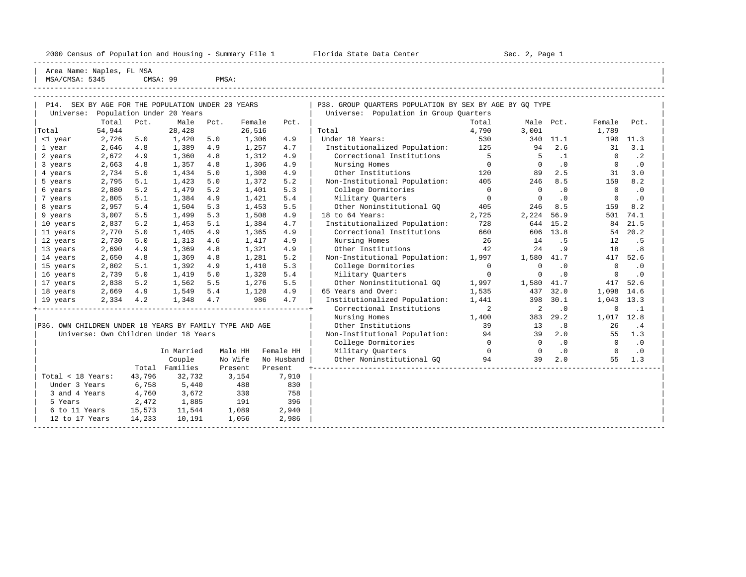|           | 2000 Census of Population and Housing - Summary File 1 Florida State Data Center<br>Sec. 2, Page 1<br>Area Name: Naples, FL MSA<br>MSA/CMSA: 5345<br>CMSA: 99<br>PMSA:<br>P14. SEX BY AGE FOR THE POPULATION UNDER 20 YEARS<br>P38. GROUP OUARTERS POPULATION BY SEX BY AGE BY GO TYPE<br>Population Under 20 Years<br>Population in Group Quarters<br>Universe:<br>Total<br>Pct.<br>Male<br>Female<br>Total<br>Male<br>Female<br>Pct.<br>Pct.<br>Pct.<br>54,944<br>28,428<br>26,516<br>3,001<br>1,789<br>Total<br>4,790<br>2,726<br>1,420<br>5.0<br>1,306<br>4.9<br>Under 18 Years:<br>530<br>340<br>11.1<br>190<br>5.0<br>2.6<br>2,646<br>Institutionalized Population:<br>31<br>4.8<br>1,389<br>4.9<br>1,257<br>4.7<br>125<br>94<br>2,672<br>4.9<br>1,312<br>Correctional Institutions<br>5<br>$\cdot$ 1<br>4.9<br>1,360<br>4.8<br>$\Omega$<br>4.9<br>2,663<br>1,306<br>$\Omega$<br>$\Omega$<br>4.8<br>1,357<br>4.8<br>Nursing Homes<br>$\cdot$ 0<br>4.9<br>120<br>89<br>2.5<br>31<br>2,734<br>5.0<br>1,434<br>1,300<br>Other Institutions<br>5.0<br>2,795<br>1,423<br>5.2<br>Non-Institutional Population:<br>246<br>8.5<br>159<br>5.1<br>5.0<br>1,372<br>405<br>5.3<br>2,880<br>5.2<br>1,479<br>1,401<br>College Dormitories<br>5.2<br>$\cdot$ 0<br>0<br>$\Omega$<br>$\Omega$<br>5.4<br>2,805<br>5.1<br>1,384<br>1,421<br>4.9<br>Military Ouarters<br>$\cdot$ 0<br>$\Omega$<br>0<br>5.5<br>Other Noninstitutional GO<br>246<br>8.5<br>159<br>2,957<br>5.4<br>1,504<br>5.3<br>1,453<br>405<br>2,224<br>3,007<br>5.5<br>1,508<br>4.9<br>18 to 64 Years:<br>56.9<br>501<br>1,499<br>5.3<br>2,725<br>4.7<br>728<br>644<br>15.2<br>2,837<br>5.2<br>1,453<br>1,384<br>Institutionalized Population:<br>84<br>5.1<br>2,770<br>1,405<br>4.9<br>660<br>606<br>13.8<br>54<br>5.0<br>1,365<br>Correctional Institutions<br>4.9<br>2,730<br>5.0<br>1,313<br>4.6<br>1,417<br>4.9<br>Nursing Homes<br>26<br>14<br>12<br>. 5<br>4.9<br>2,690<br>42<br>24<br>4.9<br>1,369<br>1,321<br>Other Institutions<br>. 9<br>18<br>4.8<br>1,580<br>417<br>2,650<br>1,281<br>5.2<br>Non-Institutional Population:<br>41.7<br>4.8<br>1,369<br>1,997<br>4.8<br>2,802<br>5.3<br>5.1<br>1,392<br>4.9<br>1,410<br>College Dormitories<br>$\Omega$<br>$\cdot$ 0<br>0<br>$\Omega$<br>2,739<br>5.4<br>5.0<br>1,419<br>5.0<br>1,320<br>Military Ouarters<br>. 0<br><sup>n</sup><br>$\Omega$<br>1,580<br>5.5<br>Other Noninstitutional GQ<br>41.7<br>417<br>2,838<br>5.2<br>1,562<br>5.5<br>1,276<br>1,997<br>437<br>32.0<br>1,098<br>2,669<br>4.9<br>1,549<br>1,120<br>4.9<br>1,535<br>5.4<br>65 Years and Over: |  |  |  |  |  |           |
|-----------|-----------------------------------------------------------------------------------------------------------------------------------------------------------------------------------------------------------------------------------------------------------------------------------------------------------------------------------------------------------------------------------------------------------------------------------------------------------------------------------------------------------------------------------------------------------------------------------------------------------------------------------------------------------------------------------------------------------------------------------------------------------------------------------------------------------------------------------------------------------------------------------------------------------------------------------------------------------------------------------------------------------------------------------------------------------------------------------------------------------------------------------------------------------------------------------------------------------------------------------------------------------------------------------------------------------------------------------------------------------------------------------------------------------------------------------------------------------------------------------------------------------------------------------------------------------------------------------------------------------------------------------------------------------------------------------------------------------------------------------------------------------------------------------------------------------------------------------------------------------------------------------------------------------------------------------------------------------------------------------------------------------------------------------------------------------------------------------------------------------------------------------------------------------------------------------------------------------------------------------------------------------------------------------------------------------------------------------------------------------------------------------------------------------------------------------------------------------------------------------------------------------------------------------------------------------------------------------|--|--|--|--|--|-----------|
|           |                                                                                                                                                                                                                                                                                                                                                                                                                                                                                                                                                                                                                                                                                                                                                                                                                                                                                                                                                                                                                                                                                                                                                                                                                                                                                                                                                                                                                                                                                                                                                                                                                                                                                                                                                                                                                                                                                                                                                                                                                                                                                                                                                                                                                                                                                                                                                                                                                                                                                                                                                                                   |  |  |  |  |  |           |
| Universe: |                                                                                                                                                                                                                                                                                                                                                                                                                                                                                                                                                                                                                                                                                                                                                                                                                                                                                                                                                                                                                                                                                                                                                                                                                                                                                                                                                                                                                                                                                                                                                                                                                                                                                                                                                                                                                                                                                                                                                                                                                                                                                                                                                                                                                                                                                                                                                                                                                                                                                                                                                                                   |  |  |  |  |  |           |
|           |                                                                                                                                                                                                                                                                                                                                                                                                                                                                                                                                                                                                                                                                                                                                                                                                                                                                                                                                                                                                                                                                                                                                                                                                                                                                                                                                                                                                                                                                                                                                                                                                                                                                                                                                                                                                                                                                                                                                                                                                                                                                                                                                                                                                                                                                                                                                                                                                                                                                                                                                                                                   |  |  |  |  |  | Pct.      |
| Total     |                                                                                                                                                                                                                                                                                                                                                                                                                                                                                                                                                                                                                                                                                                                                                                                                                                                                                                                                                                                                                                                                                                                                                                                                                                                                                                                                                                                                                                                                                                                                                                                                                                                                                                                                                                                                                                                                                                                                                                                                                                                                                                                                                                                                                                                                                                                                                                                                                                                                                                                                                                                   |  |  |  |  |  |           |
| <1 year   |                                                                                                                                                                                                                                                                                                                                                                                                                                                                                                                                                                                                                                                                                                                                                                                                                                                                                                                                                                                                                                                                                                                                                                                                                                                                                                                                                                                                                                                                                                                                                                                                                                                                                                                                                                                                                                                                                                                                                                                                                                                                                                                                                                                                                                                                                                                                                                                                                                                                                                                                                                                   |  |  |  |  |  | 11.3      |
| 1 year    |                                                                                                                                                                                                                                                                                                                                                                                                                                                                                                                                                                                                                                                                                                                                                                                                                                                                                                                                                                                                                                                                                                                                                                                                                                                                                                                                                                                                                                                                                                                                                                                                                                                                                                                                                                                                                                                                                                                                                                                                                                                                                                                                                                                                                                                                                                                                                                                                                                                                                                                                                                                   |  |  |  |  |  | 3.1       |
| 2 years   |                                                                                                                                                                                                                                                                                                                                                                                                                                                                                                                                                                                                                                                                                                                                                                                                                                                                                                                                                                                                                                                                                                                                                                                                                                                                                                                                                                                                                                                                                                                                                                                                                                                                                                                                                                                                                                                                                                                                                                                                                                                                                                                                                                                                                                                                                                                                                                                                                                                                                                                                                                                   |  |  |  |  |  | $\cdot$ 2 |
| 3 years   |                                                                                                                                                                                                                                                                                                                                                                                                                                                                                                                                                                                                                                                                                                                                                                                                                                                                                                                                                                                                                                                                                                                                                                                                                                                                                                                                                                                                                                                                                                                                                                                                                                                                                                                                                                                                                                                                                                                                                                                                                                                                                                                                                                                                                                                                                                                                                                                                                                                                                                                                                                                   |  |  |  |  |  | $\cdot$ 0 |
| 4 years   |                                                                                                                                                                                                                                                                                                                                                                                                                                                                                                                                                                                                                                                                                                                                                                                                                                                                                                                                                                                                                                                                                                                                                                                                                                                                                                                                                                                                                                                                                                                                                                                                                                                                                                                                                                                                                                                                                                                                                                                                                                                                                                                                                                                                                                                                                                                                                                                                                                                                                                                                                                                   |  |  |  |  |  | 3.0       |
| 5 years   |                                                                                                                                                                                                                                                                                                                                                                                                                                                                                                                                                                                                                                                                                                                                                                                                                                                                                                                                                                                                                                                                                                                                                                                                                                                                                                                                                                                                                                                                                                                                                                                                                                                                                                                                                                                                                                                                                                                                                                                                                                                                                                                                                                                                                                                                                                                                                                                                                                                                                                                                                                                   |  |  |  |  |  | 8.2       |
| 6 years   |                                                                                                                                                                                                                                                                                                                                                                                                                                                                                                                                                                                                                                                                                                                                                                                                                                                                                                                                                                                                                                                                                                                                                                                                                                                                                                                                                                                                                                                                                                                                                                                                                                                                                                                                                                                                                                                                                                                                                                                                                                                                                                                                                                                                                                                                                                                                                                                                                                                                                                                                                                                   |  |  |  |  |  | .0        |
| 7 years   |                                                                                                                                                                                                                                                                                                                                                                                                                                                                                                                                                                                                                                                                                                                                                                                                                                                                                                                                                                                                                                                                                                                                                                                                                                                                                                                                                                                                                                                                                                                                                                                                                                                                                                                                                                                                                                                                                                                                                                                                                                                                                                                                                                                                                                                                                                                                                                                                                                                                                                                                                                                   |  |  |  |  |  | $\cdot$ 0 |
| 8 years   |                                                                                                                                                                                                                                                                                                                                                                                                                                                                                                                                                                                                                                                                                                                                                                                                                                                                                                                                                                                                                                                                                                                                                                                                                                                                                                                                                                                                                                                                                                                                                                                                                                                                                                                                                                                                                                                                                                                                                                                                                                                                                                                                                                                                                                                                                                                                                                                                                                                                                                                                                                                   |  |  |  |  |  | 8.2       |
| 9 years   |                                                                                                                                                                                                                                                                                                                                                                                                                                                                                                                                                                                                                                                                                                                                                                                                                                                                                                                                                                                                                                                                                                                                                                                                                                                                                                                                                                                                                                                                                                                                                                                                                                                                                                                                                                                                                                                                                                                                                                                                                                                                                                                                                                                                                                                                                                                                                                                                                                                                                                                                                                                   |  |  |  |  |  | 74.1      |
| 10 years  |                                                                                                                                                                                                                                                                                                                                                                                                                                                                                                                                                                                                                                                                                                                                                                                                                                                                                                                                                                                                                                                                                                                                                                                                                                                                                                                                                                                                                                                                                                                                                                                                                                                                                                                                                                                                                                                                                                                                                                                                                                                                                                                                                                                                                                                                                                                                                                                                                                                                                                                                                                                   |  |  |  |  |  | 21.5      |
| 11 years  |                                                                                                                                                                                                                                                                                                                                                                                                                                                                                                                                                                                                                                                                                                                                                                                                                                                                                                                                                                                                                                                                                                                                                                                                                                                                                                                                                                                                                                                                                                                                                                                                                                                                                                                                                                                                                                                                                                                                                                                                                                                                                                                                                                                                                                                                                                                                                                                                                                                                                                                                                                                   |  |  |  |  |  | 20.2      |
| 12 years  |                                                                                                                                                                                                                                                                                                                                                                                                                                                                                                                                                                                                                                                                                                                                                                                                                                                                                                                                                                                                                                                                                                                                                                                                                                                                                                                                                                                                                                                                                                                                                                                                                                                                                                                                                                                                                                                                                                                                                                                                                                                                                                                                                                                                                                                                                                                                                                                                                                                                                                                                                                                   |  |  |  |  |  | . 5       |
| 13 years  |                                                                                                                                                                                                                                                                                                                                                                                                                                                                                                                                                                                                                                                                                                                                                                                                                                                                                                                                                                                                                                                                                                                                                                                                                                                                                                                                                                                                                                                                                                                                                                                                                                                                                                                                                                                                                                                                                                                                                                                                                                                                                                                                                                                                                                                                                                                                                                                                                                                                                                                                                                                   |  |  |  |  |  | .8        |
| 14 years  |                                                                                                                                                                                                                                                                                                                                                                                                                                                                                                                                                                                                                                                                                                                                                                                                                                                                                                                                                                                                                                                                                                                                                                                                                                                                                                                                                                                                                                                                                                                                                                                                                                                                                                                                                                                                                                                                                                                                                                                                                                                                                                                                                                                                                                                                                                                                                                                                                                                                                                                                                                                   |  |  |  |  |  | 52.6      |
| 15 years  |                                                                                                                                                                                                                                                                                                                                                                                                                                                                                                                                                                                                                                                                                                                                                                                                                                                                                                                                                                                                                                                                                                                                                                                                                                                                                                                                                                                                                                                                                                                                                                                                                                                                                                                                                                                                                                                                                                                                                                                                                                                                                                                                                                                                                                                                                                                                                                                                                                                                                                                                                                                   |  |  |  |  |  | . 0       |
| 16 years  |                                                                                                                                                                                                                                                                                                                                                                                                                                                                                                                                                                                                                                                                                                                                                                                                                                                                                                                                                                                                                                                                                                                                                                                                                                                                                                                                                                                                                                                                                                                                                                                                                                                                                                                                                                                                                                                                                                                                                                                                                                                                                                                                                                                                                                                                                                                                                                                                                                                                                                                                                                                   |  |  |  |  |  | . 0       |
| 17 years  |                                                                                                                                                                                                                                                                                                                                                                                                                                                                                                                                                                                                                                                                                                                                                                                                                                                                                                                                                                                                                                                                                                                                                                                                                                                                                                                                                                                                                                                                                                                                                                                                                                                                                                                                                                                                                                                                                                                                                                                                                                                                                                                                                                                                                                                                                                                                                                                                                                                                                                                                                                                   |  |  |  |  |  | 52.6      |
| 18 years  |                                                                                                                                                                                                                                                                                                                                                                                                                                                                                                                                                                                                                                                                                                                                                                                                                                                                                                                                                                                                                                                                                                                                                                                                                                                                                                                                                                                                                                                                                                                                                                                                                                                                                                                                                                                                                                                                                                                                                                                                                                                                                                                                                                                                                                                                                                                                                                                                                                                                                                                                                                                   |  |  |  |  |  | 14.6      |

| 19 years 2,334 4.2 1,348 4.7 986 4.7 | Institutionalized Population: 1,441 398 30.1 1,043 13.3 | +----------------------------------------------------------------+ Correctional Institutions 2 2 .0 0 .1 |

|                                                         | Nursing Homes                 | L.400 | 383 | $29^{\circ}$ | 017 |  |
|---------------------------------------------------------|-------------------------------|-------|-----|--------------|-----|--|
| P36. OWN CHILDREN UNDER 18 YEARS BY FAMILY TYPE AND AGE | Other Institutions            |       |     |              |     |  |
| Universe: Own Children Under 18 Years                   | Non-Institutional Population: |       |     |              |     |  |

|                   |        |            |         |            | College Dormitories       |              |    | $\cdot$ 0 | $\cdot$ 0 |
|-------------------|--------|------------|---------|------------|---------------------------|--------------|----|-----------|-----------|
|                   |        | In Married | Male HH | Female HH  | Military Quarters         | $\mathbf{0}$ |    | $\cdot$ 0 | $\cdot$ 0 |
|                   |        | Couple     | No Wife | No Husband | Other Noninstitutional GO | 94           | 39 | 2.0       | 1.3<br>55 |
|                   | Total  | Families   | Present | Present    |                           |              |    |           |           |
| Total < 18 Years: | 43,796 | 32,732     | 3,154   | 7,910      |                           |              |    |           |           |
| Under 3 Years     | 6,758  | 5,440      | 488     | 830        |                           |              |    |           |           |
| 3 and 4 Years     | 4,760  | 3,672      | 330     | 758        |                           |              |    |           |           |
| 5 Years           | 2,472  | 1,885      | 191     | 396        |                           |              |    |           |           |
| 6 to 11 Years     | 15,573 | 11,544     | 1,089   | 2,940      |                           |              |    |           |           |
| 12 to 17 Years    | 14,233 | 10,191     | 1,056   | 2,986      |                           |              |    |           |           |
|                   |        |            |         |            |                           |              |    |           |           |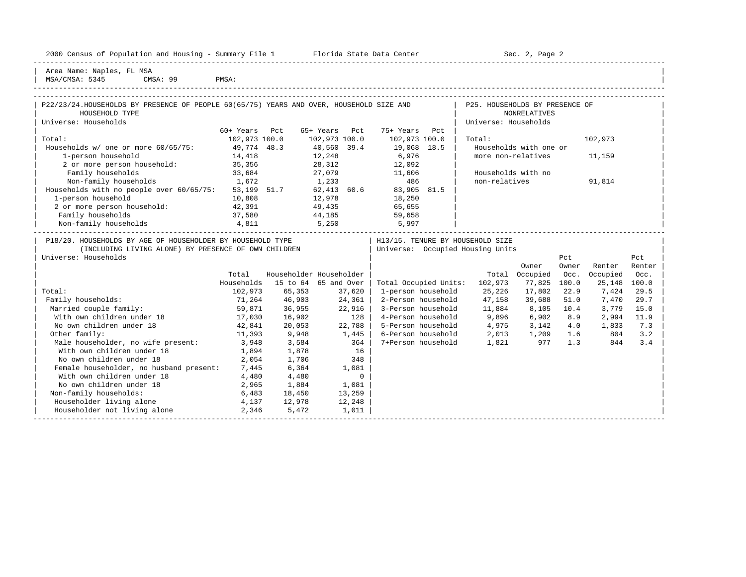| 2000 Census of Population and Housing - Summary File 1 |  |  |  |  |  |  |  |  |  |  |  |  |  |  |  |  |  |  |  |  |  |
|--------------------------------------------------------|--|--|--|--|--|--|--|--|--|--|--|--|--|--|--|--|--|--|--|--|--|
|--------------------------------------------------------|--|--|--|--|--|--|--|--|--|--|--|--|--|--|--|--|--|--|--|--|--|

2000 Florida State Data Center - Sec. 2, Page 2

-----------------------------------------------------------------------------------------------------------------------------------------------------

| Area Name: Naples, FL MSA | | MSA/CMSA: 5345 CMSA: 99 PMSA:

-----------------------------------------------------------------------------------------------------------------------------------------------------

| P22/23/24.HOUSEHOLDS BY PRESENCE OF PEOPLE 60(65/75) YEARS AND OVER, HOUSEHOLD SIZE AND |               |                         |               |                                  |                    | P25. HOUSEHOLDS BY PRESENCE OF   |                        |       |          |        |
|-----------------------------------------------------------------------------------------|---------------|-------------------------|---------------|----------------------------------|--------------------|----------------------------------|------------------------|-------|----------|--------|
| HOUSEHOLD TYPE                                                                          |               |                         |               |                                  |                    |                                  | <b>NONRELATIVES</b>    |       |          |        |
| Universe: Households                                                                    |               |                         |               |                                  |                    | Universe: Households             |                        |       |          |        |
|                                                                                         | 60+ Years Pct |                         | 65+ Years Pct | 75+ Years                        | Pct                |                                  |                        |       |          |        |
| Total:                                                                                  | 102,973 100.0 |                         | 102,973 100.0 | 102,973 100.0                    |                    | Total:                           |                        |       | 102,973  |        |
| Households w/ one or more 60/65/75: 49,774 48.3                                         |               |                         | 40,560 39.4   | 19,068 18.5                      |                    |                                  | Households with one or |       |          |        |
| 1-person household                                                                      | 14,418        |                         | 12,248        | 6,976                            |                    | more non-relatives               |                        |       | 11,159   |        |
| 2 or more person household: 35,356                                                      |               |                         | 28,312        | 12,092                           |                    |                                  |                        |       |          |        |
| Family households                                                                       | 33,684        |                         | 27,079        | 11,606                           |                    | Households with no               |                        |       |          |        |
| Non-family households 1,672                                                             |               |                         | 1,233         | 486                              |                    | non-relatives                    |                        |       | 91,814   |        |
| Households with no people over 60/65/75: 53,199 51.7                                    |               |                         |               | $62,413$ $60.6$ $83,905$ $81.5$  |                    |                                  |                        |       |          |        |
| 1-person household                                                                      | 10,808        |                         | 12,978        |                                  |                    |                                  |                        |       |          |        |
| 2 or more person household: 42,391                                                      |               |                         | 49,435        | 18,250<br>65,655                 |                    |                                  |                        |       |          |        |
| Family households                                                                       | 37,580        | 44,185                  |               | 59,658                           |                    |                                  |                        |       |          |        |
| Non-family households 4,811                                                             |               | 5,250                   |               | 5,997                            |                    |                                  |                        |       |          |        |
|                                                                                         |               |                         |               |                                  |                    |                                  |                        |       |          |        |
| P18/20. HOUSEHOLDS BY AGE OF HOUSEHOLDER BY HOUSEHOLD TYPE                              |               |                         |               | H13/15. TENURE BY HOUSEHOLD SIZE |                    |                                  |                        |       |          |        |
| (INCLUDING LIVING ALONE) BY PRESENCE OF OWN CHILDREN                                    |               |                         |               |                                  |                    | Universe: Occupied Housing Units |                        |       |          |        |
| Universe: Households                                                                    |               |                         |               |                                  |                    |                                  |                        | Pct   |          | Pct    |
|                                                                                         |               |                         |               |                                  |                    |                                  | Owner                  | Owner | Renter   | Renter |
|                                                                                         | Total         | Householder Householder |               |                                  |                    |                                  | Total Occupied         | Occ.  | Occupied | Occ.   |
|                                                                                         | Households    | 15 to 64 65 and Over    |               |                                  |                    | Total Occupied Units: 102,973    | 77,825                 | 100.0 | 25,148   | 100.0  |
| Total:                                                                                  | 102,973       | 65,353                  | 37,620        |                                  | 1-person household | 25,226                           | 17,802                 | 22.9  | 7,424    | 29.5   |
| Family households:                                                                      | 71,264        | 46,903                  | 24,361        |                                  | 2-Person household | 47,158                           | 39,688                 | 51.0  | 7,470    | 29.7   |
| Married couple family:                                                                  | 59,871        | 36,955                  | 22,916        |                                  | 3-Person household | 11,884                           | 8,105                  | 10.4  | 3,779    | 15.0   |
| With own children under 18                                                              | 17,030        | 16,902                  | 128           |                                  | 4-Person household | 9,896 6,902                      |                        | 8.9   | 2,994    | 11.9   |
| No own children under 18                                                                | 42,841        | 20,053                  | 22,788        |                                  | 5-Person household | $4,975$ $3,142$ $4.0$            |                        |       | 1,833    | 7.3    |
| Other family:                                                                           | 11,393        | 9,948                   | 1,445         |                                  |                    | 6-Person household 2,013         | 1,209 1.6              |       | 804      | 3.2    |
| Male householder, no wife present: 3,948                                                |               | 3,584                   | 364           |                                  | 7+Person household | 1,821                            | 977                    | 1.3   | 844      | 3.4    |
| With own children under 18                                                              | 1,894         | 1,878                   | 16            |                                  |                    |                                  |                        |       |          |        |
| No own children under 18                                                                | 2,054         | 1,706                   | 348           |                                  |                    |                                  |                        |       |          |        |
| Female householder, no husband present: 7,445                                           |               | 6,364                   | 1,081         |                                  |                    |                                  |                        |       |          |        |
| With own children under 18                                                              | 4,480         | 4,480                   |               | $\Omega$                         |                    |                                  |                        |       |          |        |
| No own children under 18                                                                | 2,965         | 1,884                   | 1,081         |                                  |                    |                                  |                        |       |          |        |
| Non-family households:                                                                  | 6,483         | 18,450                  | 13,259        |                                  |                    |                                  |                        |       |          |        |
| Householder living alone<br>4,137                                                       |               | 12,978                  | 12,248        |                                  |                    |                                  |                        |       |          |        |
| Householder not living alone                                                            | 2,346         | 5,472                   | 1,011         |                                  |                    |                                  |                        |       |          |        |
|                                                                                         |               |                         |               |                                  |                    |                                  |                        |       |          |        |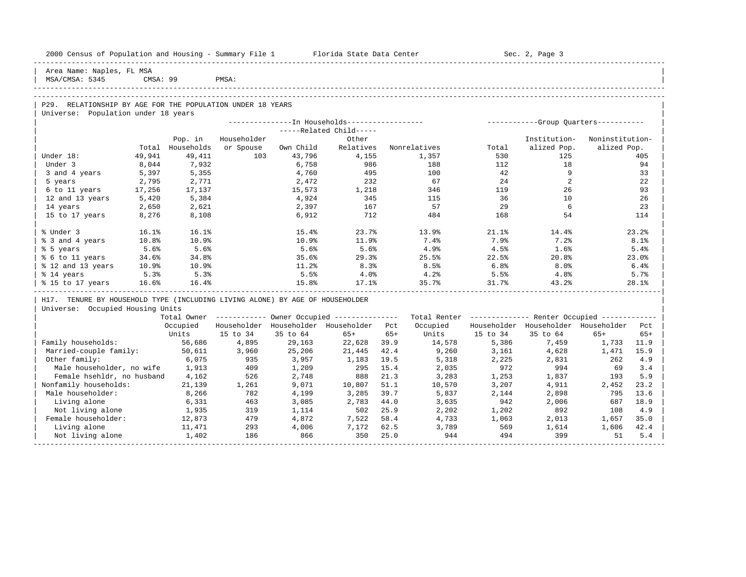| 2000 Census of Population and Housing - Summary File 1 Florida State Data Center |          |                  |             |           |                                                       |       |              |          | Sec. 2, Page 3                                          |                 |       |
|----------------------------------------------------------------------------------|----------|------------------|-------------|-----------|-------------------------------------------------------|-------|--------------|----------|---------------------------------------------------------|-----------------|-------|
| Area Name: Naples, FL MSA<br>MSA/CMSA: 5345                                      | CMSA: 99 |                  | PMSA:       |           |                                                       |       |              |          |                                                         |                 |       |
|                                                                                  |          |                  |             |           |                                                       |       |              |          |                                                         |                 |       |
|                                                                                  |          |                  |             |           |                                                       |       |              |          |                                                         |                 |       |
| P29. RELATIONSHIP BY AGE FOR THE POPULATION UNDER 18 YEARS                       |          |                  |             |           |                                                       |       |              |          |                                                         |                 |       |
| Universe: Population under 18 years                                              |          |                  |             |           |                                                       |       |              |          |                                                         |                 |       |
|                                                                                  |          |                  |             |           | ---------------- In Households------------------      |       |              |          | ------------Group Quarters-----------                   |                 |       |
|                                                                                  |          |                  |             |           | -----Related Child-----                               |       |              |          |                                                         |                 |       |
|                                                                                  |          | Pop. in          | Householder |           | Other                                                 |       |              |          | Institution-                                            | Noninstitution- |       |
|                                                                                  |          | Total Households | or Spouse   | Own Child | Relatives                                             |       | Nonrelatives | Total    | alized Pop.                                             | alized Pop.     |       |
| Under 18:                                                                        | 49,941   | 49,411           | 103         | 43,796    | 4,155                                                 |       | 1,357        | 530      | 125                                                     |                 | 405   |
| Under 3                                                                          | 8,044    | 7,932            |             | 6,758     | 986                                                   |       | 188          | 112      | 18                                                      |                 | 94    |
| 3 and 4 years                                                                    | 5,397    | 5,355            |             | 4,760     | 495                                                   |       | 100          | 42       | 9                                                       |                 | 33    |
| 5 years                                                                          | 2,795    | 2,771            |             | 2,472     | 232                                                   |       | 67           | 24       | 2                                                       |                 | 22    |
| 6 to 11 years                                                                    | 17,256   | 17,137           |             | 15,573    | 1,218                                                 |       | 346          | 119      | 26                                                      |                 | 93    |
| 12 and 13 years                                                                  | 5,420    | 5,384            |             | 4,924     | 345                                                   |       | 115          | 36       | 10                                                      |                 | 26    |
| 14 years                                                                         | 2,650    | 2,621            |             | 2,397     | 167                                                   |       | 57           | 29       | 6                                                       |                 | 23    |
| 15 to 17 years                                                                   | 8,276    | 8,108            |             | 6,912     | 712                                                   |       | 484          | 168      | 54                                                      |                 | 114   |
| % Under 3                                                                        | 16.1%    | 16.1%            |             | 15.4%     | 23.7%                                                 |       | 13.9%        | 21.1%    | 14.4%                                                   |                 | 23.2% |
| % 3 and 4 years                                                                  | 10.8%    | 10.9%            |             | 10.9%     | 11.9%                                                 |       | 7.4%         | 7.9%     | 7.2%                                                    |                 | 8.1%  |
| % 5 years                                                                        | 5.6%     | 5.6%             |             | 5.6%      | 5.6%                                                  |       | 4.9%         | 4.5%     | 1.6%                                                    |                 | 5.4%  |
| % 6 to 11 years                                                                  | 34.6%    | 34.8%            |             | 35.6%     | 29.3%                                                 |       | 25.5%        | 22.5%    | 20.8%                                                   |                 | 23.0% |
| % 12 and 13 years                                                                | $10.9\%$ | 10.9%            |             | 11.2%     | 8.3%                                                  |       | 8.5%         | 6.8%     | $8.0\%$                                                 |                 | 6.4%  |
| % 14 years                                                                       | 5.3%     | 5.3%             |             | 5.5%      | $4.0\%$                                               |       | 4.2%         | 5.5%     | 4.8%                                                    |                 | 5.7%  |
| % 15 to 17 years                                                                 | 16.6%    | 16.4%            |             | 15.8%     | 17.1%                                                 |       | 35.7%        | 31.7%    | 43.2%                                                   |                 | 28.1% |
| H17. TENURE BY HOUSEHOLD TYPE (INCLUDING LIVING ALONE) BY AGE OF HOUSEHOLDER     |          |                  |             |           |                                                       |       |              |          |                                                         |                 |       |
| Universe: Occupied Housing Units                                                 |          |                  |             |           |                                                       |       |              |          |                                                         |                 |       |
|                                                                                  |          |                  |             |           | Total Owner ----------- Owner Occupied -------------- |       |              |          | Total Renter ------------- Renter Occupied ------------ |                 |       |
|                                                                                  |          | Occupied         |             |           | Householder Householder Householder Pct               |       | Occupied     |          | Householder Householder Householder                     |                 | Pct   |
|                                                                                  |          | Units            | 15 to 34    | 35 to 64  | $65+$                                                 | $65+$ | Units        | 15 to 34 | 35 to 64                                                | $65+$           | $65+$ |
| Family households:                                                               |          | 56,686           | 4,895       | 29,163    | 22,628                                                | 39.9  | 14,578       | 5,386    | 7,459                                                   | 1,733 11.9      |       |
| Married-couple family:                                                           |          | 50,611           | 3,960       | 25,206    | 21,445                                                | 42.4  | 9,260        | 3,161    | 4,628                                                   | 1,471 15.9      |       |
| Other family:                                                                    |          | 6,075            | 935         | 3,957     | 1,183                                                 | 19.5  | 5,318        | 2,225    | 2,831                                                   | 262             | 4.9   |
| Male householder, no wife                                                        |          | 1,913            | 409         | 1,209     | 295                                                   | 15.4  | 2,035        | 972      | 994                                                     | 69              | 3.4   |
| Female hsehldr, no husband                                                       |          | 4,162            | 526         | 2,748     | 888                                                   | 21.3  | 3,283        | 1,253    | 1,837                                                   | 193             | 5.9   |
| Nonfamily households:                                                            |          | 21,139           | 1,261       | 9,071     | 10,807                                                | 51.1  | 10,570       | 3,207    | 4,911                                                   | 2,452           | 23.2  |
| Male householder:                                                                |          | 8,266            | 782         | 4,199     | 3,285                                                 | 39.7  | 5,837        | 2,144    | 2,898                                                   | 795             | 13.6  |
| Living alone                                                                     |          | 6,331            | 463         | 3,085     | 2,783                                                 | 44.0  | 3,635        | 942      | 2,006                                                   | 687             | 18.9  |
| Not living alone                                                                 |          | 1,935            | 319         | 1,114     | 502                                                   | 25.9  | 2,202        | 1,202    | 892                                                     | 108             | 4.9   |
| Female householder:                                                              |          | 12,873           | 479         | 4,872     | 7,522                                                 | 58.4  | 4,733        | 1,063    | 2,013                                                   | 1,657           | 35.0  |
| Living alone                                                                     |          | 11,471           | 293         | 4,006     | 7,172                                                 | 62.5  | 3,789        | 569      | 1,614<br>399                                            | 1,606           | 42.4  |
| Not living alone                                                                 |          | 1,402            | 186         | 866       | 350                                                   | 25.0  | 944          | 494      |                                                         | 51              | 5.4   |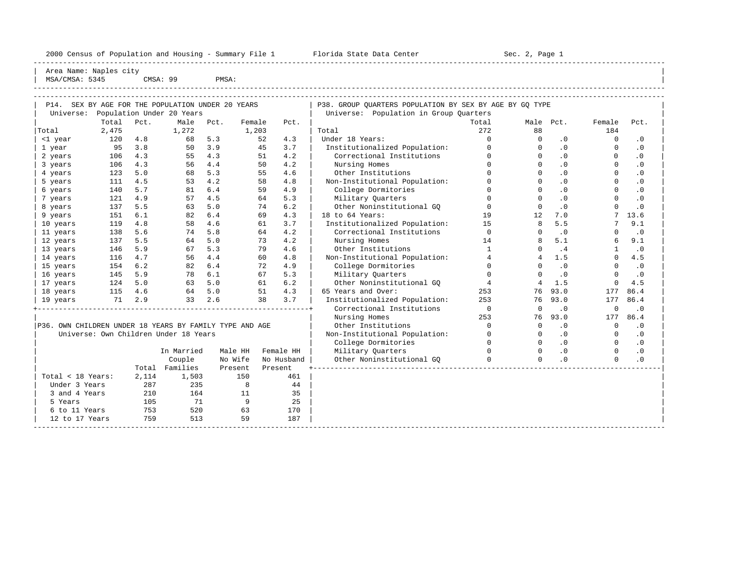2000 Census of Population and Housing - Summary File 1 Florida State Data Center Sec. 2, Page 1 -----------------------------------------------------------------------------------------------------------------------------------------------------

Area Name: Naples city | MSA/CMSA: 5345 CMSA: 99 PMSA:

----------------------------------------------------------------------------------------------------------------------------------------------------- ----------------------------------------------------------------------------------------------------------------------------------------------------- | P14. SEX BY AGE FOR THE POPULATION UNDER 20 YEARS | | P38. GROUP OUARTERS POPULATION BY SEX BY AGE BY GO TYPE

|                                                         |        |       | OBA DI AGB FOR INS FOFODAILON ONDER 20 IBARD |        |         |            | 190. GMOOF QOAMIEMS FOFODAIION DI SEA DI AGE DI GQ IIFE |                |             |           |              |           |
|---------------------------------------------------------|--------|-------|----------------------------------------------|--------|---------|------------|---------------------------------------------------------|----------------|-------------|-----------|--------------|-----------|
| Universe:                                               |        |       | Population Under 20 Years                    |        |         |            | Universe: Population in Group Quarters                  |                |             |           |              |           |
|                                                         | Total  | Pct.  | Male                                         | Pct.   | Female  | Pct.       |                                                         | Total          | Male Pct.   |           | Female       | Pct.      |
| Total                                                   | 2,475  |       | 1,272                                        |        | 1,203   |            | Total                                                   | 272            | 88          |           | 184          |           |
| <1 year                                                 | 120    | 4.8   | 68                                           | 5.3    | 52      | 4.3        | Under 18 Years:                                         | $\Omega$       | $\Omega$    | $\cdot$ 0 | $\Omega$     | $\cdot$ 0 |
| 1 year                                                  | 95     | 3.8   | 50                                           | 3.9    | 45      | 3.7        | Institutionalized Population:                           | $\Omega$       |             | $\cdot$ 0 | $\Omega$     | $\cdot$ 0 |
| 2 years                                                 | 106    | 4.3   | 55                                           | 4.3    | 51      | 4.2        | Correctional Institutions                               | $\Omega$       | $\Omega$    | .0        | $\Omega$     | $\cdot$ 0 |
| 3 years                                                 | 106    | 4.3   | 56                                           | 4.4    | 50      | 4.2        | Nursing Homes                                           | $\Omega$       | $\Omega$    | .0        | $\Omega$     | $\cdot$ 0 |
| 4 years                                                 | 123    | 5.0   | 68                                           | 5.3    | 55      | 4.6        | Other Institutions                                      | $\Omega$       | $\Omega$    | .0        | $\Omega$     | $\cdot$ 0 |
| 5 years                                                 | 111    | 4.5   | 53                                           | 4.2    | 58      | 4.8        | Non-Institutional Population:                           | $\Omega$       | $\Omega$    | .0        | $\Omega$     | $\cdot$ 0 |
| 6 years                                                 | 140    | 5.7   | 81                                           | 6.4    | 59      | 4.9        | College Dormitories                                     | $\Omega$       | $\Omega$    | .0        | $\Omega$     | $\cdot$ 0 |
| 7 years                                                 | 121    | 4.9   | 57                                           | 4.5    | 64      | 5.3        | Military Quarters                                       | $\Omega$       | $\Omega$    | .0        | $\Omega$     | $\cdot$ 0 |
| 8 years                                                 | 137    | 5.5   | 63                                           | 5.0    | 74      | 6.2        | Other Noninstitutional GO                               | $\Omega$       | $\Omega$    | .0        | $\Omega$     | $\cdot$ 0 |
| 9 years                                                 | 151    | 6.1   | 82                                           | 6.4    | 69      | 4.3        | 18 to 64 Years:                                         | 19             | 12          | 7.0       |              | 13.6      |
| 10 years                                                | 119    | 4.8   | 58                                           | 4.6    | 61      | 3.7        | Institutionalized Population:                           | 15             | 8           | 5.5       |              | 9.1       |
| 11 years                                                | 138    | 5.6   | 74                                           | 5.8    | 64      | 4.2        | Correctional Institutions                               | $\mathbf 0$    | $\Omega$    | .0        | O            | $\cdot$ 0 |
| 12 years                                                | 137    | 5.5   | 64                                           | 5.0    | 73      | 4.2        | Nursing Homes                                           | 14             | 8           | 5.1       | 6            | 9.1       |
| 13 years                                                | 146    | 5.9   | 67                                           | 5.3    | 79      | 4.6        | Other Institutions                                      | $\mathbf{1}$   | $\Omega$    | .4        | $\mathbf{1}$ | .0        |
| 14 years                                                | 116    | 4.7   | 56                                           | 4.4    | 60      | 4.8        | Non-Institutional Population:                           | $\overline{4}$ | 4           | 1.5       | $\Omega$     | 4.5       |
| 15 years                                                | 154    | 6.2   | 82                                           | 6.4    | 72      | 4.9        | College Dormitories                                     | $\Omega$       | $\Omega$    | .0        | $\Omega$     | $\cdot$ 0 |
| 16 years                                                | 145    | 5.9   | 78                                           | 6.1    | 67      | 5.3        | Military Ouarters                                       | $\Omega$       | $\Omega$    | .0        | $\Omega$     | .0        |
| 17 years                                                | 124    | 5.0   | 63                                           | 5.0    | 61      | 6.2        | Other Noninstitutional GO                               | $\overline{4}$ | 4           | 1.5       | 0            | 4.5       |
| 18 years                                                | 115    | 4.6   |                                              | 64 5.0 | 51      | 4.3        | 65 Years and Over:                                      | 253            | 76          | 93.0      | 177          | 86.4      |
| 19 years                                                | 71 2.9 |       | 33                                           | 2.6    | 38      | 3.7        | Institutionalized Population:                           | 253            | 76          | 93.0      | 177          | 86.4      |
|                                                         |        |       |                                              |        |         |            | Correctional Institutions                               | $\overline{0}$ | 0           | $\cdot$ 0 | 0            | $\cdot$ 0 |
|                                                         |        |       |                                              |        |         |            | Nursing Homes                                           | 253            | 76          | 93.0      | 177          | 86.4      |
| P36. OWN CHILDREN UNDER 18 YEARS BY FAMILY TYPE AND AGE |        |       |                                              |        |         |            | Other Institutions                                      | $\Omega$       | $\mathbf 0$ | $\cdot$ 0 | $\mathbf 0$  | $\cdot$ 0 |
|                                                         |        |       | Universe: Own Children Under 18 Years        |        |         |            | Non-Institutional Population:                           | $\Omega$       | $\Omega$    | .0        | $\Omega$     | $\cdot$ 0 |
|                                                         |        |       |                                              |        |         |            | College Dormitories                                     | $\Omega$       | $\Omega$    | .0        | $\Omega$     | $\cdot$ 0 |
|                                                         |        |       | In Married                                   |        | Male HH | Female HH  | Military Quarters                                       | $\Omega$       | $\Omega$    | .0        | $\Omega$     | $\cdot$ 0 |
|                                                         |        |       | Couple                                       |        | No Wife | No Husband | Other Noninstitutional GO                               | $\Omega$       | $\Omega$    | .0        | $\Omega$     | .0        |
|                                                         |        |       | Total Families                               |        | Present | Present    |                                                         |                |             |           |              |           |
| Total < 18 Years:                                       |        | 2,114 | 1,503                                        |        | 150     | 461        |                                                         |                |             |           |              |           |
| Under 3 Years                                           |        | 287   | 235                                          |        | 8       | 44         |                                                         |                |             |           |              |           |
| 3 and 4 Years                                           |        | 210   | 164                                          |        | 11      | 35         |                                                         |                |             |           |              |           |
| 5 Years                                                 |        | 105   | 71                                           |        | 9       | 25         |                                                         |                |             |           |              |           |
| 6 to 11 Years                                           |        | 753   | 520                                          |        | 63      | 170        |                                                         |                |             |           |              |           |
| 12 to 17 Years                                          |        | 759   | 513                                          |        | 59      | 187        |                                                         |                |             |           |              |           |
|                                                         |        |       |                                              |        |         |            |                                                         |                |             |           |              |           |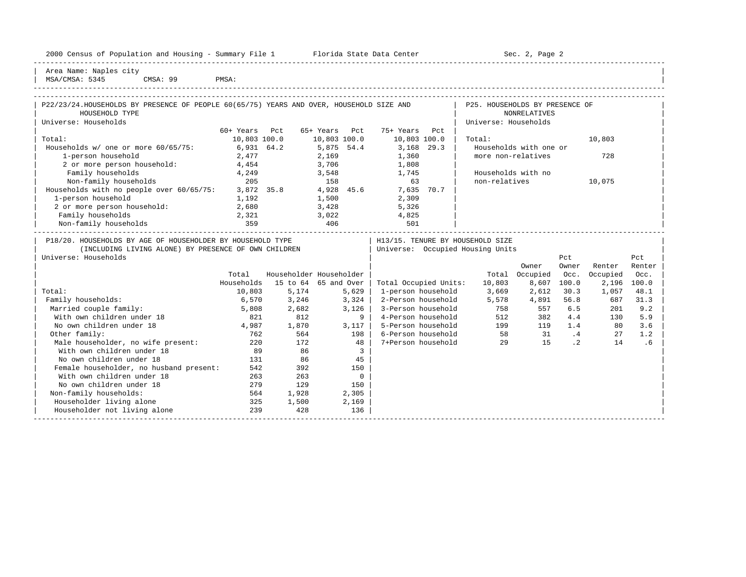|  |  |  | 2000 Census of Population and Housing - Summary File 1 |  |  |  |  |  |  |
|--|--|--|--------------------------------------------------------|--|--|--|--|--|--|
|--|--|--|--------------------------------------------------------|--|--|--|--|--|--|

Plorida State Data Center - Sec. 2, Page 2 -----------------------------------------------------------------------------------------------------------------------------------------------------

| Area Name: Naples city | | MSA/CMSA: 5345 CMSA: 99 PMSA:

| $1.10117 - 1.10117$ | ---- | ------ | . |  |
|---------------------|------|--------|---|--|
|                     |      |        |   |  |

| P22/23/24. HOUSEHOLDS BY PRESENCE OF PEOPLE 60(65/75) YEARS AND OVER, HOUSEHOLD SIZE AND |               |            |               |               |      | P25. HOUSEHOLDS BY PRESENCE OF |        |  |
|------------------------------------------------------------------------------------------|---------------|------------|---------------|---------------|------|--------------------------------|--------|--|
| HOUSEHOLD TYPE                                                                           |               |            |               |               |      | NONRELATIVES                   |        |  |
| Universe: Households                                                                     |               |            |               |               |      | Universe: Households           |        |  |
|                                                                                          | 60+ Years Pct |            | 65+ Years Pct | 75+ Years Pct |      |                                |        |  |
| Total:                                                                                   | 10,803 100.0  |            | 10,803 100.0  | 10,803 100.0  |      | Total:                         | 10,803 |  |
| Households w/ one or more 60/65/75:                                                      |               | 6,931 64.2 | 5,875 54.4    | 3,168 29.3    |      | Households with one or         |        |  |
| 1-person household                                                                       | 2,477         |            | 2,169         | 1,360         |      | more non-relatives             | 728    |  |
| 2 or more person household:                                                              | 4,454         |            | 3,706         | 1,808         |      |                                |        |  |
| Family households                                                                        | 4,249         |            | 3,548         | 1,745         |      | Households with no             |        |  |
| Non-family households                                                                    | 205           |            | 158           | 63            |      | non-relatives                  | 10,075 |  |
| Households with no people over 60/65/75:                                                 | 3,872 35.8    |            | 4,928 45.6    | 7,635         | 70.7 |                                |        |  |
| 1-person household                                                                       | 1,192         |            | 1,500         | 2,309         |      |                                |        |  |
| 2 or more person household:                                                              | 2,680         |            | 3,428         | 5,326         |      |                                |        |  |
| Family households                                                                        | 2,321         |            | 3,022         | 4,825         |      |                                |        |  |
| Non-family households                                                                    | 359           |            | 406           | 501           |      |                                |        |  |
|                                                                                          |               |            |               |               |      |                                |        |  |

| P18/20. HOUSEHOLDS BY AGE OF HOUSEHOLDER BY HOUSEHOLD TYPE |            |          |                         | H13/15. TENURE BY HOUSEHOLD SIZE |        |          |           |          |        |
|------------------------------------------------------------|------------|----------|-------------------------|----------------------------------|--------|----------|-----------|----------|--------|
| (INCLUDING LIVING ALONE) BY PRESENCE OF OWN CHILDREN       |            |          |                         | Universe: Occupied Housing Units |        |          |           |          |        |
| Universe: Households                                       |            |          |                         |                                  |        |          | Pct       |          | Pct    |
|                                                            |            |          |                         |                                  |        | Owner    | Owner     | Renter   | Renter |
|                                                            | Total      |          | Householder Householder |                                  | Total  | Occupied | Occ.      | Occupied | Occ.   |
|                                                            | Households | 15 to 64 | 65 and Over             | Total Occupied Units:            | 10,803 | 8,607    | 100.0     | 2,196    | 100.0  |
| Total:                                                     | 10,803     | 5,174    | 5,629                   | 1-person household               | 3,669  | 2,612    | 30.3      | 1,057    | 48.1   |
| Family households:                                         | 6,570      | 3,246    | 3,324                   | 2-Person household               | 5,578  | 4,891    | 56.8      | 687      | 31.3   |
| Married couple family:                                     | 5,808      | 2,682    | 3,126                   | 3-Person household               | 758    | 557      | 6.5       | 201      | 9.2    |
| With own children under 18                                 | 821        | 812      | 9                       | 4-Person household               | 512    | 382      | 4.4       | 130      | 5.9    |
| No own children under 18                                   | 4,987      | 1,870    | 3,117                   | 5-Person household               | 199    | 119      | 1.4       | 80       | 3.6    |
| Other family:                                              | 762        | 564      | 198                     | 6-Person household               | 58     | 31       | .4        | 27       | 1.2    |
| Male householder, no wife present:                         | 220        | 172      | 48                      | 7+Person household               | 29     | 15       | $\cdot$ 2 | 14       | . 6    |
| With own children under 18                                 | 89         | 86       | 3                       |                                  |        |          |           |          |        |
| No own children under 18                                   | 131        | 86       | 45                      |                                  |        |          |           |          |        |
| Female householder, no husband present:                    | 542        | 392      | 150                     |                                  |        |          |           |          |        |
| With own children under 18                                 | 263        | 263      | $\Omega$                |                                  |        |          |           |          |        |
| No own children under 18                                   | 279        | 129      | 150                     |                                  |        |          |           |          |        |
| Non-family households:                                     | 564        | 1,928    | 2,305                   |                                  |        |          |           |          |        |
| Householder living alone                                   | 325        | 1,500    | 2,169                   |                                  |        |          |           |          |        |
| Householder not living alone                               | 239        | 428      | 136                     |                                  |        |          |           |          |        |
|                                                            |            |          |                         |                                  |        |          |           |          |        |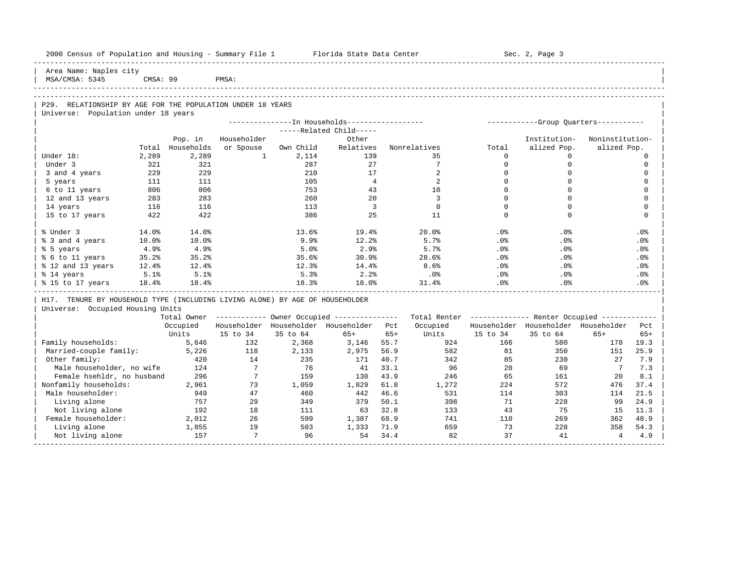| 2000 Census of Population and Housing - Summary File 1 Florida State Data Center |          |                  |                |                           |                                                       |       |                                                          |             | Sec. 2, Page 3                      |                 |                 |
|----------------------------------------------------------------------------------|----------|------------------|----------------|---------------------------|-------------------------------------------------------|-------|----------------------------------------------------------|-------------|-------------------------------------|-----------------|-----------------|
| Area Name: Naples city<br>MSA/CMSA: 5345                                         | CMSA: 99 |                  | PMSA:          |                           |                                                       |       |                                                          |             |                                     |                 |                 |
|                                                                                  |          |                  |                |                           |                                                       |       |                                                          |             |                                     |                 |                 |
| P29. RELATIONSHIP BY AGE FOR THE POPULATION UNDER 18 YEARS                       |          |                  |                |                           |                                                       |       |                                                          |             |                                     |                 |                 |
| Universe: Population under 18 years                                              |          |                  |                |                           |                                                       |       |                                                          |             |                                     |                 |                 |
|                                                                                  |          |                  |                |                           |                                                       |       |                                                          |             |                                     |                 |                 |
|                                                                                  |          |                  |                |                           | -----Related Child-----                               |       |                                                          |             |                                     |                 |                 |
|                                                                                  |          | Pop. in          | Householder    |                           | Other                                                 |       |                                                          |             | Institution-                        | Noninstitution- |                 |
|                                                                                  |          | Total Households | or Spouse      | Own Child                 | Relatives                                             |       | Nonrelatives                                             | Total       | alized Pop.                         | alized Pop.     |                 |
| Under 18:                                                                        | 2,289    | 2,289            |                | $1 \quad \cdots$<br>2,114 | 139                                                   |       | 35                                                       | $\Omega$    | $\Omega$                            |                 | $\Omega$        |
| Under 3                                                                          | 321      | 321              |                | 287                       | 27                                                    |       | $7\overline{ }$                                          | $\mathbf 0$ | $\Omega$                            |                 | $\mathbf 0$     |
| 3 and 4 years                                                                    | 229      | 229              |                | 210                       | 17                                                    |       | 2                                                        | $\Omega$    | $\mathbf 0$                         |                 | $\mathbf 0$     |
| 5 years                                                                          | 111      | 111              |                | 105                       | $\overline{4}$                                        |       | 2                                                        | $\Omega$    | $\Omega$                            |                 | $\mathbf 0$     |
| 6 to 11 years                                                                    | 806      | 806              |                | 753                       | 43                                                    |       | 10                                                       | $\Omega$    | $\Omega$                            |                 | $\mathbf 0$     |
| 12 and 13 years                                                                  | 283      | 283              |                | 260                       | 20                                                    |       | $\overline{3}$                                           | $\Omega$    | $\Omega$                            |                 | $\mathbf 0$     |
| 14 years                                                                         | 116      | 116              |                | 113                       | $\overline{\mathbf{3}}$                               |       | $\mathbf 0$                                              | $\Omega$    | $\Omega$                            |                 | $\mathbf 0$     |
| 15 to 17 years                                                                   | 422      | 422              |                | 386                       | 25                                                    |       | 11                                                       | $\Omega$    | $\Omega$                            |                 | $\Omega$        |
| % Under 3                                                                        | 14.0%    | 14.0%            |                | 13.6%                     | 19.4%                                                 |       | $20.0$ <sup>8</sup>                                      | .0%         | .0%                                 |                 | .0 <sub>8</sub> |
| % 3 and 4 years                                                                  | 10.0%    | 10.0%            |                | 9.9%                      | 12.2%                                                 |       | 5.7%                                                     | .0%         | .0%                                 |                 | .0%             |
| % 5 years                                                                        | 4.9%     | 4.9%             |                | 5.0%                      | 2.9%                                                  |       | 5.7%                                                     | .0%         | .0%                                 |                 | .0%             |
| % 6 to 11 years                                                                  | 35.2%    | 35.2%            |                | 35.6%                     | 30.9%                                                 |       | 28.6%                                                    | $.0\%$      | .0%                                 |                 | .0%             |
| % 12 and 13 years                                                                | $12.4\%$ | 12.4%            |                | 12.3%                     | 14.4%                                                 |       | 8.6%                                                     | .0%         | .0%                                 |                 | .0%             |
| % 14 years                                                                       | 5.1%     | 5.1%             |                | 5.3%                      | 2.2%                                                  |       | .0%                                                      | $.0\%$      | .0%                                 |                 | .0%             |
| % 15 to 17 years                                                                 | 18.4%    | 18.4%            |                | 18.3%                     | 18.0%                                                 |       | 31.4%                                                    | $.0\%$      | .0%                                 |                 | .0%             |
| H17. TENURE BY HOUSEHOLD TYPE (INCLUDING LIVING ALONE) BY AGE OF HOUSEHOLDER     |          |                  |                |                           |                                                       |       |                                                          |             |                                     |                 |                 |
| Universe: Occupied Housing Units                                                 |          |                  |                |                           |                                                       |       |                                                          |             |                                     |                 |                 |
|                                                                                  |          |                  |                |                           | Total Owner ----------- Owner Occupied -------------- |       | Total Renter ------------- Renter Occupied ------------- |             |                                     |                 |                 |
|                                                                                  |          | Occupied         |                |                           | Householder Householder Householder Pct               |       | Occupied                                                 |             | Householder Householder Householder |                 | Pct             |
|                                                                                  |          | Units            | 15 to 34       | 35 to 64                  | 65+                                                   | $65+$ | Units                                                    | 15 to 34    | 35 to 64                            | $65+$           | $65+$           |
| Family households:                                                               |          | 5,646            | 132            | 2,368                     | 3,146 55.7                                            |       | 924                                                      | 166         | 580                                 | 178             | 19.3            |
| Married-couple family:                                                           |          | 5,226            | 118            | 2,133                     | 2,975                                                 | 56.9  | 582                                                      | 81          | 350                                 | 151             | 25.9            |
| Other family:                                                                    |          | 420              | 14             | 235                       | 171                                                   | 40.7  | 342                                                      | 85          | 230                                 | 27              | 7.9             |
| Male householder, no wife                                                        |          | 124              | $\overline{7}$ | 76                        | 41                                                    | 33.1  | 96                                                       | 20          | 69                                  | $7^{\circ}$     | 7.3             |
| Female hsehldr, no husband                                                       |          | 296              | $\overline{7}$ | 159                       | 130                                                   | 43.9  | 246                                                      | 65          | 161                                 | 20              | 8.1             |
| Nonfamily households:                                                            |          | 2,961            | 73             | 1,059                     | 1,829                                                 | 61.8  | 1,272                                                    | 224         | 572                                 | 476             | 37.4            |
| Male householder:                                                                |          | 949              | 47             | 460                       | 442                                                   | 46.6  | 531                                                      | 114         | 303                                 | 114             | 21.5            |
| Living alone                                                                     |          | 757              | 29             | 349                       | 379                                                   | 50.1  | 398                                                      | 71          | 228                                 | 99              | 24.9            |
| Not living alone                                                                 |          | 192              | 18             | 111                       | 63                                                    | 32.8  | 133                                                      | 43          | 75                                  | 15              | 11.3            |
| Female householder:                                                              |          | 2,012            | 26             | 599                       | 1,387                                                 | 68.9  | 741                                                      | 110         | 269                                 | 362             | 48.9            |
| Living alone                                                                     |          | 1,855            | 19             | 503                       | 1,333                                                 | 71.9  | 659                                                      | 73          | 228                                 | 358             | 54.3            |

| Not living alone 157 7 96 54 34.4 82 37 41 4 4.9 | -----------------------------------------------------------------------------------------------------------------------------------------------------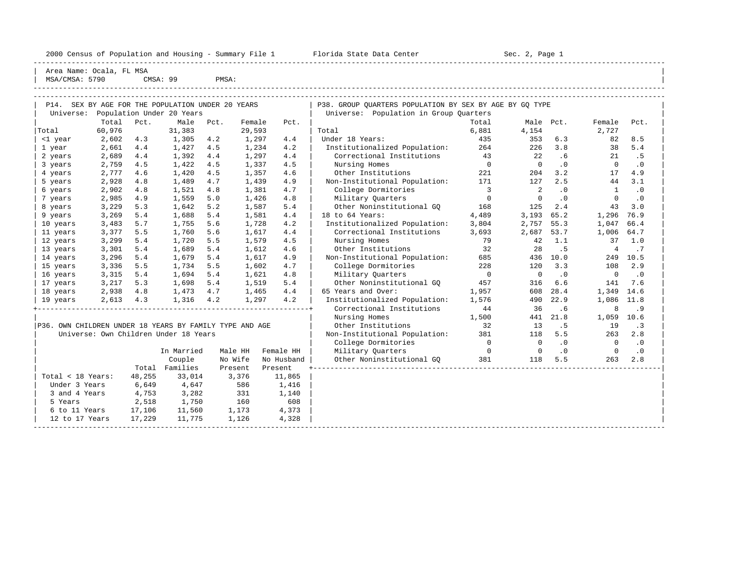2000 Census of Population and Housing - Summary File 1 Telorida State Data Center Sec. 2, Page 1 North Sec. 2, Page

----------------------------------------------------------------------------------------------------------------------------------------------------- | Area Name: Ocala, FL MSA

| 5790<br>MS <sub>1</sub><br>1000C | CMSA: | QQ | PMSA |  |
|----------------------------------|-------|----|------|--|
|                                  |       |    |      |  |

| P14.                                                    |           |        | SEX BY AGE FOR THE POPULATION UNDER 20 YEARS |      |         |            | P38. GROUP OUARTERS POPULATION BY SEX BY AGE BY GO TYPE |                          |                |           |                |           |
|---------------------------------------------------------|-----------|--------|----------------------------------------------|------|---------|------------|---------------------------------------------------------|--------------------------|----------------|-----------|----------------|-----------|
| Universe:                                               | Total     | Pct.   | Population Under 20 Years<br>Male            | Pct. | Female  | Pct.       | Universe: Population in Group Quarters                  | Total                    | Male Pct.      |           | Female         | Pct.      |
| Total                                                   | 60,976    |        | 31,383                                       |      | 29,593  |            | Total                                                   | 6,881                    | 4,154          |           | 2,727          |           |
| <1 year                                                 | 2,602     | 4.3    | 1,305                                        | 4.2  | 1,297   | 4.4        | Under 18 Years:                                         | 435                      | 353            | 6.3       | 82             | 8.5       |
| 1 year                                                  | 2,661     | 4.4    | 1,427                                        | 4.5  | 1,234   | 4.2        | Institutionalized Population:                           | 264                      | 226            | 3.8       | 38             | 5.4       |
| 2 years                                                 | 2,689     | 4.4    | 1,392                                        | 4.4  | 1,297   | 4.4        | Correctional Institutions                               | 43                       | 22             | .6        | 21             | .5        |
| 3 years                                                 | 2,759     | 4.5    | 1,422                                        | 4.5  | 1,337   | 4.5        | Nursing Homes                                           | $\overline{0}$           | $\overline{0}$ | $\cdot$ 0 | $\mathbf 0$    | $\cdot$ 0 |
| 4 years                                                 | 2,777     | 4.6    | 1,420                                        | 4.5  | 1,357   | 4.6        | Other Institutions                                      | 221                      | 204            | 3.2       | 17             | 4.9       |
| 5 years                                                 | 2,928     | 4.8    | 1,489                                        | 4.7  | 1,439   | 4.9        | Non-Institutional Population:                           | 171                      | 127            | 2.5       | 44             | 3.1       |
| 6 years                                                 | 2,902     | 4.8    | 1,521                                        | 4.8  | 1,381   | 4.7        | College Dormitories                                     | $\overline{\phantom{a}}$ | 2              | $\cdot$ 0 | 1              | $\cdot$ 0 |
| 7 years                                                 | 2,985     | 4.9    | 1,559                                        | 5.0  | 1,426   | 4.8        | Military Quarters                                       | $\overline{0}$           | $\Omega$       | $\cdot$ 0 | $\Omega$       | $\cdot$ 0 |
| 8 years                                                 | 3,229     | 5.3    | 1,642                                        | 5.2  | 1,587   | 5.4        | Other Noninstitutional GO                               | 168                      | 125            | 2.4       | 43             | 3.0       |
| 9 years                                                 | 3,269     | 5.4    | 1,688                                        | 5.4  | 1,581   | 4.4        | 18 to 64 Years:                                         | 4,489                    | 3,193          | 65.2      | 1,296          | 76.9      |
|                                                         | 3,483     | 5.7    | 1,755                                        | 5.6  | 1,728   | 4.2        | Institutionalized Population:                           | 3,804                    | 2,757          | 55.3      | 1,047          | 66.4      |
| 10 years<br>11 years                                    | 3,377     | 5.5    | 1,760                                        | 5.6  | 1,617   | 4.4        | Correctional Institutions                               | 3,693                    | 2,687          | 53.7      | 1,006          | 64.7      |
| 12 years                                                | 3,299     | 5.4    | 1,720                                        | 5.5  | 1,579   | 4.5        | Nursing Homes                                           | 79                       | 42             | 1.1       | 37             | 1.0       |
| 13 years                                                | 3,301     | 5.4    | 1,689                                        | 5.4  | 1,612   | 4.6        | Other Institutions                                      | 32                       | 28             | . 5       | $\overline{4}$ | .7        |
|                                                         |           |        |                                              |      |         |            |                                                         |                          |                | 10.0      |                |           |
| 14 years                                                | 3,296     | 5.4    | 1,679                                        | 5.4  | 1,617   | 4.9        | Non-Institutional Population:                           | 685                      | 436            |           | 249            | 10.5      |
| 15 years                                                | 3,336     | 5.5    | 1,734                                        | 5.5  | 1,602   | 4.7        | College Dormitories                                     | 228                      | 120            | 3.3       | 108            | 2.9       |
| 16 years                                                | 3,315     | 5.4    | 1,694                                        | 5.4  | 1,621   | 4.8        | Military Quarters                                       | $\overline{0}$           | $\bigcirc$     | $\cdot$ 0 | $\mathbf 0$    | $\cdot$ 0 |
| 17 years                                                | 3,217     | 5.3    | 1,698                                        | 5.4  | 1,519   | 5.4        | Other Noninstitutional GO                               | 457                      | 316            | 6.6       | 141            | 7.6       |
| 18 years                                                | 2,938     | 4.8    | 1,473 4.7                                    |      | 1,465   | 4.4        | 65 Years and Over:                                      | 1,957                    | 608            | 28.4      | 1,349          | 14.6      |
| 19 years                                                | 2,613 4.3 |        | 1,316 4.2                                    |      | 1,297   | 4.2        | Institutionalized Population:                           | 1,576                    | 490            | 22.9      | 1,086 11.8     |           |
|                                                         |           |        |                                              |      |         |            | Correctional Institutions                               | 44                       | 36             | .6        | 8              | .9        |
|                                                         |           |        |                                              |      |         |            | Nursing Homes                                           | 1,500                    | 441            | 21.8      | 1,059          | 10.6      |
| P36. OWN CHILDREN UNDER 18 YEARS BY FAMILY TYPE AND AGE |           |        |                                              |      |         |            | Other Institutions                                      | 32                       | 13             | . 5       | 19             | $\cdot$ 3 |
|                                                         |           |        | Universe: Own Children Under 18 Years        |      |         |            | Non-Institutional Population:                           | 381                      | 118            | 5.5       | 263            | 2.8       |
|                                                         |           |        |                                              |      |         |            | College Dormitories                                     | $\overline{0}$           | $\overline{0}$ | $\cdot$ 0 | $\overline{0}$ | $\cdot$ 0 |
|                                                         |           |        | In Married                                   |      | Male HH | Female HH  | Military Quarters                                       | $\overline{0}$           | $\overline{0}$ | $\cdot$ 0 | $\Omega$       | $\cdot$ 0 |
|                                                         |           |        | Couple                                       |      | No Wife | No Husband | Other Noninstitutional GO                               | 381                      | 118            | 5.5       | 263            | 2.8       |
|                                                         |           |        | Total Families                               |      | Present | Present    |                                                         |                          |                |           |                |           |
| Total < 18 Years:                                       |           | 48,255 | 33,014                                       |      | 3,376   | 11,865     |                                                         |                          |                |           |                |           |
| Under 3 Years                                           |           | 6,649  | 4,647                                        |      | 586     | 1,416      |                                                         |                          |                |           |                |           |
| 3 and 4 Years                                           |           | 4,753  | 3,282                                        |      | 331     | 1,140      |                                                         |                          |                |           |                |           |
| 5 Years                                                 |           | 2,518  | 1,750                                        |      | 160     | 608        |                                                         |                          |                |           |                |           |
| 6 to 11 Years                                           |           | 17,106 | 11,560                                       |      | 1,173   | 4,373      |                                                         |                          |                |           |                |           |
| 12 to 17 Years                                          |           | 17,229 | 11,775                                       |      | 1,126   | 4,328      |                                                         |                          |                |           |                |           |
|                                                         |           |        |                                              |      |         |            |                                                         |                          |                |           |                |           |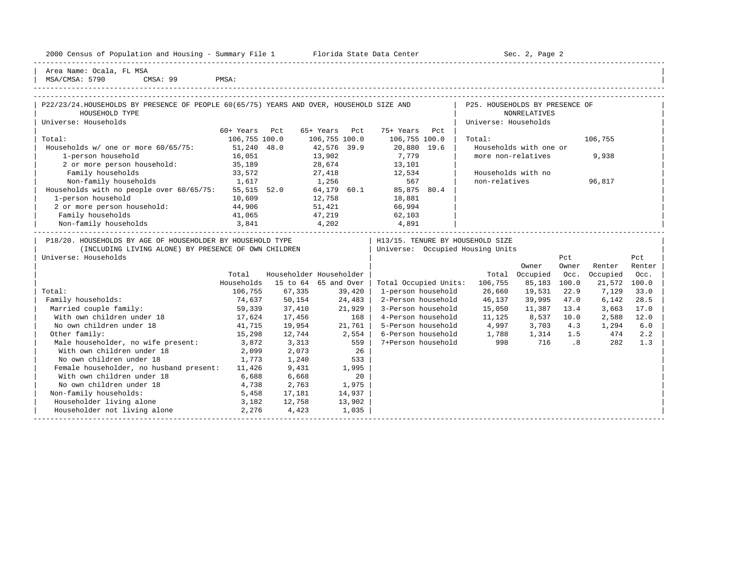| 2000 Census of Population and Housing - Summary File 1 |  |  |  |  |  |  |  |
|--------------------------------------------------------|--|--|--|--|--|--|--|
|--------------------------------------------------------|--|--|--|--|--|--|--|

Plorida State Data Center - Sec. 2, Page 2

Area Name: Ocala, FL MSA | MSA/CMSA: 5790 CMSA: 99 PMSA:

Householder not living alone

## -----------------------------------------------------------------------------------------------------------------------------------------------------

-----------------------------------------------------------------------------------------------------------------------------------------------------

| P22/23/24.HOUSEHOLDS BY PRESENCE OF PEOPLE 60(65/75) YEARS AND OVER, HOUSEHOLD SIZE AND<br>HOUSEHOLD TYPE |               |               |                         |                                    | P25. HOUSEHOLDS BY PRESENCE OF | <b>NONRELATIVES</b>    |       |          |        |
|-----------------------------------------------------------------------------------------------------------|---------------|---------------|-------------------------|------------------------------------|--------------------------------|------------------------|-------|----------|--------|
|                                                                                                           |               |               |                         |                                    |                                |                        |       |          |        |
| Universe: Households                                                                                      |               |               |                         |                                    | Universe: Households           |                        |       |          |        |
|                                                                                                           | 60+ Years Pct |               |                         | 65+ Years Pct 75+ Years Pct        |                                |                        |       |          |        |
| Total:<br>$106,755$ $100.0$                                                                               |               |               |                         |                                    | Total:                         |                        |       | 106,755  |        |
| Households w/ one or more 60/65/75: 51,240 48.0                                                           |               |               |                         | 42,576 39.9 20,880 19.6            |                                | Households with one or |       |          |        |
| 1-person household                                                                                        | 16,051        |               |                         | 13,902 7,779                       |                                | more non-relatives     |       | 9,938    |        |
| 2 or more person household: 35,189 28,674 13,101                                                          |               |               |                         |                                    |                                |                        |       |          |        |
| Family households                                                                                         | 33,572        |               |                         | 27,418 12,534                      |                                | Households with no     |       |          |        |
|                                                                                                           |               |               |                         |                                    | non-relatives                  |                        |       | 96,817   |        |
| Non-family households<br>Households with no people over 60/65/75: 55,515 52.0 64,179 60.1 85,875 80.4     |               |               |                         |                                    |                                |                        |       |          |        |
| 1-person household<br>10,609                                                                              |               |               | 12,758                  | 18,881                             |                                |                        |       |          |        |
| 2 or more person household: 44,906                                                                        |               |               |                         | 51,421 66,994                      |                                |                        |       |          |        |
| Family households<br>41,065                                                                               |               |               |                         | 47,219 62,103                      |                                |                        |       |          |        |
| Non-family households 3,841                                                                               |               | 4,202         |                         | 4,891                              |                                |                        |       |          |        |
|                                                                                                           |               |               |                         |                                    |                                |                        |       |          |        |
| P18/20. HOUSEHOLDS BY AGE OF HOUSEHOLDER BY HOUSEHOLD TYPE                                                |               |               |                         | H13/15. TENURE BY HOUSEHOLD SIZE   |                                |                        |       |          |        |
| (INCLUDING LIVING ALONE) BY PRESENCE OF OWN CHILDREN   Universe: Occupied Housing Units                   |               |               |                         |                                    |                                |                        |       |          |        |
| Universe: Households                                                                                      |               |               |                         |                                    |                                |                        | Pct   |          | Pct    |
|                                                                                                           |               |               |                         |                                    |                                | Owner                  | Owner | Renter   | Renter |
|                                                                                                           | Total         |               | Householder Householder |                                    |                                | Total Occupied Occ.    |       | Occupied | Occ.   |
|                                                                                                           | Households    |               | 15 to 64 65 and Over    | Total Occupied Units:              | 106,755                        | 85,183 100.0           |       | 21,572   | 100.0  |
| Total:                                                                                                    | 106,755       | 67,335        | 39,420                  | 1-person household                 | 26,660                         | 19,531                 | 22.9  | 7,129    | 33.0   |
| Family households:                                                                                        | 74,637        | 50,154        | 24,483                  | 2-Person household                 | 46,137                         | 39,995                 | 47.0  | 6,142    | 28.5   |
| Married couple family:                                                                                    | 59,339        | 37,410        | 21,929                  | 3-Person household                 | 15,050                         | 11,387                 | 13.4  | 3,663    | 17.0   |
| With own children under 18 17,624                                                                         |               | 17,456        | 168                     | 4-Person household                 | 11,125                         | 8,537                  | 10.0  | 2,588    | 12.0   |
| No own children under 18<br>41,715                                                                        |               | 19,954        | 21,761                  | 5-Person household                 | 4,997 3,703 4.3                |                        |       | 1,294    | 6.0    |
| Other family:                                                                                             |               | 15,298 12,744 | 2,554                   | 6-Person household 1,788 1,314 1.5 |                                |                        |       | 474      | 2.2    |
| Male householder, no wife present: 3,872 3,313                                                            |               |               | 559                     | 7+Person household 998 716 .8      |                                |                        |       | 282      | 1.3    |
| With own children under 18                                                                                |               | 2,099 2,073   | 26                      |                                    |                                |                        |       |          |        |
| No own children under 18                                                                                  |               | 1,773 1,240   | 533                     |                                    |                                |                        |       |          |        |
| Female householder, no husband present: 11,426 9,431                                                      |               |               | 1,995                   |                                    |                                |                        |       |          |        |
| With own children under 18                                                                                |               | 6,668         | 20                      |                                    |                                |                        |       |          |        |
| No own children under 18                                                                                  | 6,688         | 2,763         |                         |                                    |                                |                        |       |          |        |
|                                                                                                           | 4,738         |               | 1,975                   |                                    |                                |                        |       |          |        |
| Non-family households:                                                                                    | 5,458         | 17,181        | 14,937                  |                                    |                                |                        |       |          |        |

-----------------------------------------------------------------------------------------------------------------------------------------------------

| Householder living alone 3,182 12,758 13,902 | |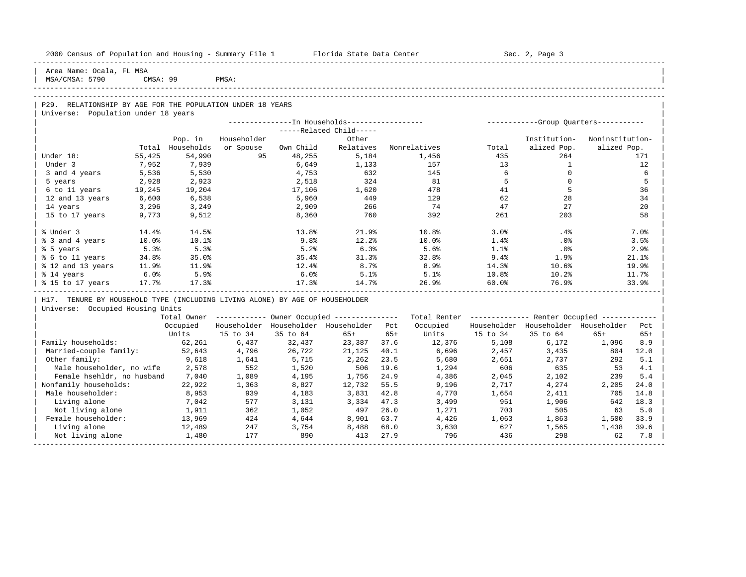| 2000 Census of Population and Housing - Summary File 1 Florida State Data Center |        |                  |             |          |                                                       |       |                                                         |                 | Sec. 2, Page 3                      |             |       |
|----------------------------------------------------------------------------------|--------|------------------|-------------|----------|-------------------------------------------------------|-------|---------------------------------------------------------|-----------------|-------------------------------------|-------------|-------|
| Area Name: Ocala, FL MSA<br>MSA/CMSA: 5790                                       |        | CMSA: 99 PMSA:   |             |          |                                                       |       |                                                         |                 |                                     |             |       |
|                                                                                  |        |                  |             |          |                                                       |       |                                                         |                 |                                     |             |       |
| P29. RELATIONSHIP BY AGE FOR THE POPULATION UNDER 18 YEARS                       |        |                  |             |          |                                                       |       |                                                         |                 |                                     |             |       |
| Universe: Population under 18 years                                              |        |                  |             |          |                                                       |       |                                                         |                 |                                     |             |       |
|                                                                                  |        |                  |             |          | -----Related Child-----                               |       |                                                         |                 |                                     |             |       |
|                                                                                  |        | Pop. in          | Householder |          | Other                                                 |       |                                                         |                 | Institution- Noninstitution-        |             |       |
|                                                                                  |        | Total Households |             |          |                                                       |       | or Spouse Own Child Relatives Nonrelatives Total        |                 | alized Pop.                         | alized Pop. |       |
| Under 18:                                                                        | 55,425 | 54,990           |             | 48,255   | 5,184                                                 |       | 1,456                                                   | 435             | 264                                 |             | 171   |
| Under 3                                                                          | 7,952  | 7,939            |             | 6,649    | 1,133                                                 |       | 157                                                     | 13              | $\overline{1}$                      |             | 12    |
| 3 and 4 years                                                                    | 5,536  | 5,530            |             | 4,753    | 632                                                   |       | 145                                                     | $6\overline{6}$ | $\circ$                             |             | 6     |
| 5 years                                                                          | 2,928  | 2,923            |             | 2,518    | 324                                                   |       | 81                                                      | 5               | $\mathbf{0}$                        |             | -5    |
| 6 to 11 years 19,245                                                             |        | 19,204           |             | 17,106   | 1,620                                                 |       | 478                                                     | 41              | 5                                   |             | 36    |
| 12 and 13 years                                                                  | 6,600  | 6,538            |             | 5,960    | 449                                                   |       | 129                                                     | 62              | 28                                  |             | 34    |
| 14 years                                                                         | 3,296  | 3,249            |             | 2,909    | 266                                                   |       | 74                                                      | 47              | 27                                  |             | 20    |
| 15 to 17 years                                                                   | 9,773  | 9,512            |             | 8,360    | 760                                                   |       | 392                                                     | 261             | 203                                 |             | 58    |
| % Under 3                                                                        | 14.4%  | 14.5%            |             | 13.8%    | 21.9%                                                 |       | 10.8%                                                   | 3.0%            | .4%                                 |             | 7.0%  |
| % 3 and 4 years                                                                  | 10.0%  | 10.1%            |             | 9.8%     | 12.2%                                                 |       | $10.0\%$                                                | 1.4%            | $.0\%$                              |             | 3.5%  |
| % 5 years                                                                        | 5.3%   | 5.3%             |             | 5.2%     | 6.3%                                                  |       | 5.6%                                                    | 1.1%            | $.0\%$                              |             | 2.9%  |
| % 6 to 11 years                                                                  | 34.8%  | 35.0%            |             | 35.4%    | 31.3%                                                 |       | 32.8%                                                   | $9.4\%$         | 1.9%                                |             | 21.1% |
| % 12 and 13 years 11.9%                                                          |        | 11.9%            |             | 12.4%    | 8.7%                                                  |       | 8.9%                                                    | 14.3%           | 10.6%                               |             | 19.9% |
| % 14 years                                                                       | 6.0%   | 5.9%             |             | 6.0%     | 5.1%                                                  |       | 5.1%                                                    | $10.8\%$        | 10.2%                               |             | 11.7% |
| % 15 to 17 years 17.7%                                                           |        | 17.3%            |             | 17.3%    | 14.7%                                                 |       | 26.9%                                                   | 60.0%           | 76.9%                               |             | 33.9% |
| H17. TENURE BY HOUSEHOLD TYPE (INCLUDING LIVING ALONE) BY AGE OF HOUSEHOLDER     |        |                  |             |          |                                                       |       |                                                         |                 |                                     |             |       |
| Universe: Occupied Housing Units                                                 |        |                  |             |          |                                                       |       |                                                         |                 |                                     |             |       |
|                                                                                  |        |                  |             |          | Total Owner ----------- Owner Occupied -------------- |       | Total Renter ------------- Renter Occupied ------------ |                 |                                     |             |       |
|                                                                                  |        | Occupied         |             |          | Householder Householder Householder Pct               |       | Occupied                                                |                 | Householder Householder Householder |             | Pct   |
|                                                                                  |        | Units            | 15 to 34    | 35 to 64 | 65+                                                   | $65+$ |                                                         | Units 15 to 34  | 35 to 64                            | 65+         | $65+$ |
| Family households:                                                               |        | 62,261           | 6,437       | 32,437   | 23,387 37.6                                           |       | 12,376                                                  | 5,108           | 6,172                               | 1,096       | 8.9   |
| Married-couple family: 52,643                                                    |        |                  | 4,796       | 26,722   | 21,125                                                | 40.1  | 6,696                                                   | 2,457           | 3,435                               | 804         | 12.0  |
| Other family:                                                                    |        | 9,618            | 1,641       | 5,715    | 2,262                                                 | 23.5  | 5,680                                                   | 2,651           | 2,737                               | 292         | 5.1   |
| Male householder, no wife                                                        |        | 2,578            | 552         | 1,520    | 506                                                   | 19.6  | 1,294                                                   | 606             | 635                                 | 53          | 4.1   |
| Female hsehldr, no husband                                                       |        | 7,040            | 1,089       | 4,195    | 1,756                                                 | 24.9  | 4,386                                                   | 2,045           | 2,102                               | 239         | 5.4   |
| Nonfamily households:                                                            |        | 22,922           | 1,363       | 8,827    | 12,732                                                | 55.5  | 9,196                                                   | 2,717           | 4,274                               | 2,205       | 24.0  |
| Male householder:                                                                |        | 8,953            | 939         | 4,183    | 3,831                                                 | 42.8  | 4,770                                                   | 1,654           | 2,411                               | 705         | 14.8  |
| Living alone                                                                     |        | 7,042            | 577         | 3,131    | 3,334                                                 | 47.3  | 3,499                                                   | 951             | 1,906                               | 642         | 18.3  |
| Not living alone                                                                 |        | 1,911            | 362         | 1,052    | 497                                                   | 26.0  | 1,271                                                   | 703             | 505                                 | 63          | 5.0   |
| Female householder:                                                              |        | 13,969           | 424         | 4,644    | 8,901                                                 | 63.7  | 4,426                                                   | 1,063           | 1,863                               | 1,500       | 33.9  |
| Living alone                                                                     |        | 12,489           | 247         | 3,754    | 8,488                                                 | 68.0  | 3,630                                                   | 627             | 1,565                               | 1,438       | 39.6  |

| Not living alone 1,480 177 890 413 27.9 796 436 298 62 7.8 | -----------------------------------------------------------------------------------------------------------------------------------------------------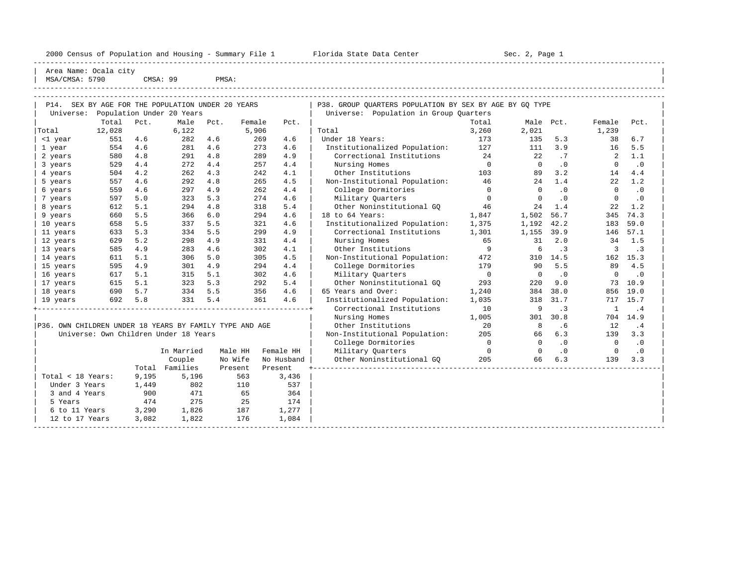| 2000 Census of Population and Housing - Summary File 1 |  |  |  |  |  |  |  |  |  |  |
|--------------------------------------------------------|--|--|--|--|--|--|--|--|--|--|
|--------------------------------------------------------|--|--|--|--|--|--|--|--|--|--|

Florida State Data Center - Sec. 2, Page 1

----------------------------------------------------------------------------------------------------------------------------------------------------- | Area Name: Ocala city | | MSA/CMSA: 5790 CMSA: 99 PMSA:

----------------------------------------------------------------------------------------------------------------------------------------------------- -----------------------------------------------------------------------------------------------------------------------------------------------------

| P14. SEX BY AGE FOR THE POPULATION UNDER 20 YEARS       |        |       |                                       |      |         |            | P38. GROUP QUARTERS POPULATION BY SEX BY AGE BY GQ TYPE |                |                |           |             |           |
|---------------------------------------------------------|--------|-------|---------------------------------------|------|---------|------------|---------------------------------------------------------|----------------|----------------|-----------|-------------|-----------|
| Universe:                                               |        |       | Population Under 20 Years             |      |         |            | Universe: Population in Group Ouarters                  |                |                |           |             |           |
|                                                         | Total  | Pct.  | Male                                  | Pct. | Female  | Pct.       |                                                         | Total          | Male Pct.      |           | Female      | Pct.      |
| Total                                                   | 12,028 |       | 6,122                                 |      | 5,906   |            | Total                                                   | 3,260          | 2,021          |           | 1,239       |           |
| <1 year                                                 | 551    | 4.6   | 282                                   | 4.6  | 269     | 4.6        | Under 18 Years:                                         | 173            | 135            | 5.3       | 38          | 6.7       |
| 1 year                                                  | 554    | 4.6   | 281                                   | 4.6  | 273     | 4.6        | Institutionalized Population:                           | 127            | 111            | 3.9       | 16          | 5.5       |
| 2 years                                                 | 580    | 4.8   | 291                                   | 4.8  | 289     | 4.9        | Correctional Institutions                               | 24             | 22             | .7        | 2           | 1.1       |
| 3 years                                                 | 529    | 4.4   | 272                                   | 4.4  | 257     | 4.4        | Nursing Homes                                           | $\overline{0}$ | $\overline{0}$ | .0        | $\mathbf 0$ | $\cdot$ 0 |
| 4 years                                                 | 504    | 4.2   | 262                                   | 4.3  | 242     | 4.1        | Other Institutions                                      | 103            | 89             | 3.2       | 14          | 4.4       |
| 5 years                                                 | 557    | 4.6   | 292                                   | 4.8  | 265     | 4.5        | Non-Institutional Population:                           | 46             | 24             | 1.4       | 22          | 1.2       |
| 6 years                                                 | 559    | 4.6   | 297                                   | 4.9  | 262     | 4.4        | College Dormitories                                     | $\overline{0}$ | $\Omega$       | .0        | $\Omega$    | $\cdot$ 0 |
| 7 years                                                 | 597    | 5.0   | 323                                   | 5.3  | 274     | 4.6        | Military Quarters                                       | $\bigcirc$     | $\Omega$       | $\cdot$ 0 | $\Omega$    | $\cdot$ 0 |
| 8 years                                                 | 612    | 5.1   | 294                                   | 4.8  | 318     | 5.4        | Other Noninstitutional GO                               | 46             | 24             | 1.4       | 22          | 1.2       |
| 9 years                                                 | 660    | 5.5   | 366                                   | 6.0  | 294     | 4.6        | 18 to 64 Years:                                         | 1,847          | 1,502          | 56.7      | 345         | 74.3      |
| 10 years                                                | 658    | 5.5   | 337                                   | 5.5  | 321     | 4.6        | Institutionalized Population:                           | 1,375          | 1,192          | 42.2      | 183         | 59.0      |
| 11 years                                                | 633    | 5.3   | 334                                   | 5.5  | 299     | 4.9        | Correctional Institutions                               | 1,301          | 1,155          | 39.9      | 146         | 57.1      |
| 12 years                                                | 629    | 5.2   | 298                                   | 4.9  | 331     | 4.4        | Nursing Homes                                           | 65             | 31             | 2.0       | 34          | 1.5       |
| 13 years                                                | 585    | 4.9   | 283                                   | 4.6  | 302     | 4.1        | Other Institutions                                      | 9              | 6              | $\cdot$ 3 | 3           | $\cdot$ 3 |
| 14 years                                                | 611    | 5.1   | 306                                   | 5.0  | 305     | 4.5        | Non-Institutional Population:                           | 472            |                | 310 14.5  |             | 162 15.3  |
| 15 years                                                | 595    | 4.9   | 301                                   | 4.9  | 294     | 4.4        | College Dormitories                                     | 179            | 90             | 5.5       | 89          | 4.5       |
| 16 years                                                | 617    | 5.1   | 315                                   | 5.1  | 302     | 4.6        | Military Ouarters                                       | $\overline{0}$ | $\mathbf 0$    | $\cdot$ 0 | $\mathbf 0$ | $\cdot$ 0 |
| 17 years                                                | 615    | 5.1   | 323                                   | 5.3  | 292     | 5.4        | Other Noninstitutional GQ                               | 293            | 220            | 9.0       | 73          | 10.9      |
| 18 years                                                | 690    | 5.7   | 334                                   | 5.5  | 356     | 4.6        | 65 Years and Over:                                      | 1,240          | 384            | 38.0      | 856         | 19.0      |
| 19 years                                                | 692    | 5.8   | 331                                   | 5.4  | 361     | 4.6        | Institutionalized Population:                           | 1,035          | 318            | 31.7      | 717         | 15.7      |
|                                                         |        |       |                                       |      |         |            | Correctional Institutions                               | 10             | 9              | $\cdot$ 3 | 1           | .4        |
|                                                         |        |       |                                       |      |         |            | Nursing Homes                                           | 1,005          | 301            | 30.8      |             | 704 14.9  |
| P36. OWN CHILDREN UNDER 18 YEARS BY FAMILY TYPE AND AGE |        |       |                                       |      |         |            | Other Institutions                                      | 20             | 8              | .6        | 12          | .4        |
|                                                         |        |       | Universe: Own Children Under 18 Years |      |         |            | Non-Institutional Population:                           | 205            | 66             | 6.3       | 139         | 3.3       |
|                                                         |        |       |                                       |      |         |            | College Dormitories                                     | $\overline{0}$ | $\Omega$       | $\cdot$ 0 | $\bigcirc$  | $\cdot$ 0 |
|                                                         |        |       | In Married                            |      | Male HH | Female HH  | Military Quarters                                       | $\overline{0}$ | $\Omega$       | $\cdot$ 0 | $\circ$     | $\cdot$ 0 |
|                                                         |        |       | Couple                                |      | No Wife | No Husband | Other Noninstitutional GQ                               | 205            | 66             | 6.3       | 139         | 3.3       |
|                                                         |        |       | Total Families                        |      | Present | Present    |                                                         |                |                |           |             |           |
| Total < 18 Years:                                       |        | 9,195 | 5,196                                 |      | 563     | 3,436      |                                                         |                |                |           |             |           |
| Under 3 Years                                           |        | 1,449 | 802                                   |      | 110     | 537        |                                                         |                |                |           |             |           |
| 3 and 4 Years                                           |        | 900   | 471                                   |      | 65      | 364        |                                                         |                |                |           |             |           |
| 5 Years                                                 |        | 474   | 275                                   |      | 25      | 174        |                                                         |                |                |           |             |           |
| 6 to 11 Years                                           |        | 3,290 | 1,826                                 |      | 187     | 1,277      |                                                         |                |                |           |             |           |
| 12 to 17 Years                                          |        | 3,082 | 1,822                                 |      | 176     | 1,084      |                                                         |                |                |           |             |           |
|                                                         |        |       |                                       |      |         |            |                                                         |                |                |           |             |           |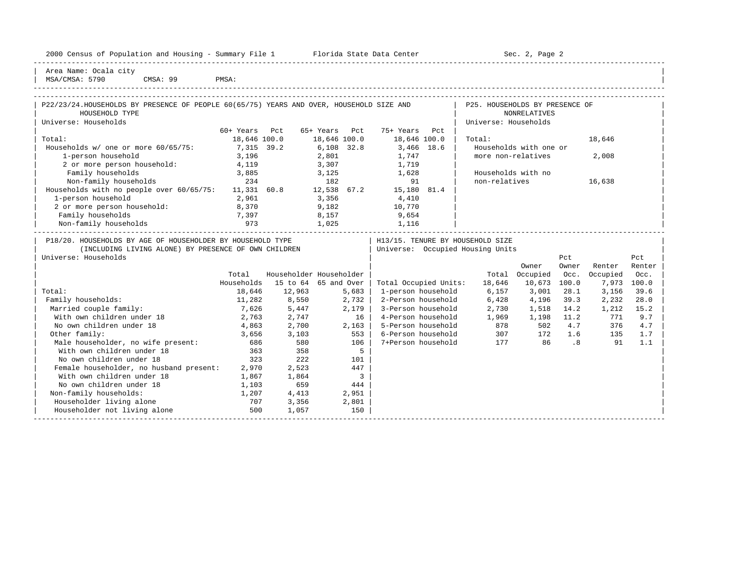| 2000 Census of Population and Housing - Summary File 1 |  | Florida State Data Center | Sec. 2, Page 2 |
|--------------------------------------------------------|--|---------------------------|----------------|
|--------------------------------------------------------|--|---------------------------|----------------|

-----------------------------------------------------------------------------------------------------------------------------------------------------

| Area Name: Ocala city |

| MSA/CMSA: 5790<br>CMSA: 99                                                               | PMSA:        |                         |              |       |                       |      |                                  |                        |                             |          |             |
|------------------------------------------------------------------------------------------|--------------|-------------------------|--------------|-------|-----------------------|------|----------------------------------|------------------------|-----------------------------|----------|-------------|
| P22/23/24. HOUSEHOLDS BY PRESENCE OF PEOPLE 60(65/75) YEARS AND OVER, HOUSEHOLD SIZE AND |              |                         |              |       |                       |      | P25. HOUSEHOLDS BY PRESENCE OF   |                        |                             |          |             |
| HOUSEHOLD TYPE                                                                           |              |                         |              |       |                       |      |                                  | <b>NONRELATIVES</b>    |                             |          |             |
| Universe: Households                                                                     |              |                         |              |       |                       |      | Universe: Households             |                        |                             |          |             |
|                                                                                          | $60+$ Years  | P.c.t.                  | 65+ Years    | Pct   | 75+ Years             | Pct. |                                  |                        |                             |          |             |
| Total:                                                                                   | 18,646 100.0 |                         | 18,646 100.0 |       | 18,646 100.0          |      | Total:                           |                        |                             | 18,646   |             |
| Households w/ one or more 60/65/75:                                                      | 7,315 39.2   |                         | $6,108$ 32.8 |       | 3,466 18.6            |      |                                  | Households with one or |                             |          |             |
| 1-person household                                                                       | 3,196        |                         | 2,801        |       | 1,747                 |      | more non-relatives               |                        |                             | 2,008    |             |
| 2 or more person household:                                                              | 4,119        |                         | 3,307        |       | 1,719                 |      |                                  |                        |                             |          |             |
| Family households                                                                        | 3,885        |                         | 3,125        |       | 1,628                 |      |                                  | Households with no     |                             |          |             |
| Non-family households                                                                    | 234          |                         | 182          |       | 91                    |      | non-relatives                    |                        |                             | 16,638   |             |
| Households with no people over $60/65/75$ : 11,331 60.8                                  |              |                         | 12,538 67.2  |       | 15,180 81.4           |      |                                  |                        |                             |          |             |
| 1-person household                                                                       | 2,961        |                         | 3,356        |       | 4,410                 |      |                                  |                        |                             |          |             |
| 2 or more person household:                                                              | 8,370        |                         | 9,182        |       | 10,770                |      |                                  |                        |                             |          |             |
| Family households                                                                        | 7,397        |                         | 8,157        |       | 9,654                 |      |                                  |                        |                             |          |             |
| Non-family households                                                                    | 973          |                         | 1,025        |       | 1,116                 |      |                                  |                        |                             |          |             |
|                                                                                          |              |                         |              |       |                       |      |                                  |                        |                             |          |             |
| P18/20. HOUSEHOLDS BY AGE OF HOUSEHOLDER BY HOUSEHOLD TYPE                               |              |                         |              |       |                       |      | H13/15. TENURE BY HOUSEHOLD SIZE |                        |                             |          |             |
| (INCLUDING LIVING ALONE) BY PRESENCE OF OWN CHILDREN                                     |              |                         |              |       |                       |      | Universe: Occupied Housing Units |                        |                             |          |             |
| Universe: Households                                                                     |              |                         |              |       |                       |      |                                  |                        | Pct                         |          | Pct         |
|                                                                                          |              |                         |              |       |                       |      |                                  | Owner                  | Owner                       | Renter   | Renter      |
|                                                                                          | Total        | Householder Householder |              |       |                       |      |                                  | Total Occupied         | Occ.                        | Occupied | Occ.        |
|                                                                                          | Households   | 15 to 64 65 and Over    |              |       | Total Occupied Units: |      | 18,646                           | 10,673                 | 100.0                       |          | 7,973 100.0 |
| Total:                                                                                   | 18,646       | 12,963                  |              | 5,683 | 1-person household    |      | 6,157                            | 3,001                  | 28.1                        | 3,156    | 39.6        |
| Family households:                                                                       | 11,282       | 8,550                   |              | 2,732 | 2-Person household    |      | 6,428                            | 4,196                  | 39.3                        | 2,232    | 28.0        |
| Married couple family:                                                                   | 7,626        | 5,447                   |              | 2,179 | 3-Person household    |      | 2,730                            | 1,518                  | 14.2                        | 1,212    | 15.2        |
| With own children under 18                                                               | 2,763        | 2,747                   |              | 16    | 4-Person household    |      | 1,969                            | 1,198                  | 11.2                        | 771      | 9.7         |
| No own children under 18                                                                 | 4,863        | 2,700                   |              | 2,163 | 5-Person household    |      | 878                              | 502                    | 4.7                         | 376      | 4.7         |
| Other family:                                                                            | 3,656        | 3,103                   |              | 553   | 6-Person household    |      | 307                              | 172                    | 1.6                         | 135      | 1.7         |
| Male householder, no wife present:                                                       | 686          | 580                     |              | 106   | 7+Person household    |      | 177                              | 86                     | $\overline{\phantom{0}}$ .8 | 91       | 1.1         |
| With own children under 18                                                               | 363          | 358                     |              | 5     |                       |      |                                  |                        |                             |          |             |
| No own children under 18                                                                 | 323          | 222                     |              | 101   |                       |      |                                  |                        |                             |          |             |
| Female householder, no husband present:                                                  | 2,970        | 2,523                   |              | 447   |                       |      |                                  |                        |                             |          |             |
| With own children under 18                                                               | 1,867        | 1,864                   |              | 3     |                       |      |                                  |                        |                             |          |             |
| No own children under 18                                                                 | 1,103        | 659                     |              | 444   |                       |      |                                  |                        |                             |          |             |
| Non-family households:                                                                   | 1,207        | 4,413                   |              | 2,951 |                       |      |                                  |                        |                             |          |             |
| Householder living alone                                                                 | 707          | 3,356                   |              | 2,801 |                       |      |                                  |                        |                             |          |             |
| Householder not living alone                                                             | 500          | 1,057                   |              | 150   |                       |      |                                  |                        |                             |          |             |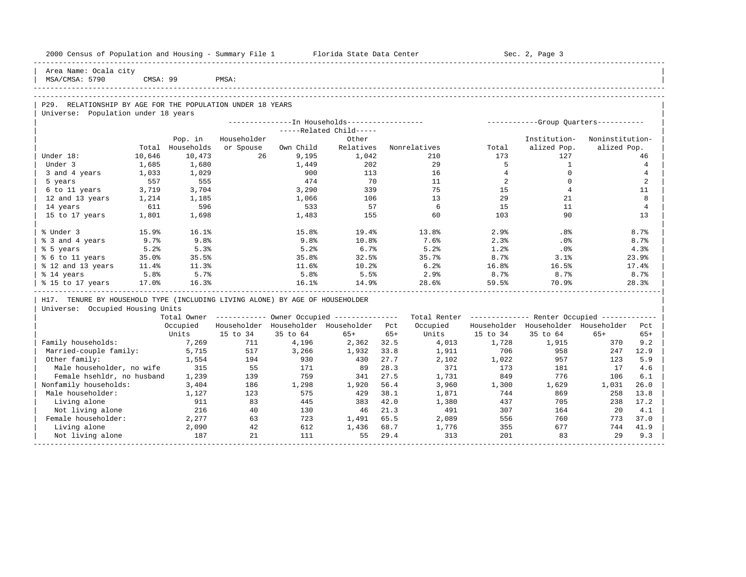| 2000 Census of Population and Housing - Summary File 1 Florida State Data Center |        |                |             |           |                                                         |       |                                                         |                | Sec. 2, Page 3                          |                 |                |
|----------------------------------------------------------------------------------|--------|----------------|-------------|-----------|---------------------------------------------------------|-------|---------------------------------------------------------|----------------|-----------------------------------------|-----------------|----------------|
| Area Name: Ocala city<br>MSA/CMSA: 5790                                          |        | CMSA: 99 PMSA: |             |           |                                                         |       |                                                         |                |                                         |                 |                |
|                                                                                  |        |                |             |           |                                                         |       |                                                         |                |                                         |                 |                |
| P29. RELATIONSHIP BY AGE FOR THE POPULATION UNDER 18 YEARS                       |        |                |             |           |                                                         |       |                                                         |                |                                         |                 |                |
| Universe: Population under 18 years                                              |        |                |             |           |                                                         |       |                                                         |                |                                         |                 |                |
|                                                                                  |        |                |             |           | ---------------In Households-----------------           |       |                                                         |                | ------------Group Quarters-----------   |                 |                |
|                                                                                  |        |                |             |           | -----Related Child-----                                 |       |                                                         |                |                                         |                 |                |
|                                                                                  |        | Pop. in        | Householder |           | Other                                                   |       |                                                         |                | Institution-                            | Noninstitution- |                |
|                                                                                  | Total  | Households     | or Spouse   | Own Child | Relatives                                               |       | Nonrelatives                                            | Total          | alized Pop.                             | alized Pop.     |                |
| Under 18:                                                                        | 10,646 | 10,473         | 26          | 9,195     | 1,042                                                   |       | 210                                                     | 173            | 127                                     |                 | 46             |
| Under 3                                                                          | 1,685  | 1,680          |             | 1,449     | 202                                                     |       | 29                                                      | 5              | $\mathbf{1}$                            |                 | $\overline{4}$ |
| 3 and 4 years                                                                    | 1,033  | 1,029          |             | 900       | 113                                                     |       | 16                                                      | $\overline{4}$ | $\Omega$                                |                 | 4              |
| 5 years                                                                          | 557    | 555            |             | 474       | 70                                                      |       | 11                                                      | 2              | $\mathbf{0}$                            |                 | 2              |
| 6 to 11 years                                                                    | 3,719  | 3,704          |             | 3,290     | 339                                                     |       | 75                                                      | 15             | $\overline{4}$                          |                 | 11             |
| 12 and 13 years                                                                  | 1,214  | 1,185          |             | 1,066     | 106                                                     |       | 13                                                      | 29             | 21                                      |                 | 8              |
| 14 years                                                                         | 611    | 596            |             | 533       | 57                                                      |       | 6                                                       | 15             | 11                                      |                 | $\overline{4}$ |
| 15 to 17 years                                                                   | 1,801  | 1,698          |             | 1,483     | 155                                                     |       | 60                                                      | 103            | 90                                      |                 | 13             |
| % Under 3                                                                        | 15.9%  | 16.1%          |             | 15.8%     | 19.4%                                                   |       | 13.8%                                                   | 2.9%           | .8%                                     |                 | 8.7%           |
| % 3 and 4 years                                                                  | 9.7%   | 9.8%           |             | 9.8%      | 10.8%                                                   |       | 7.6%                                                    | 2.3%           | .0%                                     |                 | 8.7%           |
| % 5 years                                                                        | 5.2%   | 5.3%           |             | 5.2%      | 6.7%                                                    |       | 5.2%                                                    | 1.2%           | $.0\%$                                  |                 | 4.3%           |
| % 6 to 11 years                                                                  | 35.0%  | 35.5%          |             | 35.8%     | 32.5%                                                   |       | 35.7%                                                   | $8.7\%$        | 3.1%                                    |                 | 23.9%          |
| % 12 and 13 years                                                                | 11.4%  | 11.3%          |             | 11.6%     | 10.2%                                                   |       | 6.2%                                                    | 16.8%          | 16.5%                                   |                 | 17.4%          |
| % 14 years                                                                       | 5.8%   | 5.7%           |             | 5.8%      | 5.5%                                                    |       | 2.9%                                                    | 8.7%           | 8.7%                                    |                 | 8.7%           |
| % 15 to 17 years                                                                 | 17.0%  | 16.3%          |             | 16.1%     | 14.9%                                                   |       | 28.6%                                                   | 59.5%          | 70.9%                                   |                 | 28.3%          |
| H17. TENURE BY HOUSEHOLD TYPE (INCLUDING LIVING ALONE) BY AGE OF HOUSEHOLDER     |        |                |             |           |                                                         |       |                                                         |                |                                         |                 |                |
| Universe: Occupied Housing Units                                                 |        |                |             |           |                                                         |       |                                                         |                |                                         |                 |                |
|                                                                                  |        |                |             |           | Total Owner ------------ Owner Occupied --------------- |       | Total Renter ------------- Renter Occupied ------------ |                |                                         |                 |                |
|                                                                                  |        |                |             |           | Occupied Householder Householder Householder Pct        |       | Occupied                                                |                | Householder Householder Householder Pct |                 |                |
|                                                                                  |        | Units          | 15 to 34    | 35 to 64  | 65+                                                     | $65+$ | Units                                                   | 15 to 34       | 35 to 64                                | $65+$           | $65+$          |
| Family households:                                                               |        | 7,269          | 711         | 4,196     | 2,362 32.5                                              |       | 4,013                                                   | 1,728          | 1,915                                   | 370             | 9.2            |
| Married-couple family:                                                           |        | 5,715          | 517         | 3,266     | 1,932                                                   | 33.8  | 1,911                                                   | 706            | 958                                     | 247             | 12.9           |
| Other family:                                                                    |        | 1,554          | 194         | 930       | 430                                                     | 27.7  | 2,102                                                   | 1,022          | 957                                     | 123             | 5.9            |
| Male householder, no wife                                                        |        | 315            | 55          | 171       | 89                                                      | 28.3  | 371                                                     | 173            | 181                                     | 17              | 4.6            |
| Female hsehldr, no husband                                                       |        | 1,239          | 139         | 759       | 341                                                     | 27.5  | 1,731                                                   | 849            | 776                                     | 106             | 6.1            |
| Nonfamily households:                                                            |        | 3,404          | 186         | 1,298     | 1,920 56.4                                              |       | 3,960                                                   | 1,300          | 1,629                                   | 1,031           | 26.0           |
| Male householder:                                                                |        | 1,127          | 123         | 575       | 429 38.1                                                |       | 1,871                                                   | 744            | 869                                     | 258             | 13.8           |
| Living alone                                                                     |        | 911            | 83          | 445       | 383 42.0                                                |       | 1,380                                                   | 437            | 705                                     | 238             | 17.2           |
| Not living alone                                                                 |        | 216            | 40          | 130       | 46 21.3                                                 |       | 491                                                     | 307            | 164                                     | 20              | 4.1            |
| Female householder:                                                              |        | 2,277          | 63          | 723       | 1,491                                                   | 65.5  | 2,089                                                   | 556            | 760                                     | 773             | 37.0           |

| Female householder: 2,277 63 723 1,491 65.5 2,089 556 760 773 37.0 | | Living alone 2,090 42 612 1,436 68.7 1,776 355 677 744 41.9 | Not living alone 187 21 111 55 29.4 313 201 83 29 9.3 -----------------------------------------------------------------------------------------------------------------------------------------------------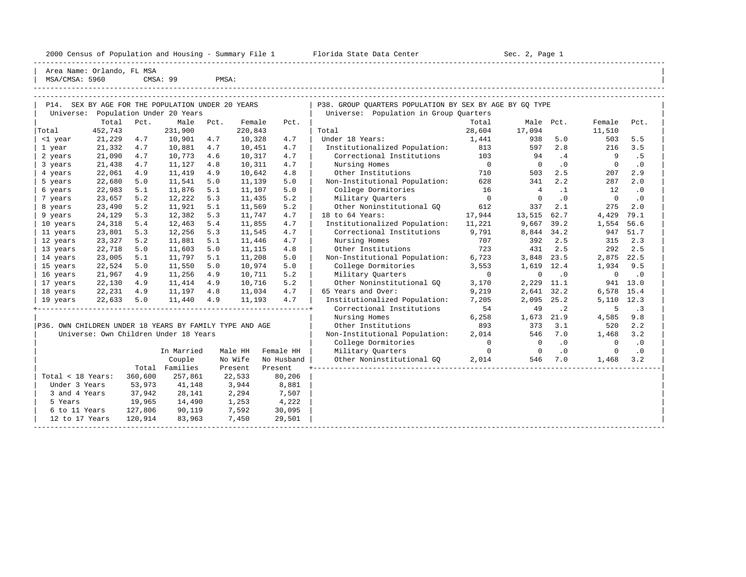2000 Census of Population and Housing - Summary File 1 Florida State Data Center Sec. 2, Page 1

-----------------------------------------------------------------------------------------------------------------------------------------------------

|                                                         | Area Name: Orlando, FL MSA |         |                                                   |       |         |            |                                                         |                |                |           |                |           |  |
|---------------------------------------------------------|----------------------------|---------|---------------------------------------------------|-------|---------|------------|---------------------------------------------------------|----------------|----------------|-----------|----------------|-----------|--|
| MSA/CMSA: 5960                                          |                            |         | CMSA: 99                                          | PMSA: |         |            |                                                         |                |                |           |                |           |  |
|                                                         |                            |         |                                                   |       |         |            |                                                         |                |                |           |                |           |  |
|                                                         |                            |         | P14. SEX BY AGE FOR THE POPULATION UNDER 20 YEARS |       |         |            | P38. GROUP QUARTERS POPULATION BY SEX BY AGE BY GQ TYPE |                |                |           |                |           |  |
| Universe:                                               |                            |         | Population Under 20 Years                         |       |         |            | Universe: Population in Group Quarters                  |                |                |           |                |           |  |
|                                                         | Total                      | Pct.    | Male                                              | Pct.  | Female  | Pct.       |                                                         | Total          |                | Male Pct. | Female         | Pct.      |  |
| Total                                                   | 452,743                    |         | 231,900                                           |       | 220,843 |            | Total                                                   | 28,604         | 17,094         |           | 11,510         |           |  |
| <1 year                                                 | 21,229                     | 4.7     | 10,901                                            | 4.7   | 10,328  | 4.7        | Under 18 Years:                                         | 1,441          | 938            | 5.0       | 503            | 5.5       |  |
| 1 year                                                  | 21,332                     | 4.7     | 10,881                                            | 4.7   | 10,451  | 4.7        | Institutionalized Population:                           | 813            | 597            | 2.8       | 216            | 3.5       |  |
| 2 years                                                 | 21,090                     | 4.7     | 10,773                                            | 4.6   | 10,317  | 4.7        | Correctional Institutions                               | 103            | 94             | .4        | 9              | .5        |  |
| 3 years                                                 | 21,438                     | 4.7     | 11,127                                            | 4.8   | 10,311  | 4.7        | Nursing Homes                                           | $\overline{0}$ | $\overline{0}$ | .0        | 0              | $\cdot$ 0 |  |
| 4 years                                                 | 22,061                     | 4.9     | 11,419                                            | 4.9   | 10,642  | 4.8        | Other Institutions                                      | 710            | 503            | 2.5       | 207            | 2.9       |  |
| 5 years                                                 | 22,680                     | 5.0     | 11,541                                            | 5.0   | 11,139  | 5.0        | Non-Institutional Population:                           | 628            | 341            | 2.2       | 287            | 2.0       |  |
| 6 years                                                 | 22,983                     | 5.1     | 11,876                                            | 5.1   | 11,107  | 5.0        | College Dormitories                                     | 16             | $\frac{4}{3}$  | $\cdot$ 1 | 12             | $\cdot$ 0 |  |
| 7 years                                                 | 23,657                     | 5.2     | 12,222                                            | 5.3   | 11,435  | 5.2        | Military Quarters                                       | $\overline{0}$ | $\mathbf{0}$   | $\cdot$ 0 | $\overline{0}$ | $\cdot$ 0 |  |
| 8 years                                                 | 23,490                     | 5.2     | 11,921                                            | 5.1   | 11,569  | 5.2        | Other Noninstitutional GQ                               | 612            | 337            | 2.1       | 275            | 2.0       |  |
| 9 years                                                 | 24,129                     | 5.3     | 12,382                                            | 5.3   | 11,747  | 4.7        | 18 to 64 Years:                                         | 17,944         | 13,515         | 62.7      | 4,429          | 79.1      |  |
| 10 years                                                | 24,318                     | 5.4     | 12,463                                            | 5.4   | 11,855  | 4.7        | Institutionalized Population:                           | 11,221         | 9,667          | 39.2      | 1,554          | 56.6      |  |
| 11 years                                                | 23,801                     | 5.3     | 12,256                                            | 5.3   | 11,545  | 4.7        | Correctional Institutions                               | 9,791          | 8,844          | 34.2      | 947            | 51.7      |  |
| 12 years                                                | 23,327                     | 5.2     | 11,881                                            | 5.1   | 11,446  | 4.7        | Nursing Homes                                           | 707            | 392            | 2.5       | 315            | 2.3       |  |
| 13 years                                                | 22,718                     | 5.0     | 11,603                                            | 5.0   | 11,115  | 4.8        | Other Institutions                                      | 723            | 431            | 2.5       | 292            | 2.5       |  |
| 14 years                                                | 23,005                     | 5.1     | 11,797                                            | 5.1   | 11,208  | 5.0        | Non-Institutional Population:                           | 6,723          | 3,848          | 23.5      | 2,875          | 22.5      |  |
| 15 years                                                | 22,524                     | 5.0     | 11,550                                            | 5.0   | 10,974  | 5.0        | College Dormitories                                     | 3,553          | 1,619 12.4     |           | 1,934          | 9.5       |  |
| 16 years                                                | 21,967                     | 4.9     | 11,256                                            | 4.9   | 10,711  | 5.2        | Military Quarters                                       | $\Omega$       | $\Omega$       | $\cdot$ 0 | $\mathbf 0$    | $\cdot$ 0 |  |
| 17 years                                                | 22,130                     | 4.9     | 11,414                                            | 4.9   | 10,716  | 5.2        | Other Noninstitutional GO                               | 3,170          | 2,229 11.1     |           |                | 941 13.0  |  |
| 18 years                                                | 22,231                     | 4.9     | 11,197                                            | 4.8   | 11,034  | 4.7        | 65 Years and Over:                                      | 9,219          | 2,641          | 32.2      | 6,578          | 15.4      |  |
| 19 years                                                | 22,633                     | 5.0     | 11,440                                            | 4.9   | 11,193  | 4.7        | Institutionalized Population:                           | 7,205          | 2,095          | 25.2      | 5,110          | 12.3      |  |
|                                                         |                            |         |                                                   |       |         |            | Correctional Institutions                               | 54             | 49             | $\cdot$ 2 | 5              | $\cdot$ 3 |  |
|                                                         |                            |         |                                                   |       |         |            | Nursing Homes                                           | 6,258          | 1,673          | 21.9      | 4,585          | 9.8       |  |
| P36. OWN CHILDREN UNDER 18 YEARS BY FAMILY TYPE AND AGE |                            |         |                                                   |       |         |            | Other Institutions                                      | 893            | 373            | 3.1       | 520            | 2.2       |  |
|                                                         |                            |         | Universe: Own Children Under 18 Years             |       |         |            | Non-Institutional Population:                           | 2,014          | 546            | 7.0       | 1,468          | 3.2       |  |
|                                                         |                            |         |                                                   |       |         |            | College Dormitories                                     | $\Omega$       | $\overline{0}$ | $\cdot$ 0 | $\Omega$       | $\cdot$ 0 |  |
|                                                         |                            |         | In Married                                        |       | Male HH | Female HH  | Military Quarters                                       | $\Omega$       | $\overline{0}$ | $\cdot$ 0 | $\Omega$       | $\cdot$ 0 |  |
|                                                         |                            |         | Couple                                            |       | No Wife | No Husband | Other Noninstitutional GO                               | 2,014          | 546            | 7.0       | 1,468          | 3.2       |  |
|                                                         |                            |         | Total Families                                    |       | Present | Present    |                                                         |                |                |           |                |           |  |
| Total < 18 Years:                                       |                            | 360,600 | 257,861                                           |       | 22,533  | 80,206     |                                                         |                |                |           |                |           |  |
| Under 3 Years                                           |                            | 53,973  | 41,148                                            |       | 3,944   | 8,881      |                                                         |                |                |           |                |           |  |
| 3 and 4 Years                                           |                            | 37,942  | 28,141                                            |       | 2,294   | 7,507      |                                                         |                |                |           |                |           |  |
| 5 Years                                                 |                            | 19,965  | 14,490                                            |       | 1,253   | 4,222      |                                                         |                |                |           |                |           |  |
| 6 to 11 Years                                           |                            | 127,806 | 90,119                                            |       | 7,592   | 30,095     |                                                         |                |                |           |                |           |  |

| 12 to 17 Years 120,914 83,963 7,450 29,501 | |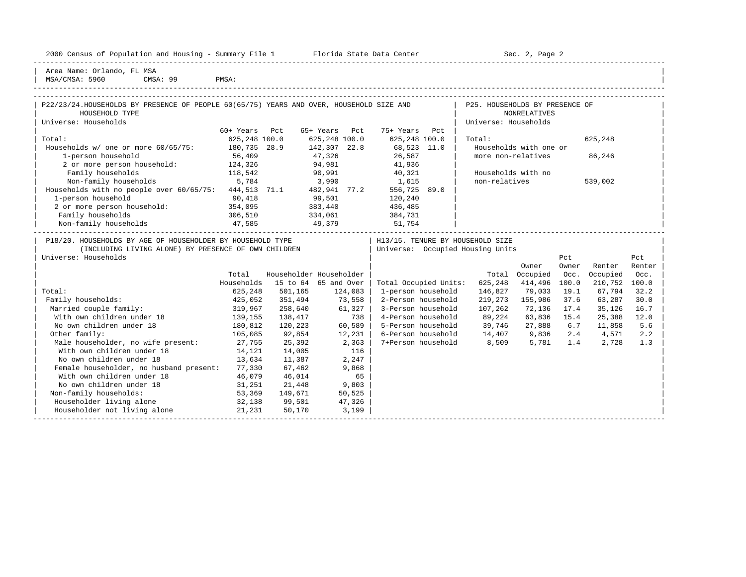|  |  |  | 2000 Census of Population and Housing - Summary File 1 |  |  |  |  |  |  |  |
|--|--|--|--------------------------------------------------------|--|--|--|--|--|--|--|
|--|--|--|--------------------------------------------------------|--|--|--|--|--|--|--|

2000 Florida State Data Center - Sec. 2, Page 2

-----------------------------------------------------------------------------------------------------------------------------------------------------

| Area Name: Orlando, FL MSA  $\overline{\text{MSA/CMSA}}: 5960$ 

| 3503<br>C115C<br>5960<br>$M \leq L$ | CMSA<br>ററ | <b>PMSA</b> |
|-------------------------------------|------------|-------------|
|                                     |            |             |

| P22/23/24.HOUSEHOLDS BY PRESENCE OF PEOPLE 60(65/75) YEARS AND OVER, HOUSEHOLD SIZE AND |                               |         |                         |                                           | P25. HOUSEHOLDS BY PRESENCE OF |                        |       |          |        |
|-----------------------------------------------------------------------------------------|-------------------------------|---------|-------------------------|-------------------------------------------|--------------------------------|------------------------|-------|----------|--------|
| HOUSEHOLD TYPE                                                                          |                               |         |                         |                                           |                                | <b>NONRELATIVES</b>    |       |          |        |
| Universe: Households                                                                    |                               |         |                         |                                           | Universe: Households           |                        |       |          |        |
|                                                                                         | 60+ Years Pct                 |         | 65+ Years Pct           | 75+ Years Pct                             |                                |                        |       |          |        |
| Total:                                                                                  | 625,248 100.0                 |         | 625,248 100.0           | 625,248 100.0                             | Total:                         |                        |       | 625,248  |        |
| Households w/ one or more 60/65/75: 180,735 28.9                                        |                               |         | 142,307 22.8            | 68,523 11.0                               |                                | Households with one or |       |          |        |
| 1-person household                                                                      | 56,409                        |         | 47,326                  | 26,587                                    | more non-relatives             |                        |       | 86,246   |        |
| 2 or more person household: 124,326                                                     |                               |         |                         | 94,981 41,936                             |                                |                        |       |          |        |
| Family households<br>118,542                                                            |                               | 90,991  |                         | 40,321                                    | Households with no             |                        |       |          |        |
| Non-family households 5,784                                                             |                               | 3,990   |                         | 1,615                                     | non-relatives                  |                        |       | 539,002  |        |
| Households with no people over $60/65/75$ : $444,513$ 71.1                              |                               |         | 482,941 77.2            | 556,725 89.0                              |                                |                        |       |          |        |
| 1-person household                                                                      | 90,418                        |         | 99,501                  | 120,240                                   |                                |                        |       |          |        |
| 1-person household 90,418<br>2 or more person household: 354,095                        |                               |         | $383,440$<br>$334,061$  | 436,485                                   |                                |                        |       |          |        |
| Family households                                                                       | 306,510                       |         |                         | 384,731                                   |                                |                        |       |          |        |
| Non-family households 47,585                                                            |                               | 49,379  |                         | 51,754                                    |                                |                        |       |          |        |
| P18/20. HOUSEHOLDS BY AGE OF HOUSEHOLDER BY HOUSEHOLD TYPE                              |                               |         |                         | H13/15. TENURE BY HOUSEHOLD SIZE          |                                |                        |       |          |        |
| (INCLUDING LIVING ALONE) BY PRESENCE OF OWN CHILDREN                                    |                               |         |                         | Universe: Occupied Housing Units          |                                |                        |       |          |        |
| Universe: Households                                                                    |                               |         |                         |                                           |                                |                        | Pct   |          | Pct    |
|                                                                                         |                               |         |                         |                                           |                                | Owner                  | Owner | Renter   | Renter |
|                                                                                         | Total                         |         | Householder Householder |                                           |                                | Total Occupied         | Occ.  | Occupied | Occ.   |
|                                                                                         | Households                    |         | 15 to 64 65 and Over    | Total Occupied Units:                     | 625,248                        | 414,496                | 100.0 | 210,752  | 100.0  |
| Total:                                                                                  | 625,248                       | 501,165 | 124,083                 | 1-person household                        | 146,827                        | 79,033                 | 19.1  | 67,794   | 32.2   |
| Family households:                                                                      | 425,052                       | 351,494 | 73,558                  | 2-Person household                        | 219,273                        | 155,986                | 37.6  | 63,287   | 30.0   |
| Married couple family:                                                                  |                               | 258,640 | $61,327$                | 3-Person household                        | 107,262                        | 72,136                 | 17.4  | 35,126   | 16.7   |
| With own children under 18                                                              |                               | 138,417 | 738                     | 4-Person household                        | 89,224                         | 63,836 15.4            |       | 25,388   | 12.0   |
| No own children under 18                                                                | 319,967<br>139,155<br>180,812 | 120,223 | 60,589                  | 5-Person household 39,746                 |                                | 27,888 6.7             |       | 11,858   | 5.6    |
| Other family:                                                                           | 105,085                       | 92,854  | 12,231                  | 6-Person household 14,407 9,836 2.4 4,571 |                                |                        |       |          | 2.2    |
| Male householder, no wife present: 27,755                                               |                               | 25,392  | 2,363                   | 7+Person household 8,509 5,781 1.4        |                                |                        |       | 2,728    | 1.3    |
| With own children under 18                                                              | 14,121                        | 14,005  | 116                     |                                           |                                |                        |       |          |        |
| No own children under 18                                                                | 13,634                        | 11,387  | 2,247                   |                                           |                                |                        |       |          |        |
| Female householder, no husband present:                                                 | 77,330                        | 67,462  | 9,868                   |                                           |                                |                        |       |          |        |
| With own children under 18                                                              | 46,079                        | 46,014  | 65                      |                                           |                                |                        |       |          |        |
| No own children under 18                                                                | 31,251                        | 21,448  | 9,803                   |                                           |                                |                        |       |          |        |
| Non-family households:                                                                  | 53,369                        | 149,671 | 50,525                  |                                           |                                |                        |       |          |        |
| Householder living alone                                                                | 32,138                        | 99,501  | 47,326                  |                                           |                                |                        |       |          |        |
| Householder not living alone                                                            | 21,231                        | 50,170  | 3,199                   |                                           |                                |                        |       |          |        |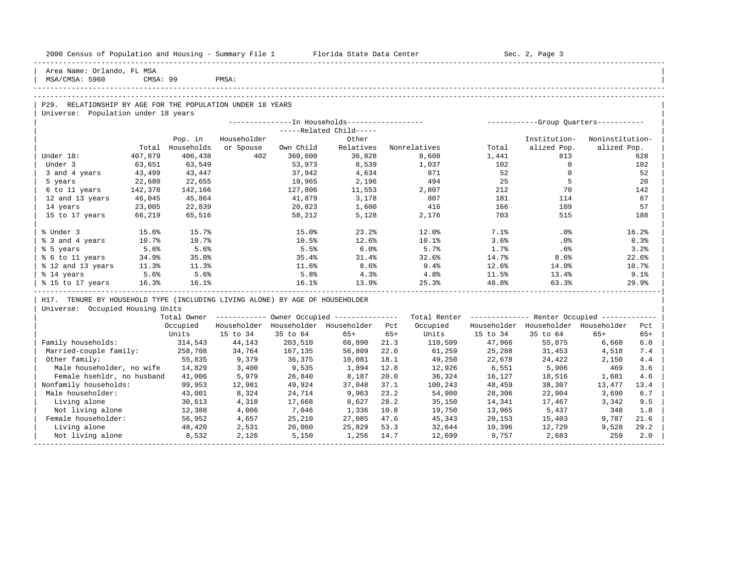| 2000 Census of Population and Housing - Summary File 1 Florida State Data Center |          |            |             |           |                                                       |       |              |          | Sec. 2, Page 3                                          |                 |       |
|----------------------------------------------------------------------------------|----------|------------|-------------|-----------|-------------------------------------------------------|-------|--------------|----------|---------------------------------------------------------|-----------------|-------|
| Area Name: Orlando, FL MSA<br>MSA/CMSA: 5960                                     | CMSA: 99 |            | PMSA:       |           |                                                       |       |              |          |                                                         |                 |       |
|                                                                                  |          |            |             |           |                                                       |       |              |          |                                                         |                 |       |
| P29. RELATIONSHIP BY AGE FOR THE POPULATION UNDER 18 YEARS                       |          |            |             |           |                                                       |       |              |          |                                                         |                 |       |
| Universe: Population under 18 years                                              |          |            |             |           |                                                       |       |              |          |                                                         |                 |       |
|                                                                                  |          |            |             |           |                                                       |       |              |          |                                                         |                 |       |
|                                                                                  |          |            |             |           | -----Related Child-----                               |       |              |          |                                                         |                 |       |
|                                                                                  |          | Pop. in    | Householder |           | Other                                                 |       |              |          | Institution-                                            | Noninstitution- |       |
|                                                                                  | Total    | Households | or Spouse   | Own Child | Relatives                                             |       | Nonrelatives | Total    | alized Pop.                                             | alized Pop.     |       |
| Under 18:                                                                        | 407,879  | 406,438    | 402         | 360,600   | 36,828                                                |       | 8,608        | 1,441    | 813                                                     |                 | 628   |
| Under 3                                                                          | 63,651   | 63,549     |             | 53,973    | 8,539                                                 |       | 1,037        | 102      | $\overline{0}$                                          |                 | 102   |
| 3 and 4 years                                                                    | 43,499   | 43,447     |             | 37,942    | 4,634                                                 |       | 871          | 52       | $\overline{0}$                                          |                 | 52    |
| 5 years                                                                          | 22,680   | 22,655     |             | 19,965    | 2,196                                                 |       | 494          | 25       | $-5$                                                    |                 | 20    |
| 6 to 11 years                                                                    | 142,378  | 142,166    |             | 127,806   | 11,553                                                |       | 2,807        | 212      | 70                                                      |                 | 142   |
| 12 and 13 years                                                                  | 46,045   | 45,864     |             | 41,879    | 3,178                                                 |       | 807          | 181      | 114                                                     |                 | 67    |
| 14 years                                                                         | 23,005   | 22,839     |             | 20,823    | 1,600                                                 |       | 416          | 166      | 109                                                     |                 | 57    |
| 15 to 17 years                                                                   | 66,219   | 65,516     |             | 58,212    | 5,128                                                 |       | 2,176        | 703      | 515                                                     |                 | 188   |
| % Under 3                                                                        | 15.6%    | 15.7%      |             | 15.0%     | 23.2%                                                 |       | 12.0%        | 7.1%     | .0%                                                     |                 | 16.2% |
| % 3 and 4 years                                                                  | 10.7%    | 10.7%      |             | 10.5%     | 12.6%                                                 |       | 10.1%        | 3.6%     | $.0\%$                                                  |                 | 8.3%  |
| % 5 years                                                                        | 5.6%     | 5.6%       |             | 5.5%      | 6.0%                                                  |       | 5.7%         | 1.7%     | .6%                                                     |                 | 3.2%  |
| % 6 to 11 years                                                                  | 34.9%    | 35.0%      |             | 35.4%     | 31.4%                                                 |       | 32.6%        | 14.7%    | 8.6%                                                    |                 | 22.6% |
| % 12 and 13 years                                                                | 11.3%    | 11.3%      |             | 11.6%     | 8.6%                                                  |       | 9.4%         | 12.6%    | 14.0%                                                   |                 | 10.7% |
| % 14 years                                                                       | 5.6%     | 5.6%       |             | 5.8%      | 4.3%                                                  |       | 4.8%         | 11.5%    | 13.4%                                                   |                 | 9.1%  |
| % 15 to 17 years 16.3%                                                           |          | 16.1%      |             | 16.1%     | 13.9%                                                 |       | 25.3%        | 48.8%    | 63.3%                                                   |                 | 29.9% |
| H17. TENURE BY HOUSEHOLD TYPE (INCLUDING LIVING ALONE) BY AGE OF HOUSEHOLDER     |          |            |             |           |                                                       |       |              |          |                                                         |                 |       |
| Universe: Occupied Housing Units                                                 |          |            |             |           |                                                       |       |              |          |                                                         |                 |       |
|                                                                                  |          |            |             |           | Total Owner ----------- Owner Occupied -------------- |       |              |          | Total Renter ------------- Renter Occupied ------------ |                 |       |
|                                                                                  |          | Occupied   |             |           | Householder Householder Householder Pct               |       | Occupied     |          | Householder Householder Householder Pct                 |                 |       |
|                                                                                  |          | Units      | 15 to 34    | 35 to 64  | $65+$                                                 | $65+$ | Units        | 15 to 34 | 35 to 64                                                | $65+$           | $65+$ |
| Family households:                                                               |          | 314,543    | 44,143      | 203,510   | 66,890                                                | 21.3  | 110,509      | 47,966   | 55,875                                                  | 6,668           | 6.0   |
| Married-couple family:                                                           |          | 258,708    | 34,764      | 167,135   | 56,809                                                | 22.0  | 61,259       | 25,288   | 31,453                                                  | 4,518           | 7.4   |
| Other family:                                                                    |          | 55,835     | 9,379       | 36,375    | 10,081                                                | 18.1  | 49,250       | 22,678   | 24,422                                                  | 2,150           | 4.4   |
| Male householder, no wife                                                        |          | 14,829     | 3,400       | 9,535     | 1,894                                                 | 12.8  | 12,926       | 6,551    | 5,906                                                   | 469             | 3.6   |
| Female hsehldr, no husband                                                       |          | 41,006     | 5,979       | 26,840    | 8,187                                                 | 20.0  | 36,324       | 16,127   | 18,516                                                  | 1,681           | 4.6   |
| Nonfamily households:                                                            |          | 99,953     | 12,981      | 49,924    | 37,048                                                | 37.1  | 100,243      | 48,459   | 38,307                                                  | 13,477          | 13.4  |
| Male householder:                                                                |          | 43,001     | 8,324       | 24,714    | 9,963                                                 | 23.2  | 54,900       | 28,306   | 22,904                                                  | 3,690           | 6.7   |
| Living alone                                                                     |          | 30,613     | 4,318       | 17,668    | 8,627                                                 | 28.2  | 35,150       | 14,341   | 17,467                                                  | 3,342           | 9.5   |
| Not living alone                                                                 |          | 12,388     | 4,006       | 7,046     | 1,336                                                 | 10.8  | 19,750       | 13,965   | 5,437                                                   | 348             | 1.8   |
| Female householder:                                                              |          | 56,952     | 4,657       | 25,210    | 27,085                                                | 47.6  | 45,343       | 20,153   | 15,403                                                  | 9,787           | 21.6  |
| Living alone                                                                     |          | 48,420     | 2,531       | 20,060    | 25,829                                                | 53.3  | 32,644       | 10,396   | 12,720                                                  | 9,528           | 29.2  |
| Not living alone                                                                 |          | 8,532      | 2,126       | 5,150     | 1,256                                                 | 14.7  | 12,699       | 9,757    | 2,683                                                   | 259             | 2.0   |
|                                                                                  |          |            |             |           |                                                       |       |              |          |                                                         |                 |       |

-----------------------------------------------------------------------------------------------------------------------------------------------------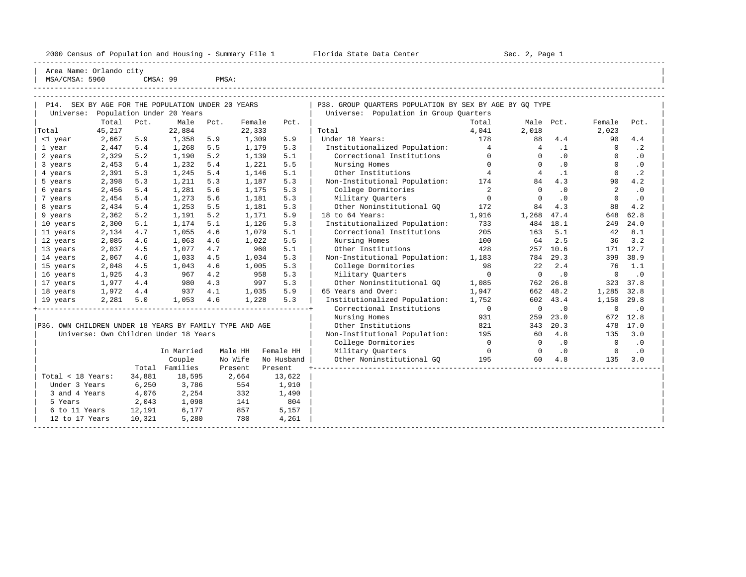2000 Census of Population and Housing - Summary File 1 Telorida State Data Center Sec. 2, Page 1 North Sec. 2, Page

----------------------------------------------------------------------------------------------------------------------------------------------------- | Area Name: Orlando city |

| MSA/CMSA: 5960                                          |        |        | CMSA: 99                              | PMSA: |         |            |                                                         |                |                |           |             |           |  |
|---------------------------------------------------------|--------|--------|---------------------------------------|-------|---------|------------|---------------------------------------------------------|----------------|----------------|-----------|-------------|-----------|--|
|                                                         |        |        |                                       |       |         |            |                                                         |                |                |           |             |           |  |
| P14. SEX BY AGE FOR THE POPULATION UNDER 20 YEARS       |        |        |                                       |       |         |            | P38. GROUP QUARTERS POPULATION BY SEX BY AGE BY GQ TYPE |                |                |           |             |           |  |
| Universe:                                               |        |        | Population Under 20 Years             |       |         |            | Universe: Population in Group Quarters                  |                |                |           |             |           |  |
|                                                         | Total  | Pct.   | Male                                  | Pct.  | Female  | Pct.       |                                                         | Total          | Male Pct.      |           | Female      | Pct.      |  |
| Total                                                   | 45,217 |        | 22,884                                |       | 22,333  |            | Total                                                   | 4,041          | 2,018          |           | 2,023       |           |  |
| <1 year                                                 | 2,667  | 5.9    | 1,358                                 | 5.9   | 1,309   | 5.9        | Under 18 Years:                                         | 178            | 88             | 4.4       | 90          | 4.4       |  |
| 1 year                                                  | 2,447  | 5.4    | 1,268                                 | 5.5   | 1,179   | 5.3        | Institutionalized Population:                           | $\overline{4}$ | $\overline{4}$ | $\cdot$ 1 | $\mathbf 0$ | $\cdot$ 2 |  |
| 2 years                                                 | 2,329  | 5.2    | 1,190                                 | 5.2   | 1,139   | 5.1        | Correctional Institutions                               | $\Omega$       | $\Omega$       | .0        | $\Omega$    | $\cdot$ 0 |  |
| 3 years                                                 | 2,453  | 5.4    | 1,232                                 | 5.4   | 1,221   | 5.5        | Nursing Homes                                           | $\Omega$       | $\Omega$       | $\cdot$ 0 | $\Omega$    | $\cdot$ 0 |  |
| 4 years                                                 | 2,391  | 5.3    | 1,245                                 | 5.4   | 1,146   | 5.1        | Other Institutions                                      | $\overline{4}$ | $\overline{4}$ | $\cdot$ 1 | $\Omega$    | $\cdot$ 2 |  |
| 5 years                                                 | 2,398  | 5.3    | 1,211                                 | 5.3   | 1,187   | 5.3        | Non-Institutional Population:                           | 174            | 84             | 4.3       | 90          | 4.2       |  |
| 6 years                                                 | 2,456  | 5.4    | 1,281                                 | 5.6   | 1,175   | 5.3        | College Dormitories                                     | $\overline{a}$ | $\Omega$       | $\cdot$ 0 | 2           | .0        |  |
| 7 years                                                 | 2,454  | 5.4    | 1,273                                 | 5.6   | 1,181   | 5.3        | Military Quarters                                       | $\mathbf 0$    | $\Omega$       | $\cdot$ 0 | $\Omega$    | $\cdot$ 0 |  |
| 8 years                                                 | 2,434  | 5.4    | 1,253                                 | 5.5   | 1,181   | 5.3        | Other Noninstitutional GO                               | 172            | 84             | 4.3       | 88          | 4.2       |  |
| 9 years                                                 | 2,362  | 5.2    | 1,191                                 | 5.2   | 1,171   | 5.9        | 18 to 64 Years:                                         | 1,916          | 1,268          | 47.4      | 648         | 62.8      |  |
| 10 years                                                | 2,300  | 5.1    | 1,174                                 | 5.1   | 1,126   | 5.3        | Institutionalized Population:                           | 733            | 484            | 18.1      | 249         | 24.0      |  |
| 11 years                                                | 2,134  | 4.7    | 1,055                                 | 4.6   | 1,079   | 5.1        | Correctional Institutions                               | 205            | 163            | 5.1       | 42          | 8.1       |  |
| 12 years                                                | 2,085  | 4.6    | 1,063                                 | 4.6   | 1,022   | 5.5        | Nursing Homes                                           | 100            | 64             | 2.5       | 36          | 3.2       |  |
| 13 years                                                | 2,037  | 4.5    | 1,077                                 | 4.7   | 960     | 5.1        | Other Institutions                                      | 428            | 257            | 10.6      | 171         | 12.7      |  |
| 14 years                                                | 2,067  | 4.6    | 1,033                                 | 4.5   | 1,034   | 5.3        | Non-Institutional Population:                           | 1,183          | 784            | 29.3      | 399         | 38.9      |  |
| 15 years                                                | 2,048  | 4.5    | 1,043                                 | 4.6   | 1,005   | 5.3        | College Dormitories                                     | 98             | 2.2.           | 2.4       | 76          | 1.1       |  |
| 16 years                                                | 1,925  | 4.3    | 967                                   | 4.2   | 958     | 5.3        | Military Quarters                                       | $\mathbf 0$    | $\Omega$       | $\cdot$ 0 | $\mathbf 0$ | $\cdot$ 0 |  |
| 17 years                                                | 1,977  | 4.4    | 980                                   | 4.3   | 997     | 5.3        | Other Noninstitutional GQ                               | 1,085          | 762            | 26.8      | 323         | 37.8      |  |
| 18 years                                                | 1,972  | 4.4    | 937                                   | 4.1   | 1,035   | 5.9        | 65 Years and Over:                                      | 1,947          | 662            | 48.2      | 1,285       | 32.8      |  |
| 19 years                                                | 2,281  | 5.0    | 1,053                                 | 4.6   | 1,228   | 5.3        | Institutionalized Population:                           | 1,752          | 602            | 43.4      | 1,150       | 29.8      |  |
|                                                         |        |        |                                       |       |         |            | Correctional Institutions                               | $\mathbf 0$    | $\mathbf 0$    | $\cdot$ 0 | $\mathbf 0$ | $\cdot$ 0 |  |
|                                                         |        |        |                                       |       |         |            | Nursing Homes                                           | 931            | 259            | 23.0      | 672         | 12.8      |  |
| P36. OWN CHILDREN UNDER 18 YEARS BY FAMILY TYPE AND AGE |        |        |                                       |       |         |            | Other Institutions                                      | 821            | 343            | 20.3      | 478         | 17.0      |  |
|                                                         |        |        | Universe: Own Children Under 18 Years |       |         |            | Non-Institutional Population:                           | 195            | 60             | 4.8       | 135         | 3.0       |  |
|                                                         |        |        |                                       |       |         |            | College Dormitories                                     | $\circ$        | $\Omega$       | $\cdot$ 0 | $\Omega$    | $\cdot$ 0 |  |
|                                                         |        |        | In Married                            |       | Male HH | Female HH  | Military Quarters                                       | $\overline{0}$ | $\Omega$       | $\cdot$ 0 | $\Omega$    | $\cdot$ 0 |  |
|                                                         |        |        | Couple                                |       | No Wife | No Husband | Other Noninstitutional GO                               | 195            | 60             | 4.8       | 135         | 3.0       |  |
|                                                         |        |        | Total Families                        |       | Present | Present    |                                                         |                |                |           |             |           |  |
| Total < 18 Years:                                       |        | 34,881 | 18,595                                |       | 2,664   | 13,622     |                                                         |                |                |           |             |           |  |
| Under 3 Years                                           |        | 6,250  | 3,786                                 |       | 554     | 1,910      |                                                         |                |                |           |             |           |  |
| 3 and 4 Years                                           |        | 4,076  | 2,254                                 |       | 332     | 1,490      |                                                         |                |                |           |             |           |  |
| 5 Years                                                 |        | 2,043  | 1,098                                 |       | 141     | 804        |                                                         |                |                |           |             |           |  |
| 6 to 11 Years                                           |        | 12,191 | 6,177                                 |       | 857     | 5,157      |                                                         |                |                |           |             |           |  |
| 12 to 17 Years                                          |        | 10,321 | 5,280                                 |       | 780     | 4,261      |                                                         |                |                |           |             |           |  |
|                                                         |        |        |                                       |       |         |            |                                                         |                |                |           |             |           |  |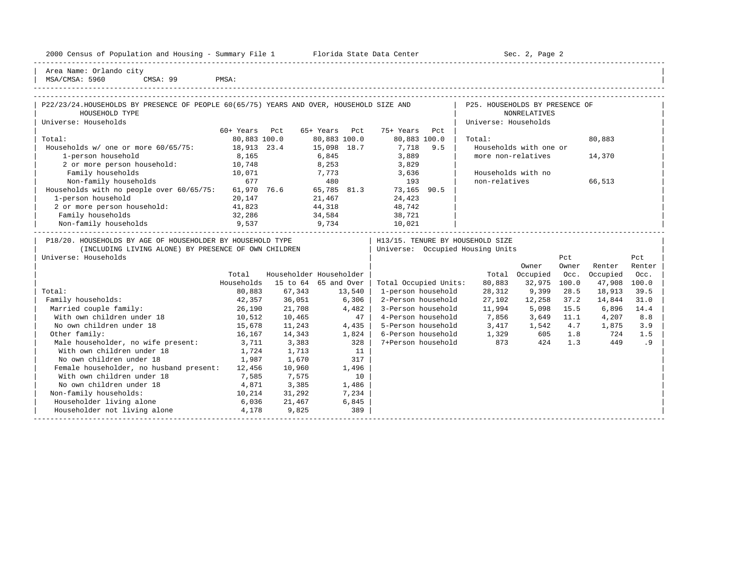|  |  |  | 2000 Census of Population and Housing - Summary File 1 |  |  |  |  |  |  |
|--|--|--|--------------------------------------------------------|--|--|--|--|--|--|
|--|--|--|--------------------------------------------------------|--|--|--|--|--|--|

2000 Florida State Data Center - Sec. 2, Page 2 -----------------------------------------------------------------------------------------------------------------------------------------------------

| Area Name: Orlando city | | MSA/CMSA: 5960 CMSA: 99 PMSA:

-----------------------------------------------------------------------------------------------------------------------------------------------------

| P22/23/24.HOUSEHOLDS BY PRESENCE OF PEOPLE 60(65/75) YEARS AND OVER, HOUSEHOLD SIZE AND<br>P25. HOUSEHOLDS BY PRESENCE OF<br>HOUSEHOLD TYPE<br><b>NONRELATIVES</b><br>Universe: Households<br>Universe: Households<br>60+ Years Pct<br>65+ Years Pct<br>75+ Years Pct<br>Total:<br>80,883 100.0<br>80,883 100.0<br>80,883 100.0<br>Total:<br>80,883<br>15,098 18.7<br>Households w/ one or more 60/65/75: 18,913 23.4<br>7,718 9.5<br>Households with one or<br>6,845<br>8,165<br>3,889<br>1-person household<br>more non-relatives<br>14,370<br>2 or more person household: 10,748<br>8,253<br>3,829<br>Family households<br>10,071<br>Households with no<br>7,773 3,636<br>677<br>Non-family households<br>non-relatives<br>66,513<br>480<br>193<br>Households with no people over 60/65/75: 61,970 76.6 65,785 81.3 73,165 90.5<br>1-person household<br>21,467<br>24,423<br>20,147<br>2 or more person household: 41,823<br>44,318<br>48,742<br>Family households<br>32,286<br>34,584<br>38,721<br>Non-family households<br>9,537<br>9,734<br>10,021<br>P18/20. HOUSEHOLDS BY AGE OF HOUSEHOLDER BY HOUSEHOLD TYPE<br>  H13/15. TENURE BY HOUSEHOLD SIZE<br>(INCLUDING LIVING ALONE) BY PRESENCE OF OWN CHILDREN<br>  Universe: Occupied Housing Units<br>Universe: Households<br>Pct<br>Pct<br>Owner<br>Owner<br>Renter<br>Renter<br>Householder Householder<br>Total Occupied<br>Total<br>Occ.<br>Occupied<br>Occ.<br>Households<br>15 to 64 65 and Over<br>Total Occupied Units:<br>80,883<br>32,975<br>100.0<br>47,908<br>100.0<br>1-person household<br>9,399<br>Total:<br>80,883<br>67,343<br>13,540<br>28,312<br>28.5<br>18,913<br>39.5<br>2-Person household<br>Family households:<br>36,051<br>6,306<br>27,102<br>37.2<br>14,844<br>42,357<br>12,258<br>31.0<br>Married couple family:<br>3-Person household<br>26,190<br>21,708<br>4,482<br>11,994<br>5,098 15.5<br>6,896<br>14.4<br>With own children under 18<br>10,512<br>10,465<br>47<br>4-Person household<br>$7,856$ $3,649$ $11.1$<br>4,207<br>8.8<br>No own children under 18<br>3,417 1,542 4.7<br>15,678<br>11,243<br>$4,435$  <br>5-Person household<br>1,875<br>3.9<br>$1,329$ 605 1.8<br>Other family:<br>6-Person household<br>16,167<br>14,343<br>1,824<br>724<br>1.5<br>873<br>Male householder, no wife present: 3,711<br>328<br>3,383<br>.9<br>7+Person household<br>424 1.3<br>449<br>With own children under 18<br>1,713<br>1,724<br>11<br>No own children under 18<br>1,987<br>1,670<br>317<br>Female householder, no husband present: 12,456<br>10,960<br>1,496<br>With own children under 18<br>7,585<br>7,575<br>10<br>No own children under 18<br>3,385<br>4,871<br>1,486<br>Non-family households:<br>10,214<br>31,292<br>7,234<br>Householder living alone<br>6,036<br>21,467<br>6,845<br>Householder not living alone<br>9.825<br>4,178<br>389 |  |  |  |  |  |  |
|------------------------------------------------------------------------------------------------------------------------------------------------------------------------------------------------------------------------------------------------------------------------------------------------------------------------------------------------------------------------------------------------------------------------------------------------------------------------------------------------------------------------------------------------------------------------------------------------------------------------------------------------------------------------------------------------------------------------------------------------------------------------------------------------------------------------------------------------------------------------------------------------------------------------------------------------------------------------------------------------------------------------------------------------------------------------------------------------------------------------------------------------------------------------------------------------------------------------------------------------------------------------------------------------------------------------------------------------------------------------------------------------------------------------------------------------------------------------------------------------------------------------------------------------------------------------------------------------------------------------------------------------------------------------------------------------------------------------------------------------------------------------------------------------------------------------------------------------------------------------------------------------------------------------------------------------------------------------------------------------------------------------------------------------------------------------------------------------------------------------------------------------------------------------------------------------------------------------------------------------------------------------------------------------------------------------------------------------------------------------------------------------------------------------------------------------------------------------------------------------------------------------------------------------------------------------------------------------------------------------------------------------------------------------------------------------------------------------------------------------------------------------------------------------------------------------------------------|--|--|--|--|--|--|
|                                                                                                                                                                                                                                                                                                                                                                                                                                                                                                                                                                                                                                                                                                                                                                                                                                                                                                                                                                                                                                                                                                                                                                                                                                                                                                                                                                                                                                                                                                                                                                                                                                                                                                                                                                                                                                                                                                                                                                                                                                                                                                                                                                                                                                                                                                                                                                                                                                                                                                                                                                                                                                                                                                                                                                                                                                          |  |  |  |  |  |  |
|                                                                                                                                                                                                                                                                                                                                                                                                                                                                                                                                                                                                                                                                                                                                                                                                                                                                                                                                                                                                                                                                                                                                                                                                                                                                                                                                                                                                                                                                                                                                                                                                                                                                                                                                                                                                                                                                                                                                                                                                                                                                                                                                                                                                                                                                                                                                                                                                                                                                                                                                                                                                                                                                                                                                                                                                                                          |  |  |  |  |  |  |
|                                                                                                                                                                                                                                                                                                                                                                                                                                                                                                                                                                                                                                                                                                                                                                                                                                                                                                                                                                                                                                                                                                                                                                                                                                                                                                                                                                                                                                                                                                                                                                                                                                                                                                                                                                                                                                                                                                                                                                                                                                                                                                                                                                                                                                                                                                                                                                                                                                                                                                                                                                                                                                                                                                                                                                                                                                          |  |  |  |  |  |  |
|                                                                                                                                                                                                                                                                                                                                                                                                                                                                                                                                                                                                                                                                                                                                                                                                                                                                                                                                                                                                                                                                                                                                                                                                                                                                                                                                                                                                                                                                                                                                                                                                                                                                                                                                                                                                                                                                                                                                                                                                                                                                                                                                                                                                                                                                                                                                                                                                                                                                                                                                                                                                                                                                                                                                                                                                                                          |  |  |  |  |  |  |
|                                                                                                                                                                                                                                                                                                                                                                                                                                                                                                                                                                                                                                                                                                                                                                                                                                                                                                                                                                                                                                                                                                                                                                                                                                                                                                                                                                                                                                                                                                                                                                                                                                                                                                                                                                                                                                                                                                                                                                                                                                                                                                                                                                                                                                                                                                                                                                                                                                                                                                                                                                                                                                                                                                                                                                                                                                          |  |  |  |  |  |  |
|                                                                                                                                                                                                                                                                                                                                                                                                                                                                                                                                                                                                                                                                                                                                                                                                                                                                                                                                                                                                                                                                                                                                                                                                                                                                                                                                                                                                                                                                                                                                                                                                                                                                                                                                                                                                                                                                                                                                                                                                                                                                                                                                                                                                                                                                                                                                                                                                                                                                                                                                                                                                                                                                                                                                                                                                                                          |  |  |  |  |  |  |
|                                                                                                                                                                                                                                                                                                                                                                                                                                                                                                                                                                                                                                                                                                                                                                                                                                                                                                                                                                                                                                                                                                                                                                                                                                                                                                                                                                                                                                                                                                                                                                                                                                                                                                                                                                                                                                                                                                                                                                                                                                                                                                                                                                                                                                                                                                                                                                                                                                                                                                                                                                                                                                                                                                                                                                                                                                          |  |  |  |  |  |  |
|                                                                                                                                                                                                                                                                                                                                                                                                                                                                                                                                                                                                                                                                                                                                                                                                                                                                                                                                                                                                                                                                                                                                                                                                                                                                                                                                                                                                                                                                                                                                                                                                                                                                                                                                                                                                                                                                                                                                                                                                                                                                                                                                                                                                                                                                                                                                                                                                                                                                                                                                                                                                                                                                                                                                                                                                                                          |  |  |  |  |  |  |
|                                                                                                                                                                                                                                                                                                                                                                                                                                                                                                                                                                                                                                                                                                                                                                                                                                                                                                                                                                                                                                                                                                                                                                                                                                                                                                                                                                                                                                                                                                                                                                                                                                                                                                                                                                                                                                                                                                                                                                                                                                                                                                                                                                                                                                                                                                                                                                                                                                                                                                                                                                                                                                                                                                                                                                                                                                          |  |  |  |  |  |  |
|                                                                                                                                                                                                                                                                                                                                                                                                                                                                                                                                                                                                                                                                                                                                                                                                                                                                                                                                                                                                                                                                                                                                                                                                                                                                                                                                                                                                                                                                                                                                                                                                                                                                                                                                                                                                                                                                                                                                                                                                                                                                                                                                                                                                                                                                                                                                                                                                                                                                                                                                                                                                                                                                                                                                                                                                                                          |  |  |  |  |  |  |
|                                                                                                                                                                                                                                                                                                                                                                                                                                                                                                                                                                                                                                                                                                                                                                                                                                                                                                                                                                                                                                                                                                                                                                                                                                                                                                                                                                                                                                                                                                                                                                                                                                                                                                                                                                                                                                                                                                                                                                                                                                                                                                                                                                                                                                                                                                                                                                                                                                                                                                                                                                                                                                                                                                                                                                                                                                          |  |  |  |  |  |  |
|                                                                                                                                                                                                                                                                                                                                                                                                                                                                                                                                                                                                                                                                                                                                                                                                                                                                                                                                                                                                                                                                                                                                                                                                                                                                                                                                                                                                                                                                                                                                                                                                                                                                                                                                                                                                                                                                                                                                                                                                                                                                                                                                                                                                                                                                                                                                                                                                                                                                                                                                                                                                                                                                                                                                                                                                                                          |  |  |  |  |  |  |
|                                                                                                                                                                                                                                                                                                                                                                                                                                                                                                                                                                                                                                                                                                                                                                                                                                                                                                                                                                                                                                                                                                                                                                                                                                                                                                                                                                                                                                                                                                                                                                                                                                                                                                                                                                                                                                                                                                                                                                                                                                                                                                                                                                                                                                                                                                                                                                                                                                                                                                                                                                                                                                                                                                                                                                                                                                          |  |  |  |  |  |  |
|                                                                                                                                                                                                                                                                                                                                                                                                                                                                                                                                                                                                                                                                                                                                                                                                                                                                                                                                                                                                                                                                                                                                                                                                                                                                                                                                                                                                                                                                                                                                                                                                                                                                                                                                                                                                                                                                                                                                                                                                                                                                                                                                                                                                                                                                                                                                                                                                                                                                                                                                                                                                                                                                                                                                                                                                                                          |  |  |  |  |  |  |
|                                                                                                                                                                                                                                                                                                                                                                                                                                                                                                                                                                                                                                                                                                                                                                                                                                                                                                                                                                                                                                                                                                                                                                                                                                                                                                                                                                                                                                                                                                                                                                                                                                                                                                                                                                                                                                                                                                                                                                                                                                                                                                                                                                                                                                                                                                                                                                                                                                                                                                                                                                                                                                                                                                                                                                                                                                          |  |  |  |  |  |  |
|                                                                                                                                                                                                                                                                                                                                                                                                                                                                                                                                                                                                                                                                                                                                                                                                                                                                                                                                                                                                                                                                                                                                                                                                                                                                                                                                                                                                                                                                                                                                                                                                                                                                                                                                                                                                                                                                                                                                                                                                                                                                                                                                                                                                                                                                                                                                                                                                                                                                                                                                                                                                                                                                                                                                                                                                                                          |  |  |  |  |  |  |
|                                                                                                                                                                                                                                                                                                                                                                                                                                                                                                                                                                                                                                                                                                                                                                                                                                                                                                                                                                                                                                                                                                                                                                                                                                                                                                                                                                                                                                                                                                                                                                                                                                                                                                                                                                                                                                                                                                                                                                                                                                                                                                                                                                                                                                                                                                                                                                                                                                                                                                                                                                                                                                                                                                                                                                                                                                          |  |  |  |  |  |  |
|                                                                                                                                                                                                                                                                                                                                                                                                                                                                                                                                                                                                                                                                                                                                                                                                                                                                                                                                                                                                                                                                                                                                                                                                                                                                                                                                                                                                                                                                                                                                                                                                                                                                                                                                                                                                                                                                                                                                                                                                                                                                                                                                                                                                                                                                                                                                                                                                                                                                                                                                                                                                                                                                                                                                                                                                                                          |  |  |  |  |  |  |
|                                                                                                                                                                                                                                                                                                                                                                                                                                                                                                                                                                                                                                                                                                                                                                                                                                                                                                                                                                                                                                                                                                                                                                                                                                                                                                                                                                                                                                                                                                                                                                                                                                                                                                                                                                                                                                                                                                                                                                                                                                                                                                                                                                                                                                                                                                                                                                                                                                                                                                                                                                                                                                                                                                                                                                                                                                          |  |  |  |  |  |  |
|                                                                                                                                                                                                                                                                                                                                                                                                                                                                                                                                                                                                                                                                                                                                                                                                                                                                                                                                                                                                                                                                                                                                                                                                                                                                                                                                                                                                                                                                                                                                                                                                                                                                                                                                                                                                                                                                                                                                                                                                                                                                                                                                                                                                                                                                                                                                                                                                                                                                                                                                                                                                                                                                                                                                                                                                                                          |  |  |  |  |  |  |
|                                                                                                                                                                                                                                                                                                                                                                                                                                                                                                                                                                                                                                                                                                                                                                                                                                                                                                                                                                                                                                                                                                                                                                                                                                                                                                                                                                                                                                                                                                                                                                                                                                                                                                                                                                                                                                                                                                                                                                                                                                                                                                                                                                                                                                                                                                                                                                                                                                                                                                                                                                                                                                                                                                                                                                                                                                          |  |  |  |  |  |  |
|                                                                                                                                                                                                                                                                                                                                                                                                                                                                                                                                                                                                                                                                                                                                                                                                                                                                                                                                                                                                                                                                                                                                                                                                                                                                                                                                                                                                                                                                                                                                                                                                                                                                                                                                                                                                                                                                                                                                                                                                                                                                                                                                                                                                                                                                                                                                                                                                                                                                                                                                                                                                                                                                                                                                                                                                                                          |  |  |  |  |  |  |
|                                                                                                                                                                                                                                                                                                                                                                                                                                                                                                                                                                                                                                                                                                                                                                                                                                                                                                                                                                                                                                                                                                                                                                                                                                                                                                                                                                                                                                                                                                                                                                                                                                                                                                                                                                                                                                                                                                                                                                                                                                                                                                                                                                                                                                                                                                                                                                                                                                                                                                                                                                                                                                                                                                                                                                                                                                          |  |  |  |  |  |  |
|                                                                                                                                                                                                                                                                                                                                                                                                                                                                                                                                                                                                                                                                                                                                                                                                                                                                                                                                                                                                                                                                                                                                                                                                                                                                                                                                                                                                                                                                                                                                                                                                                                                                                                                                                                                                                                                                                                                                                                                                                                                                                                                                                                                                                                                                                                                                                                                                                                                                                                                                                                                                                                                                                                                                                                                                                                          |  |  |  |  |  |  |
|                                                                                                                                                                                                                                                                                                                                                                                                                                                                                                                                                                                                                                                                                                                                                                                                                                                                                                                                                                                                                                                                                                                                                                                                                                                                                                                                                                                                                                                                                                                                                                                                                                                                                                                                                                                                                                                                                                                                                                                                                                                                                                                                                                                                                                                                                                                                                                                                                                                                                                                                                                                                                                                                                                                                                                                                                                          |  |  |  |  |  |  |
|                                                                                                                                                                                                                                                                                                                                                                                                                                                                                                                                                                                                                                                                                                                                                                                                                                                                                                                                                                                                                                                                                                                                                                                                                                                                                                                                                                                                                                                                                                                                                                                                                                                                                                                                                                                                                                                                                                                                                                                                                                                                                                                                                                                                                                                                                                                                                                                                                                                                                                                                                                                                                                                                                                                                                                                                                                          |  |  |  |  |  |  |
|                                                                                                                                                                                                                                                                                                                                                                                                                                                                                                                                                                                                                                                                                                                                                                                                                                                                                                                                                                                                                                                                                                                                                                                                                                                                                                                                                                                                                                                                                                                                                                                                                                                                                                                                                                                                                                                                                                                                                                                                                                                                                                                                                                                                                                                                                                                                                                                                                                                                                                                                                                                                                                                                                                                                                                                                                                          |  |  |  |  |  |  |
|                                                                                                                                                                                                                                                                                                                                                                                                                                                                                                                                                                                                                                                                                                                                                                                                                                                                                                                                                                                                                                                                                                                                                                                                                                                                                                                                                                                                                                                                                                                                                                                                                                                                                                                                                                                                                                                                                                                                                                                                                                                                                                                                                                                                                                                                                                                                                                                                                                                                                                                                                                                                                                                                                                                                                                                                                                          |  |  |  |  |  |  |
|                                                                                                                                                                                                                                                                                                                                                                                                                                                                                                                                                                                                                                                                                                                                                                                                                                                                                                                                                                                                                                                                                                                                                                                                                                                                                                                                                                                                                                                                                                                                                                                                                                                                                                                                                                                                                                                                                                                                                                                                                                                                                                                                                                                                                                                                                                                                                                                                                                                                                                                                                                                                                                                                                                                                                                                                                                          |  |  |  |  |  |  |
|                                                                                                                                                                                                                                                                                                                                                                                                                                                                                                                                                                                                                                                                                                                                                                                                                                                                                                                                                                                                                                                                                                                                                                                                                                                                                                                                                                                                                                                                                                                                                                                                                                                                                                                                                                                                                                                                                                                                                                                                                                                                                                                                                                                                                                                                                                                                                                                                                                                                                                                                                                                                                                                                                                                                                                                                                                          |  |  |  |  |  |  |
|                                                                                                                                                                                                                                                                                                                                                                                                                                                                                                                                                                                                                                                                                                                                                                                                                                                                                                                                                                                                                                                                                                                                                                                                                                                                                                                                                                                                                                                                                                                                                                                                                                                                                                                                                                                                                                                                                                                                                                                                                                                                                                                                                                                                                                                                                                                                                                                                                                                                                                                                                                                                                                                                                                                                                                                                                                          |  |  |  |  |  |  |
|                                                                                                                                                                                                                                                                                                                                                                                                                                                                                                                                                                                                                                                                                                                                                                                                                                                                                                                                                                                                                                                                                                                                                                                                                                                                                                                                                                                                                                                                                                                                                                                                                                                                                                                                                                                                                                                                                                                                                                                                                                                                                                                                                                                                                                                                                                                                                                                                                                                                                                                                                                                                                                                                                                                                                                                                                                          |  |  |  |  |  |  |
|                                                                                                                                                                                                                                                                                                                                                                                                                                                                                                                                                                                                                                                                                                                                                                                                                                                                                                                                                                                                                                                                                                                                                                                                                                                                                                                                                                                                                                                                                                                                                                                                                                                                                                                                                                                                                                                                                                                                                                                                                                                                                                                                                                                                                                                                                                                                                                                                                                                                                                                                                                                                                                                                                                                                                                                                                                          |  |  |  |  |  |  |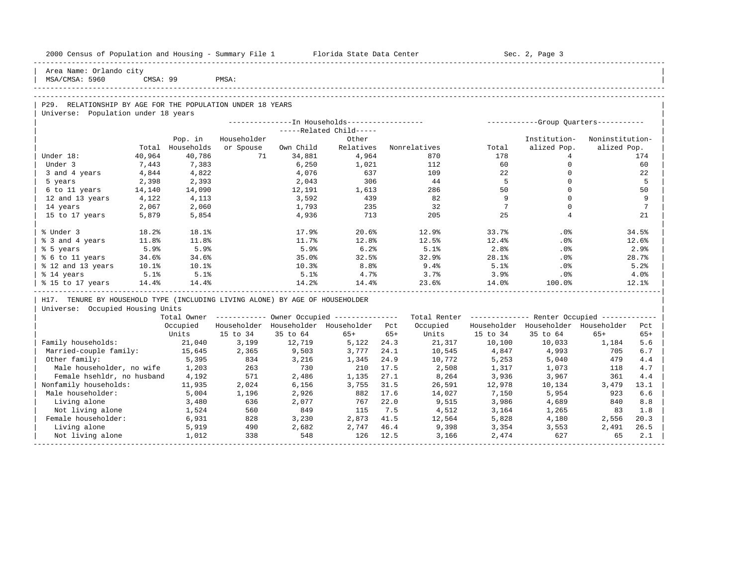| 2000 Census of Population and Housing - Summary File 1 Florida State Data Center |        |                  |             |           |                                                         |       |                                                         |                 | Sec. 2, Page 3                      |                 |                 |
|----------------------------------------------------------------------------------|--------|------------------|-------------|-----------|---------------------------------------------------------|-------|---------------------------------------------------------|-----------------|-------------------------------------|-----------------|-----------------|
| Area Name: Orlando city<br>  MSA/CMSA: 5960                                      |        | CMSA: 99         | PMSA:       |           |                                                         |       |                                                         |                 |                                     |                 |                 |
|                                                                                  |        |                  |             |           |                                                         |       |                                                         |                 |                                     |                 |                 |
| P29. RELATIONSHIP BY AGE FOR THE POPULATION UNDER 18 YEARS                       |        |                  |             |           |                                                         |       |                                                         |                 |                                     |                 |                 |
| Universe: Population under 18 years                                              |        |                  |             |           |                                                         |       |                                                         |                 |                                     |                 |                 |
|                                                                                  |        |                  |             |           |                                                         |       |                                                         |                 |                                     |                 |                 |
|                                                                                  |        |                  |             |           | $---Related Child---$                                   |       |                                                         |                 |                                     |                 |                 |
|                                                                                  |        | Pop. in          | Householder |           | Other                                                   |       |                                                         |                 | Institution-                        | Noninstitution- |                 |
|                                                                                  |        | Total Households | or Spouse   | Own Child |                                                         |       | Relatives Nonrelatives                                  | Total           | alized Pop.                         | alized Pop.     |                 |
| Under 18:                                                                        | 40,964 | 40,786           | 71          | 34,881    | 4,964                                                   |       | 870                                                     | 178             | 4                                   |                 | 174             |
| Under 3                                                                          | 7,443  | 7,383            |             | 6,250     | 1,021                                                   |       | 112                                                     | 60              | $\circ$                             |                 | 60              |
| 3 and 4 years                                                                    | 4,844  | 4,822            |             | 4,076     | 637                                                     |       | 109                                                     | 22              | $\mathbf{0}$                        |                 | 22              |
| 5 years                                                                          | 2,398  | 2,393            |             | 2,043     | 306                                                     |       | 44                                                      | $5^{\circ}$     | $\mathbf 0$                         |                 | 5               |
| 6 to 11 years                                                                    | 14,140 | 14,090           |             | 12,191    | 1,613                                                   |       | 286                                                     | 50              | $\Omega$                            |                 | 50              |
| 12 and 13 years                                                                  | 4,122  | 4,113            |             | 3,592     | 439                                                     |       | 82                                                      | 9               | $\Omega$                            |                 | 9               |
| 14 years                                                                         | 2,067  | 2,060            |             | 1,793     | 235                                                     |       | 32                                                      | $7\overline{ }$ | $\Omega$                            |                 | $7\phantom{.0}$ |
| 15 to 17 years                                                                   | 5,879  | 5,854            |             | 4,936     | 713                                                     |       | 205                                                     | 25              | 4                                   |                 | 21              |
| % Under 3                                                                        | 18.2%  | 18.1%            |             | 17.9%     | 20.6%                                                   |       | 12.9%                                                   | 33.7%           | $.0\%$                              |                 | 34.5%           |
| % 3 and 4 years                                                                  | 11.8%  | 11.8%            |             | 11.7%     | 12.8%                                                   |       | 12.5%                                                   | 12.4%           | $.0\%$                              |                 | 12.6%           |
| % 5 years                                                                        | 5.9%   | 5.9%             |             | 5.9%      | 6.2%                                                    |       | 5.1%                                                    | 2.8%            | .0%                                 |                 | 2.9%            |
| % 6 to 11 years                                                                  | 34.6%  | 34.6%            |             | 35.0%     | 32.5%                                                   |       | 32.9%                                                   | 28.1%           | $.0\%$                              |                 | 28.7%           |
| % 12 and 13 years                                                                | 10.1%  | $10.1\%$         |             | 10.3%     | $8.8\%$                                                 |       | 9.4%                                                    | 5.1%            | $.0\%$                              |                 | 5.2%            |
| % 14 years                                                                       | 5.1%   | 5.1%             |             | 5.1%      | 4.7%                                                    |       | 3.7%                                                    | $3.9\%$         | $.0\%$                              |                 | 4.0%            |
| % 15 to 17 years 14.4%                                                           |        | 14.4%            |             | $14.2\%$  | 14.4%                                                   |       | 23.6%                                                   | 14.0%           | $100.0$ %                           |                 | 12.1%           |
| H17. TENURE BY HOUSEHOLD TYPE (INCLUDING LIVING ALONE) BY AGE OF HOUSEHOLDER     |        |                  |             |           |                                                         |       |                                                         |                 |                                     |                 |                 |
| Universe: Occupied Housing Units                                                 |        |                  |             |           |                                                         |       |                                                         |                 |                                     |                 |                 |
|                                                                                  |        |                  |             |           | Total Owner ------------ Owner Occupied --------------- |       | Total Renter ------------- Renter Occupied ------------ |                 |                                     |                 |                 |
|                                                                                  |        |                  |             |           | Occupied Householder Householder Householder Pct        |       | Occupied                                                |                 | Householder Householder Householder |                 | Pct             |
|                                                                                  |        | Units            | 15 to 34    | 35 to 64  | $65+$                                                   | $65+$ | Units                                                   | 15 to 34        | 35 to 64                            | $65+$           | $65+$           |
| Family households:                                                               |        | 21,040           | 3,199       | 12,719    | 5,122 24.3                                              |       | 21,317                                                  | 10,100          | 10,033                              | 1,184           | 5.6             |
| Married-couple family:                                                           |        | 15,645           | 2,365       | 9,503     | 3,777                                                   | 24.1  | 10,545                                                  | 4,847           | 4,993                               | 705             | 6.7             |
| Other family:                                                                    |        | 5,395            | 834         | 3,216     | 1,345                                                   | 24.9  | 10,772                                                  | 5,253           | 5,040                               | 479             | 4.4             |
| Male householder, no wife                                                        |        | 1,203            | 263         | 730       | 210                                                     | 17.5  | 2,508                                                   | 1,317           | 1,073                               | 118             | 4.7             |
| Female hsehldr, no husband                                                       |        | 4,192            | 571         | 2,486     | 1,135                                                   | 27.1  | 8,264                                                   | 3,936           | 3,967                               | 361             | 4.4             |
| Nonfamily households:                                                            |        | 11,935           | 2,024       | 6,156     | 3,755                                                   | 31.5  | 26,591                                                  | 12,978          | 10,134                              | 3,479           | 13.1            |
| Male householder:                                                                |        | 5,004            | 1,196       | 2,926     | 882                                                     | 17.6  | 14,027                                                  | 7,150           | 5,954                               | 923             | 6.6             |
| Living alone                                                                     |        | 3,480            | 636         | 2,077     | 767                                                     | 22.0  | 9,515                                                   | 3,986           | 4,689                               | 840             | 8.8             |
| Not living alone                                                                 |        | 1,524            | 560         | 849       | 115                                                     | 7.5   | 4,512                                                   | 3,164           | 1,265                               | 83              | 1.8             |
| Female householder:                                                              |        | 6,931            | 828         | 3,230     | 2,873                                                   | 41.5  | 12,564                                                  | 5,828           | 4,180                               | 2,556           | 20.3            |

| Living alone 5,919 490 2,682 2,747 46.4 9,398 3,354 3,553 2,491 26.5 | | Not living alone 1,012 338 548 126 12.5 3,166 2,474 627 65 2.1 | -----------------------------------------------------------------------------------------------------------------------------------------------------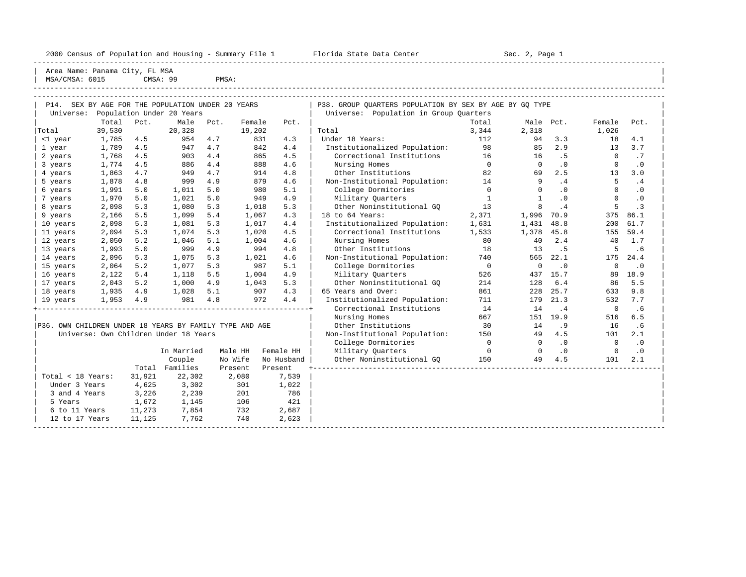2000 Census of Population and Housing - Summary File 1 Telorida State Data Center Sec. 2, Page 1 North Sec. 2, Page

----------------------------------------------------------------------------------------------------------------------------------------------------- | Area Name: Panama City, FL MSA<br>| MSA/CMSA: 6015 | CMSA: 99  $CMSA: 99$  PMSA:

| MSA/CMSA: 6015                                    |        |      | CMSA: 99  | PMSA: |        |      |       |                                                         |       |           |        |      |  |
|---------------------------------------------------|--------|------|-----------|-------|--------|------|-------|---------------------------------------------------------|-------|-----------|--------|------|--|
|                                                   |        |      |           |       |        |      |       |                                                         |       |           |        |      |  |
| P14. SEX BY AGE FOR THE POPULATION UNDER 20 YEARS |        |      |           |       |        |      |       | P38. GROUP OUARTERS POPULATION BY SEX BY AGE BY GO TYPE |       |           |        |      |  |
| Universe: Population Under 20 Years               |        |      |           |       |        |      |       | Universe: Population in Group Ouarters                  |       |           |        |      |  |
|                                                   | Total  | Pct. | Male Pct. |       | Female | Pct. |       |                                                         | Total | Male Pct. | Female | Pct. |  |
| Total                                             | 39,530 |      | 20,328    |       | 19,202 |      | Total |                                                         | 3,344 | 2,318     | .026   |      |  |

|                                                         |                | $20$ $\mu$ and $\sigma$ and $\sigma$ |                                       |      |         |            | $200-0.1$                     |                          |              |           |              |           |
|---------------------------------------------------------|----------------|--------------------------------------|---------------------------------------|------|---------|------------|-------------------------------|--------------------------|--------------|-----------|--------------|-----------|
|                                                         | Total          | Pct.                                 | Male                                  | Pct. | Female  | Pct.       |                               | Total                    | Male         | Pct.      | Female       | Pct.      |
| Total                                                   | 39,530         |                                      | 20,328                                |      | 19,202  |            | Total                         | 3,344                    | 2,318        |           | 1,026        |           |
| <1 year                                                 | 1,785          | 4.5                                  | 954                                   | 4.7  |         | 831<br>4.3 | Under 18 Years:               | 112                      | 94           | 3.3       | 18           | 4.1       |
| 1 year                                                  | 1,789          | 4.5                                  | 947                                   | 4.7  |         | 842<br>4.4 | Institutionalized Population: | 98                       | 85           | 2.9       | 13           | 3.7       |
| 2 years                                                 | 1,768          | 4.5                                  | 903                                   | 4.4  |         | 865<br>4.5 | Correctional Institutions     | 16                       | 16           | . 5       | $\Omega$     | .7        |
| 3 years                                                 | 1,774          | 4.5                                  | 886                                   | 4.4  |         | 888<br>4.6 | Nursing Homes                 | $\overline{0}$           | $\Omega$     | $\cdot$ 0 | $\mathbf 0$  | $\cdot$ 0 |
| 4 years                                                 | 1,863          | 4.7                                  | 949                                   | 4.7  |         | 914<br>4.8 | Other Institutions            | 82                       | 69           | 2.5       | 13           | 3.0       |
| 5 years                                                 | 1,878          | 4.8                                  | 999                                   | 4.9  |         | 879<br>4.6 | Non-Institutional Population: | 14                       | 9            | .4        | 5            | .4        |
| 6 years                                                 | 1,991          | 5.0                                  | 1,011                                 | 5.0  |         | 980<br>5.1 | College Dormitories           | $\Omega$                 | $\Omega$     | $\cdot$ 0 | $\Omega$     | $\cdot$ 0 |
| 7 years                                                 | 1,970          | 5.0                                  | 1,021                                 | 5.0  |         | 949<br>4.9 | Military Quarters             | $\mathbf{1}$             | $\mathbf{1}$ | $\cdot$ 0 | $\Omega$     | $\cdot$ 0 |
| 8 years                                                 | 2,098          | 5.3                                  | 1,080                                 | 5.3  | 1,018   | 5.3        | Other Noninstitutional GQ     | 13                       | 8            | .4        | 5            | . 3       |
| 9 years                                                 | 2,166          | 5.5                                  | 1,099                                 | 5.4  | 1,067   | 4.3        | 18 to 64 Years:               | 2,371                    | 1,996        | 70.9      | 375          | 86.1      |
| 10 years                                                | 2,098          | 5.3                                  | 1,081                                 | 5.3  | 1,017   | 4.4        | Institutionalized Population: | 1,631                    | 1,431        | 48.8      | 200          | 61.7      |
| 11 years                                                | 2,094          | 5.3                                  | 1,074                                 | 5.3  | 1,020   | 4.5        | Correctional Institutions     | 1,533                    | 1,378        | 45.8      | 155          | 59.4      |
| 12 years                                                | 2,050          | 5.2                                  | 1,046                                 | 5.1  | 1,004   | 4.6        | Nursing Homes                 | 80                       | 40           | 2.4       | 40           | 1.7       |
| 13 years                                                | 1,993          | 5.0                                  | 999                                   | 4.9  |         | 994<br>4.8 | Other Institutions            | 18                       | 13           | .5        | 5            | .6        |
| 14 years                                                | 2,096          | 5.3                                  | 1,075                                 | 5.3  | 1,021   | 4.6        | Non-Institutional Population: | 740                      | 565          | 22.1      | 175          | 24.4      |
| 15 years                                                | 2,064          | 5.2                                  | 1,077                                 | 5.3  |         | 987<br>5.1 | College Dormitories           | $\overline{\phantom{0}}$ | $\mathbf 0$  | $\cdot$ 0 | $\mathbf 0$  | $\cdot$ 0 |
| 16 years                                                | 2,122          | 5.4                                  | 1,118                                 | 5.5  | 1,004   | 4.9        | Military Quarters             | 526                      | 437          | 15.7      | 89           | 18.9      |
| 17 years                                                | 2,043          | 5.2                                  | 1,000                                 | 4.9  | 1,043   | 5.3        | Other Noninstitutional GO     | 214                      | 128          | 6.4       | 86           | 5.5       |
| 18 years                                                | 1,935          | 4.9                                  | 1,028                                 | 5.1  |         | 907<br>4.3 | 65 Years and Over:            | 861                      | 228          | 25.7      | 633          | 9.8       |
| 19 years                                                | 1,953          | 4.9                                  | 981                                   | 4.8  |         | 4.4<br>972 | Institutionalized Population: | 711                      | 179          | 21.3      | 532          | 7.7       |
|                                                         |                |                                      |                                       |      |         |            | Correctional Institutions     | 14                       | 14           | $\cdot$ 4 | $\mathbf 0$  | .6        |
|                                                         |                |                                      |                                       |      |         |            | Nursing Homes                 | 667                      | 151          | 19.9      | 516          | 6.5       |
| P36. OWN CHILDREN UNDER 18 YEARS BY FAMILY TYPE AND AGE |                |                                      |                                       |      |         |            | Other Institutions            | 30                       | 14           | .9        | 16           | .6        |
|                                                         |                |                                      | Universe: Own Children Under 18 Years |      |         |            | Non-Institutional Population: | 150                      | 49           | 4.5       | 101          | 2.1       |
|                                                         |                |                                      |                                       |      |         |            | College Dormitories           | $\Omega$                 | $\Omega$     | $\cdot$ 0 | $\mathbf{0}$ | $\cdot$ 0 |
|                                                         |                |                                      | In Married                            |      | Male HH | Female HH  | Military Quarters             | $\overline{0}$           | $^{\circ}$   | $\cdot$ 0 | 0            | $\cdot$ 0 |
|                                                         |                |                                      | Couple                                |      | No Wife | No Husband | Other Noninstitutional GO     | 150                      | 49           | 4.5       | 101          | 2.1       |
|                                                         |                |                                      | Total Families                        |      | Present | Present    |                               |                          |              |           |              |           |
| Total < 18 Years:                                       |                | 31,921                               | 22,302                                |      | 2,080   | 7,539      |                               |                          |              |           |              |           |
| Under 3 Years                                           |                | 4,625                                | 3,302                                 |      | 301     | 1,022      |                               |                          |              |           |              |           |
| 3 and 4 Years                                           |                | 3,226                                | 2,239                                 |      | 201     | 786        |                               |                          |              |           |              |           |
| 5 Years                                                 |                | 1,672                                | 1,145                                 |      | 106     | 421        |                               |                          |              |           |              |           |
| 6 to 11 Years                                           |                | 11,273                               | 7,854                                 |      | 732     | 2,687      |                               |                          |              |           |              |           |
|                                                         | 12 to 17 Years | 11,125                               | 7,762                                 |      | 740     | 2,623      |                               |                          |              |           |              |           |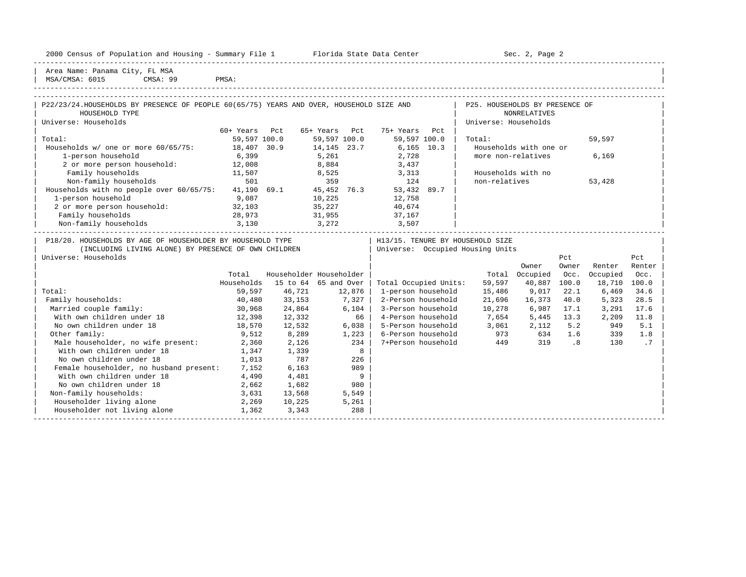| 2000 Census of Population and Housing - Summary File 1 Florida State Data Center 50 1 Sec. 2, Page 2                     |               |              |                         |                                  |                      |                        |       |          |        |
|--------------------------------------------------------------------------------------------------------------------------|---------------|--------------|-------------------------|----------------------------------|----------------------|------------------------|-------|----------|--------|
| Area Name: Panama City, FL MSA<br>MSA/CMSA: 6015 CMSA: 99<br>PMSA:                                                       |               |              |                         |                                  |                      |                        |       |          |        |
|                                                                                                                          |               |              |                         |                                  |                      |                        |       |          |        |
| P22/23/24.HOUSEHOLDS BY PRESENCE OF PEOPLE 60(65/75) YEARS AND OVER, HOUSEHOLD SIZE AND   P25. HOUSEHOLDS BY PRESENCE OF |               |              |                         |                                  |                      |                        |       |          |        |
| HOUSEHOLD TYPE                                                                                                           |               |              |                         |                                  |                      | NONRELATIVES           |       |          |        |
| Universe: Households                                                                                                     |               |              |                         |                                  | Universe: Households |                        |       |          |        |
|                                                                                                                          | 60+ Years Pct |              | 65+ Years Pct           | 75+ Years<br>Pct                 |                      |                        |       |          |        |
| Total:                                                                                                                   |               | 59,597 100.0 | 59,597 100.0            | 59,597 100.0                     | Total:               |                        |       | 59,597   |        |
| Households w/ one or more 60/65/75: 18,407 30.9                                                                          |               |              | 14, 145 23.7            | $6,165$ 10.3                     |                      | Households with one or |       |          |        |
| 1-person household                                                                                                       | 6,399         |              | 5,261                   |                                  |                      | more non-relatives     |       | 6,169    |        |
| 2 or more person household: 12,008                                                                                       |               |              | 8,884                   | 2,728<br>3,437                   |                      |                        |       |          |        |
| Family households                                                                                                        | 11,507        |              | 8,525 3,313             |                                  |                      | Households with no     |       |          |        |
| Non-family households                                                                                                    | 501           |              | 359                     | 124                              | non-relatives        |                        |       | 53,428   |        |
| Households with no people over 60/65/75: 41,190 69.1 45,452 76.3 53,432 89.7                                             |               |              |                         |                                  |                      |                        |       |          |        |
| 1-person household                                                                                                       | 9,087         |              | 10,225                  | 12,758                           |                      |                        |       |          |        |
| 2 or more person household: 32,103                                                                                       |               |              | 35, 227                 | 40,674                           |                      |                        |       |          |        |
| Family households<br>28,973                                                                                              |               |              | 31,955 37,167           |                                  |                      |                        |       |          |        |
| Non-family households 3,130                                                                                              |               |              | $3,272$ $3,507$         |                                  |                      |                        |       |          |        |
| P18/20. HOUSEHOLDS BY AGE OF HOUSEHOLDER BY HOUSEHOLD TYPE                                                               |               |              |                         | H13/15. TENURE BY HOUSEHOLD SIZE |                      |                        |       |          |        |
| (INCLUDING LIVING ALONE) BY PRESENCE OF OWN CHILDREN                                                                     |               |              |                         | Universe: Occupied Housing Units |                      |                        |       |          |        |
| Universe: Households                                                                                                     |               |              |                         |                                  |                      |                        | Pct   |          | Pct    |
|                                                                                                                          |               |              |                         |                                  |                      | Owner                  | Owner | Renter   | Renter |
|                                                                                                                          | Total         |              | Householder Householder |                                  |                      | Total Occupied         | Occ.  | Occupied | Occ.   |
|                                                                                                                          | Households    |              | 15 to 64 65 and Over    | Total Occupied Units:            | 59,597               | 40,887                 | 100.0 | 18,710   | 100.0  |
| Total:                                                                                                                   | 59,597        |              | 46,721 12,876           | 1-person household               | 15,486               | 9,017                  | 22.1  | 6,469    | 34.6   |
| Family households:                                                                                                       | 40,480        | 33,153       | 7,327                   | 2-Person household               | 21,696               | 16,373                 | 40.0  | 5,323    | 28.5   |
| Married couple family:                                                                                                   | 30,968        | 24,864       | 6,104                   | 3-Person household               | 10,278               | 6,987                  | 17.1  | 3,291    | 17.6   |
| With own children under 18                                                                                               | 12,398        | 12,332       | 66                      | 4-Person household               | 7,654                | 5,445                  | 13.3  | 2,209    | 11.8   |
| No own children under 18                                                                                                 | 18,570        | 12,532       | 6,038                   | 5-Person household               | 3,061                | 2,112                  | 5.2   | 949      | 5.1    |
| Other family:                                                                                                            | 9,512         | 8,289        | 1,223                   | 6-Person household               | 973                  | 634                    | 1.6   | 339      | 1.8    |
| Male householder, no wife present: 2,360                                                                                 |               | 2,126        | 234                     | 7+Person household               | 449                  | 319                    | .8    | 130      | .7     |
| With own children under 18                                                                                               | 1,347         | 1,339        | 8                       |                                  |                      |                        |       |          |        |

-----------------------------------------------------------------------------------------------------------------------------------------------------

No own children under 18

Female householder, no husband present: 7,152 6,163

Householder not living alone 1,362 3,343

No own children under 18 1,013 787 226<br>Female householder, no husband present: 7,152 6,163 989

With own children under 18  $4,490$   $4,481$  9<br>No own children under 18  $2,662$   $1,682$  980

Non-family households: 3,631 13,568 5,549 | Householder living alone 2,269 10,225 5,261 | |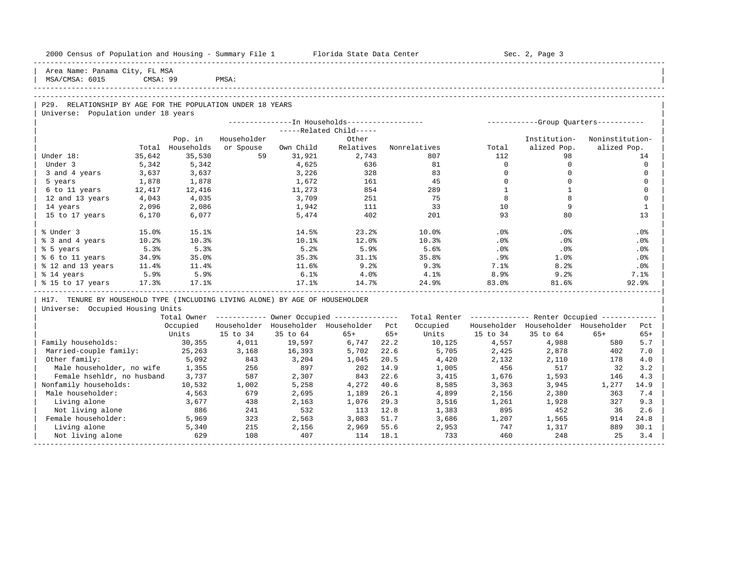| 2000 Census of Population and Housing - Summary File 1 Florida State Data Center |          |            |             |            |                                                        |       |              |              | Sec. 2, Page 3                                          |                 |             |
|----------------------------------------------------------------------------------|----------|------------|-------------|------------|--------------------------------------------------------|-------|--------------|--------------|---------------------------------------------------------|-----------------|-------------|
| Area Name: Panama City, FL MSA<br>MSA/CMSA: 6015                                 | CMSA: 99 |            | PMSA:       |            |                                                        |       |              |              |                                                         |                 |             |
|                                                                                  |          |            |             |            |                                                        |       |              |              |                                                         |                 |             |
| P29. RELATIONSHIP BY AGE FOR THE POPULATION UNDER 18 YEARS                       |          |            |             |            |                                                        |       |              |              |                                                         |                 |             |
| Universe: Population under 18 years                                              |          |            |             |            |                                                        |       |              |              |                                                         |                 |             |
|                                                                                  |          |            |             |            | ---------------In Households------------------         |       |              |              | ------------Group Quarters-----------                   |                 |             |
|                                                                                  |          |            |             |            | -----Related Child-----                                |       |              |              |                                                         |                 |             |
|                                                                                  |          | Pop. in    | Householder |            | Other                                                  |       |              |              | Institution-                                            | Noninstitution- |             |
|                                                                                  | Total    | Households | or Spouse   | Own Child  | Relatives                                              |       | Nonrelatives | Total        | alized Pop.                                             | alized Pop.     |             |
| Under 18:                                                                        | 35,642   | 35,530     | 59          | 31,921     | 2,743                                                  |       | 807          | 112          | 98                                                      |                 | 14          |
| Under 3                                                                          | 5,342    | 5,342      |             | 4,625      | 636                                                    |       | 81           | $\Omega$     | $\mathbf 0$                                             |                 | $\Omega$    |
| 3 and 4 years                                                                    | 3,637    | 3,637      |             | 3,226      | 328                                                    |       | 83           | $\mathbf 0$  | $\mathbf 0$                                             |                 | $\mathbf 0$ |
| 5 years                                                                          | 1,878    | 1,878      |             | 1,672      | 161                                                    |       | 45           | $\Omega$     | $\Omega$                                                |                 | $\Omega$    |
| 6 to 11 years                                                                    | 12,417   | 12,416     |             | 11,273     | 854                                                    |       | 289          | $\mathbf{1}$ | $\mathbf{1}$                                            |                 | $\Omega$    |
| 12 and 13 years                                                                  | 4,043    | 4,035      |             | 3,709      | 251                                                    |       | 75           | 8            | 8                                                       |                 | $\mathbf 0$ |
| 14 years                                                                         | 2,096    | 2,086      |             | 1,942      | 111                                                    |       | 33           | 10           | 9                                                       |                 | 1           |
| 15 to 17 years                                                                   | 6,170    | 6,077      |             | 5,474      | 402                                                    |       | 201          | 93           | 80                                                      |                 | 13          |
| % Under 3                                                                        | 15.0%    | 15.1%      |             | 14.5%      | 23.2%                                                  |       | 10.0%        | $.0\%$       | .0%                                                     |                 | .0%         |
| % 3 and 4 years                                                                  | 10.2%    | 10.3%      |             | $10.1$ $%$ | 12.0%                                                  |       | 10.3%        | $.0\%$       | .0%                                                     |                 | .0%         |
| % 5 years                                                                        | 5.3%     | 5.3%       |             | 5.2%       | 5.9%                                                   |       | 5.6%         | .0%          | .0%                                                     |                 | .0%         |
| % 6 to 11 years                                                                  | 34.9%    | 35.0%      |             | 35.3%      | 31.1%                                                  |       | 35.8%        | $.9\%$       | 1.0%                                                    |                 | $.0\%$      |
| % 12 and 13 years                                                                | 11.4%    | 11.4%      |             | 11.6%      | 9.2%                                                   |       | 9.3%         | 7.1%         | 8.2%                                                    |                 | $.0\%$      |
| % 14 years                                                                       | 5.9%     | 5.9%       |             | 6.1%       | 4.0%                                                   |       | 4.1%         | 8.9%         | 9.2%                                                    |                 | 7.1%        |
| % 15 to 17 years                                                                 | 17.3%    | 17.1%      |             | 17.1%      | 14.7%                                                  |       | 24.9%        | 83.0%        | 81.6%                                                   |                 | 92.9%       |
| H17. TENURE BY HOUSEHOLD TYPE (INCLUDING LIVING ALONE) BY AGE OF HOUSEHOLDER     |          |            |             |            |                                                        |       |              |              |                                                         |                 |             |
| Universe: Occupied Housing Units                                                 |          |            |             |            |                                                        |       |              |              |                                                         |                 |             |
|                                                                                  |          |            |             |            | Total Owner ------------ Owner Occupied -------------- |       |              |              | Total Renter ------------- Renter Occupied ------------ |                 |             |
|                                                                                  |          | Occupied   | Householder |            | Householder Householder Pct                            |       | Occupied     |              | Householder Householder Householder                     |                 | Pct         |
|                                                                                  |          | Units      | 15 to 34    | 35 to 64   | $65+$                                                  | $65+$ | Units        | 15 to 34     | 35 to 64                                                | $65+$           | $65+$       |
| Family households:                                                               |          | 30,355     | 4,011       | 19,597     | 6,747                                                  | 22.2  | 10,125       | 4,557        | 4,988                                                   | 580             | 5.7         |
| Married-couple family:                                                           |          | 25,263     | 3,168       | 16,393     | 5,702                                                  | 22.6  | 5,705        | 2,425        | 2,878                                                   | 402             | 7.0         |
| Other family:                                                                    |          | 5,092      | 843         | 3,204      | 1,045                                                  | 20.5  | 4,420        | 2,132        | 2,110                                                   | 178             | 4.0         |
| Male householder, no wife                                                        |          | 1,355      | 256         | 897        | 202                                                    | 14.9  | 1,005        | 456          | 517                                                     | 32              | 3.2         |
| Female hsehldr, no husband                                                       |          | 3,737      | 587         | 2,307      | 843                                                    | 22.6  | 3,415        | 1,676        | 1,593                                                   | 146             | 4.3         |
| Nonfamily households:                                                            |          | 10,532     | 1,002       | 5,258      | 4,272                                                  | 40.6  | 8,585        | 3,363        | 3,945                                                   | 1,277           | 14.9        |
| Male householder:                                                                |          | 4,563      | 679         | 2,695      | 1,189                                                  | 26.1  | 4,899        | 2,156        | 2,380                                                   | 363             | 7.4         |
| Living alone                                                                     |          | 3,677      | 438         | 2,163      | 1,076                                                  | 29.3  | 3,516        | 1,261        | 1,928                                                   | 327             | 9.3         |
| Not living alone                                                                 |          | 886        | 241         | 532        | 113                                                    | 12.8  | 1,383        | 895          | 452                                                     | 36              | 2.6         |
| Female householder:                                                              |          | 5,969      | 323         | 2,563      | 3,083                                                  | 51.7  | 3,686        | 1,207        | 1,565                                                   | 914             | 24.8        |
| Living alone                                                                     |          | 5,340      | 215         | 2,156      | 2,969                                                  | 55.6  | 2,953        | 747          | 1,317                                                   | 889             | 30.1        |
| Not living alone                                                                 |          | 629        | 108         | 407        | 114                                                    | 18.1  | 733          | 460          | 248                                                     | 25              | 3.4         |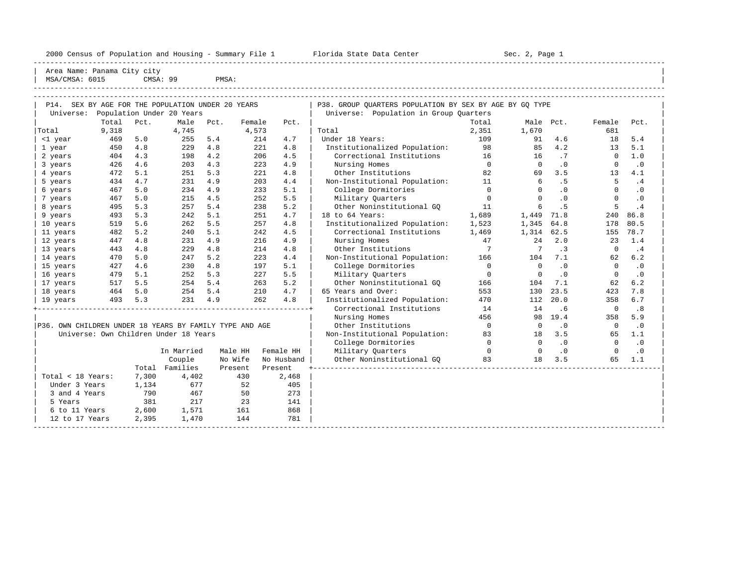2000 Census of Population and Housing - Summary File 1 Telorida State Data Center Sec. 2, Page 1 North Sec. 2, Page

----------------------------------------------------------------------------------------------------------------------------------------------------- Area Name: Panama City city | MSA/CMSA: 6015 CMSA: 99 PMSA: |

----------------------------------------------------------------------------------------------------------------------------------------------------- -----------------------------------------------------------------------------------------------------------------------------------------------------

| SEX BY AGE FOR THE POPULATION UNDER 20 YEARS<br>P14.    |       |       |                                       |         |         |            | P38. GROUP QUARTERS POPULATION BY SEX BY AGE BY GQ TYPE |             |             |           |             |           |  |  |  |
|---------------------------------------------------------|-------|-------|---------------------------------------|---------|---------|------------|---------------------------------------------------------|-------------|-------------|-----------|-------------|-----------|--|--|--|
| Population Under 20 Years<br>Universe:                  |       |       |                                       |         |         |            | Universe: Population in Group Quarters                  |             |             |           |             |           |  |  |  |
|                                                         | Total | Pct.  | Male                                  | Pct.    | Female  | Pct.       |                                                         | Total       | Male Pct.   |           | Female      | Pct.      |  |  |  |
| Total                                                   | 9,318 |       | 4,745                                 |         | 4,573   |            | Total                                                   | 2,351       | 1,670       |           | 681         |           |  |  |  |
| <1 year                                                 | 469   | 5.0   | 255                                   | 5.4     | 214     | 4.7        | Under 18 Years:                                         | 109         | 91          | 4.6       | 18          | 5.4       |  |  |  |
| 1 year                                                  | 450   | 4.8   | 229                                   | 4.8     | 221     | 4.8        | Institutionalized Population:                           | 98          | 85          | 4.2       | 13          | 5.1       |  |  |  |
| 2 years                                                 | 404   | 4.3   | 198                                   | 4.2     | 206     | 4.5        | Correctional Institutions                               | 16          | 16          | .7        | $\Omega$    | 1.0       |  |  |  |
| 3 years                                                 | 426   | 4.6   | 203                                   | 4.3     | 223     | 4.9        | Nursing Homes                                           | $\Omega$    | $\Omega$    | .0        | $\Omega$    | $\cdot$ 0 |  |  |  |
| 4 years                                                 | 472   | 5.1   | 251                                   | 5.3     | 221     | 4.8        | Other Institutions                                      | 82          | 69          | 3.5       | 13          | 4.1       |  |  |  |
| 5 years                                                 | 434   | 4.7   | 231                                   | 4.9     | 203     | 4.4        | Non-Institutional Population:                           | 11          | 6           | .5        | 5           | .4        |  |  |  |
| 6 years                                                 | 467   | 5.0   | 234                                   | 4.9     | 233     | 5.1        | College Dormitories                                     | $\Omega$    | $\Omega$    | .0        | $\Omega$    | $\cdot$ 0 |  |  |  |
| 7 years                                                 | 467   | 5.0   | 215                                   | 4.5     | 252     | 5.5        | Military Quarters                                       | $\Omega$    | $\Omega$    | .0        | $\Omega$    | .0        |  |  |  |
| 8 years                                                 | 495   | 5.3   | 257                                   | 5.4     | 238     | 5.2        | Other Noninstitutional GO                               | 11          | 6           | .5        | 5           | .4        |  |  |  |
| 9 years                                                 | 493   | 5.3   | 242                                   | 5.1     | 251     | 4.7        | 18 to 64 Years:                                         | 1,689       | 1,449       | 71.8      | 240         | 86.8      |  |  |  |
| 10 years                                                | 519   | 5.6   | 262                                   | 5.5     | 257     | 4.8        | Institutionalized Population:                           | 1,523       | 1,345       | 64.8      | 178         | 80.5      |  |  |  |
| 11 years                                                | 482   | 5.2   | 240                                   | 5.1     | 242     | 4.5        | Correctional Institutions                               | 1,469       | 1,314       | 62.5      | 155         | 78.7      |  |  |  |
| 12 years                                                | 447   | 4.8   | 231                                   | 4.9     | 216     | 4.9        | Nursing Homes                                           | 47          | 24          | 2.0       | 23          | 1.4       |  |  |  |
| 13 years                                                | 443   | 4.8   | 229                                   | 4.8     | 214     | 4.8        | Other Institutions                                      | 7           | 7           | $\cdot$ 3 | $\Omega$    | .4        |  |  |  |
| 14 years                                                | 470   | 5.0   | 247                                   | 5.2     | 223     | 4.4        | Non-Institutional Population:                           | 166         | 104         | 7.1       | 62          | 6.2       |  |  |  |
| 15 years                                                | 427   | 4.6   | 230                                   | 4.8     | 197     | 5.1        | College Dormitories                                     | $\mathbf 0$ | $\Omega$    | .0        | $\Omega$    | $\cdot$ 0 |  |  |  |
| 16 years                                                | 479   | 5.1   | 252                                   | 5.3     | 227     | 5.5        | Military Quarters                                       | $\mathbf 0$ | $\mathbf 0$ | $\cdot$ 0 | $\mathbf 0$ | $\cdot$ 0 |  |  |  |
| 17 years                                                | 517   | 5.5   | 254                                   | 5.4     | 263     | 5.2        | Other Noninstitutional GQ                               | 166         | 104         | 7.1       | 62          | 6.2       |  |  |  |
| 18 years                                                | 464   | 5.0   | 254                                   | 5.4     | 210     | 4.7        | 65 Years and Over:                                      | 553         | 130         | 23.5      | 423         | 7.8       |  |  |  |
| 19 years                                                | 493   | 5.3   | 231                                   | 4.9     | 262     | 4.8        | Institutionalized Population:                           | 470         | 112         | 20.0      | 358         | 6.7       |  |  |  |
|                                                         |       |       |                                       |         |         |            | Correctional Institutions                               | 14          | 14          | .6        | $\mathbf 0$ | .8        |  |  |  |
|                                                         |       |       |                                       |         |         |            | Nursing Homes                                           | 456         | 98          | 19.4      | 358         | 5.9       |  |  |  |
| P36. OWN CHILDREN UNDER 18 YEARS BY FAMILY TYPE AND AGE |       |       |                                       |         |         |            | Other Institutions                                      | $\mathbf 0$ | $\Omega$    | $\cdot$ 0 | $\Omega$    | $\cdot$ 0 |  |  |  |
|                                                         |       |       | Universe: Own Children Under 18 Years |         |         |            | Non-Institutional Population:                           | 83          | 18          | 3.5       | 65          | 1.1       |  |  |  |
|                                                         |       |       |                                       |         |         |            | College Dormitories                                     | $\mathbf 0$ | $\Omega$    | $\cdot$ 0 | $\Omega$    | .0        |  |  |  |
|                                                         |       |       | In Married                            |         | Male HH | Female HH  | Military Quarters                                       | $\Omega$    | $\Omega$    | $\cdot$ 0 | $\Omega$    | $\cdot$ 0 |  |  |  |
|                                                         |       |       | Couple                                | No Wife |         | No Husband | Other Noninstitutional GQ                               | 83          | 18          | 3.5       | 65          | 1.1       |  |  |  |
|                                                         |       | Total | Families                              |         | Present | Present    |                                                         |             |             |           |             |           |  |  |  |
| Total < 18 Years:                                       |       | 7,300 | 4,402                                 |         | 430     | 2,468      |                                                         |             |             |           |             |           |  |  |  |
| Under 3 Years                                           |       | 1,134 | 677                                   |         | 52      | 405        |                                                         |             |             |           |             |           |  |  |  |
| 3 and 4 Years                                           |       | 790   | 467                                   |         | 50      | 273        |                                                         |             |             |           |             |           |  |  |  |
| 5 Years                                                 |       | 381   | 217                                   |         | 23      | 141        |                                                         |             |             |           |             |           |  |  |  |
| 6 to 11 Years                                           |       | 2,600 | 1,571                                 |         | 161     | 868        |                                                         |             |             |           |             |           |  |  |  |
| 12 to 17 Years                                          |       | 2,395 | 1,470                                 |         | 144     | 781        |                                                         |             |             |           |             |           |  |  |  |
|                                                         |       |       |                                       |         |         |            |                                                         |             |             |           |             |           |  |  |  |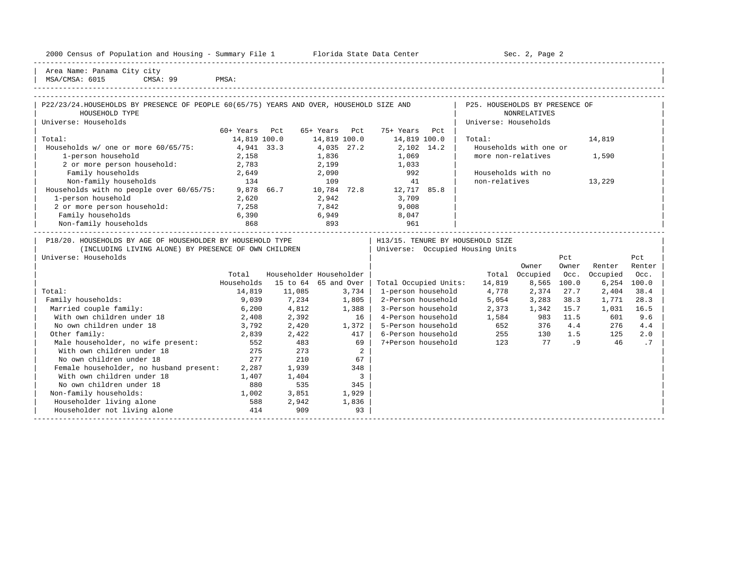| Housing<br>2000<br>and<br>* Population .<br>ensus!<br>2Y1<br>summa<br>∸∸ | Center<br>lorida<br>- Data<br>31.71.7 | Paαe<br>¬≏′<br>しこし<br>$\sim$ |  |
|--------------------------------------------------------------------------|---------------------------------------|------------------------------|--|
|                                                                          |                                       |                              |  |

2000 Florida State Data Center - Sec. 2, Page 2

Area Name: Panama City city MSA/CMSA: 6015 CMSA: 99 PMSA:

| $DMC \wedge$ |  |  |
|--------------|--|--|

| P22/23/24.HOUSEHOLDS BY PRESENCE OF PEOPLE 60(65/75) YEARS AND OVER, HOUSEHOLD SIZE AND                                                    |               |                         |               |                         |                                    | P25. HOUSEHOLDS BY PRESENCE OF                                       |                        |              |               |               |
|--------------------------------------------------------------------------------------------------------------------------------------------|---------------|-------------------------|---------------|-------------------------|------------------------------------|----------------------------------------------------------------------|------------------------|--------------|---------------|---------------|
| HOUSEHOLD TYPE                                                                                                                             |               |                         |               |                         |                                    |                                                                      | <b>NONRELATIVES</b>    |              |               |               |
| Universe: Households                                                                                                                       |               |                         |               |                         |                                    | Universe: Households                                                 |                        |              |               |               |
|                                                                                                                                            | 60+ Years Pct |                         | 65+ Years Pct |                         | 75+ Years Pct                      |                                                                      |                        |              |               |               |
| Total:                                                                                                                                     | 14,819 100.0  |                         | 14,819 100.0  |                         | 14,819 100.0                       | Total:                                                               |                        |              | 14,819        |               |
| Households w/ one or more 60/65/75:                                                                                                        | 4,941 33.3    |                         | 4,035 27.2    |                         | 2,102 14.2                         |                                                                      | Households with one or |              |               |               |
| 1-person household                                                                                                                         | 2,158         |                         | 1,836         |                         | 1,069                              | more non-relatives                                                   |                        |              | 1,590         |               |
| 2 or more person household: 2,783                                                                                                          |               |                         | 2,199         |                         | 1,033                              |                                                                      |                        |              |               |               |
| Family households                                                                                                                          | 2,649         |                         | 2,090         |                         | 992                                | Households with no                                                   |                        |              |               |               |
| Non-family households<br>134                                                                                                               |               |                         | 109           |                         | 41                                 | non-relatives                                                        |                        |              | 13,229        |               |
| Households with no people over 60/65/75:                                                                                                   |               |                         |               |                         | 9,878 66.7 10,784 72.8 12,717 85.8 |                                                                      |                        |              |               |               |
| 1-person household                                                                                                                         | 2,620         |                         | 2,942         |                         | 3,709                              |                                                                      |                        |              |               |               |
| 2 or more person household:                                                                                                                | 7,258         |                         | 7,842         |                         | 9,008                              |                                                                      |                        |              |               |               |
| Family households                                                                                                                          | 6,390         |                         | 6,949         |                         | 8,047                              |                                                                      |                        |              |               |               |
| Non-family households                                                                                                                      | 868           | $\frac{1}{893}$         |               |                         | 961                                |                                                                      |                        |              |               |               |
| P18/20. HOUSEHOLDS BY AGE OF HOUSEHOLDER BY HOUSEHOLD TYPE<br>(INCLUDING LIVING ALONE) BY PRESENCE OF OWN CHILDREN<br>Universe: Households |               |                         |               |                         |                                    | H13/15. TENURE BY HOUSEHOLD SIZE<br>Universe: Occupied Housing Units | Owner                  | Pct<br>Owner | Renter        | Pct<br>Renter |
|                                                                                                                                            | Total         | Householder Householder |               |                         |                                    |                                                                      | Total Occupied         | Occ.         | Occupied      | Occ.          |
|                                                                                                                                            | Households    | 15 to 64 65 and Over    |               |                         | Total Occupied Units:              | 14,819                                                               |                        | 8,565 100.0  | $6,254$ 100.0 |               |
| Total:                                                                                                                                     | 14,819        | 11,085                  | 3,734         |                         | 1-person household                 | 4,778                                                                | 2,374                  | 27.7         | 2,404         | 38.4          |
| Family households:                                                                                                                         | 9,039         | 7,234                   |               | 1,805                   | 2-Person household                 | 5,054                                                                | 3,283                  | 38.3         | 1,771         | 28.3          |
| Married couple family:                                                                                                                     | 6,200         | 4,812                   |               | 1,388                   | 3-Person household                 | 2,373                                                                | 1,342 15.7             |              | 1,031         | 16.5          |
| With own children under 18                                                                                                                 | 2,408         | 2,392                   |               | 16                      | 4-Person household                 |                                                                      | 1,584 983 11.5         |              | 601           | 9.6           |
| No own children under 18                                                                                                                   | 3,792         | 2,420                   | 1,372         |                         | 5-Person household                 |                                                                      | 652 376 4.4            |              | 276           | 4.4           |
| Other family:                                                                                                                              | 2,839         | 2,422                   |               | 417                     | 6-Person household                 | 255 130 1.5                                                          |                        |              | 125           | 2.0           |
| Male householder, no wife present:                                                                                                         | 552           | 483                     |               | 69                      | 7+Person household                 | 123 77 .9                                                            |                        |              | 46            | .7            |
| With own children under 18                                                                                                                 | 275           | 273                     |               | 2                       |                                    |                                                                      |                        |              |               |               |
| No own children under 18                                                                                                                   | 277           | 210                     |               | 67                      |                                    |                                                                      |                        |              |               |               |
| Female householder, no husband present: 2,287                                                                                              |               | 1,939                   |               | 348                     |                                    |                                                                      |                        |              |               |               |
| With own children under 18                                                                                                                 | 1,407         | 1,404                   |               | $\overline{\mathbf{3}}$ |                                    |                                                                      |                        |              |               |               |
| No own children under 18                                                                                                                   | 880           | 535                     |               | 345                     |                                    |                                                                      |                        |              |               |               |
| Non-family households:                                                                                                                     | 1,002         | 3,851                   |               | 1,929                   |                                    |                                                                      |                        |              |               |               |
| Householder living alone                                                                                                                   | 588           | 2,942                   |               | 1,836                   |                                    |                                                                      |                        |              |               |               |
| Householder not living alone                                                                                                               | 414           | 909                     |               | 93                      |                                    |                                                                      |                        |              |               |               |
|                                                                                                                                            |               |                         |               |                         |                                    |                                                                      |                        |              |               |               |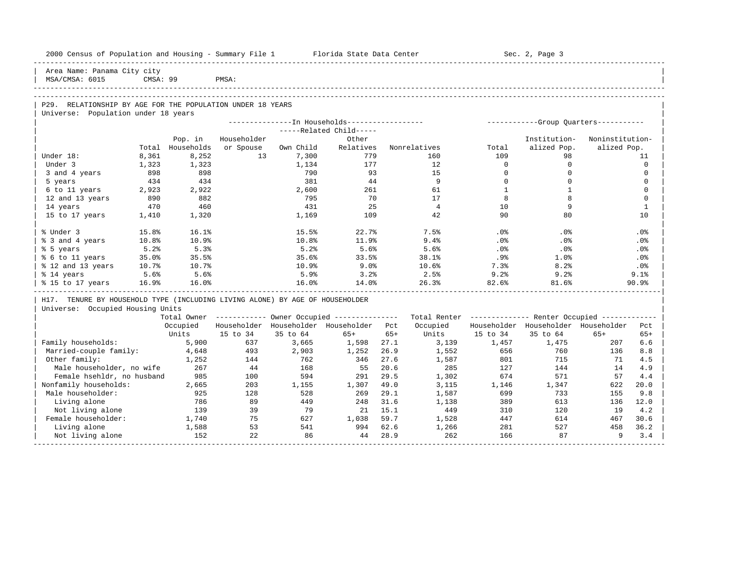| 2000 Census of Population and Housing - Summary File 1 Florida State Data Center |          |            |             |           |                                                        |       |                |             | Sec. 2, Page 3                                          |                 |                 |
|----------------------------------------------------------------------------------|----------|------------|-------------|-----------|--------------------------------------------------------|-------|----------------|-------------|---------------------------------------------------------|-----------------|-----------------|
| Area Name: Panama City city<br>MSA/CMSA: 6015                                    | CMSA: 99 |            | PMSA:       |           |                                                        |       |                |             |                                                         |                 |                 |
|                                                                                  |          |            |             |           |                                                        |       |                |             |                                                         |                 |                 |
| P29. RELATIONSHIP BY AGE FOR THE POPULATION UNDER 18 YEARS                       |          |            |             |           |                                                        |       |                |             |                                                         |                 |                 |
| Universe: Population under 18 years                                              |          |            |             |           |                                                        |       |                |             |                                                         |                 |                 |
|                                                                                  |          |            |             |           | ---------------- In Households------------------       |       |                |             | ------------Group Quarters-----------                   |                 |                 |
|                                                                                  |          |            |             |           | -----Related Child-----                                |       |                |             |                                                         |                 |                 |
|                                                                                  |          | Pop. in    | Householder |           | Other                                                  |       |                |             | Institution-                                            | Noninstitution- |                 |
|                                                                                  | Total    | Households | or Spouse   | Own Child | Relatives                                              |       | Nonrelatives   | Total       | alized Pop.                                             | alized Pop.     |                 |
| Under 18:                                                                        | 8,361    | 8,252      | 13          | 7,300     | 779                                                    |       | 160            | 109         | 98                                                      |                 | 11              |
| Under 3                                                                          | 1,323    | 1,323      |             | 1,134     | 177                                                    |       | 12             | $\Omega$    | $\mathbf 0$                                             |                 | $\Omega$        |
| 3 and 4 years                                                                    | 898      | 898        |             | 790       | 93                                                     |       | 15             | $\mathbf 0$ | $\mathbf 0$                                             |                 | $\mathbf 0$     |
| 5 years                                                                          | 434      | 434        |             | 381       | 44                                                     |       | 9              | $\Omega$    | $\Omega$                                                |                 | $\Omega$        |
| 6 to 11 years                                                                    | 2,923    | 2,922      |             | 2,600     | 261                                                    |       | 61             | 1           | $\mathbf{1}$                                            |                 | $\Omega$        |
| 12 and 13 years                                                                  | 890      | 882        |             | 795       | 70                                                     |       | 17             | 8           | 8                                                       |                 | $\mathbf 0$     |
| 14 years                                                                         | 470      | 460        |             | 431       | 25                                                     |       | $\overline{4}$ | 10          | 9                                                       |                 | 1               |
| 15 to 17 years                                                                   | 1,410    | 1,320      |             | 1,169     | 109                                                    |       | 42             | 90          | 80                                                      |                 | 10              |
| % Under 3                                                                        | 15.8%    | 16.1%      |             | 15.5%     | 22.7%                                                  |       | 7.5%           | .0%         | .0%                                                     |                 | .0 <sub>8</sub> |
| % 3 and 4 years                                                                  | 10.8%    | 10.9%      |             | 10.8%     | 11.9%                                                  |       | 9.4%           | .0%         | .0%                                                     |                 | .0%             |
| % 5 years                                                                        | 5.2%     | 5.3%       |             | 5.2%      | 5.6%                                                   |       | 5.6%           | $.0\%$      | $.0\%$                                                  |                 | .0%             |
| % 6 to 11 years                                                                  | 35.0%    | 35.5%      |             | 35.6%     | 33.5%                                                  |       | 38.1%          | $.9\%$      | 1.0%                                                    |                 | .0%             |
| % 12 and 13 years                                                                | 10.7%    | 10.7%      |             | 10.9%     | 9.0%                                                   |       | 10.6%          | 7.3%        | 8.2%                                                    |                 | $.0\%$          |
| % 14 years                                                                       | 5.6%     | 5.6%       |             | 5.9%      | 3.2%                                                   |       | 2.5%           | 9.2%        | 9.2%                                                    |                 | 9.1%            |
| % 15 to 17 years                                                                 | 16.9%    | 16.0%      |             | 16.0%     | 14.0%                                                  |       | 26.3%          | 82.6%       | 81.6%                                                   |                 | 90.9%           |
| H17. TENURE BY HOUSEHOLD TYPE (INCLUDING LIVING ALONE) BY AGE OF HOUSEHOLDER     |          |            |             |           |                                                        |       |                |             |                                                         |                 |                 |
| Universe: Occupied Housing Units                                                 |          |            |             |           |                                                        |       |                |             |                                                         |                 |                 |
|                                                                                  |          |            |             |           | Total Owner ------------ Owner Occupied -------------- |       |                |             | Total Renter ------------- Renter Occupied ------------ |                 |                 |
|                                                                                  |          | Occupied   |             |           | Householder Householder Householder                    | Pct   | Occupied       |             | Householder Householder Householder                     |                 | Pct             |
|                                                                                  |          | Units      | 15 to 34    | 35 to 64  | $65+$                                                  | $65+$ | Units          | 15 to 34    | 35 to 64                                                | $65+$           | $65+$           |
| Family households:                                                               |          | 5,900      | 637         | 3,665     | 1,598                                                  | 27.1  | 3,139          | 1,457       | 1,475                                                   | 207             | 6.6             |
| Married-couple family:                                                           |          | 4,648      | 493         | 2,903     | 1,252                                                  | 26.9  | 1,552          | 656         | 760                                                     | 136             | 8.8             |
| Other family:                                                                    |          | 1,252      | 144         | 762       | 346                                                    | 27.6  | 1,587          | 801         | 715                                                     | 71              | 4.5             |
| Male householder, no wife                                                        |          | 267        | 44          | 168       | 55                                                     | 20.6  | 285            | 127         | 144                                                     | 14              | 4.9             |
| Female hsehldr, no husband                                                       |          | 985        | 100         | 594       | 291                                                    | 29.5  | 1,302          | 674         | 571                                                     | 57              | 4.4             |
| Nonfamily households:                                                            |          | 2,665      | 203         | 1,155     | 1,307                                                  | 49.0  | 3,115          | 1,146       | 1,347                                                   | 622             | 20.0            |
| Male householder:                                                                |          | 925        | 128         | 528       | 269                                                    | 29.1  | 1,587          | 699         | 733                                                     | 155             | 9.8             |
| Living alone                                                                     |          | 786        | 89          | 449       | 248                                                    | 31.6  | 1,138          | 389         | 613                                                     | 136             | 12.0            |
| Not living alone                                                                 |          | 139        | 39          | 79        | 21                                                     | 15.1  | 449            | 310         | 120                                                     | 19              | 4.2             |
| Female householder:                                                              |          | 1,740      | 75          | 627       | 1,038                                                  | 59.7  | 1,528          | 447         | 614                                                     | 467             | 30.6            |
| Living alone                                                                     |          | 1,588      | 53          | 541       | 994                                                    | 62.6  | 1,266          | 281         | 527                                                     | 458             | 36.2            |
| Not living alone                                                                 |          | 152        | 22          | 86        | 44                                                     | 28.9  | 262            | 166         | 87                                                      | -9              | 3.4             |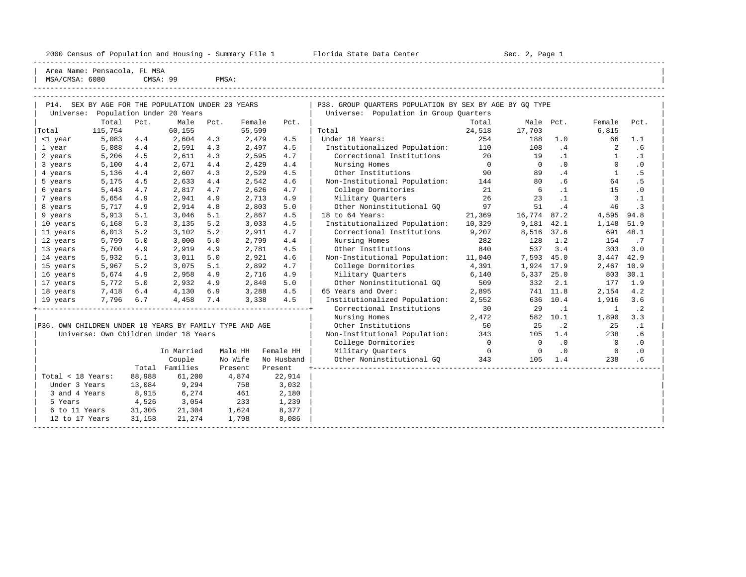2000 Census of Population and Housing - Summary File 1 Florida State Data Center Sec. 2, Page 1

-----------------------------------------------------------------------------------------------------------------------------------------------------

| MSA/CMSA: 6080 | Area Name: Pensacola, FL MSA                 |      | CMSA: 99                  | PMSA: |        |      |                                                         |        |             |           |          |               |
|----------------|----------------------------------------------|------|---------------------------|-------|--------|------|---------------------------------------------------------|--------|-------------|-----------|----------|---------------|
| P14.           | SEX BY AGE FOR THE POPULATION UNDER 20 YEARS |      |                           |       |        |      | P38. GROUP QUARTERS POPULATION BY SEX BY AGE BY GQ TYPE |        |             |           |          |               |
| Universe:      |                                              |      | Population Under 20 Years |       |        |      | Population in Group Ouarters<br>Universe:               |        |             |           |          |               |
|                | Total                                        | Pct. | Male                      | Pct.  | Female | Pct. |                                                         | Total  |             | Male Pct. | Female   | Pct.          |
| Total          | 115,754                                      |      | 60,155                    |       | 55,599 |      | Total                                                   | 24,518 | 17,703      |           | 6,815    |               |
| <1 year        | 5,083                                        | 4.4  | 2,604                     | 4.3   | 2,479  | 4.5  | Under 18 Years:                                         | 254    | 188         | 1.0       | 66       | 1.1           |
| 1 year         | 5,088                                        | 4.4  | 2,591                     | 4.3   | 2,497  | 4.5  | Institutionalized Population:                           | 110    | 108         | .4        | 2        | .6            |
| 2 years        | 5,206                                        | 4.5  | 2,611                     | 4.3   | 2,595  | 4.7  | Correctional Institutions                               | 20     | 19          |           |          | $\cdot$ $\pm$ |
| 3 years        | 5,100                                        | 4.4  | 2,671                     | 4.4   | 2,429  | 4.4  | Nursing Homes                                           |        | $\mathbf 0$ | . 0       | $\Omega$ | $\cdot$ 0     |
| 4 years        | 5,136                                        | 4.4  | 2,607                     | 4.3   | 2,529  | 4.5  | Other Institutions                                      | 90     | 89          | .4        |          | . 5           |
| 5 years        | 5,175                                        | 4.5  | 2,633                     | 4.4   | 2,542  | 4.6  | Non-Institutional Population:                           | 144    | 80          | . 6       | 64       | . 5           |
| 6 years        | 5,443                                        | 4.7  | 2,817                     | 4.7   | 2,626  | 4.7  | College Dormitories                                     | 21     | 6           |           | 15       | $\cdot$ 0     |
| years          | 5,654                                        | 4.9  | 2,941                     | 4.9   | 2,713  | 4.9  | Military Ouarters                                       | 26     | 23          |           |          | $\cdot$ 1     |
| 8 years        | 5,717                                        | 4.9  | 2,914                     | 4.8   | 2,803  | 5.0  | Other Noninstitutional GO                               | 97     | 51          | .4        | 46       | $\cdot$ 3     |
| 9 years        | 5,913                                        | 5.1  | 3,046                     | 5.1   | 2,867  | 4.5  | 18 to 64 Years:                                         | 21,369 | 16,774      | 87.2      | 4,595    | 94.8          |
| 10 years       | 6,168                                        | 5.3  | 3,135                     | 5.2   | 3,033  | 4.5  | Institutionalized Population:                           | 10,329 | 9,181       | 42.1      | 1,148    | 51.9          |
| 11 years       | 6,013                                        | 5.2  | 3,102                     | 5.2   | 2,911  | 4.7  | Correctional Institutions                               | 9,207  | 8,516 37.6  |           | 691      | 48.1          |

|                   |        | In Married | Male HH  | Female HH  |
|-------------------|--------|------------|----------|------------|
|                   |        | Couple     | No Wife  | No Husband |
|                   | Total  | Families   | Present. | Present    |
| Total < 18 Years: | 88,988 | 61,200     | 4,874    | 22,914     |
| Under 3 Years     | 13,084 | 9,294      | 758      | 3,032      |
| 3 and 4 Years     | 8,915  | 6,274      | 461      | 2,180      |
| 5 Years           | 4,526  | 3,054      | 233      | 1,239      |
| 6 to 11 Years     | 31,305 | 21,304     | 1,624    | 8,377      |
| 12 to 17 Years    | 31,158 | 21,274     | 1,798    | 8,086      |
|                   |        |            |          |            |

| 3 years                                                 | 5,100 | 4.4    | 2,671                                 | 4.4 | 2,429   | 4.4        | Nursing Homes                 | 0                        | $\Omega$   | $\cdot$ 0 | <sup>0</sup> | $\cdot$ 0 |  |
|---------------------------------------------------------|-------|--------|---------------------------------------|-----|---------|------------|-------------------------------|--------------------------|------------|-----------|--------------|-----------|--|
| 4 years                                                 | 5,136 | 4.4    | 2,607                                 | 4.3 | 2,529   | 4.5        | Other Institutions            | 90                       | 89         | .4        |              | . 5       |  |
| 5 years                                                 | 5,175 | 4.5    | 2,633                                 | 4.4 | 2,542   | 4.6        | Non-Institutional Population: | 144                      | 80         | . 6       | 64           | . 5       |  |
| 6 years                                                 | 5,443 | 4.7    | 2,817                                 | 4.7 | 2,626   | 4.7        | College Dormitories           | 21                       | 6          | $\cdot$ 1 | 15           | $\cdot$ 0 |  |
| 7 years                                                 | 5,654 | 4.9    | 2,941                                 | 4.9 | 2,713   | 4.9        | Military Quarters             | 26                       | 23         | $\cdot$ 1 | 3            | $\cdot$ 1 |  |
| 8 years                                                 | 5,717 | 4.9    | 2,914                                 | 4.8 | 2,803   | 5.0        | Other Noninstitutional GO     | 97                       | 51         | .4        | 46           | $\cdot$ 3 |  |
| 9 years                                                 | 5,913 | 5.1    | 3,046                                 | 5.1 | 2,867   | 4.5        | 18 to 64 Years:               | 21,369                   | 16,774     | 87.2      | 4,595        | 94.8      |  |
| 10 years                                                | 6,168 | 5.3    | 3,135                                 | 5.2 | 3,033   | 4.5        | Institutionalized Population: | 10,329                   | 9,181      | 42.1      | 1,148        | 51.9      |  |
| 11 years                                                | 6,013 | 5.2    | 3,102                                 | 5.2 | 2,911   | 4.7        | Correctional Institutions     | 9,207                    | 8,516      | 37.6      | 691          | 48.1      |  |
| 12 years                                                | 5,799 | 5.0    | 3,000                                 | 5.0 | 2,799   | 4.4        | Nursing Homes                 | 282                      | 128        | 1.2       | 154          | .7        |  |
| 13 years                                                | 5,700 | 4.9    | 2,919                                 | 4.9 | 2,781   | 4.5        | Other Institutions            | 840                      | 537        | 3.4       | 303          | 3.0       |  |
| 14 years                                                | 5,932 | 5.1    | 3,011                                 | 5.0 | 2,921   | 4.6        | Non-Institutional Population: | 11,040                   | 7,593      | 45.0      | 3,447        | 42.9      |  |
| 15 years                                                | 5,967 | 5.2    | 3,075                                 | 5.1 | 2,892   | 4.7        | College Dormitories           | 4,391                    | 1,924 17.9 |           | 2,467        | 10.9      |  |
| 16 years                                                | 5,674 | 4.9    | 2,958                                 | 4.9 | 2,716   | 4.9        | Military Quarters             | 6,140                    | 5,337      | 25.0      | 803          | 30.1      |  |
| 17 years                                                | 5,772 | 5.0    | 2,932                                 | 4.9 | 2,840   | 5.0        | Other Noninstitutional GO     | 509                      | 332        | 2.1       | 177          | 1.9       |  |
| 18 years                                                | 7,418 | 6.4    | 4,130                                 | 6.9 | 3,288   | 4.5        | 65 Years and Over:            | 2,895                    | 741        | 11.8      | 2,154        | 4.2       |  |
| 19 years                                                | 7,796 | 6.7    | 4,458                                 | 7.4 | 3,338   | 4.5        | Institutionalized Population: | 2,552                    | 636        | 10.4      | 1,916        | 3.6       |  |
|                                                         |       |        |                                       |     |         |            | Correctional Institutions     | 30                       | 29         | $\cdot$ 1 | $\mathbf{1}$ | $\cdot$ 2 |  |
|                                                         |       |        |                                       |     |         |            | Nursing Homes                 | 2,472                    | 582        | 10.1      | 1,890        | 3.3       |  |
| P36. OWN CHILDREN UNDER 18 YEARS BY FAMILY TYPE AND AGE |       |        |                                       |     |         |            | Other Institutions            | 50                       | 25         | $\cdot$ 2 | 25           | $\cdot$ 1 |  |
|                                                         |       |        | Universe: Own Children Under 18 Years |     |         |            | Non-Institutional Population: | 343                      | 105        | 1.4       | 238          | . 6       |  |
|                                                         |       |        |                                       |     |         |            | College Dormitories           | $\Omega$                 | $\Omega$   | $\cdot$ 0 | $\Omega$     | $\cdot$ 0 |  |
|                                                         |       |        | In Married                            |     | Male HH | Female HH  | Military Quarters             | $\overline{\phantom{0}}$ | $\Omega$   | $\cdot$ 0 | $\Omega$     | $\cdot$ 0 |  |
|                                                         |       |        | Couple                                |     | No Wife | No Husband | Other Noninstitutional GQ     | 343                      | 105        | 1.4       | 238          | .6        |  |
|                                                         |       | Total  | Families                              |     | Present | Present    |                               |                          |            |           |              |           |  |
| Total < 18 Years:                                       |       | 88,988 | 61,200                                |     | 4,874   | 22,914     |                               |                          |            |           |              |           |  |
| Under 3 Years                                           |       | 13,084 | 9,294                                 |     | 758     | 3,032      |                               |                          |            |           |              |           |  |
| 3 and 4 Years                                           |       | 8,915  | 6,274                                 |     | 461     | 2,180      |                               |                          |            |           |              |           |  |
| 5 Years                                                 |       | 4,526  | 3,054                                 |     | 233     | 1,239      |                               |                          |            |           |              |           |  |
| 6 to 11 Years                                           |       | 31,305 | 21,304                                |     | 1,624   | 8,377      |                               |                          |            |           |              |           |  |
| 12 to 17 Years                                          |       | 31,158 | 21,274                                |     | 1,798   | 8,086      |                               |                          |            |           |              |           |  |
|                                                         |       |        |                                       |     |         |            |                               |                          |            |           |              |           |  |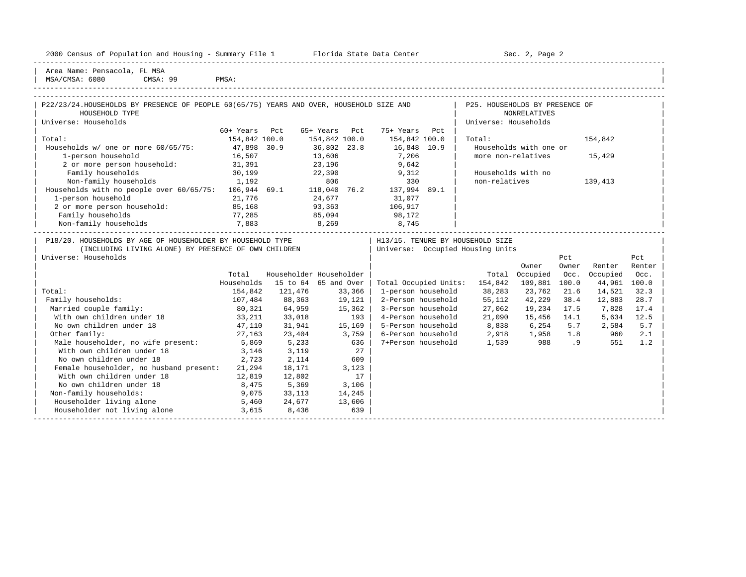| 2000 Census of Population and Housing - Summary File 1 | Florida State Data Center | Sec.<br>Page |
|--------------------------------------------------------|---------------------------|--------------|
|                                                        |                           |              |

Plorida State Data Center - Sec. 2, Page 2

| Area Name: Pensacola, FL MSA | | MSA/CMSA: 6080 CMSA: 99 PMSA: |

| P22/23/24.HOUSEHOLDS BY PRESENCE OF PEOPLE 60(65/75) YEARS AND OVER, HOUSEHOLD SIZE AND                                                    |                 |                         |               |                                          |                         | P25. HOUSEHOLDS BY PRESENCE OF                                        |                        |              |              |               |
|--------------------------------------------------------------------------------------------------------------------------------------------|-----------------|-------------------------|---------------|------------------------------------------|-------------------------|-----------------------------------------------------------------------|------------------------|--------------|--------------|---------------|
| HOUSEHOLD TYPE                                                                                                                             |                 |                         |               |                                          |                         |                                                                       | NONRELATIVES           |              |              |               |
| Universe: Households                                                                                                                       |                 |                         |               |                                          |                         | Universe: Households                                                  |                        |              |              |               |
|                                                                                                                                            | 60+ Years Pct   |                         | 65+ Years Pct |                                          | 75+ Years Pct           |                                                                       |                        |              |              |               |
| Total:                                                                                                                                     | 154,842 100.0   |                         | 154,842 100.0 |                                          | 154,842 100.0           | Total:                                                                |                        |              | 154,842      |               |
| Households w/ one or more 60/65/75: 47,898 30.9                                                                                            |                 |                         |               |                                          | 36,802 23.8 16,848 10.9 |                                                                       | Households with one or |              |              |               |
| 1-person household                                                                                                                         | 16,507          |                         | 13,606        |                                          | 7,206                   |                                                                       | more non-relatives     |              | 15,429       |               |
| 2 or more person household: 31,391                                                                                                         |                 |                         |               |                                          | 23, 196 9, 642          |                                                                       |                        |              |              |               |
| Family households                                                                                                                          | 30,199          |                         |               |                                          | $22,390$ 9,312          |                                                                       | Households with no     |              |              |               |
| Non-family households 1,192 806 330<br>Households with no people over 60/65/75: 106,944 69.1 118,040 76.2 137,994 89.1                     |                 |                         |               |                                          |                         | non-relatives                                                         |                        |              | 139,413      |               |
|                                                                                                                                            |                 |                         |               |                                          |                         |                                                                       |                        |              |              |               |
| 1-person household                                                                                                                         | 21,776          |                         | 24,677        |                                          | 31,077                  |                                                                       |                        |              |              |               |
| 2 or more person household:                                                                                                                | 85,168          |                         | 93,363        |                                          | 106,917                 |                                                                       |                        |              |              |               |
| Family households                                                                                                                          | 77,285<br>7,883 | 85,094<br>8,269         |               |                                          | 98,172                  |                                                                       |                        |              |              |               |
| Non-family households                                                                                                                      |                 |                         |               |                                          | 8,745                   |                                                                       |                        |              |              |               |
| P18/20. HOUSEHOLDS BY AGE OF HOUSEHOLDER BY HOUSEHOLD TYPE<br>(INCLUDING LIVING ALONE) BY PRESENCE OF OWN CHILDREN<br>Universe: Households |                 |                         |               |                                          |                         | H13/15. TENURE BY HOUSEHOLD SIZE<br>Universe: Occupied Housing Units  | Owner                  | Pct<br>Owner | Renter       | Pct<br>Renter |
|                                                                                                                                            | Total           | Householder Householder |               |                                          |                         |                                                                       | Total Occupied         | Occ.         | Occupied     | Occ.          |
|                                                                                                                                            | Households      | 15 to 64 65 and Over    |               |                                          |                         | Total Occupied Units: 154,842 109,881 100.0                           |                        |              | 44,961 100.0 |               |
| Total:                                                                                                                                     | 154,842         | 121,476 33,366          |               |                                          | 1-person household      |                                                                       | 38,283 23,762          | 21.6         | 14,521       | 32.3          |
| Family households:                                                                                                                         | 107,484         | 88,363                  |               | $19, 121$                                | 2-Person household      | 55,112                                                                | 42,229                 | 38.4         | 12,883       | 28.7          |
| Married couple family:                                                                                                                     | 80,321          | 64,959                  |               | 15,362                                   | 3-Person household      | 27,062                                                                | 19,234 17.5            |              | 7,828        | 17.4          |
| With own children under 18                                                                                                                 | 33,211          | 33,018                  |               | 193                                      | 4-Person household      | 21,090                                                                | 15,456 14.1            |              | 5,634        | 12.5          |
| No own children under 18                                                                                                                   | 47,110          | 31,941                  |               | 15,169                                   |                         | 5-Person household 8,838 6,254                                        |                        | 5.7          | 2,584        | 5.7           |
| Other family:                                                                                                                              | 27,163          | 23,404                  |               | 3,759                                    |                         |                                                                       |                        |              | 960          | 2.1           |
|                                                                                                                                            |                 | 5,233                   |               | 636                                      |                         | 6-Person household 2,918 1,958 1.8<br>7+Person household 1,539 988 .9 |                        |              | 551          | 1.2           |
| Male householder, no wife present: 5,869<br>With own children under 18                                                                     | 3,146           | 3,119                   |               |                                          |                         |                                                                       |                        |              |              |               |
| No own children under 18                                                                                                                   | 2,723           | 2,114                   |               | $\begin{array}{c} 27 \\ 609 \end{array}$ |                         |                                                                       |                        |              |              |               |
|                                                                                                                                            |                 |                         |               |                                          |                         |                                                                       |                        |              |              |               |
| Female householder, no husband present:                                                                                                    | 21,294          | 18,171                  |               | 3,123                                    |                         |                                                                       |                        |              |              |               |
| With own children under 18                                                                                                                 | 12,819          | 12,802                  |               | 17                                       |                         |                                                                       |                        |              |              |               |
| No own children under 18                                                                                                                   | 8,475           | 5,369                   |               | 3,106                                    |                         |                                                                       |                        |              |              |               |
| Non-family households:                                                                                                                     | 9,075           | 33,113                  | 14,245        |                                          |                         |                                                                       |                        |              |              |               |
| Householder living alone<br>5,460                                                                                                          |                 | 24,677                  | 13,606        |                                          |                         |                                                                       |                        |              |              |               |
| Householder not living alone                                                                                                               | 3,615           | 8,436                   |               | 639                                      |                         |                                                                       |                        |              |              |               |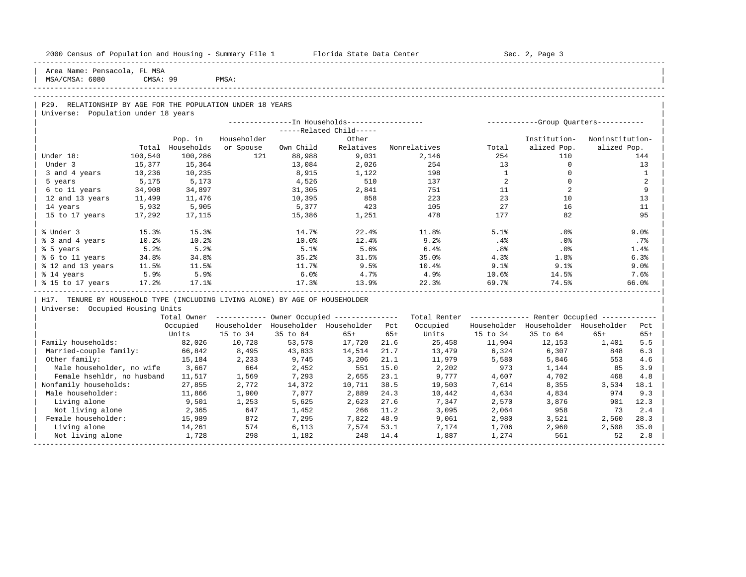| 2000 Census of Population and Housing - Summary File 1 Florida State Data Center |                 |                                           |             |           |                                                         |       |                                                         |                | Sec. 2, Page 3                          |                 |              |
|----------------------------------------------------------------------------------|-----------------|-------------------------------------------|-------------|-----------|---------------------------------------------------------|-------|---------------------------------------------------------|----------------|-----------------------------------------|-----------------|--------------|
| Area Name: Pensacola, FL MSA<br>MSA/CMSA: 6080                                   | <b>CMSA: 99</b> |                                           | PMSA:       |           |                                                         |       |                                                         |                |                                         |                 |              |
|                                                                                  |                 |                                           |             |           |                                                         |       |                                                         |                |                                         |                 |              |
| P29. RELATIONSHIP BY AGE FOR THE POPULATION UNDER 18 YEARS                       |                 |                                           |             |           |                                                         |       |                                                         |                |                                         |                 |              |
| Universe: Population under 18 years                                              |                 |                                           |             |           |                                                         |       |                                                         |                |                                         |                 |              |
|                                                                                  |                 |                                           |             |           |                                                         |       |                                                         |                |                                         |                 |              |
|                                                                                  |                 |                                           |             |           | -----Related Child-----                                 |       |                                                         |                |                                         |                 |              |
|                                                                                  |                 | Pop. in                                   | Householder |           | Other                                                   |       |                                                         |                | Institution-                            | Noninstitution- |              |
|                                                                                  | Total           | Households                                | or Spouse   | Own Child | Relatives                                               |       | Nonrelatives                                            | Total          | alized Pop.                             | alized Pop.     |              |
| Under 18:                                                                        | 100,540         | 100,286                                   | 121         | 88,988    | 9,031                                                   |       | 2,146                                                   | 254            | 110                                     |                 | 144          |
| Under 3                                                                          | 15,377          | 15,364                                    |             | 13,084    | 2,026                                                   |       | 254                                                     | 13             | $\mathbf{0}$                            |                 | 13           |
| 3 and 4 years                                                                    | 10,236          | 10,235                                    |             | 8,915     | 1,122                                                   |       | 198                                                     | $\overline{1}$ | $\mathbf{0}$                            |                 | $\mathbf{1}$ |
| 5 years                                                                          | 5,175           | 5,173                                     |             | 4,526     | 510                                                     |       | 137                                                     | 2              | $\Omega$                                |                 | 2            |
| 6 to 11 years                                                                    | 34,908          | 34,897                                    |             | 31,305    | 2,841                                                   |       | 751                                                     | 11             | 2                                       |                 | 9            |
| 12 and 13 years                                                                  | 11,499          | 11,476                                    |             | 10,395    | 858                                                     |       | 223                                                     | 23             | 10                                      |                 | 13           |
| 14 years                                                                         | 5,932           | 5,905                                     |             | 5,377     | 423                                                     |       | 105                                                     | 27             | 16                                      |                 | 11           |
| 15 to 17 years                                                                   | 17,292          | 17,115                                    |             | 15,386    | 1,251                                                   |       | 478                                                     | 177            | 82                                      |                 | 95           |
| % Under 3                                                                        | 15.3%           | 15.3%                                     |             | 14.7%     | 22.4%                                                   |       | 11.8%                                                   | 5.1%           | .0%                                     |                 | 9.0%         |
| % 3 and 4 years                                                                  | 10.2%           | 10.2%                                     |             | 10.0%     | 12.4%                                                   |       | 9.2%                                                    | $.4\%$         | $.0\%$                                  |                 | $.7\%$       |
| % 5 years                                                                        | 5.2%            | 5.2%                                      |             | 5.1%      | 5.6%                                                    |       | 6.4%                                                    | $.8\%$         | $.0\%$                                  |                 | 1.4%         |
| % 6 to 11 years                                                                  | 34.8%           | 34.8%                                     |             | 35.2%     | 31.5%                                                   |       | 35.0%                                                   | 4.3%           | 1.8%                                    |                 | 6.3%         |
| % 12 and 13 years 11.5%                                                          |                 | $11.5\%$                                  |             | 11.7%     | 9.5%                                                    |       | 10.4%                                                   | 9.1%           | 9.1%                                    |                 | 9.0%         |
| % 14 years                                                                       | 5.9%            | 5.9%                                      |             | 6.0%      | 4.7%                                                    |       | 4.9%                                                    | 10.6%          | 14.5%                                   |                 | 7.6%         |
| % 15 to 17 years 17.2%                                                           |                 | 17.1%<br>-------------------------------- |             | 17.3%     | 13.9%                                                   |       | 22.3%                                                   | 69.7%          | 74.5%                                   |                 | 66.0%        |
| H17. TENURE BY HOUSEHOLD TYPE (INCLUDING LIVING ALONE) BY AGE OF HOUSEHOLDER     |                 |                                           |             |           |                                                         |       |                                                         |                |                                         |                 |              |
| Universe: Occupied Housing Units                                                 |                 |                                           |             |           |                                                         |       |                                                         |                |                                         |                 |              |
|                                                                                  |                 |                                           |             |           | Total Owner ------------ Owner Occupied --------------- |       | Total Renter ------------- Renter Occupied ------------ |                |                                         |                 |              |
|                                                                                  |                 | Occupied                                  |             |           | Householder Householder Householder Pct                 |       | Occupied                                                |                | Householder Householder Householder Pct |                 |              |
|                                                                                  |                 | Units                                     | 15 to 34    | 35 to 64  | $65+$                                                   | $65+$ | Units                                                   | 15 to 34       | 35 to 64                                | 65+             | $65+$        |
| Family households:                                                               |                 | 82,026                                    | 10,728      | 53,578    | 17,720                                                  | 21.6  | 25,458                                                  | 11,904         | 12,153                                  | 1,401           | 5.5          |
| Married-couple family:                                                           |                 | 66,842                                    | 8,495       | 43,833    | 14,514                                                  | 21.7  | 13,479                                                  | 6,324          | 6,307                                   | 848             | 6.3          |
| Other family:                                                                    |                 | 15,184                                    | 2,233       | 9,745     | 3,206                                                   | 21.1  | 11,979                                                  | 5,580          | 5,846                                   | 553             | 4.6          |
| Male householder, no wife                                                        |                 | 3,667                                     | 664         | 2,452     | 551                                                     | 15.0  | 2,202                                                   | 973            | 1,144                                   | 85              | 3.9          |
| Female hsehldr, no husband                                                       |                 | 11,517                                    | 1,569       | 7,293     | 2,655                                                   | 23.1  | 9,777                                                   | 4,607          | 4,702                                   | 468             | 4.8          |
| Nonfamily households:                                                            |                 | 27,855                                    | 2,772       | 14,372    | 10,711                                                  | 38.5  | 19,503                                                  | 7,614          | 8,355                                   | 3,534           | 18.1         |
| Male householder:                                                                |                 | 11,866                                    | 1,900       | 7,077     | 2,889                                                   | 24.3  | 10,442                                                  | 4,634          | 4,834                                   | 974             | 9.3          |
| Living alone                                                                     |                 | 9,501                                     | 1,253       | 5,625     | 2,623                                                   | 27.6  | 7,347                                                   | 2,570          | 3,876                                   | 901             | 12.3         |
| Not living alone                                                                 |                 | 2,365                                     | 647         | 1,452     | 266 11.2                                                |       | 3,095                                                   | 2,064          | 958                                     | 73              | 2.4          |
| Female householder:                                                              |                 | 15,989                                    | 872         | 7,295     | 7,822                                                   | 48.9  | 9,061                                                   | 2,980          | 3,521                                   | 2,560           | 28.3         |
| Living alone                                                                     |                 | 14,261                                    | 574         | 6,113     | 7,574                                                   | 53.1  | 7,174                                                   | 1,706          | 2,960                                   | 2,508           | 35.0         |
| Not living alone                                                                 |                 | 1,728                                     | 298         | 1,182     | 248                                                     | 14.4  | 1,887                                                   | 1,274          | 561                                     | 52              | 2.8          |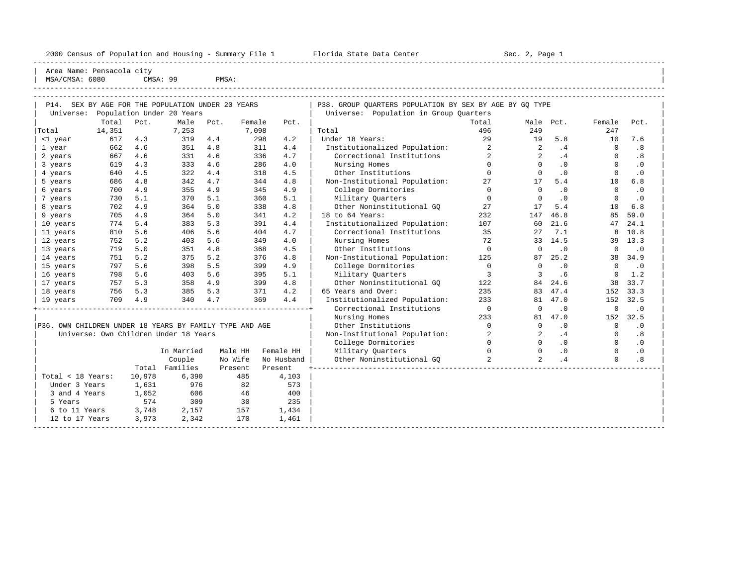2000 Census of Population and Housing - Summary File 1 Florida State Data Center Sec. 2, Page 1 ----------------------------------------------------------------------------------------------------------------------------------------------------- Area Name: Pensacola city MSA/CMSA: 6080 CMSA: 99 PMSA: ----------------------------------------------------------------------------------------------------------------------------------------------------- ----------------------------------------------------------------------------------------------------------------------------------------------------- | P14. SEX BY AGE FOR THE POPULATION UNDER 20 YEARS | P38. GROUP QUARTERS POPULATION BY SEX BY AGE BY GQ TYPE | Universe: Population Under 20 Years | Universe: Population in Group Quarters | Total Pct. Male Pct. Female Pct. | Total Male Pct. Female Pct. | |Total 14,351 7,253 7,098 | Total 496 249 247 | | <1 year 617 4.3 319 4.4 298 4.2 | Under 18 Years: 29 19 5.8 10 7.6 | | 1 year 662 4.6 351 4.8 311 4.4 | Institutionalized Population: 2 2 .4 0 .8 | | 2 years 667 4.6 331 4.6 336 4.7 | Correctional Institutions 2 2 .4 0 .8 | | 3 years 619 4.3 333 4.6 286 4.0 | Nursing Homes 0 0 .0 0 .0 | | 4 years 640 4.5 322 4.4 318 4.5 | Other Institutions 0 0 .0 0 .0 | | 5 years 686 4.8 342 4.7 344 4.8 | Non-Institutional Population: 27 17 5.4 10 6.8 | | 6 years 700 4.9 355 4.9 345 4.9 | College Dormitories 0 0 .0 0 .0 | | 7 years 730 5.1 370 5.1 360 5.1 | Military Quarters 0 0 .0 0 .0 | | 8 years 702 4.9 364 5.0 338 4.8 | Other Noninstitutional GQ 27 17 5.4 10 6.8 | | 9 years 705 4.9 364 5.0 341 4.2 | 18 to 64 Years: 232 147 46.8 85 59.0 | | 10 years 774 5.4 383 5.3 391 4.4 | Institutionalized Population: 107 60 21.6 47 24.1 | | 11 years 810 5.6 406 5.6 404 4.7 | Correctional Institutions 35 27 7.1 8 10.8 | | 12 years 752 5.2 403 5.6 349 4.0 | Nursing Homes 72 33 14.5 39 13.3 | | 13 years 719 5.0 351 4.8 368 4.5 | Other Institutions 0 0 .0 0 .0 | | 14 years 751 5.2 375 5.2 376 4.8 | Non-Institutional Population: 125 87 25.2 38 34.9 | | 15 years 797 5.6 398 5.5 399 4.9 | College Dormitories 0 0 .0 0 .0 | | 16 years 798 5.6 403 5.6 395 5.1 | Military Quarters 3 3 .6 0 1.2 | | 17 years 757 5.3 358 4.9 399 4.8 | Other Noninstitutional GQ 122 84 24.6 38 33.7 | | 18 years 756 5.3 385 5.3 371 4.2 | 65 Years and Over: 235 83 47.4 152 33.3 | | 19 years 709 4.9 340 4.7 369 4.4 | Institutionalized Population: 233 81 47.0 152 32.5 | +----------------------------------------------------------------+ Correctional Institutions 0 0 .0 0 .0 | | | Nursing Homes 233 81 47.0 152 32.5 | |P36. OWN CHILDREN UNDER 18 YEARS BY FAMILY TYPE AND AGE | Other Institutions 0 0 .0 0 .0 0 .0<br>| Universe: Own Children Under 18 Years | Non-Institutional Population: 2 2 .4 0 .8<br>| College Dormitories 0 0 .0 0 .0<br>| In Marr | Universe: Own Children Under 18 Years | Non-Institutional Population: 2 2 .4 0 .8 | | | College Dormitories 0 0 .0 0 .0 | | In Married Male HH Female HH | Military Quarters 0 0 .0 0 .0 |

|                   |        | In Married | Male HH | Female HH  | Military Ouarters         |  | $\cdot$ 0 |
|-------------------|--------|------------|---------|------------|---------------------------|--|-----------|
|                   |        | Couple     | No Wife | No Husband | Other Noninstitutional GO |  | .8        |
|                   | Total  | Families   | Present | Present    |                           |  |           |
| Total < 18 Years: | 10,978 | 6,390      | 485     | 4,103      |                           |  |           |
| Under 3 Years     | 1,631  | 976        | 82      | 573        |                           |  |           |
| 3 and 4 Years     | 1,052  | 606        | 46      | 400        |                           |  |           |
| 5 Years           | 574    | 309        | 30      | 235        |                           |  |           |
| 6 to 11 Years     | 3,748  | 2,157      | 157     | 1,434      |                           |  |           |
| 12 to 17 Years    | 3,973  | 2,342      | 170     | 1,461      |                           |  |           |
|                   |        |            |         |            |                           |  |           |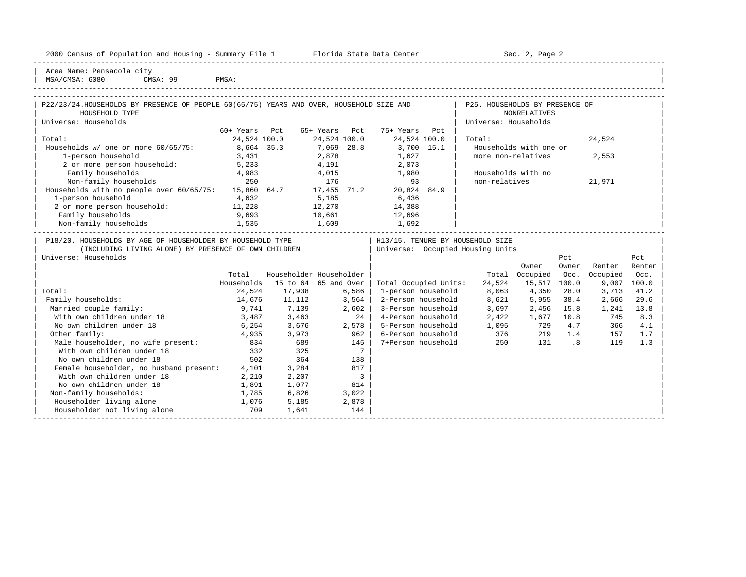|  |  |  | 2000 Census of Population and Housing - Summary File 1 |  |  |  |  |  |  |
|--|--|--|--------------------------------------------------------|--|--|--|--|--|--|
|--|--|--|--------------------------------------------------------|--|--|--|--|--|--|

2000 Florida State Data Center - Sec. 2, Page 2 -----------------------------------------------------------------------------------------------------------------------------------------------------

| Area Name: Pensacola city | | MSA/CMSA: 6080 CMSA: 99 PMSA:

-----------------------------------------------------------------------------------------------------------------------------------------------------

| P22/23/24.HOUSEHOLDS BY PRESENCE OF PEOPLE 60(65/75) YEARS AND OVER, HOUSEHOLD SIZE AND<br>HOUSEHOLD TYPE                                                                                                                      |               |                         |               |                            |                       | P25. HOUSEHOLDS BY PRESENCE OF                                       | <b>NONRELATIVES</b>    |         |          |        |
|--------------------------------------------------------------------------------------------------------------------------------------------------------------------------------------------------------------------------------|---------------|-------------------------|---------------|----------------------------|-----------------------|----------------------------------------------------------------------|------------------------|---------|----------|--------|
| Universe: Households                                                                                                                                                                                                           |               |                         |               |                            |                       | Universe: Households                                                 |                        |         |          |        |
|                                                                                                                                                                                                                                | 60+ Years Pct |                         | 65+ Years Pct |                            | 75+ Years Pct         |                                                                      |                        |         |          |        |
| Total:                                                                                                                                                                                                                         | 24,524 100.0  |                         | 24,524 100.0  |                            | 24,524 100.0          | Total:                                                               |                        |         | 24,524   |        |
| Households w/ one or more 60/65/75: 8,664 35.3                                                                                                                                                                                 |               |                         | 7,069 28.8    |                            | 3,700 15.1            |                                                                      | Households with one or |         |          |        |
| 1-person household                                                                                                                                                                                                             | 3,431         |                         | 2,878         |                            | 1,627                 | more non-relatives                                                   |                        |         | 2,553    |        |
| 2 or more person household: 5,233                                                                                                                                                                                              |               | 4,191                   |               |                            | 2,073                 |                                                                      |                        |         |          |        |
| Family households                                                                                                                                                                                                              | 4,983         |                         | 4,015         |                            | 1,980                 | Households with no                                                   |                        |         |          |        |
| Family households and the model of the set of the model of the Mon-family households and the model of the control of the model of the model of the model of the model of the model of the model of the model of the model of t |               |                         |               |                            |                       | non-relatives                                                        |                        |         | 21,971   |        |
|                                                                                                                                                                                                                                |               |                         |               |                            |                       |                                                                      |                        |         |          |        |
| 1-person household                                                                                                                                                                                                             | 4,632         |                         | 5,185         |                            | 6,436                 |                                                                      |                        |         |          |        |
| 2 or more person household: 11,228                                                                                                                                                                                             |               |                         |               |                            | 12,270 14,388         |                                                                      |                        |         |          |        |
| Family households                                                                                                                                                                                                              | 9,693         |                         |               |                            | 10,661 12,696         |                                                                      |                        |         |          |        |
| Non-family households 1,535                                                                                                                                                                                                    |               |                         |               |                            | 1,609 1,692           |                                                                      |                        |         |          |        |
| P18/20. HOUSEHOLDS BY AGE OF HOUSEHOLDER BY HOUSEHOLD TYPE<br>(INCLUDING LIVING ALONE) BY PRESENCE OF OWN CHILDREN                                                                                                             |               |                         |               |                            |                       | H13/15. TENURE BY HOUSEHOLD SIZE<br>Universe: Occupied Housing Units |                        |         |          |        |
| Universe: Households                                                                                                                                                                                                           |               |                         |               |                            |                       |                                                                      |                        | Pct     |          | Pct    |
|                                                                                                                                                                                                                                |               |                         |               |                            |                       |                                                                      | Owner                  | Owner   | Renter   | Renter |
|                                                                                                                                                                                                                                | Total         | Householder Householder |               |                            |                       |                                                                      | Total Occupied         | Occ.    | Occupied | Occ.   |
|                                                                                                                                                                                                                                | Households    | 15 to 64 65 and Over    |               |                            | Total Occupied Units: | 24,524                                                               | 15,517 100.0           |         | 9,007    | 100.0  |
| Total:                                                                                                                                                                                                                         | 24,524        | 17,938                  |               | $6,586$                    | 1-person household    |                                                                      | 8,063 4,350            | 28.0    | 3,713    | 41.2   |
| Family households:                                                                                                                                                                                                             | 14,676        | 11,112                  | 3,564         |                            | 2-Person household    |                                                                      | 8,621 5,955            | 38.4    | 2,666    | 29.6   |
| Married couple family:                                                                                                                                                                                                         | 9,741         | 7,139                   |               | $2,602$                    | 3-Person household    | 3,697                                                                | 2,456                  | 15.8    | 1,241    | 13.8   |
| With own children under 18                                                                                                                                                                                                     |               | $3,487$ $3,463$         |               | 24                         | 4-Person household    | 2,422                                                                | 1,677 10.8             |         | 745      | 8.3    |
| No own children under 18                                                                                                                                                                                                       |               | 6,254 3,676             | 2,578         |                            | 5-Person household    |                                                                      | 1,095 729 4.7          |         | 366      | 4.1    |
| Other family:                                                                                                                                                                                                                  |               | 4,935 3,973             | 962           |                            | 6-Person household    | 376                                                                  |                        | 219 1.4 | 157      | 1.7    |
| Male householder, no wife present: 834 689                                                                                                                                                                                     |               |                         |               | 145                        | 7+Person household    | 250                                                                  |                        | 131 .8  | 119      | 1.3    |
| With own children under 18                                                                                                                                                                                                     |               | 332 325                 |               | $7\phantom{0}$             |                       |                                                                      |                        |         |          |        |
| No own children under 18                                                                                                                                                                                                       |               | 502 364                 |               | 138                        |                       |                                                                      |                        |         |          |        |
| Female householder, no husband present: 4,101                                                                                                                                                                                  |               | 3,284                   |               | 817                        |                       |                                                                      |                        |         |          |        |
| With own children under 18                                                                                                                                                                                                     | 2,210         | 2,207                   |               | $\overline{\phantom{a}}$ 3 |                       |                                                                      |                        |         |          |        |
| No own children under 18                                                                                                                                                                                                       | 1,891         | 1,077                   | 814           |                            |                       |                                                                      |                        |         |          |        |
| Non-family households:                                                                                                                                                                                                         | 1,785         | 6,826                   | 3,022         |                            |                       |                                                                      |                        |         |          |        |
| Householder living alone                                                                                                                                                                                                       | 1,076         | 5,185                   |               | 2,878                      |                       |                                                                      |                        |         |          |        |
| Householder not living alone                                                                                                                                                                                                   | 709           | 1,641                   |               | 144                        |                       |                                                                      |                        |         |          |        |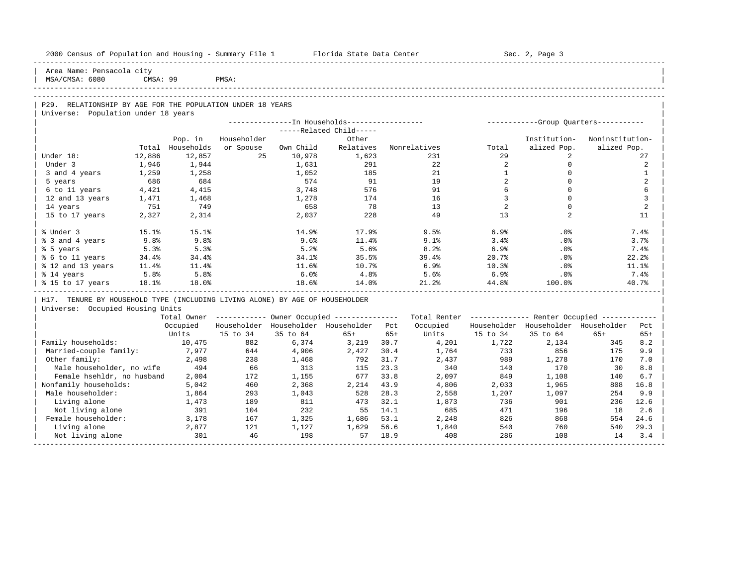| 2000 Census of Population and Housing - Summary File 1 Florida State Data Center |          |            |             |          |                                                        |       |          |                     | Sec. 2, Page 3                                          |                 |                     |
|----------------------------------------------------------------------------------|----------|------------|-------------|----------|--------------------------------------------------------|-------|----------|---------------------|---------------------------------------------------------|-----------------|---------------------|
| Area Name: Pensacola city<br>MSA/CMSA: 6080                                      | CMSA: 99 | PMSA:      |             |          |                                                        |       |          |                     |                                                         |                 |                     |
|                                                                                  |          |            |             |          |                                                        |       |          |                     |                                                         |                 |                     |
|                                                                                  |          |            |             |          |                                                        |       |          |                     |                                                         |                 |                     |
| P29. RELATIONSHIP BY AGE FOR THE POPULATION UNDER 18 YEARS                       |          |            |             |          |                                                        |       |          |                     |                                                         |                 |                     |
| Universe: Population under 18 years                                              |          |            |             |          |                                                        |       |          |                     |                                                         |                 |                     |
|                                                                                  |          |            |             |          |                                                        |       |          |                     |                                                         |                 |                     |
|                                                                                  |          |            |             |          | $---Related Child---$                                  |       |          |                     |                                                         |                 |                     |
|                                                                                  |          | Pop. in    | Householder |          | Other                                                  |       |          |                     | Institution-                                            | Noninstitution- |                     |
|                                                                                  | Total    | Households | or Spouse   |          | Own Child Relatives Nonrelatives                       |       |          | Total               | alized Pop.                                             | alized Pop.     |                     |
| Under 18:                                                                        | 12,886   | 12,857     | 25          | 10,978   | 1,623                                                  |       | 231      | 29                  | $\overline{a}$                                          |                 | 27                  |
| Under 3                                                                          | 1,946    | 1,944      |             | 1,631    | 291                                                    |       | 22       | 2                   | $\mathbf{0}$                                            |                 | 2                   |
| 3 and 4 years                                                                    | 1,259    | 1,258      |             | 1,052    | 185                                                    |       | 21       | <sup>1</sup>        | $\Omega$                                                |                 | $\mathbf{1}$        |
| 5 years                                                                          | 686      | 684        |             | 574      | 91                                                     |       | 19       | 2                   | $\Omega$                                                |                 | $\overline{2}$      |
| 6 to 11 years                                                                    | 4,421    | 4,415      |             | 3,748    | 576                                                    |       | 91       | 6<br>$\overline{3}$ | $\mathbf 0$<br>$\Omega$                                 |                 | 6<br>$\overline{3}$ |
| 12 and 13 years                                                                  | 1,471    | 1,468      |             | 1,278    | 174                                                    |       | 16       |                     |                                                         |                 |                     |
| 14 years                                                                         | 751      | 749        |             | 658      | 78                                                     |       | 13       | 2                   | $\mathbf 0$                                             |                 | $\overline{2}$      |
| 15 to 17 years                                                                   | 2,327    | 2,314      |             | 2,037    | 228                                                    |       | 49       | 13                  | $\overline{2}$                                          |                 | 11                  |
| % Under 3                                                                        | 15.1%    | 15.1%      |             | 14.9%    | 17.9%                                                  |       | 9.5%     | 6.9%                | .0%                                                     |                 | 7.4%                |
| % 3 and 4 years                                                                  | 9.8%     | 9.8%       |             | 9.6%     | $11.4\%$                                               |       | 9.1%     | 3.4%                | $.0\%$                                                  |                 | 3.7%                |
| % 5 years                                                                        | 5.3%     | 5.3%       |             | 5.2%     | 5.6%                                                   |       | 8.2%     | 6.9%                | $.0\%$                                                  |                 | 7.4%                |
| % 6 to 11 years                                                                  | 34.4%    | 34.4%      |             | 34.1%    | 35.5%                                                  |       | 39.4%    | 20.7%               | $.0\%$                                                  |                 | 22.2%               |
| % 12 and 13 years                                                                | 11.4%    | $11.4\%$   |             | 11.6%    | 10.7%                                                  |       | 6.9%     | 10.3%               | $.0\%$                                                  |                 | 11.1%               |
| % 14 years                                                                       | 5.8%     | 5.8%       |             | 6.0%     | 4.8%                                                   |       | 5.6%     | 6.9%                | .0%                                                     |                 | 7.4%                |
| % 15 to 17 years 18.1%                                                           |          | 18.0%      |             | 18.6%    | $14.0\%$                                               |       | 21.2%    | 44.8%               | $100.0$ °                                               |                 | 40.7%               |
| H17. TENURE BY HOUSEHOLD TYPE (INCLUDING LIVING ALONE) BY AGE OF HOUSEHOLDER     |          |            |             |          |                                                        |       |          |                     |                                                         |                 |                     |
| Universe: Occupied Housing Units                                                 |          |            |             |          |                                                        |       |          |                     |                                                         |                 |                     |
|                                                                                  |          |            |             |          | Total Owner ------------ Owner Occupied -------------- |       |          |                     | Total Renter ------------- Renter Occupied ------------ |                 |                     |
|                                                                                  |          |            |             |          | Occupied Householder Householder Householder Pct       |       | Occupied |                     | Householder Householder Householder                     |                 | Pct                 |
|                                                                                  |          | Units      | 15 to 34    | 35 to 64 | $65+$                                                  | $65+$ |          | Units 15 to 34      | 35 to 64                                                | 65+             | $65+$               |
| Family households:                                                               |          | 10,475     | 882         | 6,374    | 3,219 30.7                                             |       | 4,201    | 1,722               | 2,134                                                   | 345             | 8.2                 |
| Married-couple family: 7,977                                                     |          |            | 644         | 4,906    | 2,427                                                  | 30.4  | 1,764    | 733                 | 856                                                     | 175             | 9.9                 |
| Other family:                                                                    |          | 2,498      | 238         | 1,468    | 792                                                    | 31.7  | 2,437    | 989                 | 1,278                                                   | 170             | 7.0                 |
| Male householder, no wife 494                                                    |          |            | 66          | 313      | 115                                                    | 23.3  | 340      | 140                 | 170                                                     | 30              | 8.8                 |
| Female hsehldr, no husband                                                       |          | 2,004      | 172         | 1,155    | 677 33.8                                               |       | 2,097    | 849                 | 1,108                                                   | 140             | 6.7                 |
| Nonfamily households:                                                            |          | 5,042      | 460         | 2,368    | 2, 214 43.9                                            |       | 4,806    | 2,033               | 1,965                                                   | 808             | 16.8                |
| Male householder:                                                                |          | 1,864      | 293         | 1,043    | 528                                                    | 28.3  | 2,558    | 1,207               | 1,097                                                   | 254             | 9.9                 |
| Living alone                                                                     |          | 1,473      | 189         | 811      | 473                                                    | 32.1  | 1,873    | 736                 | 901                                                     | 236             | 12.6                |

| Not living alone 391 104 232 55 14.1 685 471 196 18 2.6 | 1,686 53.1 2,248 826 868 554 24.6 Eemale householder: 3,178 167 1,325 1,686 53.1 2,248 826 868 554 24.6 Eiving alone | Living alone 2,877 121 1,127 1,629 56.6 1,840 540 760 540 29.3 | Not living alone 14 201 301 46 198 57 18.9 408 286 108 14 3.4 -----------------------------------------------------------------------------------------------------------------------------------------------------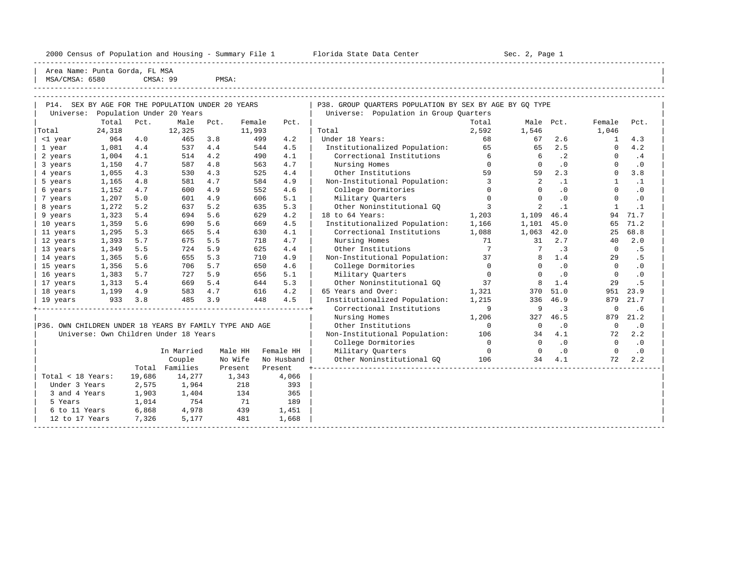2000 Census of Population and Housing - Summary File 1 Telorida State Data Center Sec. 2, Page 1 North Sec. 2, Page

----------------------------------------------------------------------------------------------------------------------------------------------------- Area Name: Punta Gorda, FL MSA | MSA/CMSA: 6580 CMSA: 99 PMSA:

----------------------------------------------------------------------------------------------------------------------------------------------------- -----------------------------------------------------------------------------------------------------------------------------------------------------

| P14.                                                    |        |        | SEX BY AGE FOR THE POPULATION UNDER 20 YEARS |      |         |            | P38. GROUP QUARTERS POPULATION BY SEX BY AGE BY GQ TYPE |                 |                                   |           |              |           |
|---------------------------------------------------------|--------|--------|----------------------------------------------|------|---------|------------|---------------------------------------------------------|-----------------|-----------------------------------|-----------|--------------|-----------|
| Universe:                                               |        |        | Population Under 20 Years                    |      |         |            | Universe: Population in Group Quarters                  |                 |                                   |           |              |           |
|                                                         | Total  | Pct.   | Male                                         | Pct. | Female  | Pct.       |                                                         | Total           | Male Pct.                         |           | Female       | Pct.      |
| Total                                                   | 24,318 |        | 12,325                                       |      | 11,993  |            | Total                                                   | 2,592           | 1,546                             |           | 1,046        |           |
| <1 year                                                 | 964    | 4.0    | 465                                          | 3.8  | 499     | 4.2        | Under 18 Years:                                         | 68              | 67                                | 2.6       | $\mathbf{1}$ | 4.3       |
| 1 year                                                  | 1,081  | 4.4    | 537                                          | 4.4  | 544     | 4.5        | Institutionalized Population:                           | 65              | 65                                | 2.5       | $\Omega$     | 4.2       |
| 2 years                                                 | 1,004  | 4.1    | 514                                          | 4.2  | 490     | 4.1        | Correctional Institutions                               | $6\overline{6}$ | 6                                 | $\cdot$ 2 | $\Omega$     | .4        |
| 3 years                                                 | 1,150  | 4.7    | 587                                          | 4.8  | 563     | 4.7        | Nursing Homes                                           | $\Omega$        | $\Omega$                          | .0        | $\Omega$     | $\cdot$ 0 |
| 4 years                                                 | 1,055  | 4.3    | 530                                          | 4.3  | 525     | 4.4        | Other Institutions                                      | 59              | 59                                | 2.3       | $\Omega$     | 3.8       |
| 5 years                                                 | 1,165  | 4.8    | 581                                          | 4.7  | 584     | 4.9        | Non-Institutional Population:                           | 3               | 2                                 | $\cdot$ 1 | $\mathbf{1}$ | $\cdot$ 1 |
| 6 years                                                 | 1,152  | 4.7    | 600                                          | 4.9  | 552     | 4.6        | College Dormitories                                     | $\Omega$        | $\Omega$                          | .0        | $\Omega$     | .0        |
| 7 years                                                 | 1,207  | 5.0    | 601                                          | 4.9  | 606     | 5.1        | Military Quarters                                       | $\mathbf 0$     | $\Omega$                          | .0        | $\mathbf 0$  | .0        |
| 8 years                                                 | 1,272  | 5.2    | 637                                          | 5.2  | 635     | 5.3        | Other Noninstitutional GO                               | $\overline{3}$  | 2                                 | $\cdot$ 1 | $\mathbf{1}$ | $\cdot$ 1 |
| 9 years                                                 | 1,323  | 5.4    | 694                                          | 5.6  | 629     | 4.2        | 18 to 64 Years:                                         | 1,203           | 1,109                             | 46.4      | 94           | 71.7      |
| 10 years                                                | 1,359  | 5.6    | 690                                          | 5.6  | 669     | 4.5        | Institutionalized Population:                           | 1,166           | 1,101                             | 45.0      | 65           | 71.2      |
| 11 years                                                | 1,295  | 5.3    | 665                                          | 5.4  | 630     | 4.1        | Correctional Institutions                               | 1,088           | 1,063                             | 42.0      | 25           | 68.8      |
| 12 years                                                | 1,393  | 5.7    | 675                                          | 5.5  | 718     | 4.7        | Nursing Homes                                           | 71              | 31                                | 2.7       | 40           | 2.0       |
| 13 years                                                | 1,349  | 5.5    | 724                                          | 5.9  | 625     | 4.4        | Other Institutions                                      | $7^{\circ}$     | 7                                 | .3        | $\Omega$     | .5        |
| 14 years                                                | 1,365  | 5.6    | 655                                          | 5.3  | 710     | 4.9        | Non-Institutional Population:                           | 37              | 8                                 | 1.4       | 29           | .5        |
| 15 years                                                | 1,356  | 5.6    | 706                                          | 5.7  | 650     | 4.6        | College Dormitories                                     | $\Omega$        | $\Omega$                          | $\cdot$ 0 | $\Omega$     | $\cdot$ 0 |
| 16 years                                                | 1,383  | 5.7    | 727                                          | 5.9  | 656     | 5.1        | Military Quarters                                       | $\circ$         | $\Omega$                          | $\cdot$ 0 | $\circ$      | .0        |
| 17 years                                                | 1,313  | 5.4    | 669                                          | 5.4  | 644     | 5.3        | Other Noninstitutional GO                               | 37              | 8                                 | 1.4       | 29           | . 5       |
| 18 years                                                | 1,199  | 4.9    | 583                                          | 4.7  | 616     | 4.2        | 65 Years and Over:                                      | 1,321           | 370                               | 51.0      | 951          | 23.9      |
| 19 years                                                | 933    | 3.8    | 485                                          | 3.9  | 448     | 4.5        | Institutionalized Population:                           | 1,215           | 336                               | 46.9      | 879          | 21.7      |
|                                                         |        |        |                                              |      |         |            | Correctional Institutions                               | 9               | 9                                 | $\cdot$ 3 | $\mathbf 0$  | .6        |
|                                                         |        |        |                                              |      |         |            | Nursing Homes                                           | 1,206           | 327                               | 46.5      | 879          | 21.2      |
| P36. OWN CHILDREN UNDER 18 YEARS BY FAMILY TYPE AND AGE |        |        |                                              |      |         |            | Other Institutions                                      | $\mathbf 0$     | $\mathbf 0$                       | .0        | $\mathbf 0$  | $\cdot$ 0 |
|                                                         |        |        | Universe: Own Children Under 18 Years        |      |         |            | Non-Institutional Population: 106                       |                 | 34                                | 4.1       | 72           | 2.2       |
|                                                         |        |        |                                              |      |         |            | College Dormitories                                     | $\overline{0}$  | $\Omega$                          | .0        | $\Omega$     | $\cdot$ 0 |
|                                                         |        |        | In Married                                   |      | Male HH | Female HH  | Military Quarters                                       |                 | $\overline{0}$ and $\overline{0}$ | $\cdot$ 0 | $\Omega$     | $\cdot$ 0 |
|                                                         |        |        | Couple                                       |      | No Wife | No Husband | Other Noninstitutional GO                               | 106             | 34                                | 4.1       | 72           | 2.2       |
|                                                         |        |        | Total Families                               |      | Present | Present    |                                                         |                 |                                   |           |              |           |
| Total < 18 Years:                                       |        | 19,686 | 14,277                                       |      | 1,343   | 4,066      |                                                         |                 |                                   |           |              |           |
| Under 3 Years                                           |        | 2,575  | 1,964                                        |      | 218     | 393        |                                                         |                 |                                   |           |              |           |
| 3 and 4 Years                                           |        | 1,903  | 1,404                                        |      | 134     | 365        |                                                         |                 |                                   |           |              |           |
| 5 Years                                                 |        | 1,014  | 754                                          |      | 71      | 189        |                                                         |                 |                                   |           |              |           |
| 6 to 11 Years                                           |        | 6,868  | 4,978                                        |      | 439     | 1,451      |                                                         |                 |                                   |           |              |           |
| 12 to 17 Years                                          |        | 7,326  | 5,177                                        |      | 481     | 1,668      |                                                         |                 |                                   |           |              |           |
|                                                         |        |        |                                              |      |         |            |                                                         |                 |                                   |           |              |           |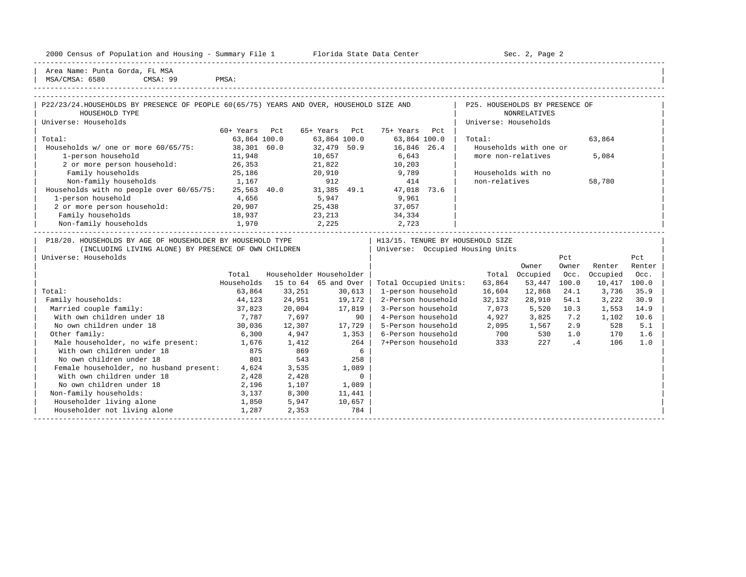| Housing<br>2000<br>and<br>$\sim$<br>1.02<br><b>THE RESIDENCE OF STREET</b><br>ensus<br>∴oullin<br><u>u Lat. Luit</u><br> | - -<br>Center<br>lorida<br>рата.<br>51.dl.t<br>سددت | Page<br>701<br>JUL<br>$\sim$ |  |
|--------------------------------------------------------------------------------------------------------------------------|-----------------------------------------------------|------------------------------|--|
|                                                                                                                          |                                                     | -----                        |  |

2000 Florida State Data Center - Summary Sec. 2, Page 2

| Area Name: Punta Gorda, FL MSA | MSA/CMSA: 6580 CMSA: 99 PMSA:

| P22/23/24.HOUSEHOLDS BY PRESENCE OF PEOPLE 60(65/75) YEARS AND OVER, HOUSEHOLD SIZE AND<br>HOUSEHOLD TYPE                                  |               |                         |               |                 |                       |     | P25. HOUSEHOLDS BY PRESENCE OF                                       | NONRELATIVES           |                |          |               |
|--------------------------------------------------------------------------------------------------------------------------------------------|---------------|-------------------------|---------------|-----------------|-----------------------|-----|----------------------------------------------------------------------|------------------------|----------------|----------|---------------|
| Universe: Households                                                                                                                       |               |                         |               |                 |                       |     | Universe: Households                                                 |                        |                |          |               |
|                                                                                                                                            | 60+ Years Pct |                         | 65+ Years Pct |                 | 75+ Years             | Pct |                                                                      |                        |                |          |               |
| Total:                                                                                                                                     | 63,864 100.0  |                         | 63,864 100.0  |                 | 63,864 100.0          |     | Total:                                                               |                        |                | 63,864   |               |
| Households w/ one or more 60/65/75: 38,301 60.0                                                                                            |               |                         | 32,479 50.9   |                 | 16,846 26.4           |     |                                                                      | Households with one or |                |          |               |
| 1-person household                                                                                                                         | 11,948        | 10,657                  |               |                 | 6,643                 |     | more non-relatives                                                   |                        |                | 5,084    |               |
| 2 or more person household: 26,353                                                                                                         |               |                         | 21,822        |                 | 10,203                |     |                                                                      |                        |                |          |               |
| Family households                                                                                                                          | 25,186        |                         | 20,910        |                 | 9,789                 |     | Households with no                                                   |                        |                |          |               |
| Non-family households 1,167                                                                                                                |               |                         | 912           |                 | 414                   |     | non-relatives                                                        |                        |                | 58,780   |               |
| Non-ramily nouseholds<br>Households with no people over 60/65/75: 25,563 40.0 31,385 49.1 47,018 73.6                                      |               |                         |               |                 |                       |     |                                                                      |                        |                |          |               |
| 1-person household                                                                                                                         | 4,656         |                         | 5,947         |                 | 9,961                 |     |                                                                      |                        |                |          |               |
| 2 or more person household: 20,907                                                                                                         |               |                         |               |                 | 25,438 37,057         |     |                                                                      |                        |                |          |               |
| Family households<br>18,937                                                                                                                |               |                         |               |                 | 23, 213 34, 334       |     |                                                                      |                        |                |          |               |
| Non-family households 1,970                                                                                                                |               |                         |               |                 | 2, 225 2, 723         |     |                                                                      |                        |                |          |               |
| P18/20. HOUSEHOLDS BY AGE OF HOUSEHOLDER BY HOUSEHOLD TYPE<br>(INCLUDING LIVING ALONE) BY PRESENCE OF OWN CHILDREN<br>Universe: Households |               |                         |               |                 |                       |     | H13/15. TENURE BY HOUSEHOLD SIZE<br>Universe: Occupied Housing Units | Owner                  | Pct<br>Owner   | Renter   | Pct<br>Renter |
|                                                                                                                                            | Total         | Householder Householder |               |                 |                       |     | Total                                                                | Occupied               | Occ.           | Occupied | Occ.          |
|                                                                                                                                            | Households    | 15 to 64 65 and Over    |               |                 | Total Occupied Units: |     | 63,864                                                               | 53,447                 | 100.0          | 10,417   | 100.0         |
| Total:                                                                                                                                     | 63,864        | 33,251                  |               | 30,613          | 1-person household    |     | 16,604                                                               | 12,868                 | 24.1           | 3,736    | 35.9          |
| Family households:                                                                                                                         | 44,123        | 24,951                  |               | $19,172$        | 2-Person household    |     | 32,132                                                               | 28,910                 | 54.1           | 3,222    | 30.9          |
| Married couple family:                                                                                                                     | 37,823        | 20,004                  |               | 17,819          | 3-Person household    |     | 7,073                                                                | 5,520                  | 10.3           | 1,553    | 14.9          |
| With own children under 18                                                                                                                 | 7,787         | 7,697                   |               | 90 <sub>1</sub> | 4-Person household    |     | 4,927                                                                | 3,825                  | 7.2            | 1,102    | 10.6          |
| No own children under 18                                                                                                                   | 30,036        | 12,307                  |               | 17,729          | 5-Person household    |     | 2,095                                                                | 1,567                  | 2.9            | 528      | 5.1           |
| Other family:                                                                                                                              | 6,300         | 4,947                   |               | 1,353           | 6-Person household    |     | 700                                                                  | 530                    | 1.0            | 170      | 1.6           |
| Male householder, no wife present: 1,676                                                                                                   |               | 1,412                   |               | 264             | 7+Person household    |     | 333                                                                  | 227                    | $\overline{4}$ | 106      | 1.0           |
| With own children under 18                                                                                                                 | 875           | 869                     |               | 6               |                       |     |                                                                      |                        |                |          |               |
| No own children under 18                                                                                                                   | 801           | 543                     |               | 258             |                       |     |                                                                      |                        |                |          |               |
| Female householder, no husband present: 4,624                                                                                              |               | 3,535                   |               | 1,089           |                       |     |                                                                      |                        |                |          |               |
| With own children under 18                                                                                                                 | 2,428         | 2,428                   |               | $\mathbf{0}$    |                       |     |                                                                      |                        |                |          |               |
| No own children under 18                                                                                                                   | 2,196         | 1,107                   |               | 1,089           |                       |     |                                                                      |                        |                |          |               |
| Non-family households:                                                                                                                     | 3,137         | 8,300                   |               | 11,441          |                       |     |                                                                      |                        |                |          |               |
| Householder living alone                                                                                                                   | 1,850         | 5,947                   |               | 10,657          |                       |     |                                                                      |                        |                |          |               |
| Householder not living alone                                                                                                               | 1,287         | 2,353                   |               | 784             |                       |     |                                                                      |                        |                |          |               |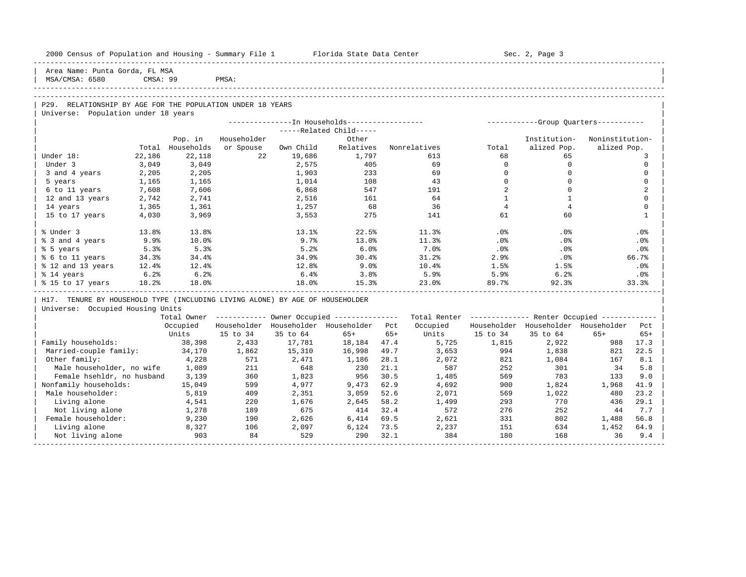| 2000 Census of Population and Housing - Summary File 1 Florida State Data Center |          |                   |             |           |                                                        |       |                   |                | Sec. 2, Page 3                                          |                 |                |
|----------------------------------------------------------------------------------|----------|-------------------|-------------|-----------|--------------------------------------------------------|-------|-------------------|----------------|---------------------------------------------------------|-----------------|----------------|
| Area Name: Punta Gorda, FL MSA<br>MSA/CMSA: 6580                                 | CMSA: 99 |                   | PMSA:       |           |                                                        |       |                   |                |                                                         |                 |                |
|                                                                                  |          |                   |             |           |                                                        |       |                   |                |                                                         |                 |                |
|                                                                                  |          |                   |             |           |                                                        |       |                   |                |                                                         |                 |                |
| P29. RELATIONSHIP BY AGE FOR THE POPULATION UNDER 18 YEARS                       |          |                   |             |           |                                                        |       |                   |                |                                                         |                 |                |
| Universe: Population under 18 years                                              |          |                   |             |           |                                                        |       |                   |                |                                                         |                 |                |
|                                                                                  |          |                   |             |           | -----Related Child-----                                |       |                   |                |                                                         |                 |                |
|                                                                                  |          | Pop. in           | Householder |           | Other                                                  |       |                   |                | Institution-                                            | Noninstitution- |                |
|                                                                                  | Total    | Households        | or Spouse   | Own Child | Relatives                                              |       | Nonrelatives      | Total          | alized Pop.                                             | alized Pop.     |                |
| Under 18:                                                                        | 22,186   | 22,118            | 22          | 19,686    | 1,797                                                  |       | 613               | 68             | 65                                                      |                 | 3              |
| Under 3                                                                          | 3,049    | 3,049             |             | 2,575     | 405                                                    |       | 69                | $\mathbf{0}$   | $\circ$                                                 |                 | $\Omega$       |
| 3 and 4 years                                                                    | 2,205    | 2,205             |             | 1,903     | 233                                                    |       | 69                | $\Omega$       | $\mathbf 0$                                             |                 | $\Omega$       |
| 5 years                                                                          | 1,165    | 1,165             |             | 1,014     | 108                                                    |       | 43                | $\Omega$       | $\Omega$                                                |                 | $\Omega$       |
| 6 to 11 years                                                                    | 7,608    | 7,606             |             | 6,868     | 547                                                    |       | 191               | 2              | $\mathbf 0$                                             |                 | $\overline{a}$ |
| 12 and 13 years                                                                  | 2,742    | 2,741             |             | 2,516     | 161                                                    |       | 64                | $\mathbf{1}$   | -1                                                      |                 | $\Omega$       |
| 14 years                                                                         | 1,365    | 1,361             |             | 1,257     | 68                                                     |       | 36                | $\overline{4}$ | $\overline{4}$                                          |                 | $\Omega$       |
| 15 to 17 years                                                                   | 4,030    | 3,969             |             | 3,553     | 275                                                    |       | 141               | 61             | 60                                                      |                 | $\mathbf{1}$   |
|                                                                                  |          |                   |             |           |                                                        |       |                   |                |                                                         |                 |                |
| % Under 3                                                                        | 13.8%    | 13.8%             |             | 13.1%     | 22.5%                                                  |       | 11.3%             | $.0\%$         | .0%                                                     |                 | .0%            |
| % 3 and 4 years                                                                  | 9.9%     | 10.0%             |             | 9.7%      | 13.0%                                                  |       | 11.3%             | .0%            | .0%                                                     |                 | .0%            |
| % 5 years                                                                        | 5.3%     | 5.3%              |             | 5.2%      | 6.0%                                                   |       | 7.0%              | $.0\%$         | $.0\%$                                                  |                 | $.0\%$         |
| % 6 to 11 years                                                                  | 34.3%    | 34.4%             |             | 34.9%     | 30.4%                                                  |       | 31.2%             | 2.9%           | $.0\%$                                                  |                 | 66.7%          |
| % 12 and 13 years                                                                | $12.4\%$ | 12.4%             |             | 12.8%     | 9.0%                                                   |       | $10.4\%$          | 1.5%           | 1.5%                                                    |                 | .0%            |
| % 14 years                                                                       | 6.2%     | 6.2%              |             | $6.4\%$   | 3.8%                                                   |       | 5.9%              | 5.9%           | 6.2%                                                    |                 | .0%            |
| % 15 to 17 years                                                                 | 18.2%    | 18.0%             |             | 18.0%     | 15.3%                                                  |       | 23.0%             | 89.7%          | 92.3%                                                   |                 | 33.3%          |
|                                                                                  |          |                   |             |           |                                                        |       |                   |                |                                                         |                 |                |
| H17. TENURE BY HOUSEHOLD TYPE (INCLUDING LIVING ALONE) BY AGE OF HOUSEHOLDER     |          |                   |             |           |                                                        |       |                   |                |                                                         |                 |                |
| Universe: Occupied Housing Units                                                 |          |                   |             |           |                                                        |       |                   |                |                                                         |                 |                |
|                                                                                  |          |                   |             |           | Total Owner ------------ Owner Occupied -------------- |       |                   |                | Total Renter ------------- Renter Occupied ------------ |                 |                |
|                                                                                  |          | Occupied<br>Units | 15 to 34    | 35 to 64  | Householder Householder Householder Pct<br>$65+$       | $65+$ | Occupied<br>Units | 15 to 34       | Householder Householder Householder<br>35 to 64         | $65+$           | Pct<br>$65+$   |
| Family households:                                                               |          | 38,398            | 2,433       | 17,781    | 18, 184 47. 4                                          |       | 5,725             | 1,815          |                                                         | 988             | 17.3           |
| Married-couple family:                                                           |          | 34,170            | 1,862       | 15,310    | 16,998                                                 | 49.7  | 3,653             | 994            | 2,922<br>1,838                                          | 821             | 22.5           |
| Other family:                                                                    |          | 4,228             | 571         | 2,471     | 1,186                                                  | 28.1  | 2,072             | 821            | 1,084                                                   | 167             | 8.1            |
| Male householder, no wife                                                        |          | 1,089             | 211         | 648       | 230                                                    | 21.1  | 587               | 252            | 301                                                     | 34              | 5.8            |
| Female hsehldr, no husband                                                       |          | 3,139             | 360         | 1,823     | 956                                                    | 30.5  | 1,485             | 569            | 783                                                     | 133             | 9.0            |
| Nonfamily households:                                                            |          | 15,049            | 599         | 4,977     | 9,473                                                  | 62.9  | 4,692             | 900            | 1,824                                                   | 1,968           | 41.9           |
| Male householder:                                                                |          | 5,819             | 409         | 2,351     | 3,059                                                  | 52.6  | 2,071             | 569            | 1,022                                                   | 480             | 23.2           |
| Living alone                                                                     |          | 4,541             | 220         | 1,676     | 2,645                                                  | 58.2  | 1,499             | 293            | 770                                                     | 436             | 29.1           |
| Not living alone                                                                 |          | 1,278             | 189         | 675       | 414                                                    | 32.4  | 572               | 276            | 252                                                     | 44              | 7.7            |
| Female householder:                                                              |          | 9,230             | 190         | 2,626     | 6,414                                                  | 69.5  | 2,621             | 331            | 802                                                     | 1,488           | 56.8           |
| Living alone                                                                     |          | 8,327             | 106         | 2,097     | 6,124                                                  | 73.5  | 2,237             | 151            | 634                                                     | 1,452           | 64.9           |
| Not living alone                                                                 |          | 903               | 84          | 529       | 290                                                    | 32.1  | 384               | 180            | 168                                                     | 36              | 9.4            |
|                                                                                  |          |                   |             |           |                                                        |       |                   |                |                                                         |                 |                |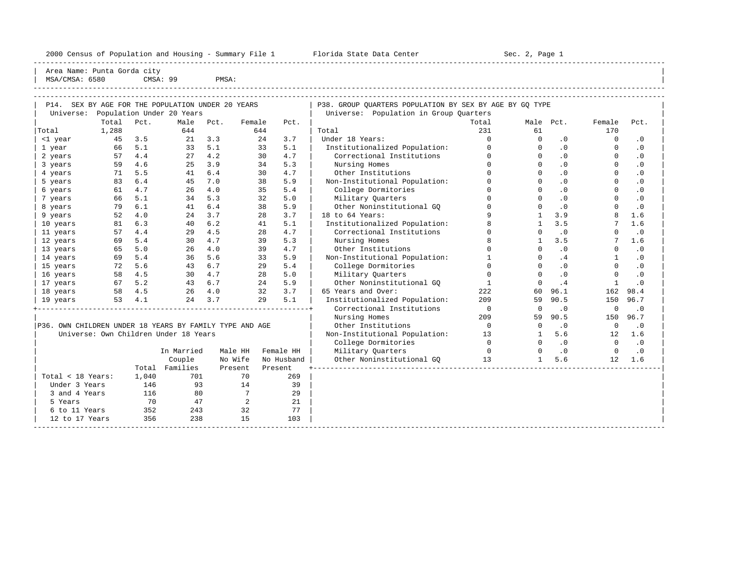2000 Census of Population and Housing - Summary File 1 Telorida State Data Center Sec. 2, Page 1 North Sec. 2, Page

----------------------------------------------------------------------------------------------------------------------------------------------------- Area Name: Punta Gorda city MSA/CMSA: 6580 CMSA: 99 PMSA:

| P14. SEX BY AGE FOR THE POPULATION UNDER 20 YEARS       |            |       |                                       |      |                 |         |            | P38. GROUP QUARTERS POPULATION BY SEX BY AGE BY GQ TYPE |              |              |                  |              |           |
|---------------------------------------------------------|------------|-------|---------------------------------------|------|-----------------|---------|------------|---------------------------------------------------------|--------------|--------------|------------------|--------------|-----------|
|                                                         |            |       | Universe: Population Under 20 Years   |      |                 |         |            | Universe: Population in Group Quarters                  |              |              |                  |              |           |
|                                                         | Total Pct. |       | Male                                  | Pct. | Female          |         | Pct.       |                                                         | Total        |              | Male Pct.        | Female       | Pct.      |
| Total                                                   | 1,288      |       | 644                                   |      |                 | 644     |            | Total                                                   | 231          | 61           |                  | 170          |           |
| <1 year                                                 | 45         | 3.5   | 21                                    | 3.3  |                 | 24      | 3.7        | Under 18 Years:                                         | $\Omega$     | $\Omega$     | $\cdot$ 0        | $\Omega$     | $\cdot$ 0 |
| 1 year                                                  | 66         | 5.1   | 33                                    | 5.1  |                 | 33      | 5.1        | Institutionalized Population:                           | $\Omega$     | $\Omega$     | $\cdot$ 0        | $\Omega$     | $\cdot$ 0 |
| 2 years                                                 | 57         | 4.4   | 27                                    | 4.2  |                 | 30      | 4.7        | Correctional Institutions                               | $\Omega$     | $\Omega$     | $\cdot$ 0        | $\Omega$     | $\cdot$ 0 |
| 3 years                                                 | 59         | 4.6   | 25                                    | 3.9  |                 | 34      | 5.3        | Nursing Homes                                           | $\Omega$     | $\Omega$     | .0               | $\Omega$     | $\cdot$ 0 |
| 4 years                                                 | 71         | 5.5   | 41                                    | 6.4  |                 | 30      | 4.7        | Other Institutions                                      |              | $\cap$       | $\overline{0}$   | $\Omega$     | $\cdot$ 0 |
| 5 years                                                 | 83         | 6.4   | 45                                    | 7.0  |                 | 38      | 5.9        | Non-Institutional Population:                           |              | $\cap$       | .0               |              | $\cdot$ 0 |
| 6 years                                                 | 61         | 4.7   | 26                                    | 4.0  |                 | 35      | 5.4        | College Dormitories                                     | $\Omega$     | $\cap$       | .0               | $\Omega$     | $\cdot$ 0 |
| 7 years                                                 | 66         | 5.1   | 34                                    | 5.3  |                 | 32      | 5.0        | Military Quarters                                       | $\Omega$     | $\Omega$     | $\overline{0}$ . | $\Omega$     | $\cdot$ 0 |
| 8 years                                                 | 79         | 6.1   | 41                                    | 6.4  |                 | 38      | 5.9        | Other Noninstitutional GO                               | $\Omega$     | $\Omega$     | .0               | $\Omega$     | $\cdot$ 0 |
| 9 years                                                 | 52         | 4.0   | 2.4                                   | 3.7  |                 | 2.8     | 3.7        | 18 to 64 Years:                                         |              | $\mathbf{1}$ | 3.9              | 8            | 1.6       |
| 10 years                                                | 81         | 6.3   | 40                                    | 6.2  |                 | 41      | 5.1        | Institutionalized Population:                           |              | $\mathbf{1}$ | 3.5              | 7            | 1.6       |
| 11 years                                                | 57         | 4.4   | 29                                    | 4.5  |                 | 28      | 4.7        | Correctional Institutions                               | $\Omega$     | $\Omega$     | $\cdot$ 0        | $\Omega$     | $\cdot$ 0 |
| 12 years                                                | 69         | 5.4   | 30                                    | 4.7  |                 | 39      | 5.3        | Nursing Homes                                           | $\mathsf{R}$ | $\mathbf{1}$ | 3.5              | 7            | 1.6       |
| 13 years                                                | 65         | 5.0   | 26                                    | 4.0  |                 | 39      | 4.7        | Other Institutions                                      | $\Omega$     | $\Omega$     | $\cdot$ 0        | $\Omega$     | $\cdot$ 0 |
| 14 years                                                | 69         | 5.4   | 36                                    | 5.6  |                 | 33      | 5.9        | Non-Institutional Population:                           | $\mathbf{1}$ | $\Omega$     | .4               | $\mathbf{1}$ | $\cdot$ 0 |
| 15 years                                                | 72         | 5.6   | 43                                    | 6.7  |                 | 29      | 5.4        | College Dormitories                                     | $\cap$       | $\cap$       | $\cdot$ 0        | $\Omega$     | $\cdot$ 0 |
| 16 years                                                | 58         | 4.5   | 30                                    | 4.7  |                 | 28      | 5.0        | Military Quarters                                       | $\Omega$     | $\cap$       | $\cdot$ 0        | $\Omega$     | $\cdot$ 0 |
| 17 years                                                | 67         | 5.2   | 43                                    | 6.7  |                 | 24      | 5.9        | Other Noninstitutional GO                               | $\mathbf{1}$ | $\Omega$     | .4               | $\mathbf{1}$ | $\cdot$ 0 |
| 18 years                                                | 58         | 4.5   | 26                                    | 4.0  |                 | 32      | 3.7        | 65 Years and Over:                                      | 222          | 60           | 96.1             | 162          | 98.4      |
| 19 years                                                | 53         | 4.1   | 24                                    | 3.7  |                 | 29      | 5.1        | Institutionalized Population:                           | 209          | 59           | 90.5             | 150          | 96.7      |
|                                                         |            |       |                                       |      |                 |         |            | Correctional Institutions                               | $\mathbf 0$  | $\Omega$     | $\cdot$ 0        | $\mathbf 0$  | $\cdot$ 0 |
|                                                         |            |       |                                       |      |                 |         |            | Nursing Homes                                           | 209          | 59           | 90.5             | 150          | 96.7      |
| P36. OWN CHILDREN UNDER 18 YEARS BY FAMILY TYPE AND AGE |            |       |                                       |      |                 |         |            | Other Institutions                                      | $\Omega$     | $\Omega$     | $\cdot$ 0        | $\mathbf 0$  | $\cdot$ 0 |
|                                                         |            |       | Universe: Own Children Under 18 Years |      |                 |         |            | Non-Institutional Population:                           | 13           | $\mathbf{1}$ | 5.6              | 12           | 1.6       |
|                                                         |            |       |                                       |      |                 |         |            | College Dormitories                                     | $\Omega$     | $\Omega$     | $\cdot$ 0        | $\Omega$     | $\cdot$ 0 |
|                                                         |            |       | In Married                            |      | Male HH         |         | Female HH  | Military Quarters                                       | $\Omega$     | $\Omega$     | $\cdot$ 0        | $\Omega$     | $\cdot$ 0 |
|                                                         |            |       | Couple                                |      | No Wife         |         | No Husband | Other Noninstitutional GO                               | 13           | $\mathbf{1}$ | 5.6              | 12           | 1.6       |
|                                                         |            |       | Total Families                        |      | Present         | Present |            |                                                         |              |              |                  |              |           |
| Total < 18 Years:                                       |            | 1,040 | 701                                   |      | 70              |         | 269        |                                                         |              |              |                  |              |           |
| Under 3 Years                                           |            | 146   | 93                                    |      | 14              |         | 39         |                                                         |              |              |                  |              |           |
| 3 and 4 Years                                           |            | 116   | 80                                    |      | $7\phantom{.0}$ |         | 29         |                                                         |              |              |                  |              |           |
| 5 Years                                                 |            | 70    | 47                                    |      | 2               |         | 21         |                                                         |              |              |                  |              |           |
| 6 to 11 Years                                           |            | 352   | 243                                   |      | 32              |         | 77         |                                                         |              |              |                  |              |           |
| 12 to 17 Years                                          |            | 356   | 238                                   |      | 15              |         | 103        |                                                         |              |              |                  |              |           |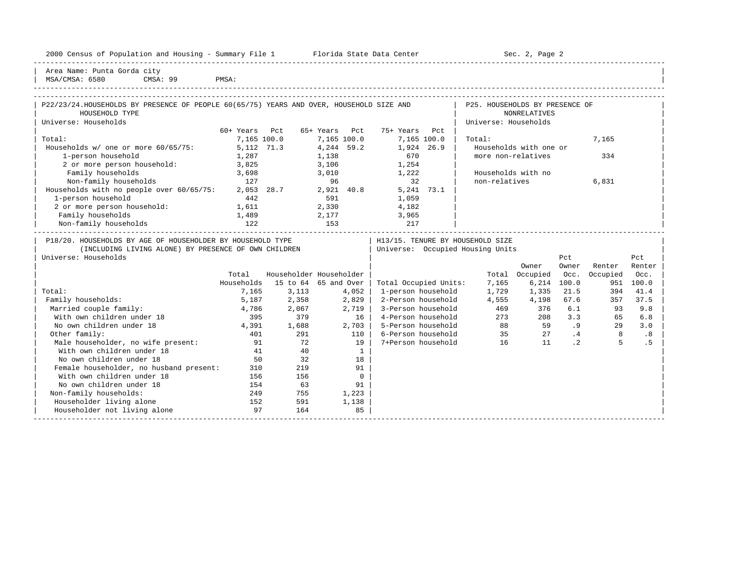|  |  |  | 2000 Census of Population and Housing - Summary File 1 |  |  |  |  |  |  |
|--|--|--|--------------------------------------------------------|--|--|--|--|--|--|
|--|--|--|--------------------------------------------------------|--|--|--|--|--|--|

Plorida State Data Center - Sec. 2, Page 2

Area Name: Punta Gorda city | MSA/CMSA: 6580 CMSA: 99 PMSA:

### -----------------------------------------------------------------------------------------------------------------------------------------------------

| P22/23/24.HOUSEHOLDS BY PRESENCE OF PEOPLE 60(65/75) YEARS AND OVER, HOUSEHOLD SIZE AND |             |     |                         |             |                                                            |             | P25. HOUSEHOLDS BY PRESENCE OF   |                        |       |          |        |  |
|-----------------------------------------------------------------------------------------|-------------|-----|-------------------------|-------------|------------------------------------------------------------|-------------|----------------------------------|------------------------|-------|----------|--------|--|
| HOUSEHOLD TYPE                                                                          |             |     |                         |             |                                                            |             |                                  | NONRELATIVES           |       |          |        |  |
| Universe: Households                                                                    |             |     |                         |             |                                                            |             | Universe: Households             |                        |       |          |        |  |
|                                                                                         | 60+ Years   | Pct | 65+ Years               | Pct.        | 75+ Years                                                  | Pct         |                                  |                        |       |          |        |  |
| Total:                                                                                  | 7,165 100.0 |     |                         | 7,165 100.0 |                                                            | 7,165 100.0 | Total:                           |                        |       | 7,165    |        |  |
| Households $w/$ one or more $60/65/75$ :                                                | 5,112 71.3  |     |                         | 4,244 59.2  | 1,924 26.9                                                 |             |                                  | Households with one or |       |          |        |  |
| 1-person household                                                                      | 1,287       |     | 1,138                   |             | 670                                                        |             | more non-relatives               |                        |       | 334      |        |  |
| 2 or more person household:                                                             | 3,825       |     | 3,106                   |             | 1,254                                                      |             |                                  |                        |       |          |        |  |
| Family households                                                                       | 3,698       |     | 3,010                   |             | 1,222                                                      |             | Households with no               |                        |       |          |        |  |
| Non-family households                                                                   | 127         |     | 96                      |             | 32                                                         |             | non-relatives                    |                        |       | 6,831    |        |  |
| Households with no people over 60/65/75:                                                | 2,053 28.7  |     |                         | 2,921 40.8  |                                                            | 5,241 73.1  |                                  |                        |       |          |        |  |
| 1-person household                                                                      | 442         |     | 591                     |             | 1,059                                                      |             |                                  |                        |       |          |        |  |
| 2 or more person household:                                                             | 1,611       |     | 2,330                   |             | 4,182                                                      |             |                                  |                        |       |          |        |  |
| Family households                                                                       | 1,489       |     | 2,177                   |             | 3,965                                                      |             |                                  |                        |       |          |        |  |
| Non-family households                                                                   | 122         |     | 153                     |             | 217                                                        |             |                                  |                        |       |          |        |  |
| P18/20. HOUSEHOLDS BY AGE OF HOUSEHOLDER BY HOUSEHOLD TYPE                              |             |     |                         |             |                                                            |             | H13/15. TENURE BY HOUSEHOLD SIZE |                        |       |          |        |  |
| (INCLUDING LIVING ALONE) BY PRESENCE OF OWN CHILDREN                                    |             |     |                         |             |                                                            |             | Universe: Occupied Housing Units |                        |       |          |        |  |
| Universe: Households                                                                    |             |     |                         |             |                                                            |             |                                  |                        | Pct   |          | Pct    |  |
|                                                                                         |             |     |                         |             |                                                            |             |                                  | Owner                  | Owner | Renter   | Renter |  |
|                                                                                         | Total       |     | Householder Householder |             |                                                            |             |                                  | Total Occupied Occ.    |       | Occupied | Occ.   |  |
|                                                                                         |             |     |                         |             | Households $15 \pm 64$ 65 and Over   Total Occupied Units: |             | 7 165                            | 6 214 100 0            |       | 951      | 100 Q  |  |

|                                         | Total      |          | Householder Householder |                       | Total | Occupied | Occ.      | Occupied | Occ.  |  |
|-----------------------------------------|------------|----------|-------------------------|-----------------------|-------|----------|-----------|----------|-------|--|
|                                         | Households | 15 to 64 | 65 and Over             | Total Occupied Units: | 7,165 | 6,214    | 100.0     | 951      | 100.0 |  |
| Total:                                  | 7,165      | 3,113    | 4,052                   | 1-person household    | 1,729 | 1,335    | 21.5      | 394      | 41.4  |  |
| Family households:                      | 5,187      | 2,358    | 2,829                   | 2-Person household    | 4,555 | 4,198    | 67.6      | 357      | 37.5  |  |
| Married couple family:                  | 4,786      | 2,067    | 2,719                   | 3-Person household    | 469   | 376      | 6.1       | 93       | 9.8   |  |
| With own children under 18              | 395        | 379      | 16                      | 4-Person household    | 273   | 208      | 3.3       | 65       | 6.8   |  |
| No own children under 18                | 4,391      | 1,688    | 2,703                   | 5-Person household    | 88    | 59       | . 9       | 29       | 3.0   |  |
| Other family:                           | 401        | 291      | 110                     | 6-Person household    | 35    | 27       | .4        | 8        | .8    |  |
| Male householder, no wife present:      | 91         | 72       | 19                      | 7+Person household    | 16    | 11       | $\cdot$ 2 | 5        |       |  |
| With own children under 18              | 41         | 40       |                         |                       |       |          |           |          |       |  |
| No own children under 18                | 50         | 32       | 18                      |                       |       |          |           |          |       |  |
| Female householder, no husband present: | 310        | 219      | 91                      |                       |       |          |           |          |       |  |
| With own children under 18              | 156        | 156      |                         |                       |       |          |           |          |       |  |
| No own children under 18                | 154        | 63       | 91                      |                       |       |          |           |          |       |  |
| Non-family households:                  | 249        | 755      | 1,223                   |                       |       |          |           |          |       |  |
| Householder living alone                | 152        | 591      | 1,138                   |                       |       |          |           |          |       |  |
| Householder not living alone            | 97         | 164      | 85                      |                       |       |          |           |          |       |  |
|                                         |            |          |                         |                       |       |          |           |          |       |  |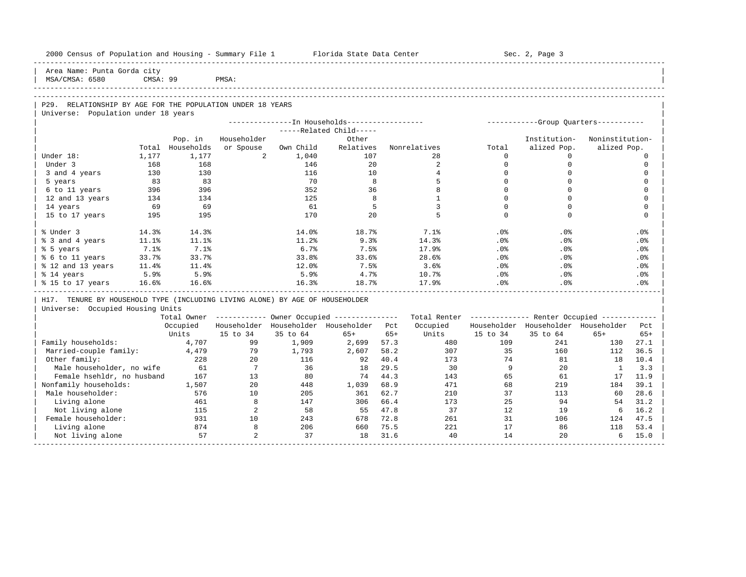| 2000 Census of Population and Housing - Summary File 1 Florida State Data Center |          |                  |                |              |                                                                         |              |                                                         |             | Sec. 2, Page 3                          |                 |                 |
|----------------------------------------------------------------------------------|----------|------------------|----------------|--------------|-------------------------------------------------------------------------|--------------|---------------------------------------------------------|-------------|-----------------------------------------|-----------------|-----------------|
| Area Name: Punta Gorda city<br>MSA/CMSA: 6580                                    | CMSA: 99 |                  | PMSA:          |              |                                                                         |              |                                                         |             |                                         |                 |                 |
| P29. RELATIONSHIP BY AGE FOR THE POPULATION UNDER 18 YEARS                       |          |                  |                |              |                                                                         |              |                                                         |             |                                         |                 |                 |
| Universe: Population under 18 years                                              |          |                  |                |              |                                                                         |              |                                                         |             |                                         |                 |                 |
|                                                                                  |          |                  |                |              | --------------In Households-----------------<br>-----Related Child----- |              |                                                         |             | ------------Group Quarters-----------   |                 |                 |
|                                                                                  |          | Pop. in          | Householder    |              | Other                                                                   |              |                                                         |             | Institution-                            | Noninstitution- |                 |
|                                                                                  |          | Total Households | or Spouse      | Own Child    | Relatives                                                               |              | Nonrelatives                                            | Total       | alized Pop.                             | alized Pop.     |                 |
| Under 18:                                                                        | 1,177    | 1,177            | 2              | 1,040        | 107                                                                     |              | 28                                                      | $\Omega$    | $\mathbf{0}$                            |                 | $\Omega$        |
| Under 3                                                                          | 168      | 168              |                | 146          | 20                                                                      |              | 2                                                       | $\mathbf 0$ | $\mathbf 0$                             |                 | $\mathbf 0$     |
| 3 and 4 years                                                                    | 130      | 130              |                | 116          | 10                                                                      |              | $\overline{4}$                                          | $\Omega$    | $\Omega$                                |                 | $\Omega$        |
| 5 years                                                                          | 83       | 83               |                | 70           | 8                                                                       |              | 5                                                       | $\Omega$    | $\Omega$                                |                 | $\Omega$        |
| 6 to 11 years                                                                    | 396      | 396              |                | 352          | 36                                                                      |              | 8                                                       | $\mathbf 0$ | $\mathbf 0$                             |                 | $\mathbf 0$     |
| 12 and 13 years                                                                  | 134      | 134              |                | 125          | 8                                                                       |              | $\mathbf{1}$                                            | $\Omega$    | $\Omega$                                |                 | $\Omega$        |
| 14 years                                                                         | 69       | 69               |                | 61           | 5                                                                       |              | 3                                                       | $\Omega$    | $\mathbf 0$                             |                 | $\Omega$        |
| 15 to 17 years                                                                   | 195      | 195              |                | 170          | 20                                                                      |              | 5                                                       | $\Omega$    | $\Omega$                                |                 | $\Omega$        |
| % Under 3                                                                        | 14.3%    | 14.3%            |                | 14.0%        | 18.7%                                                                   |              | 7.1%                                                    | .0%         | .0%                                     |                 | .0%             |
| % 3 and 4 years                                                                  | 11.1%    | 11.1%            |                | 11.2%        | 9.3%                                                                    |              | 14.3%                                                   | .0%         | .0%                                     |                 | .0 <sup>8</sup> |
| % 5 years                                                                        | 7.1%     | 7.1%             |                | 6.7%         | 7.5%                                                                    |              | 17.9%                                                   | .0%         | .0%                                     |                 | .0%             |
| % 6 to 11 years                                                                  | 33.7%    | 33.7%            |                | 33.8%        | 33.6%                                                                   |              | 28.6%                                                   | .0%         | .0%                                     |                 | .0%             |
| % 12 and 13 years                                                                | 11.4%    | 11.4%            |                | 12.0%        | 7.5%                                                                    |              | 3.6%                                                    | .0%         | .0%                                     |                 | .0%             |
| % 14 years                                                                       | 5.9%     | 5.9%             |                | 5.9%         | 4.7%                                                                    |              | 10.7%                                                   | $.0\%$      | $.0\%$                                  |                 | . 0%            |
| % 15 to 17 years                                                                 | 16.6%    | 16.6%            |                | 16.3%        | 18.7%                                                                   |              | 17.9%                                                   | .0%         | .0%                                     |                 | .0%             |
| H17. TENURE BY HOUSEHOLD TYPE (INCLUDING LIVING ALONE) BY AGE OF HOUSEHOLDER     |          |                  |                |              |                                                                         |              |                                                         |             |                                         |                 |                 |
| Universe: Occupied Housing Units                                                 |          |                  |                |              |                                                                         |              |                                                         |             |                                         |                 |                 |
|                                                                                  |          |                  |                |              | Total Owner ----------- Owner Occupied --------------                   |              | Total Renter ------------- Renter Occupied ------------ |             |                                         |                 |                 |
|                                                                                  |          | Occupied         |                |              | Householder Householder Householder Pct                                 |              | Occupied                                                |             | Householder Householder Householder Pct |                 |                 |
|                                                                                  |          | Units            | 15 to 34       | 35 to 64     | 65+                                                                     | $65+$        | Units                                                   | 15 to 34    | 35 to 64                                | $65+$           | $65+$           |
| Family households:                                                               |          | 4,707            | 99<br>79       | 1,909        | 2,699                                                                   | 57.3<br>58.2 | 480<br>307                                              | 109<br>35   | 241<br>160                              | 130<br>112      | 27.1<br>36.5    |
| Married-couple family:<br>Other family:                                          |          | 4,479<br>228     | 20             | 1,793<br>116 | 2,607<br>92                                                             | 40.4         | 173                                                     | 74          | 81                                      | 18              | 10.4            |
| Male householder, no wife                                                        |          | 61               | $\overline{7}$ | 36           | 18                                                                      | 29.5         | 30                                                      | 9           | 20                                      | $\overline{1}$  | 3.3             |
| Female hsehldr, no husband                                                       |          | 167              | 13             | 80           | 74                                                                      | 44.3         | 143                                                     | 65          | 61                                      | 17              | 11.9            |
| Nonfamily households:                                                            |          | 1,507            | 20             | 448          | 1,039                                                                   | 68.9         | 471                                                     | 68          | 219                                     | 184             | 39.1            |
| Male householder:                                                                |          | 576              | 10             | 205          | 361                                                                     | 62.7         | 210                                                     | 37          | 113                                     | 60              | 28.6            |
| Living alone                                                                     |          | 461              | 8              | 147          | 306                                                                     | 66.4         | 173                                                     | 25          | 94                                      | 54              | 31.2            |
| Not living alone                                                                 |          | 115              | 2              | 58           | 55                                                                      | 47.8         | 37                                                      | 12          | 19                                      | - 6             | 16.2            |
| Female householder:                                                              |          | 931              | 10             | 243          | 678                                                                     | 72.8         | 261                                                     | 31          | 106                                     | 124             | 47.5            |
| Living alone                                                                     |          | 874              | 8              | 206          | 660                                                                     | 75.5         | 221                                                     | 17          | 86                                      | 118             | 53.4            |
| Not living alone                                                                 |          | 57               | 2              | 37           | 18                                                                      | 31.6         | 40                                                      | 14          | 20                                      | 6               | 15.0            |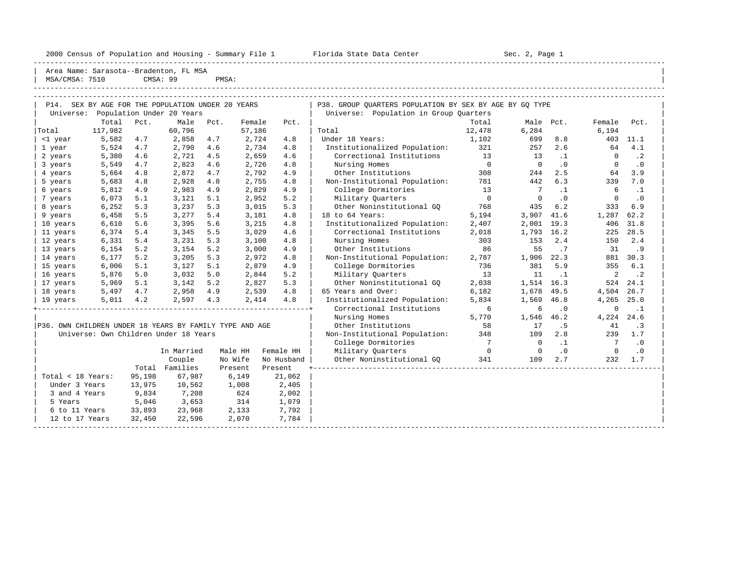2000 Census of Population and Housing - Summary File 1 Telorida State Data Center Sec. 2, Page 1 North Sec. 2, Page

----------------------------------------------------------------------------------------------------------------------------------------------------- | Area Name: Sarasota--Bradenton, FL MSA<br>| MSA/CMSA: 7510 CMSA: 99 PMSA: | MSA/CMSA: 7510 CMSA: 99 PMSA:

|  | ັບ⊥∨ | unun i | . <del>. .</del> |  |
|--|------|--------|------------------|--|
|  |      |        |                  |  |
|  |      |        |                  |  |
|  |      |        |                  |  |

| P14. SEX BY AGE FOR THE POPULATION UNDER 20 YEARS<br>Universe:<br>Population Under 20 Years |         |        |                                       |      |         |            | P38. GROUP QUARTERS POPULATION BY SEX BY AGE BY GQ TYPE |                |                 |           |                |           |
|---------------------------------------------------------------------------------------------|---------|--------|---------------------------------------|------|---------|------------|---------------------------------------------------------|----------------|-----------------|-----------|----------------|-----------|
|                                                                                             |         |        |                                       |      |         |            | Universe: Population in Group Quarters                  |                |                 |           |                |           |
|                                                                                             | Total   | Pct.   | Male                                  | Pct. | Female  | Pct.       |                                                         | Total          | Male Pct.       |           | Female         | Pct.      |
| Total                                                                                       | 117,982 |        | 60,796                                |      | 57,186  |            | Total                                                   | 12,478         | 6,284           |           | 6,194          |           |
| <1 year                                                                                     | 5,582   | 4.7    | 2,858                                 | 4.7  | 2,724   | 4.8        | Under 18 Years:                                         | 1,102          | 699             | 8.8       |                | 403 11.1  |
| 1 year                                                                                      | 5,524   | 4.7    | 2,790                                 | 4.6  | 2,734   | 4.8        | Institutionalized Population:                           | 321            | 257             | 2.6       | 64             | 4.1       |
| 2 years                                                                                     | 5,380   | 4.6    | 2,721                                 | 4.5  | 2,659   | 4.6        | Correctional Institutions                               | 13             | 13              | $\cdot$ 1 | $\Omega$       | $\cdot$ 2 |
| 3 years                                                                                     | 5,549   | 4.7    | 2,823                                 | 4.6  | 2,726   | 4.8        | Nursing Homes                                           | $\overline{0}$ | $\overline{0}$  | .0        | $\Omega$       | $\cdot$ 0 |
| 4 years                                                                                     | 5,664   | 4.8    | 2,872                                 | 4.7  | 2,792   | 4.9        | Other Institutions                                      | 308            | 244             | 2.5       | 64             | 3.9       |
| 5 years                                                                                     | 5,683   | 4.8    | 2,928                                 | 4.8  | 2,755   | 4.8        | Non-Institutional Population: 781                       |                | 442             | 6.3       | 339            | 7.0       |
| 6 years                                                                                     | 5,812   | 4.9    | 2,983                                 | 4.9  | 2,829   | 4.9        | College Dormitories                                     | 13             | $7\overline{ }$ | $\cdot$ 1 | 6              | $\cdot$ 1 |
| 7 years                                                                                     | 6,073   | 5.1    | 3,121                                 | 5.1  | 2,952   | 5.2        | Military Quarters                                       | $\overline{0}$ | $\circ$         | $\cdot$ 0 | $\mathbf{0}$   | $\cdot$ 0 |
| 8 years                                                                                     | 6,252   | 5.3    | 3,237                                 | 5.3  | 3,015   | 5.3        | Other Noninstitutional GO                               | 768            | 435             | 6.2       | 333            | 6.9       |
| 9 years                                                                                     | 6,458   | 5.5    | 3,277                                 | 5.4  | 3,181   | 4.8        | 18 to 64 Years:                                         | 5,194          | 3,907           | 41.6      | 1,287          | 62.2      |
| 10 years                                                                                    | 6,610   | 5.6    | 3,395                                 | 5.6  | 3,215   | 4.8        | Institutionalized Population:                           | 2,407          | 2,001           | 19.3      | 406            | 31.8      |
| 11 years                                                                                    | 6,374   | 5.4    | 3,345                                 | 5.5  | 3,029   | 4.6        | Correctional Institutions                               | 2,018          | 1,793 16.2      |           | 225            | 28.5      |
| 12 years                                                                                    | 6,331   | 5.4    | 3,231                                 | 5.3  | 3,100   | 4.8        | Nursing Homes                                           | 303            | 153             | 2.4       | 150            | 2.4       |
| 13 years                                                                                    | 6,154   | 5.2    | 3,154                                 | 5.2  | 3,000   | 4.9        | Other Institutions                                      | 86             | 55              | .7        | 31             | .9        |
| 14 years                                                                                    | 6,177   | 5.2    | 3,205                                 | 5.3  | 2,972   | 4.8        | Non-Institutional Population:                           | 2,787          | 1,906           | 22.3      |                | 881 30.3  |
| 15 years                                                                                    | 6,006   | 5.1    | 3,127                                 | 5.1  | 2,879   | 4.9        | College Dormitories                                     | 736            | 381             | 5.9       | 355            | 6.1       |
| 16 years                                                                                    | 5,876   | 5.0    | 3,032                                 | 5.0  | 2,844   | 5.2        | Military Ouarters                                       | 13             | 11              | $\cdot$ 1 | 2              | $\cdot$ 2 |
| 17 years                                                                                    | 5,969   | 5.1    | 3,142                                 | 5.2  | 2,827   | 5.3        | Other Noninstitutional GQ                               | 2,038          | 1,514 16.3      |           |                | 524 24.1  |
| 18 years                                                                                    | 5,497   | 4.7    | 2,958 4.9                             |      | 2,539   | 4.8        | 65 Years and Over:                                      | 6,182          | 1,678           | 49.5      | 4,504          | 26.7      |
| 19 years                                                                                    | 5,011   | 4.2    | 2,597 4.3                             |      | 2,414   | 4.8        | Institutionalized Population:                           | 5,834          | 1,569           | 46.8      | 4,265          | 25.0      |
|                                                                                             |         |        |                                       |      |         |            | Correctional Institutions                               | 6              | 6               | $\cdot$ 0 | 0              | $\cdot$ 1 |
|                                                                                             |         |        |                                       |      |         |            | Nursing Homes                                           | 5,770          | 1,546           | 46.2      | 4,224 24.6     |           |
| P36. OWN CHILDREN UNDER 18 YEARS BY FAMILY TYPE AND AGE                                     |         |        |                                       |      |         |            | Other Institutions                                      | 58             | 17              | . 5       | 41             | $\cdot$ 3 |
|                                                                                             |         |        | Universe: Own Children Under 18 Years |      |         |            | Non-Institutional Population:                           | 348            | 109             | 2.8       | 239            | 1.7       |
|                                                                                             |         |        |                                       |      |         |            | College Dormitories                                     | $\overline{7}$ | $\overline{0}$  | $\cdot$ 1 | $7\phantom{0}$ | $\cdot$ 0 |
|                                                                                             |         |        | In Married                            |      | Male HH | Female HH  | Military Ouarters                                       | $\overline{0}$ | $\overline{0}$  | $\cdot$ 0 | $\bigcirc$     | $\cdot$ 0 |
|                                                                                             |         |        | Couple                                |      | No Wife | No Husband | Other Noninstitutional GO                               | 341            | 109             | 2.7       | 232            | 1.7       |
|                                                                                             |         |        | Total Families                        |      | Present | Present    |                                                         |                |                 |           |                |           |
| Total < 18 Years:                                                                           |         | 95,198 | 67,987                                |      | 6,149   | 21,062     |                                                         |                |                 |           |                |           |
| Under 3 Years                                                                               |         | 13,975 | 10,562                                |      | 1,008   | 2,405      |                                                         |                |                 |           |                |           |
| 3 and 4 Years                                                                               |         | 9,834  | 7,208                                 |      | 624     | 2,002      |                                                         |                |                 |           |                |           |
| 5 Years                                                                                     |         | 5,046  | 3,653                                 |      | 314     | 1,079      |                                                         |                |                 |           |                |           |
| 6 to 11 Years                                                                               |         | 33,893 | 23,968                                |      | 2,133   | 7,792      |                                                         |                |                 |           |                |           |
| 12 to 17 Years                                                                              |         | 32,450 | 22,596                                |      | 2,070   | 7,784      |                                                         |                |                 |           |                |           |
|                                                                                             |         |        |                                       |      |         |            |                                                         |                |                 |           |                |           |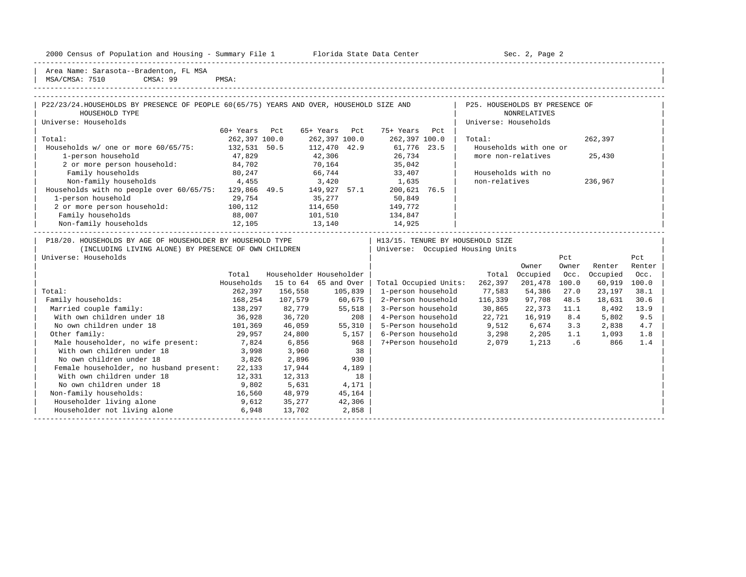2000 Census of Population and Housing - Summary File 1 Florida State Data Center Sec. 2, Page 2

-----------------------------------------------------------------------------------------------------------------------------------------------------

Area Name: Sarasota--Bradenton, FL MSA | MSA/CMSA: 7510 CMSA: 99 PMSA:

-----------------------------------------------------------------------------------------------------------------------------------------------------

| P22/23/24.HOUSEHOLDS BY PRESENCE OF PEOPLE 60(65/75) YEARS AND OVER, HOUSEHOLD SIZE AND |                          |                      |                         |                                                  | P25. HOUSEHOLDS BY PRESENCE OF |                        |              |                 |              |
|-----------------------------------------------------------------------------------------|--------------------------|----------------------|-------------------------|--------------------------------------------------|--------------------------------|------------------------|--------------|-----------------|--------------|
| HOUSEHOLD TYPE                                                                          |                          |                      |                         |                                                  |                                | NONRELATIVES           |              |                 |              |
| Universe: Households                                                                    |                          |                      |                         |                                                  | Universe: Households           |                        |              |                 |              |
|                                                                                         | 60+ Years Pct            |                      | 65+ Years Pct           | 75+ Years Pct                                    |                                |                        |              |                 |              |
| Total:                                                                                  | 262,397 100.0            |                      |                         | 262,397 100.0 262,397 100.0                      | Total:                         |                        |              | 262,397         |              |
| Households w/ one or more 60/65/75: 132,531 50.5                                        |                          |                      |                         | 112,470 42.9 61,776 23.5                         |                                | Households with one or |              |                 |              |
| 1-person household                                                                      | 47,829                   | 42,306               |                         | 26,734                                           |                                | more non-relatives     |              | 25,430          |              |
| 2 or more person household: 84,702                                                      |                          | 70,164               |                         | 35,042                                           |                                |                        |              |                 |              |
| 80, 247<br>Family households                                                            |                          |                      |                         | 66,744 33,407                                    |                                | Households with no     |              |                 |              |
| Non-family households 4,455                                                             |                          |                      |                         | 3,420 1,635<br>and the state of the state of the | non-relatives                  |                        |              | 236,967         |              |
| Households with no people over 60/65/75: 129,866 49.5 149,927 57.1                      |                          |                      |                         | 200,621 76.5                                     |                                |                        |              |                 |              |
| 1-person household<br>29,754                                                            |                          |                      |                         | 35,277 50,849                                    |                                |                        |              |                 |              |
| 2 or more person household: 100,112                                                     |                          | 114,650              |                         | 149,772                                          |                                |                        |              |                 |              |
| Family households<br>88,007 101,510 134,847                                             |                          |                      |                         |                                                  |                                |                        |              |                 |              |
| Non-family households 12,105                                                            |                          | 13,140               |                         | 14,925                                           |                                |                        |              |                 |              |
| P18/20. HOUSEHOLDS BY AGE OF HOUSEHOLDER BY HOUSEHOLD TYPE                              |                          |                      |                         | H13/15. TENURE BY HOUSEHOLD SIZE                 |                                |                        |              |                 |              |
| (INCLUDING LIVING ALONE) BY PRESENCE OF OWN CHILDREN   Universe: Occupied Housing Units |                          |                      |                         |                                                  |                                |                        |              |                 |              |
| Universe: Households                                                                    |                          |                      |                         |                                                  |                                |                        | Pct          |                 | Pct          |
|                                                                                         |                          |                      |                         |                                                  |                                |                        |              |                 |              |
|                                                                                         |                          |                      |                         |                                                  |                                |                        |              |                 |              |
|                                                                                         |                          |                      |                         |                                                  |                                | Owner                  | Owner        | Renter          | Renter       |
|                                                                                         | Total                    |                      | Householder Householder |                                                  |                                | Total Occupied         | Occ.         | Occupied        | Occ.         |
|                                                                                         | Households               |                      | 15 to 64 65 and Over    | Total Occupied Units:                            | 262,397                        | 201,478 100.0          |              | 60,919          | 100.0        |
| Total:                                                                                  | 262,397                  | 156,558              | 105,839                 | 1-person household<br>2-Person household         | 77,583                         | 54,386                 | 27.0         | 23,197          | 38.1         |
| Family households:<br>Married couple family:                                            | 168,254                  | 107,579<br>82,779    | 60,675<br>55,518        | 3-Person household                               | 116,339                        | 97,708<br>22,373       | 48.5<br>11.1 | 18,631<br>8,492 | 30.6<br>13.9 |
| With own children under 18                                                              | 138,297                  |                      | 208                     | 4-Person household                               | 30,865                         | 16,919                 | 8.4          | 5,802           | 9.5          |
| No own children under 18                                                                | 36,928                   | 36,720               | 55,310                  |                                                  | 22,721                         | 6,674                  | 3.3          | 2,838           | 4.7          |
| Other family:                                                                           | 101,369 46,059<br>29,957 | 24,800               |                         | 5-Person household 9,512                         | 3,298                          | 2,205                  | 1.1          | 1,093           | 1.8          |
| Male householder, no wife present:                                                      |                          |                      | 5,157                   | 6-Person household<br>7+Person household         | 2,079                          | 1,213 .6               |              | 866             | 1.4          |
| With own children under 18                                                              |                          | 7,824 6,856<br>3,960 | 968                     |                                                  |                                |                        |              |                 |              |
| No own children under 18                                                                | 3,998<br>3,826           | 2,896                | 38<br>930               |                                                  |                                |                        |              |                 |              |
| Female householder, no husband present: 22,133                                          |                          | 17,944               | 4,189                   |                                                  |                                |                        |              |                 |              |
| With own children under 18                                                              | 12,331                   | 12,313               | 18                      |                                                  |                                |                        |              |                 |              |
| No own children under 18                                                                | 9,802                    | 5,631                | 4,171                   |                                                  |                                |                        |              |                 |              |
| Non-family households:                                                                  | 16,560                   | 48,979               | 45,164                  |                                                  |                                |                        |              |                 |              |
| Householder living alone<br>Householder not living alone                                | 9,612                    | 35,277               | 42,306                  |                                                  |                                |                        |              |                 |              |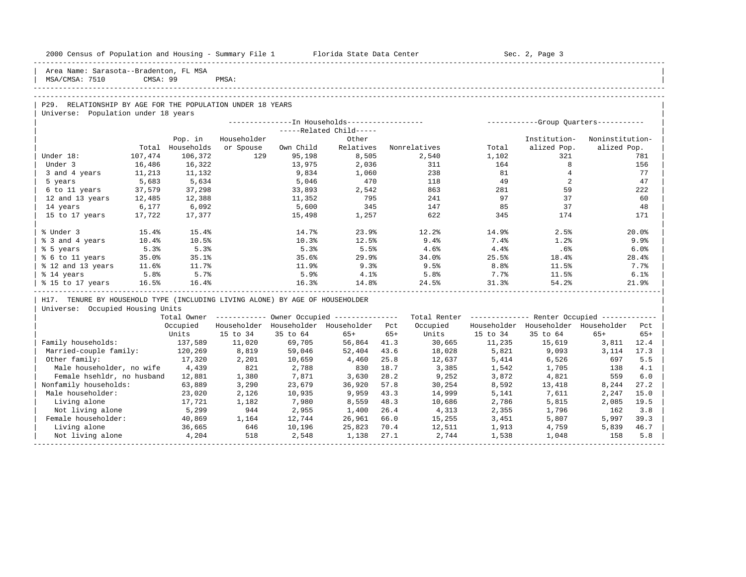| 2000 Census of Population and Housing - Summary File 1 | Florida State Data Center | Sec. 2, Page 3 |  |
|--------------------------------------------------------|---------------------------|----------------|--|
| Area Name: Sarasota--Bradenton, FL MSA                 |                           |                |  |

## -----------------------------------------------------------------------------------------------------------------------------------------------------

| P29. RELATIONSHIP BY AGE FOR THE POPULATION UNDER 18 YEARS | Universe: Population under 18 years

|                   |          |            | --------------In Households----------------- |           | -----------Group Quarters----------- |              |       |              |                 |
|-------------------|----------|------------|----------------------------------------------|-----------|--------------------------------------|--------------|-------|--------------|-----------------|
|                   |          |            |                                              |           | $---Related Child---$                |              |       |              |                 |
|                   |          | Pop. in    | Householder                                  |           | Other                                |              |       | Institution- | Noninstitution- |
|                   | Total    | Households | or Spouse                                    | Own Child | Relatives                            | Nonrelatives | Total | alized Pop.  | alized Pop.     |
| Under 18:         | 107,474  | 106,372    | 129                                          | 95,198    | 8,505                                | 2,540        | 1,102 | 321          | 781             |
| Under 3           | 16,486   | 16,322     |                                              | 13,975    | 2,036                                | 311          | 164   |              | 156             |
| 3 and 4 years     | 11,213   | 11,132     |                                              | 9,834     | 1,060                                | 238          | 81    |              | 77              |
| 5 years           | 5,683    | 5,634      |                                              | 5,046     | 470                                  | 118          | 49    |              | 47              |
| 6 to 11 years     | 37,579   | 37,298     |                                              | 33,893    | 2,542                                | 863          | 281   | 59           | 222             |
| 12 and 13 years   | 12,485   | 12,388     |                                              | 11,352    | 795                                  | 241          | 97    | 37           | 60              |
| 14 years          | 6,177    | 6,092      |                                              | 5,600     | 345                                  | 147          | 85    | 37           | 48              |
| 15 to 17 years    | 17,722   | 17,377     |                                              | 15,498    | 1,257                                | 622          | 345   | 174          | 171             |
| % Under 3         | 15.4%    | 15.4%      |                                              | 14.7%     | 23.9%                                | 12.2%        | 14.9% | 2.5%         | 20.0%           |
| % 3 and 4 years   | $10.4\%$ | 10.5%      |                                              | 10.3%     | 12.5%                                | 9.4%         | 7.4%  | 1.2%         | 9.9%            |
| % 5 years         | 5.3%     | 5.3%       |                                              | 5.3%      | 5.5%                                 | 4.6%         | 4.4%  | .6%          | 6.0%            |
| % 6 to 11 years   | 35.0%    | 35.1%      |                                              | 35.6%     | 29.9                                 | 34.0%        | 25.5% | 18.4%        | 28.4%           |
| % 12 and 13 years | 11.6%    | 11.7%      |                                              | 11.9%     | 9.3%                                 | 9.5%         | 8.8%  | 11.5%        | 7.7%            |
| % 14 years        | 5.8%     | 5.7%       |                                              | 5.9%      | 4.1%                                 | 5.8%         | 7.7%  | 11.5%        | 6.1%            |
| % 15 to 17 years  | 16.5%    | 16.4%      |                                              | 16.3%     | 14.8%                                | 24.5%        | 31.3% | 54.2%        | 21.9%           |

| H17. TENURE BY HOUSEHOLD TYPE (INCLUDING LIVING ALONE) BY AGE OF HOUSEHOLDER

| Universe: Occupied Housing Units |

|                            | Total Owner |             |             | Owner Occupied --------------- |       | Total Renter |             | Renter Occupied -- |             |       |  |
|----------------------------|-------------|-------------|-------------|--------------------------------|-------|--------------|-------------|--------------------|-------------|-------|--|
|                            | Occupied    | Householder | Householder | Householder                    | Pct   | Occupied     | Householder | Householder        | Householder | Pct   |  |
|                            | Units       | 15 to 34    | 35 to 64    | $65+$                          | $65+$ | Units        | 15 to 34    | 35 to 64           | $65+$       | $65+$ |  |
| Family households:         | 137,589     | 11,020      | 69,705      | 56,864                         | 41.3  | 30,665       | 11,235      | 15,619             | 3,811       | 12.4  |  |
| Married-couple family:     | 120,269     | 8,819       | 59,046      | 52,404                         | 43.6  | 18,028       | 5,821       | 9,093              | 3,114       | 17.3  |  |
| Other family:              | 17,320      | 2,201       | 10,659      | 4,460                          | 25.8  | 12,637       | 5,414       | 6,526              | 697         | 5.5   |  |
| Male householder, no wife  | 4,439       | 821         | 2,788       | 830                            | 18.7  | 3,385        | 1,542       | 1,705              | 138         | 4.1   |  |
| Female hsehldr, no husband | 12,881      | 1,380       | 7,871       | 3,630                          | 28.2  | 9,252        | 3,872       | 4,821              | 559         | 6.0   |  |
| Nonfamily households:      | 63,889      | 3,290       | 23,679      | 36,920                         | 57.8  | 30,254       | 8,592       | 13,418             | 8,244       | 27.2  |  |
| Male householder:          | 23,020      | 2,126       | 10,935      | 9,959                          | 43.3  | 14,999       | 5,141       | 7,611              | 2,247       | 15.0  |  |
| Living alone               | 17,721      | 1,182       | 7,980       | 8,559                          | 48.3  | 10,686       | 2,786       | 5,815              | 2,085       | 19.5  |  |
| Not living alone           | 5,299       | 944         | 2,955       | 1,400                          | 26.4  | 4,313        | 2,355       | 1,796              | 162         | 3.8   |  |
| Female householder:        | 40,869      | 1,164       | 12,744      | 26,961                         | 66.0  | 15,255       | 3,451       | 5,807              | 5,997       | 39.3  |  |
| Living alone               | 36,665      | 646         | 10,196      | 25,823                         | 70.4  | 12,511       | 1,913       | 4,759              | 5,839       | 46.7  |  |
| Not living alone           | 4,204       | 518         | 2,548       | 1,138                          | 27.1  | 2,744        | 1,538       | 1,048              | 158         | 5.8   |  |
|                            |             |             |             |                                |       |              |             |                    |             |       |  |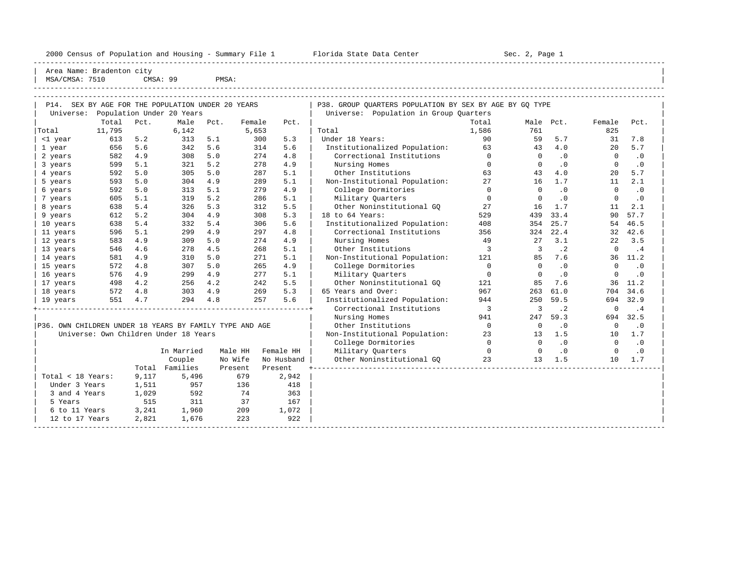2000 Census of Population and Housing - Summary File 1 Florida State Data Center Sec. 2, Page 1 ----------------------------------------------------------------------------------------------------------------------------------------------------- Area Name: Bradenton city MSA/CMSA: 7510 CMSA: 99 PMSA: ----------------------------------------------------------------------------------------------------------------------------------------------------- ----------------------------------------------------------------------------------------------------------------------------------------------------- | P14. SEX BY AGE FOR THE POPULATION UNDER 20 YEARS | P38. GROUP QUARTERS POPULATION BY SEX BY AGE BY GQ TYPE | Universe: Population Under 20 Years | Universe: Population in Group Quarters | Total Pct. Male Pct. Female Pct. | Total Male Pct. Female Pct. | |Total 11,795 6,142 5,653 | Total 11,586 761 825 | | <1 year 613 5.2 313 5.1 300 5.3 | Under 18 Years: 90 59 5.7 31 7.8 | | 1 year 656 5.6 342 5.6 314 5.6 | Institutionalized Population: 63 43 4.0 20 5.7 | | 2 years 582 4.9 308 5.0 274 4.8 | Correctional Institutions 0 0 .0 0 .0 | | 3 years 599 5.1 321 5.2 278 4.9 | Nursing Homes 0 0 .0 0 .0 | | 4 years 592 5.0 305 5.0 287 5.1 | Other Institutions 63 43 4.0 20 5.7 | | 5 years 593 5.0 304 4.9 289 5.1 | Non-Institutional Population: 27 16 1.7 11 2.1 | | 6 years 592 5.0 313 5.1 279 4.9 | College Dormitories 0 0 .0 0 .0 | | 7 years 605 5.1 319 5.2 286 5.1 | Military Quarters 0 0 .0 0 .0 | | 8 years 638 5.4 326 5.3 312 5.5 | Other Noninstitutional GQ 27 16 1.7 11 2.1 | | 9 years 612 5.2 304 4.9 308 5.3 | 18 to 64 Years: 529 439 33.4 90 57.7 | | 10 years 638 5.4 332 5.4 306 5.6 | Institutionalized Population: 408 354 25.7 54 46.5 | | 11 years 596 5.1 299 4.9 297 4.8 | Correctional Institutions 356 324 22.4 32 42.6 | | 12 years 583 4.9 309 5.0 274 4.9 | Nursing Homes 49 27 3.1 22 3.5 | | 13 years 546 4.6 278 4.5 268 5.1 | Other Institutions 3 3 .2 0 .4 | | 14 years 581 4.9 310 5.0 271 5.1 | Non-Institutional Population: 121 85 7.6 36 11.2 | | 15 years 572 4.8 307 5.0 265 4.9 | College Dormitories 0 0 .0 0 .0 | | 16 years 576 4.9 299 4.9 277 5.1 | Military Quarters 0 0 .0 0 .0 | | 17 years 498 4.2 256 4.2 242 5.5 | Other Noninstitutional GQ 121 85 7.6 36 11.2 | | 18 years 572 4.8 303 4.9 269 5.3 | 65 Years and Over: 967 263 61.0 704 34.6 | | 19 years 551 4.7 294 4.8 257 5.6 | Institutionalized Population: 944 250 59.5 694 32.9 | +----------------------------------------------------------------+ Correctional Institutions 3 3 .2 0 .4 | | | Nursing Homes 941 247 59.3 694 32.5 |

 $\text{Collect}$  Dormitories 0 0 .0

|P36. OWN CHILDREN UNDER 18 YEARS BY FAMILY TYPE AND AGE | Other Institutions 0 0 .0 0 .0 | | Universe: Own Children Under 18 Years | Non-Institutional Population: 23 13 1.5 10 1.7 |

|                   |       | In Married | Male HH | Female HH  | Military Ouarters         |    |    |       |    | $\cdot$ 0 |  |
|-------------------|-------|------------|---------|------------|---------------------------|----|----|-------|----|-----------|--|
|                   |       | Couple     | No Wife | No Husband | Other Noninstitutional GO | 23 | 13 | - 1.5 | 10 | 1.7       |  |
|                   | Total | Families   | Present | Present    |                           |    |    |       |    |           |  |
| Total < 18 Years: | 9,117 | 5,496      | 679     | 2,942      |                           |    |    |       |    |           |  |
| Under 3 Years     | 1,511 | 957        | 136     | 418        |                           |    |    |       |    |           |  |
| 3 and 4 Years     | 1,029 | 592        | 74      | 363        |                           |    |    |       |    |           |  |
| 5 Years           | 515   | 311        | 37      | 167        |                           |    |    |       |    |           |  |
| 6 to 11 Years     | 3,241 | 1,960      | 209     | 1,072      |                           |    |    |       |    |           |  |
| 12 to 17 Years    | 2,821 | 1,676      | 223     | 922        |                           |    |    |       |    |           |  |
|                   |       |            |         |            |                           |    |    |       |    |           |  |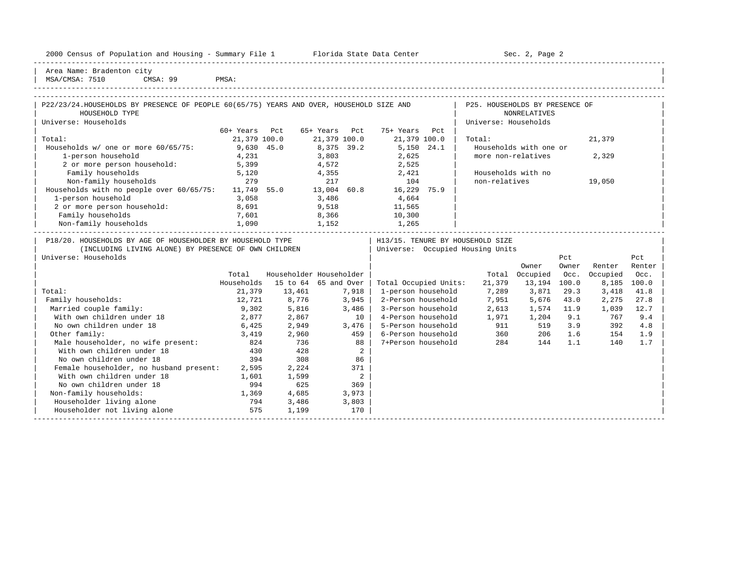| Housing<br>2000<br>and<br>* Population.<br>ensus!<br>2Y1<br>summa<br>∸∸ | Center<br>lorida<br>- Data<br>31.71.7 | Page<br>¬≏′<br>しこし<br>$\sim$ |  |
|-------------------------------------------------------------------------|---------------------------------------|------------------------------|--|
|                                                                         |                                       |                              |  |

2000 Florida State Data Center - Sec. 2, Page 2

| Area Name: Bradenton city | | MSA/CMSA: 7510 CMSA: 99 PMSA:

| P22/23/24.HOUSEHOLDS BY PRESENCE OF PEOPLE 60(65/75) YEARS AND OVER, HOUSEHOLD SIZE AND |                                                      |                         |                     |                            |                                  | P25. HOUSEHOLDS BY PRESENCE OF     |                        |       |             |        |
|-----------------------------------------------------------------------------------------|------------------------------------------------------|-------------------------|---------------------|----------------------------|----------------------------------|------------------------------------|------------------------|-------|-------------|--------|
| HOUSEHOLD TYPE                                                                          |                                                      |                         |                     |                            |                                  |                                    | <b>NONRELATIVES</b>    |       |             |        |
| Universe: Households                                                                    |                                                      |                         |                     |                            |                                  | Universe: Households               |                        |       |             |        |
|                                                                                         | 60+ Years Pct                                        |                         | 65+ Years Pct       |                            | 75+ Years Pct                    |                                    |                        |       |             |        |
| Total:                                                                                  | 21,379 100.0                                         |                         | 21,379 100.0        |                            | 21,379 100.0                     | Total:                             |                        |       | 21,379      |        |
| Households w/ one or more 60/65/75:                                                     | 9,630 45.0<br>4,231                                  |                         | 8,375 39.2<br>3,803 |                            | 5,150 24.1                       |                                    | Households with one or |       |             |        |
| 1-person household                                                                      |                                                      |                         |                     |                            | 2,625                            | more non-relatives                 |                        |       | 2,329       |        |
| 2 or more person household: 5,399                                                       |                                                      |                         |                     |                            | $4,572$ 2,525                    |                                    |                        |       |             |        |
| Family households                                                                       | 5,120                                                |                         |                     |                            | 4,355 2,421                      | Households with no                 |                        |       |             |        |
| 279<br>Non-family households                                                            |                                                      |                         | 217                 |                            | 104                              | non-relatives                      |                        |       | 19,050      |        |
| Households with no people over 60/65/75: 11,749 55.0 13,004 60.8 16,229 75.9            |                                                      |                         |                     |                            |                                  |                                    |                        |       |             |        |
| 1-person household                                                                      | 3,058                                                |                         | 3,486               |                            | 4,664                            |                                    |                        |       |             |        |
| 2 or more person household:                                                             | 8,691                                                |                         | 9,518               |                            | 11,565                           |                                    |                        |       |             |        |
| Family households                                                                       | 7,601                                                | $8,366$<br>$1,152$      |                     |                            | 10,300<br>1,265                  |                                    |                        |       |             |        |
| Non-family households                                                                   | $\begin{array}{c} \text{7,001} \\ 1,090 \end{array}$ |                         |                     |                            |                                  |                                    |                        |       |             |        |
| P18/20. HOUSEHOLDS BY AGE OF HOUSEHOLDER BY HOUSEHOLD TYPE                              |                                                      |                         |                     |                            | H13/15. TENURE BY HOUSEHOLD SIZE |                                    |                        |       |             |        |
| (INCLUDING LIVING ALONE) BY PRESENCE OF OWN CHILDREN                                    |                                                      |                         |                     |                            | Universe: Occupied Housing Units |                                    |                        |       |             |        |
| Universe: Households                                                                    |                                                      |                         |                     |                            |                                  |                                    |                        | Pct   |             | Pct    |
|                                                                                         |                                                      |                         |                     |                            |                                  |                                    | Owner                  | Owner | Renter      | Renter |
|                                                                                         | Total                                                | Householder Householder |                     |                            |                                  |                                    | Total Occupied         | Occ.  | Occupied    | Occ.   |
|                                                                                         | Households                                           | 15 to 64 65 and Over    |                     |                            | Total Occupied Units:            |                                    | 21,379  13,194  100.0  |       | 8,185 100.0 |        |
| Total:                                                                                  | 21,379                                               | 13,461                  | 7,918               |                            | 1-person household               | 7,289 3,871                        |                        | 29.3  | 3,418       | 41.8   |
| Family households:                                                                      | 12,721                                               | 8,776                   | 3,945               |                            |                                  | 2-Person household 7,951 5,676     |                        | 43.0  | 2,275       | 27.8   |
| Married couple family:                                                                  | 9,302                                                | 5,816                   | 3,486               |                            | 3-Person household               |                                    | 2,613 1,574 11.9       |       | 1,039       | 12.7   |
| With own children under 18                                                              | 2,877                                                | 2,867                   |                     | 10                         |                                  | 4-Person household 1,971 1,204 9.1 |                        |       | 767         | 9.4    |
| No own children under 18                                                                | 6,425                                                | 2,949                   | 3,476               |                            | 5-Person household               |                                    | 911 519                | 3.9   | 392         | 4.8    |
| Other family:                                                                           | 3,419                                                | 2,960                   |                     | 459                        | 6-Person household               |                                    | 360 206 1.6            |       | 154         | 1.9    |
| Male householder, no wife present:                                                      | 824                                                  | 736                     |                     | 88                         | 7+Person household               | 284                                | 144                    | 1.1   | 140         | 1.7    |
| With own children under 18                                                              | 430                                                  | 428                     |                     | $\overline{2}$             |                                  |                                    |                        |       |             |        |
| No own children under 18                                                                | 394                                                  | 308                     |                     | 86                         |                                  |                                    |                        |       |             |        |
| Female householder, no husband present: 2,595                                           |                                                      | 2,224                   |                     | 371                        |                                  |                                    |                        |       |             |        |
| With own children under 18                                                              | 1,601                                                | 1,599                   |                     | $\overline{\phantom{0}}$ 2 |                                  |                                    |                        |       |             |        |
| No own children under 18                                                                | 994                                                  | 625                     |                     | 369                        |                                  |                                    |                        |       |             |        |
| Non-family households:                                                                  | 1,369                                                | 4,685                   | 3,973               |                            |                                  |                                    |                        |       |             |        |
| Householder living alone                                                                | 794                                                  | 3,486                   |                     | 3,803                      |                                  |                                    |                        |       |             |        |
| Householder not living alone                                                            | 575                                                  | 1,199                   |                     | 170                        |                                  |                                    |                        |       |             |        |
|                                                                                         |                                                      |                         |                     |                            |                                  |                                    |                        |       |             |        |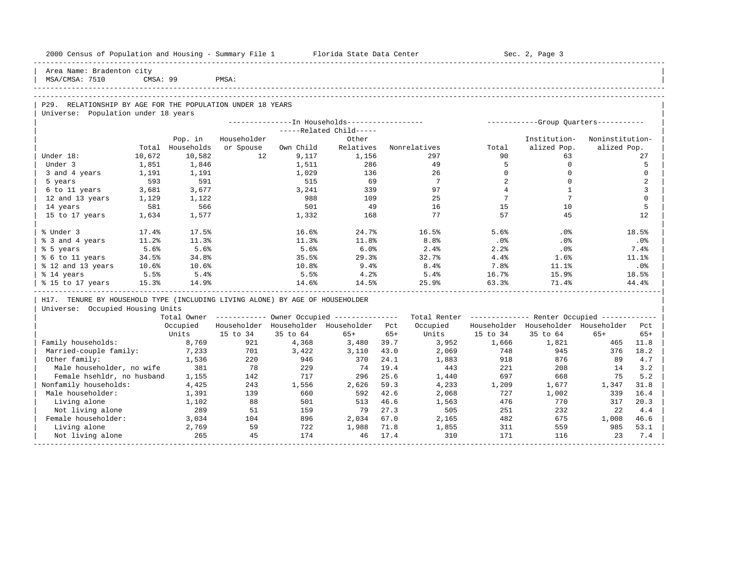| 2000 Census of Population and Housing - Summary File 1 Florida State Data Center |          |            |             |           |                                                        |       |                                                         |                 | Sec. 2, Page 3                        |                 |                |
|----------------------------------------------------------------------------------|----------|------------|-------------|-----------|--------------------------------------------------------|-------|---------------------------------------------------------|-----------------|---------------------------------------|-----------------|----------------|
| Area Name: Bradenton city<br>MSA/CMSA: 7510                                      | CMSA: 99 |            | PMSA:       |           |                                                        |       |                                                         |                 |                                       |                 |                |
|                                                                                  |          |            |             |           |                                                        |       |                                                         |                 |                                       |                 |                |
| P29. RELATIONSHIP BY AGE FOR THE POPULATION UNDER 18 YEARS                       |          |            |             |           |                                                        |       |                                                         |                 |                                       |                 |                |
| Universe: Population under 18 years                                              |          |            |             |           |                                                        |       |                                                         |                 |                                       |                 |                |
|                                                                                  |          |            |             |           | ---------------In Households-----------------          |       |                                                         |                 | ------------Group Ouarters----------- |                 |                |
|                                                                                  |          |            |             |           | -----Related Child-----                                |       |                                                         |                 |                                       |                 |                |
|                                                                                  |          | Pop. in    | Householder |           | Other                                                  |       |                                                         |                 | Institution-                          | Noninstitution- |                |
|                                                                                  | Total    | Households | or Spouse   | Own Child | Relatives                                              |       | Nonrelatives                                            | Total           | alized Pop.                           | alized Pop.     |                |
| Under 18:                                                                        | 10,672   | 10,582     | 12          | 9,117     | 1,156                                                  |       | 297                                                     | 90              | 63                                    |                 | 27             |
| Under 3                                                                          | 1,851    | 1,846      |             | 1,511     | 286                                                    |       | 49                                                      | $5^{\circ}$     | $\Omega$                              |                 | 5              |
| 3 and 4 years                                                                    | 1,191    | 1,191      |             | 1,029     | 136                                                    |       | 26                                                      | $\circ$         | $\mathbf 0$                           |                 | $\mathbf 0$    |
| 5 years                                                                          | 593      | 591        |             | 515       | 69                                                     |       | $\overline{7}$                                          | $\overline{a}$  | $\mathbf 0$                           |                 | $\overline{a}$ |
| 6 to 11 years                                                                    | 3,681    | 3,677      |             | 3,241     | 339                                                    |       | 97                                                      | $\overline{4}$  | $\mathbf{1}$                          |                 | 3              |
| 12 and 13 years                                                                  | 1,129    | 1,122      |             | 988       | 109                                                    |       | 25                                                      | $7\phantom{.0}$ | $7\phantom{.0}$                       |                 | $\Omega$       |
| 14 years                                                                         | 581      | 566        |             | 501       | 49                                                     |       | 16                                                      | 15              | 10                                    |                 | 5              |
| 15 to 17 years                                                                   | 1,634    | 1,577      |             | 1,332     | 168                                                    |       | 77                                                      | 57              | 45                                    |                 | 12.            |
| % Under 3                                                                        | 17.4%    | 17.5%      |             | 16.6%     | 24.7%                                                  |       | 16.5%                                                   | 5.6%            | $.0\%$                                |                 | 18.5%          |
| % 3 and 4 years                                                                  | 11.2%    | 11.3%      |             | 11.3%     | 11.8%                                                  |       | 8.8%                                                    | $.0\%$          | $.0\%$                                |                 | $.0\%$         |
| % 5 years                                                                        | 5.6%     | 5.6%       |             | 5.6%      | 6.0%                                                   |       | 2.4%                                                    | 2.2%            | $.0\%$                                |                 | 7.4%           |
| % 6 to 11 years                                                                  | 34.5%    | 34.8%      |             | 35.5%     | 29.3%                                                  |       | 32.7%                                                   | 4.4%            | 1.6%                                  |                 | 11.1%          |
| % 12 and 13 years                                                                | 10.6%    | 10.6%      |             | 10.8%     | 9.4%                                                   |       | 8.4%                                                    | 7.8%            | 11.1%                                 |                 | .0%            |
| % 14 years                                                                       | 5.5%     | 5.4%       |             | 5.5%      | 4.2%                                                   |       | 5.4%                                                    | 16.7%           | 15.9%                                 |                 | 18.5%          |
| % 15 to 17 years                                                                 | 15.3%    | 14.9%      |             | 14.6%     | 14.5%                                                  |       | 25.9%                                                   | 63.3%           | 71.4%                                 |                 | 44.4%          |
| H17. TENURE BY HOUSEHOLD TYPE (INCLUDING LIVING ALONE) BY AGE OF HOUSEHOLDER     |          |            |             |           |                                                        |       |                                                         |                 |                                       |                 |                |
| Universe: Occupied Housing Units                                                 |          |            |             |           |                                                        |       |                                                         |                 |                                       |                 |                |
|                                                                                  |          |            |             |           | Total Owner ------------ Owner Occupied -------------- |       | Total Renter ------------- Renter Occupied ------------ |                 |                                       |                 |                |
|                                                                                  |          | Occupied   |             |           | Householder Householder Householder Pct                |       | Occupied                                                |                 | Householder Householder Householder   |                 | Pct            |
|                                                                                  |          | Units      | 15 to 34    | 35 to 64  | $65+$                                                  | $65+$ | Units                                                   | 15 to 34        | 35 to 64                              | $65+$           | $65+$          |
| Family households:                                                               |          | 8,769      | 921         | 4,368     | 3,480                                                  | 39.7  | 3,952                                                   | 1,666           | 1,821                                 | 465             | 11.8           |
| Married-couple family:                                                           |          | 7,233      | 701         | 3,422     | 3,110                                                  | 43.0  | 2,069                                                   | 748             | 945                                   | 376             | 18.2           |
| Other family:                                                                    |          | 1,536      | 220         | 946       | 370                                                    | 24.1  | 1,883                                                   | 918             | 876                                   | 89              | 4.7            |
| Male householder, no wife                                                        |          | 381        | 78          | 229       | 74                                                     | 19.4  | 443                                                     | 221             | 208                                   | 14              | 3.2            |
| Female hsehldr, no husband                                                       |          | 1,155      | 142         | 717       | 296                                                    | 25.6  | 1,440                                                   | 697             | 668                                   | 75              | 5.2            |
| Nonfamily households:                                                            |          | 4,425      | 243         | 1,556     | 2,626                                                  | 59.3  | 4,233                                                   | 1,209           | 1,677                                 | 1,347           | 31.8           |
| Male householder:                                                                |          | 1,391      | 139         | 660       | 592                                                    | 42.6  | 2,068                                                   | 727             | 1,002                                 | 339             | 16.4           |
| Living alone                                                                     |          | 1,102      | 88          | 501       | 513                                                    | 46.6  | 1,563                                                   | 476             | 770                                   | 317             | 20.3           |
| Not living alone                                                                 |          | 289        | 51          | 159       | 79                                                     | 27.3  | 505                                                     | 251             | 232                                   | 22              | 4.4            |
| Female householder:                                                              |          | 3,034      | 104         | 896       | 2,034                                                  | 67.0  | 2,165                                                   | 482             | 675                                   | 1,008           | 46.6           |
| Living alone                                                                     |          | 2,769      | 59          | 722       | 1,988                                                  | 71.8  | 1,855                                                   | 311             | 559                                   | 985             | 53.1           |
| Not living alone                                                                 |          | 265        | 45          | 174       | 46                                                     | 17.4  | 310                                                     | 171             | 116                                   | 23              | 7.4            |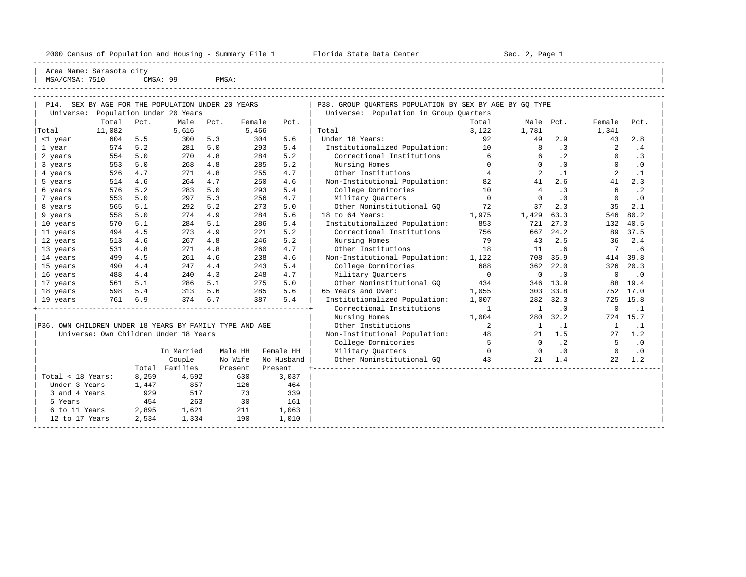2000 Census of Population and Housing - Summary File 1 Telorida State Data Center Sec. 2, Page 1 North Sec. 2, Page

----------------------------------------------------------------------------------------------------------------------------------------------------- Area Name: Sarasota city | MSA/CMSA: 7510 CMSA: 99 PMSA:

|                                                         |        |       | P14. SEX BY AGE FOR THE POPULATION UNDER 20 YEARS |      |         |         |            | P38. GROUP OUARTERS POPULATION BY SEX BY AGE BY GO TYPE |                |                |           |                 |           |
|---------------------------------------------------------|--------|-------|---------------------------------------------------|------|---------|---------|------------|---------------------------------------------------------|----------------|----------------|-----------|-----------------|-----------|
|                                                         |        |       | Universe: Population Under 20 Years               |      |         |         |            | Universe: Population in Group Quarters                  |                |                |           |                 |           |
|                                                         | Total  | Pct.  | Male                                              | Pct. | Female  |         | Pct.       |                                                         | Total          | Male Pct.      |           | Female          | Pct.      |
| Total                                                   | 11,082 |       | 5,616                                             |      | 5,466   |         |            | Total                                                   | 3.122          | 1,781          |           | 1,341           |           |
| <1 year                                                 | 604    | 5.5   | 300                                               | 5.3  |         | 304     | 5.6        | Under 18 Years:                                         | 92             | 49             | 2.9       | 43              | 2.8       |
| 1 year                                                  | 574    | 5.2   | 281                                               | 5.0  |         | 293     | 5.4        | Institutionalized Population:                           | 10             | 8              | $\cdot$ 3 | $\overline{2}$  | .4        |
| 2 years                                                 | 554    | 5.0   | 270                                               | 4.8  |         | 284     | 5.2        | Correctional Institutions                               | 6              | 6              | $\cdot$ 2 | $\mathbf{0}$    | $\cdot$ 3 |
| 3 years                                                 | 553    | 5.0   | 268                                               | 4.8  |         | 285     | 5.2        | Nursing Homes                                           | $\Omega$       | $\Omega$       | .0        | $\Omega$        | $\cdot$ 0 |
| 4 years                                                 | 526    | 4.7   | 271                                               | 4.8  |         | 255     | 4.7        | Other Institutions                                      | $\overline{4}$ | 2              | $\cdot$ 1 | 2               | $\cdot$ 1 |
| 5 years                                                 | 514    | 4.6   | 264                                               | 4.7  |         | 250     | 4.6        | Non-Institutional Population:                           | 82             | 41             | 2.6       | 41              | 2.3       |
| 6 years                                                 | 576    | 5.2   | 283                                               | 5.0  |         | 293     | 5.4        | College Dormitories                                     | 10             | $\overline{4}$ | .3        | 6               | $\cdot$ 2 |
| 7 years                                                 | 553    | 5.0   | 297                                               | 5.3  |         | 256     | 4.7        | Military Quarters                                       | $\overline{0}$ | $\circ$        | $\cdot$ 0 | $\overline{0}$  | $\cdot$ 0 |
| 8 years                                                 | 565    | 5.1   | 292                                               | 5.2  |         | 273     | 5.0        | Other Noninstitutional GO                               | 72             | 37             | 2.3       | 35              | 2.1       |
| 9 years                                                 | 558    | 5.0   | 274                                               | 4.9  |         | 284     | 5.6        | 18 to 64 Years:                                         | 1,975          | 1,429          | 63.3      | 546             | 80.2      |
| 10 years                                                | 570    | 5.1   | 284                                               | 5.1  |         | 286     | 5.4        | Institutionalized Population:                           | 853            | 721            | 27.3      | 132             | 40.5      |
| 11 years                                                | 494    | 4.5   | 273                                               | 4.9  |         | 221     | 5.2        | Correctional Institutions                               | 756            |                | 667 24.2  | 89              | 37.5      |
| 12 years                                                | 513    | 4.6   | 267                                               | 4.8  |         | 246     | 5.2        | Nursing Homes                                           | 79             | 43             | 2.5       | 36              | 2.4       |
| 13 years                                                | 531    | 4.8   | 271                                               | 4.8  |         | 260     | 4.7        | Other Institutions                                      | 18             | 11             | .6        | $7\overline{ }$ | .6        |
| 14 years                                                | 499    | 4.5   | 261                                               | 4.6  |         | 238     | 4.6        | Non-Institutional Population:                           | 1,122          | 708            | 35.9      | 414             | 39.8      |
| 15 years                                                | 490    | 4.4   | 247                                               | 4.4  |         | 243     | 5.4        | College Dormitories                                     | 688            | 362            | 22.0      | 326             | 20.3      |
| 16 years                                                | 488    | 4.4   | 240                                               | 4.3  |         | 248     | 4.7        | Military Quarters                                       | $\overline{0}$ | $\mathbf 0$    | $\cdot$ 0 | $\mathbf{0}$    | $\cdot$ 0 |
| 17 years                                                | 561    | 5.1   | 286                                               | 5.1  |         | 275     | 5.0        | Other Noninstitutional GO                               | 434            | 346            | 13.9      | 88              | 19.4      |
| 18 years                                                | 598    | 5.4   | 313                                               | 5.6  |         | 285     | 5.6        | 65 Years and Over:                                      | 1,055          |                | 303 33.8  | 752             | 17.0      |
| 19 years                                                | 761    | 6.9   | 374                                               | 6.7  |         | 387     | 5.4        | Institutionalized Population:                           | 1,007          |                | 282 32.3  | 725             | 15.8      |
|                                                         |        |       |                                                   |      |         |         |            | Correctional Institutions                               | $\mathbf{1}$   | $\mathbf{1}$   | $\cdot$ 0 | $\overline{0}$  | $\cdot$ 1 |
|                                                         |        |       |                                                   |      |         |         |            | Nursing Homes                                           | 1,004          |                | 280 32.2  |                 | 724 15.7  |
| P36. OWN CHILDREN UNDER 18 YEARS BY FAMILY TYPE AND AGE |        |       |                                                   |      |         |         |            | Other Institutions                                      | 2              | $\mathbf{1}$   | $\cdot$ 1 | <sup>1</sup>    | $\cdot$ 1 |
|                                                         |        |       | Universe: Own Children Under 18 Years             |      |         |         |            | Non-Institutional Population:                           | 48             | 21             | 1.5       | 27              | 1.2       |
|                                                         |        |       |                                                   |      |         |         |            | College Dormitories                                     | $5^{\circ}$    | $\Omega$       | $\cdot$ 2 | $5^{\circ}$     | $\cdot$ 0 |
|                                                         |        |       | In Married                                        |      | Male HH |         | Female HH  | Military Ouarters                                       | $\bigcap$      | $\Omega$       | $\cdot$ 0 | $\Omega$        | $\cdot$ 0 |
|                                                         |        |       | Couple                                            |      | No Wife |         | No Husband | Other Noninstitutional GQ                               | 43             | 21             | 1.4       | 22              | 1.2       |
|                                                         |        |       | Total Families                                    |      | Present | Present |            |                                                         |                |                |           |                 |           |
| Total < 18 Years:                                       |        | 8,259 | 4,592                                             |      | 630     |         | 3,037      |                                                         |                |                |           |                 |           |
| Under 3 Years                                           |        | 1,447 | 857                                               |      | 126     |         | 464        |                                                         |                |                |           |                 |           |
| 3 and 4 Years                                           |        | 929   | 517                                               |      | 73      |         | 339        |                                                         |                |                |           |                 |           |
| 5 Years                                                 |        | 454   | 263                                               |      | 30      |         | 161        |                                                         |                |                |           |                 |           |
| 6 to 11 Years                                           |        | 2,895 | 1,621                                             |      | 211     |         | 1,063      |                                                         |                |                |           |                 |           |
| 12 to 17 Years                                          |        | 2,534 | 1,334                                             |      | 190     |         | 1,010      |                                                         |                |                |           |                 |           |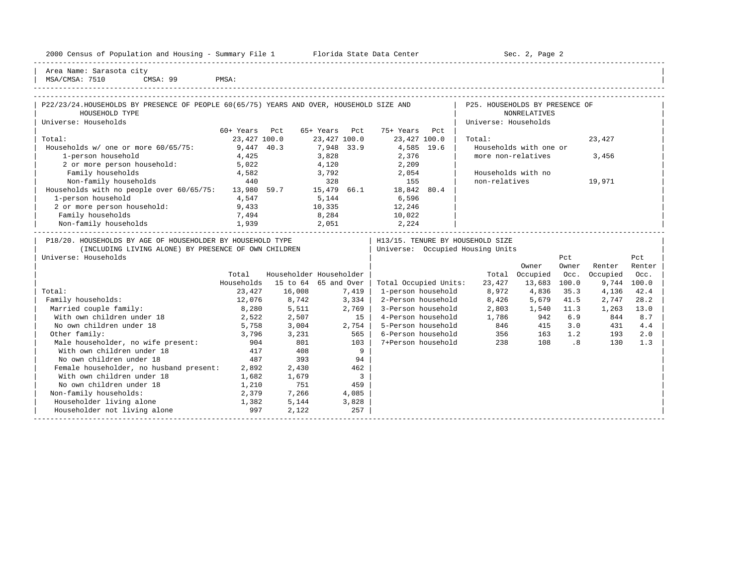|  |  |  | 2000 Census of Population and Housing - Summary File 1 |  |  |  |  |  |  |
|--|--|--|--------------------------------------------------------|--|--|--|--|--|--|
|--|--|--|--------------------------------------------------------|--|--|--|--|--|--|

Plorida State Data Center - Sec. 2, Page 2

-----------------------------------------------------------------------------------------------------------------------------------------------------

| Area Name: Sarasota city | | MSA/CMSA: 7510 CMSA: 99 PMSA: |

| P22/23/24. HOUSEHOLDS BY PRESENCE OF PEOPLE 60(65/75) YEARS AND OVER, HOUSEHOLD SIZE AND |              |                                                                                                                                                                                                                                                                                                                                                                                      |               |              |      | P25. HOUSEHOLDS BY PRESENCE OF   |                                                                                                                                                                                                                                                                                                                                                                                      |       |                |                |  |
|------------------------------------------------------------------------------------------|--------------|--------------------------------------------------------------------------------------------------------------------------------------------------------------------------------------------------------------------------------------------------------------------------------------------------------------------------------------------------------------------------------------|---------------|--------------|------|----------------------------------|--------------------------------------------------------------------------------------------------------------------------------------------------------------------------------------------------------------------------------------------------------------------------------------------------------------------------------------------------------------------------------------|-------|----------------|----------------|--|
| HOUSEHOLD TYPE                                                                           |              |                                                                                                                                                                                                                                                                                                                                                                                      |               |              |      |                                  | NONRELATIVES                                                                                                                                                                                                                                                                                                                                                                         |       |                |                |  |
| Universe: Households                                                                     |              |                                                                                                                                                                                                                                                                                                                                                                                      |               |              |      | Universe: Households             |                                                                                                                                                                                                                                                                                                                                                                                      |       |                |                |  |
|                                                                                          | 60+ Years    | Pct                                                                                                                                                                                                                                                                                                                                                                                  | 65+ Years Pct | 75+ Years    | Pct. |                                  |                                                                                                                                                                                                                                                                                                                                                                                      |       |                |                |  |
| Total:                                                                                   | 23,427 100.0 |                                                                                                                                                                                                                                                                                                                                                                                      | 23,427 100.0  | 23,427 100.0 |      | Total:                           |                                                                                                                                                                                                                                                                                                                                                                                      |       | 23,427         |                |  |
| Households $w/$ one or more $60/65/75$ :                                                 |              | 9,447 40.3                                                                                                                                                                                                                                                                                                                                                                           | 7,948 33.9    | 4,585 19.6   |      |                                  | Households with one or                                                                                                                                                                                                                                                                                                                                                               |       |                |                |  |
| 1-person household                                                                       | 4,425        |                                                                                                                                                                                                                                                                                                                                                                                      | 3,828         | 2,376        |      | more non-relatives               |                                                                                                                                                                                                                                                                                                                                                                                      |       | 3,456          |                |  |
| 2 or more person household:                                                              | 5,022        |                                                                                                                                                                                                                                                                                                                                                                                      | 4,120         | 2,209        |      |                                  |                                                                                                                                                                                                                                                                                                                                                                                      |       |                |                |  |
| Family households                                                                        | 4,582        |                                                                                                                                                                                                                                                                                                                                                                                      | 3,792         | 2,054        |      | Households with no               |                                                                                                                                                                                                                                                                                                                                                                                      |       |                |                |  |
| Non-family households                                                                    | 440          |                                                                                                                                                                                                                                                                                                                                                                                      | 328           | 155          |      | non-relatives                    |                                                                                                                                                                                                                                                                                                                                                                                      |       | 19,971         |                |  |
| Households with no people over 60/65/75:                                                 | 13,980 59.7  |                                                                                                                                                                                                                                                                                                                                                                                      | 15,479 66.1   | 18,842 80.4  |      |                                  |                                                                                                                                                                                                                                                                                                                                                                                      |       |                |                |  |
| 1-person household                                                                       | 4,547        |                                                                                                                                                                                                                                                                                                                                                                                      | 5,144         | 6,596        |      |                                  |                                                                                                                                                                                                                                                                                                                                                                                      |       |                |                |  |
| 2 or more person household:                                                              | 9,433        |                                                                                                                                                                                                                                                                                                                                                                                      | 10,335        | 12,246       |      |                                  |                                                                                                                                                                                                                                                                                                                                                                                      |       |                |                |  |
| Family households                                                                        | 7,494        |                                                                                                                                                                                                                                                                                                                                                                                      | 8,284         | 10,022       |      |                                  |                                                                                                                                                                                                                                                                                                                                                                                      |       |                |                |  |
| Non-family households                                                                    | 1,939        |                                                                                                                                                                                                                                                                                                                                                                                      | 2,051         | 2,224        |      |                                  |                                                                                                                                                                                                                                                                                                                                                                                      |       |                |                |  |
| P18/20. HOUSEHOLDS BY AGE OF HOUSEHOLDER BY HOUSEHOLD TYPE                               |              |                                                                                                                                                                                                                                                                                                                                                                                      |               |              |      | H13/15. TENURE BY HOUSEHOLD SIZE |                                                                                                                                                                                                                                                                                                                                                                                      |       |                |                |  |
| (INCLUDING LIVING ALONE) BY PRESENCE OF OWN CHILDREN                                     |              |                                                                                                                                                                                                                                                                                                                                                                                      |               |              |      | Universe: Occupied Housing Units |                                                                                                                                                                                                                                                                                                                                                                                      |       |                |                |  |
| Universe: Households                                                                     |              |                                                                                                                                                                                                                                                                                                                                                                                      |               |              |      |                                  |                                                                                                                                                                                                                                                                                                                                                                                      | Pct   |                | Pct            |  |
|                                                                                          |              |                                                                                                                                                                                                                                                                                                                                                                                      |               |              |      |                                  | Owner                                                                                                                                                                                                                                                                                                                                                                                | Owner | Renter         | Renter         |  |
|                                                                                          | Total        | Householder Householder                                                                                                                                                                                                                                                                                                                                                              |               |              |      |                                  | Total Occupied                                                                                                                                                                                                                                                                                                                                                                       | Occ.  | Occupied       | Occ.           |  |
|                                                                                          |              | Households $15$ to $64$ $65$ and Over   Total Occupied Units:                                                                                                                                                                                                                                                                                                                        |               |              |      | 23,427                           | 13,683                                                                                                                                                                                                                                                                                                                                                                               | 100.0 | 9,744          | 100.0          |  |
|                                                                                          |              | $\overline{0}$ $\overline{1}$ $\overline{0}$ $\overline{1}$ $\overline{1}$ $\overline{1}$ $\overline{1}$ $\overline{1}$ $\overline{1}$ $\overline{1}$ $\overline{1}$ $\overline{1}$ $\overline{1}$ $\overline{1}$ $\overline{1}$ $\overline{1}$ $\overline{1}$ $\overline{1}$ $\overline{1}$ $\overline{1}$ $\overline{1}$ $\overline{1}$ $\overline{1}$ $\overline{1}$ $\overline{$ |               |              |      | $\sim$ $\sim$ $\sim$             | $\overline{a}$ $\overline{a}$ $\overline{a}$ $\overline{a}$ $\overline{a}$ $\overline{a}$ $\overline{a}$ $\overline{a}$ $\overline{a}$ $\overline{a}$ $\overline{a}$ $\overline{a}$ $\overline{a}$ $\overline{a}$ $\overline{a}$ $\overline{a}$ $\overline{a}$ $\overline{a}$ $\overline{a}$ $\overline{a}$ $\overline{a}$ $\overline{a}$ $\overline{a}$ $\overline{a}$ $\overline{$ |       | $\overline{a}$ | $\overline{a}$ |  |

|                                         | TOLAT      |          | MUNSCHULUCI HUUSCHUIUCI |                       | TOLAT  | <b>OCCUPIEU</b> | UUL.  | <b>OCCUPIEU</b> | vuu . |  |
|-----------------------------------------|------------|----------|-------------------------|-----------------------|--------|-----------------|-------|-----------------|-------|--|
|                                         | Households | 15 to 64 | 65 and Over             | Total Occupied Units: | 23,427 | 13,683          | 100.0 | 9,744           | 100.0 |  |
| Total:                                  | 23,427     | 16,008   | 7,419                   | 1-person household    | 8,972  | 4,836           | 35.3  | 4,136           | 42.4  |  |
| Family households:                      | 12,076     | 8,742    | 3,334                   | 2-Person household    | 8,426  | 5,679           | 41.5  | 2,747           | 28.2  |  |
| Married couple family:                  | 8,280      | 5,511    | 2,769                   | 3-Person household    | 2,803  | 1,540           | 11.3  | 1,263           | 13.0  |  |
| With own children under 18              | 2,522      | 2,507    | 15                      | 4-Person household    | 1,786  | 942             | 6.9   | 844             | 8.7   |  |
| No own children under 18                | 5,758      | 3,004    | 2,754                   | 5-Person household    | 846    | 415             | 3.0   | 431             | 4.4   |  |
| Other family:                           | 3,796      | 3,231    | 565                     | 6-Person household    | 356    | 163             | 1.2   | 193             | 2.0   |  |
| Male householder, no wife present:      | 904        | 801      | 103                     | 7+Person household    | 238    | 108             | . 8   | 130             | 1.3   |  |
| With own children under 18              | 417        | 408      | 9                       |                       |        |                 |       |                 |       |  |
| No own children under 18                | 487        | 393      | 94                      |                       |        |                 |       |                 |       |  |
| Female householder, no husband present: | 2,892      | 2,430    | 462                     |                       |        |                 |       |                 |       |  |
| With own children under 18              | 1,682      | 1,679    |                         |                       |        |                 |       |                 |       |  |
| No own children under 18                | 1,210      | 751      | 459                     |                       |        |                 |       |                 |       |  |
| Non-family households:                  | 2,379      | 7,266    | 4,085                   |                       |        |                 |       |                 |       |  |
| Householder living alone                | 1,382      | 5,144    | 3,828                   |                       |        |                 |       |                 |       |  |
| Householder not living alone            | 997        | 2,122    | 257                     |                       |        |                 |       |                 |       |  |
|                                         |            |          |                         |                       |        |                 |       |                 |       |  |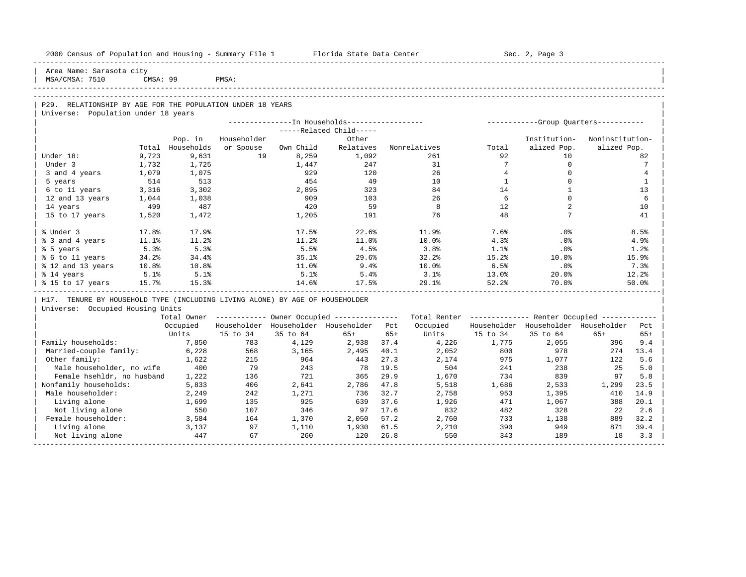| 2000 Census of Population and Housing - Summary File 1 Florida State Data Center |       |            |                |          |                                                        |       |                                            |                 | Sec. 2, Page 3                                          |                 |                |
|----------------------------------------------------------------------------------|-------|------------|----------------|----------|--------------------------------------------------------|-------|--------------------------------------------|-----------------|---------------------------------------------------------|-----------------|----------------|
| Area Name: Sarasota city                                                         |       |            |                |          |                                                        |       |                                            |                 |                                                         |                 |                |
| MSA/CMSA: 7510 CMSA: 99 PMSA:                                                    |       |            |                |          |                                                        |       |                                            |                 |                                                         |                 |                |
|                                                                                  |       |            |                |          |                                                        |       |                                            |                 |                                                         |                 |                |
|                                                                                  |       |            |                |          |                                                        |       |                                            |                 |                                                         |                 |                |
| P29. RELATIONSHIP BY AGE FOR THE POPULATION UNDER 18 YEARS                       |       |            |                |          |                                                        |       |                                            |                 |                                                         |                 |                |
| Universe: Population under 18 years                                              |       |            |                |          |                                                        |       |                                            |                 |                                                         |                 |                |
|                                                                                  |       |            |                |          |                                                        |       |                                            |                 |                                                         |                 |                |
|                                                                                  |       |            |                |          | $---Related Child---$                                  |       |                                            |                 |                                                         |                 |                |
|                                                                                  |       | Pop. in    | Householder    |          | Other                                                  |       |                                            |                 | Institution-                                            | Noninstitution- |                |
|                                                                                  | Total | Households |                |          |                                                        |       | or Spouse Own Child Relatives Nonrelatives | Total           | alized Pop.                                             | alized Pop.     |                |
| Under 18:                                                                        | 9,723 | 9,631      |                |          | 19 8,259 1,092                                         |       | 261                                        | 92              | 10 <sup>1</sup>                                         |                 | 82             |
| Under 3                                                                          | 1,732 | 1,725      |                | 1,447    | 247                                                    |       | 31                                         | $7\overline{ }$ | $\overline{0}$                                          |                 | 7              |
| 3 and 4 years                                                                    | 1,079 | 1,075      |                | 929      | 120                                                    |       | 26                                         | $\overline{4}$  | $\mathbf 0$                                             |                 | $\overline{4}$ |
| 5 years                                                                          | 514   | 513        |                | 454      | 49                                                     |       | 10                                         | $\mathbf{1}$    | $\Omega$                                                |                 | -1             |
| 6 to 11 years 3,316                                                              |       | 3,302      |                | 2,895    | 323                                                    |       | 84                                         | 14              | 1                                                       |                 | 13             |
| 12 and 13 years 1,044                                                            |       | 1,038      |                | 909      | 103                                                    |       | 26                                         | 6               | $\Omega$                                                |                 | 6              |
| 14 years                                                                         | 499   | 487        |                | 420      | 59                                                     |       | 8                                          | 12              | 2                                                       |                 | 10             |
| 15 to 17 years 1,520                                                             |       | 1,472      |                | 1,205    | 191                                                    |       | 76                                         | 48              | 7                                                       |                 | 41             |
|                                                                                  |       |            |                |          |                                                        |       |                                            |                 |                                                         |                 |                |
| % Under 3                                                                        | 17.8% | 17.9%      |                |          | 17.5%<br>22.6%                                         |       | 11.9%                                      | 7.6%            | $.0\%$                                                  |                 | 8.5%           |
| % 3 and 4 years                                                                  | 11.1% | 11.2%      |                | 11.2%    | 11.0%                                                  |       | 10.0%                                      | 4.3%            | $.0\%$                                                  |                 | 4.9%           |
| % 5 years                                                                        | 5.3%  | 5.3%       |                | 5.5%     | 4.5%                                                   |       | 3.8 <sup>8</sup>                           | 1.1%            | $.0\%$                                                  |                 | 1.2%           |
| % 6 to 11 years                                                                  | 34.2% | 34.4%      |                | 35.1%    | 29.6%                                                  |       | 32.2%                                      | 15.2%           | 10.0%                                                   |                 | 15.9%          |
| % 12 and 13 years 10.8%                                                          |       | 10.8%      |                | 11.0%    | 9.4%                                                   |       | 10.0%                                      | 6.5%            | .0%                                                     |                 | 7.3%           |
| % 14 years 5.1%<br>% 15 to 17 years 15.7%                                        |       | 5.1%       |                | 5.1%     | 5.4%                                                   |       | 3.1%                                       | 13.0%           | $20.0\%$                                                |                 | 12.2%          |
|                                                                                  |       | 15.3%      |                |          | $14.6%$ $17.5%$                                        |       | 29.1% 52.2%                                |                 | $70.0$ <sup>8</sup>                                     |                 | 50.0%          |
| H17. TENURE BY HOUSEHOLD TYPE (INCLUDING LIVING ALONE) BY AGE OF HOUSEHOLDER     |       |            |                |          |                                                        |       |                                            |                 |                                                         |                 |                |
| Universe: Occupied Housing Units                                                 |       |            |                |          |                                                        |       |                                            |                 |                                                         |                 |                |
|                                                                                  |       |            |                |          | Total Owner ------------ Owner Occupied -------------- |       |                                            |                 | Total Renter ------------- Renter Occupied ------------ |                 |                |
|                                                                                  |       |            |                |          | Occupied Householder Householder Householder Pct       |       | Occupied                                   |                 | Householder Householder Householder Pct                 |                 |                |
|                                                                                  |       |            | Units 15 to 34 | 35 to 64 | $65+$                                                  | $65+$ |                                            | Units 15 to 34  | 35 to 64                                                | $65+$           | $65+$          |
| Family households: 7,850                                                         |       |            | 783            | 4,129    | 2,938 37.4                                             |       | 4,226                                      | 1,775           | 2,055                                                   | 396             | 9.4            |
| Married-couple family: 6,228                                                     |       |            | 568            | 3,165    | 2,495 40.1                                             |       | 2,052 800                                  |                 | 978                                                     | 274             | 13.4           |
| Other family:                                                                    |       | 1,622      | 215            | 964      | 443                                                    | 27.3  | 2,174 975 1,077                            |                 |                                                         | 122             | 5.6            |
| Male householder, no wife 400                                                    |       |            | 79             | 243      | 78 19.5                                                |       |                                            | 504 241 238     |                                                         | 25              | 5.0            |
| Female hsehldr, no husband 1,222                                                 |       |            | 136            | 721      | 365 29.9                                               |       |                                            |                 | 839                                                     | 97              | 5.8            |
| Nonfamily households:                                                            |       | 5,833      | 406            | 2,641    | 2,786 47.8                                             |       | $1,670$ 734<br>5.518 1.686<br>5,518        | 1,686           | 2,533                                                   | 1,299           | 23.5           |

|                            | Total Owner |             | Owner Occupied - |             | $- - - - - -$ | Total Renter |             | Renter Occupied - |             |       |
|----------------------------|-------------|-------------|------------------|-------------|---------------|--------------|-------------|-------------------|-------------|-------|
|                            | Occupied    | Householder | Householder      | Householder | Pct           | Occupied     | Householder | Householder       | Householder | Pct   |
|                            | Units       | 15 to 34    | 35 to 64         | $65+$       | $65+$         | Units        | 15 to 34    | 35 to 64          | $65+$       | $65+$ |
| Family households:         | 7,850       | 783         | 4,129            | 2,938       | 37.4          | 4,226        | 1,775       | 2,055             | 396         | 9.4   |
| Married-couple family:     | 6,228       | 568         | 3,165            | 2,495       | 40.1          | 2,052        | 800         | 978               | 274         | 13.4  |
| Other family:              | 1,622       | 215         | 964              | 443         | 27.3          | 2,174        | 975         | 1,077             | 122         | 5.6   |
| Male householder, no wife  | 400         | 79          | 243              | 78          | 19.5          | 504          | 241         | 238               | 25          | 5.0   |
| Female hsehldr, no husband | 1,222       | 136         | 721              | 365         | 29.9          | 1,670        | 734         | 839               | 97          | 5.8   |
| Nonfamily households:      | 5,833       | 406         | 2,641            | 2,786       | 47.8          | 5,518        | 1,686       | 2,533             | 1,299       | 23.5  |
| Male householder:          | 2,249       | 242         | 1,271            | 736         | 32.7          | 2,758        | 953         | 1,395             | 410         | 14.9  |
| Living alone               | 1,699       | 135         | 925              | 639         | 37.6          | 1,926        | 471         | 1,067             | 388         | 20.1  |
| Not living alone           | 550         | 107         | 346              | 97          | 17.6          | 832          | 482         | 328               | 22          | 2.6   |
| Female householder:        | 3,584       | 164         | 1,370            | 2,050       | 57.2          | 2,760        | 733         | 1,138             | 889         | 32.2  |
| Living alone               | 3,137       | 97          | 1,110            | 1,930       | 61.5          | 2,210        | 390         | 949               | 871         | 39.4  |
| Not living alone           | 447         | 67          | 260              | 120         | 26.8          | 550          | 343         | 189               | 18          | 3.3   |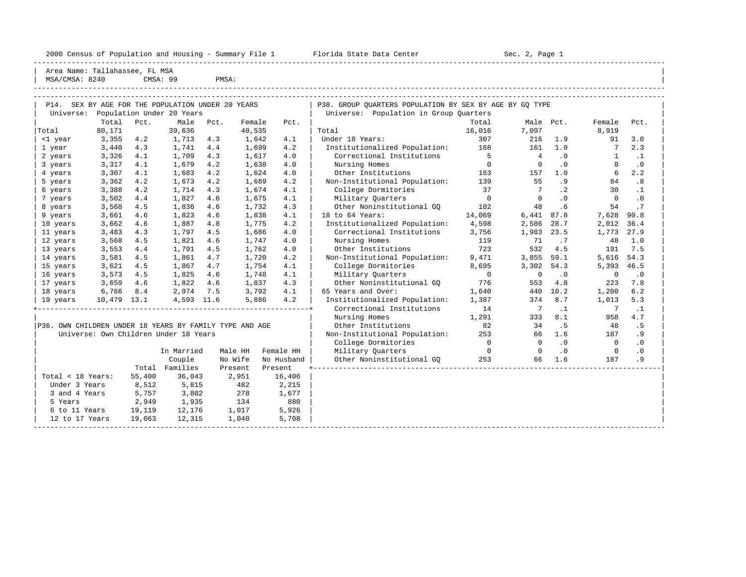|                                                         |        |      |                                                   |       |         |            | 2000 Census of Population and Housing - Summary File 1 Florida State Data Center |                | Sec. 2, Page 1 |           |              |           |  |
|---------------------------------------------------------|--------|------|---------------------------------------------------|-------|---------|------------|----------------------------------------------------------------------------------|----------------|----------------|-----------|--------------|-----------|--|
| Area Name: Tallahassee, FL MSA<br>MSA/CMSA: 8240        |        |      | CMSA: 99                                          | PMSA: |         |            |                                                                                  |                |                |           |              |           |  |
|                                                         |        |      |                                                   |       |         |            |                                                                                  |                |                |           |              |           |  |
|                                                         |        |      | P14. SEX BY AGE FOR THE POPULATION UNDER 20 YEARS |       |         |            | P38. GROUP OUARTERS POPULATION BY SEX BY AGE BY GO TYPE                          |                |                |           |              |           |  |
| Universe:                                               |        |      | Population Under 20 Years                         |       |         |            | Universe: Population in Group Quarters                                           |                |                |           |              |           |  |
|                                                         | Total  | Pct. | Male                                              | Pct.  | Female  | Pct.       |                                                                                  | Total          |                | Male Pct. | Female       | Pct.      |  |
| Total                                                   | 80,171 |      | 39,636                                            |       | 40,535  |            | Total                                                                            | 16,016         | 7,097          |           | 8,919        |           |  |
| <1 year                                                 | 3,355  | 4.2  | 1,713                                             | 4.3   | 1,642   | 4.1        | Under 18 Years:                                                                  | 307            | 216            | 1.9       | 91           | 3.0       |  |
| 1 year                                                  | 3,440  | 4.3  | 1,741                                             | 4.4   | 1,699   | 4.2        | Institutionalized Population: 168                                                |                | 161            | 1.0       | 7            | 2.3       |  |
| 2 years                                                 | 3,326  | 4.1  | 1,709                                             | 4.3   | 1,617   | 4.0        | Correctional Institutions                                                        | $5^{\circ}$    | $\overline{4}$ | $\cdot$ 0 | -1           | $\cdot$ 1 |  |
| 3 years                                                 | 3,317  | 4.1  | 1,679                                             | 4.2   | 1,638   | 4.0        | Nursing Homes                                                                    | $\overline{0}$ | $\Omega$       | $\cdot$ 0 | $\Omega$     | $\cdot$ 0 |  |
| 4 years                                                 | 3,307  | 4.1  | 1,683                                             | 4.2   | 1,624   | 4.0        | Other Institutions                                                               | 163            | 157            | 1.0       | 6            | 2.2       |  |
| 5 years                                                 | 3,362  | 4.2  | 1,673                                             | 4.2   | 1,689   | 4.2        | Non-Institutional Population:                                                    | 139            | 55             | .9        | 84           | .8        |  |
| 6 years                                                 | 3,388  | 4.2  | 1,714                                             | 4.3   | 1,674   | 4.1        | College Dormitories                                                              | 37             | 7              | $\cdot$ 2 | 30           | $\cdot$ 1 |  |
| 7 years                                                 | 3,502  | 4.4  | 1,827                                             | 4.6   | 1,675   | 4.1        | Military Ouarters                                                                | $\overline{0}$ | $\Omega$       | $\cdot$ 0 | $\Omega$     | $\cdot$ 0 |  |
| 8 years                                                 | 3,568  | 4.5  | 1,836                                             | 4.6   | 1,732   | 4.3        | Other Noninstitutional GO                                                        | 102            | 48             | .6        | 54           | .7        |  |
| 9 years                                                 | 3,661  | 4.6  | 1,823                                             | 4.6   | 1,838   | 4.1        | 18 to 64 Years:                                                                  | 14,069         | 6,441          | 87.8      | 7,628        | 90.8      |  |
| 10 years                                                | 3,662  | 4.6  | 1,887                                             | 4.8   | 1,775   | 4.2        | Institutionalized Population:                                                    | 4,598          | 2,586          | 28.7      | 2,012        | 36.4      |  |
| 11 years                                                | 3,483  | 4.3  | 1,797                                             | 4.5   | 1,686   | 4.0        | Correctional Institutions                                                        | 3,756          | 1,983          | 23.5      | 1,773        | 27.9      |  |
| 12 years                                                | 3,568  | 4.5  | 1,821                                             | 4.6   | 1,747   | 4.0        | Nursing Homes                                                                    | 119            | 71             | .7        | 48           | 1.0       |  |
| 13 years                                                | 3,553  | 4.4  | 1,791                                             | 4.5   | 1,762   | 4.0        | Other Institutions                                                               | 723            | 532            | 4.5       | 191          | 7.5       |  |
| 14 years                                                | 3,581  | 4.5  | 1,861                                             | 4.7   | 1,720   | 4.2        | Non-Institutional Population:                                                    | 9,471          | 3,855          | 59.1      | 5,616        | 54.3      |  |
| 15 years                                                | 3,621  | 4.5  | 1,867                                             | 4.7   | 1,754   | 4.1        | College Dormitories                                                              | 8,695          | 3,302          | 54.3      | 5,393        | 46.5      |  |
| 16 years                                                | 3,573  | 4.5  | 1,825                                             | 4.6   | 1,748   | 4.1        | Military Ouarters                                                                | $\overline{0}$ | $\Omega$       | $\cdot$ 0 | $\mathbf 0$  | $\cdot$ 0 |  |
| 17 years                                                | 3,659  | 4.6  | 1,822                                             | 4.6   | 1,837   | 4.3        | Other Noninstitutional GQ                                                        | 776            | 553            | 4.8       | 223          | 7.8       |  |
| 18 years                                                | 6,766  | 8.4  | 2,974                                             | 7.5   | 3,792   | 4.1        | 65 Years and Over:                                                               | 1,640          | 440            | 10.2      | 1,200        | 6.2       |  |
| 19 years                                                | 10,479 | 13.1 | 4,593 11.6                                        |       | 5,886   | 4.2        | Institutionalized Population:                                                    | 1,387          | 374            | 8.7       | 1,013        | 5.3       |  |
|                                                         |        |      |                                                   |       |         |            | Correctional Institutions                                                        | 14             | $\overline{7}$ | $\cdot$ 1 | 7            | $\cdot$ 1 |  |
|                                                         |        |      |                                                   |       |         |            | Nursing Homes                                                                    | 1,291          | 333            | 8.1       | 958          | 4.7       |  |
| P36. OWN CHILDREN UNDER 18 YEARS BY FAMILY TYPE AND AGE |        |      |                                                   |       |         |            | Other Institutions                                                               | 82             | 34             | .5        | 48           | . 5       |  |
|                                                         |        |      | Universe: Own Children Under 18 Years             |       |         |            | Non-Institutional Population:                                                    | 253            | 66             | 1.6       | 187          | . 9       |  |
|                                                         |        |      |                                                   |       |         |            | College Dormitories                                                              | $\overline{0}$ | $\Omega$       | $\cdot$ 0 | $\mathbf{0}$ | $\cdot$ 0 |  |
|                                                         |        |      | In Married                                        |       | Male HH | Female HH  | Military Quarters                                                                | $\circ$        | $\Omega$       | .0        | 0            | $\cdot$ 0 |  |
|                                                         |        |      | Couple                                            |       | No Wife | No Husband | Other Noninstitutional GO                                                        | 253            | 66             | 1.6       | 187          | .9        |  |

|                   |        | Couple   | No Wife | No Husband | 253<br>187<br>Other Noninstitutional GO<br>66<br>1.6 | .9 |
|-------------------|--------|----------|---------|------------|------------------------------------------------------|----|
|                   | Total  | Families | Present | Present    |                                                      |    |
| Total < 18 Years: | 55,400 | 36,043   | 2,951   | 16,406     |                                                      |    |
| Under 3 Years     | 8,512  | 5,815    | 482     | 2,215      |                                                      |    |
| 3 and 4 Years     | 5,757  | 3,802    | 278     | 1,677      |                                                      |    |
| 5 Years           | 2,949  | 1,935    | 134     | 880        |                                                      |    |
| 6 to 11 Years     | 19,119 | 12,176   | 1,017   | 5,926      |                                                      |    |
| 12 to 17 Years    | 19,063 | 12,315   | 1,040   | 5,708      |                                                      |    |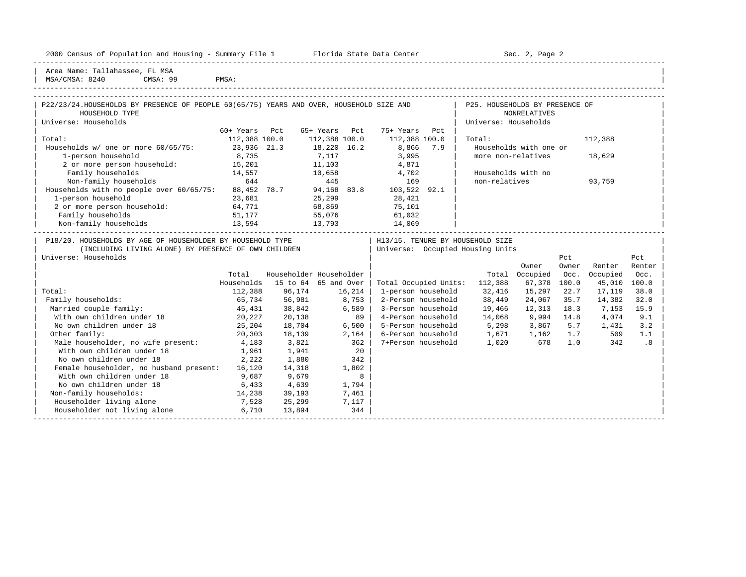|  |  |  | 2000 Census of Population and Housing - Summary File 1 |  |  |  |  |  |  |  |
|--|--|--|--------------------------------------------------------|--|--|--|--|--|--|--|
|--|--|--|--------------------------------------------------------|--|--|--|--|--|--|--|

Plorida State Data Center - Sec. 2, Page 2

Area Name: Tallahassee, FL MSA | MSA/CMSA: 8240 CMSA: 99 PMSA: |

No own children under 18

Mith own children under 18 1,961 1,941 20 No own children under 18 2,222 1,880 342 | Female householder, no husband present: 16,120 14,318 1,802 | | With own children under 18 9,687 9,679 8<br>No own children under 18 6,433 4,639 1,794

Non-family households:  $14,238$  39,193 7,461 Householder living alone 1976 7,528 25,299 7,117<br>
Householder not living alone 1980 6,710 13,894 344 Householder not living alone 5,710 13,894 344 -----------------------------------------------------------------------------------------------------------------------------------------------------

-----------------------------------------------------------------------------------------------------------------------------------------------------

| P22/23/24.HOUSEHOLDS BY PRESENCE OF PEOPLE 60(65/75) YEARS AND OVER, HOUSEHOLD SIZE AND<br>HOUSEHOLD TYPE |               |                         |               | P25. HOUSEHOLDS BY PRESENCE OF<br><b>NONRELATIVES</b> |                       |     |                                  |                        |       |          |        |  |
|-----------------------------------------------------------------------------------------------------------|---------------|-------------------------|---------------|-------------------------------------------------------|-----------------------|-----|----------------------------------|------------------------|-------|----------|--------|--|
| Universe: Households                                                                                      |               |                         |               |                                                       |                       |     | Universe: Households             |                        |       |          |        |  |
|                                                                                                           | 60+ Years     | Pct                     | 65+ Years Pct |                                                       | 75+ Years Pct         |     |                                  |                        |       |          |        |  |
| Total:                                                                                                    | 112,388 100.0 |                         | 112,388 100.0 |                                                       | 112,388 100.0         |     | Total:                           |                        |       | 112,388  |        |  |
| Households w/ one or more 60/65/75:                                                                       | 23,936 21.3   |                         | 18,220 16.2   |                                                       | 8,866                 | 7.9 |                                  | Households with one or |       |          |        |  |
| 1-person household                                                                                        | 8,735         |                         | 7,117         |                                                       | 3,995                 |     | more non-relatives               |                        |       | 18,629   |        |  |
| 2 or more person household: 15,201                                                                        |               |                         | 11,103        |                                                       | 4,871                 |     |                                  |                        |       |          |        |  |
| Family households<br>14,557                                                                               |               |                         | 10,658        |                                                       | 4,702                 |     | Households with no               |                        |       |          |        |  |
| Non-family households<br>644                                                                              |               |                         | 445           |                                                       | 169                   |     | non-relatives                    |                        |       | 93,759   |        |  |
| Households with no people over 60/65/75:                                                                  |               | 88,452 78.7             | 94,168 83.8   |                                                       | 103,522 92.1          |     |                                  |                        |       |          |        |  |
| 1-person household                                                                                        | 23,681        |                         | 25,299        |                                                       | 28,421                |     |                                  |                        |       |          |        |  |
| 2 or more person household: 64,771                                                                        |               |                         | 68,869        |                                                       | 75,101                |     |                                  |                        |       |          |        |  |
| Family households<br>51,177                                                                               |               |                         | 55,076        |                                                       | 61,032                |     |                                  |                        |       |          |        |  |
| Non-family households<br>13,594                                                                           |               | 13,793                  |               |                                                       | 14,069                |     |                                  |                        |       |          |        |  |
| P18/20. HOUSEHOLDS BY AGE OF HOUSEHOLDER BY HOUSEHOLD TYPE                                                |               |                         |               |                                                       |                       |     | H13/15. TENURE BY HOUSEHOLD SIZE |                        |       |          |        |  |
| (INCLUDING LIVING ALONE) BY PRESENCE OF OWN CHILDREN                                                      |               |                         |               |                                                       |                       |     | Universe: Occupied Housing Units |                        |       |          |        |  |
| Universe: Households                                                                                      |               |                         |               |                                                       |                       |     |                                  |                        | Pct   |          | Pct    |  |
|                                                                                                           |               |                         |               |                                                       |                       |     |                                  | Owner                  | Owner | Renter   | Renter |  |
|                                                                                                           | Total         | Householder Householder |               |                                                       |                       |     |                                  | Total Occupied         | Occ.  | Occupied | Occ.   |  |
|                                                                                                           | Households    | 15 to 64 65 and Over    |               |                                                       | Total Occupied Units: |     | 112,388                          | 67,378 100.0           |       | 45,010   | 100.0  |  |
| Total:                                                                                                    | 112,388       | 96,174                  | 16,214        |                                                       | 1-person household    |     | 32,416                           | 15,297                 | 22.7  | 17,119   | 38.0   |  |
| Family households:                                                                                        | 65,734        | 56,981                  | 8,753         |                                                       | 2-Person household    |     | 38,449                           | 24,067                 | 35.7  | 14,382   | 32.0   |  |
| Married couple family:                                                                                    | 45,431        | 38,842                  |               | 6,589                                                 | 3-Person household    |     | 19,466                           | 12,313                 | 18.3  | 7,153    | 15.9   |  |
| With own children under 18                                                                                | 20,227        | 20,138                  |               | 89                                                    | 4-Person household    |     | 14,068                           | 9,994 14.8             |       | 4,074    | 9.1    |  |
| No own children under 18                                                                                  | 25,204        | 18,704                  |               | 6,500                                                 | 5-Person household    |     | 5,298                            | 3,867                  | 5.7   | 1,431    | 3.2    |  |
| Other family:                                                                                             | 20,303        | 18,139                  |               | 2,164                                                 | 6-Person household    |     | 1,671                            | 1,162                  | 1.7   | 509      | 1.1    |  |

Male householder, no wife present: 4,183 3,821 362 | 7+Person household 1,020 678 1.0 342

| Other family: 20,303 18,139 2,164 | 6-Person household 1,671 1,162 1.7 509 1.1 |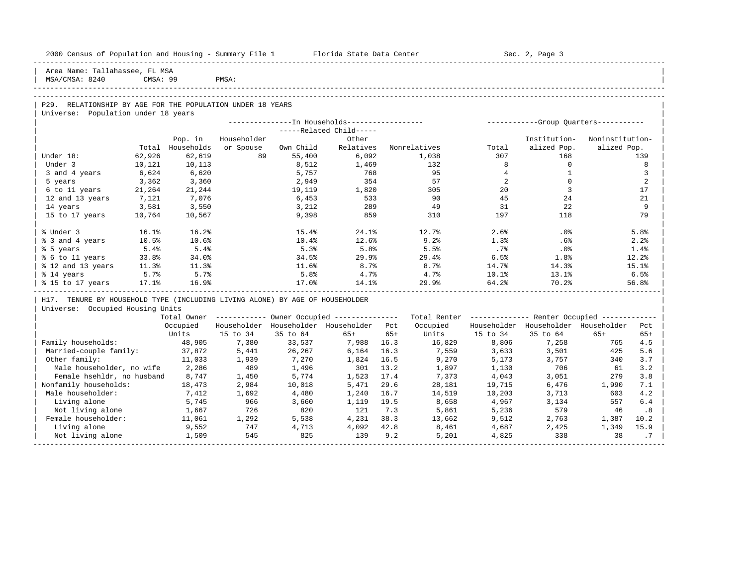| 2000 Census of Population and Housing - Summary File 1 Florida State Data Center |          |            |             |           |                                                        |       |                                                         |                | Sec. 2, Page 3                      |                 |       |
|----------------------------------------------------------------------------------|----------|------------|-------------|-----------|--------------------------------------------------------|-------|---------------------------------------------------------|----------------|-------------------------------------|-----------------|-------|
| Area Name: Tallahassee, FL MSA<br>MSA/CMSA: 8240                                 | CMSA: 99 |            | PMSA:       |           |                                                        |       |                                                         |                |                                     |                 |       |
|                                                                                  |          |            |             |           |                                                        |       |                                                         |                |                                     |                 |       |
| P29. RELATIONSHIP BY AGE FOR THE POPULATION UNDER 18 YEARS                       |          |            |             |           |                                                        |       |                                                         |                |                                     |                 |       |
| Universe: Population under 18 years                                              |          |            |             |           |                                                        |       |                                                         |                |                                     |                 |       |
|                                                                                  |          |            |             |           |                                                        |       |                                                         |                |                                     |                 |       |
|                                                                                  |          |            |             |           | -----Related Child-----                                |       |                                                         |                |                                     |                 |       |
|                                                                                  |          | Pop. in    | Householder |           | Other                                                  |       |                                                         |                | Institution-                        | Noninstitution- |       |
|                                                                                  | Total    | Households | or Spouse   | Own Child | Relatives                                              |       | Nonrelatives                                            | Total          | alized Pop.                         | alized Pop.     |       |
| Under 18:                                                                        | 62,926   | 62,619     | 89          | 55,400    | 6,092                                                  |       | 1,038                                                   | 307            | 168                                 |                 | 139   |
| Under 3                                                                          | 10,121   | 10,113     |             | 8,512     | 1,469                                                  |       | 132                                                     | 8              | $\Omega$                            |                 | 8     |
| 3 and 4 years                                                                    | 6,624    | 6,620      |             | 5,757     | 768                                                    |       | 95                                                      | $\overline{4}$ | $\mathbf{1}$                        |                 | 3     |
| 5 years                                                                          | 3,362    | 3,360      |             | 2,949     | 354                                                    |       | 57                                                      | 2              | $\Omega$                            |                 | 2     |
| 6 to 11 years                                                                    | 21,264   | 21,244     |             | 19,119    | 1,820                                                  |       | 305                                                     | 20             | 3                                   |                 | 17    |
| 12 and 13 years                                                                  | 7,121    | 7,076      |             | 6,453     | 533                                                    |       | 90                                                      | 45             | 24                                  |                 | 21    |
| 14 years                                                                         | 3,581    | 3,550      |             | 3,212     | 289                                                    |       | 49                                                      | 31             | 22                                  |                 | 9     |
| 15 to 17 years                                                                   | 10,764   | 10,567     |             | 9,398     | 859                                                    |       | 310                                                     | 197            | 118                                 |                 | 79    |
| % Under 3                                                                        | 16.1%    | 16.2%      |             | 15.4%     | 24.1%                                                  |       | 12.7%                                                   | 2.6%           | $.0\%$                              |                 | 5.8%  |
| % 3 and 4 years                                                                  | 10.5%    | 10.6%      |             | 10.4%     | 12.6%                                                  |       | 9.2%                                                    | 1.3%           | .6%                                 |                 | 2.2%  |
| % 5 years                                                                        | 5.4%     | 5.4%       |             | 5.3%      | 5.8%                                                   |       | 5.5%                                                    | .7%            | $.0\%$                              |                 | 1.4%  |
| % 6 to 11 years                                                                  | 33.8%    | 34.0%      |             | 34.5%     | 29.9%                                                  |       | 29.4%                                                   | 6.5%           | 1.8%                                |                 | 12.2% |
| % 12 and 13 years                                                                | 11.3%    | 11.3%      |             | 11.6%     | 8.7%                                                   |       | 8.7%                                                    | 14.7%          | 14.3%                               |                 | 15.1% |
| % 14 years                                                                       | 5.7%     | 5.7%       |             | 5.8%      | 4.7%                                                   |       | 4.7%                                                    | 10.1%          | 13.1%                               |                 | 6.5%  |
| % 15 to 17 years                                                                 | $17.1\%$ | 16.9%      |             | 17.0%     | 14.1%                                                  |       | 29.9%                                                   | 64.2%          | 70.2%                               |                 | 56.8% |
| H17. TENURE BY HOUSEHOLD TYPE (INCLUDING LIVING ALONE) BY AGE OF HOUSEHOLDER     |          |            |             |           |                                                        |       |                                                         |                |                                     |                 |       |
| Universe: Occupied Housing Units                                                 |          |            |             |           |                                                        |       |                                                         |                |                                     |                 |       |
|                                                                                  |          |            |             |           | Total Owner ------------ Owner Occupied -------------- |       | Total Renter ------------- Renter Occupied ------------ |                |                                     |                 |       |
|                                                                                  |          | Occupied   |             |           | Householder Householder Householder Pct                |       | Occupied                                                |                | Householder Householder Householder |                 | Pct   |
|                                                                                  |          | Units      | 15 to 34    | 35 to 64  | $65+$                                                  | $65+$ | Units                                                   | 15 to 34       | 35 to 64                            | $65+$           | $65+$ |
| Family households:                                                               |          | 48,905     | 7,380       | 33,537    | 7,988                                                  | 16.3  | 16,829                                                  | 8,806          | 7,258                               | 765             | 4.5   |
| Married-couple family:                                                           |          | 37,872     | 5,441       | 26,267    | 6,164                                                  | 16.3  | 7,559                                                   | 3,633          | 3,501                               | 425             | 5.6   |
| Other family:                                                                    |          | 11,033     | 1,939       | 7,270     | 1,824                                                  | 16.5  | 9,270                                                   | 5,173          | 3,757                               | 340             | 3.7   |
| Male householder, no wife                                                        |          | 2,286      | 489         | 1,496     | 301                                                    | 13.2  | 1,897                                                   | 1,130          | 706                                 | 61              | 3.2   |
| Female hsehldr, no husband                                                       |          | 8,747      | 1,450       | 5,774     | 1,523                                                  | 17.4  | 7,373                                                   | 4,043          | 3,051                               | 279             | 3.8   |
| Nonfamily households:                                                            |          | 18,473     | 2,984       | 10,018    | 5,471                                                  | 29.6  | 28,181                                                  | 19,715         | 6,476                               | 1,990           | 7.1   |
| Male householder:                                                                |          | 7,412      | 1,692       | 4,480     | 1,240                                                  | 16.7  | 14,519                                                  | 10,203         | 3,713                               | 603             | 4.2   |
| Living alone                                                                     |          | 5,745      | 966         | 3,660     | 1,119                                                  | 19.5  | 8,658                                                   | 4,967          | 3,134                               | 557             | 6.4   |
| Not living alone                                                                 |          | 1,667      | 726         | 820       | 121                                                    | 7.3   | 5,861                                                   | 5,236          | 579                                 | 46              | .8    |
| Female householder:                                                              |          | 11,061     | 1,292       | 5,538     | 4,231                                                  | 38.3  | 13,662                                                  | 9,512          | 2,763                               | 1,387           | 10.2  |
| Living alone                                                                     |          | 9,552      | 747         | 4,713     | 4,092                                                  | 42.8  | 8,461                                                   | 4,687          | 2,425                               | 1,349           | 15.9  |
| Not living alone                                                                 |          | 1,509      | 545         | 825       | 139                                                    | 9.2   | 5,201                                                   | 4,825          | 338                                 | 38              | .7    |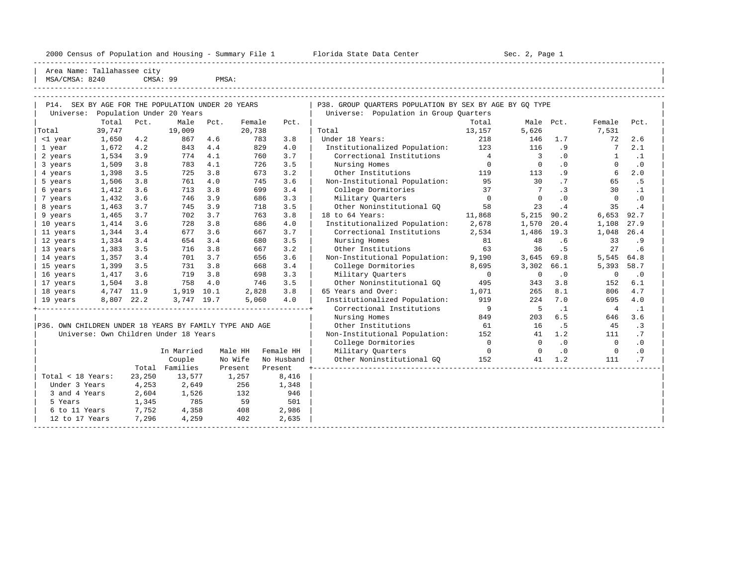2000 Census of Population and Housing - Summary File 1 Florida State Data Center Sec. 2, Page 1

| Total < 18 Years: 23,250 13,577 1,257 8,416 | |

| 3 and 4 Years 2,604 1,526 132 946 | | 9 Years 1,345 785 59 501<br>6 to 11 Years 7,752 4,358 408 2,986 12 to 11 Years 7,752 4,358 408 2,986<br>12 to 17 Years 7,296 4,259 402 2,635

-----------------------------------------------------------------------------------------------------------------------------------------------------

| Under 3 Years 4,253 2,649 256 1,348 | |

| 2000 Census Of Population and housing - Summary File I  |        |      |                                              |       | Frorida State Data Center |      | SEC. 4, raye 1                                          |                |                         |           |              |           |  |
|---------------------------------------------------------|--------|------|----------------------------------------------|-------|---------------------------|------|---------------------------------------------------------|----------------|-------------------------|-----------|--------------|-----------|--|
| Area Name: Tallahassee city<br>MSA/CMSA: 8240           |        |      | CMSA: 99                                     | PMSA: |                           |      |                                                         |                |                         |           |              |           |  |
|                                                         |        |      |                                              |       |                           |      |                                                         |                |                         |           |              |           |  |
| P14.                                                    |        |      | SEX BY AGE FOR THE POPULATION UNDER 20 YEARS |       |                           |      | P38. GROUP OUARTERS POPULATION BY SEX BY AGE BY GO TYPE |                |                         |           |              |           |  |
| Universe:                                               |        |      | Population Under 20 Years                    |       |                           |      | Universe: Population in Group Ouarters                  |                |                         |           |              |           |  |
|                                                         | Total  | Pct. | Male                                         | Pct.  | Female                    | Pct. |                                                         | Total          | Male Pct.               |           | Female       | Pct.      |  |
| Total                                                   | 39,747 |      | 19,009                                       |       | 20,738                    |      | Total                                                   | 13,157         | 5,626                   |           | 7,531        |           |  |
| <1 year                                                 | 1,650  | 4.2  | 867                                          | 4.6   | 783                       | 3.8  | Under 18 Years:                                         | 218            | 146                     | 1.7       | 72           | 2.6       |  |
| 1 year                                                  | 1,672  | 4.2  | 843                                          | 4.4   | 829                       | 4.0  | Institutionalized Population:                           | 123            | 116                     | .9        | 7            | 2.1       |  |
| 2 years                                                 | 1,534  | 3.9  | 774                                          | 4.1   | 760                       | 3.7  | Correctional Institutions                               | $\overline{4}$ | $\overline{\mathbf{3}}$ | $\cdot$ 0 | $\mathbf{1}$ | $\cdot$ 1 |  |
| 3 years                                                 | 1,509  | 3.8  | 783                                          | 4.1   | 726                       | 3.5  | Nursing Homes                                           | $\circ$        | $\Omega$                | .0        | $\Omega$     | $\cdot$ 0 |  |
| 4 years                                                 | 1,398  | 3.5  | 725                                          | 3.8   | 673                       | 3.2  | Other Institutions                                      | 119            | 113                     | .9        | 6            | 2.0       |  |
| 5 years                                                 | 1,506  | 3.8  | 761                                          | 4.0   | 745                       | 3.6  | Non-Institutional Population:                           | 95             | 30                      | .7        | 65           | .5        |  |
| 6 years                                                 | 1,412  | 3.6  | 713                                          | 3.8   | 699                       | 3.4  | College Dormitories                                     | 37             | 7                       | $\cdot$ 3 | 30           | .1        |  |
| 7 years                                                 | 1,432  | 3.6  | 746                                          | 3.9   | 686                       | 3.3  | Military Quarters                                       | $\Omega$       | $\Omega$                | $\cdot$ 0 | $\Omega$     | $\cdot$ 0 |  |
| 8 years                                                 | 1,463  | 3.7  | 745                                          | 3.9   | 718                       | 3.5  | Other Noninstitutional GO                               | 58             | 23                      | .4        | 35           | .4        |  |
| 9 years                                                 | 1,465  | 3.7  | 702                                          | 3.7   | 763                       | 3.8  | 18 to 64 Years:                                         | 11,868         | 5,215                   | 90.2      | 6,653        | 92.7      |  |
| 10 years                                                | 1,414  | 3.6  | 728                                          | 3.8   | 686                       | 4.0  | Institutionalized Population:                           | 2,678          | 1,570                   | 20.4      | 1,108        | 27.9      |  |
| 11 years                                                | 1,344  | 3.4  | 677                                          | 3.6   | 667                       | 3.7  | Correctional Institutions                               | 2,534          | 1,486                   | 19.3      | 1,048        | 26.4      |  |
| 12 years                                                | 1,334  | 3.4  | 654                                          | 3.4   | 680                       | 3.5  | Nursing Homes                                           | 81             | 48                      | .6        | 33           | .9        |  |
| 13 years                                                | 1,383  | 3.5  | 716                                          | 3.8   | 667                       | 3.2  | Other Institutions                                      | 63             | 36                      | . 5       | 27           | . 6       |  |
| 14 years                                                | 1,357  | 3.4  | 701                                          | 3.7   | 656                       | 3.6  | Non-Institutional Population:                           | 9,190          | 3,645                   | 69.8      | 5,545        | 64.8      |  |
| 15 years                                                | 1,399  | 3.5  | 731                                          | 3.8   | 668                       | 3.4  | College Dormitories                                     | 8,695          | 3,302                   | 66.1      | 5,393        | 58.7      |  |
| 16 years                                                | 1,417  | 3.6  | 719                                          | 3.8   | 698                       | 3.3  | Military Quarters                                       | $\Omega$       | <sup>0</sup>            | $\cdot$ 0 | $\Omega$     | $\cdot$ 0 |  |
| 17 years                                                | 1,504  | 3.8  | 758                                          | 4.0   | 746                       | 3.5  | Other Noninstitutional GO                               | 495            | 343                     | 3.8       | 152          | 6.1       |  |
| 18 years                                                | 4,747  | 11.9 | 1,919                                        | 10.1  | 2,828                     | 3.8  | 65 Years and Over:                                      | 1,071          | 265                     | 8.1       | 806          | 4.7       |  |
| 19 years                                                | 8,807  | 22.2 | 3,747 19.7                                   |       | 5,060                     | 4.0  | Institutionalized Population:                           | 919            | 224                     | 7.0       | 695          | 4.0       |  |
|                                                         |        |      |                                              |       |                           |      | Correctional Institutions                               | 9              | 5                       | $\cdot$ 1 | 4            | $\cdot$ 1 |  |
|                                                         |        |      |                                              |       |                           |      | Nursing Homes                                           | 849            | 203                     | 6.5       | 646          | 3.6       |  |
| P36. OWN CHILDREN UNDER 18 YEARS BY FAMILY TYPE AND AGE |        |      |                                              |       |                           |      | Other Institutions                                      | 61             | 16                      | . 5       | 45           | $\cdot$ 3 |  |

 $\vert$  Universe: Own Children Under 18 Years  $\vert$  Non-Institutional Population:  $\vert$  152  $\vert$  41  $\vert$  1.2  $\vert$  111  $\vert$  .7  $\vert$ | | College Dormitories 0 0 .0 0 .0 |

| 12 to 17 Years |  $7,296$   $4,259$   $402$   $2,635$  |  $\blacksquare$ 

| In Married Male HH Female HH | Military Quarters 0 0 .0 0 .0 | | Couple No Wife No Husband | Other Noninstitutional GQ 152 41 1.2 111 .7 | | Total Families Present Present +----------------------------------------------------------------------------------|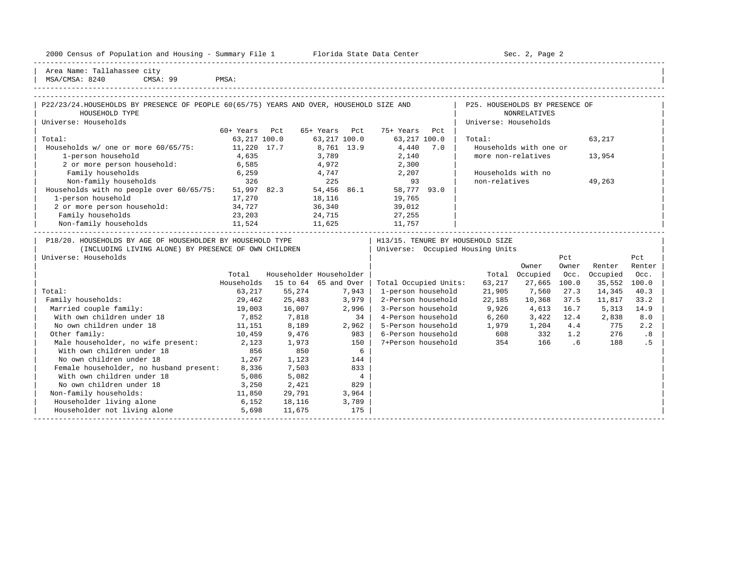|  |  |  | 2000 Census of Population and Housing - Summary File 1 |  |  |  |  |  |  |
|--|--|--|--------------------------------------------------------|--|--|--|--|--|--|
|--|--|--|--------------------------------------------------------|--|--|--|--|--|--|

2000 Florida State Data Center - Sec. 2, Page 2 -----------------------------------------------------------------------------------------------------------------------------------------------------

| Area Name: Tallahassee city | | MSA/CMSA: 8240 CMSA: 99 PMSA:

| P22/23/24. HOUSEHOLDS BY PRESENCE OF PEOPLE 60(65/75) YEARS AND OVER, HOUSEHOLD SIZE AND<br>HOUSEHOLD TYPE |              |     |              |     |              |     | P25. HOUSEHOLDS BY PRESENCE OF<br><b>NONRELATIVES</b> |        |     |  |
|------------------------------------------------------------------------------------------------------------|--------------|-----|--------------|-----|--------------|-----|-------------------------------------------------------|--------|-----|--|
| Universe: Households                                                                                       |              |     |              |     |              |     | Universe: Households                                  |        |     |  |
|                                                                                                            |              |     |              |     |              |     |                                                       |        |     |  |
|                                                                                                            | 60+ Years    | Pct | 65+ Years    | Pct | 75+ Years    | Pct |                                                       |        |     |  |
| Total:                                                                                                     | 63,217 100.0 |     | 63,217 100.0 |     | 63,217 100.0 |     | Total:                                                | 63,217 |     |  |
| Households w/ one or more 60/65/75:                                                                        | 11,220 17.7  |     | 8,761 13.9   |     | 4,440        | 7.0 | Households with one or                                |        |     |  |
| 1-person household                                                                                         | 4,635        |     | 3,789        |     | 2,140        |     | more non-relatives                                    | 13,954 |     |  |
| 2 or more person household:                                                                                | 6,585        |     | 4,972        |     | 2,300        |     |                                                       |        |     |  |
| Family households                                                                                          | 6,259        |     | 4,747        |     | 2,207        |     | Households with no                                    |        |     |  |
| Non-family households                                                                                      | 326          |     | 225          |     | 93           |     | non-relatives                                         | 49,263 |     |  |
| Households with no people over $60/65/75$ :                                                                | 51,997 82.3  |     | 54,456 86.1  |     | 58,777 93.0  |     |                                                       |        |     |  |
| 1-person household                                                                                         | 17,270       |     | 18,116       |     | 19,765       |     |                                                       |        |     |  |
| 2 or more person household:                                                                                | 34,727       |     | 36,340       |     | 39,012       |     |                                                       |        |     |  |
| Family households                                                                                          | 23,203       |     | 24,715       |     | 27,255       |     |                                                       |        |     |  |
| Non-family households                                                                                      | 11,524       |     | 11,625       |     | 11,757       |     |                                                       |        |     |  |
| P18/20. HOUSEHOLDS BY AGE OF HOUSEHOLDER BY HOUSEHOLD TYPE                                                 |              |     |              |     |              |     | H13/15. TENURE BY HOUSEHOLD SIZE                      |        |     |  |
| (INCLUDING LIVING ALONE) BY PRESENCE OF OWN CHILDREN                                                       |              |     |              |     |              |     | Universe: Occupied Housing Units                      |        |     |  |
| Universe: Households                                                                                       |              |     |              |     |              |     | Pct                                                   |        | Pct |  |

|                                         |            |          |                         |                       |        |          | --    |          | ---    |
|-----------------------------------------|------------|----------|-------------------------|-----------------------|--------|----------|-------|----------|--------|
|                                         |            |          |                         |                       |        | Owner    | Owner | Renter   | Renter |
|                                         | Total      |          | Householder Householder |                       | Total  | Occupied | Occ.  | Occupied | Occ.   |
|                                         | Households | 15 to 64 | 65 and Over             | Total Occupied Units: | 63,217 | 27,665   | 100.0 | 35,552   | 100.0  |
| Total:                                  | 63,217     | 55,274   | 7,943                   | 1-person household    | 21,905 | 7,560    | 27.3  | 14,345   | 40.3   |
| Family households:                      | 29,462     | 25,483   | 3,979                   | 2-Person household    | 22,185 | 10,368   | 37.5  | 11,817   | 33.2   |
| Married couple family:                  | 19,003     | 16,007   | 2,996                   | 3-Person household    | 9,926  | 4,613    | 16.7  | 5,313    | 14.9   |
| With own children under 18              | 7,852      | 7,818    | 34                      | 4-Person household    | 6,260  | 3,422    | 12.4  | 2,838    | 8.0    |
| No own children under 18                | 11,151     | 8,189    | 2,962                   | 5-Person household    | 1,979  | 1,204    | 4.4   | 775      | 2.2    |
| Other family:                           | 10,459     | 9,476    | 983                     | 6-Person household    | 608    | 332      | 1.2   | 276      | . 8    |
| Male householder, no wife present:      | 2,123      | 1,973    | 150                     | 7+Person household    | 354    | 166      | . 6   | 188      | . 5    |
| With own children under 18              | 856        | 850      | 6                       |                       |        |          |       |          |        |
| No own children under 18                | 1,267      | 1,123    | 144                     |                       |        |          |       |          |        |
| Female householder, no husband present: | 8,336      | 7,503    | 833                     |                       |        |          |       |          |        |
| With own children under 18              | 5,086      | 5,082    |                         |                       |        |          |       |          |        |
| No own children under 18                | 3,250      | 2,421    | 829                     |                       |        |          |       |          |        |
| Non-family households:                  | 11,850     | 29,791   | 3,964                   |                       |        |          |       |          |        |
| Householder living alone                | 6,152      | 18,116   | 3,789                   |                       |        |          |       |          |        |
| Householder not living alone            | 5,698      | 11,675   | 175                     |                       |        |          |       |          |        |
|                                         |            |          |                         |                       |        |          |       |          |        |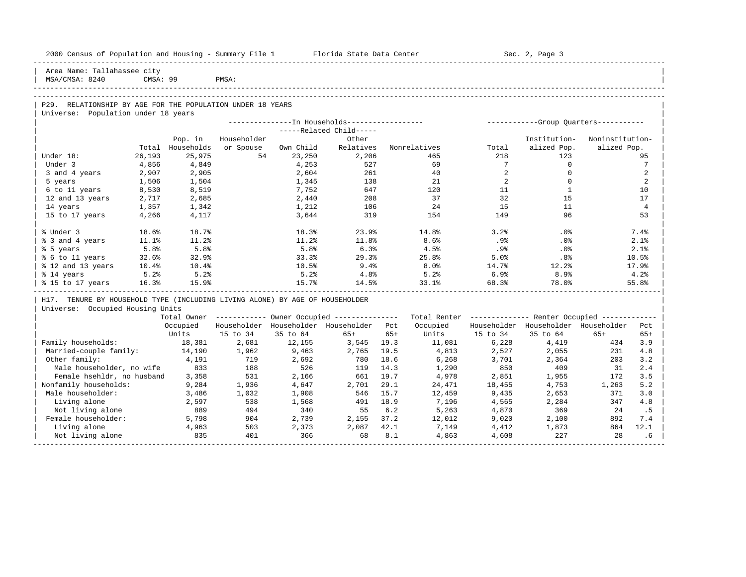| 2000 Census of Population and Housing - Summary File 1 Florida State Data Center |                 |                       |                 |                                                        |                         |       |                     |                 | Sec. 2, Page 3                                          |                 |                 |
|----------------------------------------------------------------------------------|-----------------|-----------------------|-----------------|--------------------------------------------------------|-------------------------|-------|---------------------|-----------------|---------------------------------------------------------|-----------------|-----------------|
| Area Name: Tallahassee city<br>MSA/CMSA: 8240                                    | CMSA: 99        |                       | PMSA:           |                                                        |                         |       |                     |                 |                                                         |                 |                 |
|                                                                                  |                 |                       |                 |                                                        |                         |       |                     |                 |                                                         |                 |                 |
|                                                                                  |                 |                       |                 |                                                        |                         |       |                     |                 |                                                         |                 |                 |
| P29. RELATIONSHIP BY AGE FOR THE POPULATION UNDER 18 YEARS                       |                 |                       |                 |                                                        |                         |       |                     |                 |                                                         |                 |                 |
| Universe: Population under 18 years                                              |                 |                       |                 |                                                        |                         |       |                     |                 |                                                         |                 |                 |
|                                                                                  |                 |                       |                 |                                                        |                         |       |                     |                 |                                                         |                 |                 |
|                                                                                  |                 |                       |                 |                                                        | -----Related Child----- |       |                     |                 |                                                         |                 |                 |
|                                                                                  |                 | Pop. in<br>Households | Householder     |                                                        | Other<br>Relatives      |       |                     |                 | Institution-<br>alized Pop.                             | Noninstitution- |                 |
| Under 18:                                                                        | Total<br>26,193 | 25,975                | or Spouse<br>54 | Own Child<br>23,250                                    | 2,206                   |       | Nonrelatives<br>465 | Total<br>218    | 123                                                     | alized Pop.     | 95              |
| Under 3                                                                          | 4,856           | 4,849                 |                 | 4,253                                                  | 527                     |       | 69                  | $7\overline{ }$ | $\circ$                                                 |                 | $7\phantom{.0}$ |
| 3 and 4 years                                                                    | 2,907           | 2,905                 |                 | 2,604                                                  | 261                     |       | 40                  | $\overline{a}$  | $\circ$                                                 |                 | 2               |
| 5 years                                                                          | 1,506           | 1,504                 |                 | 1,345                                                  | 138                     |       | 21                  | 2               | $\Omega$                                                |                 | $\overline{2}$  |
| 6 to 11 years                                                                    | 8,530           | 8,519                 |                 | 7,752                                                  | 647                     |       | 120                 | 11              | <sup>1</sup>                                            |                 | 10              |
| 12 and 13 years                                                                  | 2,717           | 2,685                 |                 | 2,440                                                  | 208                     |       | 37                  | 32              | 15                                                      |                 | 17              |
| 14 years                                                                         | 1,357           | 1,342                 |                 | 1,212                                                  | 106                     |       | 24                  | 15              | 11                                                      |                 | $\overline{4}$  |
| 15 to 17 years                                                                   | 4,266           | 4,117                 |                 | 3,644                                                  | 319                     |       | 154                 | 149             | 96                                                      |                 | 53              |
|                                                                                  |                 |                       |                 |                                                        |                         |       |                     |                 |                                                         |                 |                 |
| % Under 3                                                                        | 18.6%           | 18.7%                 |                 | 18.3%                                                  | 23.9%                   |       | 14.8%               | 3.2%            | .0%                                                     |                 | 7.4%            |
| % 3 and 4 years                                                                  | 11.1%           | 11.2%                 |                 | 11.2%                                                  | 11.8%                   |       | 8.6%                | .9%             | .0%                                                     |                 | 2.1%            |
| % 5 years                                                                        | 5.8%            | 5.8%                  |                 | 5.8%                                                   | 6.3%                    |       | 4.5%                | $.9\%$          | $.0\%$                                                  |                 | 2.1%            |
| % 6 to 11 years                                                                  | 32.6%           | 32.9%                 |                 | 33.3%                                                  | 29.3%                   |       | 25.8%               | 5.0%            | .8%                                                     |                 | 10.5%           |
| % 12 and 13 years                                                                | $10.4\%$        | $10.4\%$              |                 | 10.5%                                                  | $9.4\%$                 |       | 8.0%                | 14.7%           | $12.2$ °                                                |                 | 17.9%           |
| % 14 years                                                                       | 5.2%            | 5.2%                  |                 | 5.2%                                                   | 4.8%                    |       | 5.2%                | 6.9%            | 8.9%                                                    |                 | 4.2%            |
| % 15 to 17 years                                                                 | 16.3%           | 15.9%                 |                 | 15.7%                                                  | 14.5%                   |       | 33.1%               | 68.3%           | 78.0%                                                   |                 | 55.8%           |
| H17. TENURE BY HOUSEHOLD TYPE (INCLUDING LIVING ALONE) BY AGE OF HOUSEHOLDER     |                 |                       |                 |                                                        |                         |       |                     |                 |                                                         |                 |                 |
| Universe: Occupied Housing Units                                                 |                 |                       |                 |                                                        |                         |       |                     |                 |                                                         |                 |                 |
|                                                                                  |                 |                       |                 | Total Owner ------------ Owner Occupied -------------- |                         |       |                     |                 | Total Renter ------------- Renter Occupied ------------ |                 |                 |
|                                                                                  |                 | Occupied              |                 | Householder Householder Householder Pct                |                         |       | Occupied            |                 | Householder Householder Householder                     |                 | Pct             |
|                                                                                  |                 | Units                 | 15 to 34        | 35 to 64                                               | $65+$                   | $65+$ | Units               | 15 to 34        | 35 to 64                                                | $65+$           | $65+$           |
| Family households:                                                               |                 | 18,381                | 2,681           | 12,155                                                 | 3,545                   | 19.3  | 11,081              | 6,228           | 4,419                                                   | 434             | 3.9             |
| Married-couple family:                                                           |                 | 14,190                | 1,962           | 9,463                                                  | 2,765                   | 19.5  | 4,813               | 2,527           | 2,055                                                   | 231             | 4.8             |
| Other family:                                                                    |                 | 4,191                 | 719             | 2,692                                                  | 780                     | 18.6  | 6,268               | 3,701           | 2,364                                                   | 203             | 3.2             |
| Male householder, no wife                                                        |                 | 833                   | 188             | 526                                                    | 119                     | 14.3  | 1,290               | 850             | 409                                                     | 31              | 2.4             |
| Female hsehldr, no husband                                                       |                 | 3,358                 | 531             | 2,166                                                  | 661                     | 19.7  | 4,978               | 2,851           | 1,955                                                   | 172             | 3.5             |
| Nonfamily households:                                                            |                 | 9,284                 | 1,936           | 4,647                                                  | 2,701                   | 29.1  | 24,471              | 18,455          | 4,753                                                   | 1,263           | 5.2             |
| Male householder:                                                                |                 | 3,486                 | 1,032           | 1,908                                                  | 546                     | 15.7  | 12,459              | 9,435           | 2,653                                                   | 371             | 3.0             |
| Living alone                                                                     |                 | 2,597                 | 538             | 1,568                                                  | 491                     | 18.9  | 7,196               | 4,565           | 2,284                                                   | 347             | 4.8             |
| Not living alone                                                                 |                 | 889                   | 494             | 340                                                    | 55                      | 6.2   | 5,263               | 4,870           | 369                                                     | 24              | .5              |
| Female householder:                                                              |                 | 5,798                 | 904             | 2,739                                                  | 2,155                   | 37.2  | 12,012              | 9,020           | 2,100                                                   | 892             | 7.4             |
| Living alone                                                                     |                 | 4,963                 | 503             | 2,373                                                  | 2,087                   | 42.1  | 7,149               | 4,412           | 1,873                                                   | 864             | 12.1            |
| Not living alone                                                                 |                 | 835                   | 401             | 366                                                    | 68                      | 8.1   | 4,863               | 4,608           | 227                                                     | 28              | .6              |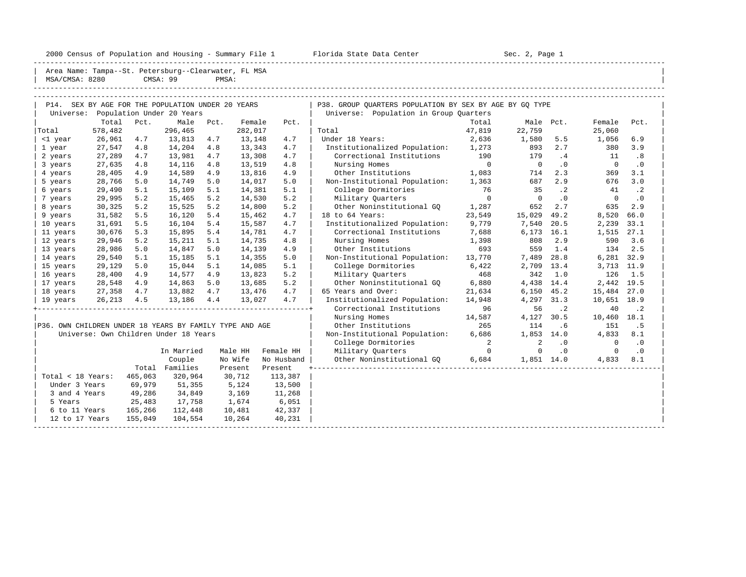2000 Census of Population and Housing - Summary File 1 Florida State Data Center Sec. 2, Page 1

| MSA/CMSA: 8280                                          |         |         | Area Name: Tampa--St. Petersburg--Clearwater, FL MSA<br>CMSA: 99 | PMSA: |         |            |                                                         |             |                |           |             |           |
|---------------------------------------------------------|---------|---------|------------------------------------------------------------------|-------|---------|------------|---------------------------------------------------------|-------------|----------------|-----------|-------------|-----------|
|                                                         |         |         | P14. SEX BY AGE FOR THE POPULATION UNDER 20 YEARS                |       |         |            | P38. GROUP OUARTERS POPULATION BY SEX BY AGE BY GO TYPE |             |                |           |             |           |
| Universe:                                               |         |         | Population Under 20 Years                                        |       |         |            | Universe: Population in Group Quarters                  |             |                |           |             |           |
|                                                         | Total   | Pct.    | Male                                                             | Pct.  | Female  | Pct.       |                                                         | Total       |                | Male Pct. | Female      | Pct.      |
| Total                                                   | 578,482 |         | 296,465                                                          |       | 282,017 |            | Total                                                   | 47,819      | 22,759         |           | 25,060      |           |
| <1 year                                                 | 26,961  | 4.7     | 13,813                                                           | 4.7   | 13,148  | 4.7        | Under 18 Years:                                         | 2,636       | 1,580          | 5.5       | 1,056       | 6.9       |
| 1 year                                                  | 27,547  | 4.8     | 14,204                                                           | 4.8   | 13,343  | 4.7        | Institutionalized Population:                           | 1,273       | 893            | 2.7       | 380         | 3.9       |
| 2 years                                                 | 27,289  | 4.7     | 13,981                                                           | 4.7   | 13,308  | 4.7        | Correctional Institutions                               | 190         | 179            | .4        | 11          | .8        |
| 3 years                                                 | 27,635  | 4.8     | 14,116                                                           | 4.8   | 13,519  | 4.8        | Nursing Homes                                           | $\mathbf 0$ | $\overline{0}$ | $\cdot$ 0 | $\Omega$    | $\cdot$ 0 |
| 4 years                                                 | 28,405  | 4.9     | 14,589                                                           | 4.9   | 13,816  | 4.9        | Other Institutions                                      | 1,083       | 714            | 2.3       | 369         | 3.1       |
| 5 years                                                 | 28,766  | 5.0     | 14,749                                                           | 5.0   | 14,017  | 5.0        | Non-Institutional Population:                           | 1,363       | 687            | 2.9       | 676         | 3.0       |
| 6 years                                                 | 29,490  | 5.1     | 15,109                                                           | 5.1   | 14,381  | 5.1        | College Dormitories                                     | 76          | 35             | $\cdot$ 2 | 41          | $\cdot$ 2 |
| 7 years                                                 | 29,995  | 5.2     | 15,465                                                           | 5.2   | 14,530  | 5.2        | Military Quarters                                       | $\Omega$    | $\Omega$       | $\cdot$ 0 | $\mathbf 0$ | $\cdot$ 0 |
| 8 years                                                 | 30,325  | 5.2     | 15,525                                                           | 5.2   | 14,800  | 5.2        | Other Noninstitutional GO                               | 1,287       | 652            | 2.7       | 635         | 2.9       |
| 9 years                                                 | 31,582  | 5.5     | 16,120                                                           | 5.4   | 15,462  | 4.7        | 18 to 64 Years:                                         | 23,549      | 15,029         | 49.2      | 8,520       | 66.0      |
| 10 years                                                | 31,691  | 5.5     | 16,104                                                           | 5.4   | 15,587  | 4.7        | Institutionalized Population:                           | 9,779       | 7,540          | 20.5      | 2,239       | 33.1      |
| 11 years                                                | 30,676  | 5.3     | 15,895                                                           | 5.4   | 14,781  | 4.7        | Correctional Institutions                               | 7,688       | 6,173          | 16.1      | 1,515       | 27.1      |
| 12 years                                                | 29,946  | 5.2     | 15,211                                                           | 5.1   | 14,735  | 4.8        | Nursing Homes                                           | 1,398       | 808            | 2.9       | 590         | 3.6       |
| 13 years                                                | 28,986  | 5.0     | 14,847                                                           | 5.0   | 14,139  | 4.9        | Other Institutions                                      | 693         | 559            | 1.4       | 134         | 2.5       |
| 14 years                                                | 29,540  | 5.1     | 15,185                                                           | 5.1   | 14,355  | 5.0        | Non-Institutional Population:                           | 13,770      | 7,489          | 28.8      | 6,281 32.9  |           |
| 15 years                                                | 29,129  | 5.0     | 15,044                                                           | 5.1   | 14,085  | 5.1        | College Dormitories                                     | 6,422       | 2,709          | 13.4      | 3,713 11.9  |           |
| 16 years                                                | 28,400  | 4.9     | 14,577                                                           | 4.9   | 13,823  | 5.2        | Military Quarters                                       | 468         | 342            | 1.0       | 126         | 1.5       |
| 17 years                                                | 28,548  | 4.9     | 14,863                                                           | 5.0   | 13,685  | 5.2        | Other Noninstitutional GO                               | 6,880       | 4,438          | 14.4      | 2,442 19.5  |           |
| 18 years                                                | 27,358  | 4.7     | 13,882                                                           | 4.7   | 13,476  | 4.7        | 65 Years and Over:                                      | 21,634      | 6,150          | 45.2      | 15,484      | 27.0      |
| 19 years                                                | 26,213  | 4.5     | 13,186                                                           | 4.4   | 13,027  | 4.7        | Institutionalized Population:                           | 14,948      | 4,297          | 31.3      | 10,651 18.9 |           |
|                                                         |         |         |                                                                  |       |         |            | Correctional Institutions                               | 96          | 56             | $\cdot$ 2 | 40          | $\cdot$ 2 |
|                                                         |         |         |                                                                  |       |         |            | Nursing Homes                                           | 14,587      | 4,127          | 30.5      | 10,460      | 18.1      |
| P36. OWN CHILDREN UNDER 18 YEARS BY FAMILY TYPE AND AGE |         |         |                                                                  |       |         |            | Other Institutions                                      | 265         | 114            | .6        | 151         | . 5       |
|                                                         |         |         | Universe: Own Children Under 18 Years                            |       |         |            | Non-Institutional Population:                           | 6,686       | 1,853          | 14.0      | 4,833       | 8.1       |
|                                                         |         |         |                                                                  |       |         |            | College Dormitories                                     | 2           | 2              | $\cdot$ 0 | 0           | $\cdot$ 0 |
|                                                         |         |         | In Married                                                       |       | Male HH | Female HH  | Military Quarters                                       | $\mathbf 0$ | 0              | $\cdot$ 0 | $\mathbf 0$ | $\cdot$ 0 |
|                                                         |         |         |                                                                  |       |         |            |                                                         |             |                |           |             |           |
|                                                         |         |         | Couple                                                           |       | No Wife | No Husband | Other Noninstitutional GO                               | 6,684       | 1,851 14.0     |           | 4,833       | 8.1       |
|                                                         |         |         | Total Families                                                   |       | Present | Present    |                                                         |             |                |           |             |           |
| Total < 18 Years:                                       |         | 465,063 | 320,964                                                          |       | 30,712  | 113,387    |                                                         |             |                |           |             |           |
| Under 3 Years                                           |         | 69,979  | 51,355                                                           |       | 5,124   | 13,500     |                                                         |             |                |           |             |           |
| 3 and 4 Years                                           |         | 49,286  | 34,849                                                           |       | 3,169   | 11,268     |                                                         |             |                |           |             |           |
| 5 Years                                                 |         | 25,483  | 17,758                                                           |       | 1,674   | 6,051      |                                                         |             |                |           |             |           |
| 6 to 11 Years                                           |         | 165,266 | 112,448                                                          |       | 10,481  | 42,337     |                                                         |             |                |           |             |           |
| 12 to 17 Years                                          |         | 155,049 | 104,554                                                          |       | 10,264  | 40,231     |                                                         |             |                |           |             |           |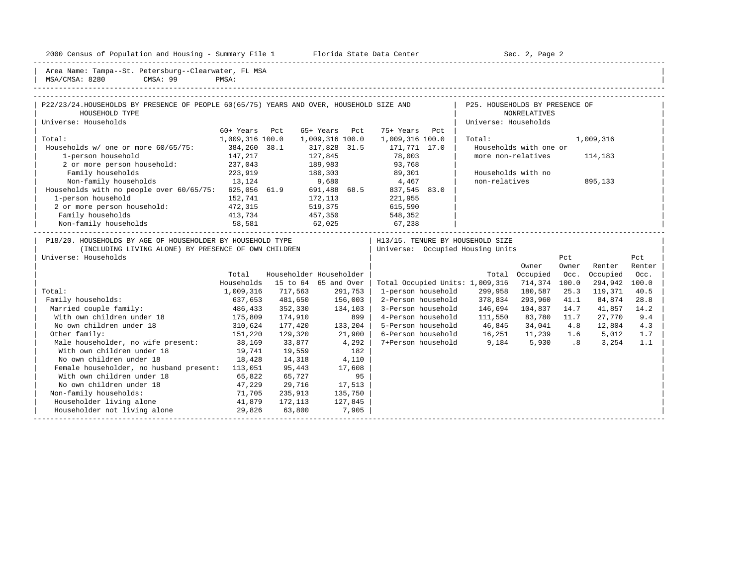2000 Census of Population and Housing - Summary File 1 Telorida State Data Center Sec. 2, Page 2

| Area Name                                       | Tampa--St                | دست ده ۱<br>$Patarshura - C$ | MSA  |  |
|-------------------------------------------------|--------------------------|------------------------------|------|--|
|                                                 | $\overline{\phantom{a}}$ | . C C C L D LV ULL           |      |  |
| MSA/<br>$1$ $\cap$ M <sub>n</sub> $\in$<br>CMSA | 8280                     | CMSA: 99                     | PMSA |  |
|                                                 |                          |                              |      |  |

| P22/23/24. HOUSEHOLDS BY PRESENCE OF PEOPLE 60(65/75) YEARS AND OVER, HOUSEHOLD SIZE AND |                 |                         |                 |         |                    |     | P25. HOUSEHOLDS BY PRESENCE OF   |                        |       |           |        |  |
|------------------------------------------------------------------------------------------|-----------------|-------------------------|-----------------|---------|--------------------|-----|----------------------------------|------------------------|-------|-----------|--------|--|
| HOUSEHOLD TYPE                                                                           |                 |                         |                 |         |                    |     |                                  | NONRELATIVES           |       |           |        |  |
| Universe: Households                                                                     |                 |                         |                 |         |                    |     | Universe: Households             |                        |       |           |        |  |
|                                                                                          | 60+ Years       | Pct                     | 65+ Years       | Pct     | 75+ Years          | Pct |                                  |                        |       |           |        |  |
| Total:                                                                                   | 1,009,316 100.0 |                         | 1,009,316 100.0 |         | 1,009,316 100.0    |     | Total:                           |                        |       | 1,009,316 |        |  |
| Households w/ one or more 60/65/75:                                                      | 384,260 38.1    |                         | 317,828 31.5    |         | 171,771 17.0       |     |                                  | Households with one or |       |           |        |  |
| 1-person household                                                                       | 147,217         |                         | 127,845         |         | 78,003             |     |                                  | more non-relatives     |       | 114,183   |        |  |
| 2 or more person household:                                                              | 237,043         |                         | 189,983         |         | 93,768             |     |                                  |                        |       |           |        |  |
| Family households                                                                        | 223,919         |                         | 180,303         |         | 89,301             |     |                                  | Households with no     |       |           |        |  |
| Non-family households                                                                    | 13,124          |                         | 9,680           |         | 4,467              |     | non-relatives                    |                        |       | 895,133   |        |  |
| Households with no people over 60/65/75:                                                 | 625,056 61.9    |                         | 691,488 68.5    |         | 837,545 83.0       |     |                                  |                        |       |           |        |  |
| 1-person household                                                                       | 152,741         |                         | 172,113         |         | 221,955            |     |                                  |                        |       |           |        |  |
| 2 or more person household:                                                              | 472,315         |                         | 519,375         |         | 615,590            |     |                                  |                        |       |           |        |  |
| Family households                                                                        | 413,734         |                         | 457,350         |         | 548,352            |     |                                  |                        |       |           |        |  |
| Non-family households                                                                    | 58,581          |                         | 62,025          |         | 67,238             |     |                                  |                        |       |           |        |  |
| P18/20. HOUSEHOLDS BY AGE OF HOUSEHOLDER BY HOUSEHOLD TYPE                               |                 |                         |                 |         |                    |     | H13/15. TENURE BY HOUSEHOLD SIZE |                        |       |           |        |  |
| (INCLUDING LIVING ALONE) BY PRESENCE OF OWN CHILDREN                                     |                 |                         |                 |         |                    |     | Universe: Occupied Housing Units |                        |       |           |        |  |
| Universe: Households                                                                     |                 |                         |                 |         |                    |     |                                  |                        | Pct   |           | Pct    |  |
|                                                                                          |                 |                         |                 |         |                    |     |                                  | Owner                  | Owner | Renter    | Renter |  |
|                                                                                          | Total           | Householder Householder |                 |         |                    |     | Total                            | Occupied               | Occ.  | Occupied  | Occ.   |  |
|                                                                                          | Households      | 15 to 64 65 and Over    |                 |         |                    |     | Total Occupied Units: 1,009,316  | 714,374 100.0          |       | 294,942   | 100.0  |  |
| Total:                                                                                   | 1,009,316       | 717,563                 |                 | 291,753 | 1-person household |     | 299,958                          | 180,587                | 25.3  | 119,371   | 40.5   |  |
|                                                                                          |                 |                         |                 |         |                    |     |                                  |                        |       |           |        |  |

|                                         | nuusenuius | 19 LU 04 | ັບບ<br>anu vver | TOLAI OCCUPIEU UNILS. I,009,310 |         |         | LUU .U | ムフェ フェム | TO TO |  |
|-----------------------------------------|------------|----------|-----------------|---------------------------------|---------|---------|--------|---------|-------|--|
| Total:                                  | 1,009,316  | 717,563  | 291,753         | 1-person household              | 299,958 | 180,587 | 25.3   | 119,371 | 40.5  |  |
| Family households:                      | 637,653    | 481,650  | 156,003         | 2-Person household              | 378,834 | 293,960 | 41.1   | 84,874  | 28.8  |  |
| Married couple family:                  | 486,433    | 352,330  | 134,103         | 3-Person household              | 146,694 | 104,837 | 14.7   | 41,857  | 14.2  |  |
| With own children under 18              | 175,809    | 174,910  | 899             | 4-Person household              | 111,550 | 83,780  | 11.7   | 27,770  | 9.4   |  |
| No own children under 18                | 310,624    | 177,420  | 133,204         | 5-Person household              | 46,845  | 34,041  | 4.8    | 12,804  | 4.3   |  |
| Other family:                           | 151,220    | 129,320  | 21,900          | 6-Person household              | 16,251  | 11,239  | 1.6    | 5,012   | 1.7   |  |
| Male householder, no wife present:      | 38,169     | 33,877   | 4,292           | 7+Person household              | 9,184   | 5,930   | .8     | 3,254   | 1.1   |  |
| With own children under 18              | 19,741     | 19,559   | 182             |                                 |         |         |        |         |       |  |
| No own children under 18                | 18,428     | 14,318   | 4,110           |                                 |         |         |        |         |       |  |
| Female householder, no husband present: | 113,051    | 95,443   | 17,608          |                                 |         |         |        |         |       |  |
| With own children under 18              | 65,822     | 65,727   | 95              |                                 |         |         |        |         |       |  |
| No own children under 18                | 47,229     | 29,716   | 17,513          |                                 |         |         |        |         |       |  |
| Non-family households:                  | 71,705     | 235,913  | 135,750         |                                 |         |         |        |         |       |  |
| Householder living alone                | 41,879     | 172,113  | 127,845         |                                 |         |         |        |         |       |  |
| Householder not living alone            | 29,826     | 63,800   | 7,905           |                                 |         |         |        |         |       |  |
|                                         |            |          |                 |                                 |         |         |        |         |       |  |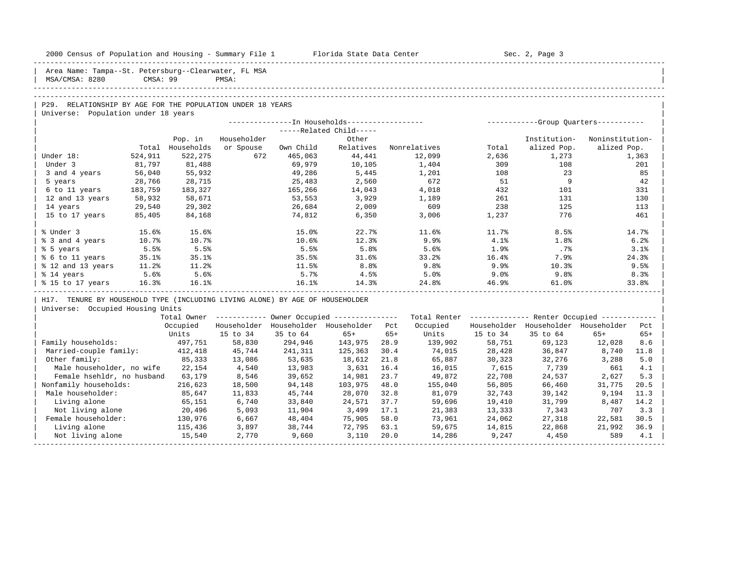| 2000 Census of Population and Housing - Summary File 1 Florida State Data Center |          |                             |                          |           |                                                        |       | ------------------------                                 |          | Sec. 2, Page 3                          |                                |       |
|----------------------------------------------------------------------------------|----------|-----------------------------|--------------------------|-----------|--------------------------------------------------------|-------|----------------------------------------------------------|----------|-----------------------------------------|--------------------------------|-------|
| Area Name: Tampa--St. Petersburg--Clearwater, FL MSA<br>MSA/CMSA: 8280           | CMSA: 99 |                             | PMSA:                    |           |                                                        |       |                                                          |          |                                         |                                |       |
|                                                                                  |          |                             |                          |           |                                                        |       |                                                          |          |                                         |                                |       |
| P29. RELATIONSHIP BY AGE FOR THE POPULATION UNDER 18 YEARS                       |          |                             |                          |           |                                                        |       |                                                          |          |                                         |                                |       |
| Universe: Population under 18 years                                              |          |                             |                          |           |                                                        |       |                                                          |          |                                         |                                |       |
|                                                                                  |          |                             |                          |           |                                                        |       |                                                          |          |                                         |                                |       |
|                                                                                  |          |                             |                          |           | -----Related Child-----                                |       |                                                          |          |                                         |                                |       |
|                                                                                  |          | Pop. in<br>Total Households | Householder<br>or Spouse | Own Child | Other<br>Relatives                                     |       | Nonrelatives                                             | Total    | Institution-<br>alized Pop.             | Noninstitution-<br>alized Pop. |       |
| Under 18:                                                                        | 524,911  | 522,275                     | 672                      | 465,063   | 44,441                                                 |       | 12,099                                                   | 2,636    | 1,273                                   |                                | 1,363 |
| Under 3                                                                          | 81,797   | 81,488                      |                          | 69,979    | 10,105                                                 |       | 1,404                                                    | 309      | 108                                     |                                | 201   |
| 3 and 4 years                                                                    | 56,040   | 55,932                      |                          | 49,286    | 5,445                                                  |       | 1,201                                                    | 108      | 23                                      |                                | 85    |
| 5 years                                                                          | 28,766   | 28,715                      |                          | 25,483    | 2,560                                                  |       | 672                                                      | 51       | 9                                       |                                | 42    |
| 6 to 11 years                                                                    | 183,759  | 183,327                     |                          | 165,266   | 14,043                                                 |       | 4,018                                                    | 432      | 101                                     |                                | 331   |
| 12 and 13 years                                                                  | 58,932   | 58,671                      |                          | 53,553    | 3,929                                                  |       | 1,189                                                    | 261      | 131                                     |                                | 130   |
| 14 years                                                                         | 29,540   | 29,302                      |                          | 26,684    | 2,009                                                  |       | 609                                                      | 238      | 125                                     |                                | 113   |
| 15 to 17 years                                                                   | 85,405   | 84,168                      |                          | 74,812    | 6,350                                                  |       | 3,006                                                    | 1,237    | 776                                     |                                | 461   |
|                                                                                  |          |                             |                          |           |                                                        |       |                                                          |          |                                         |                                |       |
| % Under 3                                                                        | 15.6%    | 15.6%                       |                          | 15.0%     | 22.7%                                                  |       | 11.6%                                                    | 11.7%    | 8.5%                                    |                                | 14.7% |
| % 3 and 4 years                                                                  | 10.7%    | 10.7%                       |                          | 10.6%     | 12.3%                                                  |       | 9.9%                                                     | 4.1%     | 1.8%                                    |                                | 6.2%  |
| % 5 years                                                                        | 5.5%     | 5.5%                        |                          | 5.5%      | 5.8%                                                   |       | 5.6%                                                     | 1.9%     | $.7\%$                                  |                                | 3.1%  |
| % 6 to 11 years                                                                  | 35.1%    | 35.1%                       |                          | 35.5%     | 31.6%                                                  |       | 33.2%                                                    | $16.4\%$ | 7.9%                                    |                                | 24.3% |
| % 12 and 13 years 11.2%                                                          |          | 11.2%                       |                          | 11.5%     | 8.8%                                                   |       | 9.8%                                                     | 9.9%     | $10.3\%$                                |                                | 9.5%  |
| % 14 years                                                                       | 5.6%     | 5.6%                        |                          | 5.7%      | 4.5%<br>$4.58$<br>14.3%                                |       | $5.0%$<br>$24.8%$                                        | 9.0%     | 9.8%                                    |                                | 8.3%  |
| % 15 to 17 years                                                                 | 16.3%    | 16.1%                       |                          | 16.1%     |                                                        |       |                                                          | 46.9%    | 61.0%                                   |                                | 33.8% |
| H17. TENURE BY HOUSEHOLD TYPE (INCLUDING LIVING ALONE) BY AGE OF HOUSEHOLDER     |          |                             |                          |           |                                                        |       |                                                          |          |                                         |                                |       |
| Universe: Occupied Housing Units                                                 |          |                             |                          |           |                                                        |       |                                                          |          |                                         |                                |       |
|                                                                                  |          |                             |                          |           | Total Owner ------------ Owner Occupied -------------- |       | Total Renter ------------- Renter Occupied ------------- |          |                                         |                                |       |
|                                                                                  |          | Occupied                    |                          |           | Householder Householder Householder Pct                |       | Occupied                                                 |          | Householder Householder Householder Pct |                                |       |
|                                                                                  |          | Units                       | 15 to 34                 | 35 to 64  | 65+                                                    | $65+$ | Units                                                    | 15 to 34 | 35 to 64                                | $65+$                          | $65+$ |
| Family households:                                                               |          | 497,751                     | 58,830                   | 294,946   | 143,975 28.9                                           |       | 139,902                                                  | 58,751   | 69,123                                  | 12,028                         | 8.6   |
| Married-couple family: 412,418                                                   |          |                             | 45,744                   | 241,311   | 125,363                                                | 30.4  | 74,015                                                   | 28,428   | 36,847                                  | 8,740                          | 11.8  |
| Other family:                                                                    |          | 85,333                      | 13,086                   | 53,635    | 18,612                                                 | 21.8  | 65,887                                                   | 30,323   | 32,276                                  | 3,288                          | 5.0   |
| Male householder, no wife 22,154                                                 |          |                             | 4,540                    | 13,983    | 3,631                                                  | 16.4  | 16,015                                                   | 7,615    | 7,739                                   | 661                            | 4.1   |
| Female hsehldr, no husband 63,179                                                |          |                             | 8,546                    | 39,652    | 14,981                                                 | 23.7  | 49,872                                                   | 22,708   | 24,537                                  | 2,627                          | 5.3   |
| Nonfamily households:                                                            |          | 216,623                     | 18,500                   | 94,148    | 103,975                                                | 48.0  | 155,040                                                  | 56,805   | 66,460                                  | 31,775                         | 20.5  |
| Male householder:                                                                |          | 85,647                      | 11,833                   | 45,744    | 28,070                                                 | 32.8  | 81,079                                                   | 32,743   | 39,142                                  | 9,194                          | 11.3  |
| Living alone                                                                     |          | 65,151                      | 6,740                    | 33,840    | 24,571                                                 | 37.7  | 59,696                                                   | 19,410   | 31,799                                  | 8,487                          | 14.2  |
| Not living alone                                                                 |          | 20,496<br>130,976           | 5,093                    | 11,904    | 3,499                                                  | 17.1  | 21,383                                                   | 13,333   | 7,343                                   | 707                            | 3.3   |
| Female householder:                                                              |          |                             | 6,667                    | 48,404    | 75,905                                                 | 58.0  | 73,961                                                   | 24,062   | 27,318                                  | 22,581                         | 30.5  |
| Living alone                                                                     |          | 115,436                     | 3,897                    | 38,744    | 72,795                                                 | 63.1  | 59,675                                                   | 14,815   | 22,868                                  | 21,992                         | 36.9  |
| Not living alone                                                                 |          | 15,540                      | 2,770                    | 9,660     | 3,110                                                  | 20.0  | 14,286                                                   | 9,247    | 4,450                                   | 589                            | 4.1   |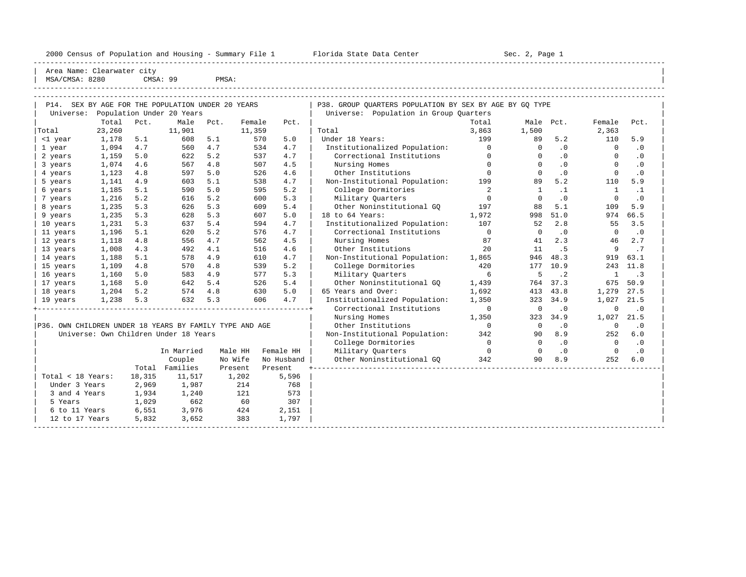|                                                   | 2000 Census of Population and Housing - Summary File 1 Florida State Data Center<br>Area Name: Clearwater city |      |                           |                               |                     |          |                                                         | Sec. 2, Page 1 |              |             |              |           |
|---------------------------------------------------|----------------------------------------------------------------------------------------------------------------|------|---------------------------|-------------------------------|---------------------|----------|---------------------------------------------------------|----------------|--------------|-------------|--------------|-----------|
| MSA/CMSA: 8280                                    |                                                                                                                |      | CMSA: 99                  | PMSA:                         |                     |          |                                                         |                |              |             |              |           |
|                                                   |                                                                                                                |      |                           |                               |                     |          |                                                         |                |              |             |              |           |
| P14. SEX BY AGE FOR THE POPULATION UNDER 20 YEARS |                                                                                                                |      |                           |                               |                     |          | P38. GROUP OUARTERS POPULATION BY SEX BY AGE BY GO TYPE |                |              |             |              |           |
| Universe:                                         |                                                                                                                |      | Population Under 20 Years |                               |                     |          | Universe: Population in Group Ouarters                  |                |              |             |              |           |
|                                                   | Total                                                                                                          | Pct. | Male                      | Pct.                          | Female              | Pct.     |                                                         | Total          | Male Pct.    |             | Female       | Pct.      |
| Total                                             | 23,260                                                                                                         |      | 11,901                    |                               | 11,359              |          | Total                                                   | 3,863          | 1,500        |             | 2,363        |           |
| <1 year                                           | 1,178                                                                                                          | 5.1  | 608                       | 5.1                           | 570                 | 5.0      | Under 18 Years:                                         | 199            | 89           | 5.2         | 110          | 5.9       |
| 1 year                                            | 1,094                                                                                                          | 4.7  | 560                       | 4.7                           | 534                 | 4.7      | Institutionalized Population:                           | $\circ$        | $\Omega$     | .0          | 0            | .0        |
| 2 years                                           | 1,159                                                                                                          | 5.0  | 622                       | 5.2                           | 537                 | 4.7      | Correctional Institutions                               | $^{\circ}$     | $\mathbf{0}$ | $\cdot$ 0   | $\circ$      | $\cdot$ 0 |
| 3 years                                           | 1,074                                                                                                          | 4.6  | 567                       | 4.8                           | 507                 | 4.5      | Nursing Homes                                           | $\mathbf{0}$   | $\mathbf{0}$ | .0          | $\circ$      | $\cdot$ 0 |
| 4 years                                           | 1,123                                                                                                          | 4.8  | 597                       | 5.0                           | 526                 | 4.6      | Other Institutions                                      | $\cap$         | $\Omega$     | $\cdot$ 0   | $^{\circ}$   | $\cdot$ 0 |
| 5 years                                           | 1,141                                                                                                          | 4.9  | 603                       | 5.1                           | 538                 | 4.7      | Non-Institutional Population:                           | 199            | 89           | 5.2         | 110          | 5.9       |
| 6 years                                           | 1,185                                                                                                          | 5.1  | 590                       | 5.0                           | 595                 | 5.2      | College Dormitories                                     | 2              |              | $\cdot$ 1   | 1            | $\cdot$ 1 |
| 7 years                                           | 1,216                                                                                                          | 5.2  | 616                       | 5.2                           | 600                 | 5.3      | Military Quarters                                       | $\circ$        |              | $\cdot$ 0   | 0            | $\cdot$ 0 |
| 8 years                                           | 1,235                                                                                                          | 5.3  | 626                       | 5.3                           | 609                 | 5.4      | Other Noninstitutional GO                               | 197            | 88           | 5.1         | 109          | 5.9       |
| 9 years                                           | 1,235                                                                                                          | 5.3  | 628                       | 5.3                           | 607                 | 5.0      | 18 to 64 Years:                                         | 1,972          | 998          | 51.0        | 974          | 66.5      |
| 10 years                                          | 1,231                                                                                                          | 5.3  | 637                       | 5.4                           | 594                 | 4.7      | Institutionalized Population:                           | 107            | 52           | 2.8         | 55           | 3.5       |
| 11 years                                          | 1,196                                                                                                          | 5.1  | 620                       | 5.2                           | 576                 | 4.7      | Correctional Institutions                               | $\overline{0}$ | $\Omega$     | $\cdot$ 0   | $\Omega$     | $\cdot$ 0 |
| 12 years                                          | 1,118                                                                                                          | 4.8  | 556                       | 4.7                           | 562                 | 4.5      | Nursing Homes                                           | 87             | 41           | 2.3         | 46           | 2.7       |
| 13 years                                          | 1,008                                                                                                          | 4.3  | 492                       | 4.1                           | 516                 | 4.6      | Other Institutions                                      | 2.0            | 11           | . 5         | 9            | .7        |
| 14 years                                          | 1,188                                                                                                          | 5.1  | 578                       | 4.9                           | 610                 | 4.7      | Non-Institutional Population: 1,865                     |                | 946          | 48.3        | 919          | 63.1      |
| 15 years                                          | 1,109                                                                                                          | 4.8  | 570                       | 4.8                           | 539                 | 5.2      | College Dormitories                                     | 420            | 177          | 10.9        | 243          | 11.8      |
| 16 years                                          | 1,160                                                                                                          | 5.0  | 583                       | 4.9                           | 577                 | 5.3      | Military Quarters                                       | 6              | 5            | $\cdot$ . 2 | $\mathbf{1}$ | $\cdot$ 3 |
| 17 years                                          | 1,168                                                                                                          | 5.0  | 642                       | 5.4                           | 526                 | 5.4      | Other Noninstitutional GO                               | 1,439          | 764          | 37.3        | 675          | 50.9      |
| 18 years                                          | 1,204                                                                                                          | 5.2  | 574                       | 4.8                           | 630                 | 5.0      | 65 Years and Over:                                      | 1,692          | 413          | 43.8        | 1,279        | 27.5      |
| 19 years                                          | 1,238                                                                                                          | 5.3  | 632                       | 5.3                           | 606                 | 4.7      | Institutionalized Population:                           | 1,350          | 323          | 34.9        | 1,027        | 21.5      |
|                                                   |                                                                                                                |      |                           |                               |                     |          | Correctional Institutions                               | $\overline{0}$ | $\mathbf 0$  | $\cdot$ 0   | 0            | $\cdot$ 0 |
|                                                   |                                                                                                                |      |                           |                               |                     |          | Nursing Homes                                           | 1,350          |              | 323 34.9    | 1,027        | 21.5      |
|                                                   | P36. OWN CHILDREN UNDER 18 YEARS BY FAMILY TYPE AND AGE                                                        |      |                           |                               | Other Institutions  | $\Omega$ | $\Omega$                                                | $\cdot$ 0      | $^{\circ}$   | $\cdot$ 0   |              |           |
|                                                   | Universe: Own Children Under 18 Years                                                                          |      |                           | Non-Institutional Population: | 342                 | 90       | 8.9                                                     | 252            | 6.0          |             |              |           |
|                                                   |                                                                                                                |      |                           |                               | College Dormitories | $\Omega$ | $\Omega$                                                | $\cdot$ 0      | $\mathbf 0$  | $\cdot$ 0   |              |           |

|                   |        | In Married | Male HH | Female HH  | 00220902020202200<br>Military Quarters |     |    | $\cdot$ $\cdot$<br>$\cdot$ 0 | $\Omega$   | $\cdot$ $\cdot$<br>$\cdot$ 0 |
|-------------------|--------|------------|---------|------------|----------------------------------------|-----|----|------------------------------|------------|------------------------------|
|                   |        | Couple     | No Wife | No Husband | Other Noninstitutional GO              | 342 | 90 | 8.9                          | 252<br>6.0 |                              |
|                   | Total  | Families   | Present | Present    |                                        |     |    |                              |            |                              |
| Total < 18 Years: | 18,315 | 11,517     | 1,202   | 5,596      |                                        |     |    |                              |            |                              |
| Under 3 Years     | 2,969  | 1,987      | 214     | 768        |                                        |     |    |                              |            |                              |
| 3 and 4 Years     | 1,934  | 1,240      | 121     | 573        |                                        |     |    |                              |            |                              |
| 5 Years           | 1,029  | 662        | 60      | 307        |                                        |     |    |                              |            |                              |
| 6 to 11 Years     | 6,551  | 3,976      | 424     | 2,151      |                                        |     |    |                              |            |                              |
| 12 to 17 Years    | 5,832  | 3,652      | 383     | 1,797      |                                        |     |    |                              |            |                              |
|                   |        |            |         |            |                                        |     |    |                              |            |                              |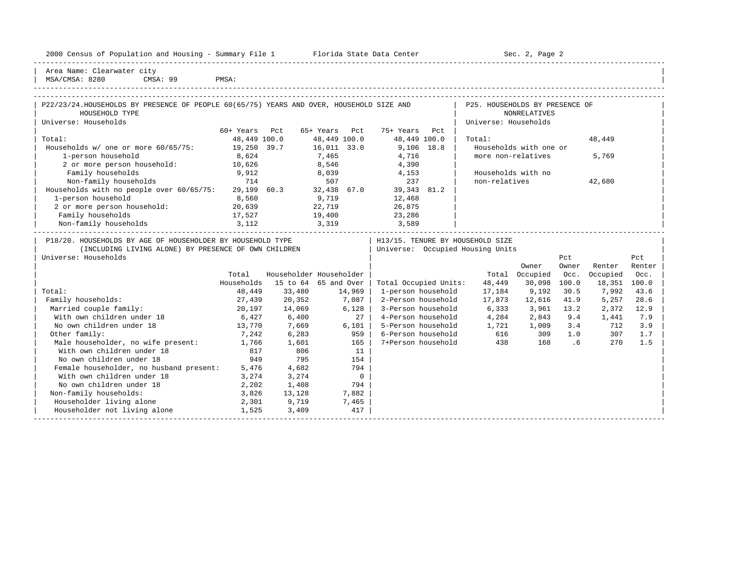|  |  |  | 2000 Census of Population and Housing - Summary File 1 |  |  |  |  |  |  |  |
|--|--|--|--------------------------------------------------------|--|--|--|--|--|--|--|
|--|--|--|--------------------------------------------------------|--|--|--|--|--|--|--|

2000 Florida State Data Center - Sec. 2, Page 2 -----------------------------------------------------------------------------------------------------------------------------------------------------

| Area Name: Clearwater city | | MSA/CMSA: 8280 CMSA: 99 PMSA:

| P22/23/24.HOUSEHOLDS BY PRESENCE OF PEOPLE 60(65/75) YEARS AND OVER, HOUSEHOLD SIZE AND<br>HOUSEHOLD TYPE |              |                         |              |                |                       |     | P25. HOUSEHOLDS BY PRESENCE OF   | <b>NONRELATIVES</b>    |       |          |        |
|-----------------------------------------------------------------------------------------------------------|--------------|-------------------------|--------------|----------------|-----------------------|-----|----------------------------------|------------------------|-------|----------|--------|
| Universe: Households                                                                                      |              |                         |              |                |                       |     | Universe: Households             |                        |       |          |        |
|                                                                                                           | 60+ Years    | Pct                     | 65+ Years    | Pct            | 75+ Years             | Pct |                                  |                        |       |          |        |
| Total:                                                                                                    | 48,449 100.0 |                         | 48,449 100.0 |                | 48,449 100.0          |     | Total:                           |                        |       | 48,449   |        |
| Households w/ one or more 60/65/75:                                                                       | 19,250 39.7  |                         | 16,011 33.0  |                | $9,106$ 18.8          |     |                                  | Households with one or |       |          |        |
| 1-person household                                                                                        | 8,624        |                         | 7,465        |                | 4,716                 |     | more non-relatives               |                        |       | 5,769    |        |
| 2 or more person household:                                                                               | 10,626       |                         | 8,546        |                | 4,390                 |     |                                  |                        |       |          |        |
| Family households                                                                                         | 9,912        |                         | 8,039        |                | 4,153                 |     | Households with no               |                        |       |          |        |
| Non-family households                                                                                     | 714          |                         | 507          |                | 237                   |     | non-relatives                    |                        |       | 42,680   |        |
| Households with no people over 60/65/75:                                                                  | 29,199 60.3  |                         | 32,438 67.0  |                | 39,343 81.2           |     |                                  |                        |       |          |        |
| 1-person household                                                                                        | 8,560        |                         | 9,719        |                | 12,468                |     |                                  |                        |       |          |        |
| 2 or more person household: 20,639                                                                        |              |                         | 22,719       |                | 26,875                |     |                                  |                        |       |          |        |
| Family households                                                                                         | 17,527       |                         | 19,400       |                | 23,286                |     |                                  |                        |       |          |        |
| Non-family households 3,112                                                                               |              | 3,319                   |              |                | 3,589                 |     |                                  |                        |       |          |        |
| P18/20. HOUSEHOLDS BY AGE OF HOUSEHOLDER BY HOUSEHOLD TYPE                                                |              |                         |              |                |                       |     | H13/15. TENURE BY HOUSEHOLD SIZE |                        |       |          |        |
| (INCLUDING LIVING ALONE) BY PRESENCE OF OWN CHILDREN                                                      |              |                         |              |                |                       |     | Universe: Occupied Housing Units |                        |       |          |        |
| Universe: Households                                                                                      |              |                         |              |                |                       |     |                                  |                        | Pct   |          | Pct    |
|                                                                                                           |              |                         |              |                |                       |     |                                  | Owner                  | Owner | Renter   | Renter |
|                                                                                                           | Total        | Householder Householder |              |                |                       |     |                                  | Total Occupied         | Occ.  | Occupied | Occ.   |
|                                                                                                           | Households   | 15 to 64 65 and Over    |              |                | Total Occupied Units: |     | 48,449                           | 30,098 100.0           |       | 18,351   | 100.0  |
| Total:                                                                                                    | 48,449       | 33,480                  |              | 14,969         | 1-person household    |     | 17,184                           | 9,192                  | 30.5  | 7,992    | 43.6   |
| Family households:                                                                                        | 27,439       | 20,352                  |              | 7,087          | 2-Person household    |     | 17,873                           | 12,616                 | 41.9  | 5,257    | 28.6   |
| Married couple family:                                                                                    | 20,197       | 14,069                  |              | 6,128          | 3-Person household    |     | 6,333                            | 3,961                  | 13.2  | 2,372    | 12.9   |
| With own children under 18                                                                                | 6,427        | 6,400                   |              | 27             | 4-Person household    |     | 4,284                            | 2,843                  | 9.4   | 1,441    | 7.9    |
| No own children under 18                                                                                  | 13,770       | 7,669                   |              | 6,101          | 5-Person household    |     | 1,721                            | 1,009                  | 3.4   | 712      | 3.9    |
| Other family:                                                                                             | 7,242        | 6,283                   |              | 959            | 6-Person household    |     | 616                              | 309                    | 1.0   | 307      | 1.7    |
| Male householder, no wife present: 1,766                                                                  |              | 1,601                   |              | 165            | 7+Person household    |     | 438                              | 168                    | .6    | 270      | 1.5    |
| With own children under 18                                                                                | 817          | 806                     |              | 11             |                       |     |                                  |                        |       |          |        |
| No own children under 18                                                                                  | 949          | 795                     |              | 154            |                       |     |                                  |                        |       |          |        |
| Female householder, no husband present: 5,476                                                             |              | 4,682                   |              | 794            |                       |     |                                  |                        |       |          |        |
| With own children under 18                                                                                | 3,274        | 3,274                   |              | $\overline{0}$ |                       |     |                                  |                        |       |          |        |
| No own children under 18                                                                                  | 2, 202       | 1,408                   |              | 794            |                       |     |                                  |                        |       |          |        |
| Non-family households:                                                                                    | 3,826        | 13,128                  |              | 7,882          |                       |     |                                  |                        |       |          |        |
| Householder living alone                                                                                  | 2,301        | 9,719                   |              | 7,465          |                       |     |                                  |                        |       |          |        |
| Householder not living alone                                                                              | 1,525        | 3,409                   |              | 417            |                       |     |                                  |                        |       |          |        |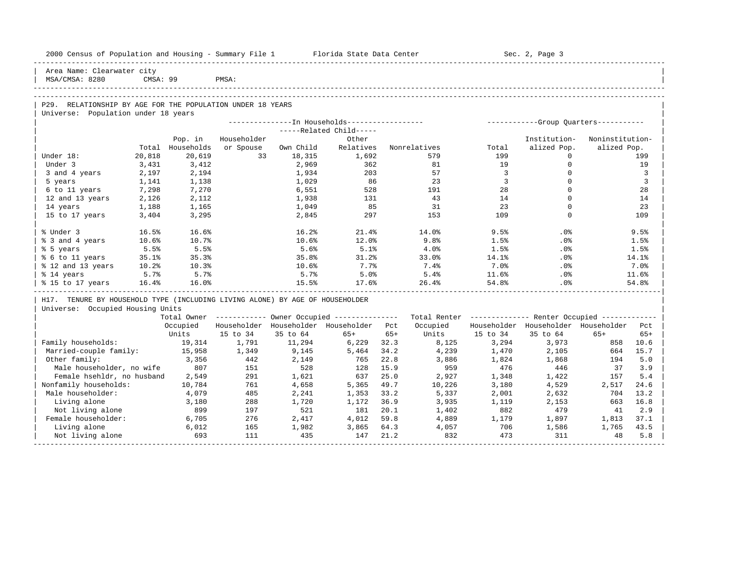| 2000 Census of Population and Housing - Summary File 1 Florida State Data Center                  |          |            |             |           |                                                       |       |                                                         |                | Sec. 2, Page 3                          |                 |                |
|---------------------------------------------------------------------------------------------------|----------|------------|-------------|-----------|-------------------------------------------------------|-------|---------------------------------------------------------|----------------|-----------------------------------------|-----------------|----------------|
| Area Name: Clearwater city<br>MSA/CMSA: 8280                                                      | CMSA: 99 |            | PMSA:       |           |                                                       |       |                                                         |                |                                         |                 |                |
|                                                                                                   |          |            |             |           |                                                       |       |                                                         |                |                                         |                 |                |
|                                                                                                   |          |            |             |           |                                                       |       |                                                         |                |                                         |                 |                |
| P29. RELATIONSHIP BY AGE FOR THE POPULATION UNDER 18 YEARS<br>Universe: Population under 18 years |          |            |             |           |                                                       |       |                                                         |                |                                         |                 |                |
|                                                                                                   |          |            |             |           |                                                       |       |                                                         |                |                                         |                 |                |
|                                                                                                   |          |            |             |           | -----Related Child-----                               |       |                                                         |                |                                         |                 |                |
|                                                                                                   |          | Pop. in    | Householder |           | Other                                                 |       |                                                         |                | Institution-                            | Noninstitution- |                |
|                                                                                                   | Total    | Households | or Spouse   | Own Child | Relatives                                             |       | Nonrelatives                                            | Total          | alized Pop.                             | alized Pop.     |                |
| Under 18:                                                                                         | 20,818   | 20,619     | 33          | 18,315    | 1,692                                                 |       | 579                                                     | 199            | $\Omega$                                |                 | 199            |
| Under 3                                                                                           | 3,431    | 3,412      |             | 2,969     | 362                                                   |       | 81                                                      | 19             | $\Omega$                                |                 | 19             |
| 3 and 4 years                                                                                     | 2,197    | 2,194      |             | 1,934     | 203                                                   |       | 57                                                      | $\overline{3}$ | $\circ$                                 |                 | 3              |
| 5 years                                                                                           | 1,141    | 1,138      |             | 1,029     | 86                                                    |       | 23                                                      | 3              | $\Omega$                                |                 | $\overline{3}$ |
| 6 to 11 years                                                                                     | 7,298    | 7,270      |             | 6,551     | 528                                                   |       | 191                                                     | 28             | $\Omega$                                |                 | 28             |
| 12 and 13 years                                                                                   | 2,126    | 2,112      |             | 1,938     | 131                                                   |       | 43                                                      | 14             | $\Omega$                                |                 | 14             |
| 14 years                                                                                          | 1,188    | 1,165      |             | 1,049     | 85                                                    |       | 31                                                      | 23             | $\Omega$                                |                 | 23             |
| 15 to 17 years                                                                                    | 3,404    | 3,295      |             | 2,845     | 297                                                   |       | 153                                                     | 109            | $\Omega$                                |                 | 109            |
| % Under 3                                                                                         | 16.5%    | 16.6%      |             | 16.2%     | 21.4%                                                 |       | 14.0%                                                   | 9.5%           | .0%                                     |                 | 9.5%           |
| % 3 and 4 years                                                                                   | 10.6%    | 10.7%      |             | 10.6%     | 12.0%                                                 |       | 9.8%                                                    | 1.5%           | .0%                                     |                 | 1.5%           |
| % 5 years                                                                                         | 5.5%     | 5.5%       |             | 5.6%      | 5.1%                                                  |       | $4.0\%$                                                 | 1.5%           | $.0\%$                                  |                 | 1.5%           |
| % 6 to 11 years                                                                                   | 35.1%    | 35.3%      |             | 35.8%     | 31.2%                                                 |       | 33.0%                                                   | 14.1%          | .0%                                     |                 | 14.1%          |
| % 12 and 13 years                                                                                 | 10.2%    | 10.3%      |             | $10.6\%$  | 7.7%                                                  |       | 7.4%                                                    | 7.0%           | .0%                                     |                 | 7.0%           |
| % 14 years                                                                                        | 5.7%     | 5.7%       |             | 5.7%      | 5.0%                                                  |       | 5.4%                                                    | 11.6%          | $.0\%$                                  |                 | 11.6%          |
| % 15 to 17 years                                                                                  | 16.4%    | 16.0%      |             | 15.5%     | 17.6%                                                 |       | 26.4%                                                   | 54.8%          | .0%                                     |                 | 54.8%          |
| H17. TENURE BY HOUSEHOLD TYPE (INCLUDING LIVING ALONE) BY AGE OF HOUSEHOLDER                      |          |            |             |           |                                                       |       |                                                         |                |                                         |                 |                |
| Universe: Occupied Housing Units                                                                  |          |            |             |           |                                                       |       |                                                         |                |                                         |                 |                |
|                                                                                                   |          |            |             |           | Total Owner ----------- Owner Occupied -------------- |       | Total Renter ------------- Renter Occupied ------------ |                |                                         |                 |                |
|                                                                                                   |          | Occupied   |             |           | Householder Householder Householder Pct               |       | Occupied                                                |                | Householder Householder Householder Pct |                 |                |
|                                                                                                   |          | Units      | 15 to 34    | 35 to 64  | 65+                                                   | $65+$ | Units                                                   | 15 to 34       | 35 to 64                                | $65+$           | $65+$          |
| Family households:                                                                                |          | 19,314     | 1,791       | 11,294    | 6,229                                                 | 32.3  | 8,125                                                   | 3.294          | 3,973                                   |                 | 858 10.6       |
| Married-couple family:                                                                            |          | 15,958     | 1,349       | 9,145     | 5,464                                                 | 34.2  | 4,239                                                   | 1,470          | 2,105                                   | 664             | 15.7           |
| Other family:                                                                                     |          | 3,356      | 442         | 2,149     | 765                                                   | 22.8  | 3,886                                                   | 1,824          | 1,868                                   | 194             | 5.0            |
| Male householder, no wife                                                                         |          | 807        | 151         | 528       | 128                                                   | 15.9  | 959                                                     | 476            | 446                                     | 37              | 3.9            |
| Female hsehldr, no husband                                                                        |          | 2,549      | 291         | 1,621     | 637                                                   | 25.0  | 2,927                                                   | 1,348          | 1,422                                   | 157             | 5.4            |
| Nonfamily households:                                                                             |          | 10,784     | 761         | 4,658     | 5,365                                                 | 49.7  | 10,226                                                  | 3,180          | 4,529                                   | 2,517           | 24.6           |
| Male householder:                                                                                 |          | 4,079      | 485         | 2,241     | 1,353                                                 | 33.2  | 5,337                                                   | 2,001          | 2,632                                   | 704             | 13.2           |
| Living alone                                                                                      |          | 3,180      | 288         | 1,720     | 1,172                                                 | 36.9  | 3,935                                                   | 1,119          | 2,153                                   | 663             | 16.8           |
| Not living alone                                                                                  |          | 899        | 197         | 521       | 181                                                   | 20.1  | 1,402                                                   | 882            | 479                                     | 41              | 2.9            |
| Female householder:                                                                               |          | 6,705      | 276         | 2,417     | 4,012                                                 | 59.8  | 4,889                                                   | 1,179          | 1,897                                   | 1,813           | 37.1           |
| Living alone                                                                                      |          | 6,012      | 165         | 1,982     | 3,865                                                 | 64.3  | 4,057                                                   | 706            | 1,586                                   | 1,765           | 43.5           |
| Not living alone                                                                                  |          | 693        | 111         | 435       | 147                                                   | 21.2  | 832                                                     | 473            | 311                                     | 48              | 5.8            |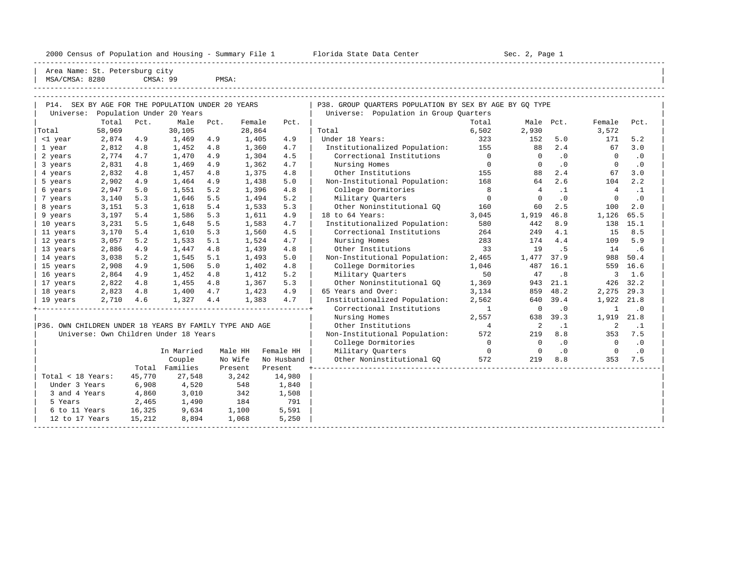| Area Name: St. Petersburg city                          |        |        |                                                   |       |         |            |                                                         |                          |                |                |                |           |
|---------------------------------------------------------|--------|--------|---------------------------------------------------|-------|---------|------------|---------------------------------------------------------|--------------------------|----------------|----------------|----------------|-----------|
| MSA/CMSA: 8280                                          |        |        | CMSA: 99                                          | PMSA: |         |            |                                                         |                          |                |                |                |           |
|                                                         |        |        | P14. SEX BY AGE FOR THE POPULATION UNDER 20 YEARS |       |         |            | P38. GROUP OUARTERS POPULATION BY SEX BY AGE BY GO TYPE |                          |                |                |                |           |
|                                                         |        |        | Universe: Population Under 20 Years               |       |         |            | Universe: Population in Group Quarters                  |                          |                |                |                |           |
|                                                         | Total  | Pct.   | Male                                              | Pct.  | Female  | Pct.       |                                                         | Total                    |                | Male Pct.      | Female         | Pct.      |
| Total                                                   | 58,969 |        | 30,105                                            |       | 28,864  |            | Total                                                   | 6,502                    | 2,930          |                | 3,572          |           |
| <1 year                                                 | 2,874  | 4.9    | 1,469                                             | 4.9   | 1,405   | 4.9        | Under 18 Years:                                         | 323                      | 152            | 5.0            | 171            | 5.2       |
| 1 year                                                  | 2,812  | 4.8    | 1,452                                             | 4.8   | 1,360   | 4.7        | Institutionalized Population:                           | 155                      | 88             | 2.4            | 67             | 3.0       |
| 2 years                                                 | 2,774  | 4.7    | 1,470                                             | 4.9   | 1,304   | 4.5        | Correctional Institutions                               | $\overline{0}$           | $\Omega$       | $\overline{0}$ | $\Omega$       | $\cdot$ 0 |
| 3 years                                                 | 2,831  | 4.8    | 1,469                                             | 4.9   | 1,362   | 4.7        | Nursing Homes                                           | $\overline{0}$           | $\Omega$       | $\cdot$ 0      | $\Omega$       | $\cdot$ 0 |
| 4 years                                                 | 2,832  | 4.8    | 1,457                                             | 4.8   | 1,375   | 4.8        | Other Institutions                                      | 155                      | 88             | 2.4            | 67             | 3.0       |
| 5 years                                                 | 2,902  | 4.9    | 1,464                                             | 4.9   | 1,438   | 5.0        | Non-Institutional Population:                           | 168                      | 64             | 2.6            | 104            | 2.2       |
| 6 years                                                 | 2,947  | 5.0    | 1,551                                             | 5.2   | 1,396   | 4.8        | College Dormitories                                     | 8                        | $\overline{4}$ | $\cdot$ 1      | $\overline{4}$ | $\cdot$ 1 |
| 7 years                                                 | 3,140  | 5.3    | 1,646                                             | 5.5   | 1,494   | 5.2        | Military Quarters                                       | $\overline{0}$           | $\Omega$       | $\cdot$ 0      | $\circ$        | $\cdot$ 0 |
| 8 years                                                 | 3,151  | 5.3    | 1,618                                             | 5.4   | 1,533   | 5.3        | Other Noninstitutional GO                               | 160                      | 60             | 2.5            | 100            | 2.0       |
| 9 years                                                 | 3,197  | 5.4    | 1,586                                             | 5.3   | 1,611   | 4.9        | 18 to 64 Years:                                         | 3,045                    | 1,919          | 46.8           | 1,126          | 65.5      |
| 10 years                                                | 3,231  | 5.5    | 1,648                                             | 5.5   | 1,583   | 4.7        | Institutionalized Population:                           | 580                      | 442            | 8.9            | 138            | 15.1      |
| 11 years                                                | 3,170  | 5.4    | 1,610                                             | 5.3   | 1,560   | 4.5        | Correctional Institutions                               | 264                      | 249            | 4.1            | 15             | 8.5       |
| 12 years                                                | 3,057  | 5.2    | 1,533                                             | 5.1   | 1,524   | 4.7        | Nursing Homes                                           | 283                      | 174            | 4.4            | 109            | 5.9       |
| 13 years                                                | 2,886  | 4.9    | 1,447                                             | 4.8   | 1,439   | 4.8        | Other Institutions                                      | 33                       | 19             | .5             | 14             | .6        |
| 14 years                                                | 3,038  | 5.2    | 1,545                                             | 5.1   | 1,493   | 5.0        | Non-Institutional Population:                           | 2,465                    | 1,477          | 37.9           | 988            | 50.4      |
| 15 years                                                | 2,908  | 4.9    | 1,506                                             | 5.0   | 1,402   | 4.8        | College Dormitories                                     | 1,046                    | 487            | 16.1           | 559            | 16.6      |
| 16 years                                                | 2,864  | 4.9    | 1,452                                             | 4.8   | 1,412   | 5.2        | Military Quarters                                       | 50                       | 47             | .8             | 3              | 1.6       |
| 17 years                                                | 2,822  | 4.8    | 1,455                                             | 4.8   | 1,367   | 5.3        | Other Noninstitutional GO                               | 1,369                    | 943            | 21.1           | 426            | 32.2      |
| 18 years                                                | 2,823  | 4.8    | 1,400                                             | 4.7   | 1,423   | 4.9        | 65 Years and Over:                                      | 3,134                    | 859            | 48.2           | 2,275          | 29.3      |
| 19 years                                                | 2,710  | 4.6    | 1,327                                             | 4.4   | 1,383   | 4.7        | Institutionalized Population:                           | 2,562                    |                | 640 39.4       | 1,922          | 21.8      |
|                                                         |        |        |                                                   |       |         |            | Correctional Institutions                               | $\mathbf{1}$             | $\overline{0}$ | $\cdot$ 0      | 1              | $\cdot$ 0 |
|                                                         |        |        |                                                   |       |         |            | Nursing Homes                                           | 2,557                    | 638            | 39.3           | 1,919          | 21.8      |
| P36. OWN CHILDREN UNDER 18 YEARS BY FAMILY TYPE AND AGE |        |        |                                                   |       |         |            | Other Institutions                                      | $\overline{4}$           | 2              | $\cdot$ 1      | 2              | $\cdot$ 1 |
|                                                         |        |        | Universe: Own Children Under 18 Years             |       |         |            | Non-Institutional Population:                           | 572                      | 219            | 8.8            | 353            | 7.5       |
|                                                         |        |        |                                                   |       |         |            | College Dormitories                                     | $\overline{\phantom{0}}$ | $\overline{0}$ | $\cdot$ 0      | $\overline{0}$ | $\cdot$ 0 |
|                                                         |        |        | In Married                                        |       | Male HH | Female HH  | Military Quarters                                       | $\overline{0}$           | $\overline{0}$ | $\cdot$ 0      | $\mathbf{0}$   | $\cdot$ 0 |
|                                                         |        |        | Couple                                            |       | No Wife | No Husband | Other Noninstitutional GQ                               | 572                      | 219            | 8.8            | 353            | 7.5       |
|                                                         |        |        | Total Families                                    |       | Present | Present    |                                                         |                          |                |                |                |           |
| Total < 18 Years:                                       |        | 45,770 | 27,548                                            |       | 3,242   | 14,980     |                                                         |                          |                |                |                |           |
| Under 3 Years                                           |        | 6,908  | 4,520                                             |       | 548     | 1,840      |                                                         |                          |                |                |                |           |

| 3 and 4 Years 4,860 3,010 342 1,508 | | | 5 Years 2,465 1,490 184 791 | |

| 12 to 17 Years 15,212 8,894 1,068 5,250 | |

6 to 11 Years 16,325 9,634 1,100 5,591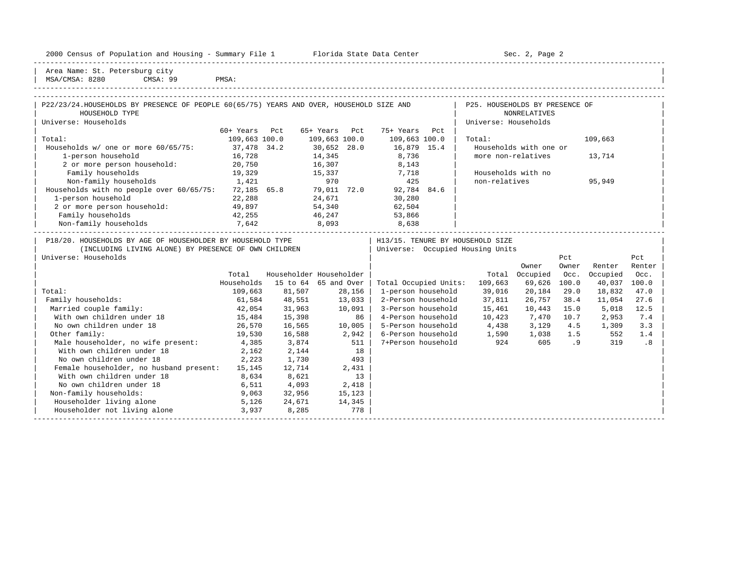| 2000<br>Jensus          | ---<br>and<br>Population | Housing<br>$\sim$<br>sum.<br>umma. | Center<br>Florida<br>Dald<br>51.dl.e | ∕ ∼<br>∍aαe<br>ມອບ |
|-------------------------|--------------------------|------------------------------------|--------------------------------------|--------------------|
| ----------------------- |                          |                                    |                                      |                    |

2000 Florida State Data Center - Sec. 2, Page 2

| Area Name: St. Petersburg city | | MSA/CMSA: 8280 CMSA: 99 PMSA:

| P22/23/24. HOUSEHOLDS BY PRESENCE OF PEOPLE 60(65/75) YEARS AND OVER, HOUSEHOLD SIZE AND |               |                         |               |     |                       |     | P25. HOUSEHOLDS BY PRESENCE OF   |                        |       |          |        |  |
|------------------------------------------------------------------------------------------|---------------|-------------------------|---------------|-----|-----------------------|-----|----------------------------------|------------------------|-------|----------|--------|--|
| HOUSEHOLD TYPE                                                                           |               |                         |               |     |                       |     |                                  | NONRELATIVES           |       |          |        |  |
| Universe: Households                                                                     |               |                         |               |     |                       |     | Universe: Households             |                        |       |          |        |  |
|                                                                                          | 60+ Years     | Pct                     | 65+ Years     | Pct | 75+ Years             | Pct |                                  |                        |       |          |        |  |
| Total:                                                                                   | 109,663 100.0 |                         | 109,663 100.0 |     | 109,663 100.0         |     | Total:                           |                        |       | 109,663  |        |  |
| Households $w/$ one or more $60/65/75$ :                                                 | 37,478 34.2   |                         | 30,652 28.0   |     | 16,879 15.4           |     |                                  | Households with one or |       |          |        |  |
| 1-person household                                                                       | 16,728        |                         | 14,345        |     | 8,736                 |     | more non-relatives               |                        |       | 13,714   |        |  |
| 2 or more person household:                                                              | 20,750        |                         | 16,307        |     | 8,143                 |     |                                  |                        |       |          |        |  |
| Family households                                                                        | 19,329        |                         | 15,337        |     | 7,718                 |     |                                  | Households with no     |       |          |        |  |
| Non-family households                                                                    | 1,421         |                         | 970           |     | 425                   |     | non-relatives                    |                        |       | 95,949   |        |  |
| Households with no people over 60/65/75:                                                 | 72,185 65.8   |                         | 79,011 72.0   |     | 92,784 84.6           |     |                                  |                        |       |          |        |  |
| 1-person household                                                                       | 22,288        |                         | 24,671        |     | 30,280                |     |                                  |                        |       |          |        |  |
| 2 or more person household:                                                              | 49,897        |                         | 54,340        |     | 62,504                |     |                                  |                        |       |          |        |  |
| Family households                                                                        | 42,255        |                         | 46,247        |     | 53,866                |     |                                  |                        |       |          |        |  |
| Non-family households                                                                    | 7,642         |                         | 8,093         |     | 8,638                 |     |                                  |                        |       |          |        |  |
| P18/20. HOUSEHOLDS BY AGE OF HOUSEHOLDER BY HOUSEHOLD TYPE                               |               |                         |               |     |                       |     | H13/15. TENURE BY HOUSEHOLD SIZE |                        |       |          |        |  |
| (INCLUDING LIVING ALONE) BY PRESENCE OF OWN CHILDREN                                     |               |                         |               |     |                       |     | Universe: Occupied Housing Units |                        |       |          |        |  |
| Universe: Households                                                                     |               |                         |               |     |                       |     |                                  |                        | Pct   |          | Pct    |  |
|                                                                                          |               |                         |               |     |                       |     |                                  | Owner                  | Owner | Renter   | Renter |  |
|                                                                                          | Total         | Householder Householder |               |     |                       |     | Total                            | Occupied               | Occ.  | Occupied | Occ.   |  |
|                                                                                          | Households    | 15 to 64 65 and Over    |               |     | Total Occupied Units: |     | 109,663                          | 69,626                 | 100.0 | 40,037   | 100.0  |  |

|                                         | Total      |          | Householder Householder |                       | Total   | Occupied | Occ.  | Occupied | Occ.  |  |
|-----------------------------------------|------------|----------|-------------------------|-----------------------|---------|----------|-------|----------|-------|--|
|                                         | Households | 15 to 64 | 65 and Over             | Total Occupied Units: | 109,663 | 69,626   | 100.0 | 40,037   | 100.0 |  |
| Total:                                  | 109,663    | 81,507   | 28,156                  | 1-person household    | 39,016  | 20,184   | 29.0  | 18,832   | 47.0  |  |
| Family households:                      | 61,584     | 48,551   | 13,033                  | 2-Person household    | 37,811  | 26,757   | 38.4  | 11,054   | 27.6  |  |
| Married couple family:                  | 42,054     | 31,963   | 10,091                  | 3-Person household    | 15,461  | 10,443   | 15.0  | 5,018    | 12.5  |  |
| With own children under 18              | 15,484     | 15,398   | 86                      | 4-Person household    | 10,423  | 7,470    | 10.7  | 2,953    | 7.4   |  |
| No own children under 18                | 26,570     | 16,565   | 10,005                  | 5-Person household    | 4,438   | 3,129    | 4.5   | 1,309    | 3.3   |  |
| Other family:                           | 19,530     | 16,588   | 2,942                   | 6-Person household    | 1,590   | 1,038    | 1.5   | 552      | 1.4   |  |
| Male householder, no wife present:      | 4,385      | 3,874    | 511                     | 7+Person household    | 924     | 605      | .9    | 319      | . 8   |  |
| With own children under 18              | 2,162      | 2,144    | 18                      |                       |         |          |       |          |       |  |
| No own children under 18                | 2,223      | 1,730    | 493                     |                       |         |          |       |          |       |  |
| Female householder, no husband present: | 15,145     | 12,714   | 2,431                   |                       |         |          |       |          |       |  |
| With own children under 18              | 8,634      | 8,621    | 13                      |                       |         |          |       |          |       |  |
| No own children under 18                | 6,511      | 4,093    | 2,418                   |                       |         |          |       |          |       |  |
| Non-family households:                  | 9,063      | 32,956   | 15,123                  |                       |         |          |       |          |       |  |
| Householder living alone                | 5,126      | 24,671   | 14,345                  |                       |         |          |       |          |       |  |
| Householder not living alone            | 3,937      | 8,285    | 778                     |                       |         |          |       |          |       |  |
|                                         |            |          |                         |                       |         |          |       |          |       |  |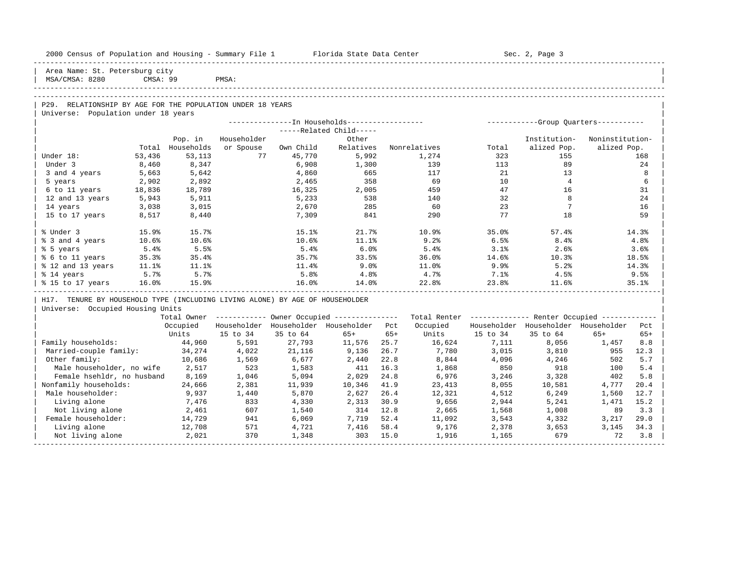| 2000 Census of Population and Housing - Summary File 1 Florida State Data Center |          |                   |                |                 |                                                        |              |                                                                                        |                | Sec. 2, Page 3                                          |                 |             |
|----------------------------------------------------------------------------------|----------|-------------------|----------------|-----------------|--------------------------------------------------------|--------------|----------------------------------------------------------------------------------------|----------------|---------------------------------------------------------|-----------------|-------------|
| Area Name: St. Petersburg city<br>MSA/CMSA: 8280                                 | CMSA: 99 |                   | PMSA:          |                 |                                                        |              |                                                                                        |                |                                                         |                 |             |
|                                                                                  |          |                   |                |                 |                                                        |              |                                                                                        |                |                                                         |                 |             |
|                                                                                  |          |                   |                |                 |                                                        |              |                                                                                        |                |                                                         |                 |             |
| P29. RELATIONSHIP BY AGE FOR THE POPULATION UNDER 18 YEARS                       |          |                   |                |                 |                                                        |              |                                                                                        |                |                                                         |                 |             |
| Universe: Population under 18 years                                              |          |                   |                |                 |                                                        |              | ---------------- In Households----------------- - ------------Group Quarters---------- |                |                                                         |                 |             |
|                                                                                  |          |                   |                |                 | -----Related Child-----                                |              |                                                                                        |                |                                                         |                 |             |
|                                                                                  |          | Pop. in           | Householder    |                 | Other                                                  |              |                                                                                        |                | Institution-                                            | Noninstitution- |             |
|                                                                                  |          | Total Households  | or Spouse      | Own Child       | Relatives                                              |              | Nonrelatives                                                                           | Total          | alized Pop.                                             | alized Pop.     |             |
| Under 18:                                                                        | 53,436   | 53, 113           | 77             | 45,770          | 5,992                                                  |              | 1,274                                                                                  | 323            | 155                                                     |                 | 168         |
| Under 3                                                                          | 8,460    | 8,347             |                | 6,908           | 1,300                                                  |              | 139                                                                                    | 113            | 89                                                      |                 | 24          |
| 3 and 4 years                                                                    | 5,663    | 5,642             |                | 4,860           | 665                                                    |              | 117                                                                                    | 21             | 13                                                      |                 | 8           |
| 5 years                                                                          | 2,902    | 2,892             |                | 2,465           | 358                                                    |              | 69                                                                                     | 10             | $\overline{4}$                                          |                 | 6           |
| 6 to 11 years                                                                    | 18,836   | 18,789            |                | 16,325          | 2,005                                                  |              | 459                                                                                    | 47             | 16                                                      |                 | 31          |
| 12 and 13 years                                                                  | 5,943    | 5,911             |                | 5,233           | 538                                                    |              | 140                                                                                    | 32             | 8                                                       |                 | 24          |
| 14 years                                                                         | 3,038    | 3,015             |                | 2,670           | 285                                                    |              | 60                                                                                     | 23             | $7\overline{ }$                                         |                 | 16          |
| 15 to 17 years                                                                   | 8,517    | 8,440             |                | 7,309           | 841                                                    |              | 290                                                                                    | 77             | 18                                                      |                 | 59          |
| % Under 3                                                                        | 15.9%    | 15.7%             |                | 15.1%           | 21.7%                                                  |              | 10.9%                                                                                  | 35.0%          | 57.4%                                                   |                 | 14.3%       |
| % 3 and 4 years                                                                  | 10.6%    | 10.6%             |                | 10.6%           | 11.1%                                                  |              | 9.2%                                                                                   | 6.5%           | 8.4%                                                    |                 | 4.8%        |
| % 5 years                                                                        | 5.4%     | 5.5%              |                | 5.4%            | 6.0%                                                   |              | 5.4%                                                                                   | 3.1%           | $2.6\%$                                                 |                 | 3.6%        |
| % 6 to 11 years                                                                  | 35.3%    | 35.4%             |                | 35.7%           | 33.5%                                                  |              | 36.0%                                                                                  | $14.6\%$       | 10.3%                                                   |                 | 18.5%       |
| % 12 and 13 years                                                                | $11.1\%$ | 11.1%             |                | $11.4\%$        | $9.0\%$                                                |              | 11.0%                                                                                  | 9.9%           | 5.2%                                                    |                 | 14.3%       |
| % 14 years                                                                       | 5.7%     | 5.7%              |                | 5.8%            | 4.8%                                                   |              | 4.7%                                                                                   | $7.1\%$        | 4.5%                                                    |                 | 9.5%        |
| % 15 to 17 years                                                                 | 16.0%    | 15.9%             |                | 16.0%           | 14.0%                                                  |              | 22.8%                                                                                  | 23.8%          | 11.6%                                                   |                 | 35.1%       |
| H17. TENURE BY HOUSEHOLD TYPE (INCLUDING LIVING ALONE) BY AGE OF HOUSEHOLDER     |          |                   |                |                 |                                                        |              |                                                                                        |                |                                                         |                 |             |
| Universe: Occupied Housing Units                                                 |          |                   |                |                 |                                                        |              |                                                                                        |                |                                                         |                 |             |
|                                                                                  |          |                   |                |                 | Total Owner ------------ Owner Occupied -------------- |              |                                                                                        |                | Total Renter ------------- Renter Occupied ------------ |                 |             |
|                                                                                  |          | Occupied          |                |                 | Householder Householder Householder Pct                |              | Occupied                                                                               |                | Householder Householder Householder                     |                 | Pct         |
|                                                                                  |          | Units             | 15 to 34       | 35 to 64        | $65+$                                                  | $65+$        | Units                                                                                  | 15 to 34       | 35 to 64                                                | $65+$           | $65+$       |
| Family households:                                                               |          | 44,960            | 5,591          | 27,793          | 11,576                                                 | 25.7         | 16,624                                                                                 | 7,111          | 8,056                                                   | 1,457           | 8.8         |
| Married-couple family:<br>Other family:                                          |          | 34, 274<br>10,686 | 4,022<br>1,569 | 21,116<br>6,677 | 9,136<br>2,440                                         | 26.7<br>22.8 | 7,780<br>8,844                                                                         | 3,015<br>4,096 | 3,810<br>4,246                                          | 955<br>502      | 12.3<br>5.7 |
| Male householder, no wife                                                        |          | 2,517             | 523            | 1,583           | 411                                                    | 16.3         | 1,868                                                                                  | 850            | 918                                                     | 100             | 5.4         |
| Female hsehldr, no husband                                                       |          | 8,169             | 1,046          | 5,094           | 2,029                                                  | 24.8         | 6,976                                                                                  | 3,246          | 3,328                                                   | 402             | 5.8         |
| Nonfamily households:                                                            |          | 24,666            | 2,381          | 11,939          | 10,346                                                 | 41.9         | 23,413                                                                                 | 8,055          | 10,581                                                  | 4,777           | 20.4        |
| Male householder:                                                                |          | 9,937             | 1,440          | 5,870           | 2,627                                                  | 26.4         | 12,321                                                                                 | 4,512          | 6,249                                                   | 1,560           | 12.7        |
| Living alone                                                                     |          | 7,476             | 833            | 4,330           | 2,313                                                  | 30.9         | 9,656                                                                                  | 2,944          | 5,241                                                   | 1,471           | 15.2        |
| Not living alone                                                                 |          | 2,461             | 607            | 1,540           | 314 12.8                                               |              | 2,665                                                                                  | 1,568          | 1,008                                                   | 89              | 3.3         |
| Female householder:                                                              |          | 14,729            | 941            | 6,069           | 7,719                                                  | 52.4         | 11,092                                                                                 | 3,543          | 4,332                                                   | 3,217           | 29.0        |
| Living alone                                                                     |          | 12,708            | 571            | 4,721           | 7,416                                                  | 58.4         | 9,176                                                                                  | 2,378          | 3,653                                                   | 3,145           | 34.3        |
| Not living alone                                                                 |          | 2,021             | 370            | 1,348           | 303 15.0                                               |              | 1,916                                                                                  | 1,165          | 679                                                     | 72              | 3.8         |
|                                                                                  |          |                   |                |                 |                                                        |              |                                                                                        |                |                                                         |                 |             |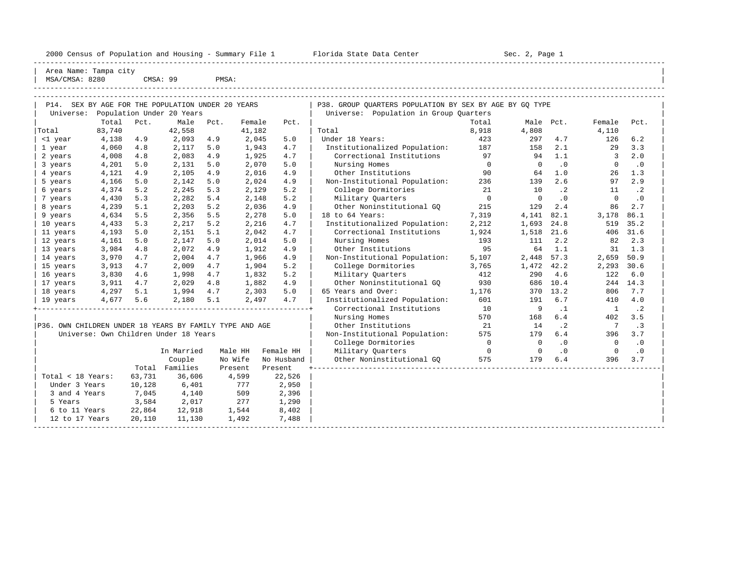| 2000 Census of Population and Housing - Summary File 1 |  |  |  |  |  |  |  |  |  |  |  |  |  |  |  |  |  |  |  |  |  |  |  |  |  |  |  |  |  |  |  |  |  |  |  |  |  |  |  |  |  |  |  |  |  |  |  |  |  |  |  |  |  |  |  |  |  |  |  |  |  |  |  |  |  |  |  |  |  |  |  |  |  |  |  |  |  |  |  |  |  |  |  |  |  |  |  |  |  |  |  |  |  |  |  |  |  |  |  |  |  |  |  |  |  |  |  |  |  |  |  |  |  |  |  |  |  |  |  |  |  |  |  |  |  |  |  |  |  |  |  |  |  |  |  |  |  |  |  |  |  |  |  |  |  |  |
|--------------------------------------------------------|--|--|--|--|--|--|--|--|--|--|--|--|--|--|--|--|--|--|--|--|--|--|--|--|--|--|--|--|--|--|--|--|--|--|--|--|--|--|--|--|--|--|--|--|--|--|--|--|--|--|--|--|--|--|--|--|--|--|--|--|--|--|--|--|--|--|--|--|--|--|--|--|--|--|--|--|--|--|--|--|--|--|--|--|--|--|--|--|--|--|--|--|--|--|--|--|--|--|--|--|--|--|--|--|--|--|--|--|--|--|--|--|--|--|--|--|--|--|--|--|--|--|--|--|--|--|--|--|--|--|--|--|--|--|--|--|--|--|--|--|--|--|--|--|--|--|
|--------------------------------------------------------|--|--|--|--|--|--|--|--|--|--|--|--|--|--|--|--|--|--|--|--|--|--|--|--|--|--|--|--|--|--|--|--|--|--|--|--|--|--|--|--|--|--|--|--|--|--|--|--|--|--|--|--|--|--|--|--|--|--|--|--|--|--|--|--|--|--|--|--|--|--|--|--|--|--|--|--|--|--|--|--|--|--|--|--|--|--|--|--|--|--|--|--|--|--|--|--|--|--|--|--|--|--|--|--|--|--|--|--|--|--|--|--|--|--|--|--|--|--|--|--|--|--|--|--|--|--|--|--|--|--|--|--|--|--|--|--|--|--|--|--|--|--|--|--|--|--|

2000 Florida State Data Center - Summary Sec. 2, Page 1

| P14. SEX BY AGE FOR THE POPULATION UNDER 20 YEARS<br>P38. GROUP OUARTERS POPULATION BY SEX BY AGE BY GO TYPE<br>Universe:<br>Population Under 20 Years<br>Universe: Population in Group Quarters<br>Total<br>Pct.<br>Male<br>Pct.<br>Total<br>Male Pct.<br>Female<br>Pct.<br>Female<br>Pct.<br>83,740<br>42,558<br>41,182<br>8,918<br>4,808<br>4,110<br>Total<br>Total<br>4,138<br>2,045<br>423<br>4.7<br>126<br>6.2<br>4.9<br>2,093<br>4.9<br>5.0<br>Under 18 Years:<br>297<br><1 year<br>187<br>3.3<br>4,060<br>4.8<br>2,117<br>5.0<br>1,943<br>4.7<br>Institutionalized Population:<br>158<br>2.1<br>29<br>1 year<br>4,008<br>4.8<br>2,083<br>4.9<br>4.7<br>Correctional Institutions<br>97<br>1.1<br>$\overline{3}$<br>2.0<br>1,925<br>94<br>2 years<br>Nursing Homes<br>$\overline{0}$<br>.0<br>$\cdot$ 0<br>4,201<br>5.0<br>2,131<br>5.0<br>2,070<br>5.0<br>$\overline{0}$<br>$\mathbf{0}$<br>3 years<br>4,121<br>4.9<br>2,105<br>4.9<br>2,016<br>4.9<br>Other Institutions<br>90<br>64<br>1.0<br>26<br>1.3<br>4 years<br>Non-Institutional Population:<br>4,166<br>2,142<br>5.0<br>2.6<br>2.9<br>5 years<br>5.0<br>2,024<br>4.9<br>236<br>139<br>97<br>College Dormitories<br>$\cdot$ 2<br>4,374<br>5.2<br>2,245<br>5.3<br>2,129<br>5.2<br>21<br>10<br>$\cdot$ 2<br>11<br>6 years<br>5.3<br>$\Omega$<br>$\Omega$<br>$\cdot$ 0<br>$\Omega$<br>$\cdot$ 0<br>4,430<br>2,282<br>5.4<br>2,148<br>5.2<br>Military Quarters<br>7 years<br>4,239<br>5.1<br>2,203<br>5.2<br>Other Noninstitutional GO<br>215<br>129<br>2.4<br>86<br>2.7<br>2,036<br>4.9<br>8 years<br>18 to 64 Years:<br>7,319<br>82.1<br>86.1<br>4,634<br>5.5<br>2,356<br>5.5<br>2,278<br>5.0<br>4,141<br>3,178<br>9 years<br>35.2<br>4,433<br>5.3<br>2,217<br>5.2<br>4.7<br>Institutionalized Population:<br>2,212<br>1,693<br>24.8<br>519<br>10 years<br>2,216<br>5.1<br>Correctional Institutions<br>406 31.6<br>11 years<br>4,193<br>5.0<br>2,151<br>2,042<br>4.7<br>1,924<br>1,518<br>21.6<br>193<br>2.2<br>2.3<br>4,161<br>5.0<br>2,147<br>5.0<br>2,014<br>5.0<br>Nursing Homes<br>111<br>82<br>12 years<br>95<br>3,984<br>4.8<br>2,072<br>64<br>1.1<br>1.3<br>13 years<br>4.9<br>1,912<br>4.9<br>Other Institutions<br>31<br>Non-Institutional Population:<br>57.3<br>50.9<br>3,970<br>4.7<br>2,004<br>4.7<br>1,966<br>5,107<br>2,448<br>2,659<br>14 years<br>4.9<br>3,913<br>2,009<br>4.7<br>5.2<br>College Dormitories<br>3,765<br>1,472 42.2<br>2,293<br>30.6<br>15 years<br>4.7<br>1,904<br>3,830<br>Military Quarters<br>412<br>4.6<br>6.0<br>16 years<br>4.6<br>1,998<br>4.7<br>1,832<br>5.2<br>290<br>122<br>Other Noninstitutional GQ<br>930<br>244 14.3<br>17 years<br>3,911<br>4.7<br>2,029<br>4.8<br>1,882<br>4.9<br>686 10.4<br>4,297<br>5.1<br>1,994<br>4.7<br>65 Years and Over:<br>370 13.2<br>7.7<br>18 years<br>2,303<br>5.0<br>1,176<br>806<br>4,677<br>5.1<br>4.7<br>Institutionalized Population:<br>601<br>6.7<br>4.0<br>5.6<br>2,180<br>2,497<br>191<br>410<br>19 years<br>Correctional Institutions<br>10<br>$\cdot$ 2<br>9<br>$\cdot$ 1<br>$\mathbf{1}$<br>Nursing Homes<br>570<br>168<br>6.4<br>402<br>3.5<br>P36. OWN CHILDREN UNDER 18 YEARS BY FAMILY TYPE AND AGE<br>21<br>Other Institutions<br>14<br>$\cdot$ 2<br>$\overline{7}$<br>$\cdot$ 3<br>Universe: Own Children Under 18 Years<br>Non-Institutional Population:<br>575<br>179<br>6.4<br>396<br>3.7<br>College Dormitories<br>$\overline{0}$<br>$\overline{0}$<br>$\cdot$ 0<br>$\cdot$ 0<br>$\mathbf{0}$<br>Military Ouarters<br>Female HH<br>$\overline{0}$<br>$\overline{0}$<br>$\cdot$ 0<br>$\circ$<br>$\cdot$ 0<br>In Married<br>Male HH<br>575<br>Couple<br>No Wife<br>Other Noninstitutional GQ<br>179<br>6.4<br>396<br>3.7<br>No Husband<br>Families<br>Total<br>Present<br>Present<br>Total < 18 Years:<br>63,731<br>36,606<br>4,599<br>22,526<br>Under 3 Years<br>10,128<br>6,401<br>777<br>2,950<br>3 and 4 Years<br>7,045<br>4,140<br>509<br>2,396<br>3,584<br>277<br>5 Years<br>2,017<br>1,290<br>6 to 11 Years<br>22,864<br>12,918<br>1,544<br>8,402<br>20,110<br>11,130<br>1,492<br>7,488<br>12 to 17 Years | Area Name: Tampa city<br>MSA/CMSA: 8280 |  | CMSA: 99 | PMSA: |  |  |  |  |  |
|---------------------------------------------------------------------------------------------------------------------------------------------------------------------------------------------------------------------------------------------------------------------------------------------------------------------------------------------------------------------------------------------------------------------------------------------------------------------------------------------------------------------------------------------------------------------------------------------------------------------------------------------------------------------------------------------------------------------------------------------------------------------------------------------------------------------------------------------------------------------------------------------------------------------------------------------------------------------------------------------------------------------------------------------------------------------------------------------------------------------------------------------------------------------------------------------------------------------------------------------------------------------------------------------------------------------------------------------------------------------------------------------------------------------------------------------------------------------------------------------------------------------------------------------------------------------------------------------------------------------------------------------------------------------------------------------------------------------------------------------------------------------------------------------------------------------------------------------------------------------------------------------------------------------------------------------------------------------------------------------------------------------------------------------------------------------------------------------------------------------------------------------------------------------------------------------------------------------------------------------------------------------------------------------------------------------------------------------------------------------------------------------------------------------------------------------------------------------------------------------------------------------------------------------------------------------------------------------------------------------------------------------------------------------------------------------------------------------------------------------------------------------------------------------------------------------------------------------------------------------------------------------------------------------------------------------------------------------------------------------------------------------------------------------------------------------------------------------------------------------------------------------------------------------------------------------------------------------------------------------------------------------------------------------------------------------------------------------------------------------------------------------------------------------------------------------------------------------------------------------------------------------------------------------------------------------------------------------------------------------------------------------------------------------------------------------------------------------------------------------------------------------------------------------------------------------------------------------------------------------------------------------------------------------------------------------------------------------------------------------------------------------------------------------------------------------------------------|-----------------------------------------|--|----------|-------|--|--|--|--|--|
|                                                                                                                                                                                                                                                                                                                                                                                                                                                                                                                                                                                                                                                                                                                                                                                                                                                                                                                                                                                                                                                                                                                                                                                                                                                                                                                                                                                                                                                                                                                                                                                                                                                                                                                                                                                                                                                                                                                                                                                                                                                                                                                                                                                                                                                                                                                                                                                                                                                                                                                                                                                                                                                                                                                                                                                                                                                                                                                                                                                                                                                                                                                                                                                                                                                                                                                                                                                                                                                                                                                                                                                                                                                                                                                                                                                                                                                                                                                                                                                                                                                                                       |                                         |  |          |       |  |  |  |  |  |
|                                                                                                                                                                                                                                                                                                                                                                                                                                                                                                                                                                                                                                                                                                                                                                                                                                                                                                                                                                                                                                                                                                                                                                                                                                                                                                                                                                                                                                                                                                                                                                                                                                                                                                                                                                                                                                                                                                                                                                                                                                                                                                                                                                                                                                                                                                                                                                                                                                                                                                                                                                                                                                                                                                                                                                                                                                                                                                                                                                                                                                                                                                                                                                                                                                                                                                                                                                                                                                                                                                                                                                                                                                                                                                                                                                                                                                                                                                                                                                                                                                                                                       |                                         |  |          |       |  |  |  |  |  |
|                                                                                                                                                                                                                                                                                                                                                                                                                                                                                                                                                                                                                                                                                                                                                                                                                                                                                                                                                                                                                                                                                                                                                                                                                                                                                                                                                                                                                                                                                                                                                                                                                                                                                                                                                                                                                                                                                                                                                                                                                                                                                                                                                                                                                                                                                                                                                                                                                                                                                                                                                                                                                                                                                                                                                                                                                                                                                                                                                                                                                                                                                                                                                                                                                                                                                                                                                                                                                                                                                                                                                                                                                                                                                                                                                                                                                                                                                                                                                                                                                                                                                       |                                         |  |          |       |  |  |  |  |  |
|                                                                                                                                                                                                                                                                                                                                                                                                                                                                                                                                                                                                                                                                                                                                                                                                                                                                                                                                                                                                                                                                                                                                                                                                                                                                                                                                                                                                                                                                                                                                                                                                                                                                                                                                                                                                                                                                                                                                                                                                                                                                                                                                                                                                                                                                                                                                                                                                                                                                                                                                                                                                                                                                                                                                                                                                                                                                                                                                                                                                                                                                                                                                                                                                                                                                                                                                                                                                                                                                                                                                                                                                                                                                                                                                                                                                                                                                                                                                                                                                                                                                                       |                                         |  |          |       |  |  |  |  |  |
|                                                                                                                                                                                                                                                                                                                                                                                                                                                                                                                                                                                                                                                                                                                                                                                                                                                                                                                                                                                                                                                                                                                                                                                                                                                                                                                                                                                                                                                                                                                                                                                                                                                                                                                                                                                                                                                                                                                                                                                                                                                                                                                                                                                                                                                                                                                                                                                                                                                                                                                                                                                                                                                                                                                                                                                                                                                                                                                                                                                                                                                                                                                                                                                                                                                                                                                                                                                                                                                                                                                                                                                                                                                                                                                                                                                                                                                                                                                                                                                                                                                                                       |                                         |  |          |       |  |  |  |  |  |
|                                                                                                                                                                                                                                                                                                                                                                                                                                                                                                                                                                                                                                                                                                                                                                                                                                                                                                                                                                                                                                                                                                                                                                                                                                                                                                                                                                                                                                                                                                                                                                                                                                                                                                                                                                                                                                                                                                                                                                                                                                                                                                                                                                                                                                                                                                                                                                                                                                                                                                                                                                                                                                                                                                                                                                                                                                                                                                                                                                                                                                                                                                                                                                                                                                                                                                                                                                                                                                                                                                                                                                                                                                                                                                                                                                                                                                                                                                                                                                                                                                                                                       |                                         |  |          |       |  |  |  |  |  |
|                                                                                                                                                                                                                                                                                                                                                                                                                                                                                                                                                                                                                                                                                                                                                                                                                                                                                                                                                                                                                                                                                                                                                                                                                                                                                                                                                                                                                                                                                                                                                                                                                                                                                                                                                                                                                                                                                                                                                                                                                                                                                                                                                                                                                                                                                                                                                                                                                                                                                                                                                                                                                                                                                                                                                                                                                                                                                                                                                                                                                                                                                                                                                                                                                                                                                                                                                                                                                                                                                                                                                                                                                                                                                                                                                                                                                                                                                                                                                                                                                                                                                       |                                         |  |          |       |  |  |  |  |  |
|                                                                                                                                                                                                                                                                                                                                                                                                                                                                                                                                                                                                                                                                                                                                                                                                                                                                                                                                                                                                                                                                                                                                                                                                                                                                                                                                                                                                                                                                                                                                                                                                                                                                                                                                                                                                                                                                                                                                                                                                                                                                                                                                                                                                                                                                                                                                                                                                                                                                                                                                                                                                                                                                                                                                                                                                                                                                                                                                                                                                                                                                                                                                                                                                                                                                                                                                                                                                                                                                                                                                                                                                                                                                                                                                                                                                                                                                                                                                                                                                                                                                                       |                                         |  |          |       |  |  |  |  |  |
|                                                                                                                                                                                                                                                                                                                                                                                                                                                                                                                                                                                                                                                                                                                                                                                                                                                                                                                                                                                                                                                                                                                                                                                                                                                                                                                                                                                                                                                                                                                                                                                                                                                                                                                                                                                                                                                                                                                                                                                                                                                                                                                                                                                                                                                                                                                                                                                                                                                                                                                                                                                                                                                                                                                                                                                                                                                                                                                                                                                                                                                                                                                                                                                                                                                                                                                                                                                                                                                                                                                                                                                                                                                                                                                                                                                                                                                                                                                                                                                                                                                                                       |                                         |  |          |       |  |  |  |  |  |
|                                                                                                                                                                                                                                                                                                                                                                                                                                                                                                                                                                                                                                                                                                                                                                                                                                                                                                                                                                                                                                                                                                                                                                                                                                                                                                                                                                                                                                                                                                                                                                                                                                                                                                                                                                                                                                                                                                                                                                                                                                                                                                                                                                                                                                                                                                                                                                                                                                                                                                                                                                                                                                                                                                                                                                                                                                                                                                                                                                                                                                                                                                                                                                                                                                                                                                                                                                                                                                                                                                                                                                                                                                                                                                                                                                                                                                                                                                                                                                                                                                                                                       |                                         |  |          |       |  |  |  |  |  |
|                                                                                                                                                                                                                                                                                                                                                                                                                                                                                                                                                                                                                                                                                                                                                                                                                                                                                                                                                                                                                                                                                                                                                                                                                                                                                                                                                                                                                                                                                                                                                                                                                                                                                                                                                                                                                                                                                                                                                                                                                                                                                                                                                                                                                                                                                                                                                                                                                                                                                                                                                                                                                                                                                                                                                                                                                                                                                                                                                                                                                                                                                                                                                                                                                                                                                                                                                                                                                                                                                                                                                                                                                                                                                                                                                                                                                                                                                                                                                                                                                                                                                       |                                         |  |          |       |  |  |  |  |  |
|                                                                                                                                                                                                                                                                                                                                                                                                                                                                                                                                                                                                                                                                                                                                                                                                                                                                                                                                                                                                                                                                                                                                                                                                                                                                                                                                                                                                                                                                                                                                                                                                                                                                                                                                                                                                                                                                                                                                                                                                                                                                                                                                                                                                                                                                                                                                                                                                                                                                                                                                                                                                                                                                                                                                                                                                                                                                                                                                                                                                                                                                                                                                                                                                                                                                                                                                                                                                                                                                                                                                                                                                                                                                                                                                                                                                                                                                                                                                                                                                                                                                                       |                                         |  |          |       |  |  |  |  |  |
|                                                                                                                                                                                                                                                                                                                                                                                                                                                                                                                                                                                                                                                                                                                                                                                                                                                                                                                                                                                                                                                                                                                                                                                                                                                                                                                                                                                                                                                                                                                                                                                                                                                                                                                                                                                                                                                                                                                                                                                                                                                                                                                                                                                                                                                                                                                                                                                                                                                                                                                                                                                                                                                                                                                                                                                                                                                                                                                                                                                                                                                                                                                                                                                                                                                                                                                                                                                                                                                                                                                                                                                                                                                                                                                                                                                                                                                                                                                                                                                                                                                                                       |                                         |  |          |       |  |  |  |  |  |
|                                                                                                                                                                                                                                                                                                                                                                                                                                                                                                                                                                                                                                                                                                                                                                                                                                                                                                                                                                                                                                                                                                                                                                                                                                                                                                                                                                                                                                                                                                                                                                                                                                                                                                                                                                                                                                                                                                                                                                                                                                                                                                                                                                                                                                                                                                                                                                                                                                                                                                                                                                                                                                                                                                                                                                                                                                                                                                                                                                                                                                                                                                                                                                                                                                                                                                                                                                                                                                                                                                                                                                                                                                                                                                                                                                                                                                                                                                                                                                                                                                                                                       |                                         |  |          |       |  |  |  |  |  |
|                                                                                                                                                                                                                                                                                                                                                                                                                                                                                                                                                                                                                                                                                                                                                                                                                                                                                                                                                                                                                                                                                                                                                                                                                                                                                                                                                                                                                                                                                                                                                                                                                                                                                                                                                                                                                                                                                                                                                                                                                                                                                                                                                                                                                                                                                                                                                                                                                                                                                                                                                                                                                                                                                                                                                                                                                                                                                                                                                                                                                                                                                                                                                                                                                                                                                                                                                                                                                                                                                                                                                                                                                                                                                                                                                                                                                                                                                                                                                                                                                                                                                       |                                         |  |          |       |  |  |  |  |  |
|                                                                                                                                                                                                                                                                                                                                                                                                                                                                                                                                                                                                                                                                                                                                                                                                                                                                                                                                                                                                                                                                                                                                                                                                                                                                                                                                                                                                                                                                                                                                                                                                                                                                                                                                                                                                                                                                                                                                                                                                                                                                                                                                                                                                                                                                                                                                                                                                                                                                                                                                                                                                                                                                                                                                                                                                                                                                                                                                                                                                                                                                                                                                                                                                                                                                                                                                                                                                                                                                                                                                                                                                                                                                                                                                                                                                                                                                                                                                                                                                                                                                                       |                                         |  |          |       |  |  |  |  |  |
|                                                                                                                                                                                                                                                                                                                                                                                                                                                                                                                                                                                                                                                                                                                                                                                                                                                                                                                                                                                                                                                                                                                                                                                                                                                                                                                                                                                                                                                                                                                                                                                                                                                                                                                                                                                                                                                                                                                                                                                                                                                                                                                                                                                                                                                                                                                                                                                                                                                                                                                                                                                                                                                                                                                                                                                                                                                                                                                                                                                                                                                                                                                                                                                                                                                                                                                                                                                                                                                                                                                                                                                                                                                                                                                                                                                                                                                                                                                                                                                                                                                                                       |                                         |  |          |       |  |  |  |  |  |
|                                                                                                                                                                                                                                                                                                                                                                                                                                                                                                                                                                                                                                                                                                                                                                                                                                                                                                                                                                                                                                                                                                                                                                                                                                                                                                                                                                                                                                                                                                                                                                                                                                                                                                                                                                                                                                                                                                                                                                                                                                                                                                                                                                                                                                                                                                                                                                                                                                                                                                                                                                                                                                                                                                                                                                                                                                                                                                                                                                                                                                                                                                                                                                                                                                                                                                                                                                                                                                                                                                                                                                                                                                                                                                                                                                                                                                                                                                                                                                                                                                                                                       |                                         |  |          |       |  |  |  |  |  |
|                                                                                                                                                                                                                                                                                                                                                                                                                                                                                                                                                                                                                                                                                                                                                                                                                                                                                                                                                                                                                                                                                                                                                                                                                                                                                                                                                                                                                                                                                                                                                                                                                                                                                                                                                                                                                                                                                                                                                                                                                                                                                                                                                                                                                                                                                                                                                                                                                                                                                                                                                                                                                                                                                                                                                                                                                                                                                                                                                                                                                                                                                                                                                                                                                                                                                                                                                                                                                                                                                                                                                                                                                                                                                                                                                                                                                                                                                                                                                                                                                                                                                       |                                         |  |          |       |  |  |  |  |  |
|                                                                                                                                                                                                                                                                                                                                                                                                                                                                                                                                                                                                                                                                                                                                                                                                                                                                                                                                                                                                                                                                                                                                                                                                                                                                                                                                                                                                                                                                                                                                                                                                                                                                                                                                                                                                                                                                                                                                                                                                                                                                                                                                                                                                                                                                                                                                                                                                                                                                                                                                                                                                                                                                                                                                                                                                                                                                                                                                                                                                                                                                                                                                                                                                                                                                                                                                                                                                                                                                                                                                                                                                                                                                                                                                                                                                                                                                                                                                                                                                                                                                                       |                                         |  |          |       |  |  |  |  |  |
|                                                                                                                                                                                                                                                                                                                                                                                                                                                                                                                                                                                                                                                                                                                                                                                                                                                                                                                                                                                                                                                                                                                                                                                                                                                                                                                                                                                                                                                                                                                                                                                                                                                                                                                                                                                                                                                                                                                                                                                                                                                                                                                                                                                                                                                                                                                                                                                                                                                                                                                                                                                                                                                                                                                                                                                                                                                                                                                                                                                                                                                                                                                                                                                                                                                                                                                                                                                                                                                                                                                                                                                                                                                                                                                                                                                                                                                                                                                                                                                                                                                                                       |                                         |  |          |       |  |  |  |  |  |
|                                                                                                                                                                                                                                                                                                                                                                                                                                                                                                                                                                                                                                                                                                                                                                                                                                                                                                                                                                                                                                                                                                                                                                                                                                                                                                                                                                                                                                                                                                                                                                                                                                                                                                                                                                                                                                                                                                                                                                                                                                                                                                                                                                                                                                                                                                                                                                                                                                                                                                                                                                                                                                                                                                                                                                                                                                                                                                                                                                                                                                                                                                                                                                                                                                                                                                                                                                                                                                                                                                                                                                                                                                                                                                                                                                                                                                                                                                                                                                                                                                                                                       |                                         |  |          |       |  |  |  |  |  |
|                                                                                                                                                                                                                                                                                                                                                                                                                                                                                                                                                                                                                                                                                                                                                                                                                                                                                                                                                                                                                                                                                                                                                                                                                                                                                                                                                                                                                                                                                                                                                                                                                                                                                                                                                                                                                                                                                                                                                                                                                                                                                                                                                                                                                                                                                                                                                                                                                                                                                                                                                                                                                                                                                                                                                                                                                                                                                                                                                                                                                                                                                                                                                                                                                                                                                                                                                                                                                                                                                                                                                                                                                                                                                                                                                                                                                                                                                                                                                                                                                                                                                       |                                         |  |          |       |  |  |  |  |  |
|                                                                                                                                                                                                                                                                                                                                                                                                                                                                                                                                                                                                                                                                                                                                                                                                                                                                                                                                                                                                                                                                                                                                                                                                                                                                                                                                                                                                                                                                                                                                                                                                                                                                                                                                                                                                                                                                                                                                                                                                                                                                                                                                                                                                                                                                                                                                                                                                                                                                                                                                                                                                                                                                                                                                                                                                                                                                                                                                                                                                                                                                                                                                                                                                                                                                                                                                                                                                                                                                                                                                                                                                                                                                                                                                                                                                                                                                                                                                                                                                                                                                                       |                                         |  |          |       |  |  |  |  |  |
|                                                                                                                                                                                                                                                                                                                                                                                                                                                                                                                                                                                                                                                                                                                                                                                                                                                                                                                                                                                                                                                                                                                                                                                                                                                                                                                                                                                                                                                                                                                                                                                                                                                                                                                                                                                                                                                                                                                                                                                                                                                                                                                                                                                                                                                                                                                                                                                                                                                                                                                                                                                                                                                                                                                                                                                                                                                                                                                                                                                                                                                                                                                                                                                                                                                                                                                                                                                                                                                                                                                                                                                                                                                                                                                                                                                                                                                                                                                                                                                                                                                                                       |                                         |  |          |       |  |  |  |  |  |
|                                                                                                                                                                                                                                                                                                                                                                                                                                                                                                                                                                                                                                                                                                                                                                                                                                                                                                                                                                                                                                                                                                                                                                                                                                                                                                                                                                                                                                                                                                                                                                                                                                                                                                                                                                                                                                                                                                                                                                                                                                                                                                                                                                                                                                                                                                                                                                                                                                                                                                                                                                                                                                                                                                                                                                                                                                                                                                                                                                                                                                                                                                                                                                                                                                                                                                                                                                                                                                                                                                                                                                                                                                                                                                                                                                                                                                                                                                                                                                                                                                                                                       |                                         |  |          |       |  |  |  |  |  |
|                                                                                                                                                                                                                                                                                                                                                                                                                                                                                                                                                                                                                                                                                                                                                                                                                                                                                                                                                                                                                                                                                                                                                                                                                                                                                                                                                                                                                                                                                                                                                                                                                                                                                                                                                                                                                                                                                                                                                                                                                                                                                                                                                                                                                                                                                                                                                                                                                                                                                                                                                                                                                                                                                                                                                                                                                                                                                                                                                                                                                                                                                                                                                                                                                                                                                                                                                                                                                                                                                                                                                                                                                                                                                                                                                                                                                                                                                                                                                                                                                                                                                       |                                         |  |          |       |  |  |  |  |  |
|                                                                                                                                                                                                                                                                                                                                                                                                                                                                                                                                                                                                                                                                                                                                                                                                                                                                                                                                                                                                                                                                                                                                                                                                                                                                                                                                                                                                                                                                                                                                                                                                                                                                                                                                                                                                                                                                                                                                                                                                                                                                                                                                                                                                                                                                                                                                                                                                                                                                                                                                                                                                                                                                                                                                                                                                                                                                                                                                                                                                                                                                                                                                                                                                                                                                                                                                                                                                                                                                                                                                                                                                                                                                                                                                                                                                                                                                                                                                                                                                                                                                                       |                                         |  |          |       |  |  |  |  |  |
|                                                                                                                                                                                                                                                                                                                                                                                                                                                                                                                                                                                                                                                                                                                                                                                                                                                                                                                                                                                                                                                                                                                                                                                                                                                                                                                                                                                                                                                                                                                                                                                                                                                                                                                                                                                                                                                                                                                                                                                                                                                                                                                                                                                                                                                                                                                                                                                                                                                                                                                                                                                                                                                                                                                                                                                                                                                                                                                                                                                                                                                                                                                                                                                                                                                                                                                                                                                                                                                                                                                                                                                                                                                                                                                                                                                                                                                                                                                                                                                                                                                                                       |                                         |  |          |       |  |  |  |  |  |
|                                                                                                                                                                                                                                                                                                                                                                                                                                                                                                                                                                                                                                                                                                                                                                                                                                                                                                                                                                                                                                                                                                                                                                                                                                                                                                                                                                                                                                                                                                                                                                                                                                                                                                                                                                                                                                                                                                                                                                                                                                                                                                                                                                                                                                                                                                                                                                                                                                                                                                                                                                                                                                                                                                                                                                                                                                                                                                                                                                                                                                                                                                                                                                                                                                                                                                                                                                                                                                                                                                                                                                                                                                                                                                                                                                                                                                                                                                                                                                                                                                                                                       |                                         |  |          |       |  |  |  |  |  |
|                                                                                                                                                                                                                                                                                                                                                                                                                                                                                                                                                                                                                                                                                                                                                                                                                                                                                                                                                                                                                                                                                                                                                                                                                                                                                                                                                                                                                                                                                                                                                                                                                                                                                                                                                                                                                                                                                                                                                                                                                                                                                                                                                                                                                                                                                                                                                                                                                                                                                                                                                                                                                                                                                                                                                                                                                                                                                                                                                                                                                                                                                                                                                                                                                                                                                                                                                                                                                                                                                                                                                                                                                                                                                                                                                                                                                                                                                                                                                                                                                                                                                       |                                         |  |          |       |  |  |  |  |  |
|                                                                                                                                                                                                                                                                                                                                                                                                                                                                                                                                                                                                                                                                                                                                                                                                                                                                                                                                                                                                                                                                                                                                                                                                                                                                                                                                                                                                                                                                                                                                                                                                                                                                                                                                                                                                                                                                                                                                                                                                                                                                                                                                                                                                                                                                                                                                                                                                                                                                                                                                                                                                                                                                                                                                                                                                                                                                                                                                                                                                                                                                                                                                                                                                                                                                                                                                                                                                                                                                                                                                                                                                                                                                                                                                                                                                                                                                                                                                                                                                                                                                                       |                                         |  |          |       |  |  |  |  |  |
|                                                                                                                                                                                                                                                                                                                                                                                                                                                                                                                                                                                                                                                                                                                                                                                                                                                                                                                                                                                                                                                                                                                                                                                                                                                                                                                                                                                                                                                                                                                                                                                                                                                                                                                                                                                                                                                                                                                                                                                                                                                                                                                                                                                                                                                                                                                                                                                                                                                                                                                                                                                                                                                                                                                                                                                                                                                                                                                                                                                                                                                                                                                                                                                                                                                                                                                                                                                                                                                                                                                                                                                                                                                                                                                                                                                                                                                                                                                                                                                                                                                                                       |                                         |  |          |       |  |  |  |  |  |
|                                                                                                                                                                                                                                                                                                                                                                                                                                                                                                                                                                                                                                                                                                                                                                                                                                                                                                                                                                                                                                                                                                                                                                                                                                                                                                                                                                                                                                                                                                                                                                                                                                                                                                                                                                                                                                                                                                                                                                                                                                                                                                                                                                                                                                                                                                                                                                                                                                                                                                                                                                                                                                                                                                                                                                                                                                                                                                                                                                                                                                                                                                                                                                                                                                                                                                                                                                                                                                                                                                                                                                                                                                                                                                                                                                                                                                                                                                                                                                                                                                                                                       |                                         |  |          |       |  |  |  |  |  |
|                                                                                                                                                                                                                                                                                                                                                                                                                                                                                                                                                                                                                                                                                                                                                                                                                                                                                                                                                                                                                                                                                                                                                                                                                                                                                                                                                                                                                                                                                                                                                                                                                                                                                                                                                                                                                                                                                                                                                                                                                                                                                                                                                                                                                                                                                                                                                                                                                                                                                                                                                                                                                                                                                                                                                                                                                                                                                                                                                                                                                                                                                                                                                                                                                                                                                                                                                                                                                                                                                                                                                                                                                                                                                                                                                                                                                                                                                                                                                                                                                                                                                       |                                         |  |          |       |  |  |  |  |  |
|                                                                                                                                                                                                                                                                                                                                                                                                                                                                                                                                                                                                                                                                                                                                                                                                                                                                                                                                                                                                                                                                                                                                                                                                                                                                                                                                                                                                                                                                                                                                                                                                                                                                                                                                                                                                                                                                                                                                                                                                                                                                                                                                                                                                                                                                                                                                                                                                                                                                                                                                                                                                                                                                                                                                                                                                                                                                                                                                                                                                                                                                                                                                                                                                                                                                                                                                                                                                                                                                                                                                                                                                                                                                                                                                                                                                                                                                                                                                                                                                                                                                                       |                                         |  |          |       |  |  |  |  |  |
|                                                                                                                                                                                                                                                                                                                                                                                                                                                                                                                                                                                                                                                                                                                                                                                                                                                                                                                                                                                                                                                                                                                                                                                                                                                                                                                                                                                                                                                                                                                                                                                                                                                                                                                                                                                                                                                                                                                                                                                                                                                                                                                                                                                                                                                                                                                                                                                                                                                                                                                                                                                                                                                                                                                                                                                                                                                                                                                                                                                                                                                                                                                                                                                                                                                                                                                                                                                                                                                                                                                                                                                                                                                                                                                                                                                                                                                                                                                                                                                                                                                                                       |                                         |  |          |       |  |  |  |  |  |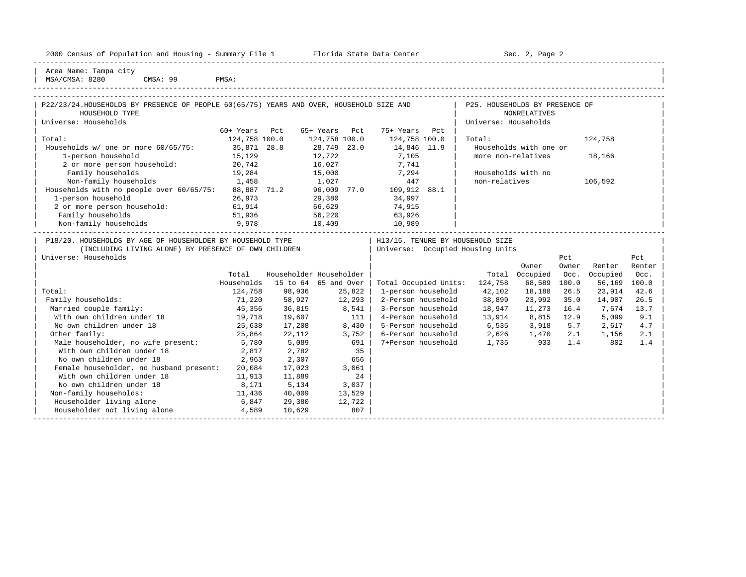| Housing<br>2000<br>and<br>$\sim$<br>1.02<br><b>THE RESIDENCE OF STREET</b><br>ensus<br>∴oullin<br><u>u Lat. Luli</u><br> | - -<br>Center<br>lorida<br>рата.<br>51.dl.t<br>سددت | Page<br>701<br>JUL<br>$\sim$ |  |
|--------------------------------------------------------------------------------------------------------------------------|-----------------------------------------------------|------------------------------|--|
|                                                                                                                          |                                                     | -----                        |  |

2000 Florida State Data Center - Sec. 2, Page 2

| Area Name: Tampa city | | MSA/CMSA: 8280 CMSA: 99 PMSA:

| P22/23/24.HOUSEHOLDS BY PRESENCE OF PEOPLE 60(65/75) YEARS AND OVER, HOUSEHOLD SIZE AND<br>HOUSEHOLD TYPE |               |        |                         |                                    | P25. HOUSEHOLDS BY PRESENCE OF |                        |       |              |        |
|-----------------------------------------------------------------------------------------------------------|---------------|--------|-------------------------|------------------------------------|--------------------------------|------------------------|-------|--------------|--------|
| Universe: Households                                                                                      |               |        |                         |                                    | Universe: Households           | <b>NONRELATIVES</b>    |       |              |        |
|                                                                                                           | 60+ Years Pct |        | 65+ Years Pct           | 75+ Years Pct                      |                                |                        |       |              |        |
| Total:                                                                                                    | 124,758 100.0 |        | 124,758 100.0           | 124,758 100.0                      | Total:                         |                        |       | 124,758      |        |
| Households w/ one or more 60/65/75:                                                                       | 35,871 28.8   |        | 28,749 23.0             | 14,846 11.9                        |                                | Households with one or |       |              |        |
| 1-person household                                                                                        | 15,129        |        | 12,722                  | 7,105                              | more non-relatives             |                        |       | 18,166       |        |
| 2 or more person household: 20,742                                                                        |               | 16,027 |                         | 7,741                              |                                |                        |       |              |        |
| Family households                                                                                         | 19,284        | 15,000 |                         | 7,294                              | Households with no             |                        |       |              |        |
| Non-family households<br>1,458                                                                            |               | 1,027  |                         | 447                                | non-relatives                  |                        |       | 106,592      |        |
|                                                                                                           |               |        |                         |                                    |                                |                        |       |              |        |
| Households with no people over 60/65/75: 88,887 71.2 96,009 77.0 109,912 88.1<br>1-person household       | 26,973        |        | 29,380                  | 34,997                             |                                |                        |       |              |        |
| 2 or more person household:                                                                               | 61,914        |        | $\frac{1}{66}$ , 629    | 74,915                             |                                |                        |       |              |        |
| Family households                                                                                         | 51,936        | 56,220 |                         | 63,926                             |                                |                        |       |              |        |
| 9,978<br>Non-family households                                                                            |               | 10,409 |                         | 10,989                             |                                |                        |       |              |        |
|                                                                                                           |               |        |                         |                                    |                                |                        |       |              |        |
| P18/20. HOUSEHOLDS BY AGE OF HOUSEHOLDER BY HOUSEHOLD TYPE                                                |               |        |                         | H13/15. TENURE BY HOUSEHOLD SIZE   |                                |                        |       |              |        |
| (INCLUDING LIVING ALONE) BY PRESENCE OF OWN CHILDREN                                                      |               |        |                         | Universe: Occupied Housing Units   |                                |                        |       |              |        |
| Universe: Households                                                                                      |               |        |                         |                                    |                                |                        | Pct   |              | Pct    |
|                                                                                                           |               |        |                         |                                    |                                | Owner                  | Owner | Renter       | Renter |
|                                                                                                           | Total         |        | Householder Householder |                                    |                                | Total Occupied         | Occ.  | Occupied     | Occ.   |
|                                                                                                           | Households    |        | 15 to 64 65 and Over    | Total Occupied Units: 124,758      |                                | 68,589                 | 100.0 | 56,169 100.0 |        |
| Total:                                                                                                    | 124,758       | 98,936 | 25,822                  | 1-person household                 | 42,102                         | 18,188                 | 26.5  | 23,914       | 42.6   |
| Family households:                                                                                        | 71,220        | 58,927 | 12,293                  | 2-Person household                 | 38,899                         | 23,992                 | 35.0  | 14,907       | 26.5   |
|                                                                                                           |               |        |                         |                                    |                                |                        |       | 7,674        | 13.7   |
| Married couple family:                                                                                    | 45,356        | 36,815 | $8,541$                 | 3-Person household                 | 18,947                         | 11,273                 | 16.4  |              |        |
| With own children under 18                                                                                | 19,718        | 19,607 | 111                     | 4-Person household                 | 13,914 8,815 12.9              |                        |       | 5,099        | 9.1    |
| No own children under 18                                                                                  | 25,638        | 17,208 | 8,430                   | 5-Person household 6,535 3,918 5.7 |                                |                        |       | 2,617        | 4.7    |
| Other family:                                                                                             | 25,864        | 22,112 | 3,752                   | 6-Person household 2,626 1,470     |                                |                        | 2.1   | 1,156        | 2.1    |
| Male householder, no wife present: 5,780                                                                  |               | 5,089  | 691                     | 7+Person household 1,735 933       |                                |                        | 1.4   | 802          | 1.4    |
| With own children under 18                                                                                | 2,817         | 2,782  | 35                      |                                    |                                |                        |       |              |        |
| No own children under 18                                                                                  | 2,963         | 2,307  | 656                     |                                    |                                |                        |       |              |        |
| Female householder, no husband present:                                                                   | 20,084        | 17,023 | 3,061                   |                                    |                                |                        |       |              |        |
| With own children under 18                                                                                | 11,913        | 11,889 | 24                      |                                    |                                |                        |       |              |        |
| No own children under 18                                                                                  | 8,171         | 5,134  | 3,037                   |                                    |                                |                        |       |              |        |
| Non-family households:                                                                                    | 11,436        | 40,009 | 13,529                  |                                    |                                |                        |       |              |        |
| Householder living alone                                                                                  | 6,847         | 29,380 | 12,722                  |                                    |                                |                        |       |              |        |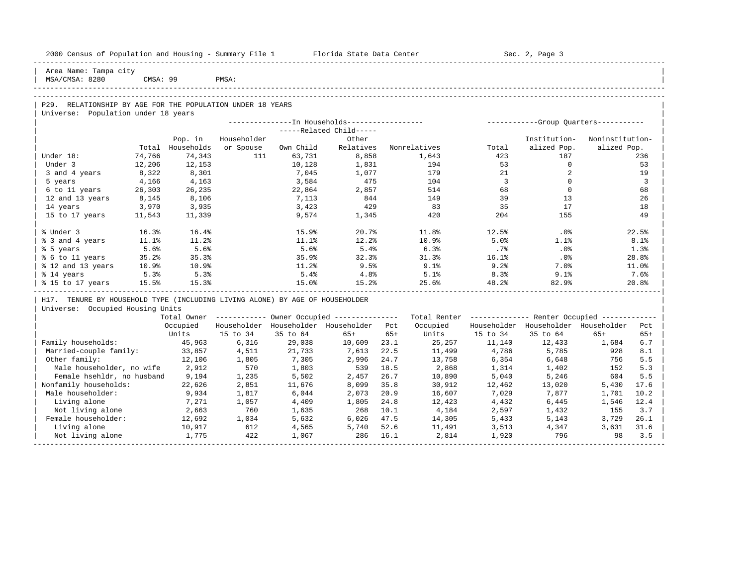| 2000 Census of Population and Housing - Summary File 1 Florida State Data Center |        |                |             |           |                                                        |       |                                                         |                         | Sec. 2, Page 3                      |                 |                |
|----------------------------------------------------------------------------------|--------|----------------|-------------|-----------|--------------------------------------------------------|-------|---------------------------------------------------------|-------------------------|-------------------------------------|-----------------|----------------|
| Area Name: Tampa city<br>MSA/CMSA: 8280                                          |        | CMSA: 99 PMSA: |             |           |                                                        |       |                                                         |                         |                                     |                 |                |
|                                                                                  |        |                |             |           |                                                        |       |                                                         |                         |                                     |                 |                |
| P29. RELATIONSHIP BY AGE FOR THE POPULATION UNDER 18 YEARS                       |        |                |             |           |                                                        |       |                                                         |                         |                                     |                 |                |
| Universe: Population under 18 years                                              |        |                |             |           |                                                        |       |                                                         |                         |                                     |                 |                |
|                                                                                  |        |                |             |           |                                                        |       |                                                         |                         |                                     |                 |                |
|                                                                                  |        |                |             |           | $---Related Child---$                                  |       |                                                         |                         |                                     |                 |                |
|                                                                                  |        | Pop. in        | Householder |           | Other                                                  |       |                                                         |                         | Institution-                        | Noninstitution- |                |
|                                                                                  | Total  | Households     | or Spouse   | Own Child |                                                        |       | Relatives Nonrelatives                                  | Total                   | alized Pop.                         | alized Pop.     |                |
| Under 18:                                                                        | 74,766 | 74,343         | 111         | 63,731    | 8,858                                                  |       | 1,643                                                   | 423                     | 187                                 |                 | 236            |
| Under 3                                                                          | 12,206 | 12,153         |             | 10,128    | 1,831                                                  |       | 194                                                     | 53                      | $\overline{0}$                      |                 | 53             |
| 3 and 4 years                                                                    | 8,322  | 8,301          |             | 7,045     | 1,077                                                  |       | 179                                                     | 21                      | 2                                   |                 | 19             |
| 5 years                                                                          | 4,166  | 4,163          |             | 3,584     | 475                                                    |       | 104                                                     | $\overline{\mathbf{3}}$ | $\circ$                             |                 | $\overline{3}$ |
| 6 to 11 years                                                                    | 26,303 | 26,235         |             | 22,864    | 2,857                                                  |       | 514                                                     | 68                      | $\overline{0}$                      |                 | 68             |
| 12 and 13 years                                                                  | 8,145  | 8,106          |             | 7,113     | 844                                                    |       | 149                                                     | 39                      | 13                                  |                 | 26             |
| 14 years                                                                         | 3,970  | 3,935          |             | 3,423     | 429                                                    |       | 83                                                      | 35                      | 17                                  |                 | 18             |
| 15 to 17 years                                                                   | 11,543 | 11,339         |             | 9,574     | 1,345                                                  |       | 420                                                     | 204                     | 155                                 |                 | 49             |
| % Under 3                                                                        | 16.3%  | 16.4%          |             | 15.9%     | 20.7%                                                  |       | 11.8%                                                   | 12.5%                   | $.0\%$                              |                 | 22.5%          |
| % 3 and 4 years                                                                  | 11.1%  | 11.2%          |             | 11.1%     | 12.2%                                                  |       | 10.9%                                                   | 5.0%                    | 1.1%                                |                 | 8.1%           |
| % 5 years                                                                        | 5.6%   | 5.6%           |             | 5.6%      | 5.4%                                                   |       | 6.3%                                                    | $.7\%$                  | .0%                                 |                 | 1.3%           |
| % 6 to 11 years                                                                  | 35.2%  | 35.3%          |             | 35.9%     | 32.3%                                                  |       | 31.3%                                                   | 16.1%                   | .0%                                 |                 | 28.8%          |
| % 12 and 13 years                                                                | 10.9%  | 10.9%          |             | $11.2\%$  | 9.5%                                                   |       | 9.1%                                                    | 9.2%                    | 7.0%                                |                 | 11.0%          |
| % 14 years                                                                       | 5.3%   | 5.3%           |             | 5.4%      | 4.8%                                                   |       | 5.1%                                                    | 8.3%                    | 9.1%                                |                 | 7.6%           |
| % 15 to 17 years 15.5%                                                           |        | 15.3%          |             | 15.0%     | 15.2%                                                  |       | 25.6%                                                   | 48.2%                   | 82.9%                               |                 | 20.8%          |
| H17. TENURE BY HOUSEHOLD TYPE (INCLUDING LIVING ALONE) BY AGE OF HOUSEHOLDER     |        |                |             |           |                                                        |       |                                                         |                         |                                     |                 |                |
| Universe: Occupied Housing Units                                                 |        |                |             |           |                                                        |       |                                                         |                         |                                     |                 |                |
|                                                                                  |        |                |             |           | Total Owner ------------ Owner Occupied -------------- |       | Total Renter ------------- Renter Occupied ------------ |                         |                                     |                 |                |
|                                                                                  |        | Occupied       |             |           | Householder Householder Householder Pct                |       | Occupied                                                |                         | Householder Householder Householder |                 | Pct            |
|                                                                                  |        | Units          | 15 to 34    | 35 to 64  | $65+$                                                  | $65+$ |                                                         | Units 15 to 34          | 35 to 64                            | $65+$           | $65+$          |
| Family households:                                                               |        | 45,963         | 6,316       | 29,038    | 10,609 23.1                                            |       | 25,257                                                  | 11,140                  | 12,433                              | 1,684           | 6.7            |
| Married-couple family:                                                           |        | 33,857         | 4,511       | 21,733    | 7,613                                                  | 22.5  | 11,499                                                  | 4,786                   | 5,785                               | 928             | 8.1            |
| Other family:                                                                    |        | 12,106         | 1,805       | 7,305     | 2,996                                                  | 24.7  | 13,758                                                  | 6,354                   | 6,648                               | 756             | 5.5            |
| Male householder, no wife                                                        |        | 2,912          | 570         | 1,803     | 539                                                    | 18.5  | 2,868                                                   | 1,314                   | 1,402                               | 152             | 5.3            |
| Female hsehldr, no husband                                                       |        | 9,194          | 1,235       | 5,502     | 2,457                                                  | 26.7  | 10,890                                                  | 5,040                   | 5,246                               | 604             | 5.5            |
| Nonfamily households:                                                            |        | 22,626         | 2,851       | 11,676    | 8,099                                                  | 35.8  | 30,912                                                  | 12,462                  | 13,020                              | 5,430           | 17.6           |
| Male householder:                                                                |        | 9,934          | 1,817       | 6,044     | 2,073                                                  | 20.9  | 16,607                                                  | 7,029                   | 7,877                               | 1,701           | 10.2           |
| Living alone                                                                     |        | 7,271          | 1,057       | 4,409     | 1,805                                                  | 24.8  | 12,423                                                  | 4,432                   | 6,445                               | 1,546           | 12.4           |
| Not living alone                                                                 |        | 2,663          | 760         | 1,635     | 268                                                    | 10.1  | 4,184                                                   | 2,597                   | 1,432                               | 155             | 3.7            |
| Female householder:                                                              |        | 12,692         | 1,034       | 5,632     | 6,026                                                  | 47.5  | 14,305                                                  | 5,433                   | 5,143                               | 3,729           | 26.1           |

| Living alone 10,917 612 4,565 5,740 52.6 11,491 3,513 4,347 3,631 31.6 | | Not living alone 1,775 422 1,067 286 16.1 2,814 1,920 796 98 3.5 | -----------------------------------------------------------------------------------------------------------------------------------------------------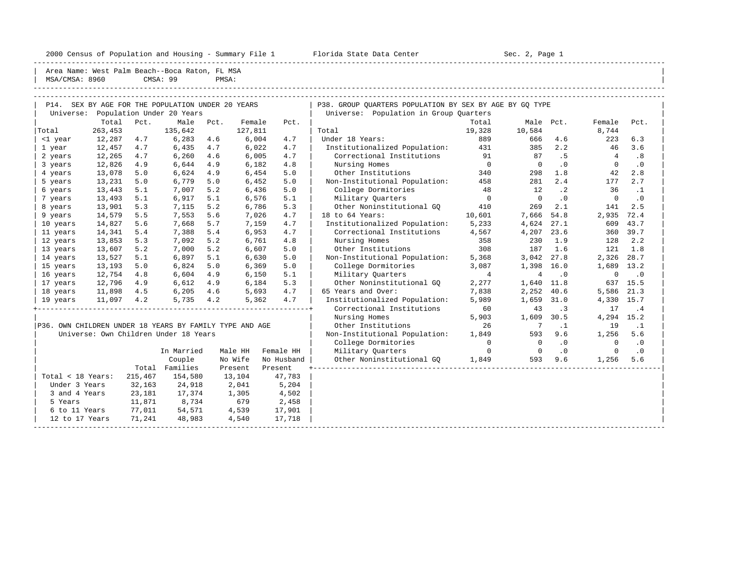2000 Census of Population and Housing - Summary File 1 Florida State Data Center Sec. 2, Page 1

|                   | Area Name: West Palm Beach--Boca Raton, FL MSA          |         |                |       |         |            |                                                         |                |                 |           |                |           |
|-------------------|---------------------------------------------------------|---------|----------------|-------|---------|------------|---------------------------------------------------------|----------------|-----------------|-----------|----------------|-----------|
| MSA/CMSA: 8960    |                                                         |         | CMSA: 99       | PMSA: |         |            |                                                         |                |                 |           |                |           |
|                   |                                                         |         |                |       |         |            |                                                         |                |                 |           |                |           |
|                   | P14. SEX BY AGE FOR THE POPULATION UNDER 20 YEARS       |         |                |       |         |            |                                                         |                |                 |           |                |           |
|                   |                                                         |         |                |       |         |            | P38. GROUP OUARTERS POPULATION BY SEX BY AGE BY GO TYPE |                |                 |           |                |           |
|                   | Universe: Population Under 20 Years<br>Total            | Pct.    | Male           | Pct.  | Female  | Pct.       | Universe: Population in Group Quarters                  | Total          |                 | Male Pct. | Female         | Pct.      |
| Total             | 263,453                                                 |         | 135,642        |       | 127,811 |            | Total                                                   | 19,328         | 10,584          |           | 8,744          |           |
|                   | 12,287                                                  | 4.7     | 6,283          | 4.6   | 6,004   | 4.7        | Under 18 Years:                                         | 889            | 666             | 4.6       | 223            | 6.3       |
| <1 year<br>1 year | 12,457                                                  | 4.7     | 6,435          | 4.7   | 6,022   | 4.7        | Institutionalized Population:                           | 431            | 385             | 2.2       | 46             | 3.6       |
| 2 years           | 12,265                                                  | 4.7     | 6,260          | 4.6   | 6,005   | 4.7        | Correctional Institutions                               | 91             | 87              | .5        | $\overline{4}$ | .8        |
| 3 years           | 12,826                                                  | 4.9     | 6,644          | 4.9   | 6,182   | 4.8        | Nursing Homes                                           | $\overline{0}$ | $\Omega$        | $\cdot$ 0 | $\Omega$       | $\cdot$ 0 |
| 4 years           | 13,078                                                  | 5.0     | 6,624          | 4.9   | 6,454   | 5.0        | Other Institutions                                      | 340            | 298             | 1.8       | 42             | 2.8       |
| 5 years           | 13,231                                                  | 5.0     | 6,779          | 5.0   | 6,452   | 5.0        | Non-Institutional Population:                           | 458            | 281             | 2.4       | 177            | 2.7       |
| 6 years           | 13,443                                                  | 5.1     | 7,007          | 5.2   | 6,436   | 5.0        | College Dormitories                                     | 48             | 12              | $\cdot$ 2 | 36             | $\cdot$ 1 |
| 7 years           | 13,493                                                  | 5.1     | 6,917          | 5.1   | 6,576   | 5.1        | Military Quarters                                       | $\overline{0}$ | $\mathbf 0$     | $\cdot$ 0 | $\mathbf 0$    | $\cdot$ 0 |
| 8 years           | 13,901                                                  | 5.3     | 7,115          | 5.2   | 6,786   | 5.3        | Other Noninstitutional GO                               | 410            | 269             | 2.1       | 141            | 2.5       |
| 9 years           | 14,579                                                  | 5.5     | 7,553          | 5.6   | 7,026   | 4.7        | 18 to 64 Years:                                         | 10,601         | 7,666           | 54.8      | 2,935          | 72.4      |
| 10 years          | 14,827                                                  | 5.6     | 7,668          | 5.7   | 7,159   | 4.7        | Institutionalized Population:                           | 5,233          | 4,624           | 27.1      | 609            | 43.7      |
| 11 years          | 14,341                                                  | 5.4     | 7,388          | 5.4   | 6,953   | 4.7        | Correctional Institutions                               | 4,567          | 4,207           | 23.6      | 360            | 39.7      |
| 12 years          | 13,853                                                  | 5.3     | 7,092          | 5.2   | 6,761   | 4.8        | Nursing Homes                                           | 358            | 230             | 1.9       | 128            | 2.2       |
| 13 years          | 13,607                                                  | 5.2     | 7,000          | 5.2   | 6,607   | 5.0        | Other Institutions                                      | 308            | 187             | 1.6       | 121            | 1.8       |
| 14 years          | 13,527                                                  | 5.1     | 6,897          | 5.1   | 6,630   | 5.0        | Non-Institutional Population:                           | 5,368          | 3,042           | 27.8      | 2,326          | 28.7      |
| 15 years          | 13,193                                                  | 5.0     | 6,824          | 5.0   | 6,369   | 5.0        | College Dormitories                                     | 3,087          | 1,398           | 16.0      | 1,689 13.2     |           |
| 16 years          | 12,754                                                  | 4.8     | 6,604          | 4.9   | 6,150   | 5.1        | Military Quarters                                       | $\overline{4}$ | $\overline{4}$  | $\cdot$ 0 | $\mathbf 0$    | $\cdot$ 0 |
| 17 years          | 12,796                                                  | 4.9     | 6,612          | 4.9   | 6,184   | 5.3        | Other Noninstitutional GQ                               | 2,277          | 1,640           | 11.8      |                | 637 15.5  |
| 18 years          | 11,898 4.5                                              |         | 6,205          | 4.6   | 5,693   | 4.7        | 65 Years and Over:                                      | 7,838          | 2,252           | 40.6      | 5,586          | 21.3      |
| 19 years          | 11,097 4.2                                              |         | 5,735          | 4.2   | 5,362   | 4.7        | Institutionalized Population:                           | 5,989          | 1,659           | 31.0      | 4,330          | 15.7      |
|                   |                                                         |         |                |       |         |            | Correctional Institutions                               | 60             | 43              | .3        | 17             | .4        |
|                   |                                                         |         |                |       |         |            | Nursing Homes                                           | 5,903          | 1,609           | 30.5      | 4,294 15.2     |           |
|                   | P36. OWN CHILDREN UNDER 18 YEARS BY FAMILY TYPE AND AGE |         |                |       |         |            | Other Institutions                                      | 26             | $7\phantom{.0}$ | $\cdot$ 1 | 19             | $\cdot$ 1 |
|                   | Universe: Own Children Under 18 Years                   |         |                |       |         |            | Non-Institutional Population:                           | 1,849          | 593             | 9.6       | 1,256          | 5.6       |
|                   |                                                         |         |                |       |         |            | College Dormitories                                     | $\Omega$       | $\circ$         | $\cdot$ 0 | $\Omega$       | $\cdot$ 0 |
|                   |                                                         |         | In Married     |       | Male HH | Female HH  | Military Quarters                                       | $\mathbf{0}$   | $\overline{0}$  | $\cdot$ 0 | $\mathbf{0}$   | $\cdot$ 0 |
|                   |                                                         |         | Couple         |       | No Wife | No Husband | Other Noninstitutional GO                               | 1,849          | 593             | 9.6       | 1,256          | 5.6       |
|                   |                                                         |         | Total Families |       | Present | Present    |                                                         |                |                 |           |                |           |
| Total < 18 Years: |                                                         | 215,467 | 154,580        |       | 13,104  | 47,783     |                                                         |                |                 |           |                |           |
| Under 3 Years     |                                                         | 32,163  | 24,918         |       | 2,041   | 5,204      |                                                         |                |                 |           |                |           |
| 3 and 4 Years     |                                                         | 23,181  | 17,374         |       | 1,305   | 4,502      |                                                         |                |                 |           |                |           |
| 5 Years           |                                                         | 11,871  | 8,734          |       | 679     | 2,458      |                                                         |                |                 |           |                |           |
| 6 to 11 Years     |                                                         | 77,011  | 54,571         |       | 4,539   | 17,901     |                                                         |                |                 |           |                |           |
| 12 to 17 Years    |                                                         | 71,241  | 48,983         |       | 4,540   | 17,718     |                                                         |                |                 |           |                |           |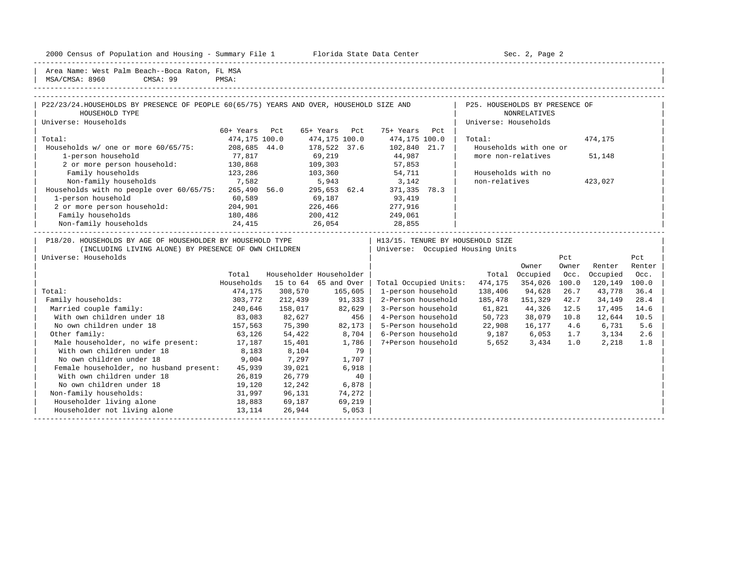2000 Census of Population and Housing - Summary File 1 Florida State Data Center Sec. 2, Page 2 -----------------------------------------------------------------------------------------------------------------------------------------------------

| Area Name: West Palm Beach--Boca Raton, FL MSA | MSA/CMSA: 8960 CMSA: 99 PMSA:

| the contract of the contract of the contract of the contract of the contract of the contract of the contract of | ---- | ------- | ------ |
|-----------------------------------------------------------------------------------------------------------------|------|---------|--------|
|                                                                                                                 |      |         |        |
|                                                                                                                 |      |         |        |

| P22/23/24.HOUSEHOLDS BY PRESENCE OF PEOPLE 60(65/75) YEARS AND OVER, HOUSEHOLD SIZE AND |               |               |                                  | P25. HOUSEHOLDS BY PRESENCE OF |         |  |
|-----------------------------------------------------------------------------------------|---------------|---------------|----------------------------------|--------------------------------|---------|--|
| HOUSEHOLD TYPE                                                                          |               |               |                                  | NONRELATIVES                   |         |  |
| Universe: Households                                                                    |               |               |                                  | Universe: Households           |         |  |
|                                                                                         | 60+ Years Pct | 65+ Years Pct | 75+ Years<br>Pct                 |                                |         |  |
| Total:                                                                                  | 474,175 100.0 | 474,175 100.0 | 474,175 100.0                    | Total:                         | 474,175 |  |
| Households $w/$ one or more $60/65/75$ :                                                | 208,685 44.0  | 178,522 37.6  | 102,840 21.7                     | Households with one or         |         |  |
| 1-person household                                                                      | 77,817        | 69,219        | 44,987                           | more non-relatives             | 51,148  |  |
| 2 or more person household:                                                             | 130,868       | 109,303       | 57,853                           |                                |         |  |
| Family households                                                                       | 123,286       | 103,360       | 54,711                           | Households with no             |         |  |
| Non-family households                                                                   | 7,582         | 5,943         | 3,142                            | non-relatives                  | 423,027 |  |
| Households with no people over 60/65/75:                                                | 265,490 56.0  | 295,653 62.4  | 371,335<br>78.3                  |                                |         |  |
| 1-person household                                                                      | 60,589        | 69,187        | 93,419                           |                                |         |  |
| 2 or more person household:                                                             | 204,901       | 226,466       | 277,916                          |                                |         |  |
| Family households                                                                       | 180,486       | 200,412       | 249,061                          |                                |         |  |
| Non-family households                                                                   | 24,415        | 26,054        | 28,855                           |                                |         |  |
| P18/20. HOUSEHOLDS BY AGE OF HOUSEHOLDER BY HOUSEHOLD TYPE                              |               |               | H13/15. TENURE BY HOUSEHOLD SIZE |                                |         |  |
| ואססס זדעי האומד ומאס אס מס לס מאר אין האדמין ומאר וואר און וואר                        |               |               | Iniverse: Occupied Housing Units |                                |         |  |

| ITMCHANING HIATNG WHOME! DI LIVEORMOR OF AMM CHITANINI |            |          |                         | UNIVELSE: OCCUPIEU NOUSING UNICS |         |          |       |          |        |
|--------------------------------------------------------|------------|----------|-------------------------|----------------------------------|---------|----------|-------|----------|--------|
| Universe: Households                                   |            |          |                         |                                  |         |          | Pct   |          | Pct    |
|                                                        |            |          |                         |                                  |         | Owner    | Owner | Renter   | Renter |
|                                                        | Total      |          | Householder Householder |                                  | Total   | Occupied | Occ.  | Occupied | Occ.   |
|                                                        | Households | 15 to 64 | 65 and Over             | Total Occupied Units:            | 474,175 | 354,026  | 100.0 | 120,149  | 100.0  |
| Total:                                                 | 474,175    | 308,570  | 165,605                 | 1-person household               | 138,406 | 94,628   | 26.7  | 43,778   | 36.4   |
| Family households:                                     | 303,772    | 212,439  | 91,333                  | 2-Person household               | 185,478 | 151,329  | 42.7  | 34,149   | 28.4   |
| Married couple family:                                 | 240,646    | 158,017  | 82,629                  | 3-Person household               | 61,821  | 44,326   | 12.5  | 17,495   | 14.6   |
| With own children under 18                             | 83,083     | 82,627   | 456                     | 4-Person household               | 50,723  | 38,079   | 10.8  | 12,644   | 10.5   |
| No own children under 18                               | 157,563    | 75,390   | 82,173                  | 5-Person household               | 22,908  | 16,177   | 4.6   | 6,731    | 5.6    |
| Other family:                                          | 63,126     | 54,422   | 8,704                   | 6-Person household               | 9,187   | 6,053    | 1.7   | 3,134    | 2.6    |
| Male householder, no wife present:                     | 17,187     | 15,401   | 1,786                   | 7+Person household               | 5,652   | 3,434    | 1.0   | 2,218    | 1.8    |
| With own children under 18                             | 8,183      | 8,104    | 79                      |                                  |         |          |       |          |        |
| No own children under 18                               | 9,004      | 7,297    | 1,707                   |                                  |         |          |       |          |        |
| Female householder, no husband present:                | 45,939     | 39,021   | 6,918                   |                                  |         |          |       |          |        |
| With own children under 18                             | 26,819     | 26,779   | 40                      |                                  |         |          |       |          |        |
| No own children under 18                               | 19,120     | 12,242   | 6,878                   |                                  |         |          |       |          |        |
| Non-family households:                                 | 31,997     | 96,131   | 74,272                  |                                  |         |          |       |          |        |
| Householder living alone                               | 18,883     | 69,187   | 69,219                  |                                  |         |          |       |          |        |
| Householder not living alone                           | 13,114     | 26,944   | 5,053                   |                                  |         |          |       |          |        |
|                                                        |            |          |                         |                                  |         |          |       |          |        |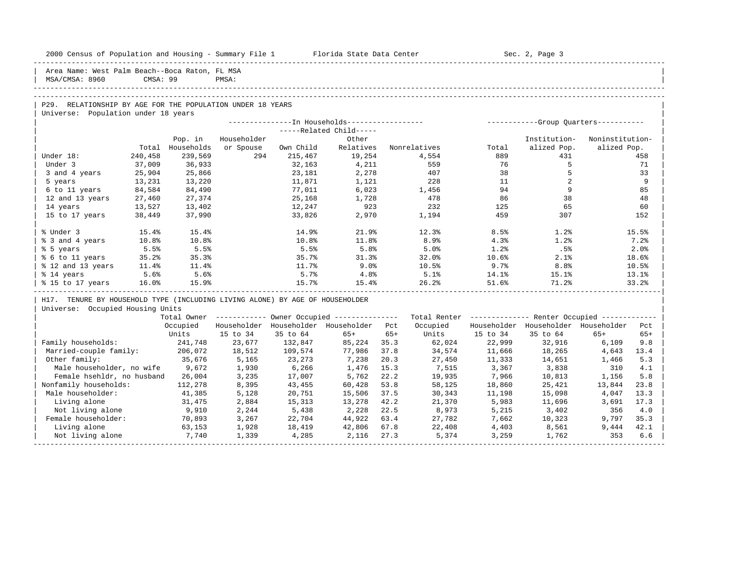| 2000 Census of Population and Housing - Summary File 1 Florida State Data Center |          |            |             |           |                                                        |       |                                                          |          | Sec. 2, Page 3                      |                 |       |
|----------------------------------------------------------------------------------|----------|------------|-------------|-----------|--------------------------------------------------------|-------|----------------------------------------------------------|----------|-------------------------------------|-----------------|-------|
| Area Name: West Palm Beach--Boca Raton, FL MSA<br>MSA/CMSA: 8960                 | CMSA: 99 |            | PMSA:       |           |                                                        |       |                                                          |          |                                     |                 |       |
|                                                                                  |          |            |             |           |                                                        |       |                                                          |          |                                     |                 |       |
| P29. RELATIONSHIP BY AGE FOR THE POPULATION UNDER 18 YEARS                       |          |            |             |           |                                                        |       |                                                          |          |                                     |                 |       |
| Universe: Population under 18 years                                              |          |            |             |           |                                                        |       |                                                          |          |                                     |                 |       |
|                                                                                  |          |            |             |           | -----Related Child-----                                |       |                                                          |          |                                     |                 |       |
|                                                                                  |          | Pop. in    | Householder |           | Other                                                  |       |                                                          |          | Institution-                        | Noninstitution- |       |
|                                                                                  | Total    | Households | or Spouse   | Own Child | Relatives                                              |       | Nonrelatives                                             | Total    | alized Pop.                         | alized Pop.     |       |
| Under 18:                                                                        | 240,458  | 239,569    | 294         | 215,467   | 19,254                                                 |       | 4,554                                                    | 889      | 431                                 |                 | 458   |
| Under 3                                                                          | 37,009   | 36,933     |             | 32,163    | 4,211                                                  |       | 559                                                      | 76       | 5                                   |                 | 71    |
| 3 and 4 years                                                                    | 25,904   | 25,866     |             | 23,181    | 2,278                                                  |       | 407                                                      | 38       | 5                                   |                 | 33    |
| 5 years                                                                          | 13,231   | 13,220     |             | 11,871    | 1,121                                                  |       | 228                                                      | 11       | 2                                   |                 | 9     |
| 6 to 11 years                                                                    | 84,584   | 84,490     |             | 77,011    | 6,023                                                  |       | 1,456                                                    | 94       | 9                                   |                 | 85    |
| 12 and 13 years                                                                  | 27,460   | 27,374     |             | 25,168    | 1,728                                                  |       | 478                                                      | 86       | 38                                  |                 | 48    |
| 14 years                                                                         | 13,527   | 13,402     |             | 12,247    | 923                                                    |       | 232                                                      | 125      | 65                                  |                 | 60    |
| 15 to 17 years                                                                   | 38,449   | 37,990     |             | 33,826    | 2,970                                                  |       | 1,194                                                    | 459      | 307                                 |                 | 152   |
| % Under 3                                                                        | 15.4%    | 15.4%      |             | 14.9%     | 21.9%                                                  |       | 12.3%                                                    | 8.5%     | 1.2%                                |                 | 15.5% |
| % 3 and 4 years                                                                  | 10.8%    | 10.8%      |             | 10.8%     | 11.8%                                                  |       | 8.9%                                                     | 4.3%     | 1.2%                                |                 | 7.2   |
| % 5 years                                                                        | 5.5%     | 5.5%       |             | 5.5%      | 5.8%                                                   |       | 5.0%                                                     | 1.2%     | .5%                                 |                 | 2.0%  |
| % 6 to 11 years                                                                  | 35.2%    | 35.3%      |             | 35.7%     | 31.3%                                                  |       | 32.0%                                                    | 10.6%    | 2.1%                                |                 | 18.6% |
| % 12 and 13 years                                                                | 11.4%    | 11.4%      |             | 11.7%     | 9.0%                                                   |       | $10.5\%$                                                 | 9.7%     | 8.8%                                |                 | 10.5% |
| % 14 years                                                                       | 5.6%     | 5.6%       |             | 5.7%      | 4.8%                                                   |       | 5.1%                                                     | $14.1\%$ | 15.1%                               |                 | 13.1% |
| % 15 to 17 years                                                                 | 16.0%    | 15.9%      |             | 15.7%     | 15.4%                                                  |       | 26.2%                                                    | 51.6%    | 71.2%                               |                 | 33.2% |
| H17. TENURE BY HOUSEHOLD TYPE (INCLUDING LIVING ALONE) BY AGE OF HOUSEHOLDER     |          |            |             |           |                                                        |       |                                                          |          |                                     |                 |       |
| Universe: Occupied Housing Units                                                 |          |            |             |           |                                                        |       |                                                          |          |                                     |                 |       |
|                                                                                  |          |            |             |           | Total Owner ------------ Owner Occupied -------------- |       | Total Renter ------------- Renter Occupied ------------- |          |                                     |                 |       |
|                                                                                  |          | Occupied   |             |           | Householder Householder Householder Pct                |       | Occupied                                                 |          | Householder Householder Householder |                 | Pct   |
|                                                                                  |          | Units      | 15 to 34    | 35 to 64  | $65+$                                                  | $65+$ | Units                                                    | 15 to 34 | 35 to 64                            | $65+$           | $65+$ |
| Family households:                                                               |          | 241,748    | 23,677      | 132,847   | 85,224                                                 | 35.3  | 62,024                                                   | 22,999   | 32,916                              | 6,109           | 9.8   |
| Married-couple family:                                                           |          | 206,072    | 18,512      | 109,574   | 77,986                                                 | 37.8  | 34,574                                                   | 11,666   | 18,265                              | 4,643           | 13.4  |
| Other family:                                                                    |          | 35,676     | 5,165       | 23,273    | 7,238                                                  | 20.3  | 27,450                                                   | 11,333   | 14,651                              | 1,466           | 5.3   |
| Male householder, no wife                                                        |          | 9,672      | 1,930       | 6,266     | 1,476                                                  | 15.3  | 7,515                                                    | 3,367    | 3,838                               | 310             | 4.1   |
| Female hsehldr, no husband                                                       |          | 26,004     | 3,235       | 17,007    | 5,762                                                  | 22.2  | 19,935                                                   | 7,966    | 10,813                              | 1,156           | 5.8   |
| Nonfamily households:                                                            |          | 112,278    | 8,395       | 43,455    | 60,428                                                 | 53.8  | 58,125                                                   | 18,860   | 25,421                              | 13,844          | 23.8  |
| Male householder:                                                                |          | 41,385     | 5,128       | 20,751    | 15,506                                                 | 37.5  | 30,343                                                   | 11,198   | 15,098                              | 4,047           | 13.3  |
| Living alone                                                                     |          | 31,475     | 2,884       | 15,313    | 13,278                                                 | 42.2  | 21,370                                                   | 5,983    | 11,696                              | 3,691           | 17.3  |
| Not living alone                                                                 |          | 9,910      | 2,244       | 5,438     | 2,228                                                  | 22.5  | 8,973                                                    | 5,215    | 3,402                               | 356             | 4.0   |
| Female householder:                                                              |          | 70,893     | 3,267       | 22,704    | 44,922                                                 | 63.4  | 27,782                                                   | 7,662    | 10,323                              | 9,797           | 35.3  |
| Living alone                                                                     |          | 63,153     | 1,928       | 18,419    | 42,806                                                 | 67.8  | 22,408                                                   | 4,403    | 8,561                               | 9,444           | 42.1  |
| Not living alone                                                                 |          | 7,740      | 1,339       | 4,285     | 2,116                                                  | 27.3  | 5,374                                                    | 3,259    | 1,762                               | 353             | 6.6   |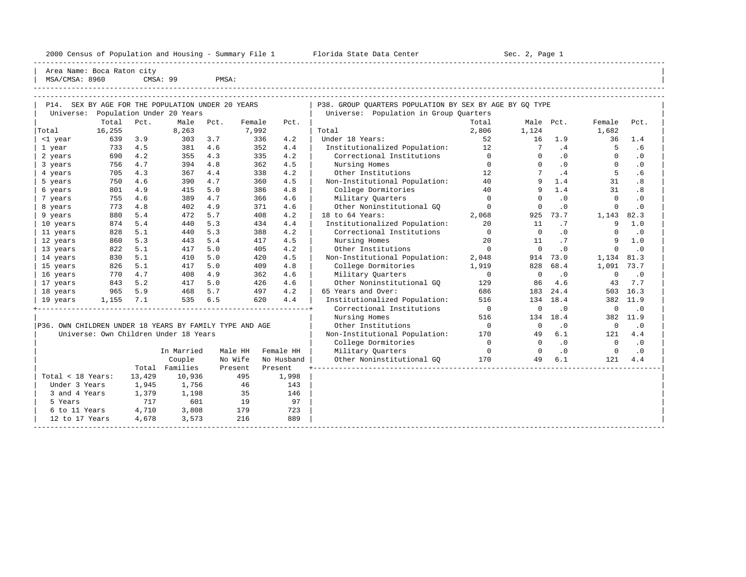2000 Census of Population and Housing - Summary File 1 Florida State Data Center Sec. 2, Page 1

-----------------------------------------------------------------------------------------------------------------------------------------------------

Area Name: Boca Raton city

| MSA/CMSA: 8960 CMSA: 99 PMSA: ----------------------------------------------------------------------------------------------------------------------------------------------------- ----------------------------------------------------------------------------------------------------------------------------------------------------- | P14. SEX BY AGE FOR THE POPULATION UNDER 20 YEARS | P38. GROUP QUARTERS POPULATION BY SEX BY AGE BY GQ TYPE | | Universe: Population Under 20 Years | Universe: Population in Group Quarters | Total Pct. Male Pct. Female Pct. |Total 16,255 8,263 7,992 | Total 2,806 1,124 1,682 | | <1 year 639 3.9 303 3.7 336 4.2 | Under 18 Years: 52 16 1.9 36 1.4 | | 1 year 733 4.5 381 4.6 352 4.4 | Institutionalized Population: 12 7 .4 5 .6 | | 2 years 690 4.2 355 4.3 335 4.2 | Correctional Institutions 0 0 .0 0 .0 | | 3 years 756 4.7 394 4.8 362 4.5 | Nursing Homes 0 0 .0 0 .0 | | 4 years 705 4.3 367 4.4 338 4.2 | Other Institutions 12 7 .4 5 .6 | | 5 years 750 4.6 390 4.7 360 4.5 | Non-Institutional Population: 40 9 1.4 31 .8 | | 6 years 801 4.9 415 5.0 386 4.8 | College Dormitories 40 9 1.4 31 .8 |

| P36. OWN CHILDREN UNDER 18 YEARS BY FAMILY TYPE AND AGE<br>Universe: Own Children Under 18 Years |  |  |  |                              |  |
|--------------------------------------------------------------------------------------------------|--|--|--|------------------------------|--|
|                                                                                                  |  |  |  | In Married Male HH Female HH |  |

| Total < 18 Years:<br>Under 3 Years<br>3 and 4 Years<br>5 Years<br>6 to 11 Years | Total<br>13,429<br>1,945<br>1,379<br>717<br>4,710 | Couple<br>Families<br>10,936<br>1,756<br>1,198<br>601<br>3,808 | No Wife<br>Present<br>495<br>46<br>35<br>19<br>179<br>216 | No Husband<br>Present<br>1,998<br>143<br>146<br>97<br>723 |
|---------------------------------------------------------------------------------|---------------------------------------------------|----------------------------------------------------------------|-----------------------------------------------------------|-----------------------------------------------------------|
| 12 to 17 Years                                                                  | 4,678                                             | 3,573                                                          |                                                           | 889                                                       |

|                                                         | Total  | Pct.   | Male                                  | Pct.    | Female  | Pct.       |                               | Total                    | Male        | Pct.      | Female      | Pct.      |  |
|---------------------------------------------------------|--------|--------|---------------------------------------|---------|---------|------------|-------------------------------|--------------------------|-------------|-----------|-------------|-----------|--|
| Total                                                   | 16,255 |        | 8,263                                 |         | 7,992   |            | Total                         | 2,806                    | 1,124       |           | 1,682       |           |  |
| <1 year                                                 | 639    | 3.9    | 303                                   | 3.7     | 336     | 4.2        | Under 18 Years:               | 52                       | 16          | 1.9       | 36          | 1.4       |  |
| 1 year                                                  | 733    | 4.5    | 381                                   | 4.6     | 352     | 4.4        | Institutionalized Population: | 12                       | 7           | .4        | 5           | . 6       |  |
| 2 years                                                 | 690    | 4.2    | 355                                   | 4.3     | 335     | 4.2        | Correctional Institutions     | $\Omega$                 |             | $\cdot$ 0 | $\Omega$    | $\cdot$ 0 |  |
| 3 years                                                 | 756    | 4.7    | 394                                   | 4.8     | 362     | 4.5        | Nursing Homes                 | $\Omega$                 |             | $\cdot$ 0 | $\Omega$    | $\cdot$ 0 |  |
| 4 years                                                 | 705    | 4.3    | 367                                   | 4.4     | 338     | 4.2        | Other Institutions            | 12                       |             | .4        | 5           | . 6       |  |
| 5 years                                                 | 750    | 4.6    | 390                                   | 4.7     | 360     | 4.5        | Non-Institutional Population: | 40                       |             | 1.4       | 31          | .8        |  |
| 6 years                                                 | 801    | 4.9    | 415                                   | 5.0     | 386     | 4.8        | College Dormitories           | 40                       |             | 1.4       | 31          | .8        |  |
| 7 years                                                 | 755    | 4.6    | 389                                   | 4.7     | 366     | 4.6        | Military Quarters             | $\Omega$                 |             | $\cdot$ 0 | $\Omega$    | $\cdot$ 0 |  |
| 8 years                                                 | 773    | 4.8    | 402                                   | 4.9     | 371     | 4.6        | Other Noninstitutional GO     | $\Omega$                 |             | $\cdot$ 0 | $\Omega$    | $\cdot$ 0 |  |
| 9 years                                                 | 880    | 5.4    | 472                                   | 5.7     | 408     | 4.2        | 18 to 64 Years:               | 2,068                    | 925         | 73.7      | 1,143       | 82.3      |  |
| 10 years                                                | 874    | 5.4    | 440                                   | 5.3     | 434     | 4.4        | Institutionalized Population: | 20                       | 11          | .7        | 9           | 1.0       |  |
| 11 years                                                | 828    | 5.1    | 440                                   | 5.3     | 388     | 4.2        | Correctional Institutions     | $\Omega$                 | $\Omega$    | .0        | $\Omega$    | $\cdot$ 0 |  |
| 12 years                                                | 860    | 5.3    | 443                                   | 5.4     | 417     | 4.5        | Nursing Homes                 | 20                       | 11          | .7        | 9           | 1.0       |  |
| 13 years                                                | 822    | 5.1    | 417                                   | 5.0     | 405     | 4.2        | Other Institutions            | $\Omega$                 | $\Omega$    | $\cdot$ 0 | $\Omega$    | $\cdot$ 0 |  |
| 14 years                                                | 830    | 5.1    | 410                                   | 5.0     | 420     | 4.5        | Non-Institutional Population: | 2,048                    | 914         | 73.0      | 1,134       | 81.3      |  |
| 15 years                                                | 826    | 5.1    | 417                                   | 5.0     | 409     | 4.8        | College Dormitories           | 1,919                    | 828         | 68.4      | 1,091       | 73.7      |  |
| 16 years                                                | 770    | 4.7    | 408                                   | 4.9     | 362     | 4.6        | Military Quarters             | $\mathbf{0}$             | $\mathbf 0$ | $\cdot$ 0 | $\mathbf 0$ | $\cdot$ 0 |  |
| 17 years                                                | 843    | 5.2    | 417                                   | 5.0     | 426     | 4.6        | Other Noninstitutional GO     | 129                      | 86          | 4.6       | 43          | 7.7       |  |
| 18 years                                                | 965    | 5.9    | 468                                   | 5.7     | 497     | 4.2        | 65 Years and Over:            | 686                      | 183         | 24.4      | 503         | 16.3      |  |
| 19 years                                                | 1,155  | 7.1    | 535                                   | 6.5     | 620     | 4.4        | Institutionalized Population: | 516                      | 134         | 18.4      | 382         | 11.9      |  |
|                                                         |        |        |                                       |         |         |            | Correctional Institutions     | $\overline{\phantom{0}}$ |             | $\cdot$ 0 | $\mathbf 0$ | $\cdot$ 0 |  |
|                                                         |        |        |                                       |         |         |            | Nursing Homes                 | 516                      | 134         | 18.4      | 382         | 11.9      |  |
| P36. OWN CHILDREN UNDER 18 YEARS BY FAMILY TYPE AND AGE |        |        |                                       |         |         |            | Other Institutions            | $\bigcirc$               | $\Omega$    | $\cdot$ 0 | $\Omega$    | $\cdot$ 0 |  |
|                                                         |        |        | Universe: Own Children Under 18 Years |         |         |            | Non-Institutional Population: | 170                      | 49          | 6.1       | 121         | 4.4       |  |
|                                                         |        |        |                                       |         |         |            | College Dormitories           | $\Omega$                 | $\Omega$    | $\cdot$ 0 | $\Omega$    | $\cdot$ 0 |  |
|                                                         |        |        | In Married                            | Male HH |         | Female HH  | Military Quarters             | $\Omega$                 |             | $\cdot$ 0 | $\Omega$    | $\cdot$ 0 |  |
|                                                         |        |        | Couple                                |         | No Wife | No Husband | Other Noninstitutional GO     | 170                      | 49          | 6.1       | 121         | 4.4       |  |
|                                                         |        |        | Total Families                        |         | Present | Present    |                               |                          |             |           |             |           |  |
| Total < 18 Years:                                       |        | 13,429 | 10,936                                |         | 495     | 1,998      |                               |                          |             |           |             |           |  |
| Under 3 Years                                           |        | 1,945  | 1,756                                 |         | 46      | 143        |                               |                          |             |           |             |           |  |
| 3 and 4 Years                                           |        | 1,379  | 1,198                                 |         | 35      | 146        |                               |                          |             |           |             |           |  |
| 5 Years                                                 |        | 717    | 601                                   |         | 19      | 97         |                               |                          |             |           |             |           |  |
| 6 to 11 Years                                           |        | 4,710  | 3,808                                 |         | 179     | 723        |                               |                          |             |           |             |           |  |
| 12 to 17 Years                                          |        | 4,678  | 3,573                                 |         | 216     | 889        |                               |                          |             |           |             |           |  |
|                                                         |        |        |                                       |         |         |            |                               |                          |             |           |             |           |  |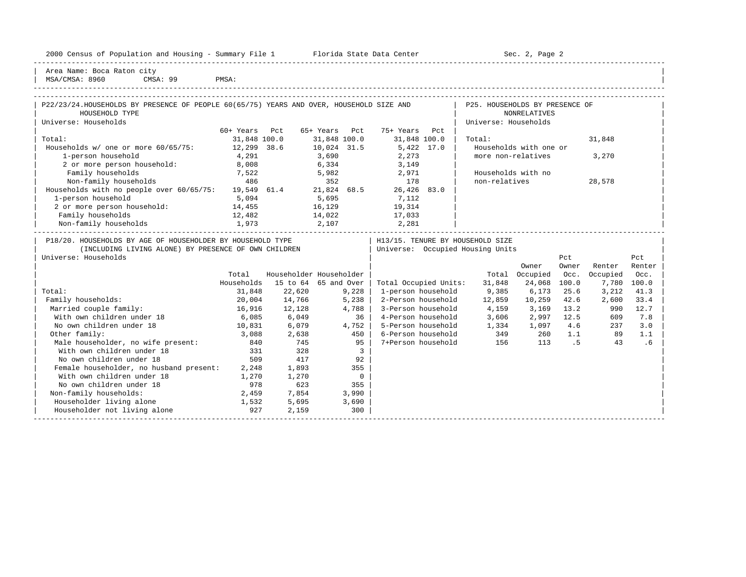| 2000 Census of Population and Housing - Summary File 1 |  | Florida State Data Center | Sec. 2, Page 2 |
|--------------------------------------------------------|--|---------------------------|----------------|
|--------------------------------------------------------|--|---------------------------|----------------|

| Area Name: Boca Raton city | MSA/CMSA: 8960 CMSA: 99 PMSA:

| P22/23/24.HOUSEHOLDS BY PRESENCE OF PEOPLE 60(65/75) YEARS AND OVER, HOUSEHOLD SIZE AND<br>HOUSEHOLD TYPE                                                   |                  |             |                          |                                                                        | P25. HOUSEHOLDS BY PRESENCE OF | <b>NONRELATIVES</b>    |       |          |        |
|-------------------------------------------------------------------------------------------------------------------------------------------------------------|------------------|-------------|--------------------------|------------------------------------------------------------------------|--------------------------------|------------------------|-------|----------|--------|
| Universe: Households                                                                                                                                        |                  |             |                          |                                                                        | Universe: Households           |                        |       |          |        |
|                                                                                                                                                             | 60+ Years Pct    |             | 65+ Years Pct            | 75+ Years Pct                                                          |                                |                        |       |          |        |
| Total:                                                                                                                                                      | 31,848 100.0     |             |                          | 31,848 100.0 31,848 100.0                                              | Total:                         |                        |       | 31,848   |        |
| Households w/ one or more 60/65/75: 12,299 38.6 10,024 31.5                                                                                                 |                  |             |                          | 5,422 17.0                                                             |                                | Households with one or |       |          |        |
| 1-person household                                                                                                                                          | 4,291            |             | 3,690                    | 2,273                                                                  | more non-relatives             |                        |       | 3,270    |        |
| 2 or more person household:                                                                                                                                 | 8,008            |             | 6,334                    | 3,149                                                                  |                                |                        |       |          |        |
|                                                                                                                                                             |                  |             |                          |                                                                        | Households with no             |                        |       |          |        |
|                                                                                                                                                             |                  |             |                          |                                                                        | non-relatives                  |                        |       | 28,578   |        |
| Family households 7,522 5,982 2,971<br>Non-family households 486 352 178<br>Households with no people over $60/65/75$ : 19,549 61.4 21,824 68.5 26,426 83.0 |                  |             |                          |                                                                        |                                |                        |       |          |        |
| 1-person household                                                                                                                                          | 5,094            |             |                          | 5,695 7,112                                                            |                                |                        |       |          |        |
| 2 or more person household: 14,455                                                                                                                          |                  |             |                          | 16,129 19,314                                                          |                                |                        |       |          |        |
| Family households<br>12,482                                                                                                                                 |                  |             |                          | 14,022 17,033                                                          |                                |                        |       |          |        |
| Non-family households $1,973$ 2,107 2,281 2,281                                                                                                             |                  |             |                          | 2,107 2,281                                                            |                                |                        |       |          |        |
| P18/20. HOUSEHOLDS BY AGE OF HOUSEHOLDER BY HOUSEHOLD TYPE<br>(INCLUDING LIVING ALONE) BY PRESENCE OF OWN CHILDREN<br>Universe: Households                  |                  |             |                          | H13/15. TENURE BY HOUSEHOLD SIZE<br>  Universe: Occupied Housing Units |                                |                        | Pct.  |          | Pct.   |
|                                                                                                                                                             |                  |             | Householder Householder  |                                                                        |                                | Owner                  | Owner | Renter   | Renter |
|                                                                                                                                                             | Total            |             |                          |                                                                        | Total                          | Occupied               | Occ.  | Occupied | Occ.   |
|                                                                                                                                                             | Households       |             | 15 to 64 65 and Over     | Total Occupied Units:                                                  | 31,848                         | 24,068                 | 100.0 | 7,780    | 100.0  |
| Total:                                                                                                                                                      | 31,848           | 22,620      | 9,228                    | 1-person household                                                     |                                | 9,385 6,173            | 25.6  | 3,212    | 41.3   |
| Family households:                                                                                                                                          | 20,004<br>16,916 | 14,766      | 5,238<br>4,788           | 2-Person household 12,859<br>3-Person household $4,159$ 3,169 13.2     |                                | 10,259 42.6            |       | 2,600    | 33.4   |
| Married couple family:                                                                                                                                      | 6,085            | 12,128      |                          | 4-Person household 3,606 2,997 12.5                                    |                                |                        |       | 990      | 12.7   |
| With own children under 18                                                                                                                                  |                  | 6,049       | 36<br>4,752              |                                                                        |                                |                        |       | 609      | 7.8    |
| No own children under 18                                                                                                                                    | 10,831 6,079     |             |                          | 5-Person household 1,334 1,097 4.6                                     |                                |                        |       | 237      | 3.0    |
| Other family:                                                                                                                                               |                  | 3,088 2,638 | 450                      | $6$ -Person household $349$ $260$ $1.1$                                |                                |                        |       | 89<br>43 | 1.1    |
| Male householder, no wife present: 840<br>With own children under 18                                                                                        |                  | 745         | $95 \mid$                | 7+Person household 156 113 .5                                          |                                |                        |       |          | .6     |
|                                                                                                                                                             | 331              | 328         | $\overline{\mathbf{3}}$  |                                                                        |                                |                        |       |          |        |
| No own children under 18                                                                                                                                    | 509              | 417         | 92                       |                                                                        |                                |                        |       |          |        |
| Female householder, no husband present: 2,248                                                                                                               |                  | 1,893       | 355                      |                                                                        |                                |                        |       |          |        |
| With own children under 18                                                                                                                                  | 1,270            | 1,270       | $\overline{\phantom{0}}$ |                                                                        |                                |                        |       |          |        |
| No own children under 18                                                                                                                                    | 978              | 623         | 355                      |                                                                        |                                |                        |       |          |        |
| Non-family households:                                                                                                                                      | 2,459            | 7,854       | 3,990                    |                                                                        |                                |                        |       |          |        |
| Householder living alone 1,532                                                                                                                              |                  | 5,695       | 3,690                    |                                                                        |                                |                        |       |          |        |
| Householder not living alone                                                                                                                                | 927              | 2,159       | 300                      |                                                                        |                                |                        |       |          |        |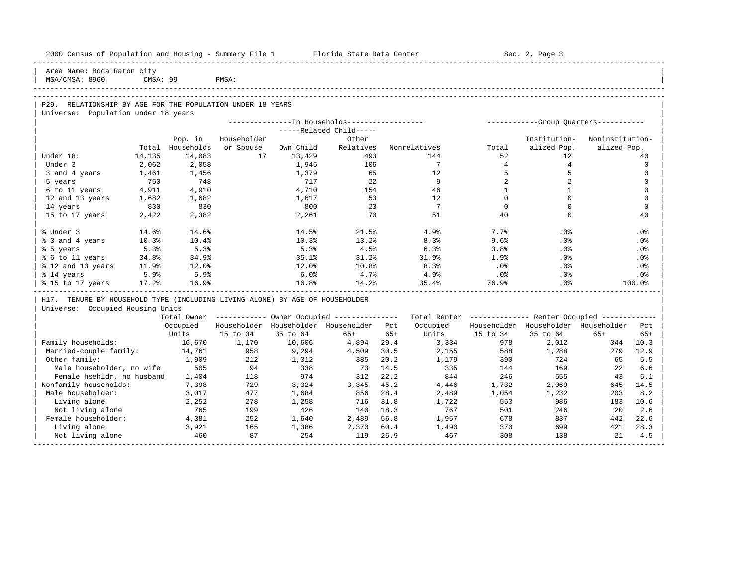| Area Name: Boca Raton city<br>MSA/CMSA: 8960<br>CMSA: 99<br>PMSA:<br>P29. RELATIONSHIP BY AGE FOR THE POPULATION UNDER 18 YEARS<br>Universe: Population under 18 years<br>--------------In Households-----------------<br>------------Group Quarters-----------<br>-----Related Child-----<br>Householder<br>Noninstitution-<br>Pop. in<br>Other<br>Institution-<br>alized Pop.<br>Total Households<br>or Spouse<br>Own Child<br>Relatives<br>Nonrelatives<br>alized Pop.<br>Total<br>14,135<br>14,083<br>17<br>493<br>52<br>12 <sup>°</sup><br>Under 18:<br>13,429<br>144<br>40<br>$7\overline{ }$<br>$4\overline{ }$<br>$\overline{4}$<br>Under 3<br>2,062<br>2,058<br>1,945<br>106<br>$\Omega$<br>5<br>1,461<br>1,379<br>65<br>12<br>5<br>$\Omega$<br>3 and 4 years<br>1,456<br>750<br>748<br>22<br>9<br>2<br>2<br>717<br>$\Omega$<br>5 years<br>4,910<br>4,710<br>154<br>46<br>$\mathbf{1}$<br><sup>1</sup><br>$\Omega$<br>6 to 11 years<br>4,911<br>53<br>$\Omega$<br>$\Omega$<br>12 and 13 years<br>1,682<br>1,682<br>1,617<br>12<br>$\Omega$<br>23<br>$7\phantom{.0}\phantom{.0}7$<br>$\Omega$<br>$\Omega$<br>830<br>830<br>$\Omega$<br>14 years<br>800<br>70<br>51<br>40<br>$\Omega$<br>15 to 17 years<br>2,422<br>2,382<br>2,261<br>40<br>% Under 3<br>14.5%<br>7.7%<br>.0%<br>14.6%<br>14.6%<br>21.5%<br>4.9%<br>.0%<br>% 3 and 4 years<br>10.3%<br>10.4%<br>10.3%<br>13.2%<br>8.3%<br>9.6%<br>.0%<br>$.0\%$<br>4.5%<br>5.3%<br>5.3%<br>5.3%<br>6.3%<br>3.8%<br>.0%<br>.0%<br>34.9%<br>35.1%<br>31.2%<br>31.9%<br>1.9%<br>.0%<br>% 6 to 11 years<br>34.8%<br>.0%<br>8.3%<br>11.9%<br>$12.0$ $%$<br>12.0%<br>10.8%<br>$.0\%$<br>.0%<br>.0%<br>5.9%<br>5.9%<br>4.9%<br>6.0%<br>4.7%<br>$.0\%$<br>.0%<br>% 14 years<br>$.0\%$<br>16.9%<br>16.8%<br>14.2%<br>76.9%<br>17.2%<br>35.4%<br>.0%<br>100.0%<br>H17. TENURE BY HOUSEHOLD TYPE (INCLUDING LIVING ALONE) BY AGE OF HOUSEHOLDER<br>Universe: Occupied Housing Units<br>Total Owner ----------- Owner Occupied --------------<br>Total Renter ------------- Renter Occupied ------------<br>Householder Householder Householder Pct<br>Occupied<br>Householder Householder Householder<br>Occupied<br>Pct.<br>Units<br>15 to 34<br>35 to 64<br>$65+$<br>Units<br>15 to 34<br>35 to 64<br>$65+$<br>$65+$<br>$65+$<br>Family households:<br>16,670<br>1,170<br>10,606<br>4,894<br>29.4<br>3,334<br>978<br>2,012<br>344<br>10.3<br>12.9<br>Married-couple family:<br>14,761<br>958<br>9,294<br>4,509<br>30.5<br>2,155<br>588<br>1,288<br>279<br>Other family:<br>1,909<br>212<br>1,312<br>385<br>20.2<br>1,179<br>390<br>724<br>5.5<br>65<br>Male householder, no wife<br>505<br>94<br>338<br>14.5<br>335<br>169<br>22<br>73<br>144<br>6.6<br>Female hsehldr, no husband<br>22.2<br>974<br>312<br>844<br>246<br>555<br>5.1<br>1,404<br>118<br>43<br>Nonfamily households:<br>729<br>3,324<br>3,345<br>45.2<br>4,446<br>1,732<br>2,069<br>14.5<br>7,398<br>645<br>Male householder:<br>8.2<br>3,017<br>477<br>1,684<br>856<br>28.4<br>2,489<br>1,054<br>1,232<br>203<br>Living alone<br>278<br>1,258<br>716<br>31.8<br>553<br>986<br>10.6<br>2,252<br>1,722<br>183<br>Not living alone<br>765<br>199<br>426<br>18.3<br>767<br>501<br>246<br>20<br>2.6<br>140<br>Female householder:<br>678<br>22.6<br>4,381<br>252<br>1,640<br>2,489<br>56.8<br>1,957<br>837<br>442<br>3,921<br>165<br>1,386<br>370<br>421<br>28.3<br>Living alone<br>2,370<br>60.4<br>1,490<br>699 | 2000 Census of Population and Housing - Summary File 1 Florida State Data Center |     |    |     |     |      |     |     | Sec. 2, Page 3 |    |     |
|----------------------------------------------------------------------------------------------------------------------------------------------------------------------------------------------------------------------------------------------------------------------------------------------------------------------------------------------------------------------------------------------------------------------------------------------------------------------------------------------------------------------------------------------------------------------------------------------------------------------------------------------------------------------------------------------------------------------------------------------------------------------------------------------------------------------------------------------------------------------------------------------------------------------------------------------------------------------------------------------------------------------------------------------------------------------------------------------------------------------------------------------------------------------------------------------------------------------------------------------------------------------------------------------------------------------------------------------------------------------------------------------------------------------------------------------------------------------------------------------------------------------------------------------------------------------------------------------------------------------------------------------------------------------------------------------------------------------------------------------------------------------------------------------------------------------------------------------------------------------------------------------------------------------------------------------------------------------------------------------------------------------------------------------------------------------------------------------------------------------------------------------------------------------------------------------------------------------------------------------------------------------------------------------------------------------------------------------------------------------------------------------------------------------------------------------------------------------------------------------------------------------------------------------------------------------------------------------------------------------------------------------------------------------------------------------------------------------------------------------------------------------------------------------------------------------------------------------------------------------------------------------------------------------------------------------------------------------------------------------------------------------------------------------------------------------------------------------------------------------------------------------------------------------------------------------------------------------------------------------------------------------------------------------------------------------------------------------------------------------------------------------------------------------------|----------------------------------------------------------------------------------|-----|----|-----|-----|------|-----|-----|----------------|----|-----|
|                                                                                                                                                                                                                                                                                                                                                                                                                                                                                                                                                                                                                                                                                                                                                                                                                                                                                                                                                                                                                                                                                                                                                                                                                                                                                                                                                                                                                                                                                                                                                                                                                                                                                                                                                                                                                                                                                                                                                                                                                                                                                                                                                                                                                                                                                                                                                                                                                                                                                                                                                                                                                                                                                                                                                                                                                                                                                                                                                                                                                                                                                                                                                                                                                                                                                                                                                                                                                            |                                                                                  |     |    |     |     |      |     |     |                |    |     |
|                                                                                                                                                                                                                                                                                                                                                                                                                                                                                                                                                                                                                                                                                                                                                                                                                                                                                                                                                                                                                                                                                                                                                                                                                                                                                                                                                                                                                                                                                                                                                                                                                                                                                                                                                                                                                                                                                                                                                                                                                                                                                                                                                                                                                                                                                                                                                                                                                                                                                                                                                                                                                                                                                                                                                                                                                                                                                                                                                                                                                                                                                                                                                                                                                                                                                                                                                                                                                            |                                                                                  |     |    |     |     |      |     |     |                |    |     |
|                                                                                                                                                                                                                                                                                                                                                                                                                                                                                                                                                                                                                                                                                                                                                                                                                                                                                                                                                                                                                                                                                                                                                                                                                                                                                                                                                                                                                                                                                                                                                                                                                                                                                                                                                                                                                                                                                                                                                                                                                                                                                                                                                                                                                                                                                                                                                                                                                                                                                                                                                                                                                                                                                                                                                                                                                                                                                                                                                                                                                                                                                                                                                                                                                                                                                                                                                                                                                            |                                                                                  |     |    |     |     |      |     |     |                |    |     |
|                                                                                                                                                                                                                                                                                                                                                                                                                                                                                                                                                                                                                                                                                                                                                                                                                                                                                                                                                                                                                                                                                                                                                                                                                                                                                                                                                                                                                                                                                                                                                                                                                                                                                                                                                                                                                                                                                                                                                                                                                                                                                                                                                                                                                                                                                                                                                                                                                                                                                                                                                                                                                                                                                                                                                                                                                                                                                                                                                                                                                                                                                                                                                                                                                                                                                                                                                                                                                            |                                                                                  |     |    |     |     |      |     |     |                |    |     |
|                                                                                                                                                                                                                                                                                                                                                                                                                                                                                                                                                                                                                                                                                                                                                                                                                                                                                                                                                                                                                                                                                                                                                                                                                                                                                                                                                                                                                                                                                                                                                                                                                                                                                                                                                                                                                                                                                                                                                                                                                                                                                                                                                                                                                                                                                                                                                                                                                                                                                                                                                                                                                                                                                                                                                                                                                                                                                                                                                                                                                                                                                                                                                                                                                                                                                                                                                                                                                            |                                                                                  |     |    |     |     |      |     |     |                |    |     |
|                                                                                                                                                                                                                                                                                                                                                                                                                                                                                                                                                                                                                                                                                                                                                                                                                                                                                                                                                                                                                                                                                                                                                                                                                                                                                                                                                                                                                                                                                                                                                                                                                                                                                                                                                                                                                                                                                                                                                                                                                                                                                                                                                                                                                                                                                                                                                                                                                                                                                                                                                                                                                                                                                                                                                                                                                                                                                                                                                                                                                                                                                                                                                                                                                                                                                                                                                                                                                            |                                                                                  |     |    |     |     |      |     |     |                |    |     |
|                                                                                                                                                                                                                                                                                                                                                                                                                                                                                                                                                                                                                                                                                                                                                                                                                                                                                                                                                                                                                                                                                                                                                                                                                                                                                                                                                                                                                                                                                                                                                                                                                                                                                                                                                                                                                                                                                                                                                                                                                                                                                                                                                                                                                                                                                                                                                                                                                                                                                                                                                                                                                                                                                                                                                                                                                                                                                                                                                                                                                                                                                                                                                                                                                                                                                                                                                                                                                            |                                                                                  |     |    |     |     |      |     |     |                |    |     |
|                                                                                                                                                                                                                                                                                                                                                                                                                                                                                                                                                                                                                                                                                                                                                                                                                                                                                                                                                                                                                                                                                                                                                                                                                                                                                                                                                                                                                                                                                                                                                                                                                                                                                                                                                                                                                                                                                                                                                                                                                                                                                                                                                                                                                                                                                                                                                                                                                                                                                                                                                                                                                                                                                                                                                                                                                                                                                                                                                                                                                                                                                                                                                                                                                                                                                                                                                                                                                            |                                                                                  |     |    |     |     |      |     |     |                |    |     |
|                                                                                                                                                                                                                                                                                                                                                                                                                                                                                                                                                                                                                                                                                                                                                                                                                                                                                                                                                                                                                                                                                                                                                                                                                                                                                                                                                                                                                                                                                                                                                                                                                                                                                                                                                                                                                                                                                                                                                                                                                                                                                                                                                                                                                                                                                                                                                                                                                                                                                                                                                                                                                                                                                                                                                                                                                                                                                                                                                                                                                                                                                                                                                                                                                                                                                                                                                                                                                            |                                                                                  |     |    |     |     |      |     |     |                |    |     |
|                                                                                                                                                                                                                                                                                                                                                                                                                                                                                                                                                                                                                                                                                                                                                                                                                                                                                                                                                                                                                                                                                                                                                                                                                                                                                                                                                                                                                                                                                                                                                                                                                                                                                                                                                                                                                                                                                                                                                                                                                                                                                                                                                                                                                                                                                                                                                                                                                                                                                                                                                                                                                                                                                                                                                                                                                                                                                                                                                                                                                                                                                                                                                                                                                                                                                                                                                                                                                            |                                                                                  |     |    |     |     |      |     |     |                |    |     |
|                                                                                                                                                                                                                                                                                                                                                                                                                                                                                                                                                                                                                                                                                                                                                                                                                                                                                                                                                                                                                                                                                                                                                                                                                                                                                                                                                                                                                                                                                                                                                                                                                                                                                                                                                                                                                                                                                                                                                                                                                                                                                                                                                                                                                                                                                                                                                                                                                                                                                                                                                                                                                                                                                                                                                                                                                                                                                                                                                                                                                                                                                                                                                                                                                                                                                                                                                                                                                            |                                                                                  |     |    |     |     |      |     |     |                |    |     |
|                                                                                                                                                                                                                                                                                                                                                                                                                                                                                                                                                                                                                                                                                                                                                                                                                                                                                                                                                                                                                                                                                                                                                                                                                                                                                                                                                                                                                                                                                                                                                                                                                                                                                                                                                                                                                                                                                                                                                                                                                                                                                                                                                                                                                                                                                                                                                                                                                                                                                                                                                                                                                                                                                                                                                                                                                                                                                                                                                                                                                                                                                                                                                                                                                                                                                                                                                                                                                            |                                                                                  |     |    |     |     |      |     |     |                |    |     |
|                                                                                                                                                                                                                                                                                                                                                                                                                                                                                                                                                                                                                                                                                                                                                                                                                                                                                                                                                                                                                                                                                                                                                                                                                                                                                                                                                                                                                                                                                                                                                                                                                                                                                                                                                                                                                                                                                                                                                                                                                                                                                                                                                                                                                                                                                                                                                                                                                                                                                                                                                                                                                                                                                                                                                                                                                                                                                                                                                                                                                                                                                                                                                                                                                                                                                                                                                                                                                            |                                                                                  |     |    |     |     |      |     |     |                |    |     |
|                                                                                                                                                                                                                                                                                                                                                                                                                                                                                                                                                                                                                                                                                                                                                                                                                                                                                                                                                                                                                                                                                                                                                                                                                                                                                                                                                                                                                                                                                                                                                                                                                                                                                                                                                                                                                                                                                                                                                                                                                                                                                                                                                                                                                                                                                                                                                                                                                                                                                                                                                                                                                                                                                                                                                                                                                                                                                                                                                                                                                                                                                                                                                                                                                                                                                                                                                                                                                            |                                                                                  |     |    |     |     |      |     |     |                |    |     |
|                                                                                                                                                                                                                                                                                                                                                                                                                                                                                                                                                                                                                                                                                                                                                                                                                                                                                                                                                                                                                                                                                                                                                                                                                                                                                                                                                                                                                                                                                                                                                                                                                                                                                                                                                                                                                                                                                                                                                                                                                                                                                                                                                                                                                                                                                                                                                                                                                                                                                                                                                                                                                                                                                                                                                                                                                                                                                                                                                                                                                                                                                                                                                                                                                                                                                                                                                                                                                            |                                                                                  |     |    |     |     |      |     |     |                |    |     |
|                                                                                                                                                                                                                                                                                                                                                                                                                                                                                                                                                                                                                                                                                                                                                                                                                                                                                                                                                                                                                                                                                                                                                                                                                                                                                                                                                                                                                                                                                                                                                                                                                                                                                                                                                                                                                                                                                                                                                                                                                                                                                                                                                                                                                                                                                                                                                                                                                                                                                                                                                                                                                                                                                                                                                                                                                                                                                                                                                                                                                                                                                                                                                                                                                                                                                                                                                                                                                            |                                                                                  |     |    |     |     |      |     |     |                |    |     |
|                                                                                                                                                                                                                                                                                                                                                                                                                                                                                                                                                                                                                                                                                                                                                                                                                                                                                                                                                                                                                                                                                                                                                                                                                                                                                                                                                                                                                                                                                                                                                                                                                                                                                                                                                                                                                                                                                                                                                                                                                                                                                                                                                                                                                                                                                                                                                                                                                                                                                                                                                                                                                                                                                                                                                                                                                                                                                                                                                                                                                                                                                                                                                                                                                                                                                                                                                                                                                            |                                                                                  |     |    |     |     |      |     |     |                |    |     |
|                                                                                                                                                                                                                                                                                                                                                                                                                                                                                                                                                                                                                                                                                                                                                                                                                                                                                                                                                                                                                                                                                                                                                                                                                                                                                                                                                                                                                                                                                                                                                                                                                                                                                                                                                                                                                                                                                                                                                                                                                                                                                                                                                                                                                                                                                                                                                                                                                                                                                                                                                                                                                                                                                                                                                                                                                                                                                                                                                                                                                                                                                                                                                                                                                                                                                                                                                                                                                            | % 5 years                                                                        |     |    |     |     |      |     |     |                |    |     |
|                                                                                                                                                                                                                                                                                                                                                                                                                                                                                                                                                                                                                                                                                                                                                                                                                                                                                                                                                                                                                                                                                                                                                                                                                                                                                                                                                                                                                                                                                                                                                                                                                                                                                                                                                                                                                                                                                                                                                                                                                                                                                                                                                                                                                                                                                                                                                                                                                                                                                                                                                                                                                                                                                                                                                                                                                                                                                                                                                                                                                                                                                                                                                                                                                                                                                                                                                                                                                            |                                                                                  |     |    |     |     |      |     |     |                |    |     |
|                                                                                                                                                                                                                                                                                                                                                                                                                                                                                                                                                                                                                                                                                                                                                                                                                                                                                                                                                                                                                                                                                                                                                                                                                                                                                                                                                                                                                                                                                                                                                                                                                                                                                                                                                                                                                                                                                                                                                                                                                                                                                                                                                                                                                                                                                                                                                                                                                                                                                                                                                                                                                                                                                                                                                                                                                                                                                                                                                                                                                                                                                                                                                                                                                                                                                                                                                                                                                            | % 12 and 13 years                                                                |     |    |     |     |      |     |     |                |    |     |
|                                                                                                                                                                                                                                                                                                                                                                                                                                                                                                                                                                                                                                                                                                                                                                                                                                                                                                                                                                                                                                                                                                                                                                                                                                                                                                                                                                                                                                                                                                                                                                                                                                                                                                                                                                                                                                                                                                                                                                                                                                                                                                                                                                                                                                                                                                                                                                                                                                                                                                                                                                                                                                                                                                                                                                                                                                                                                                                                                                                                                                                                                                                                                                                                                                                                                                                                                                                                                            |                                                                                  |     |    |     |     |      |     |     |                |    |     |
|                                                                                                                                                                                                                                                                                                                                                                                                                                                                                                                                                                                                                                                                                                                                                                                                                                                                                                                                                                                                                                                                                                                                                                                                                                                                                                                                                                                                                                                                                                                                                                                                                                                                                                                                                                                                                                                                                                                                                                                                                                                                                                                                                                                                                                                                                                                                                                                                                                                                                                                                                                                                                                                                                                                                                                                                                                                                                                                                                                                                                                                                                                                                                                                                                                                                                                                                                                                                                            | % 15 to 17 years                                                                 |     |    |     |     |      |     |     |                |    |     |
|                                                                                                                                                                                                                                                                                                                                                                                                                                                                                                                                                                                                                                                                                                                                                                                                                                                                                                                                                                                                                                                                                                                                                                                                                                                                                                                                                                                                                                                                                                                                                                                                                                                                                                                                                                                                                                                                                                                                                                                                                                                                                                                                                                                                                                                                                                                                                                                                                                                                                                                                                                                                                                                                                                                                                                                                                                                                                                                                                                                                                                                                                                                                                                                                                                                                                                                                                                                                                            |                                                                                  |     |    |     |     |      |     |     |                |    |     |
|                                                                                                                                                                                                                                                                                                                                                                                                                                                                                                                                                                                                                                                                                                                                                                                                                                                                                                                                                                                                                                                                                                                                                                                                                                                                                                                                                                                                                                                                                                                                                                                                                                                                                                                                                                                                                                                                                                                                                                                                                                                                                                                                                                                                                                                                                                                                                                                                                                                                                                                                                                                                                                                                                                                                                                                                                                                                                                                                                                                                                                                                                                                                                                                                                                                                                                                                                                                                                            |                                                                                  |     |    |     |     |      |     |     |                |    |     |
|                                                                                                                                                                                                                                                                                                                                                                                                                                                                                                                                                                                                                                                                                                                                                                                                                                                                                                                                                                                                                                                                                                                                                                                                                                                                                                                                                                                                                                                                                                                                                                                                                                                                                                                                                                                                                                                                                                                                                                                                                                                                                                                                                                                                                                                                                                                                                                                                                                                                                                                                                                                                                                                                                                                                                                                                                                                                                                                                                                                                                                                                                                                                                                                                                                                                                                                                                                                                                            |                                                                                  |     |    |     |     |      |     |     |                |    |     |
|                                                                                                                                                                                                                                                                                                                                                                                                                                                                                                                                                                                                                                                                                                                                                                                                                                                                                                                                                                                                                                                                                                                                                                                                                                                                                                                                                                                                                                                                                                                                                                                                                                                                                                                                                                                                                                                                                                                                                                                                                                                                                                                                                                                                                                                                                                                                                                                                                                                                                                                                                                                                                                                                                                                                                                                                                                                                                                                                                                                                                                                                                                                                                                                                                                                                                                                                                                                                                            |                                                                                  |     |    |     |     |      |     |     |                |    |     |
|                                                                                                                                                                                                                                                                                                                                                                                                                                                                                                                                                                                                                                                                                                                                                                                                                                                                                                                                                                                                                                                                                                                                                                                                                                                                                                                                                                                                                                                                                                                                                                                                                                                                                                                                                                                                                                                                                                                                                                                                                                                                                                                                                                                                                                                                                                                                                                                                                                                                                                                                                                                                                                                                                                                                                                                                                                                                                                                                                                                                                                                                                                                                                                                                                                                                                                                                                                                                                            |                                                                                  |     |    |     |     |      |     |     |                |    |     |
|                                                                                                                                                                                                                                                                                                                                                                                                                                                                                                                                                                                                                                                                                                                                                                                                                                                                                                                                                                                                                                                                                                                                                                                                                                                                                                                                                                                                                                                                                                                                                                                                                                                                                                                                                                                                                                                                                                                                                                                                                                                                                                                                                                                                                                                                                                                                                                                                                                                                                                                                                                                                                                                                                                                                                                                                                                                                                                                                                                                                                                                                                                                                                                                                                                                                                                                                                                                                                            |                                                                                  |     |    |     |     |      |     |     |                |    |     |
|                                                                                                                                                                                                                                                                                                                                                                                                                                                                                                                                                                                                                                                                                                                                                                                                                                                                                                                                                                                                                                                                                                                                                                                                                                                                                                                                                                                                                                                                                                                                                                                                                                                                                                                                                                                                                                                                                                                                                                                                                                                                                                                                                                                                                                                                                                                                                                                                                                                                                                                                                                                                                                                                                                                                                                                                                                                                                                                                                                                                                                                                                                                                                                                                                                                                                                                                                                                                                            |                                                                                  |     |    |     |     |      |     |     |                |    |     |
|                                                                                                                                                                                                                                                                                                                                                                                                                                                                                                                                                                                                                                                                                                                                                                                                                                                                                                                                                                                                                                                                                                                                                                                                                                                                                                                                                                                                                                                                                                                                                                                                                                                                                                                                                                                                                                                                                                                                                                                                                                                                                                                                                                                                                                                                                                                                                                                                                                                                                                                                                                                                                                                                                                                                                                                                                                                                                                                                                                                                                                                                                                                                                                                                                                                                                                                                                                                                                            |                                                                                  |     |    |     |     |      |     |     |                |    |     |
|                                                                                                                                                                                                                                                                                                                                                                                                                                                                                                                                                                                                                                                                                                                                                                                                                                                                                                                                                                                                                                                                                                                                                                                                                                                                                                                                                                                                                                                                                                                                                                                                                                                                                                                                                                                                                                                                                                                                                                                                                                                                                                                                                                                                                                                                                                                                                                                                                                                                                                                                                                                                                                                                                                                                                                                                                                                                                                                                                                                                                                                                                                                                                                                                                                                                                                                                                                                                                            |                                                                                  |     |    |     |     |      |     |     |                |    |     |
|                                                                                                                                                                                                                                                                                                                                                                                                                                                                                                                                                                                                                                                                                                                                                                                                                                                                                                                                                                                                                                                                                                                                                                                                                                                                                                                                                                                                                                                                                                                                                                                                                                                                                                                                                                                                                                                                                                                                                                                                                                                                                                                                                                                                                                                                                                                                                                                                                                                                                                                                                                                                                                                                                                                                                                                                                                                                                                                                                                                                                                                                                                                                                                                                                                                                                                                                                                                                                            |                                                                                  |     |    |     |     |      |     |     |                |    |     |
|                                                                                                                                                                                                                                                                                                                                                                                                                                                                                                                                                                                                                                                                                                                                                                                                                                                                                                                                                                                                                                                                                                                                                                                                                                                                                                                                                                                                                                                                                                                                                                                                                                                                                                                                                                                                                                                                                                                                                                                                                                                                                                                                                                                                                                                                                                                                                                                                                                                                                                                                                                                                                                                                                                                                                                                                                                                                                                                                                                                                                                                                                                                                                                                                                                                                                                                                                                                                                            |                                                                                  |     |    |     |     |      |     |     |                |    |     |
|                                                                                                                                                                                                                                                                                                                                                                                                                                                                                                                                                                                                                                                                                                                                                                                                                                                                                                                                                                                                                                                                                                                                                                                                                                                                                                                                                                                                                                                                                                                                                                                                                                                                                                                                                                                                                                                                                                                                                                                                                                                                                                                                                                                                                                                                                                                                                                                                                                                                                                                                                                                                                                                                                                                                                                                                                                                                                                                                                                                                                                                                                                                                                                                                                                                                                                                                                                                                                            |                                                                                  |     |    |     |     |      |     |     |                |    |     |
|                                                                                                                                                                                                                                                                                                                                                                                                                                                                                                                                                                                                                                                                                                                                                                                                                                                                                                                                                                                                                                                                                                                                                                                                                                                                                                                                                                                                                                                                                                                                                                                                                                                                                                                                                                                                                                                                                                                                                                                                                                                                                                                                                                                                                                                                                                                                                                                                                                                                                                                                                                                                                                                                                                                                                                                                                                                                                                                                                                                                                                                                                                                                                                                                                                                                                                                                                                                                                            |                                                                                  |     |    |     |     |      |     |     |                |    |     |
|                                                                                                                                                                                                                                                                                                                                                                                                                                                                                                                                                                                                                                                                                                                                                                                                                                                                                                                                                                                                                                                                                                                                                                                                                                                                                                                                                                                                                                                                                                                                                                                                                                                                                                                                                                                                                                                                                                                                                                                                                                                                                                                                                                                                                                                                                                                                                                                                                                                                                                                                                                                                                                                                                                                                                                                                                                                                                                                                                                                                                                                                                                                                                                                                                                                                                                                                                                                                                            |                                                                                  |     |    |     |     |      |     |     |                |    |     |
|                                                                                                                                                                                                                                                                                                                                                                                                                                                                                                                                                                                                                                                                                                                                                                                                                                                                                                                                                                                                                                                                                                                                                                                                                                                                                                                                                                                                                                                                                                                                                                                                                                                                                                                                                                                                                                                                                                                                                                                                                                                                                                                                                                                                                                                                                                                                                                                                                                                                                                                                                                                                                                                                                                                                                                                                                                                                                                                                                                                                                                                                                                                                                                                                                                                                                                                                                                                                                            |                                                                                  |     |    |     |     |      |     |     |                |    |     |
|                                                                                                                                                                                                                                                                                                                                                                                                                                                                                                                                                                                                                                                                                                                                                                                                                                                                                                                                                                                                                                                                                                                                                                                                                                                                                                                                                                                                                                                                                                                                                                                                                                                                                                                                                                                                                                                                                                                                                                                                                                                                                                                                                                                                                                                                                                                                                                                                                                                                                                                                                                                                                                                                                                                                                                                                                                                                                                                                                                                                                                                                                                                                                                                                                                                                                                                                                                                                                            | Not living alone                                                                 | 460 | 87 | 254 | 119 | 25.9 | 467 | 308 | 138            | 21 | 4.5 |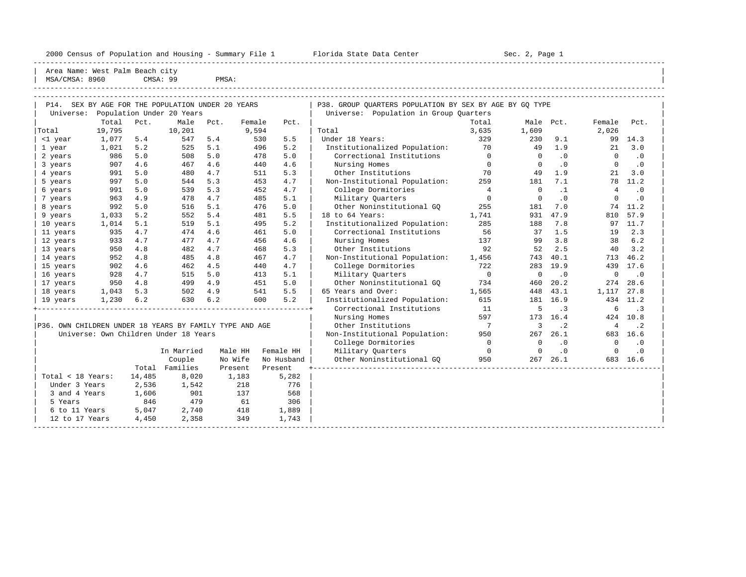## 2000 Census of Population and Housing - Summary File 1 Telorida State Data Center Sec. 2, Page 1 No

----------------------------------------------------------------------------------------------------------------------------------------------------- Area Name: West Palm Beach city | MSA/CMSA: 8960 CMSA: 99 PMSA:

-----------------------------------------------------------------------------------------------------------------------------------------------------

-----------------------------------------------------------------------------------------------------------------------------------------------------

| P14.                                                    |                                                      |                                               | SEX BY AGE FOR THE POPULATION UNDER 20 YEARS |            |                   |                | P38. GROUP OUARTERS POPULATION BY SEX BY AGE BY GO TYPE |                 |                    |                  |                    |                   |
|---------------------------------------------------------|------------------------------------------------------|-----------------------------------------------|----------------------------------------------|------------|-------------------|----------------|---------------------------------------------------------|-----------------|--------------------|------------------|--------------------|-------------------|
| Universe:                                               | Population Under 20 Years<br>Total<br>Pct.<br>Female |                                               | Universe: Population in Group Quarters       |            |                   |                |                                                         |                 |                    |                  |                    |                   |
| Total                                                   | 19,795                                               |                                               | Male<br>10,201                               | Pct.       | 9,594             | Pct.           | Total                                                   | Total<br>3,635  | Male Pct.<br>1,609 |                  | Female<br>2,026    | Pct.              |
| <1 year                                                 | 1,077                                                | 5.4                                           | 547                                          | 5.4        | 530               | 5.5            | Under 18 Years:                                         | 329             | 230                | 9.1              |                    | 99 14.3           |
|                                                         | 1,021                                                | 5.2                                           | 525                                          | 5.1        | 496               | 5.2            | Institutionalized Population:                           | 70              | 49                 | 1.9              | 21                 | 3.0               |
| 1 year                                                  | 986                                                  | 5.0                                           | 508                                          | 5.0        | 478               | 5.0            | Correctional Institutions                               | $\mathbf{0}$    | $\mathbf 0$        | .0               | $\Omega$           | $\cdot$ 0         |
| 2 years<br>3 years                                      | 907                                                  | 4.6                                           | 467                                          | 4.6        | 440               | 4.6            | Nursing Homes                                           | $\overline{0}$  | $\Omega$           | $\cdot$ 0        | $\Omega$           | $\cdot$ 0         |
| 4 years                                                 | 991                                                  | 5.0                                           | 480                                          | 4.7        | 511               | 5.3            | Other Institutions                                      | 70              | 49                 | 1.9              | 21                 | 3.0               |
| 5 years                                                 | 997                                                  | 5.0                                           | 544                                          | 5.3        | 453               | 4.7            | Non-Institutional Population:                           | 259             | 181                | 7.1              |                    | 78 11.2           |
| 6 years                                                 | 991                                                  | 5.0                                           | 539                                          | 5.3        | 452               | 4.7            | College Dormitories                                     | $\overline{4}$  | $\Omega$           | $\cdot$ 1        | $\overline{4}$     | $\cdot$ 0         |
|                                                         | 963                                                  | 4.9                                           | 478                                          | 4.7        | 485               | 5.1            | Military Ouarters                                       | $\Omega$        | $\Omega$           | $\cdot$ 0        | $\Omega$           | $\cdot$ 0         |
| 7 years<br>8 years                                      | 992                                                  | 5.0                                           | 516                                          | 5.1        | 476               | 5.0            | Other Noninstitutional GO                               | 255             | 181                | 7.0              | 74                 | 11.2              |
|                                                         | 1,033                                                | 5.2                                           | 552                                          | 5.4        | 481               | 5.5            | 18 to 64 Years:                                         | 1,741           | 931                | 47.9             | 810                | 57.9              |
| 9 years<br>10 years                                     | 1,014                                                | 5.1                                           |                                              | 5.1        | 495               | 5.2            | Institutionalized Population:                           | 285             | 188                | 7.8              | 97                 | 11.7              |
|                                                         | 935                                                  | 4.7                                           | 519<br>474                                   | 4.6        | 461               | 5.0            | Correctional Institutions                               | 56              | 37                 | 1.5              | 19                 | 2.3               |
| 11 years                                                |                                                      | 4.7                                           | 477                                          | 4.7        |                   | 4.6            | Nursing Homes                                           |                 | 99                 | 3.8              | 38                 | 6.2               |
| 12 years                                                | 933<br>950                                           |                                               | 482                                          | 4.7        | 456               | 5.3            |                                                         | 137<br>92       | 52                 | 2.5              | 40                 | 3.2               |
| 13 years                                                |                                                      | 4.8                                           |                                              |            | 468               |                | Other Institutions                                      |                 |                    |                  |                    |                   |
| 14 years                                                | 952<br>902                                           | 4.8<br>4.6                                    | 485<br>462                                   | 4.8        | 467               | 4.7<br>4.7     | Non-Institutional Population:                           | 1,456<br>722    | 743                | 40.1<br>283 19.9 | 713<br>439         | 46.2<br>17.6      |
| 15 years                                                | 928                                                  | 4.7                                           | 515                                          | 4.5<br>5.0 | 440               | 5.1            | College Dormitories                                     | $\overline{0}$  | $\Omega$           |                  |                    |                   |
| 16 years                                                |                                                      | 4.8                                           |                                              | 4.9        | 413               | 5.0            | Military Quarters                                       |                 |                    | .0               | $\mathbf 0$<br>274 | $\cdot$ 0<br>28.6 |
| 17 years                                                | 950                                                  |                                               | 499                                          |            | 451               | 5.5            | Other Noninstitutional GO                               | 734             | 460                | 20.2             |                    |                   |
| 18 years                                                | 1,043                                                | 5.3<br>6.2                                    | 502                                          | 4.9<br>6.2 | 541               | 5.2            | 65 Years and Over:                                      | 1,565<br>615    | 448                | 43.1<br>181 16.9 | 1,117<br>434       | 27.8<br>11.2      |
| 19 years                                                | 1,230                                                |                                               | 630                                          |            | 600               |                | Institutionalized Population:                           |                 |                    |                  |                    |                   |
|                                                         |                                                      |                                               |                                              |            |                   |                | Correctional Institutions                               | 11              | 5                  | $\cdot$ 3        | 6                  | $\cdot$ 3         |
|                                                         |                                                      |                                               |                                              |            |                   |                | Nursing Homes                                           | 597             |                    | 173 16.4         |                    | 424 10.8          |
| P36. OWN CHILDREN UNDER 18 YEARS BY FAMILY TYPE AND AGE |                                                      |                                               |                                              |            |                   |                | Other Institutions                                      | $7\phantom{0}7$ | 3                  | $\cdot$ 2        | $\overline{4}$     | $\cdot$ 2         |
|                                                         |                                                      |                                               | Universe: Own Children Under 18 Years        |            |                   |                | Non-Institutional Population:                           | 950             | 267                | 26.1             |                    | 683 16.6          |
|                                                         |                                                      |                                               |                                              |            |                   |                | College Dormitories                                     | $\overline{0}$  | $\Omega$           | $\cdot$ 0        | $\Omega$           | $\cdot$ 0         |
|                                                         |                                                      | Male HH<br>Female HH<br>In Married<br>No Wife |                                              |            | Military Quarters | $\overline{0}$ | $\Omega$                                                | .0              | $\Omega$           | $\cdot$ 0        |                    |                   |
|                                                         |                                                      | Total                                         | Couple                                       |            |                   | No Husband     | Other Noninstitutional GO                               | 950             |                    | 267 26.1         |                    | 683 16.6          |
|                                                         |                                                      |                                               | Families                                     | Present    |                   | Present        |                                                         |                 |                    |                  |                    |                   |
| Total < 18 Years:                                       |                                                      | 14,485                                        | 8,020                                        |            | 1,183             | 5,282          |                                                         |                 |                    |                  |                    |                   |
| Under 3 Years                                           |                                                      | 2,536                                         | 1,542                                        |            | 218               | 776            |                                                         |                 |                    |                  |                    |                   |
| 3 and 4 Years                                           |                                                      | 1,606                                         | 901                                          |            | 137               | 568            |                                                         |                 |                    |                  |                    |                   |
| 5 Years                                                 |                                                      | 846                                           | 479                                          |            | 61                | 306            |                                                         |                 |                    |                  |                    |                   |
| 6 to 11 Years                                           |                                                      | 5,047                                         | 2,740                                        |            | 418               | 1,889          |                                                         |                 |                    |                  |                    |                   |
| 12 to 17 Years                                          |                                                      | 4,450                                         | 2,358                                        |            | 349               | 1,743          |                                                         |                 |                    |                  |                    |                   |
|                                                         |                                                      |                                               |                                              |            |                   |                |                                                         |                 |                    |                  |                    |                   |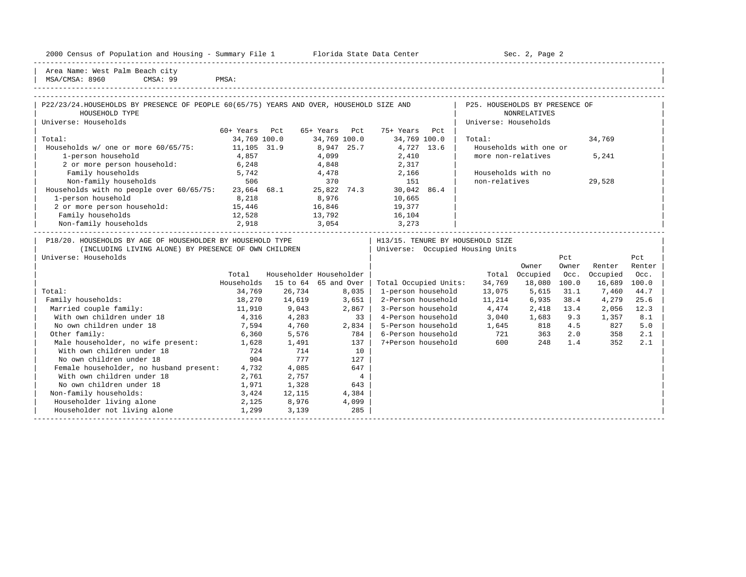|  |  |  | 2000 Census of Population and Housing - Summary File 1 |  |  |  |  |  |  |  |
|--|--|--|--------------------------------------------------------|--|--|--|--|--|--|--|
|--|--|--|--------------------------------------------------------|--|--|--|--|--|--|--|

Plorida State Data Center - Sec. 2, Page 2

-----------------------------------------------------------------------------------------------------------------------------------------------------

| Area Name: West Palm Beach city | | MSA/CMSA: 8960 CMSA: 99 PMSA:

| P22/23/24.HOUSEHOLDS BY PRESENCE OF PEOPLE 60(65/75) YEARS AND OVER, HOUSEHOLD SIZE AND                                                                                       |               |                          |                    |                 |                       |                                                | P25. HOUSEHOLDS BY PRESENCE OF      |                        |         |          |        |  |
|-------------------------------------------------------------------------------------------------------------------------------------------------------------------------------|---------------|--------------------------|--------------------|-----------------|-----------------------|------------------------------------------------|-------------------------------------|------------------------|---------|----------|--------|--|
| HOUSEHOLD TYPE                                                                                                                                                                |               |                          |                    |                 |                       |                                                |                                     | <b>NONRELATIVES</b>    |         |          |        |  |
| Universe: Households                                                                                                                                                          |               |                          |                    |                 |                       |                                                | Universe: Households                |                        |         |          |        |  |
|                                                                                                                                                                               | 60+ Years Pct |                          | 65+ Years Pct      |                 | 75+ Years Pct         |                                                |                                     |                        |         |          |        |  |
| Total:                                                                                                                                                                        | 34,769 100.0  |                          | 34,769 100.0       |                 | 34,769 100.0          |                                                | Total:                              |                        |         | 34,769   |        |  |
| Households w/ one or more 60/65/75:                                                                                                                                           | 11,105 31.9   |                          | 8,947 25.7         |                 | 4,727 13.6            |                                                |                                     | Households with one or |         |          |        |  |
| 1-person household                                                                                                                                                            | 4,857         |                          | $4,099$<br>$4,848$ |                 | 2,410<br>2,317        |                                                | more non-relatives                  |                        |         | 5,241    |        |  |
| 2 or more person household:                                                                                                                                                   | 6, 248        |                          |                    |                 |                       |                                                |                                     |                        |         |          |        |  |
| Family households                                                                                                                                                             | 5,742         |                          |                    |                 | 4,478 2,166           |                                                |                                     | Households with no     |         |          |        |  |
| 506<br>Non-family households                                                                                                                                                  |               |                          | 370                |                 | 151                   |                                                | non-relatives                       |                        |         | 29,528   |        |  |
| Households with no people over 60/65/75: 23,664 68.1 25,822 74.3 30,042 86.4                                                                                                  |               |                          |                    |                 |                       |                                                |                                     |                        |         |          |        |  |
| 1-person household                                                                                                                                                            | 8,218         | 8,976                    |                    |                 | 10,665                |                                                |                                     |                        |         |          |        |  |
| 2 or more person household: 15,446                                                                                                                                            |               |                          |                    |                 | 16,846 19,377         |                                                |                                     |                        |         |          |        |  |
| Family households                                                                                                                                                             | 12,528        |                          |                    |                 | 13,792 16,104         |                                                |                                     |                        |         |          |        |  |
| Non-family households                                                                                                                                                         | 2,918         | 3,054                    |                    |                 | 3,273                 |                                                |                                     |                        |         |          |        |  |
| P18/20. HOUSEHOLDS BY AGE OF HOUSEHOLDER BY HOUSEHOLD TYPE<br>(INCLUDING LIVING ALONE) BY PRESENCE OF OWN CHILDREN   Universe: Occupied Housing Units<br>Universe: Households |               |                          |                    |                 |                       | H13/15. TENURE BY HOUSEHOLD SIZE<br>Pct<br>Pct |                                     |                        |         |          |        |  |
|                                                                                                                                                                               |               |                          |                    |                 |                       |                                                |                                     | Owner                  | Owner   | Renter   | Renter |  |
|                                                                                                                                                                               | Total         | Householder Householder  |                    |                 |                       |                                                |                                     | Total Occupied         | Occ.    | Occupied | Occ.   |  |
|                                                                                                                                                                               | Households    | 15 to $64$ $65$ and Over |                    |                 | Total Occupied Units: |                                                |                                     | 34,769 18,080          | 100.0   | 16,689   | 100.0  |  |
| Total:                                                                                                                                                                        | 34,769        | 26,734                   |                    | 8,035           | 1-person household    |                                                |                                     | 13,075 5,615           | 31.1    | 7,460    | 44.7   |  |
| Family households:                                                                                                                                                            |               | 18,270   14,619          |                    | 3,651           |                       |                                                | 2-Person household 11,214 6,935     |                        | 38.4    | 4,279    | 25.6   |  |
| Married couple family:                                                                                                                                                        | 11,910        | 9,043                    |                    | 2,867           |                       |                                                | 3-Person household 4,474 2,418 13.4 |                        |         | 2,056    | 12.3   |  |
| With own children under 18                                                                                                                                                    | 4,316 4,283   |                          |                    | 33              |                       |                                                | 4-Person household 3,040 1,683 9.3  |                        |         | 1,357    | 8.1    |  |
| No own children under 18                                                                                                                                                      | 7,594         | 4,760                    |                    | 2,834           |                       |                                                | 5-Person household 1,645 818 4.5    |                        |         | 827      | 5.0    |  |
| Other family:                                                                                                                                                                 |               | 6,360 5,576              |                    | 784             | 6-Person household    |                                                | 721 363                             |                        | 2.0     | 358      | 2.1    |  |
| Male householder, no wife present: 1,628 1,491                                                                                                                                |               |                          |                    | $137 \parallel$ | 7+Person household    |                                                | 600                                 |                        | 248 1.4 | 352      | 2.1    |  |
| With own children under 18                                                                                                                                                    | 724           | 714                      |                    | 10              |                       |                                                |                                     |                        |         |          |        |  |
| No own children under 18                                                                                                                                                      | 904           | 777                      |                    | 127             |                       |                                                |                                     |                        |         |          |        |  |
| Female householder, no husband present: 4,732                                                                                                                                 |               | 4,085                    |                    | 647             |                       |                                                |                                     |                        |         |          |        |  |
| With own children under 18                                                                                                                                                    | 2,761         | 2,757                    |                    | $\overline{4}$  |                       |                                                |                                     |                        |         |          |        |  |
| No own children under 18                                                                                                                                                      | 1,971         | 1,328                    |                    | 643             |                       |                                                |                                     |                        |         |          |        |  |
| Non-family households:                                                                                                                                                        | 3,424         | 12,115                   |                    | 4,384           |                       |                                                |                                     |                        |         |          |        |  |
| Householder living alone                                                                                                                                                      | 2,125         | 8,976                    |                    | 4,099           |                       |                                                |                                     |                        |         |          |        |  |
| Householder not living alone                                                                                                                                                  | 1,299         | 3,139                    |                    | 285             |                       |                                                |                                     |                        |         |          |        |  |